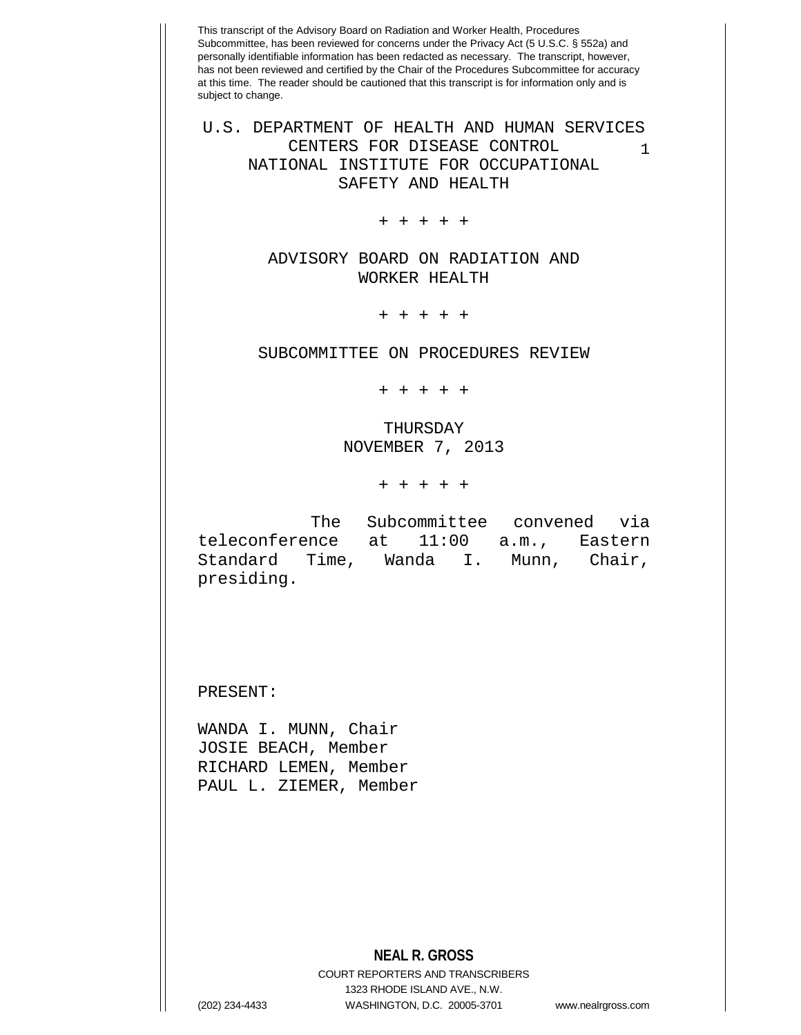This transcript of the Advisory Board on Radiation and Worker Health, Procedures Subcommittee, has been reviewed for concerns under the Privacy Act (5 U.S.C. § 552a) and personally identifiable information has been redacted as necessary. The transcript, however, has not been reviewed and certified by the Chair of the Procedures Subcommittee for accuracy at this time. The reader should be cautioned that this transcript is for information only and is subject to change. **NEAL R. GROSS** COURT REPORTERS AND TRANSCRIBERS 1 U.S. DEPARTMENT OF HEALTH AND HUMAN SERVICES CENTERS FOR DISEASE CONTROL NATIONAL INSTITUTE FOR OCCUPATIONAL SAFETY AND HEALTH + + + + + ADVISORY BOARD ON RADIATION AND WORKER HEALTH + + + + + SUBCOMMITTEE ON PROCEDURES REVIEW + + + + + THURSDAY NOVEMBER 7, 2013 + + + + + The Subcommittee convened via teleconference at 11:00 a.m., Eastern<br>Standard Time, Wanda I. Munn, Chair, Standard Time, Wanda I. presiding. PRESENT: WANDA I. MUNN, Chair JOSIE BEACH, Member RICHARD LEMEN, Member PAUL L. ZIEMER, Member

1323 RHODE ISLAND AVE., N.W.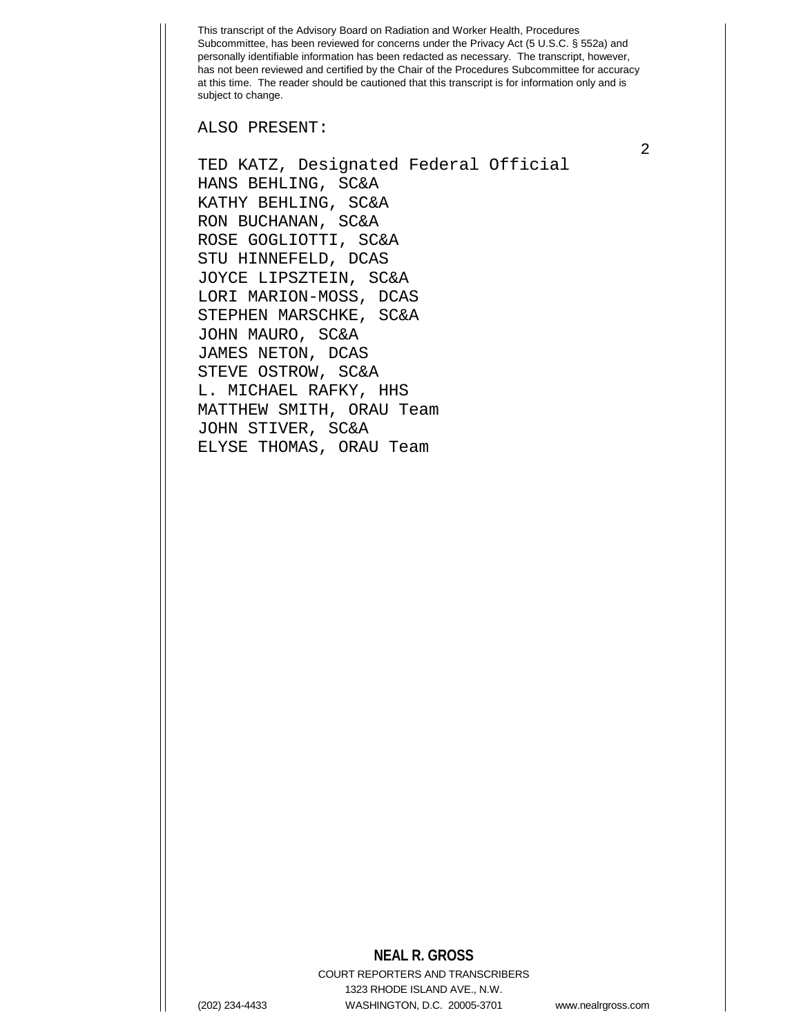ALSO PRESENT:

TED KATZ, Designated Federal Official HANS BEHLING, SC&A KATHY BEHLING, SC&A RON BUCHANAN, SC&A ROSE GOGLIOTTI, SC&A STU HINNEFELD, DCAS JOYCE LIPSZTEIN, SC&A LORI MARION-MOSS, DCAS STEPHEN MARSCHKE, SC&A JOHN MAURO, SC&A JAMES NETON, DCAS STEVE OSTROW, SC&A L. MICHAEL RAFKY, HHS MATTHEW SMITH, ORAU Team JOHN STIVER, SC&A ELYSE THOMAS, ORAU Team

## **NEAL R. GROSS**

COURT REPORTERS AND TRANSCRIBERS 1323 RHODE ISLAND AVE., N.W. (202) 234-4433 WASHINGTON, D.C. 20005-3701 www.nealrgross.com

2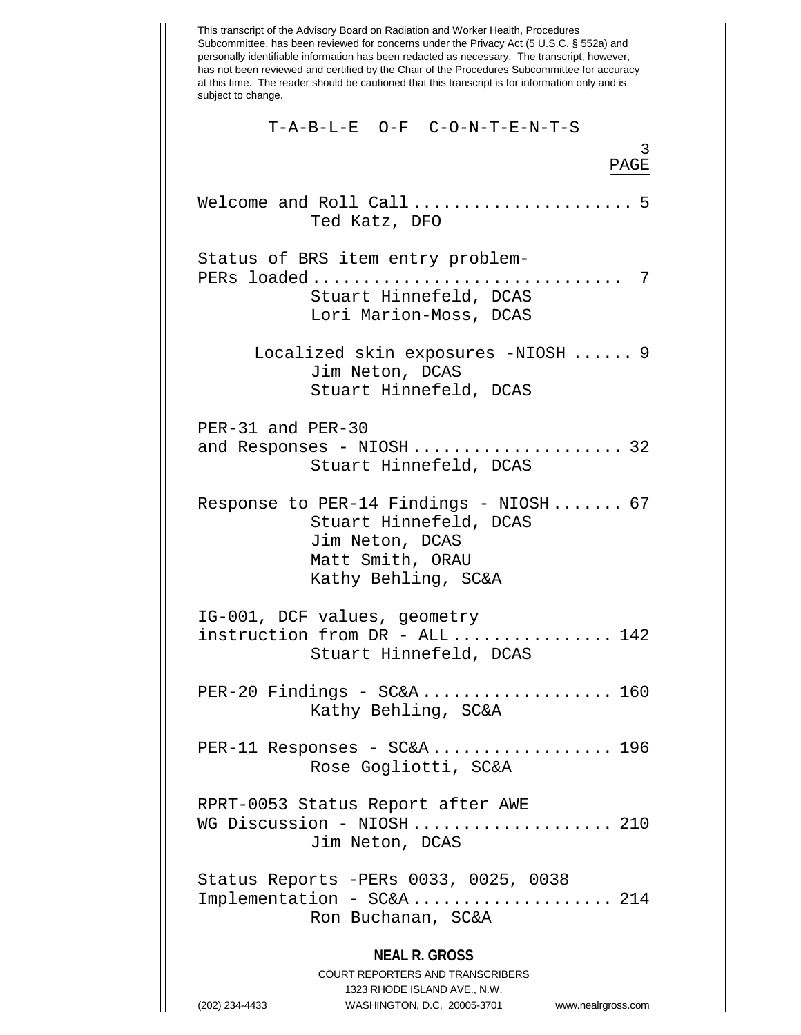This transcript of the Advisory Board on Radiation and Worker Health, Procedures Subcommittee, has been reviewed for concerns under the Privacy Act (5 U.S.C. § 552a) and personally identifiable information has been redacted as necessary. The transcript, however, has not been reviewed and certified by the Chair of the Procedures Subcommittee for accuracy at this time. The reader should be cautioned that this transcript is for information only and is subject to change. **NEAL R. GROSS** COURT REPORTERS AND TRANSCRIBERS 1323 RHODE ISLAND AVE., N.W. 3 T-A-B-L-E O-F C-O-N-T-E-N-T-S PAGE Welcome and Roll Call  $\dots\dots\dots\dots\dots\dots$  5 Ted Katz, DFO Status of BRS item entry problem-PERs loaded ............................... 7 Stuart Hinnefeld, DCAS Lori Marion-Moss, DCAS Localized skin exposures -NIOSH ...... 9 Jim Neton, DCAS Stuart Hinnefeld, DCAS PER-31 and PER-30 and Responses - NIOSH......................... 32 Stuart Hinnefeld, DCAS Response to PER-14 Findings - NIOSH ....... 67 Stuart Hinnefeld, DCAS Jim Neton, DCAS Matt Smith, ORAU Kathy Behling, SC&A IG-001, DCF values, geometry instruction from DR - ALL ................ 142 Stuart Hinnefeld, DCAS PER-20 Findings - SC&A ................... 160 Kathy Behling, SC&A PER-11 Responses - SC&A.................... 196 Rose Gogliotti, SC&A RPRT-0053 Status Report after AWE WG Discussion - NIOSH...................... 210 Jim Neton, DCAS Status Reports -PERs 0033, 0025, 0038 Implementation - SC&A .................... 214 Ron Buchanan, SC&A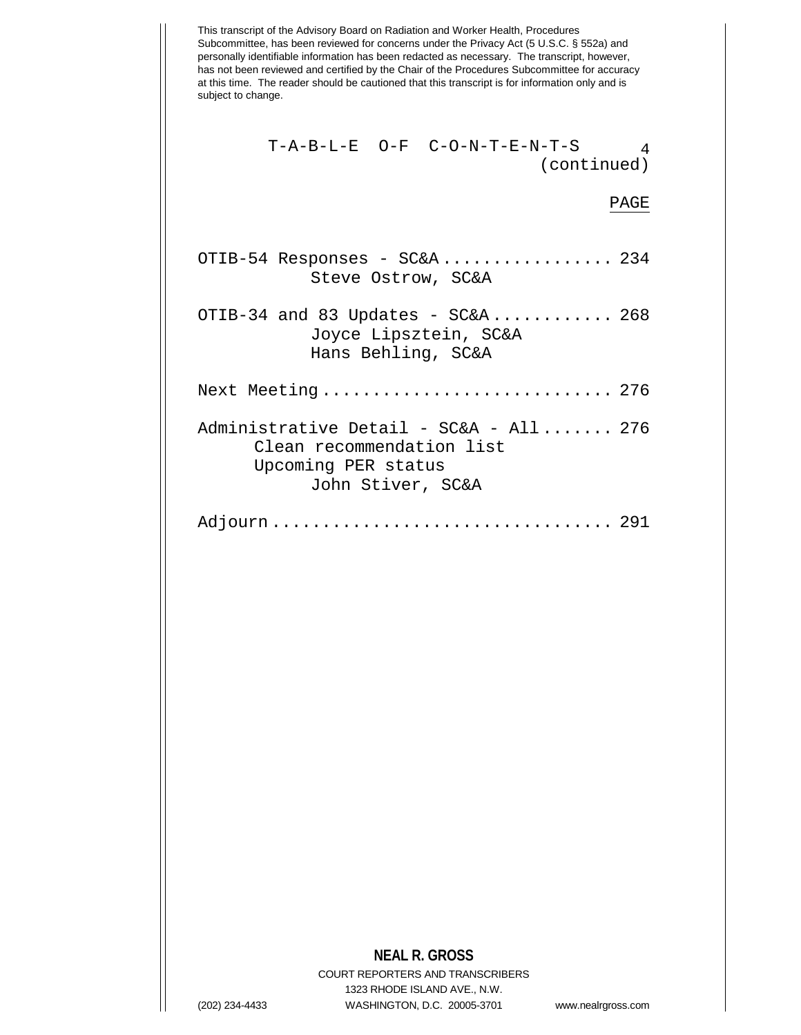This transcript of the Advisory Board on Radiation and Worker Health, Procedures Subcommittee, has been reviewed for concerns under the Privacy Act (5 U.S.C. § 552a) and personally identifiable information has been redacted as necessary. The transcript, however, has not been reviewed and certified by the Chair of the Procedures Subcommittee for accuracy at this time. The reader should be cautioned that this transcript is for information only and is subject to change. T-A-B-L-E O-F C-O-N-T-E-N-T-S 4 (continued) PAGE OTIB-54 Responses - SC&A ................. 234 Steve Ostrow, SC&A OTIB-34 and 83 Updates - SC&A............ 268 Joyce Lipsztein, SC&A Hans Behling, SC&A Next Meeting ................................ 276 Administrative Detail - SC&A - All ....... 276 Clean recommendation list Upcoming PER status John Stiver, SC&A Adjourn .................................. 291

## **NEAL R. GROSS**

COURT REPORTERS AND TRANSCRIBERS 1323 RHODE ISLAND AVE., N.W. (202) 234-4433 WASHINGTON, D.C. 20005-3701 www.nealrgross.com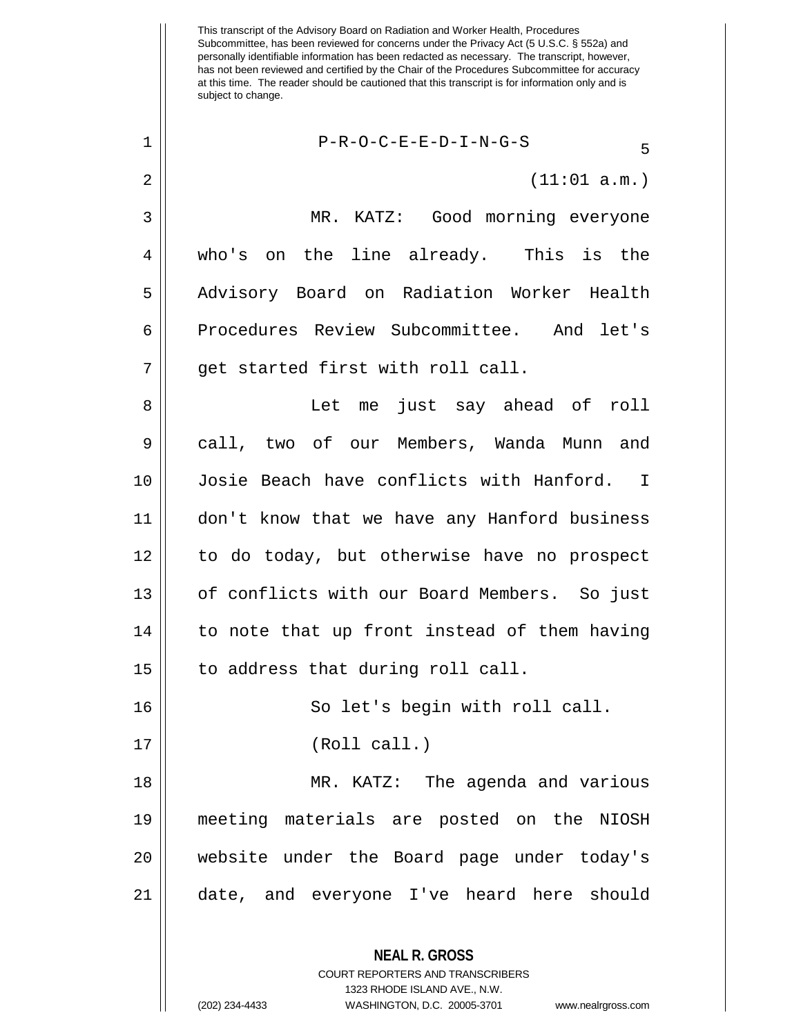This transcript of the Advisory Board on Radiation and Worker Health, Procedures Subcommittee, has been reviewed for concerns under the Privacy Act (5 U.S.C. § 552a) and personally identifiable information has been redacted as necessary. The transcript, however, has not been reviewed and certified by the Chair of the Procedures Subcommittee for accuracy at this time. The reader should be cautioned that this transcript is for information only and is subject to change. **NEAL R. GROSS** COURT REPORTERS AND TRANSCRIBERS 1323 RHODE ISLAND AVE., N.W.  $1 \parallel$  P-R-O-C-E-E-D-I-N-G-S  $2 \parallel$  (11:01 a.m.) 3 MR. KATZ: Good morning everyone 4 who's on the line already. This is the 5 || Advisory Board on Radiation Worker Health 6 Procedures Review Subcommittee. And let's  $7$  | qet started first with roll call. 8 Let me just say ahead of roll 9 call, two of our Members, Wanda Munn and 10 Josie Beach have conflicts with Hanford. I 11 don't know that we have any Hanford business 12 to do today, but otherwise have no prospect 13 || of conflicts with our Board Members. So just  $14$  | to note that up front instead of them having  $15$  | to address that during roll call. 16 || So let's begin with roll call. 17 || (Roll call.) 18 MR. KATZ: The agenda and various 19 meeting materials are posted on the NIOSH 20 website under the Board page under today's 21 date, and everyone I've heard here should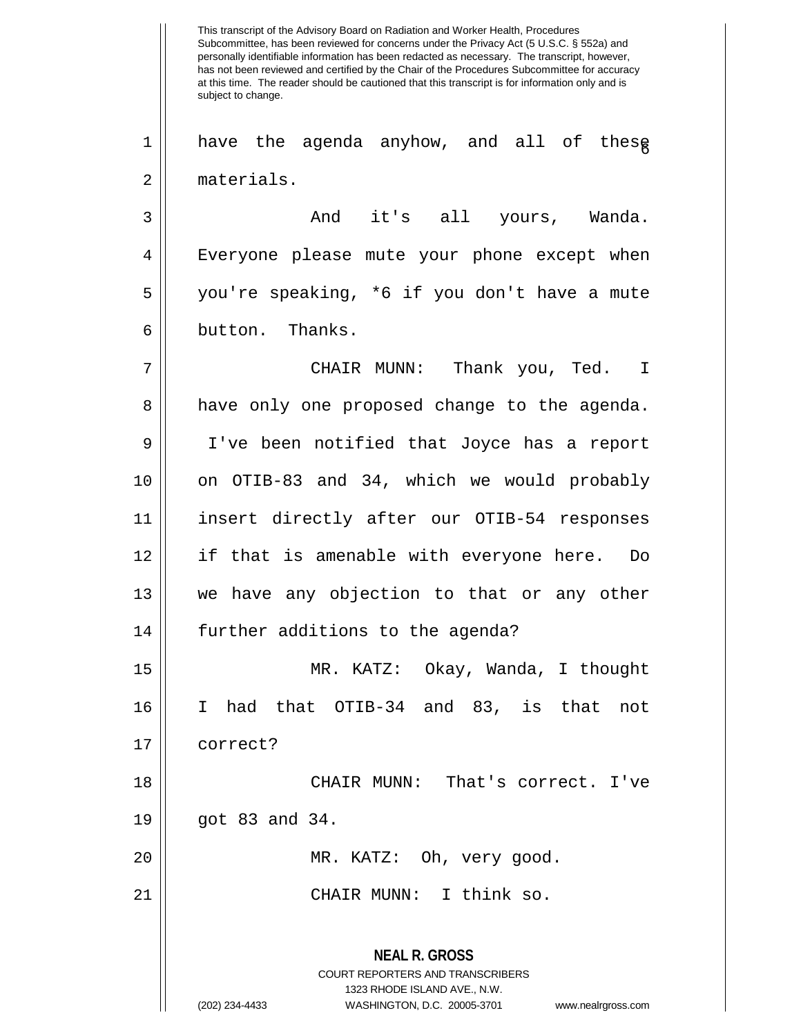This transcript of the Advisory Board on Radiation and Worker Health, Procedures Subcommittee, has been reviewed for concerns under the Privacy Act (5 U.S.C. § 552a) and personally identifiable information has been redacted as necessary. The transcript, however, has not been reviewed and certified by the Chair of the Procedures Subcommittee for accuracy at this time. The reader should be cautioned that this transcript is for information only and is subject to change. **NEAL R. GROSS** COURT REPORTERS AND TRANSCRIBERS 1323 RHODE ISLAND AVE., N.W. 1 || have the agenda anyhow, and all of these 2 materials. 3 And it's all yours, Wanda. 4 || Everyone please mute your phone except when 5 you're speaking, \*6 if you don't have a mute 6 || button. Thanks. 7 CHAIR MUNN: Thank you, Ted. I 8 a have only one proposed change to the agenda. 9 I've been notified that Joyce has a report 10 || on OTIB-83 and 34, which we would probably 11 insert directly after our OTIB-54 responses 12 if that is amenable with everyone here. Do 13 we have any objection to that or any other 14 | further additions to the agenda? 15 MR. KATZ: Okay, Wanda, I thought 16 I had that OTIB-34 and 83, is that not 17 correct? 18 CHAIR MUNN: That's correct. I've  $19 \parallel$  got 83 and 34. 20 || MR. KATZ: Oh, very good. 21 CHAIR MUNN: I think so.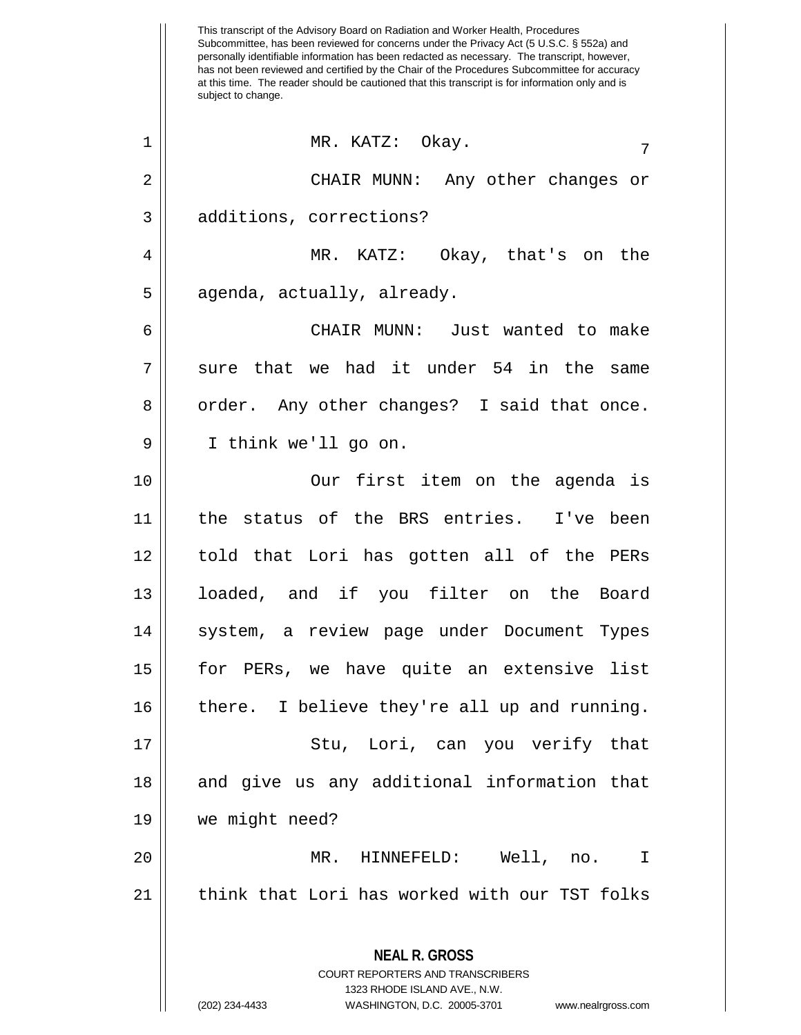This transcript of the Advisory Board on Radiation and Worker Health, Procedures Subcommittee, has been reviewed for concerns under the Privacy Act (5 U.S.C. § 552a) and personally identifiable information has been redacted as necessary. The transcript, however, has not been reviewed and certified by the Chair of the Procedures Subcommittee for accuracy at this time. The reader should be cautioned that this transcript is for information only and is subject to change. **NEAL R. GROSS** COURT REPORTERS AND TRANSCRIBERS 1323 RHODE ISLAND AVE., N.W. <sup>7</sup> <sup>1</sup> MR. KATZ: Okay. 2 CHAIR MUNN: Any other changes or 3 additions, corrections? 4 MR. KATZ: Okay, that's on the  $5 \parallel$  agenda, actually, already. 6 CHAIR MUNN: Just wanted to make  $7 \parallel$  sure that we had it under 54 in the same 8 || order. Any other changes? I said that once. 9 I think we'll go on. 10 Our first item on the agenda is 11 the status of the BRS entries. I've been 12 told that Lori has gotten all of the PERs 13 loaded, and if you filter on the Board 14 || system, a review page under Document Types 15 for PERs, we have quite an extensive list 16 || there. I believe they're all up and running. 17 Stu, Lori, can you verify that 18 || and give us any additional information that 19 we might need? 20 MR. HINNEFELD: Well, no. I 21 || think that Lori has worked with our TST folks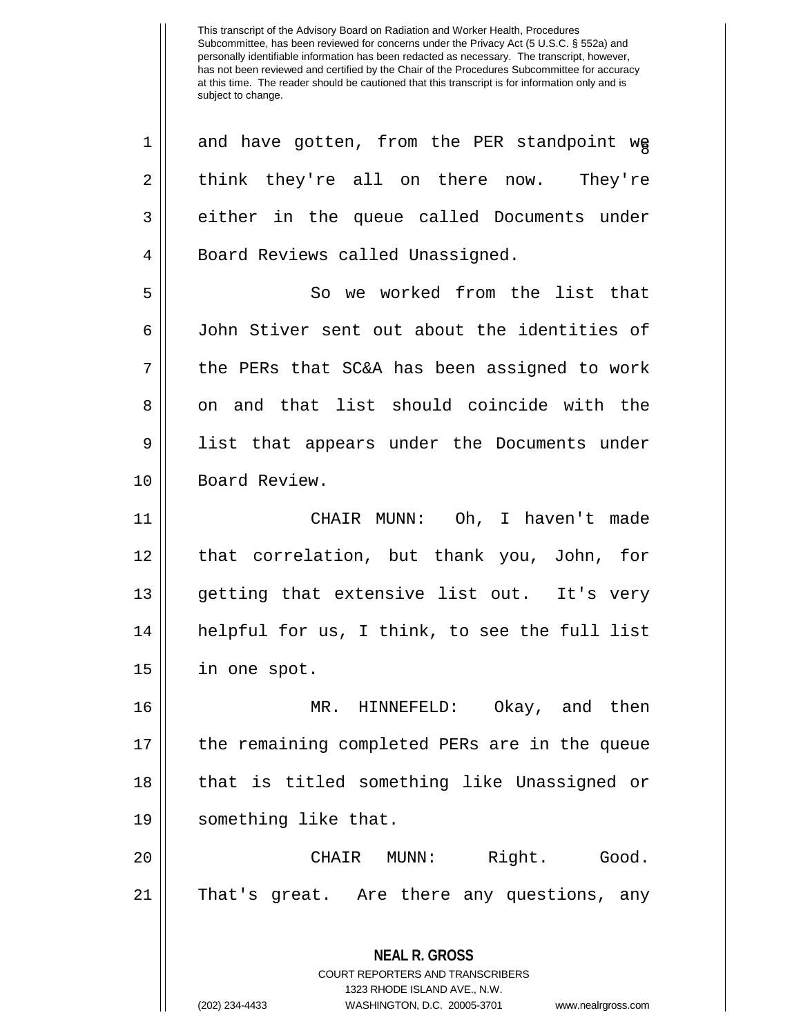**NEAL R. GROSS** COURT REPORTERS AND TRANSCRIBERS 1323 RHODE ISLAND AVE., N.W.  $1 ||$  and have gotten, from the PER standpoint we  $2 \parallel$  think they're all on there now. They're 3 either in the queue called Documents under 4 || Board Reviews called Unassigned. 5 So we worked from the list that 6 John Stiver sent out about the identities of  $7 \parallel$  the PERs that SC&A has been assigned to work 8 on and that list should coincide with the 9 list that appears under the Documents under 10 | Board Review. 11 CHAIR MUNN: Oh, I haven't made 12 that correlation, but thank you, John, for 13 || qetting that extensive list out. It's very 14 helpful for us, I think, to see the full list 15 in one spot. 16 MR. HINNEFELD: Okay, and then 17 the remaining completed PERs are in the queue 18 that is titled something like Unassigned or 19 something like that. 20 CHAIR MUNN: Right. Good. 21 || That's great. Are there any questions, any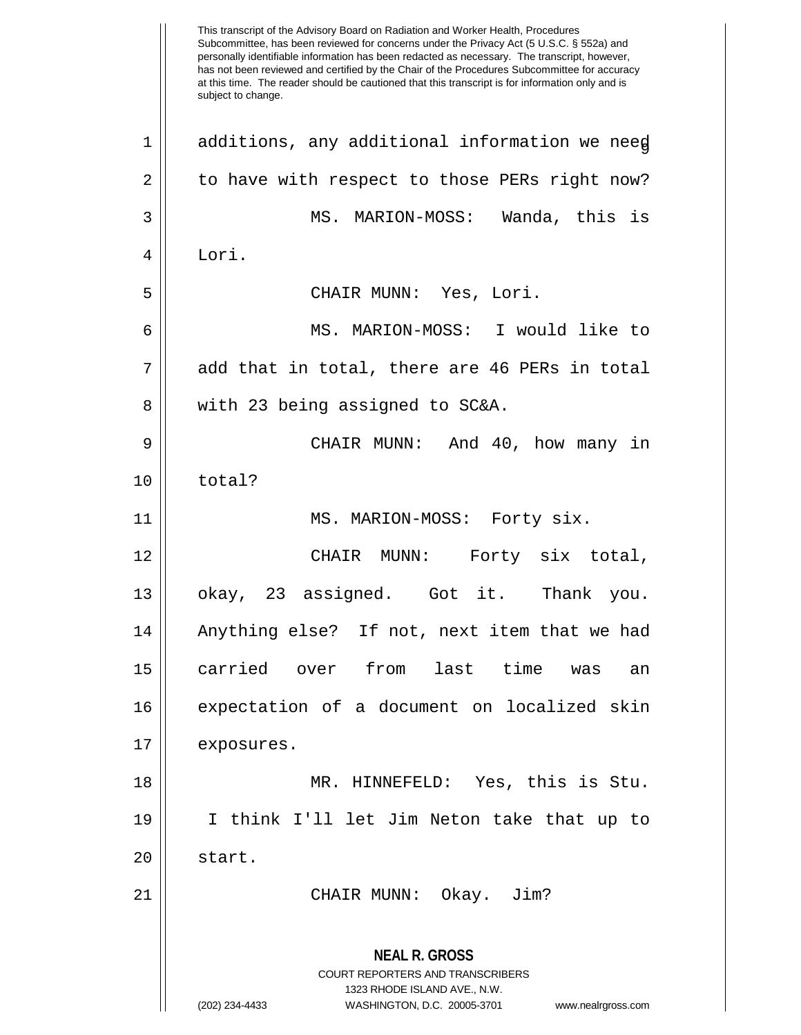This transcript of the Advisory Board on Radiation and Worker Health, Procedures Subcommittee, has been reviewed for concerns under the Privacy Act (5 U.S.C. § 552a) and personally identifiable information has been redacted as necessary. The transcript, however, has not been reviewed and certified by the Chair of the Procedures Subcommittee for accuracy at this time. The reader should be cautioned that this transcript is for information only and is subject to change. **NEAL R. GROSS** COURT REPORTERS AND TRANSCRIBERS 1323 RHODE ISLAND AVE., N.W. (202) 234-4433 WASHINGTON, D.C. 20005-3701 www.nealrgross.com  $1 ||$  additions, any additional information we need  $2 \parallel$  to have with respect to those PERs right now? 3 MS. MARION-MOSS: Wanda, this is 4 Lori. 5 CHAIR MUNN: Yes, Lori. 6 MS. MARION-MOSS: I would like to  $7 \parallel$  add that in total, there are 46 PERs in total 8 || with 23 being assigned to SC&A. 9 CHAIR MUNN: And 40, how many in 10 | total? 11 MS. MARION-MOSS: Forty six. 12 CHAIR MUNN: Forty six total, 13 okay, 23 assigned. Got it. Thank you. 14 || Anything else? If not, next item that we had 15 carried over from last time was an 16 expectation of a document on localized skin 17 | exposures. 18 MR. HINNEFELD: Yes, this is Stu. 19 I think I'll let Jim Neton take that up to 20 || start. 21 CHAIR MUNN: Okay. Jim?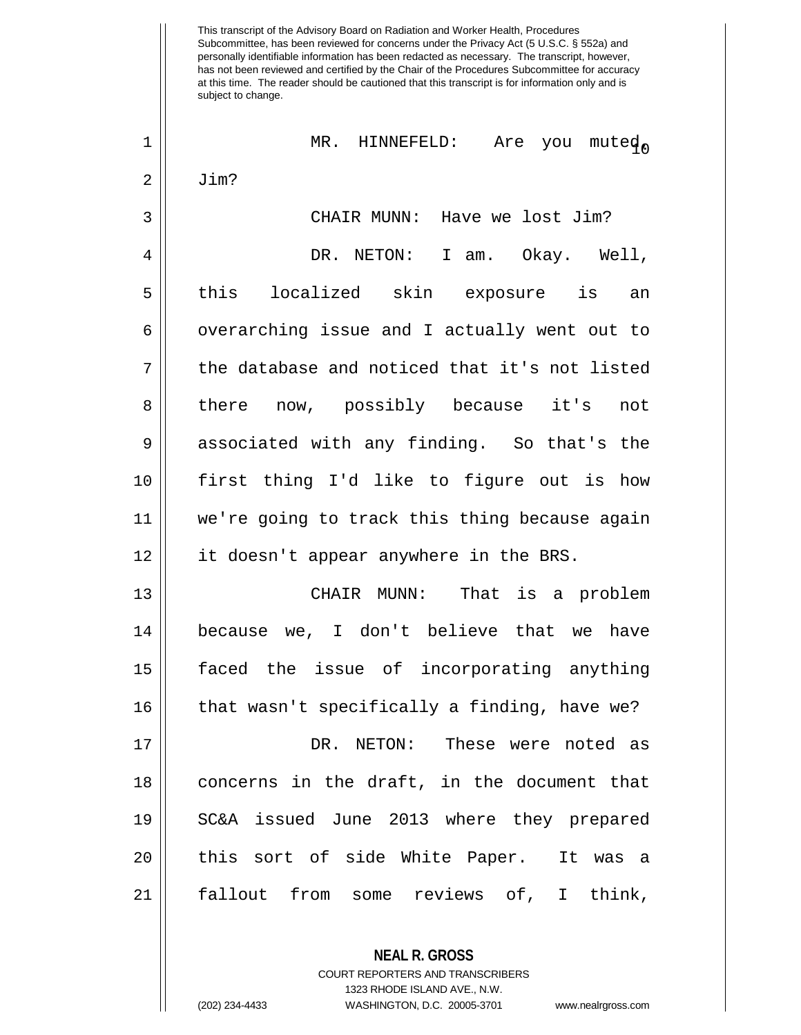| 1              | MR. HINNEFELD: Are you muted                  |
|----------------|-----------------------------------------------|
| $\overline{2}$ | Jim?                                          |
| 3              | CHAIR MUNN: Have we lost Jim?                 |
| 4              | DR. NETON: I am. Okay. Well,                  |
| 5              | this localized skin exposure is an            |
| $\epsilon$     | overarching issue and I actually went out to  |
| 7              | the database and noticed that it's not listed |
| 8              | there now, possibly because it's<br>not       |
| 9              | associated with any finding. So that's the    |
| 10             | first thing I'd like to figure out is how     |
| 11             | we're going to track this thing because again |
| 12             | it doesn't appear anywhere in the BRS.        |
| 13             | CHAIR MUNN: That is a problem                 |
| 14             | because we, I don't believe that we have      |
| 15             | faced the issue of incorporating anything     |
| 16             | that wasn't specifically a finding, have we?  |
| 17             | DR. NETON: These were noted as                |
| 18             | concerns in the draft, in the document that   |
| 19             | SC&A issued June 2013 where they prepared     |
| 20             | this sort of side White Paper. It was a       |
| 21             | fallout from some reviews of, I think,        |
|                |                                               |

**NEAL R. GROSS** COURT REPORTERS AND TRANSCRIBERS 1323 RHODE ISLAND AVE., N.W. (202) 234-4433 WASHINGTON, D.C. 20005-3701 www.nealrgross.com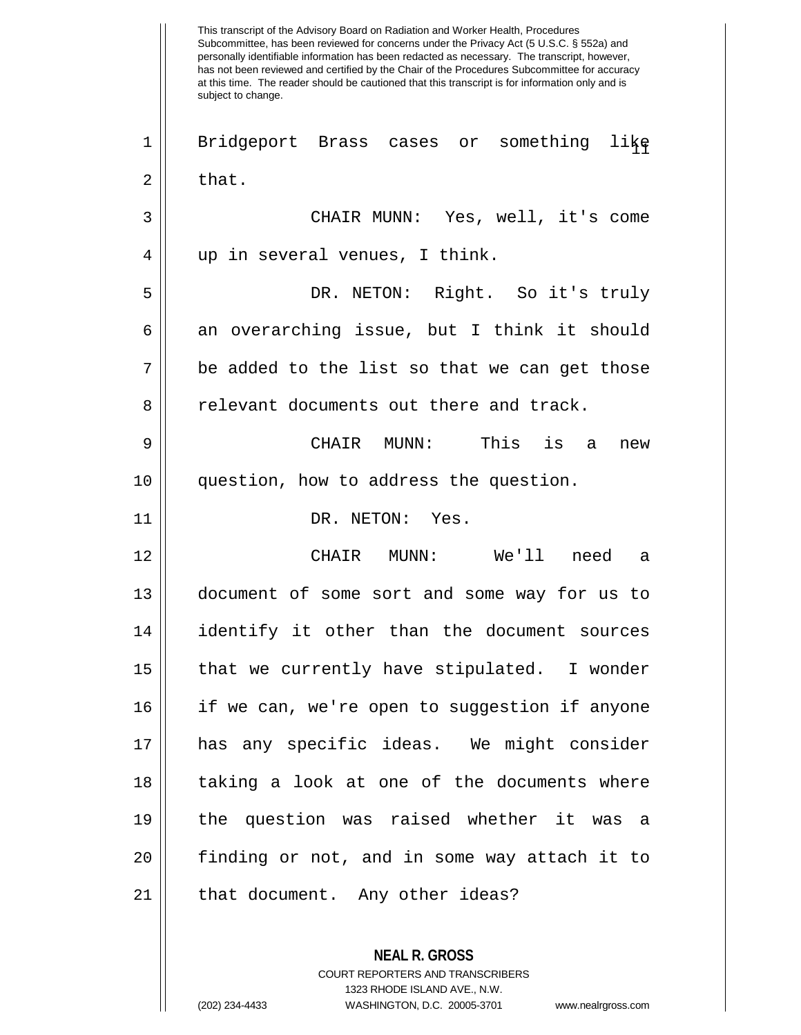This transcript of the Advisory Board on Radiation and Worker Health, Procedures Subcommittee, has been reviewed for concerns under the Privacy Act (5 U.S.C. § 552a) and personally identifiable information has been redacted as necessary. The transcript, however, has not been reviewed and certified by the Chair of the Procedures Subcommittee for accuracy at this time. The reader should be cautioned that this transcript is for information only and is subject to change. **NEAL R. GROSS** 1 || Bridgeport Brass cases or something like  $2 \parallel$  that. 3 CHAIR MUNN: Yes, well, it's come 4 || up in several venues, I think. 5 DR. NETON: Right. So it's truly  $6 \parallel$  an overarching issue, but I think it should  $7 \parallel$  be added to the list so that we can get those 8 || relevant documents out there and track. 9 CHAIR MUNN: This is a new 10 question, how to address the question. 11 || DR. NETON: Yes. 12 CHAIR MUNN: We'll need a 13 document of some sort and some way for us to 14 identify it other than the document sources 15 || that we currently have stipulated. I wonder 16 if we can, we're open to suggestion if anyone 17 has any specific ideas. We might consider 18 || taking a look at one of the documents where 19 the question was raised whether it was a 20 finding or not, and in some way attach it to 21 || that document. Any other ideas?

> COURT REPORTERS AND TRANSCRIBERS 1323 RHODE ISLAND AVE., N.W.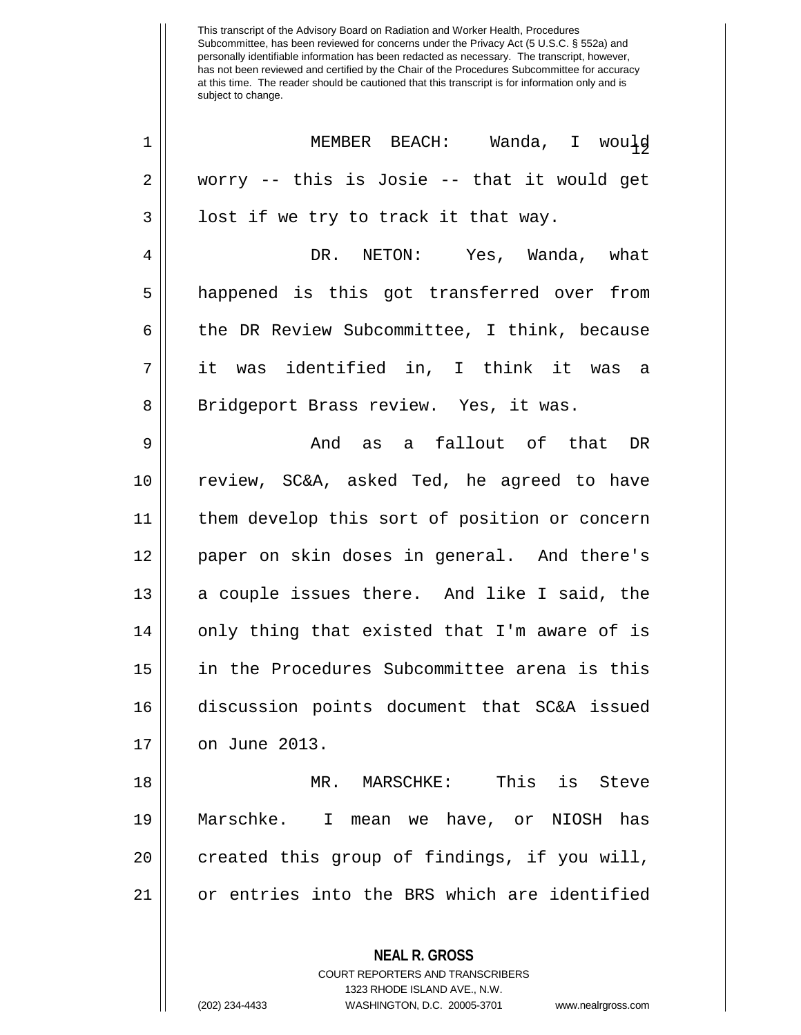| 1  | MEMBER BEACH: Wanda, I would                  |
|----|-----------------------------------------------|
| 2  | worry -- this is Josie -- that it would get   |
| 3  | lost if we try to track it that way.          |
| 4  | DR. NETON: Yes, Wanda, what                   |
| 5  | happened is this got transferred over from    |
| 6  | the DR Review Subcommittee, I think, because  |
| 7  | it was identified in, I think it was a        |
| 8  | Bridgeport Brass review. Yes, it was.         |
| 9  | And as a fallout of that DR                   |
| 10 | review, SC&A, asked Ted, he agreed to have    |
| 11 | them develop this sort of position or concern |
| 12 | paper on skin doses in general. And there's   |
| 13 | a couple issues there. And like I said, the   |
| 14 | only thing that existed that I'm aware of is  |
| 15 | in the Procedures Subcommittee arena is this  |
| 16 | discussion points document that SC&A issued   |
| 17 | on June 2013.                                 |
| 18 | MR. MARSCHKE: This is Steve                   |
| 19 | Marschke. I mean we have, or NIOSH has        |
| 20 | created this group of findings, if you will,  |
| 21 | or entries into the BRS which are identified  |
|    | <b>NEAL R. GROSS</b>                          |

COURT REPORTERS AND TRANSCRIBERS 1323 RHODE ISLAND AVE., N.W.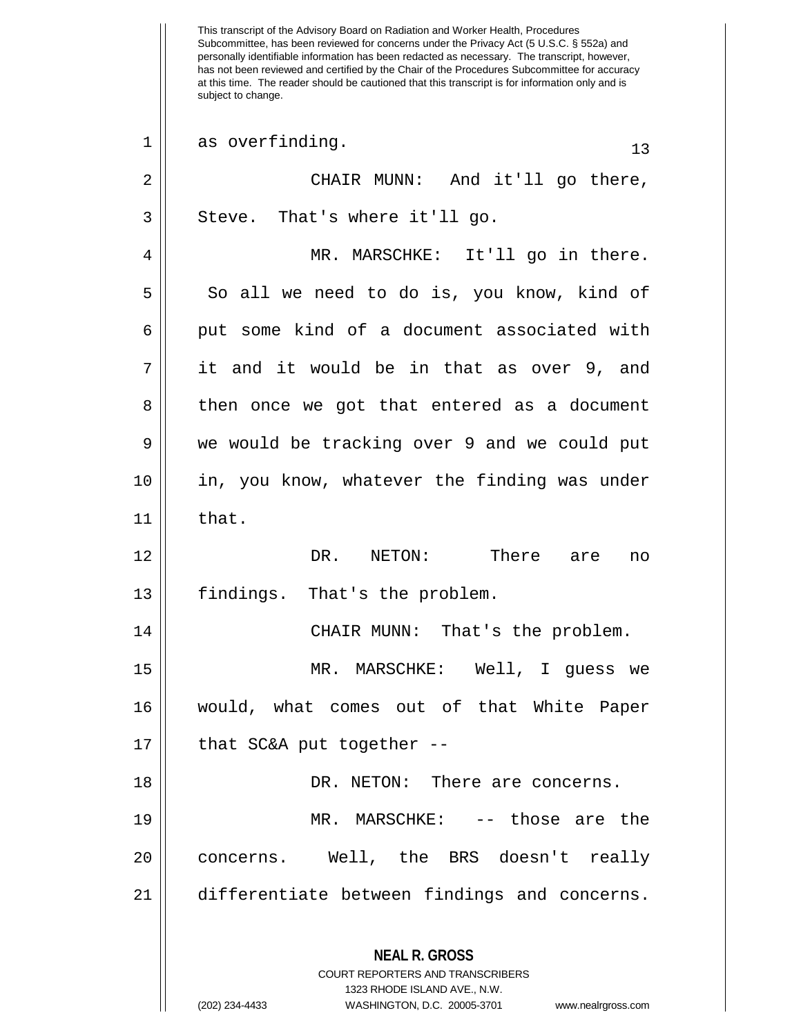This transcript of the Advisory Board on Radiation and Worker Health, Procedures Subcommittee, has been reviewed for concerns under the Privacy Act (5 U.S.C. § 552a) and personally identifiable information has been redacted as necessary. The transcript, however, has not been reviewed and certified by the Chair of the Procedures Subcommittee for accuracy at this time. The reader should be cautioned that this transcript is for information only and is subject to change. **NEAL R. GROSS** COURT REPORTERS AND TRANSCRIBERS 1323 RHODE ISLAND AVE., N.W.  $1 \parallel$  as overfinding.  $1 \parallel$  13 2 CHAIR MUNN: And it'll go there,  $3 \parallel$  Steve. That's where it'll go. 4 MR. MARSCHKE: It'll go in there.  $5 \parallel$  So all we need to do is, you know, kind of 6 || put some kind of a document associated with 7 it and it would be in that as over 9, and 8 || then once we got that entered as a document 9 We would be tracking over 9 and we could put 10 || in, you know, whatever the finding was under  $11$   $\parallel$  that. 12 DR. NETON: There are no  $13$  | findings. That's the problem. 14 || CHAIR MUNN: That's the problem. 15 MR. MARSCHKE: Well, I guess we 16 would, what comes out of that White Paper  $17$  || that SC&A put together --18 DR. NETON: There are concerns. 19 MR. MARSCHKE: -- those are the 20 concerns. Well, the BRS doesn't really 21 differentiate between findings and concerns.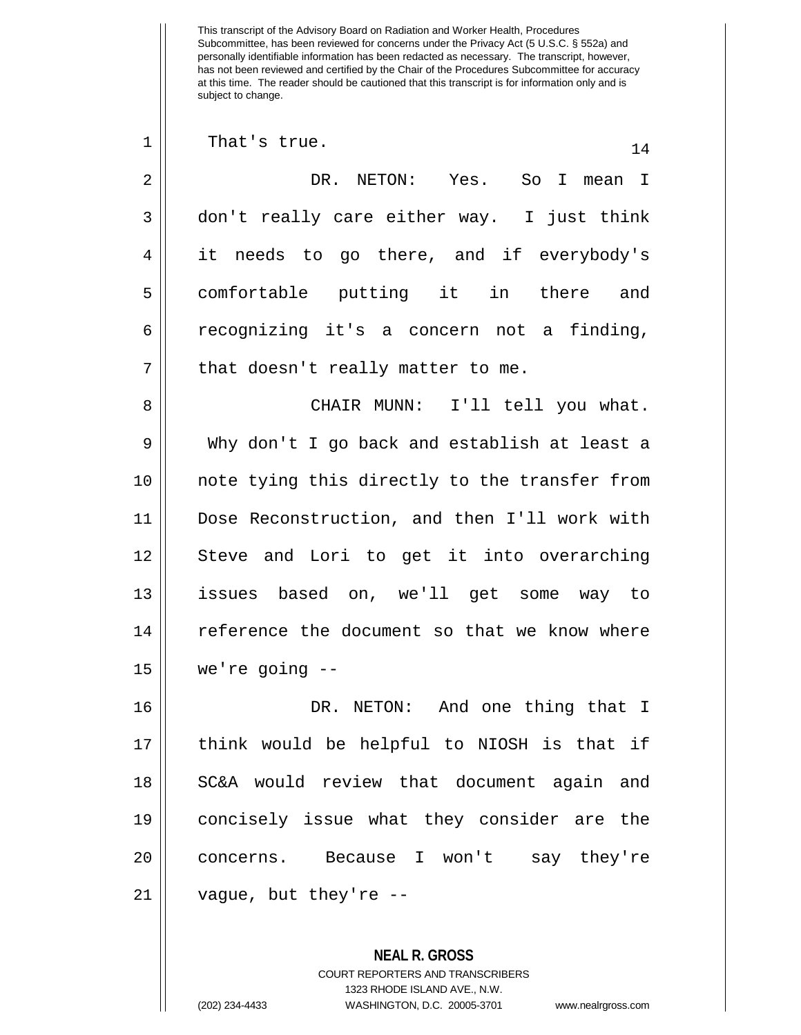| 1              | That's true.<br>14                            |
|----------------|-----------------------------------------------|
| 2              | DR.<br>NETON: Yes. So I<br>mean I             |
| 3              | don't really care either way. I just think    |
| $\overline{4}$ | it needs to go there, and if everybody's      |
| 5              | comfortable putting it in there and           |
| 6              | recognizing it's a concern not a finding,     |
| 7              | that doesn't really matter to me.             |
| 8              | CHAIR MUNN: I'll tell you what.               |
| 9              | Why don't I go back and establish at least a  |
| 10             | note tying this directly to the transfer from |
| 11             | Dose Reconstruction, and then I'll work with  |
| 12             | Steve and Lori to get it into overarching     |
| 13             | issues based on, we'll get some<br>way to     |
| 14             | reference the document so that we know where  |
| 15             | we're going $--$                              |
| 16             | DR. NETON: And one thing that I               |
| 17             | think would be helpful to NIOSH is that if    |
| 1 Q            | $CCLN$ would review that decument again and   |

18 || SC&A would review that document again and 19 || concisely issue what they consider are the 20 | concerns. Because I won't say they're  $21$  | vague, but they're --

> **NEAL R. GROSS** COURT REPORTERS AND TRANSCRIBERS 1323 RHODE ISLAND AVE., N.W. (202) 234-4433 WASHINGTON, D.C. 20005-3701 www.nealrgross.com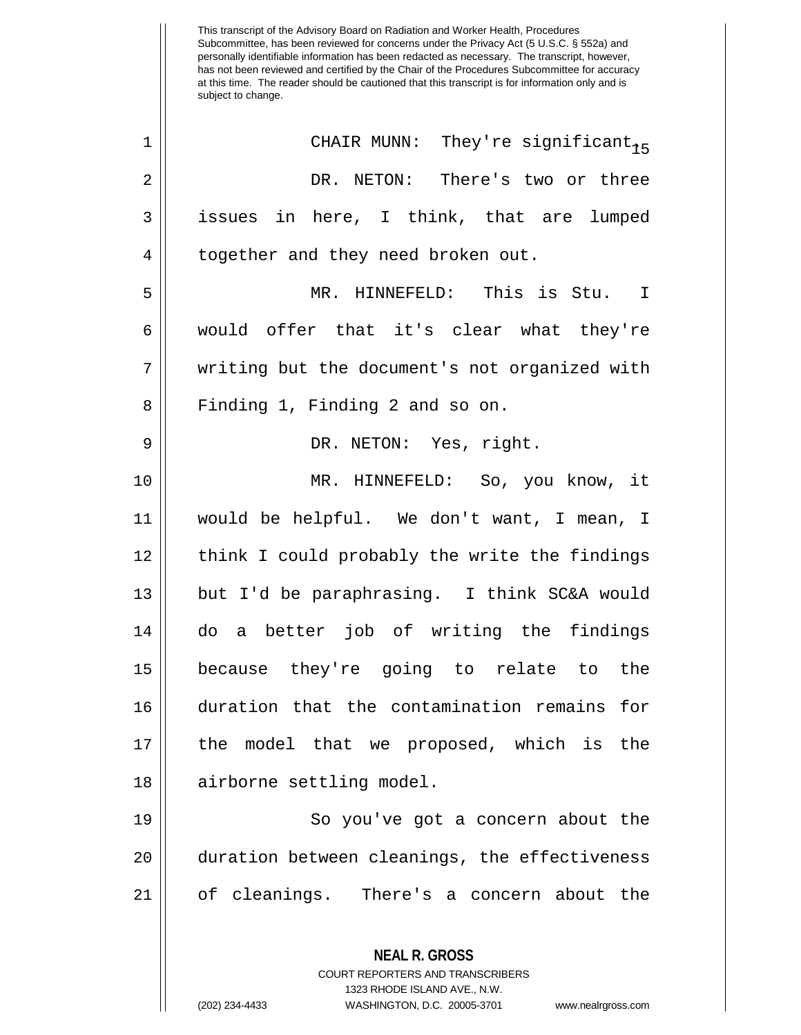<sup>15</sup> <sup>1</sup> CHAIR MUNN: They're significant. 2 DR. NETON: There's two or three 3 issues in here, I think, that are lumped 4 | together and they need broken out. 5 MR. HINNEFELD: This is Stu. I 6 would offer that it's clear what they're 7 || writing but the document's not organized with 8 || Finding 1, Finding 2 and so on. 9 DR. NETON: Yes, right. 10 MR. HINNEFELD: So, you know, it 11 would be helpful. We don't want, I mean, I 12 || think I could probably the write the findings 13 but I'd be paraphrasing. I think SC&A would 14 do a better job of writing the findings 15 because they're going to relate to the 16 duration that the contamination remains for 17 the model that we proposed, which is the 18 || airborne settling model. 19 || So you've got a concern about the 20 || duration between cleanings, the effectiveness

21 of cleanings. There's a concern about the

**NEAL R. GROSS**

COURT REPORTERS AND TRANSCRIBERS 1323 RHODE ISLAND AVE., N.W. (202) 234-4433 WASHINGTON, D.C. 20005-3701 www.nealrgross.com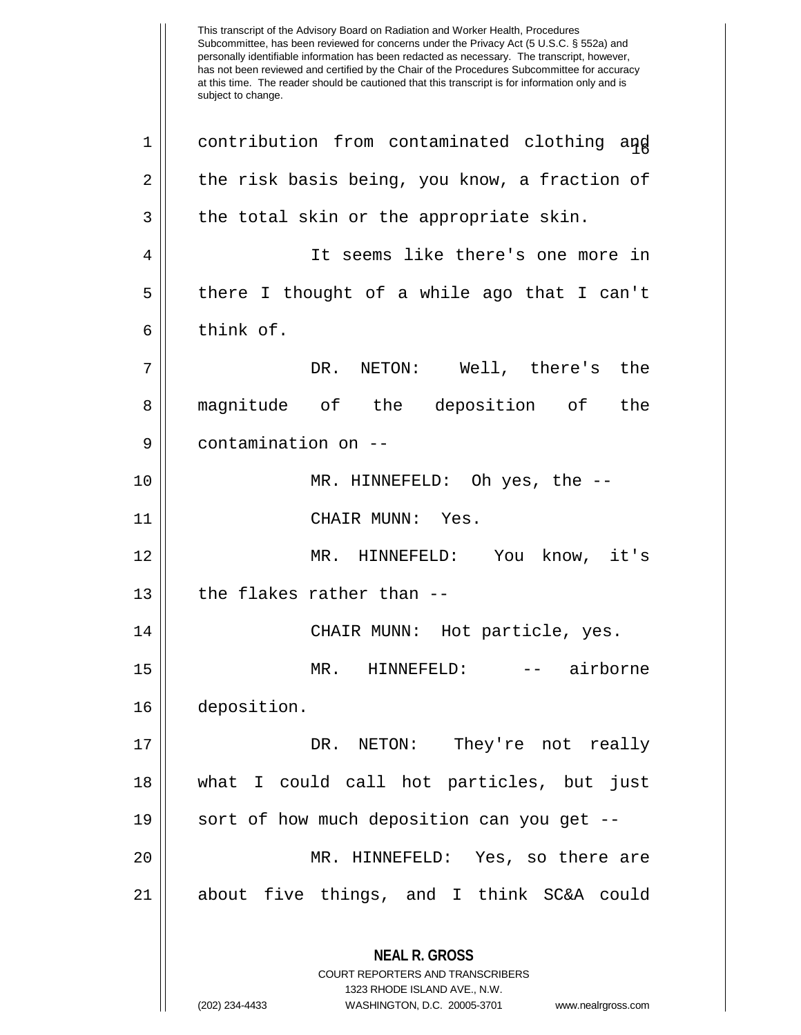This transcript of the Advisory Board on Radiation and Worker Health, Procedures Subcommittee, has been reviewed for concerns under the Privacy Act (5 U.S.C. § 552a) and personally identifiable information has been redacted as necessary. The transcript, however, has not been reviewed and certified by the Chair of the Procedures Subcommittee for accuracy at this time. The reader should be cautioned that this transcript is for information only and is subject to change. **NEAL R. GROSS** COURT REPORTERS AND TRANSCRIBERS 1323 RHODE ISLAND AVE., N.W. (202) 234-4433 WASHINGTON, D.C. 20005-3701 www.nealrgross.com 1 || contribution from contaminated clothing and  $2 \parallel$  the risk basis being, you know, a fraction of  $3 \parallel$  the total skin or the appropriate skin. 4 It seems like there's one more in 5 there I thought of a while ago that I can't  $6 \parallel$  think of. 7 DR. NETON: Well, there's the 8 magnitude of the deposition of the 9 || contamination on --10 MR. HINNEFELD: Oh yes, the -- 11 CHAIR MUNN: Yes. 12 MR. HINNEFELD: You know, it's  $13$  | the flakes rather than --14 || CHAIR MUNN: Hot particle, yes. 15 MR. HINNEFELD: -- airborne 16 deposition. 17 DR. NETON: They're not really 18 what I could call hot particles, but just 19 || sort of how much deposition can you get --20 MR. HINNEFELD: Yes, so there are 21 about five things, and I think SC&A could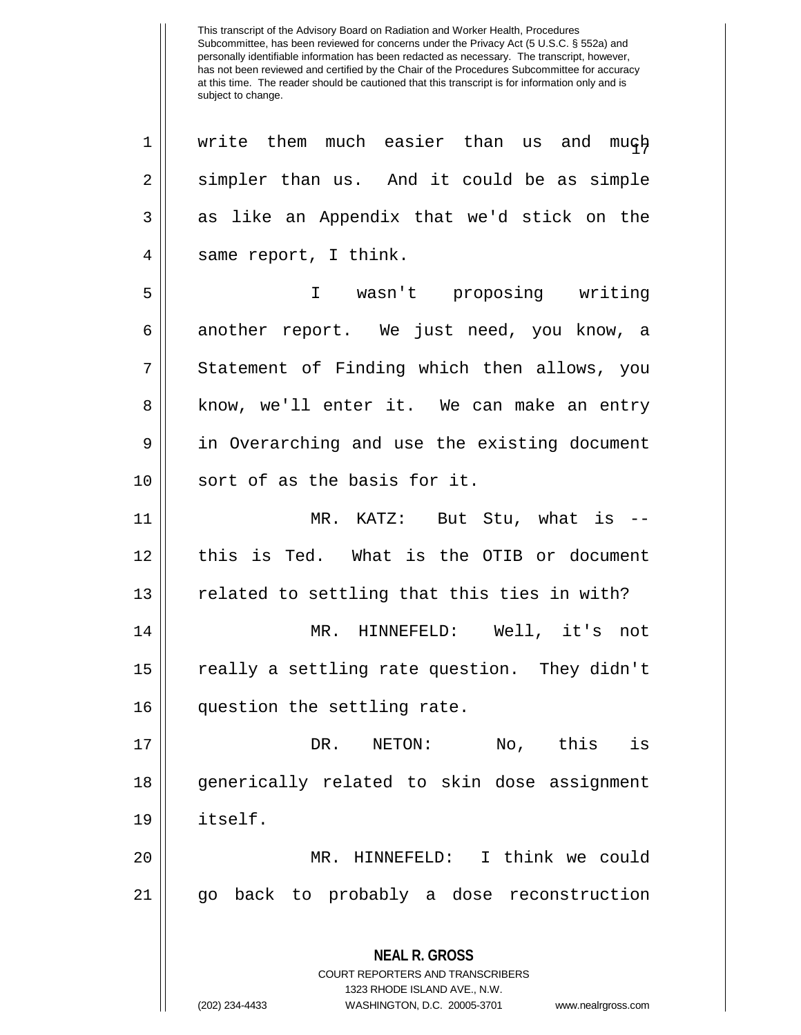**NEAL R. GROSS** COURT REPORTERS AND TRANSCRIBERS 1323 RHODE ISLAND AVE., N.W. 1 || write them much easier than us and much  $2 \parallel$  simpler than us. And it could be as simple  $3 \parallel$  as like an Appendix that we'd stick on the 4 || same report, I think. 5 I wasn't proposing writing 6 another report. We just need, you know, a 7 || Statement of Finding which then allows, you 8 || know, we'll enter it. We can make an entry 9 || in Overarching and use the existing document 10 || sort of as the basis for it. 11 MR. KATZ: But Stu, what is -- 12 || this is Ted. What is the OTIB or document  $13$   $\parallel$  related to settling that this ties in with? 14 MR. HINNEFELD: Well, it's not 15 || really a settling rate question. They didn't 16 question the settling rate. 17 DR. NETON: No, this is 18 || generically related to skin dose assignment 19 itself. 20 || MR. HINNEFELD: I think we could 21 go back to probably a dose reconstruction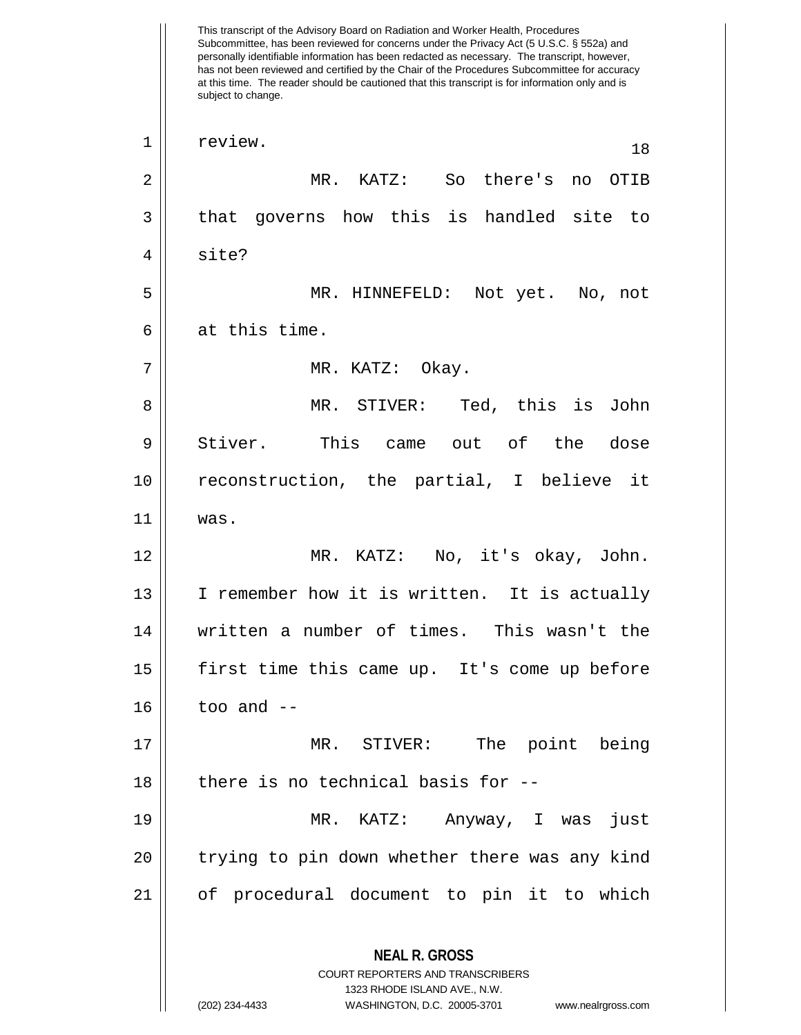This transcript of the Advisory Board on Radiation and Worker Health, Procedures Subcommittee, has been reviewed for concerns under the Privacy Act (5 U.S.C. § 552a) and personally identifiable information has been redacted as necessary. The transcript, however, has not been reviewed and certified by the Chair of the Procedures Subcommittee for accuracy at this time. The reader should be cautioned that this transcript is for information only and is subject to change. **NEAL R. GROSS** COURT REPORTERS AND TRANSCRIBERS 1323 RHODE ISLAND AVE., N.W. (202) 234-4433 WASHINGTON, D.C. 20005-3701 www.nealrgross.com 1 || review. 18 2 MR. KATZ: So there's no OTIB  $3 \parallel$  that governs how this is handled site to 4 || site? 5 MR. HINNEFELD: Not yet. No, not  $6 \parallel$  at this time. 7 MR. KATZ: Okay. 8 MR. STIVER: Ted, this is John 9 || Stiver. This came out of the dose 10 reconstruction, the partial, I believe it 11 was. 12 MR. KATZ: No, it's okay, John. 13 || I remember how it is written. It is actually 14 written a number of times. This wasn't the 15 first time this came up. It's come up before  $16$  | too and  $-$ 17 MR. STIVER: The point being  $18$  || there is no technical basis for  $-$ -19 MR. KATZ: Anyway, I was just 20 || trying to pin down whether there was any kind 21 of procedural document to pin it to which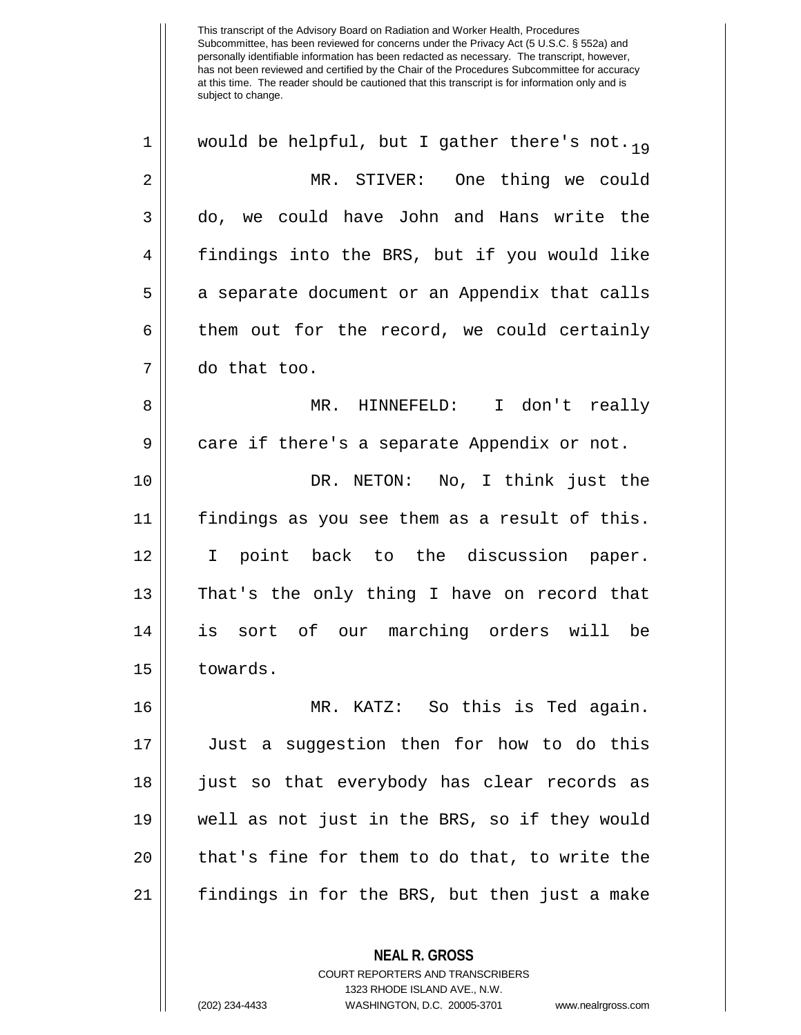1 || would be helpful, but I gather there's not.  $_{19}$ 2 MR. STIVER: One thing we could 3 do, we could have John and Hans write the 4 findings into the BRS, but if you would like 5 | a separate document or an Appendix that calls  $6 \parallel$  them out for the record, we could certainly 7 do that too. 8 MR. HINNEFELD: I don't really 9 || care if there's a separate Appendix or not. 10 DR. NETON: No, I think just the 11 findings as you see them as a result of this. 12 || I point back to the discussion paper. 13 || That's the only thing I have on record that 14 is sort of our marching orders will be 15 | towards. 16 MR. KATZ: So this is Ted again.

17 Just a suggestion then for how to do this 18 || just so that everybody has clear records as 19 well as not just in the BRS, so if they would 20 || that's fine for them to do that, to write the 21 findings in for the BRS, but then just a make

COURT REPORTERS AND TRANSCRIBERS

**NEAL R. GROSS**

1323 RHODE ISLAND AVE., N.W.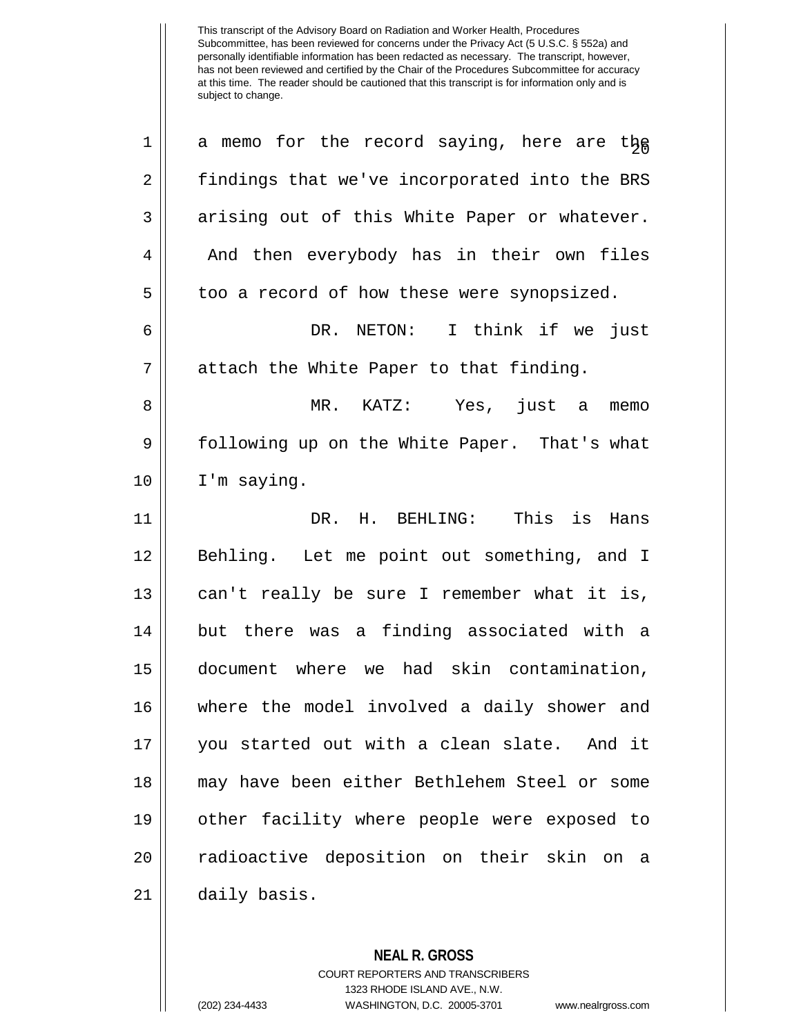$1 \parallel$  a memo for the record saying, here are the 2 | findings that we've incorporated into the BRS  $3 \parallel$  arising out of this White Paper or whatever. 4 || And then everybody has in their own files  $5 \parallel$  too a record of how these were synopsized. 6 DR. NETON: I think if we just 7 || attach the White Paper to that finding. 8 MR. KATZ: Yes, just a memo 9 | following up on the White Paper. That's what 10 | I'm saying. 11 DR. H. BEHLING: This is Hans 12 || Behling. Let me point out something, and I 13 || can't really be sure I remember what it is, 14 || but there was a finding associated with a 15 document where we had skin contamination, 16 where the model involved a daily shower and 17 you started out with a clean slate. And it 18 may have been either Bethlehem Steel or some 19 other facility where people were exposed to 20 || radioactive deposition on their skin on a 21 daily basis.

> **NEAL R. GROSS** COURT REPORTERS AND TRANSCRIBERS 1323 RHODE ISLAND AVE., N.W. (202) 234-4433 WASHINGTON, D.C. 20005-3701 www.nealrgross.com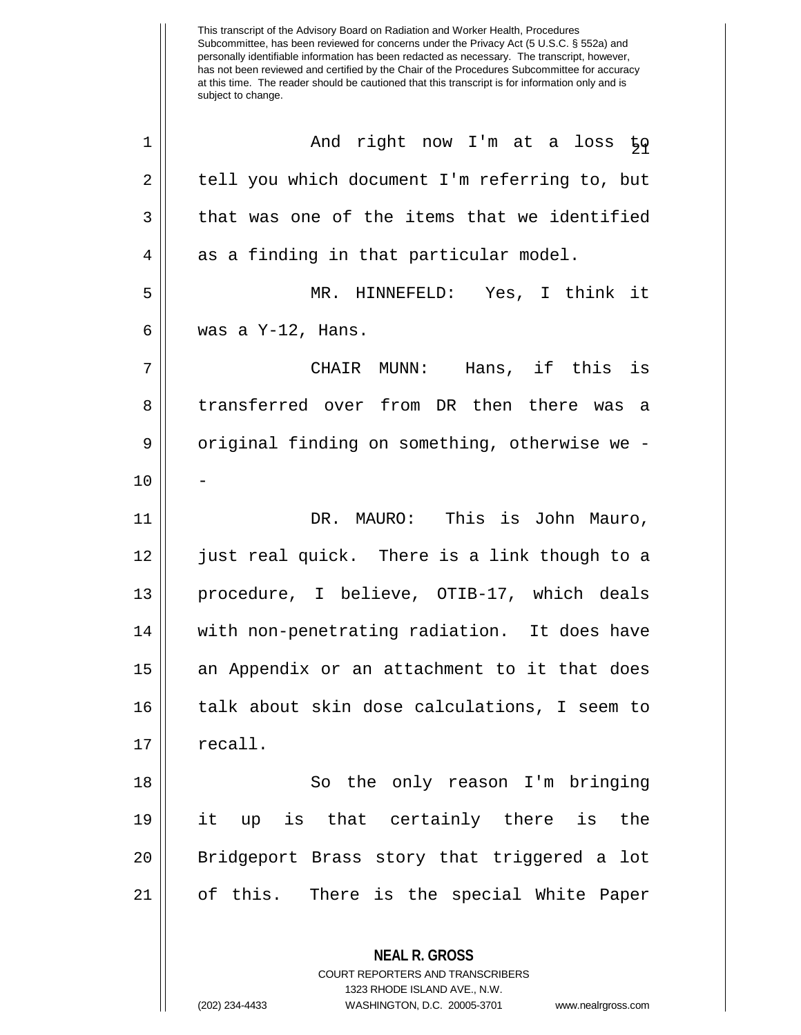Subcommittee, has been reviewed for concerns under the Privacy Act (5 U.S.C. § 552a) and personally identifiable information has been redacted as necessary. The transcript, however, has not been reviewed and certified by the Chair of the Procedures Subcommittee for accuracy at this time. The reader should be cautioned that this transcript is for information only and is subject to change. **NEAL R. GROSS** COURT REPORTERS AND TRANSCRIBERS <sup>21</sup> <sup>1</sup> And right now I'm at a loss to 2 | tell you which document I'm referring to, but  $3 \parallel$  that was one of the items that we identified  $4 \parallel$  as a finding in that particular model. 5 MR. HINNEFELD: Yes, I think it  $6 \parallel$  was a Y-12, Hans. 7 CHAIR MUNN: Hans, if this is 8 transferred over from DR then there was a 9 | original finding on something, otherwise we - $10$ 11 DR. MAURO: This is John Mauro, 12 just real quick. There is a link though to a 13 procedure, I believe, OTIB-17, which deals 14 || with non-penetrating radiation. It does have 15 an Appendix or an attachment to it that does 16 talk about skin dose calculations, I seem to  $17 \parallel$  recall. 18 || So the only reason I'm bringing 19 it up is that certainly there is the 20 || Bridgeport Brass story that triggered a lot 21 of this. There is the special White Paper

1323 RHODE ISLAND AVE., N.W.

This transcript of the Advisory Board on Radiation and Worker Health, Procedures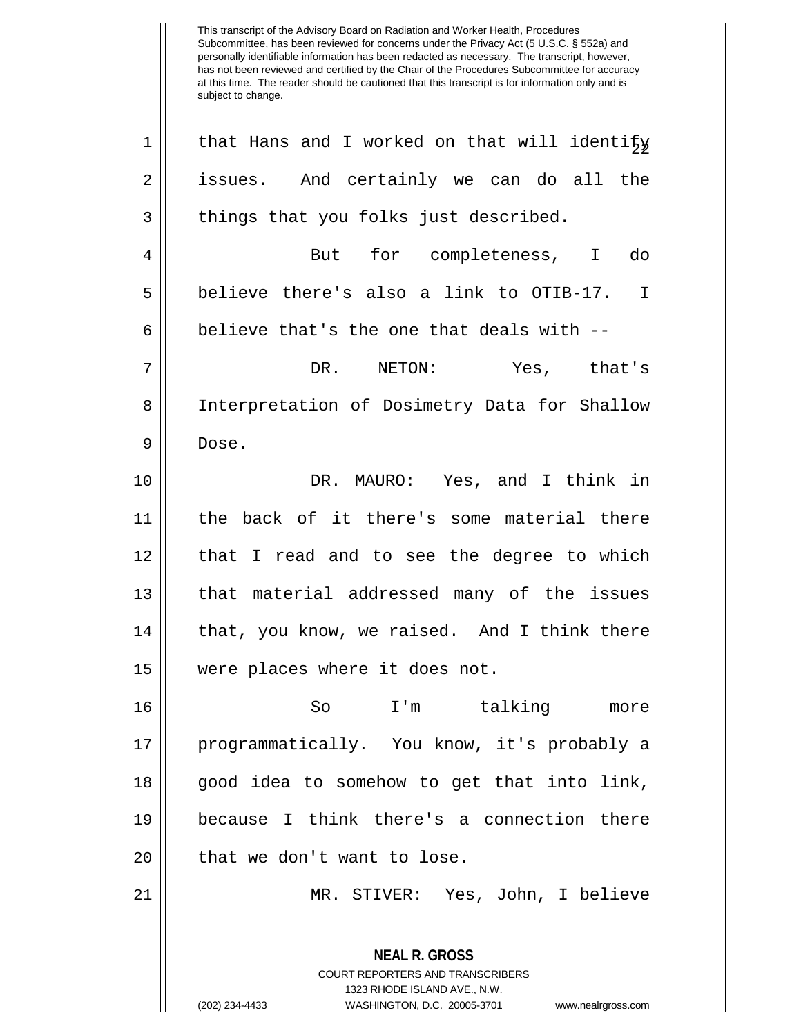| $\mathbf 1$ | that Hans and I worked on that will identify                                                                                                                           |
|-------------|------------------------------------------------------------------------------------------------------------------------------------------------------------------------|
| 2           | issues. And certainly we can do all the                                                                                                                                |
| 3           | things that you folks just described.                                                                                                                                  |
| 4           | But for completeness, I do                                                                                                                                             |
| 5           | believe there's also a link to OTIB-17. I                                                                                                                              |
| 6           | believe that's the one that deals with --                                                                                                                              |
| 7           | DR. NETON: Yes, that's                                                                                                                                                 |
| 8           | Interpretation of Dosimetry Data for Shallow                                                                                                                           |
| 9           | Dose.                                                                                                                                                                  |
| 10          | DR. MAURO: Yes, and I think in                                                                                                                                         |
| 11          | the back of it there's some material there                                                                                                                             |
| 12          | that I read and to see the degree to which                                                                                                                             |
| 13          | that material addressed many of the issues                                                                                                                             |
| 14          | that, you know, we raised. And I think there                                                                                                                           |
| 15          | were places where it does not.                                                                                                                                         |
| 16          | So<br>I'm talking<br>more                                                                                                                                              |
| 17          | programmatically. You know, it's probably a                                                                                                                            |
| 18          | good idea to somehow to get that into link,                                                                                                                            |
| 19          | because I think there's a connection there                                                                                                                             |
| 20          | that we don't want to lose.                                                                                                                                            |
| 21          | MR. STIVER: Yes, John, I believe                                                                                                                                       |
|             | <b>NEAL R. GROSS</b><br><b>COURT REPORTERS AND TRANSCRIBERS</b><br>1323 RHODE ISLAND AVE., N.W.<br>(202) 234-4433<br>WASHINGTON, D.C. 20005-3701<br>www.nealrgross.com |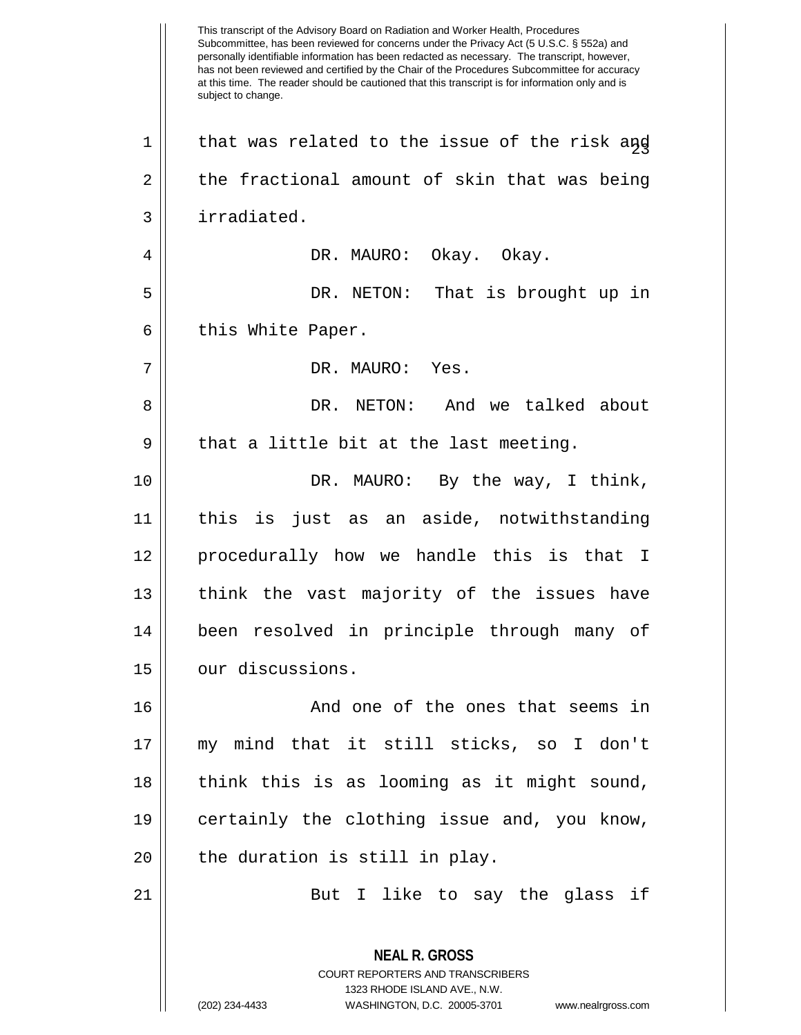This transcript of the Advisory Board on Radiation and Worker Health, Procedures Subcommittee, has been reviewed for concerns under the Privacy Act (5 U.S.C. § 552a) and personally identifiable information has been redacted as necessary. The transcript, however, has not been reviewed and certified by the Chair of the Procedures Subcommittee for accuracy at this time. The reader should be cautioned that this transcript is for information only and is subject to change. **NEAL R. GROSS** COURT REPORTERS AND TRANSCRIBERS 1323 RHODE ISLAND AVE., N.W.  $1 \parallel$  that was related to the issue of the risk and  $2 \parallel$  the fractional amount of skin that was being 3 irradiated. 4 DR. MAURO: Okay. Okay. 5 DR. NETON: That is brought up in  $6 \parallel$  this White Paper. 7 DR. MAURO: Yes. 8 DR. NETON: And we talked about  $9 \parallel$  that a little bit at the last meeting. 10 DR. MAURO: By the way, I think, 11 this is just as an aside, notwithstanding 12 procedurally how we handle this is that I 13 || think the vast majority of the issues have 14 been resolved in principle through many of 15 | our discussions. 16 || And one of the ones that seems in 17 my mind that it still sticks, so I don't 18 || think this is as looming as it might sound, 19 certainly the clothing issue and, you know,  $20$  || the duration is still in play. 21 || But I like to say the glass if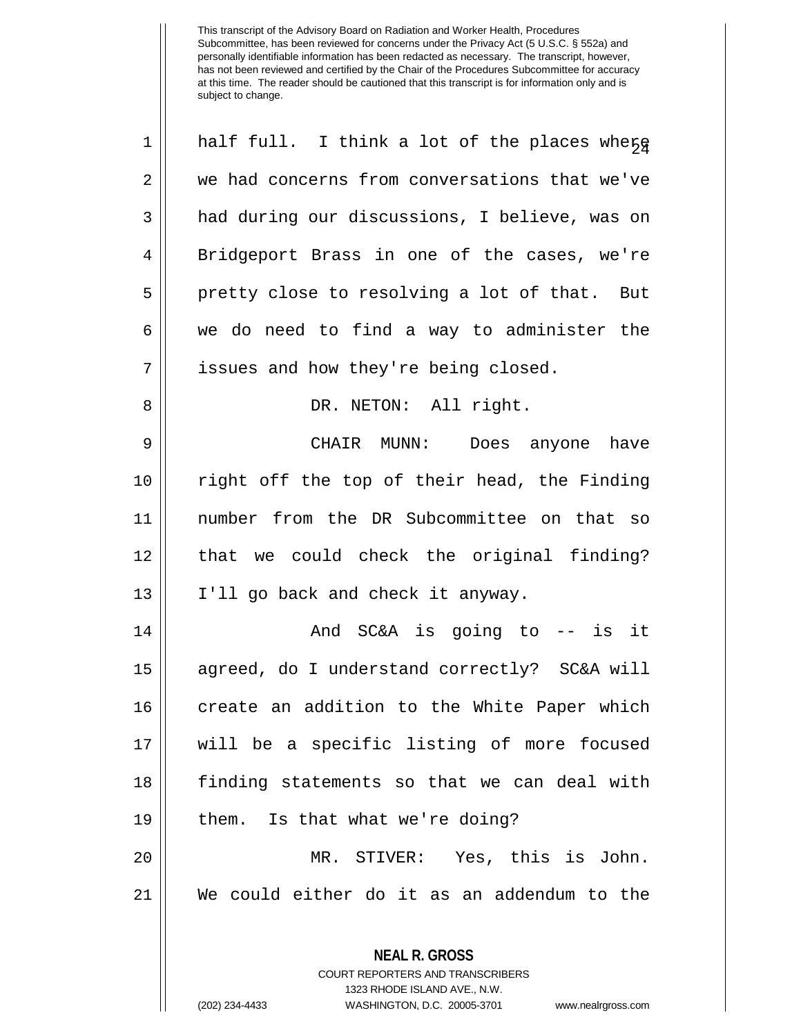| $\mathbf 1$ | half full. I think a lot of the places where                                                                                                                           |
|-------------|------------------------------------------------------------------------------------------------------------------------------------------------------------------------|
| 2           | we had concerns from conversations that we've                                                                                                                          |
| 3           | had during our discussions, I believe, was on                                                                                                                          |
| 4           | Bridgeport Brass in one of the cases, we're                                                                                                                            |
| 5           | pretty close to resolving a lot of that. But                                                                                                                           |
| 6           | we do need to find a way to administer the                                                                                                                             |
| 7           | issues and how they're being closed.                                                                                                                                   |
| 8           | DR. NETON: All right.                                                                                                                                                  |
| $\mathsf 9$ | CHAIR MUNN: Does anyone have                                                                                                                                           |
| 10          | right off the top of their head, the Finding                                                                                                                           |
| 11          | number from the DR Subcommittee on that so                                                                                                                             |
| 12          | that we could check the original finding?                                                                                                                              |
| 13          | I'll go back and check it anyway.                                                                                                                                      |
| 14          | And SC&A is going to -- is it                                                                                                                                          |
| 15          | agreed, do I understand correctly? SC&A will                                                                                                                           |
| 16          | create an addition to the White Paper which                                                                                                                            |
| 17          | will be a specific listing of more focused                                                                                                                             |
| 18          | finding statements so that we can deal with                                                                                                                            |
| 19          | them. Is that what we're doing?                                                                                                                                        |
| 20          | MR. STIVER: Yes, this is John.                                                                                                                                         |
| 21          | We could either do it as an addendum to the                                                                                                                            |
|             | <b>NEAL R. GROSS</b><br><b>COURT REPORTERS AND TRANSCRIBERS</b><br>1323 RHODE ISLAND AVE., N.W.<br>(202) 234-4433<br>WASHINGTON, D.C. 20005-3701<br>www.nealrgross.com |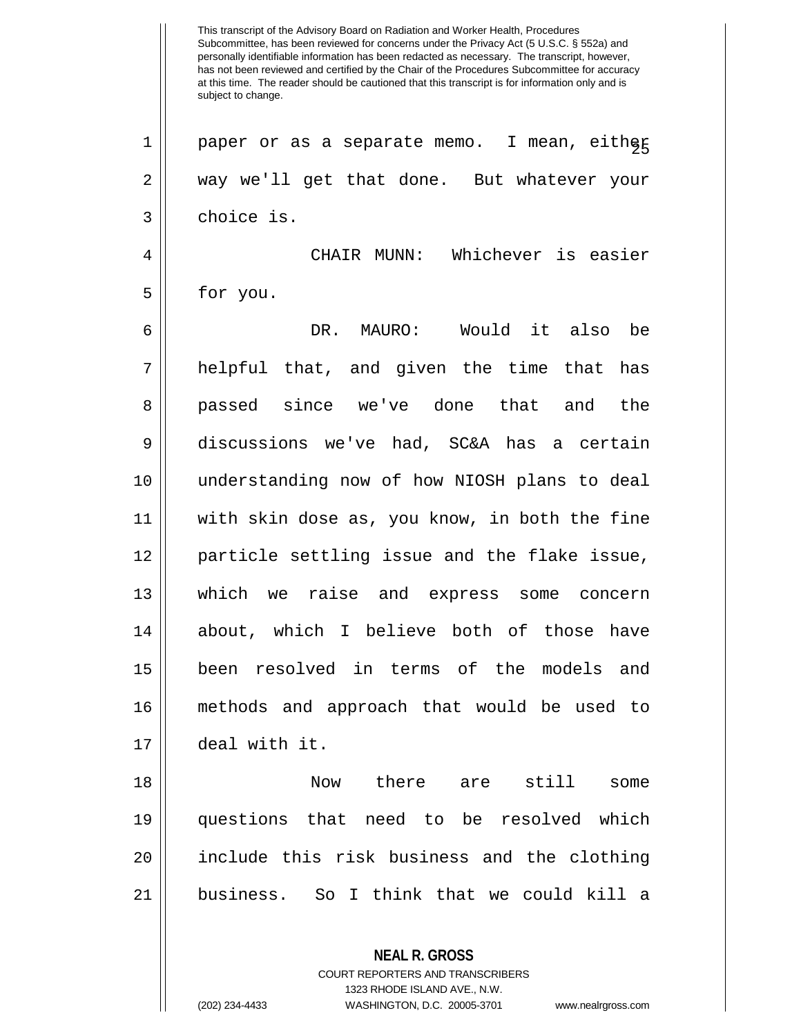Subcommittee, has been reviewed for concerns under the Privacy Act (5 U.S.C. § 552a) and personally identifiable information has been redacted as necessary. The transcript, however, has not been reviewed and certified by the Chair of the Procedures Subcommittee for accuracy at this time. The reader should be cautioned that this transcript is for information only and is subject to change. **NEAL R. GROSS**  $1 \parallel$  paper or as a separate memo. I mean, either 2 way we'll get that done. But whatever your 3 l choice is. 4 CHAIR MUNN: Whichever is easier  $5 \parallel$  for you. 6 DR. MAURO: Would it also be  $7 \parallel$  helpful that, and given the time that has 8 || passed since we've done that and the 9 discussions we've had, SC&A has a certain 10 understanding now of how NIOSH plans to deal 11 with skin dose as, you know, in both the fine 12 particle settling issue and the flake issue, 13 which we raise and express some concern 14 || about, which I believe both of those have 15 been resolved in terms of the models and 16 methods and approach that would be used to 17 deal with it. 18 Now there are still some 19 questions that need to be resolved which 20 include this risk business and the clothing 21 business. So I think that we could kill a

> COURT REPORTERS AND TRANSCRIBERS 1323 RHODE ISLAND AVE., N.W.

This transcript of the Advisory Board on Radiation and Worker Health, Procedures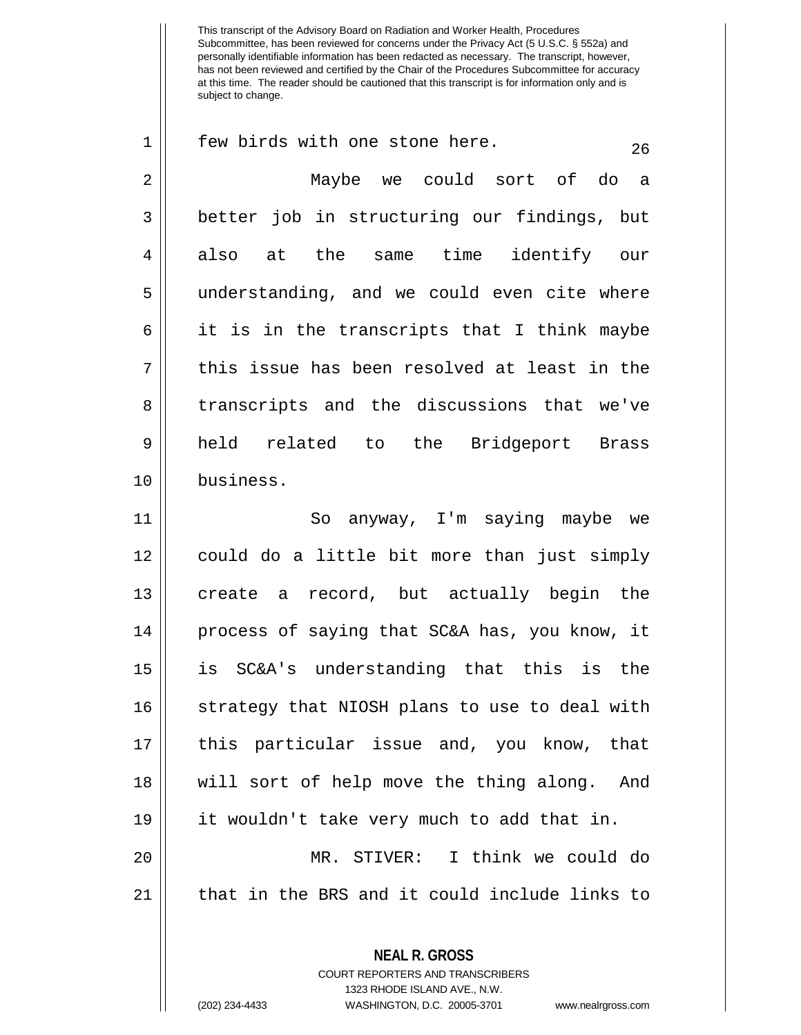**NEAL R. GROSS**  $1 \parallel$  few birds with one stone here. 2 Maybe we could sort of do a 3 | better job in structuring our findings, but 4 also at the same time identify our 5 || understanding, and we could even cite where  $6 \parallel$  it is in the transcripts that I think maybe  $7 \parallel$  this issue has been resolved at least in the 8 transcripts and the discussions that we've 9 held related to the Bridgeport Brass 10 business. 11 || So anyway, I'm saying maybe we 12 could do a little bit more than just simply 13 || create a record, but actually begin the 14 || process of saying that SC&A has, you know, it 15 is SC&A's understanding that this is the 16 || strategy that NIOSH plans to use to deal with 17 this particular issue and, you know, that 18 will sort of help move the thing along. And 19 it wouldn't take very much to add that in. 20 MR. STIVER: I think we could do 21 || that in the BRS and it could include links to

> COURT REPORTERS AND TRANSCRIBERS 1323 RHODE ISLAND AVE., N.W.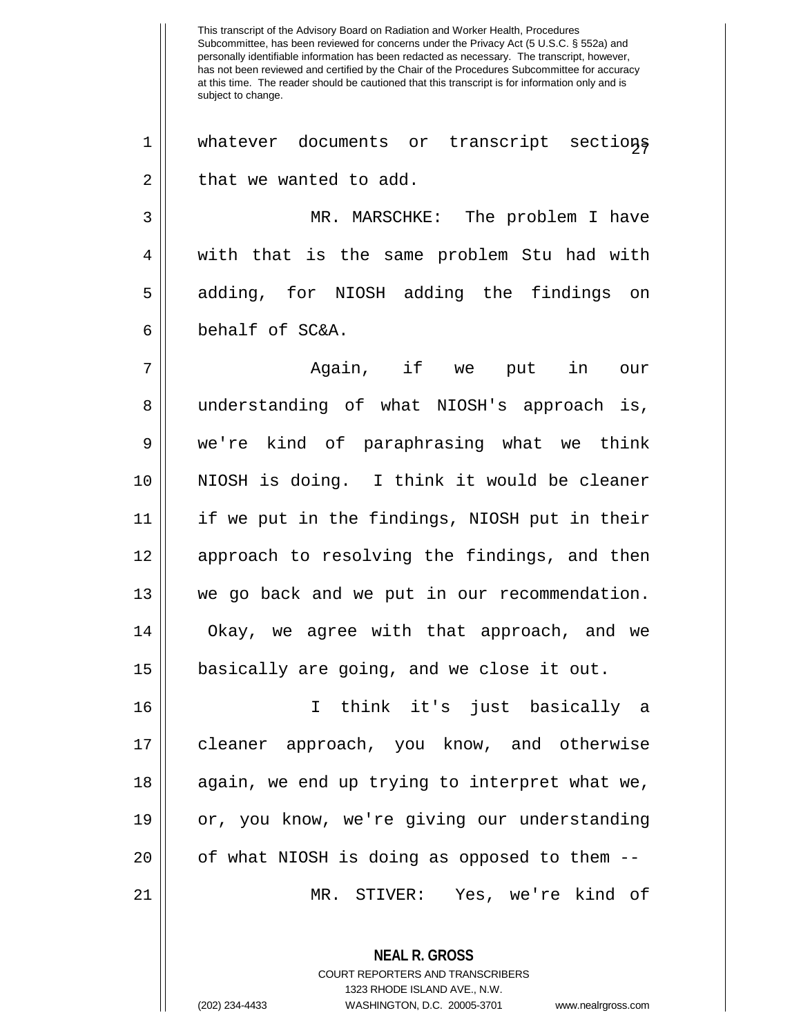This transcript of the Advisory Board on Radiation and Worker Health, Procedures Subcommittee, has been reviewed for concerns under the Privacy Act (5 U.S.C. § 552a) and personally identifiable information has been redacted as necessary. The transcript, however, has not been reviewed and certified by the Chair of the Procedures Subcommittee for accuracy at this time. The reader should be cautioned that this transcript is for information only and is subject to change. 1 || whatever documents or transcript sections  $2 \parallel$  that we wanted to add. 3 MR. MARSCHKE: The problem I have 4 || with that is the same problem Stu had with 5 || adding, for NIOSH adding the findings on  $6 \parallel$  behalf of SC&A. 7 Again, if we put in our

8 || understanding of what NIOSH's approach is, we're kind of paraphrasing what we think NIOSH is doing. I think it would be cleaner if we put in the findings, NIOSH put in their 12 || approach to resolving the findings, and then we go back and we put in our recommendation. 14 || Okay, we agree with that approach, and we basically are going, and we close it out.

 I think it's just basically a cleaner approach, you know, and otherwise 18 || again, we end up trying to interpret what we, 19 || or, you know, we're giving our understanding || of what NIOSH is doing as opposed to them  $-$ -MR. STIVER: Yes, we're kind of

> **NEAL R. GROSS** COURT REPORTERS AND TRANSCRIBERS 1323 RHODE ISLAND AVE., N.W. (202) 234-4433 WASHINGTON, D.C. 20005-3701 www.nealrgross.com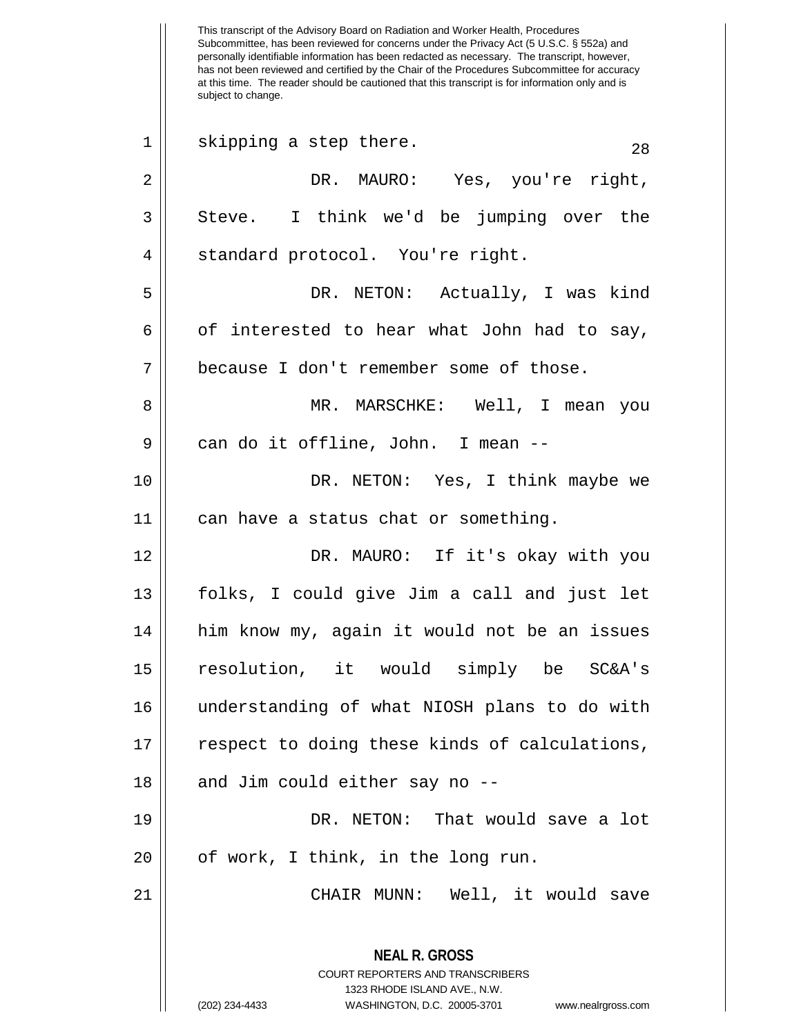This transcript of the Advisory Board on Radiation and Worker Health, Procedures Subcommittee, has been reviewed for concerns under the Privacy Act (5 U.S.C. § 552a) and personally identifiable information has been redacted as necessary. The transcript, however, has not been reviewed and certified by the Chair of the Procedures Subcommittee for accuracy at this time. The reader should be cautioned that this transcript is for information only and is subject to change. **NEAL R. GROSS** COURT REPORTERS AND TRANSCRIBERS 1323 RHODE ISLAND AVE., N.W. (202) 234-4433 WASHINGTON, D.C. 20005-3701 www.nealrgross.com  $28 \t\t\t s$  skipping a step there. 2 DR. MAURO: Yes, you're right,  $3 \parallel$  Steve. I think we'd be jumping over the 4 || standard protocol. You're right. 5 DR. NETON: Actually, I was kind  $6 \parallel$  of interested to hear what John had to say, 7 because I don't remember some of those. 8 MR. MARSCHKE: Well, I mean you 9 | can do it offline, John. I mean --10 DR. NETON: Yes, I think maybe we 11 can have a status chat or something. 12 DR. MAURO: If it's okay with you 13 folks, I could give Jim a call and just let 14 || him know my, again it would not be an issues 15 resolution, it would simply be SC&A's 16 understanding of what NIOSH plans to do with 17 || respect to doing these kinds of calculations,  $18$  || and Jim could either say no  $-$ -19 DR. NETON: That would save a lot  $20$  |  $\sigma$  of work, I think, in the long run. 21 CHAIR MUNN: Well, it would save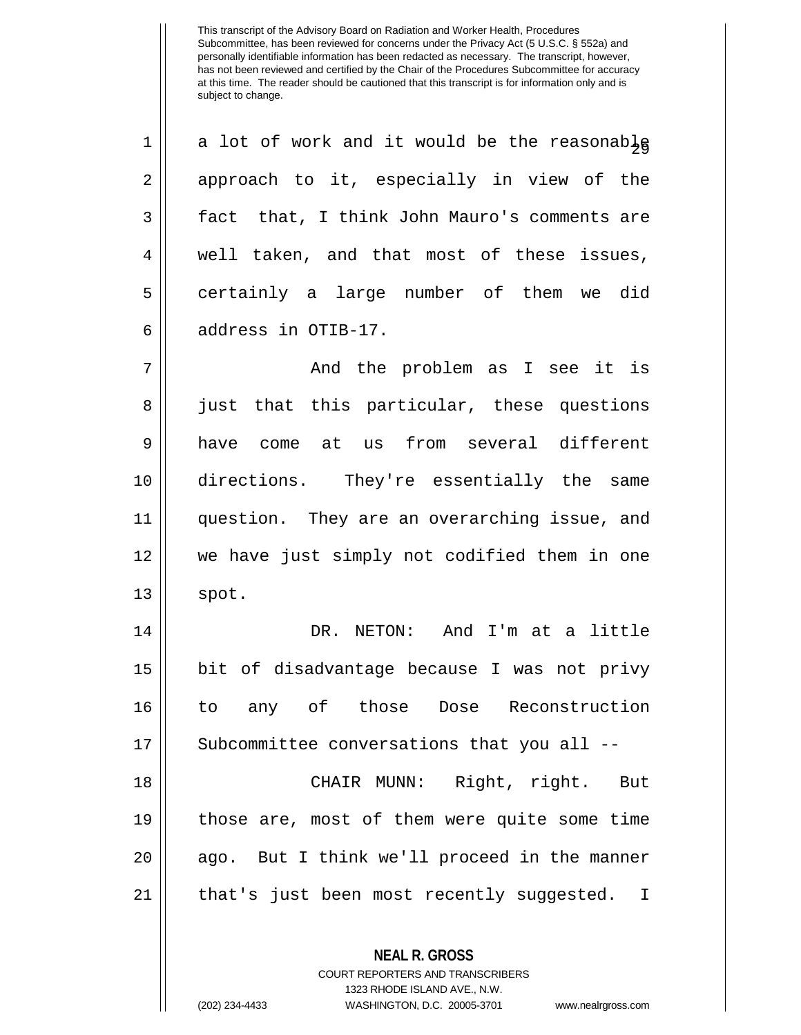| $\mathbf 1$ | a lot of work and it would be the reasonable |
|-------------|----------------------------------------------|
| 2           | approach to it, especially in view of the    |
| 3           | fact that, I think John Mauro's comments are |
| 4           | well taken, and that most of these issues,   |
| 5           | certainly a large number of them we did      |
| 6           | address in OTIB-17.                          |
| 7           | And the problem as I see it is               |
| 8           | just that this particular, these questions   |
| 9           | come at us from several different<br>have    |
| 10          | directions. They're essentially the same     |
| 11          | question. They are an overarching issue, and |
| 12          | we have just simply not codified them in one |
| 13          | spot.                                        |
| 14          | DR. NETON: And I'm at a little               |
| 15          | bit of disadvantage because I was not privy  |
| 16          | to any of those Dose Reconstruction          |
| 17          | Subcommittee conversations that you all --   |
| 18          | CHAIR MUNN: Right, right. But                |
| 19          | those are, most of them were quite some time |
| 20          | ago. But I think we'll proceed in the manner |
| 21          | that's just been most recently suggested. I  |
|             | <b>NEAL R. GROSS</b>                         |

COURT REPORTERS AND TRANSCRIBERS 1323 RHODE ISLAND AVE., N.W.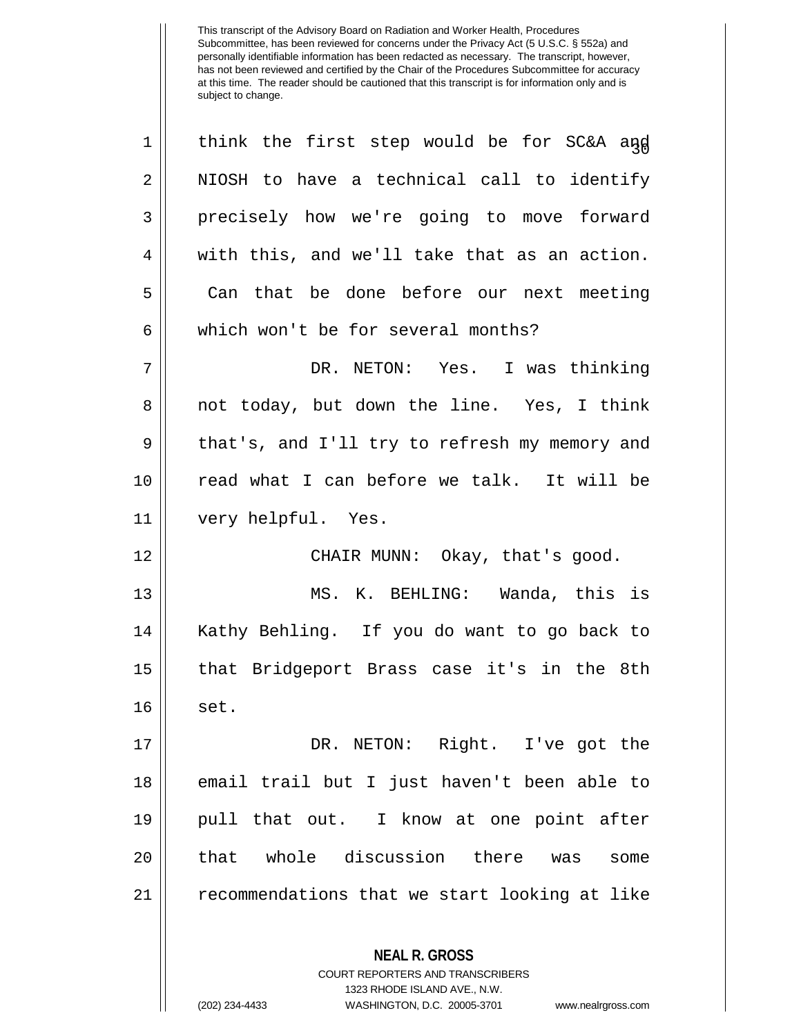| $\mathbf 1$    | think the first step would be for SC&A and                                                                                                                             |
|----------------|------------------------------------------------------------------------------------------------------------------------------------------------------------------------|
| $\overline{2}$ | NIOSH to have a technical call to identify                                                                                                                             |
| 3              | precisely how we're going to move forward                                                                                                                              |
| 4              | with this, and we'll take that as an action.                                                                                                                           |
| 5              | Can that be done before our next meeting                                                                                                                               |
| 6              | which won't be for several months?                                                                                                                                     |
| 7              | DR. NETON: Yes. I was thinking                                                                                                                                         |
| 8              | not today, but down the line. Yes, I think                                                                                                                             |
| 9              | that's, and I'll try to refresh my memory and                                                                                                                          |
| 10             | read what I can before we talk. It will be                                                                                                                             |
| 11             | very helpful. Yes.                                                                                                                                                     |
| 12             | CHAIR MUNN: Okay, that's good.                                                                                                                                         |
| 13             | MS. K. BEHLING: Wanda, this is                                                                                                                                         |
| 14             | Kathy Behling. If you do want to go back to                                                                                                                            |
| 15             | that Bridgeport Brass case it's in the 8th                                                                                                                             |
| 16             | set.                                                                                                                                                                   |
| 17             | DR. NETON: Right. I've got the                                                                                                                                         |
| 18             | email trail but I just haven't been able to                                                                                                                            |
| 19             | pull that out. I know at one point after                                                                                                                               |
| 20             | that whole discussion there was<br>some                                                                                                                                |
| 21             | recommendations that we start looking at like                                                                                                                          |
|                | <b>NEAL R. GROSS</b><br><b>COURT REPORTERS AND TRANSCRIBERS</b><br>1323 RHODE ISLAND AVE., N.W.<br>WASHINGTON, D.C. 20005-3701<br>(202) 234-4433<br>www.nealrgross.com |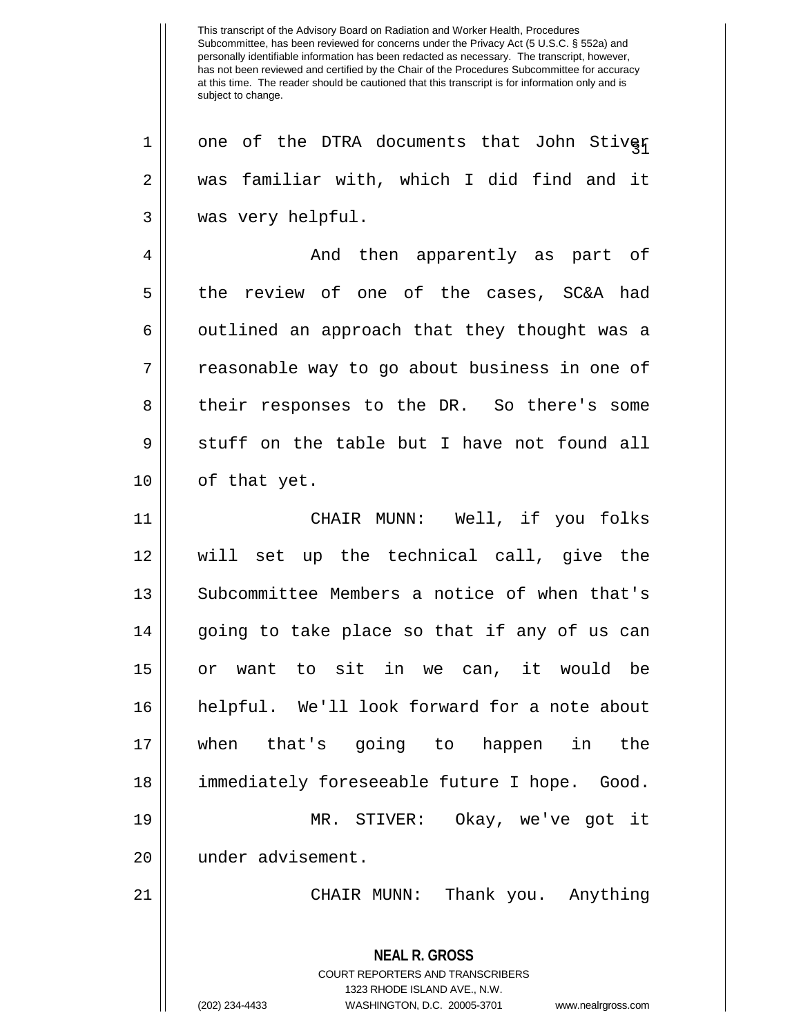$1 ||$  one of the DTRA documents that John Stiver 2 was familiar with, which I did find and it 3 | was very helpful. 4 And then apparently as part of 5 the review of one of the cases, SC&A had 6 || outlined an approach that they thought was a 7 || reasonable way to go about business in one of 8 || their responses to the DR. So there's some  $9 \parallel$  stuff on the table but I have not found all 10 || of that yet. 11 CHAIR MUNN: Well, if you folks 12 will set up the technical call, give the 13 Subcommittee Members a notice of when that's  $14$  || going to take place so that if any of us can 15 or want to sit in we can, it would be 16 helpful. We'll look forward for a note about 17 when that's going to happen in the 18 immediately foreseeable future I hope. Good. 19 MR. STIVER: Okay, we've got it 20 || under advisement. 21 CHAIR MUNN: Thank you. Anything

> **NEAL R. GROSS** COURT REPORTERS AND TRANSCRIBERS 1323 RHODE ISLAND AVE., N.W. (202) 234-4433 WASHINGTON, D.C. 20005-3701 www.nealrgross.com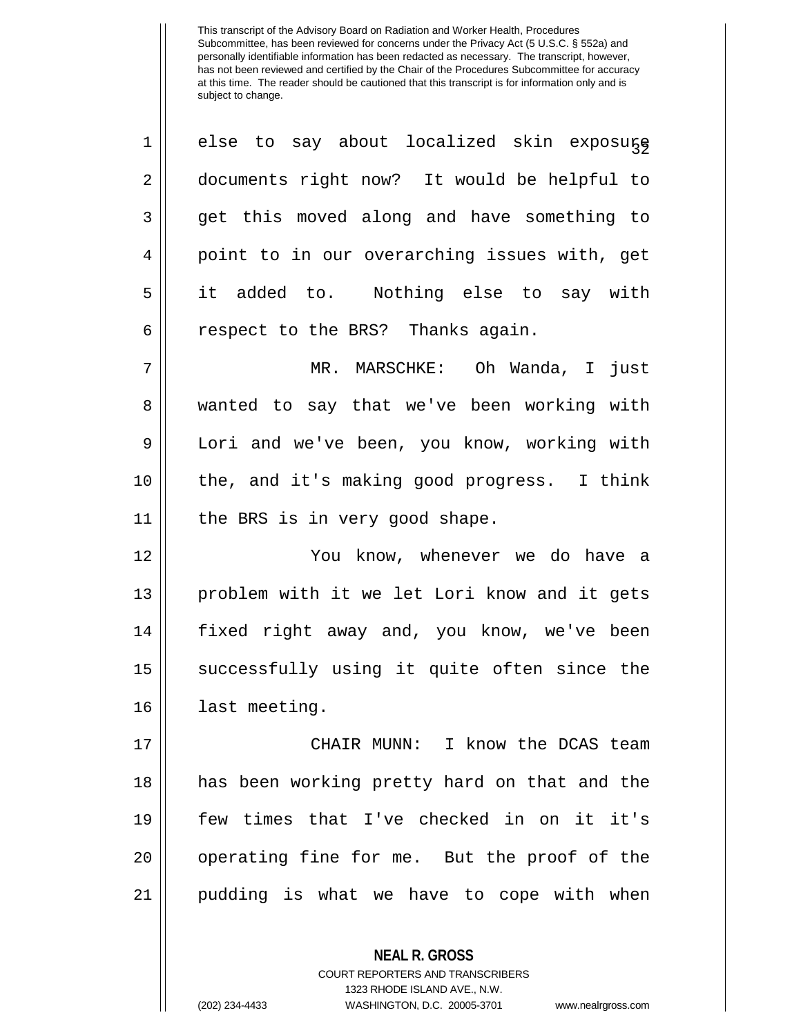| $\mathbf 1$ | else to say about localized skin exposure    |
|-------------|----------------------------------------------|
| 2           | documents right now? It would be helpful to  |
| 3           | get this moved along and have something to   |
| 4           | point to in our overarching issues with, get |
| 5           | it added to. Nothing else to say with        |
| 6           | respect to the BRS? Thanks again.            |
| 7           | MR. MARSCHKE: Oh Wanda, I just               |
| 8           | wanted to say that we've been working with   |
| 9           | Lori and we've been, you know, working with  |
| 10          | the, and it's making good progress. I think  |
| 11          | the BRS is in very good shape.               |
| 12          | You know, whenever we do have a              |
| 13          | problem with it we let Lori know and it gets |
| 14          | fixed right away and, you know, we've been   |
| 15          | successfully using it quite often since the  |
| 16          | last meeting.                                |
| 17          | CHAIR MUNN: I know the DCAS team             |
| 18          |                                              |
|             | has been working pretty hard on that and the |
| 19          | few times that I've checked in on it it's    |
| 20          | operating fine for me. But the proof of the  |
| 21          | pudding is what we have to cope with when    |

COURT REPORTERS AND TRANSCRIBERS 1323 RHODE ISLAND AVE., N.W. (202) 234-4433 WASHINGTON, D.C. 20005-3701 www.nealrgross.com

**NEAL R. GROSS**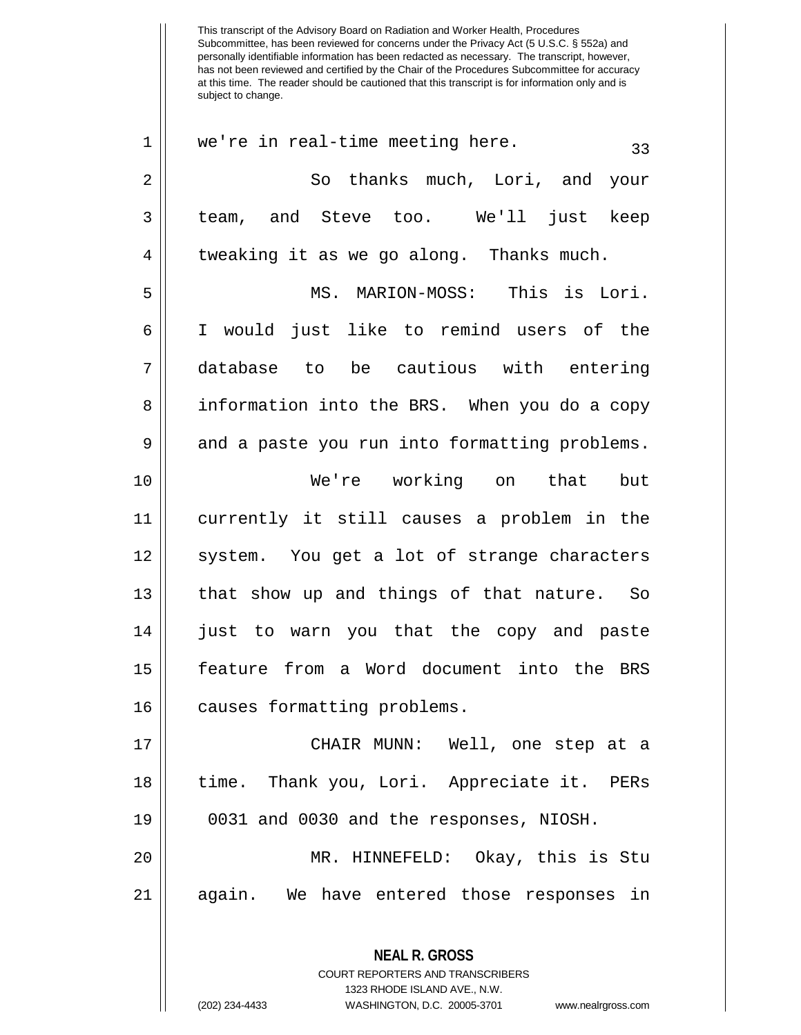Subcommittee, has been reviewed for concerns under the Privacy Act (5 U.S.C. § 552a) and personally identifiable information has been redacted as necessary. The transcript, however, has not been reviewed and certified by the Chair of the Procedures Subcommittee for accuracy at this time. The reader should be cautioned that this transcript is for information only and is subject to change. **NEAL R. GROSS** COURT REPORTERS AND TRANSCRIBERS 1323 RHODE ISLAND AVE., N.W.  $1 \parallel$  we're in real-time meeting here. 2 So thanks much, Lori, and your 3 team, and Steve too. We'll just keep 4 | tweaking it as we go along. Thanks much. 5 MS. MARION-MOSS: This is Lori. 6 I would just like to remind users of the 7 database to be cautious with entering 8 | information into the BRS. When you do a copy 9 and a paste you run into formatting problems. 10 We're working on that but 11 currently it still causes a problem in the 12 || system. You get a lot of strange characters 13 || that show up and things of that nature. So 14 just to warn you that the copy and paste 15 feature from a Word document into the BRS 16 || causes formatting problems. 17 CHAIR MUNN: Well, one step at a 18 || time. Thank you, Lori. Appreciate it. PERs 19 0031 and 0030 and the responses, NIOSH. 20 MR. HINNEFELD: Okay, this is Stu 21 again. We have entered those responses in

This transcript of the Advisory Board on Radiation and Worker Health, Procedures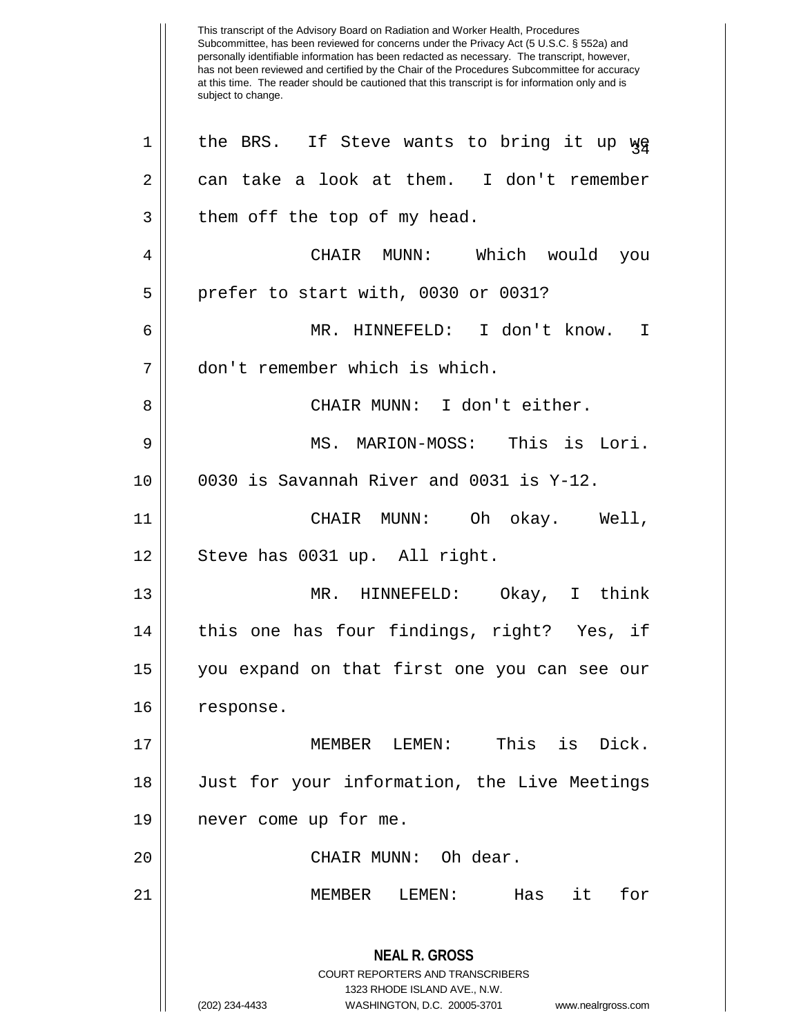This transcript of the Advisory Board on Radiation and Worker Health, Procedures Subcommittee, has been reviewed for concerns under the Privacy Act (5 U.S.C. § 552a) and personally identifiable information has been redacted as necessary. The transcript, however, has not been reviewed and certified by the Chair of the Procedures Subcommittee for accuracy at this time. The reader should be cautioned that this transcript is for information only and is subject to change. **NEAL R. GROSS** COURT REPORTERS AND TRANSCRIBERS 1323 RHODE ISLAND AVE., N.W. (202) 234-4433 WASHINGTON, D.C. 20005-3701 www.nealrgross.com  $1 ||$  the BRS. If Steve wants to bring it up  $\gamma_{\rm F}$  $2 \parallel$  can take a look at them. I don't remember  $3 \parallel$  them off the top of my head. 4 CHAIR MUNN: Which would you  $5$  || prefer to start with, 0030 or 0031? 6 MR. HINNEFELD: I don't know. I 7 don't remember which is which. 8 CHAIR MUNN: I don't either. 9 MS. MARION-MOSS: This is Lori.  $10$  | 0030 is Savannah River and 0031 is Y-12. 11 CHAIR MUNN: Oh okay. Well, 12 || Steve has 0031 up. All right. 13 MR. HINNEFELD: Okay, I think 14 || this one has four findings, right? Yes, if 15 you expand on that first one you can see our 16 | response. 17 MEMBER LEMEN: This is Dick. 18 Just for your information, the Live Meetings 19 never come up for me. 20 || CHAIR MUNN: Oh dear. 21 MEMBER LEMEN: Has it for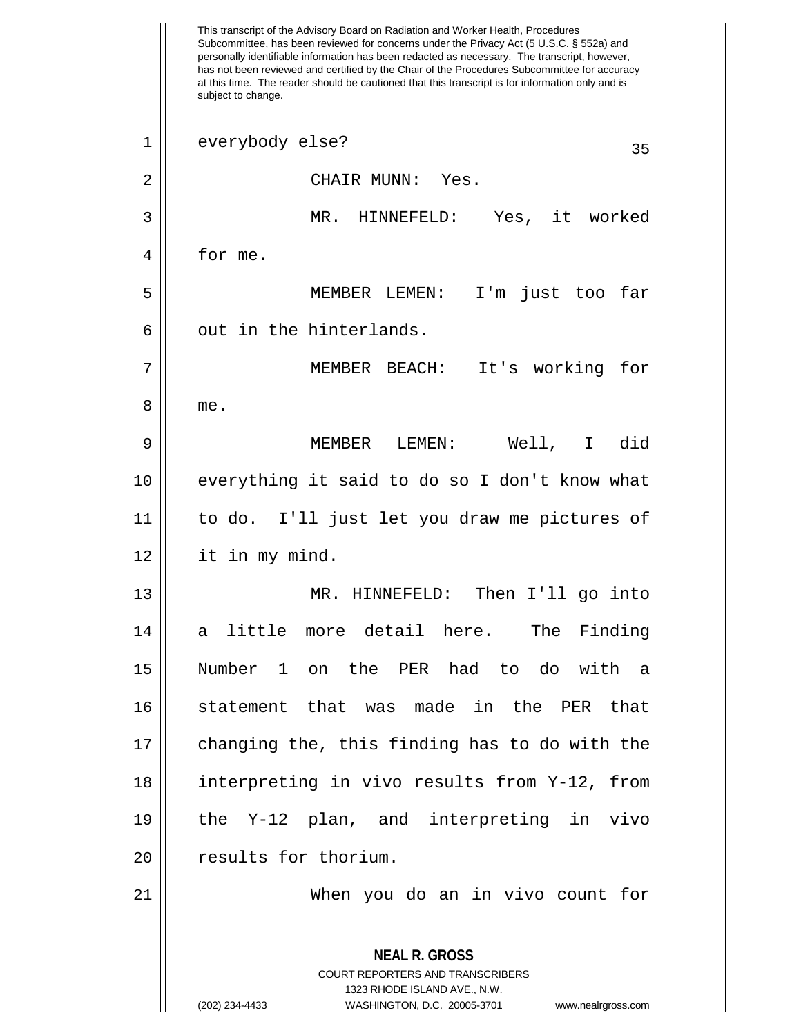This transcript of the Advisory Board on Radiation and Worker Health, Procedures Subcommittee, has been reviewed for concerns under the Privacy Act (5 U.S.C. § 552a) and personally identifiable information has been redacted as necessary. The transcript, however, has not been reviewed and certified by the Chair of the Procedures Subcommittee for accuracy at this time. The reader should be cautioned that this transcript is for information only and is subject to change. **NEAL R. GROSS** COURT REPORTERS AND TRANSCRIBERS 1323 RHODE ISLAND AVE., N.W. (202) 234-4433 WASHINGTON, D.C. 20005-3701 www.nealrgross.com 1 everybody else? 35 2 CHAIR MUNN: Yes. 3 MR. HINNEFELD: Yes, it worked 4 | for me. 5 MEMBER LEMEN: I'm just too far  $6 \parallel$  out in the hinterlands. 7 MEMBER BEACH: It's working for 8 me. 9 MEMBER LEMEN: Well, I did 10 || everything it said to do so I don't know what 11 to do. I'll just let you draw me pictures of 12 it in my mind. 13 MR. HINNEFELD: Then I'll go into 14 a little more detail here. The Finding 15 Number 1 on the PER had to do with a 16 statement that was made in the PER that 17 changing the, this finding has to do with the 18 interpreting in vivo results from Y-12, from 19 the Y-12 plan, and interpreting in vivo 20 | results for thorium. 21 When you do an in vivo count for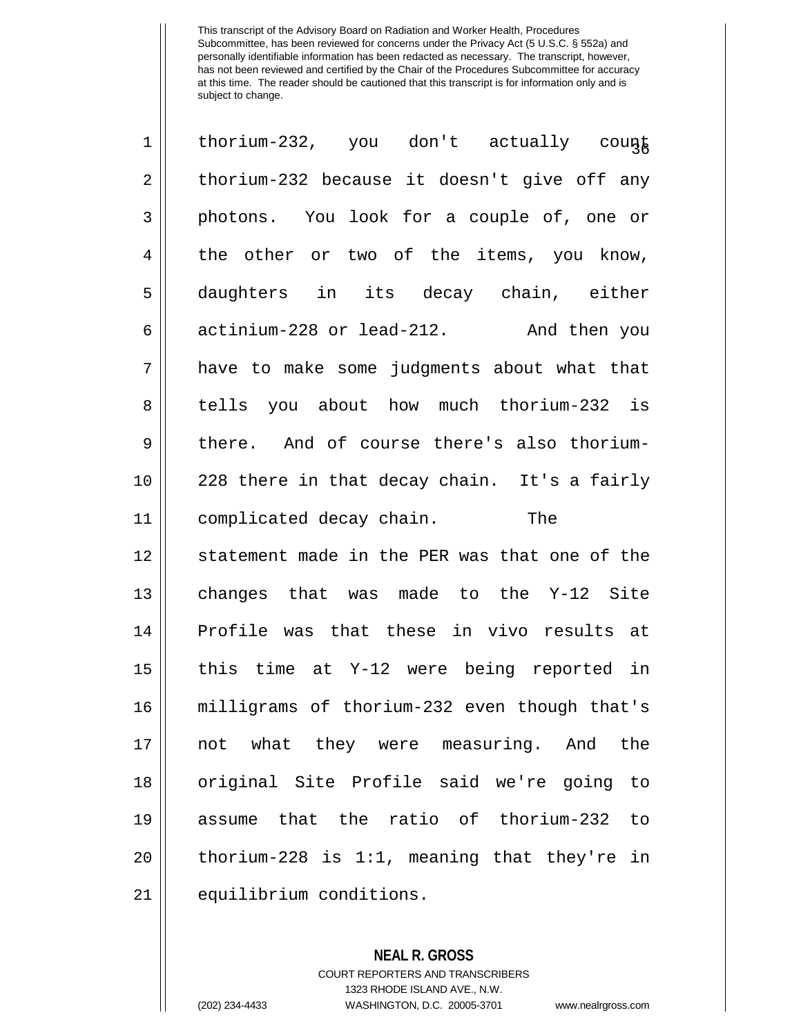| $\mathbf 1$    | thorium-232, you don't actually count          |
|----------------|------------------------------------------------|
| $\overline{2}$ | thorium-232 because it doesn't give off any    |
| 3              | photons. You look for a couple of, one or      |
| 4              | the other or two of the items, you know,       |
| 5              | daughters in its decay chain, either           |
| 6              | actinium-228 or lead-212. And then you         |
| 7              | have to make some judgments about what that    |
| 8              | tells you about how much thorium-232 is        |
| 9              | there. And of course there's also thorium-     |
| 10             | 228 there in that decay chain. It's a fairly   |
| 11             | complicated decay chain.<br>The                |
| 12             | statement made in the PER was that one of the  |
| 13             | changes that was made to the Y-12 Site         |
| 14             | Profile was that these in vivo results at      |
| 15             | this time at Y-12 were being reported in       |
| 16             | milligrams of thorium-232 even though that's   |
| 17             | not what they were measuring. And the          |
| 18             | original Site Profile said we're going to      |
| 19             | assume that the ratio of thorium-232 to        |
| 20             | thorium-228 is $1:1$ , meaning that they're in |
| 21             | equilibrium conditions.                        |

**NEAL R. GROSS** COURT REPORTERS AND TRANSCRIBERS 1323 RHODE ISLAND AVE., N.W. (202) 234-4433 WASHINGTON, D.C. 20005-3701 www.nealrgross.com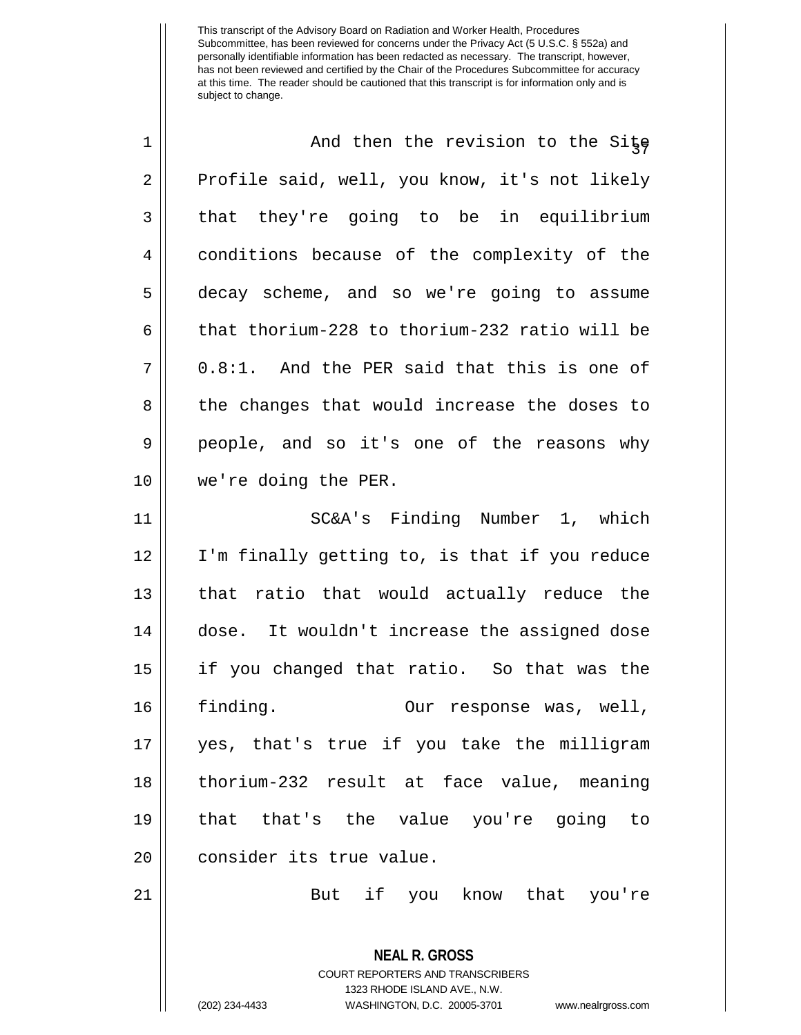| $\mathbf 1$    | And then the revision to the Site             |
|----------------|-----------------------------------------------|
| $\overline{2}$ | Profile said, well, you know, it's not likely |
| 3              | that they're going to be in equilibrium       |
| 4              | conditions because of the complexity of the   |
| 5              | decay scheme, and so we're going to assume    |
| 6              | that thorium-228 to thorium-232 ratio will be |
| 7              | 0.8:1. And the PER said that this is one of   |
| 8              | the changes that would increase the doses to  |
| 9              | people, and so it's one of the reasons why    |
| 10             | we're doing the PER.                          |
| 11             | SC&A's Finding Number 1, which                |
| 12             | I'm finally getting to, is that if you reduce |
| 13             | that ratio that would actually reduce the     |
| 14             | dose. It wouldn't increase the assigned dose  |
| 15             | if you changed that ratio. So that was the    |
| 16             | finding.<br>Our response was, well,           |
| 17             | yes, that's true if you take the milligram    |
| 18             | thorium-232 result at face value, meaning     |
| 19             | that that's the value you're going to         |
| 20             | consider its true value.                      |
| 21             | But if you know that you're                   |

**NEAL R. GROSS** COURT REPORTERS AND TRANSCRIBERS 1323 RHODE ISLAND AVE., N.W.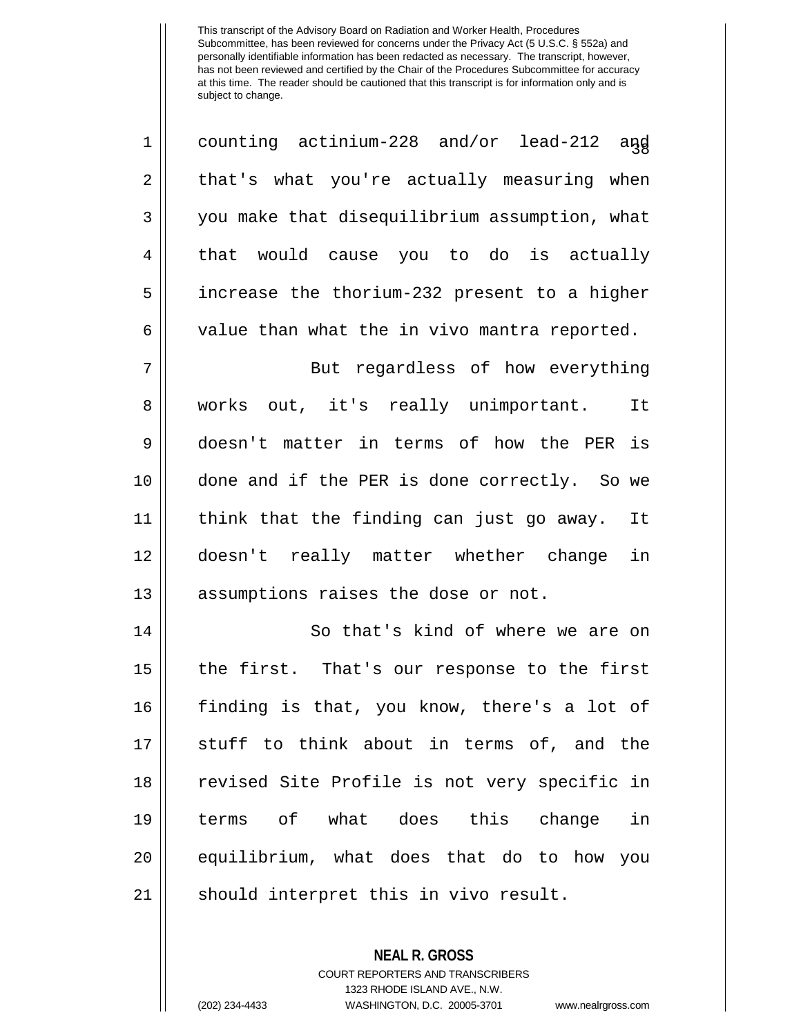| 1          | counting actinium-228 and/or lead-212 and     |
|------------|-----------------------------------------------|
| $\sqrt{2}$ | that's what you're actually measuring when    |
| 3          | you make that disequilibrium assumption, what |
| 4          | that would cause you to do is actually        |
| 5          | increase the thorium-232 present to a higher  |
| 6          | value than what the in vivo mantra reported.  |
| 7          | But regardless of how everything              |
| 8          | works out, it's really unimportant. It        |
| 9          | doesn't matter in terms of how the PER is     |
| 10         | done and if the PER is done correctly. So we  |
| 11         | think that the finding can just go away. It   |
| 12         | doesn't really matter whether change in       |
| 13         | assumptions raises the dose or not.           |
| 14         | So that's kind of where we are on             |
| 15         | the first. That's our response to the first   |
| 16         | finding is that, you know, there's a lot of   |
| 17         | stuff to think about in terms of, and the     |
| 18         | revised Site Profile is not very specific in  |
| 19         | terms of what does this change in             |
| 20         | equilibrium, what does that do to how you     |
| 21         | should interpret this in vivo result.         |

**NEAL R. GROSS** COURT REPORTERS AND TRANSCRIBERS

1323 RHODE ISLAND AVE., N.W. (202) 234-4433 WASHINGTON, D.C. 20005-3701 www.nealrgross.com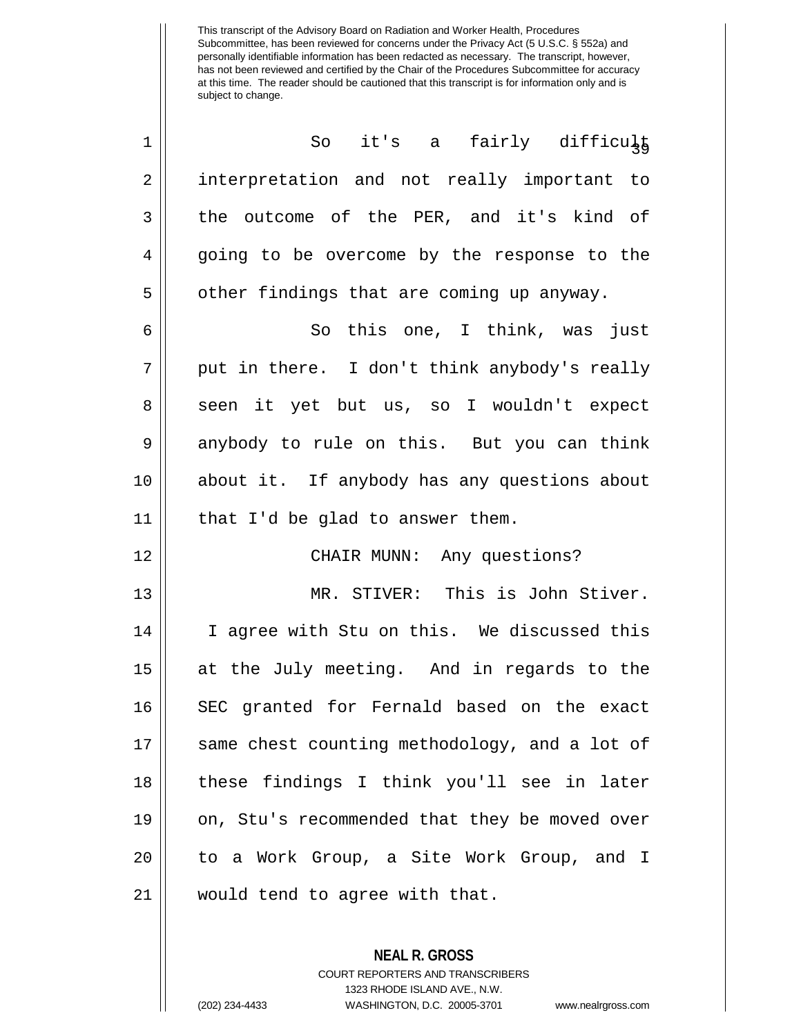| 1              | So it's a fairly difficult                    |
|----------------|-----------------------------------------------|
| $\overline{2}$ | interpretation and not really important to    |
| 3              | the outcome of the PER, and it's kind of      |
| 4              | going to be overcome by the response to the   |
| 5              | other findings that are coming up anyway.     |
| 6              | So this one, I think, was just                |
| $\overline{7}$ | put in there. I don't think anybody's really  |
| 8              | seen it yet but us, so I wouldn't expect      |
| $\mathsf 9$    | anybody to rule on this. But you can think    |
| 10             | about it. If anybody has any questions about  |
| 11             | that I'd be glad to answer them.              |
| 12             | CHAIR MUNN: Any questions?                    |
| 13             | MR. STIVER: This is John Stiver.              |
| 14             | I agree with Stu on this. We discussed this   |
| 15             | at the July meeting. And in regards to the    |
| 16             | SEC granted for Fernald based on the exact    |
| 17             | same chest counting methodology, and a lot of |
| 18             | these findings I think you'll see in later    |
| 19             | on, Stu's recommended that they be moved over |
| 20             | to a Work Group, a Site Work Group, and I     |
| 21             | would tend to agree with that.                |

**NEAL R. GROSS** COURT REPORTERS AND TRANSCRIBERS

1323 RHODE ISLAND AVE., N.W.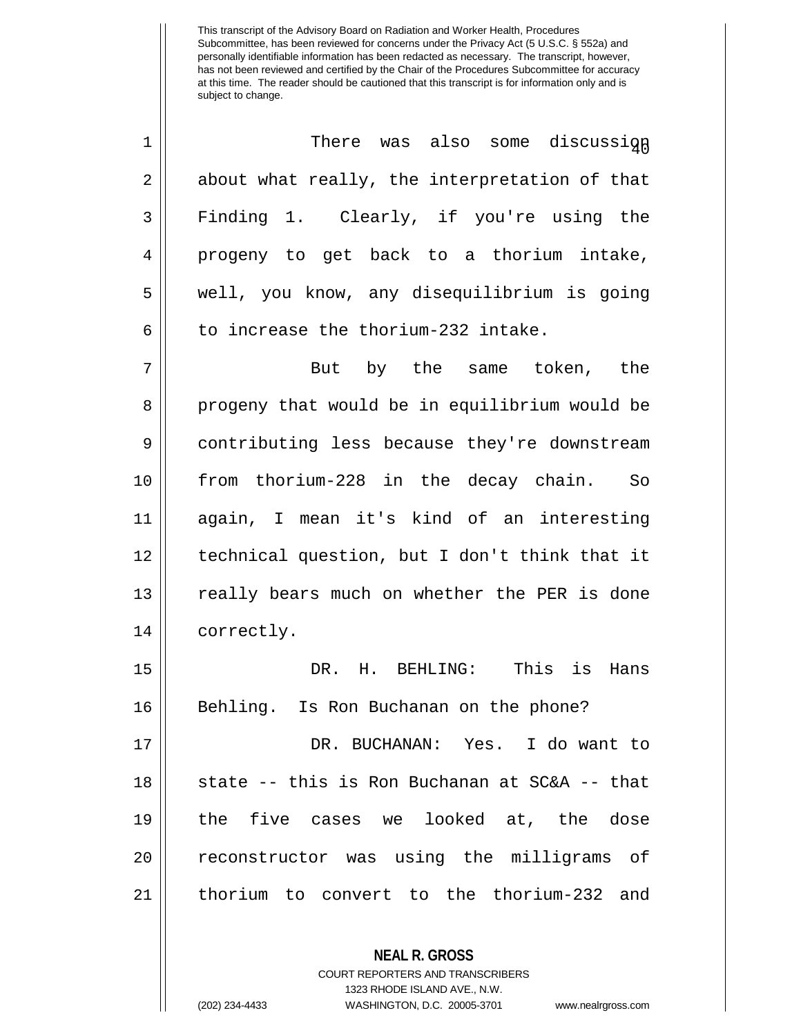| $\mathbf 1$    | There was also some discussign                |
|----------------|-----------------------------------------------|
| $\overline{2}$ | about what really, the interpretation of that |
| 3              | Finding 1. Clearly, if you're using the       |
| 4              | progeny to get back to a thorium intake,      |
| 5              | well, you know, any disequilibrium is going   |
| 6              | to increase the thorium-232 intake.           |
| 7              | But by the same token, the                    |
| 8              | progeny that would be in equilibrium would be |
| 9              | contributing less because they're downstream  |
| 10             | from thorium-228 in the decay chain. So       |
| 11             | again, I mean it's kind of an interesting     |
| 12             | technical question, but I don't think that it |
| 13             | really bears much on whether the PER is done  |
| 14             | correctly.                                    |
| 15             | DR. H. BEHLING: This is Hans                  |
| 16             | Behling. Is Ron Buchanan on the phone?        |
| 17             | DR. BUCHANAN: Yes. I do want to               |
| 18             | state -- this is Ron Buchanan at SC&A -- that |
| 19             | the five cases we looked at, the dose         |
| 20             | reconstructor was using the milligrams of     |
| 21             | thorium to convert to the thorium-232 and     |
|                | <b>NEAL R. GROSS</b>                          |

COURT REPORTERS AND TRANSCRIBERS 1323 RHODE ISLAND AVE., N.W.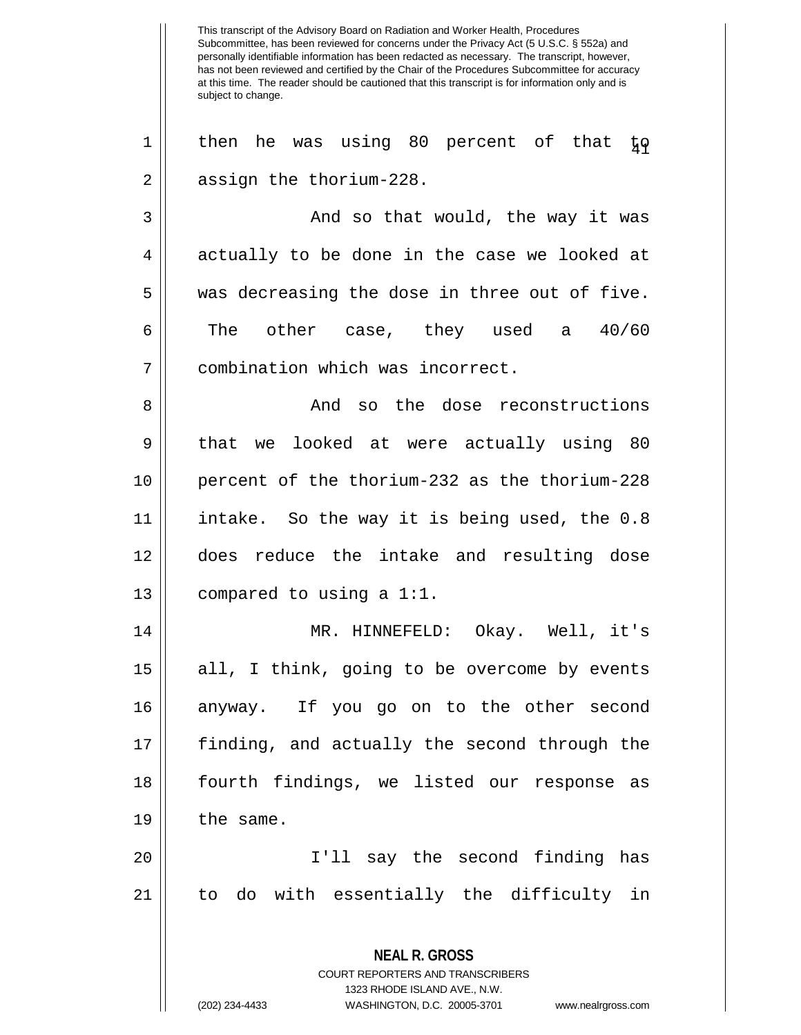This transcript of the Advisory Board on Radiation and Worker Health, Procedures Subcommittee, has been reviewed for concerns under the Privacy Act (5 U.S.C. § 552a) and personally identifiable information has been redacted as necessary. The transcript, however, has not been reviewed and certified by the Chair of the Procedures Subcommittee for accuracy at this time. The reader should be cautioned that this transcript is for information only and is subject to change. **NEAL R. GROSS** COURT REPORTERS AND TRANSCRIBERS 1323 RHODE ISLAND AVE., N.W.  $1 \parallel$  then he was using 80 percent of that  $\frac{1}{4} \rho$ 2 | assign the thorium-228. 3 And so that would, the way it was  $4 \parallel$  actually to be done in the case we looked at  $5 \parallel$  was decreasing the dose in three out of five. 6  $\parallel$  The other case, they used a  $40/60$ 7 combination which was incorrect. 8 || And so the dose reconstructions 9 || that we looked at were actually using 80 10 percent of the thorium-232 as the thorium-228 11 intake. So the way it is being used, the 0.8 12 does reduce the intake and resulting dose 13  $\parallel$  compared to using a 1:1. 14 MR. HINNEFELD: Okay. Well, it's 15 || all, I think, going to be overcome by events 16 anyway. If you go on to the other second 17 finding, and actually the second through the 18 fourth findings, we listed our response as  $19$  | the same. 20 I'll say the second finding has 21 to do with essentially the difficulty in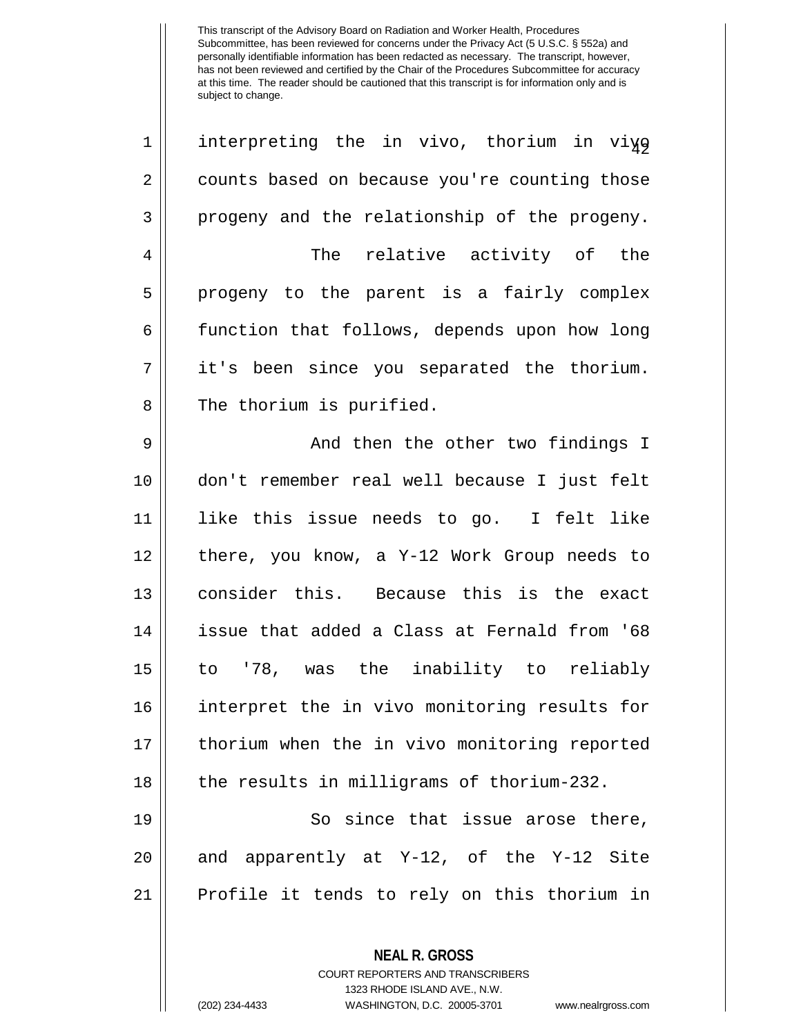| $\mathbf 1$    | interpreting the in vivo, thorium in viyo     |
|----------------|-----------------------------------------------|
| $\overline{2}$ | counts based on because you're counting those |
| 3              | progeny and the relationship of the progeny.  |
| 4              | The relative activity of the                  |
| 5              | progeny to the parent is a fairly complex     |
| 6              | function that follows, depends upon how long  |
| 7              | it's been since you separated the thorium.    |
| 8              | The thorium is purified.                      |
| 9              | And then the other two findings I             |
| 10             | don't remember real well because I just felt  |
| 11             | like this issue needs to go. I felt like      |
| 12             | there, you know, a Y-12 Work Group needs to   |
| 13             | consider this. Because this is the exact      |
| 14             | issue that added a Class at Fernald from '68  |
| 15             | to '78, was the inability to reliably         |
| 16             | interpret the in vivo monitoring results for  |
| 17             | thorium when the in vivo monitoring reported  |
| 18             | the results in milligrams of thorium-232.     |
| 19             | since that issue arose there,<br>So           |

20  $\parallel$  and apparently at Y-12, of the Y-12 Site Profile it tends to rely on this thorium in

> COURT REPORTERS AND TRANSCRIBERS 1323 RHODE ISLAND AVE., N.W.

**NEAL R. GROSS**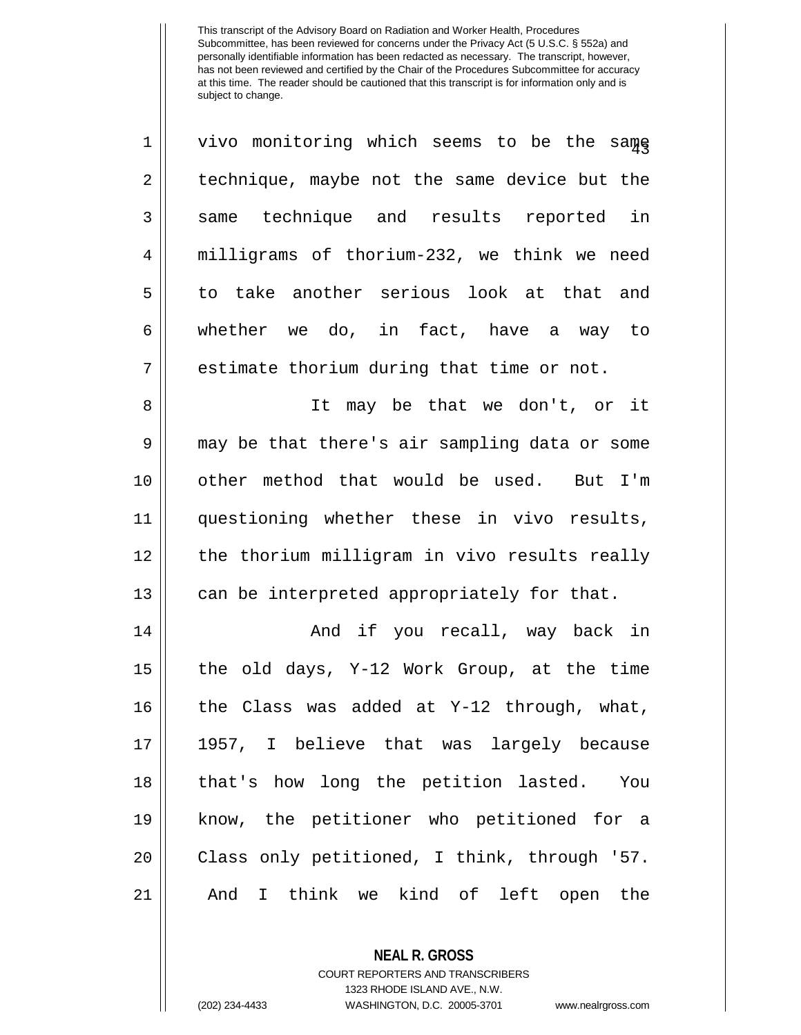| $\mathbf 1$    | vivo monitoring which seems to be the same            |
|----------------|-------------------------------------------------------|
| $\overline{2}$ | technique, maybe not the same device but the          |
| 3              | same technique and results reported in                |
| $\overline{4}$ | milligrams of thorium-232, we think we need           |
| 5              | to take another serious look at that and              |
| 6              | whether we do, in fact, have a way to                 |
| 7              | estimate thorium during that time or not.             |
| 8              | It may be that we don't, or it                        |
| 9              | may be that there's air sampling data or some         |
| 10             | other method that would be used. But I'm              |
| 11             | questioning whether these in vivo results,            |
| 12             | the thorium milligram in vivo results really          |
| 13             | can be interpreted appropriately for that.            |
| 14             | And if you recall, way back in                        |
| 15             | the old days, Y-12 Work Group, at the time            |
| 16             | the Class was added at Y-12 through, what,            |
| 17             | 1957, I believe that was largely because              |
| 18             | that's how long the petition lasted.<br>You           |
| 19             | know, the petitioner who petitioned for a             |
| 20             | Class only petitioned, I think, through '57.          |
| 21             | think we kind of left open the<br>And<br>$\mathbf{I}$ |

**NEAL R. GROSS** COURT REPORTERS AND TRANSCRIBERS

1323 RHODE ISLAND AVE., N.W.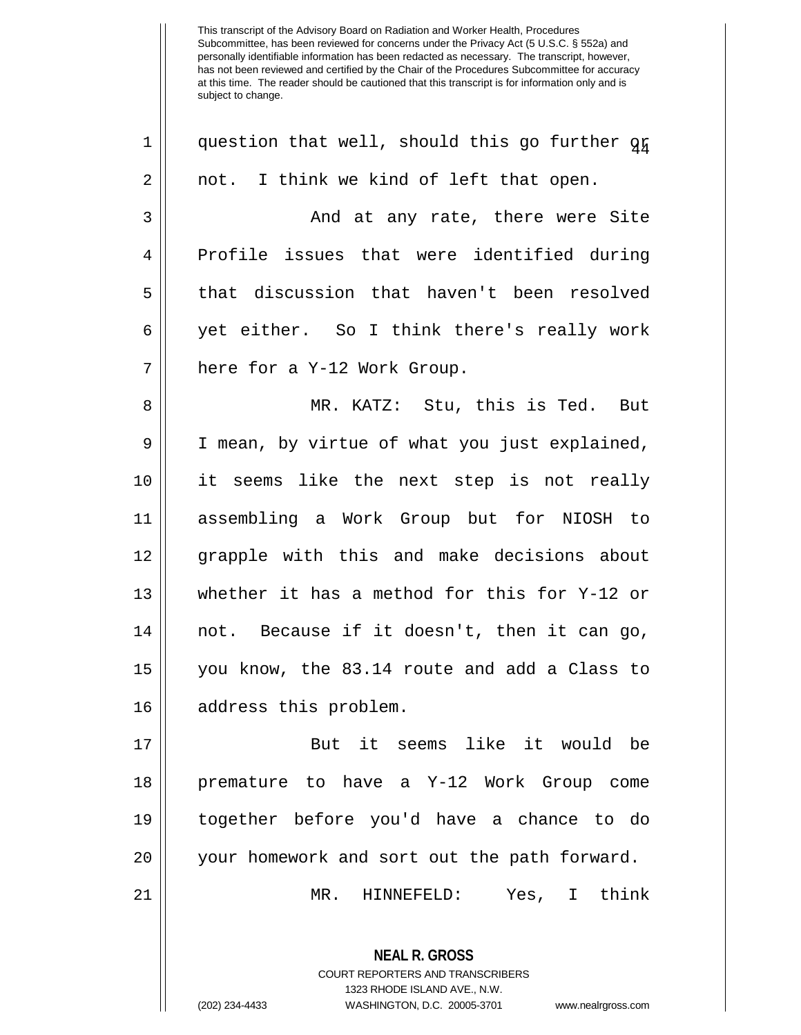**NEAL R. GROSS** COURT REPORTERS AND TRANSCRIBERS 1323 RHODE ISLAND AVE., N.W.  $1 \parallel$  question that well, should this go further  $q_{\tilde{H}}$  $2 \parallel$  not. I think we kind of left that open. And at any rate, there were Site Profile issues that were identified during that discussion that haven't been resolved yet either. So I think there's really work 7 || here for a Y-12 Work Group. MR. KATZ: Stu, this is Ted. But 9 | I mean, by virtue of what you just explained, it seems like the next step is not really assembling a Work Group but for NIOSH to grapple with this and make decisions about whether it has a method for this for Y-12 or || not. Because if it doesn't, then it can go, you know, the 83.14 route and add a Class to 16 || address this problem. But it seems like it would be premature to have a Y-12 Work Group come together before you'd have a chance to do your homework and sort out the path forward. MR. HINNEFELD: Yes, I think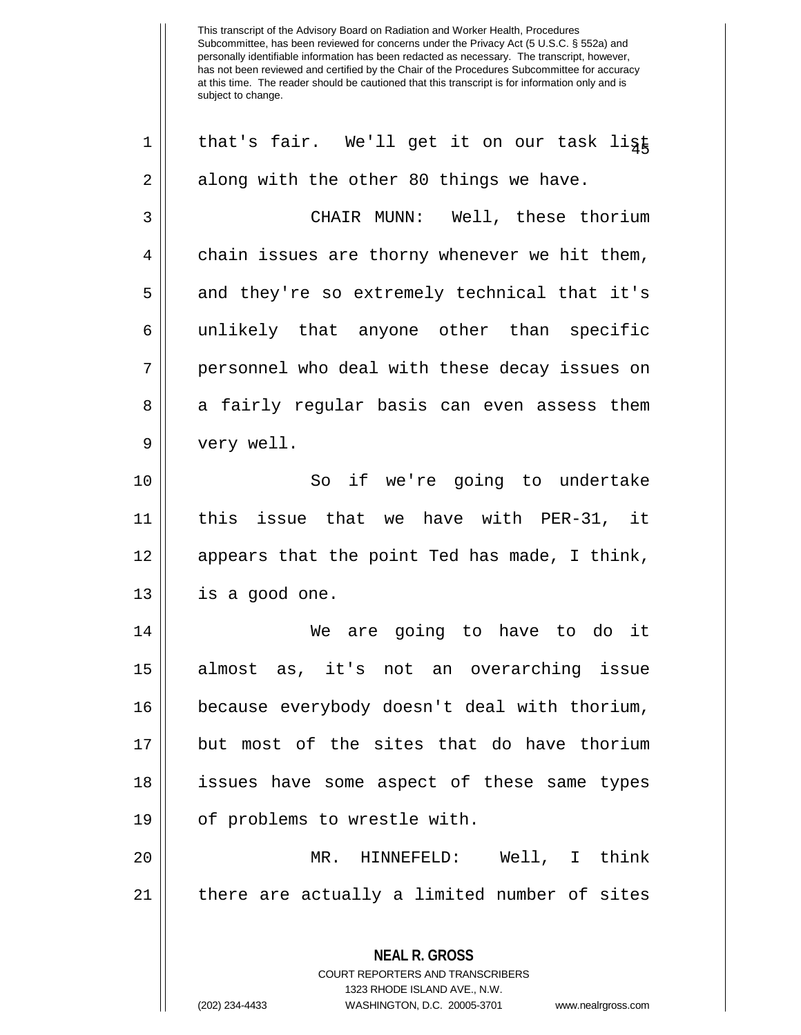**NEAL R. GROSS** COURT REPORTERS AND TRANSCRIBERS 1323 RHODE ISLAND AVE., N.W. (202) 234-4433 WASHINGTON, D.C. 20005-3701 www.nealrgross.com  $1 ||$  that's fair. We'll get it on our task ligt  $2 \parallel$  along with the other 80 things we have. 3 CHAIR MUNN: Well, these thorium  $4 \parallel$  chain issues are thorny whenever we hit them, 5 || and they're so extremely technical that it's 6 || unlikely that anyone other than specific 7 personnel who deal with these decay issues on 8 a fairly regular basis can even assess them 9 | very well. 10 || So if we're going to undertake 11 this issue that we have with PER-31, it 12 || appears that the point Ted has made, I think,  $13 \parallel$  is a good one. 14 We are going to have to do it 15 almost as, it's not an overarching issue 16 because everybody doesn't deal with thorium, 17 but most of the sites that do have thorium 18 issues have some aspect of these same types 19 || of problems to wrestle with. 20 MR. HINNEFELD: Well, I think 21 || there are actually a limited number of sites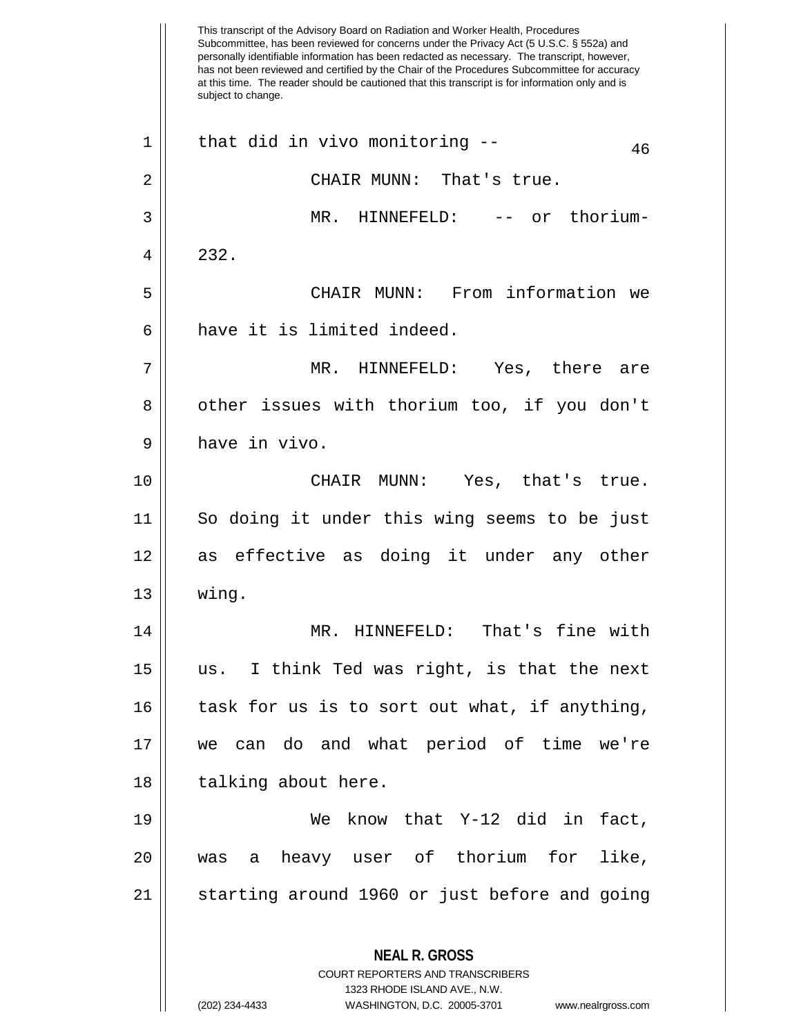This transcript of the Advisory Board on Radiation and Worker Health, Procedures Subcommittee, has been reviewed for concerns under the Privacy Act (5 U.S.C. § 552a) and personally identifiable information has been redacted as necessary. The transcript, however, has not been reviewed and certified by the Chair of the Procedures Subcommittee for accuracy at this time. The reader should be cautioned that this transcript is for information only and is subject to change. **NEAL R. GROSS** COURT REPORTERS AND TRANSCRIBERS 1323 RHODE ISLAND AVE., N.W. (202) 234-4433 WASHINGTON, D.C. 20005-3701 www.nealrgross.com  $1 \parallel$  that did in vivo monitoring --  $\frac{46}{100}$ 2 CHAIR MUNN: That's true. 3 MR. HINNEFELD: -- or thorium-4 232. 5 CHAIR MUNN: From information we  $6$  || have it is limited indeed. 7 MR. HINNEFELD: Yes, there are 8 | other issues with thorium too, if you don't  $9 \parallel$  have in vivo. 10 CHAIR MUNN: Yes, that's true. 11 So doing it under this wing seems to be just 12 as effective as doing it under any other  $13 \parallel$  wing. 14 MR. HINNEFELD: That's fine with 15 us. I think Ted was right, is that the next 16 || task for us is to sort out what, if anything, 17 we can do and what period of time we're 18 | talking about here. 19 We know that Y-12 did in fact, 20 || was a heavy user of thorium for like, 21 || starting around 1960 or just before and going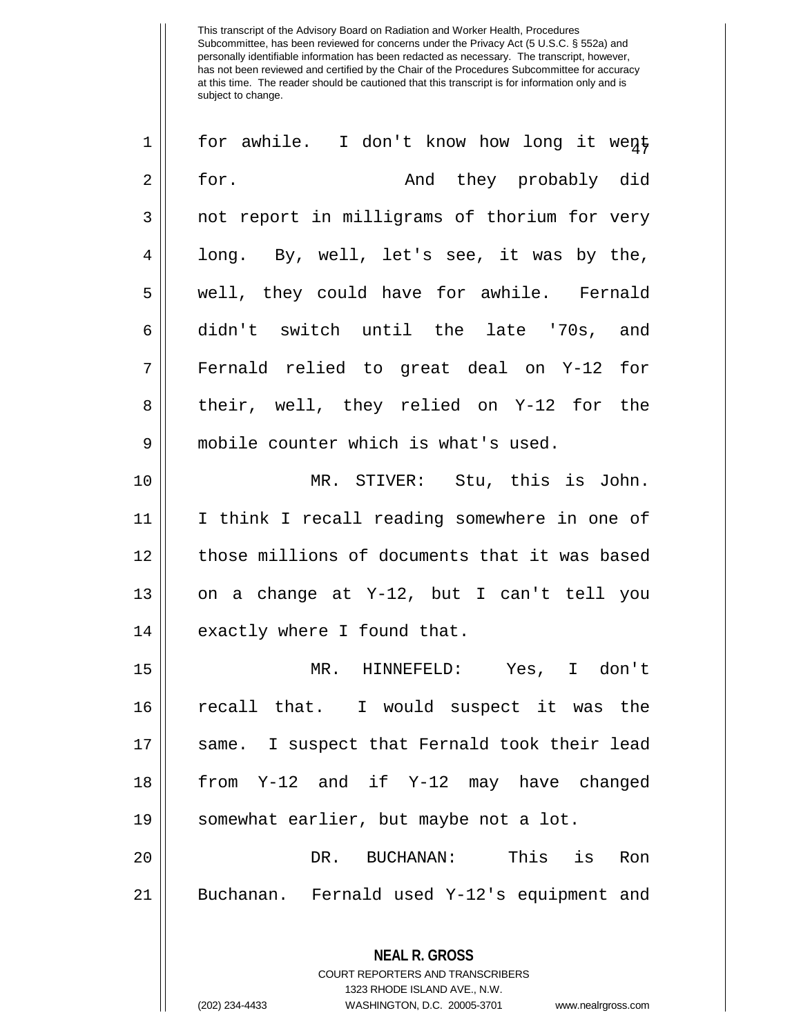| 1              | for awhile. I don't know how long it went                       |
|----------------|-----------------------------------------------------------------|
| $\overline{2}$ | for.<br>And they probably did                                   |
| 3              | not report in milligrams of thorium for very                    |
| 4              | long. By, well, let's see, it was by the,                       |
| 5              | well, they could have for awhile. Fernald                       |
| 6              | didn't switch until the late '70s, and                          |
| 7              | Fernald relied to great deal on Y-12 for                        |
| 8              | their, well, they relied on Y-12 for the                        |
| 9              | mobile counter which is what's used.                            |
| 10             | MR. STIVER: Stu, this is John.                                  |
| 11             | I think I recall reading somewhere in one of                    |
| 12             | those millions of documents that it was based                   |
| 13             | on a change at Y-12, but I can't tell you                       |
| 14             | exactly where I found that.                                     |
| 15             | MR. HINNEFELD: Yes, I don't                                     |
| 16             | recall that. I would suspect it was the                         |
| 17             | same. I suspect that Fernald took their lead                    |
| 18             | from Y-12 and if Y-12 may have changed                          |
| 19             | somewhat earlier, but maybe not a lot.                          |
| 20             | DR. BUCHANAN:<br>This is<br>Ron                                 |
| 21             | Buchanan. Fernald used Y-12's equipment and                     |
|                | <b>NEAL R. GROSS</b><br><b>COURT REPORTERS AND TRANSCRIBERS</b> |

1323 RHODE ISLAND AVE., N.W.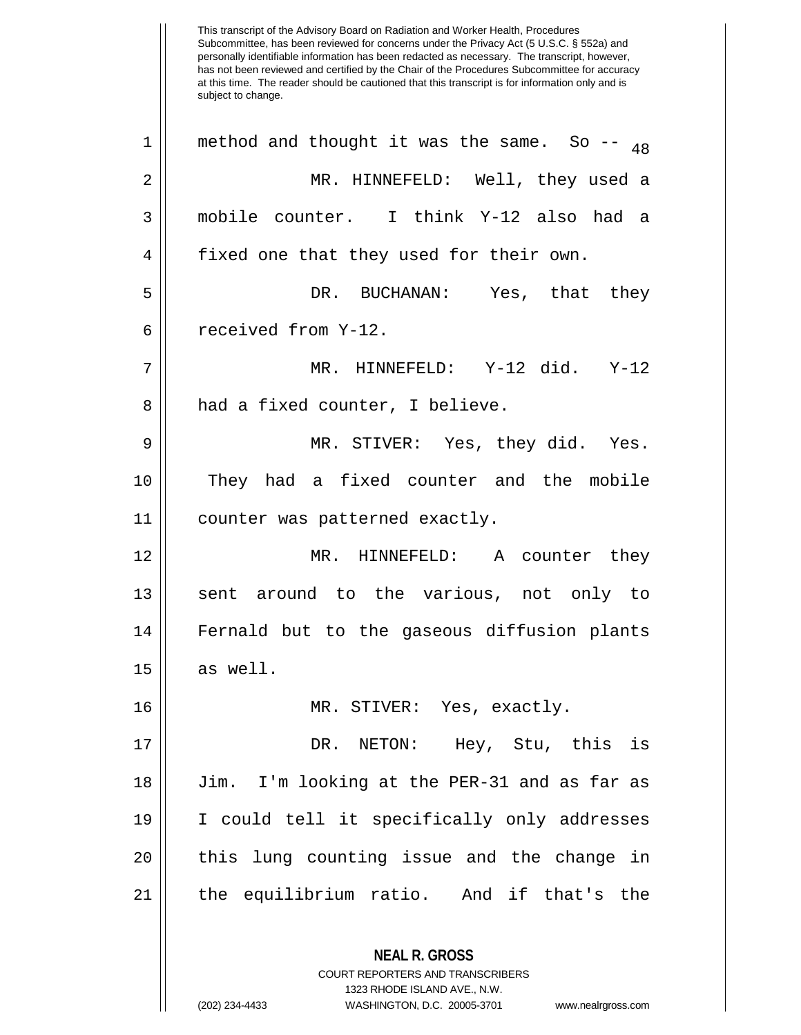This transcript of the Advisory Board on Radiation and Worker Health, Procedures Subcommittee, has been reviewed for concerns under the Privacy Act (5 U.S.C. § 552a) and personally identifiable information has been redacted as necessary. The transcript, however, has not been reviewed and certified by the Chair of the Procedures Subcommittee for accuracy at this time. The reader should be cautioned that this transcript is for information only and is subject to change. **NEAL R. GROSS** COURT REPORTERS AND TRANSCRIBERS 1323 RHODE ISLAND AVE., N.W. 1 || method and thought it was the same. So  $_{48}$ 2 MR. HINNEFELD: Well, they used a 3 mobile counter. I think Y-12 also had a 4 | fixed one that they used for their own. 5 DR. BUCHANAN: Yes, that they  $6$  || received from Y-12. 7 MR. HINNEFELD: Y-12 did. Y-12 8 || had a fixed counter, I believe. 9 MR. STIVER: Yes, they did. Yes. 10 || They had a fixed counter and the mobile 11 counter was patterned exactly. 12 MR. HINNEFELD: A counter they 13 || sent around to the various, not only to 14 Fernald but to the gaseous diffusion plants  $15 \parallel$  as well. 16 MR. STIVER: Yes, exactly. 17 DR. NETON: Hey, Stu, this is 18 Jim. I'm looking at the PER-31 and as far as 19 I could tell it specifically only addresses 20 || this lung counting issue and the change in 21 the equilibrium ratio. And if that's the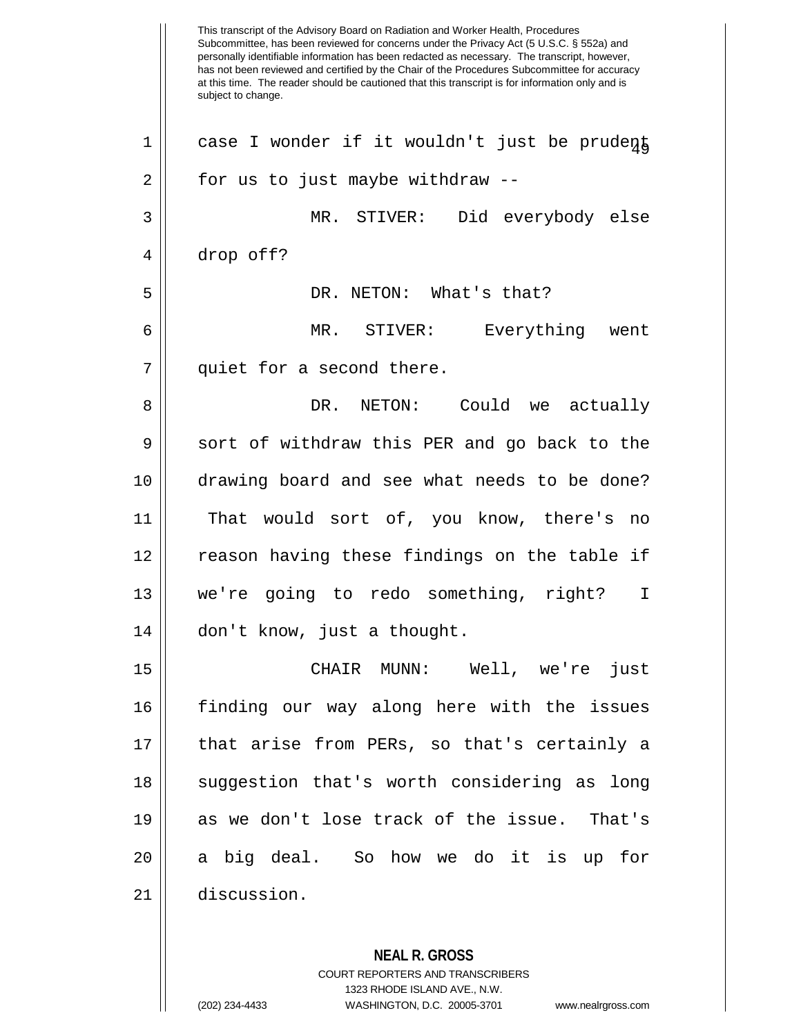This transcript of the Advisory Board on Radiation and Worker Health, Procedures Subcommittee, has been reviewed for concerns under the Privacy Act (5 U.S.C. § 552a) and personally identifiable information has been redacted as necessary. The transcript, however, has not been reviewed and certified by the Chair of the Procedures Subcommittee for accuracy at this time. The reader should be cautioned that this transcript is for information only and is subject to change. **NEAL R. GROSS** COURT REPORTERS AND TRANSCRIBERS 1323 RHODE ISLAND AVE., N.W.  $1 \parallel$  case I wonder if it wouldn't just be prudent  $2 \parallel$  for us to just maybe withdraw --3 MR. STIVER: Did everybody else 4 drop off? 5 DR. NETON: What's that? 6 MR. STIVER: Everything went 7 || quiet for a second there. 8 DR. NETON: Could we actually 9 Sort of withdraw this PER and go back to the 10 drawing board and see what needs to be done? 11 That would sort of, you know, there's no 12 || reason having these findings on the table if 13 we're going to redo something, right? I 14 | don't know, just a thought. 15 CHAIR MUNN: Well, we're just 16 finding our way along here with the issues 17 that arise from PERs, so that's certainly a 18 || suggestion that's worth considering as long 19 as we don't lose track of the issue. That's  $20$  || a big deal. So how we do it is up for 21 discussion.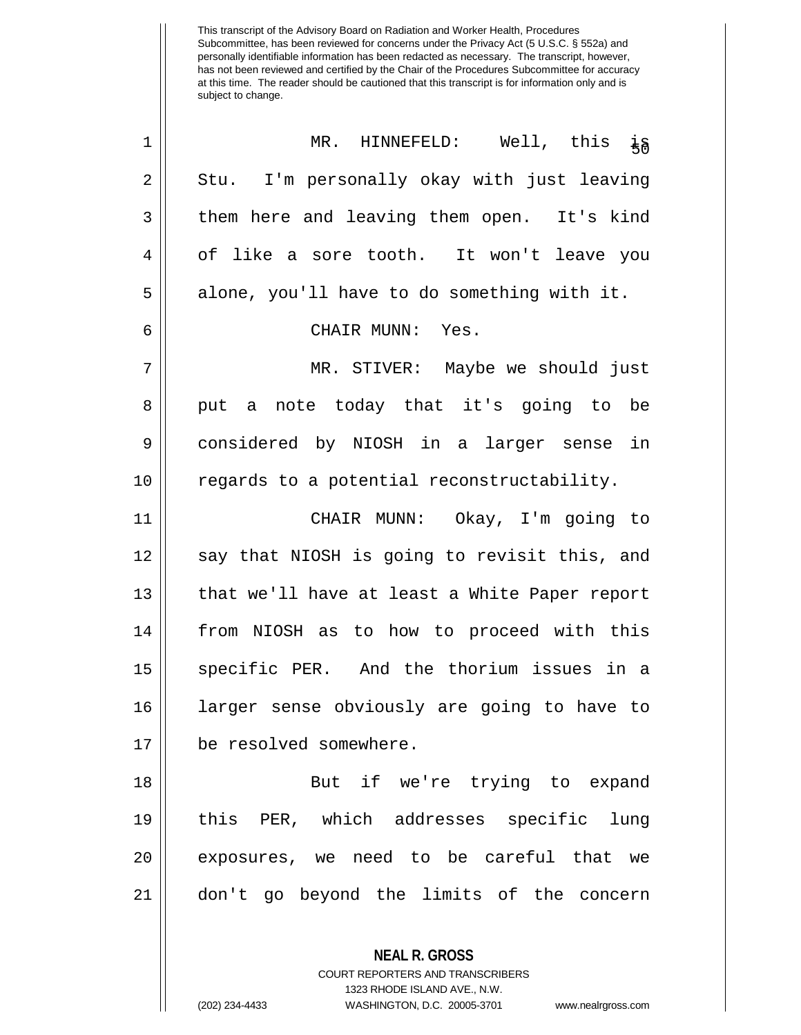| $\mathbf 1$ | MR. HINNEFELD:<br>Well, this $\frac{1}{5}$    |
|-------------|-----------------------------------------------|
| 2           | Stu. I'm personally okay with just leaving    |
| 3           | them here and leaving them open. It's kind    |
| 4           | of like a sore tooth. It won't leave you      |
| 5           | alone, you'll have to do something with it.   |
| 6           | CHAIR MUNN: Yes.                              |
| 7           | MR. STIVER: Maybe we should just              |
| 8           | put a note today that it's going to be        |
| 9           | considered by NIOSH in a larger sense in      |
| 10          | regards to a potential reconstructability.    |
| 11          | CHAIR MUNN: Okay, I'm going to                |
| 12          | say that NIOSH is going to revisit this, and  |
| 13          | that we'll have at least a White Paper report |
| 14          | from NIOSH as to how to proceed with this     |
| 15          | specific PER. And the thorium issues in a     |
| 16          | larger sense obviously are going to have to   |
| 17          | be resolved somewhere.                        |
| 18          | But if we're trying to expand                 |
| 19          | this PER, which addresses specific lung       |
| 20          | exposures, we need to be careful that we      |
| 21          | don't go beyond the limits of the concern     |
|             |                                               |

**NEAL R. GROSS** COURT REPORTERS AND TRANSCRIBERS 1323 RHODE ISLAND AVE., N.W.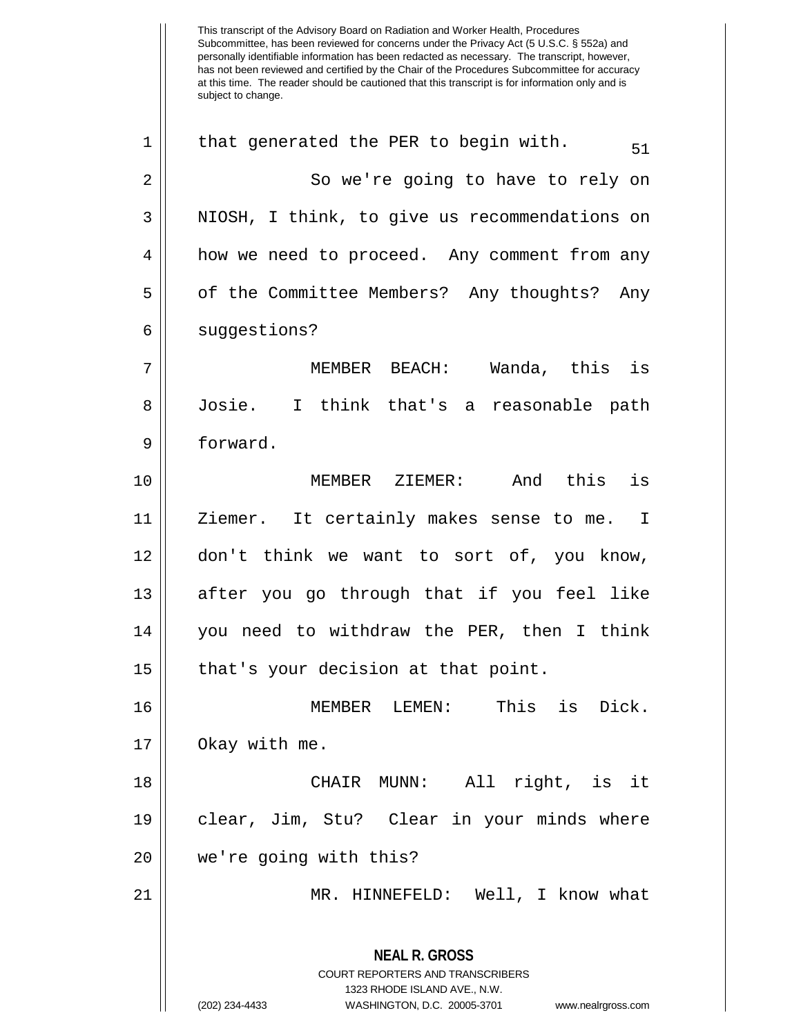This transcript of the Advisory Board on Radiation and Worker Health, Procedures Subcommittee, has been reviewed for concerns under the Privacy Act (5 U.S.C. § 552a) and personally identifiable information has been redacted as necessary. The transcript, however, has not been reviewed and certified by the Chair of the Procedures Subcommittee for accuracy at this time. The reader should be cautioned that this transcript is for information only and is subject to change. **NEAL R. GROSS** COURT REPORTERS AND TRANSCRIBERS 1323 RHODE ISLAND AVE., N.W. (202) 234-4433 WASHINGTON, D.C. 20005-3701 www.nealrgross.com 1 || that generated the PER to begin with.  $\frac{51}{91}$ 2 || So we're going to have to rely on 3 || NIOSH, I think, to give us recommendations on 4 | how we need to proceed. Any comment from any 5 | of the Committee Members? Any thoughts? Any 6 || suggestions? 7 MEMBER BEACH: Wanda, this is 8 Josie. I think that's a reasonable path 9 forward. 10 MEMBER ZIEMER: And this is 11 || Ziemer. It certainly makes sense to me. I 12 don't think we want to sort of, you know, 13 || after you go through that if you feel like 14 you need to withdraw the PER, then I think  $15$  | that's your decision at that point. 16 MEMBER LEMEN: This is Dick. 17 | Okay with me. 18 CHAIR MUNN: All right, is it 19 clear, Jim, Stu? Clear in your minds where 20 we're going with this? 21 MR. HINNEFELD: Well, I know what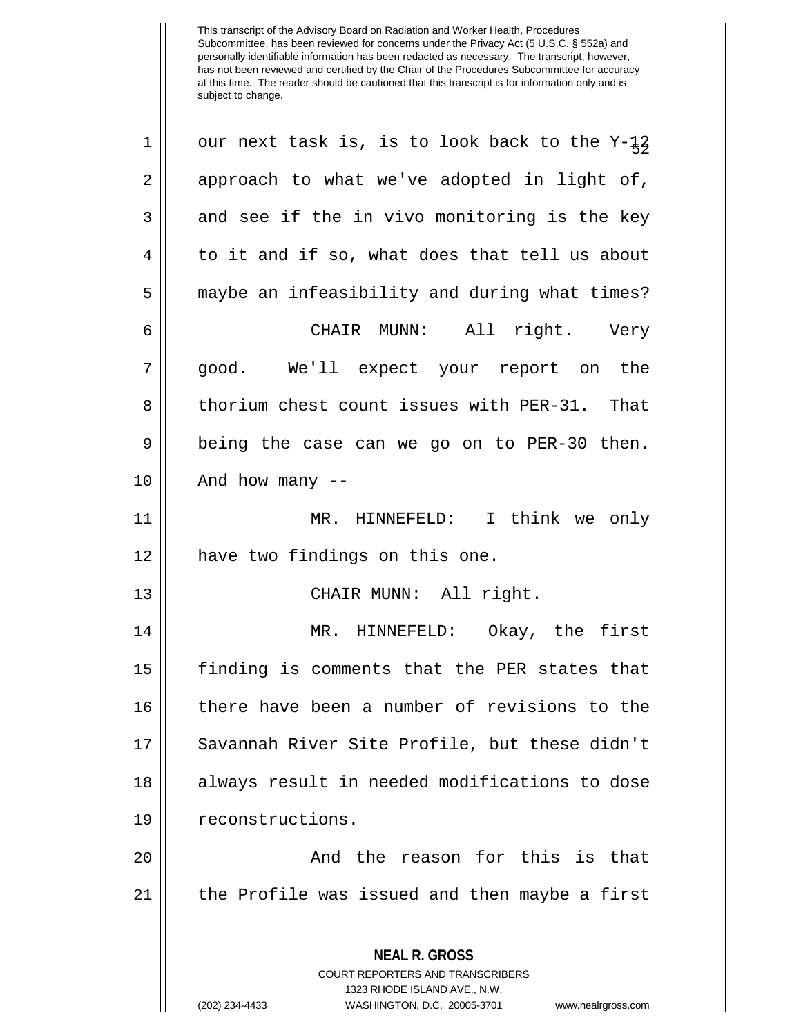| $\mathbf 1$    | our next task is, is to look back to the $Y-\frac{1}{5}$                                            |
|----------------|-----------------------------------------------------------------------------------------------------|
| $\sqrt{2}$     | approach to what we've adopted in light of,                                                         |
| $\mathbf{3}$   | and see if the in vivo monitoring is the key                                                        |
| $\overline{4}$ | to it and if so, what does that tell us about                                                       |
| 5              | maybe an infeasibility and during what times?                                                       |
| 6              | CHAIR MUNN: All right. Very                                                                         |
| 7              | good. We'll expect your report on the                                                               |
| 8              | thorium chest count issues with PER-31. That                                                        |
| 9              | being the case can we go on to PER-30 then.                                                         |
| 10             | And how many $-$                                                                                    |
| 11             | MR. HINNEFELD: I think we only                                                                      |
| 12             | have two findings on this one.                                                                      |
| 13             | CHAIR MUNN: All right.                                                                              |
| 14             | MR. HINNEFELD: Okay, the first                                                                      |
| 15             | finding is comments that the PER states that                                                        |
| 16             | there have been a number of revisions to the                                                        |
| 17             | Savannah River Site Profile, but these didn't                                                       |
| 18             | always result in needed modifications to dose                                                       |
| 19             | reconstructions.                                                                                    |
| 20             | And the reason for this is that                                                                     |
| 21             | the Profile was issued and then maybe a first                                                       |
|                | <b>NEAL R. GROSS</b><br>COURT REPORTERS AND TRANSCRIBERS                                            |
|                | 1323 RHODE ISLAND AVE., N.W.<br>(202) 234-4433<br>WASHINGTON, D.C. 20005-3701<br>www.nealrgross.com |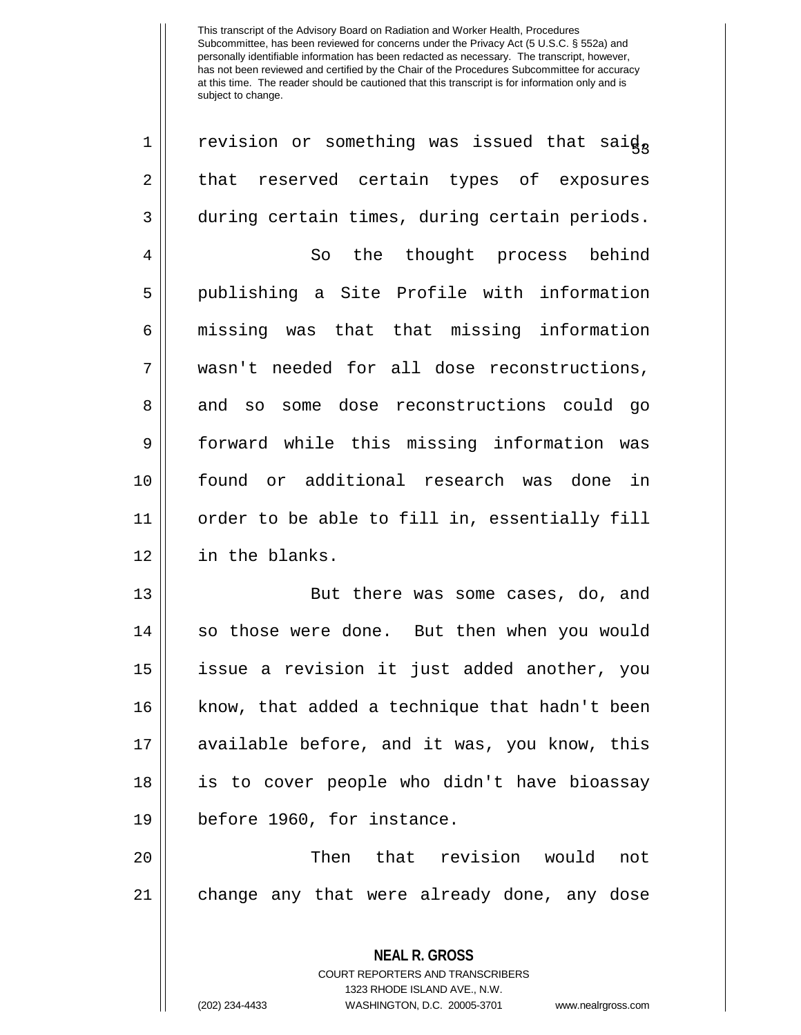| $\mathbf{1}$ | revision or something was issued that said,              |
|--------------|----------------------------------------------------------|
| 2            | that reserved certain types of exposures                 |
| 3            | during certain times, during certain periods.            |
| 4            | So the thought process behind                            |
| 5            | publishing a Site Profile with information               |
| 6            | missing was that that missing information                |
| 7            | wasn't needed for all dose reconstructions,              |
| 8            | and so some dose reconstructions could go                |
| 9            | forward while this missing information was               |
| 10           | found or additional research was done in                 |
| 11           | order to be able to fill in, essentially fill            |
| 12           | in the blanks.                                           |
| 13           | But there was some cases, do, and                        |
| 14           | so those were done. But then when you would              |
| 15           | issue a revision it just added another, you              |
| 16           | know, that added a technique that hadn't been            |
| 17           | available before, and it was, you know, this             |
| 18           | is to cover people who didn't have bioassay              |
| 19           | before 1960, for instance.                               |
| 20           | Then that revision would<br>not                          |
| 21           | change any that were already done, any dose              |
|              | <b>NEAL R. GROSS</b><br>COURT REPORTERS AND TRANSCRIBERS |

1323 RHODE ISLAND AVE., N.W.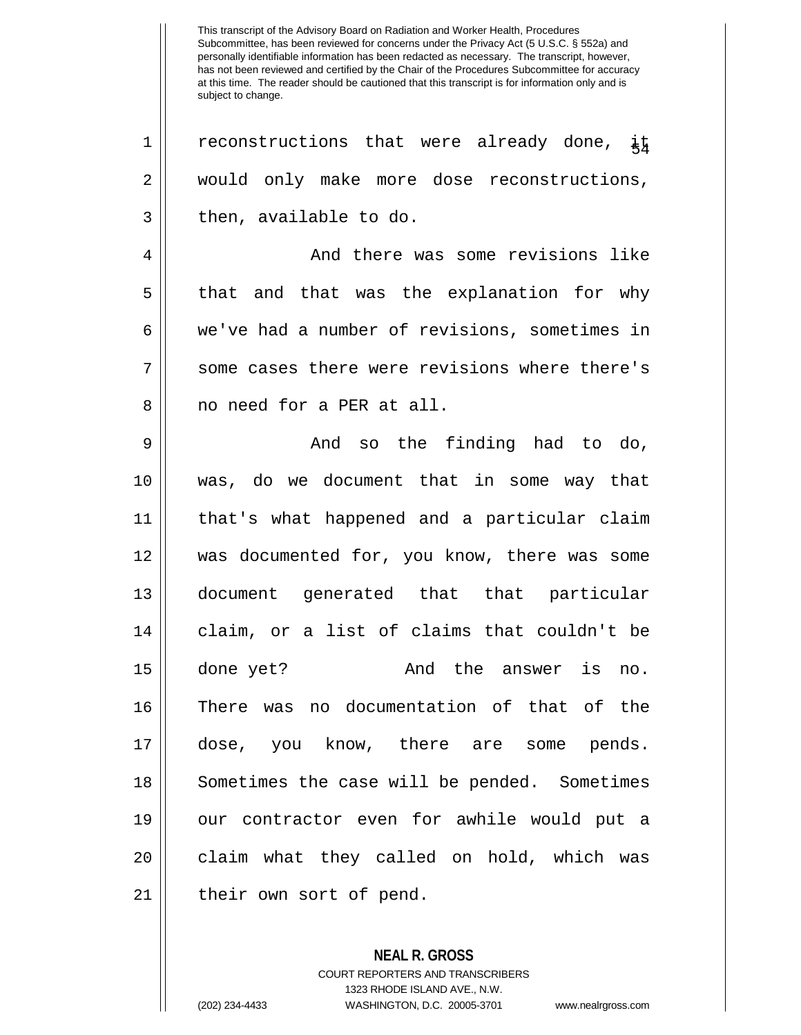$1 ||$  reconstructions that were already done,  $\frac{1}{4}$ 2 would only make more dose reconstructions,  $3 \parallel$  then, available to do. 4 And there was some revisions like 5 || that and that was the explanation for why 6 we've had a number of revisions, sometimes in  $7 \parallel$  some cases there were revisions where there's 8 || no need for a PER at all. 9 And so the finding had to do, 10 was, do we document that in some way that 11 that's what happened and a particular claim 12 was documented for, you know, there was some 13 document generated that that particular 14 || claim, or a list of claims that couldn't be 15 done yet? And the answer is no. 16 There was no documentation of that of the 17 dose, you know, there are some pends. 18 || Sometimes the case will be pended. Sometimes 19 our contractor even for awhile would put a 20 || claim what they called on hold, which was 21 || their own sort of pend.

> **NEAL R. GROSS** COURT REPORTERS AND TRANSCRIBERS 1323 RHODE ISLAND AVE., N.W. (202) 234-4433 WASHINGTON, D.C. 20005-3701 www.nealrgross.com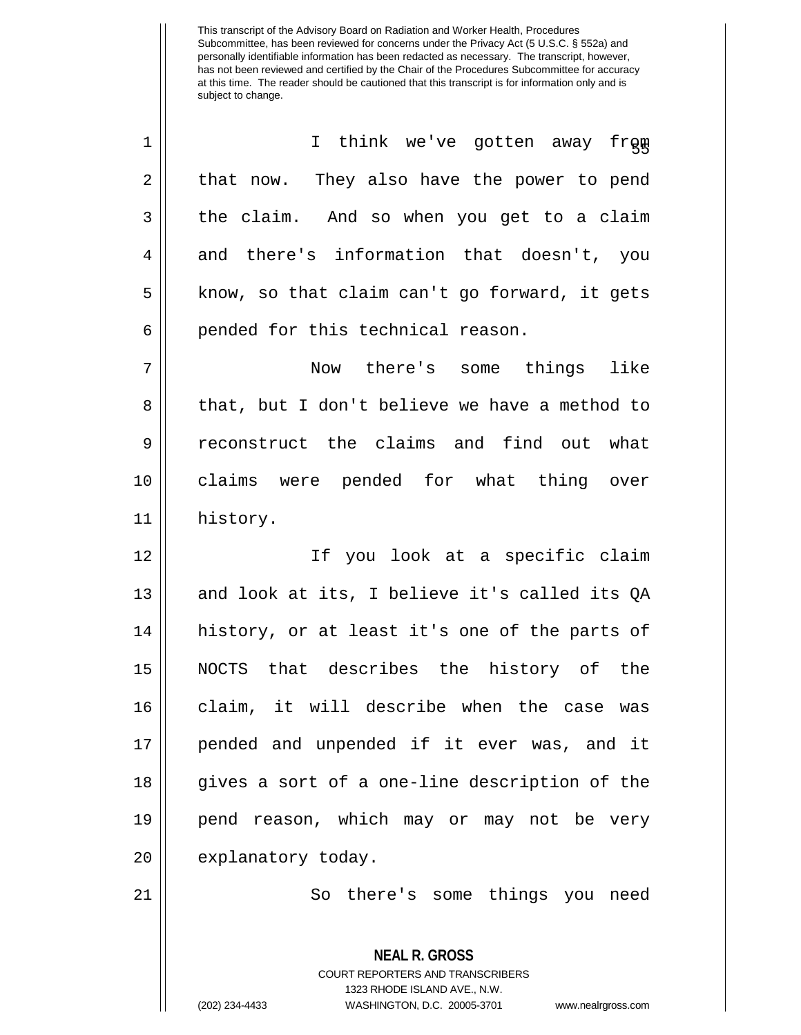| $\mathbf 1$ | I think we've gotten away from                                                                  |
|-------------|-------------------------------------------------------------------------------------------------|
| 2           | that now. They also have the power to pend                                                      |
| 3           | the claim. And so when you get to a claim                                                       |
| 4           | and there's information that doesn't, you                                                       |
| 5           | know, so that claim can't go forward, it gets                                                   |
| 6           | pended for this technical reason.                                                               |
| 7           | Now there's some things like                                                                    |
| 8           | that, but I don't believe we have a method to                                                   |
| 9           | reconstruct the claims and find out what                                                        |
| 10          | claims were pended for what thing over                                                          |
| 11          | history.                                                                                        |
| 12          | If you look at a specific claim                                                                 |
| 13          | and look at its, I believe it's called its QA                                                   |
| 14          | history, or at least it's one of the parts of                                                   |
| 15          | NOCTS that describes the history of the                                                         |
| 16          | claim, it will describe when the case was                                                       |
| 17          | pended and unpended if it ever was, and it                                                      |
| 18          | gives a sort of a one-line description of the                                                   |
| 19          | pend reason, which may or may not be very                                                       |
| 20          | explanatory today.                                                                              |
| 21          | So there's some things you need                                                                 |
|             | <b>NEAL R. GROSS</b><br><b>COURT REPORTERS AND TRANSCRIBERS</b><br>1323 RHODE ISLAND AVE., N.W. |

 $\mathop{||}$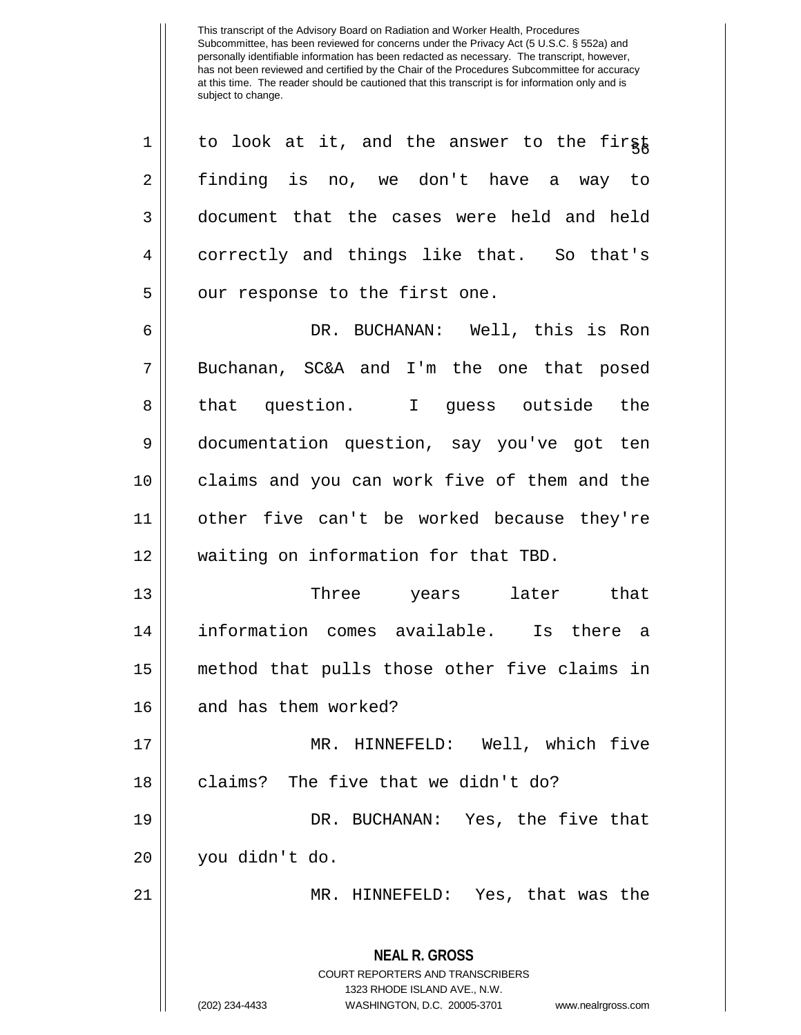$1 ||$  to look at it, and the answer to the first 2 finding is no, we don't have a way to 3 document that the cases were held and held 4 correctly and things like that. So that's 5 | our response to the first one.

6 DR. BUCHANAN: Well, this is Ron 7 || Buchanan, SC&A and I'm the one that posed 8 || that question. I quess outside the 9 documentation question, say you've got ten 10 || claims and you can work five of them and the 11 other five can't be worked because they're 12 || waiting on information for that TBD.

 Three years later that information comes available. Is there a method that pulls those other five claims in 16 || and has them worked?

 MR. HINNEFELD: Well, which five 18 || claims? The five that we didn't do? DR. BUCHANAN: Yes, the five that you didn't do.

21 MR. HINNEFELD: Yes, that was the

## **NEAL R. GROSS** COURT REPORTERS AND TRANSCRIBERS

1323 RHODE ISLAND AVE., N.W.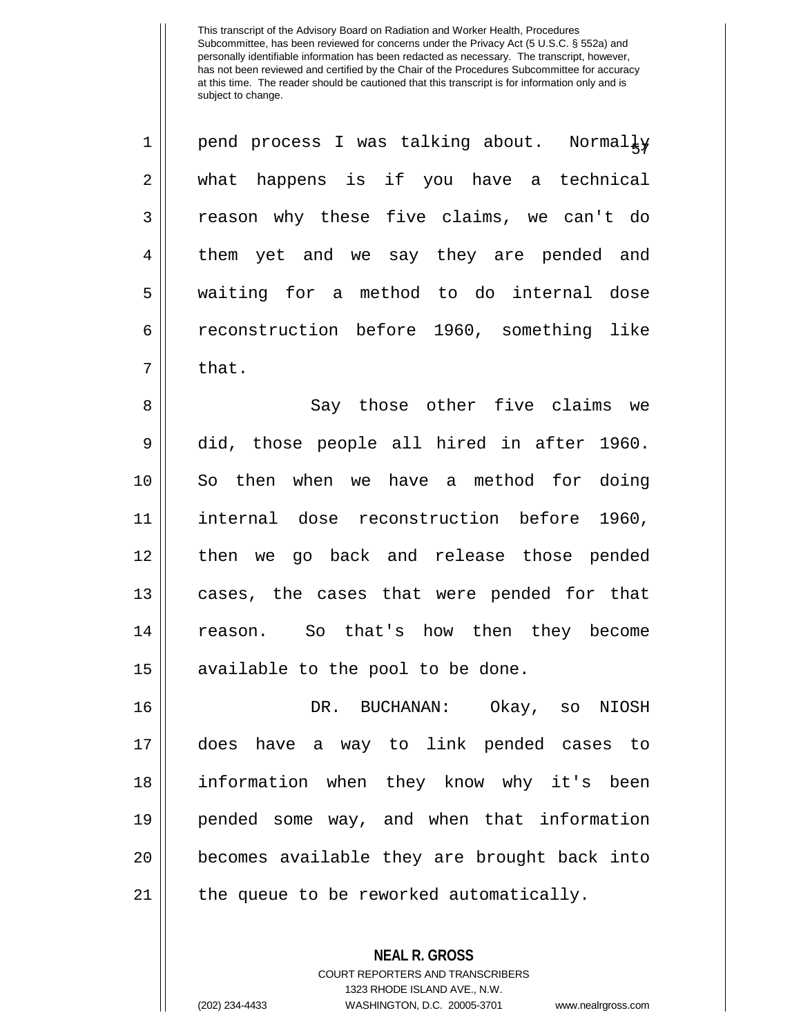| $\mathbf 1$    | pend process I was talking about. Normally |
|----------------|--------------------------------------------|
| $\overline{a}$ | what happens is if you have a technical    |
| $\mathbf{3}$   | reason why these five claims, we can't do  |
| $\overline{4}$ | them yet and we say they are pended and    |
| 5              | waiting for a method to do internal dose   |
| 6              | reconstruction before 1960, something like |
| 7              | that.                                      |

 Say those other five claims we did, those people all hired in after 1960. So then when we have a method for doing internal dose reconstruction before 1960, then we go back and release those pended 13 || cases, the cases that were pended for that 14 || reason. So that's how then they become || available to the pool to be done.

 DR. BUCHANAN: Okay, so NIOSH does have a way to link pended cases to information when they know why it's been pended some way, and when that information becomes available they are brought back into || the queue to be reworked automatically.

> **NEAL R. GROSS** COURT REPORTERS AND TRANSCRIBERS 1323 RHODE ISLAND AVE., N.W. (202) 234-4433 WASHINGTON, D.C. 20005-3701 www.nealrgross.com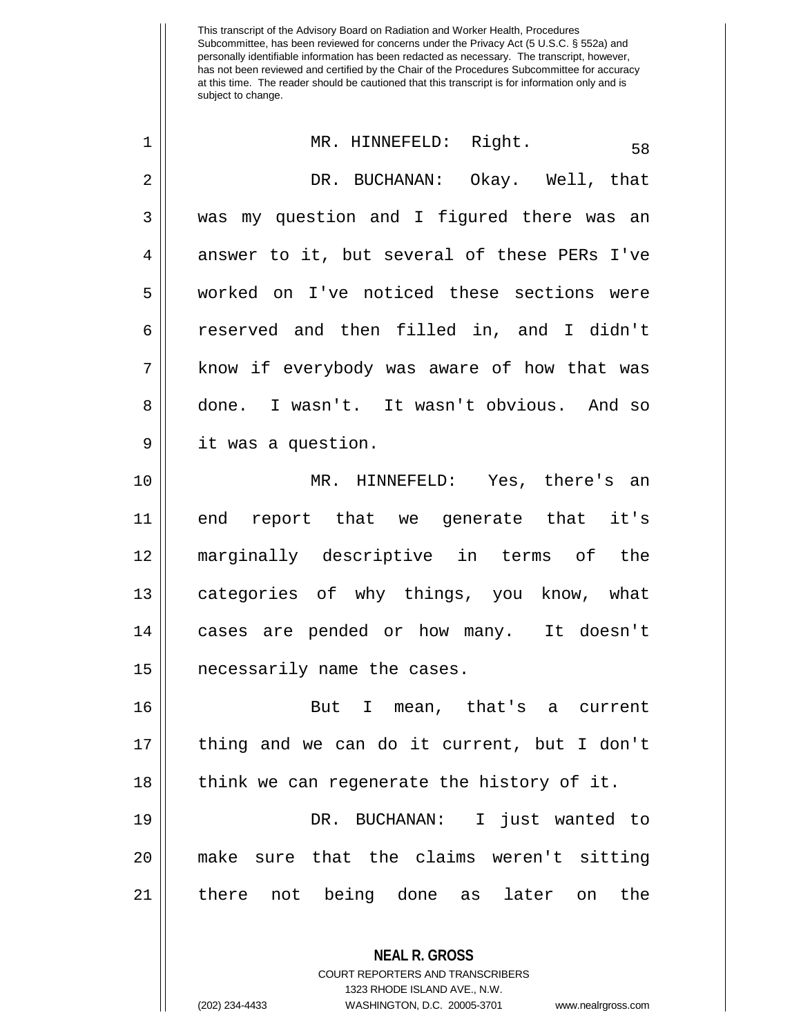| 1              | MR. HINNEFELD: Right.<br>58                  |
|----------------|----------------------------------------------|
| $\overline{2}$ | DR. BUCHANAN: Okay. Well, that               |
| 3              | was my question and I figured there was an   |
| 4              | answer to it, but several of these PERs I've |
| 5              | worked on I've noticed these sections were   |
| 6              | reserved and then filled in, and I didn't    |
| 7              | know if everybody was aware of how that was  |
| 8              | done. I wasn't. It wasn't obvious. And so    |
| $\mathsf 9$    | it was a question.                           |
| 10             | MR. HINNEFELD: Yes, there's an               |
| 11             | end report that we generate that it's        |
| 12             | marginally descriptive in terms of the       |
| 13             | categories of why things, you know, what     |
| 14             | cases are pended or how many. It doesn't     |
| 15             | necessarily name the cases.                  |
| 16             | I mean, that's a current<br>But              |
| 17             | thing and we can do it current, but I don't  |
| 18             | think we can regenerate the history of it.   |
| 19             | DR. BUCHANAN: I just wanted to               |
| 20             | make sure that the claims weren't sitting    |
| 21             | there not being done as later on<br>the      |
|                | <b>NEAL R. GROSS</b>                         |

COURT REPORTERS AND TRANSCRIBERS 1323 RHODE ISLAND AVE., N.W.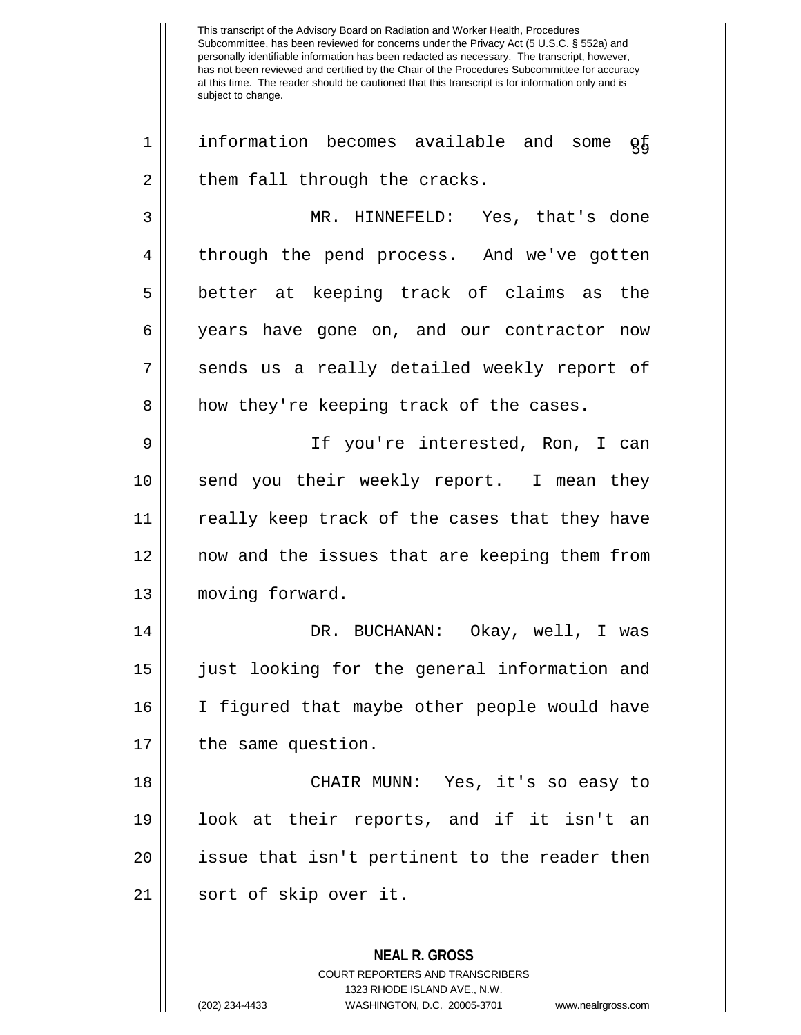This transcript of the Advisory Board on Radiation and Worker Health, Procedures Subcommittee, has been reviewed for concerns under the Privacy Act (5 U.S.C. § 552a) and personally identifiable information has been redacted as necessary. The transcript, however, has not been reviewed and certified by the Chair of the Procedures Subcommittee for accuracy at this time. The reader should be cautioned that this transcript is for information only and is subject to change. **NEAL R. GROSS**  $1$  | information becomes available and some  $\varrho_5$  $2 \parallel$  them fall through the cracks. 3 MR. HINNEFELD: Yes, that's done 4 || through the pend process. And we've gotten 5 better at keeping track of claims as the 6 years have gone on, and our contractor now 7 || sends us a really detailed weekly report of 8 || how they're keeping track of the cases. 9 If you're interested, Ron, I can 10 || send you their weekly report. I mean they 11 really keep track of the cases that they have 12 now and the issues that are keeping them from 13 || moving forward. 14 DR. BUCHANAN: Okay, well, I was 15 just looking for the general information and 16 I figured that maybe other people would have 17 || the same question. 18 CHAIR MUNN: Yes, it's so easy to 19 look at their reports, and if it isn't an 20 || issue that isn't pertinent to the reader then 21 || sort of skip over it.

> COURT REPORTERS AND TRANSCRIBERS 1323 RHODE ISLAND AVE., N.W.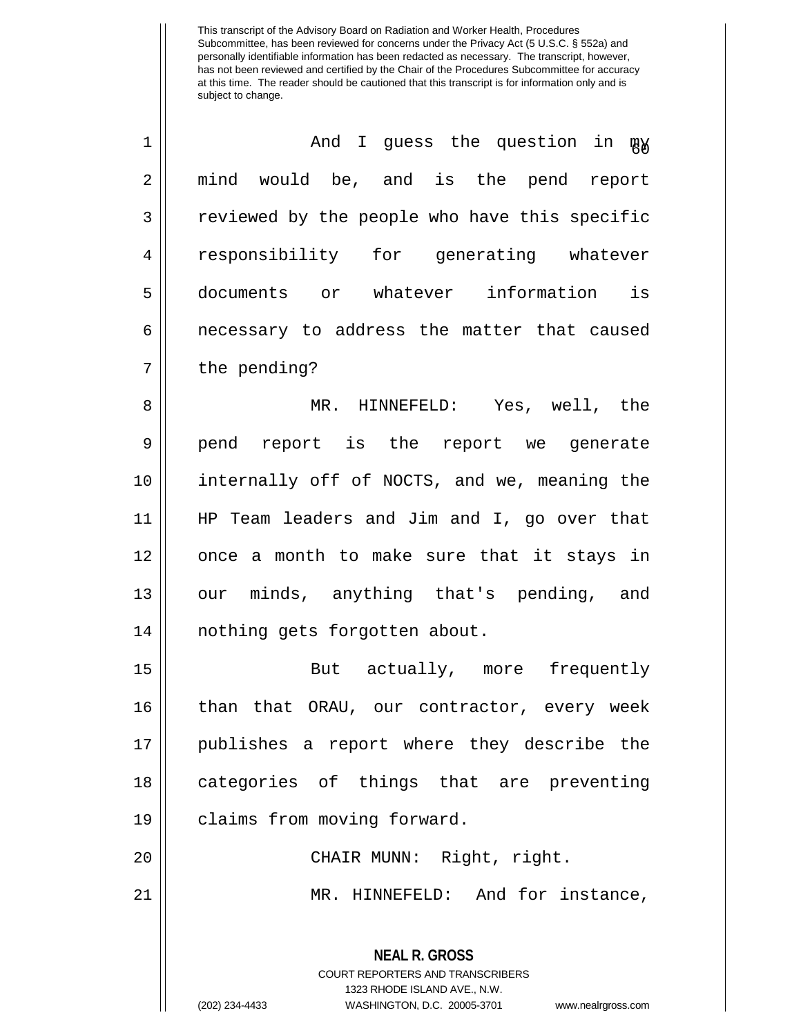| $\mathbf 1$    | And I guess the question in my                                                                  |
|----------------|-------------------------------------------------------------------------------------------------|
| $\overline{2}$ | mind would be, and is the pend report                                                           |
| 3              | reviewed by the people who have this specific                                                   |
| 4              | responsibility for generating whatever                                                          |
| 5              | documents or whatever information is                                                            |
| $\epsilon$     | necessary to address the matter that caused                                                     |
| 7              | the pending?                                                                                    |
| 8              | MR. HINNEFELD: Yes, well, the                                                                   |
| 9              | pend report is the report we generate                                                           |
| 10             | internally off of NOCTS, and we, meaning the                                                    |
| 11             | HP Team leaders and Jim and I, go over that                                                     |
| 12             | once a month to make sure that it stays in                                                      |
| 13             | our minds, anything that's pending, and                                                         |
| 14             | nothing gets forgotten about.                                                                   |
| 15             | But actually, more frequently                                                                   |
| 16             | than that ORAU, our contractor, every week                                                      |
| 17             | publishes a report where they describe the                                                      |
| 18             | categories of things that are preventing                                                        |
| 19             | claims from moving forward.                                                                     |
| 20             | CHAIR MUNN: Right, right.                                                                       |
| 21             | MR. HINNEFELD: And for instance,                                                                |
|                | <b>NEAL R. GROSS</b><br><b>COURT REPORTERS AND TRANSCRIBERS</b><br>1323 RHODE ISLAND AVE., N.W. |

 $\mathop{||}$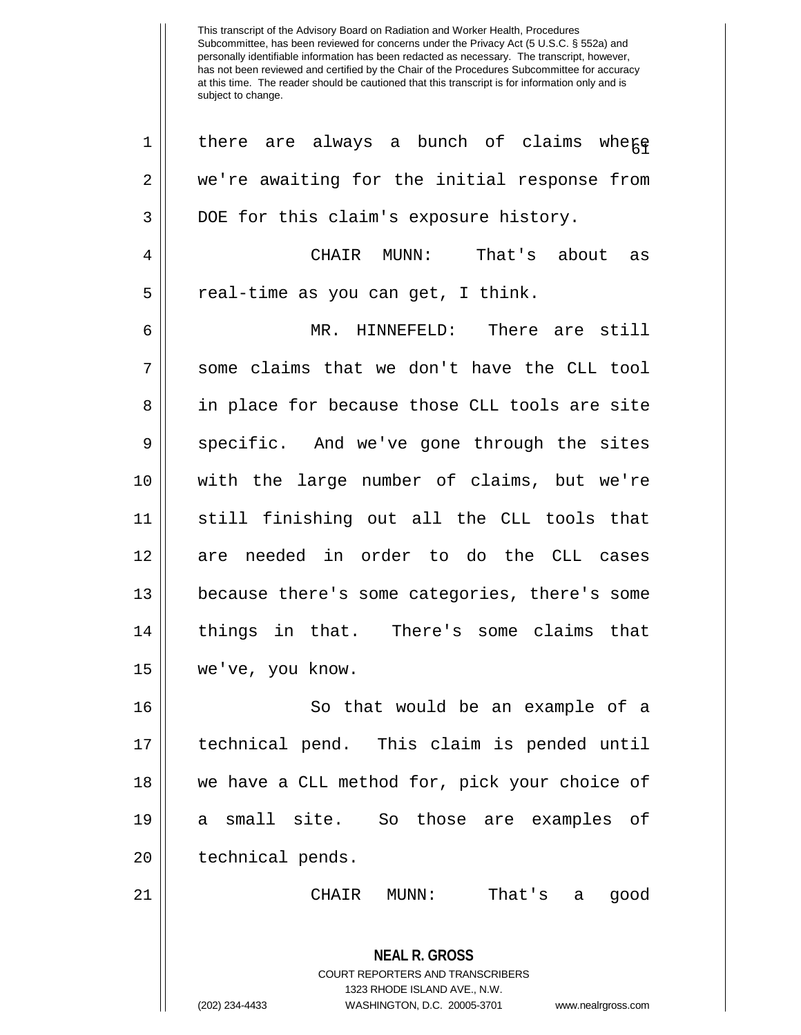| 1  | there are always a bunch of claims where                                                        |
|----|-------------------------------------------------------------------------------------------------|
| 2  | we're awaiting for the initial response from                                                    |
| 3  | DOE for this claim's exposure history.                                                          |
| 4  | CHAIR MUNN:<br>That's about as                                                                  |
| 5  | real-time as you can get, I think.                                                              |
| 6  | MR. HINNEFELD: There are still                                                                  |
| 7  | some claims that we don't have the CLL tool                                                     |
| 8  | in place for because those CLL tools are site                                                   |
| 9  | specific. And we've gone through the sites                                                      |
| 10 | with the large number of claims, but we're                                                      |
| 11 | still finishing out all the CLL tools that                                                      |
| 12 | are needed in order to do the CLL cases                                                         |
| 13 | because there's some categories, there's some                                                   |
| 14 | things in that. There's some claims that                                                        |
| 15 | we've, you know.                                                                                |
| 16 | So that would be an example of a                                                                |
| 17 | technical pend. This claim is pended until                                                      |
| 18 | we have a CLL method for, pick your choice of                                                   |
| 19 | a small site. So those are examples of                                                          |
| 20 | technical pends.                                                                                |
| 21 | That's<br>CHAIR<br>MUNN:<br>good<br>a                                                           |
|    | <b>NEAL R. GROSS</b><br><b>COURT REPORTERS AND TRANSCRIBERS</b><br>1323 RHODE ISLAND AVE., N.W. |
|    | (202) 234-4433<br>WASHINGTON, D.C. 20005-3701<br>www.nealrgross.com                             |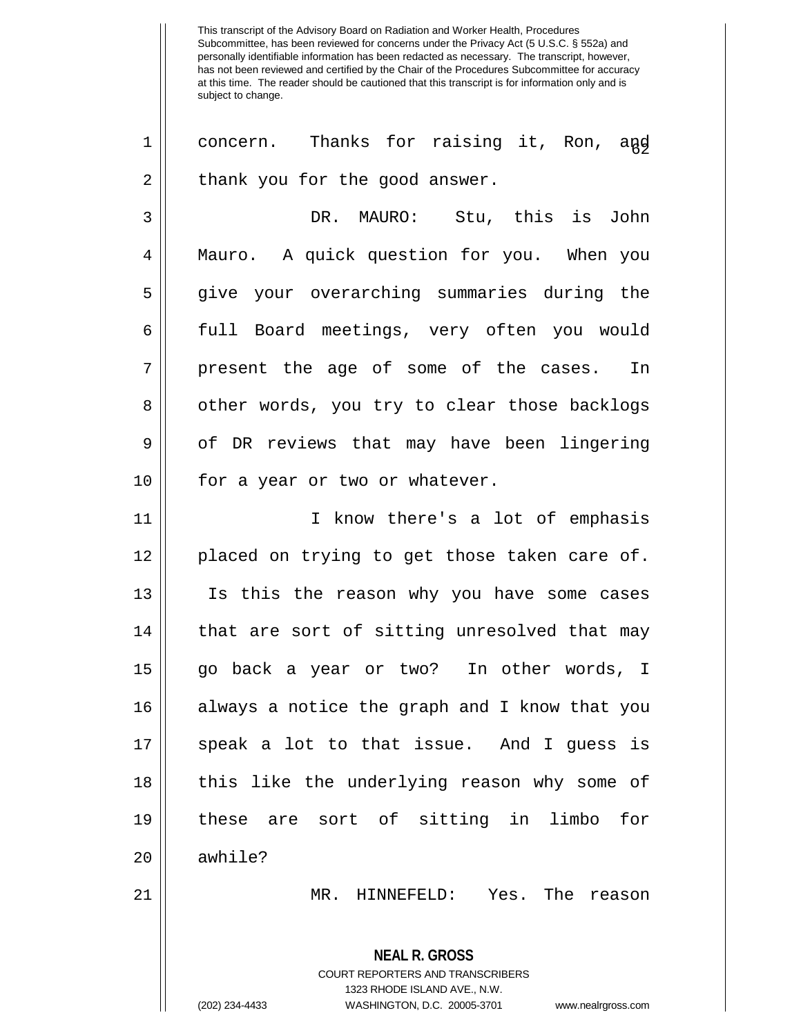1 || concern. Thanks for raising it, Ron, and  $2 \parallel$  thank you for the good answer.

3 DR. MAURO: Stu, this is John 4 Mauro. A quick question for you. When you 5 give your overarching summaries during the 6 full Board meetings, very often you would 7 || present the age of some of the cases. In 8 | other words, you try to clear those backlogs 9 | of DR reviews that may have been lingering 10 || for a year or two or whatever.

11 || T know there's a lot of emphasis 12 || placed on trying to get those taken care of. Is this the reason why you have some cases | that are sort of sitting unresolved that may go back a year or two? In other words, I always a notice the graph and I know that you speak a lot to that issue. And I guess is 18 || this like the underlying reason why some of these are sort of sitting in limbo for 20 l awhile? MR. HINNEFELD: Yes. The reason

> **NEAL R. GROSS** COURT REPORTERS AND TRANSCRIBERS 1323 RHODE ISLAND AVE., N.W. (202) 234-4433 WASHINGTON, D.C. 20005-3701 www.nealrgross.com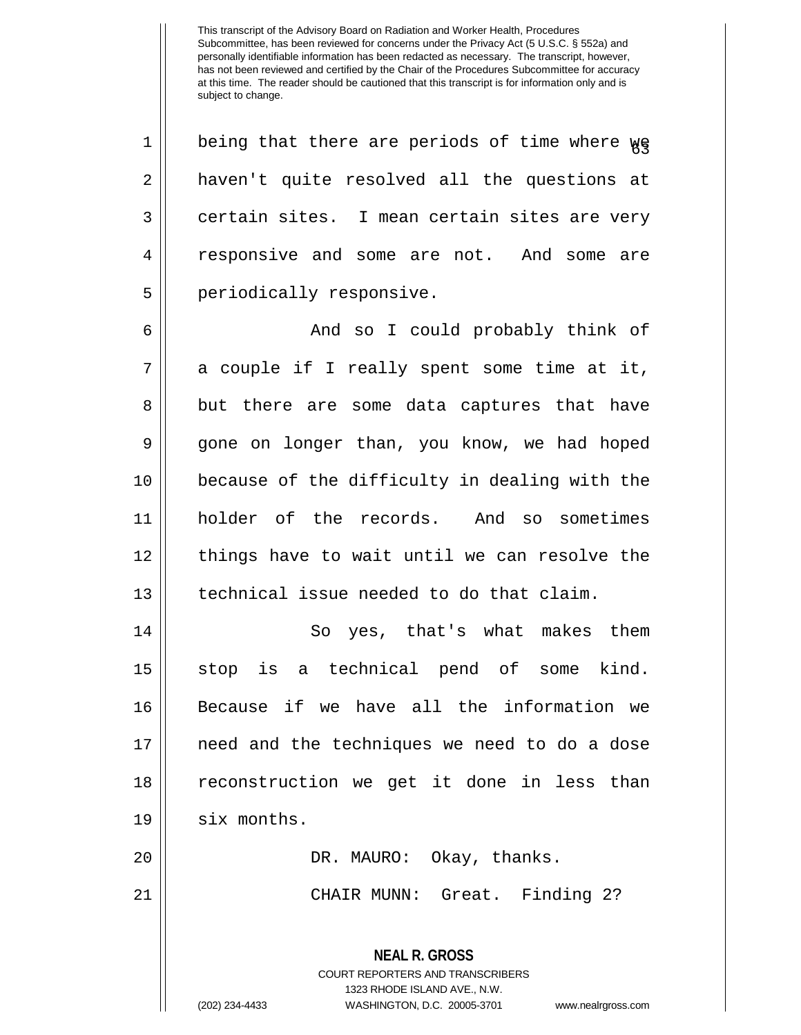$1 ||$  being that there are periods of time where  $\gamma$ 2 || haven't quite resolved all the questions at  $3 \parallel$  certain sites. I mean certain sites are very 4 || responsive and some are not. And some are 5 || periodically responsive.

6 And so I could probably think of  $7 \parallel$  a couple if I really spent some time at it, 8 || but there are some data captures that have 9 gone on longer than, you know, we had hoped 10 || because of the difficulty in dealing with the 11 holder of the records. And so sometimes 12 || things have to wait until we can resolve the 13 technical issue needed to do that claim.

14 || So yes, that's what makes them 15 || stop is a technical pend of some kind. 16 Because if we have all the information we 17 need and the techniques we need to do a dose 18 reconstruction we get it done in less than  $19 \parallel$  six months. 20 DR. MAURO: Okay, thanks.

21 CHAIR MUNN: Great. Finding 2?

**NEAL R. GROSS** COURT REPORTERS AND TRANSCRIBERS 1323 RHODE ISLAND AVE., N.W. (202) 234-4433 WASHINGTON, D.C. 20005-3701 www.nealrgross.com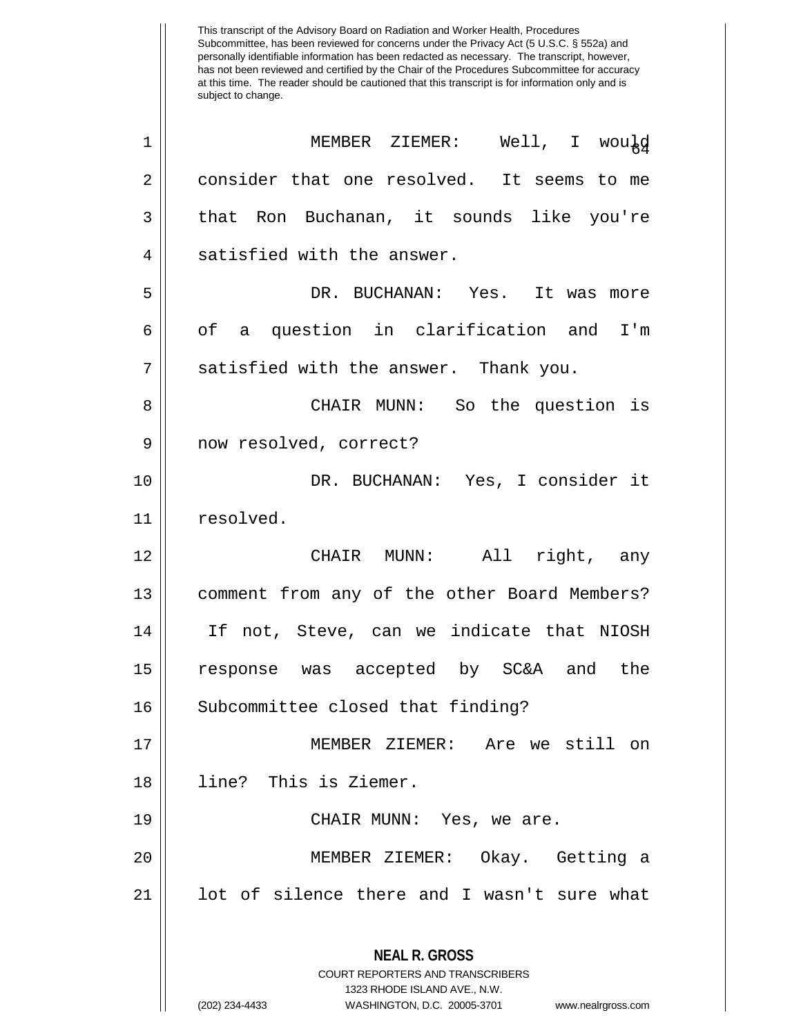| 1              | MEMBER ZIEMER: Well, I would                                                                    |
|----------------|-------------------------------------------------------------------------------------------------|
| $\overline{2}$ | consider that one resolved. It seems to me                                                      |
| 3              | that Ron Buchanan, it sounds like you're                                                        |
| $\overline{4}$ | satisfied with the answer.                                                                      |
| 5              | DR. BUCHANAN: Yes. It was more                                                                  |
| 6              | of a question in clarification and I'm                                                          |
| 7              | satisfied with the answer. Thank you.                                                           |
| 8              | CHAIR MUNN: So the question is                                                                  |
| 9              | now resolved, correct?                                                                          |
| 10             | DR. BUCHANAN: Yes, I consider it                                                                |
| 11             | resolved.                                                                                       |
| 12             | CHAIR MUNN: All right, any                                                                      |
| 13             | comment from any of the other Board Members?                                                    |
| 14             | If not, Steve, can we indicate that NIOSH                                                       |
| 15             | response was accepted by SC&A and the                                                           |
| 16             | Subcommittee closed that finding?                                                               |
| 17             | MEMBER ZIEMER: Are we still on                                                                  |
| 18             | line? This is Ziemer.                                                                           |
| 19             | CHAIR MUNN: Yes, we are.                                                                        |
| 20             | MEMBER ZIEMER: Okay. Getting a                                                                  |
| 21             | lot of silence there and I wasn't sure what                                                     |
|                | <b>NEAL R. GROSS</b><br><b>COURT REPORTERS AND TRANSCRIBERS</b><br>1323 RHODE ISLAND AVE., N.W. |
|                | (202) 234-4433<br>WASHINGTON, D.C. 20005-3701<br>www.nealrgross.com                             |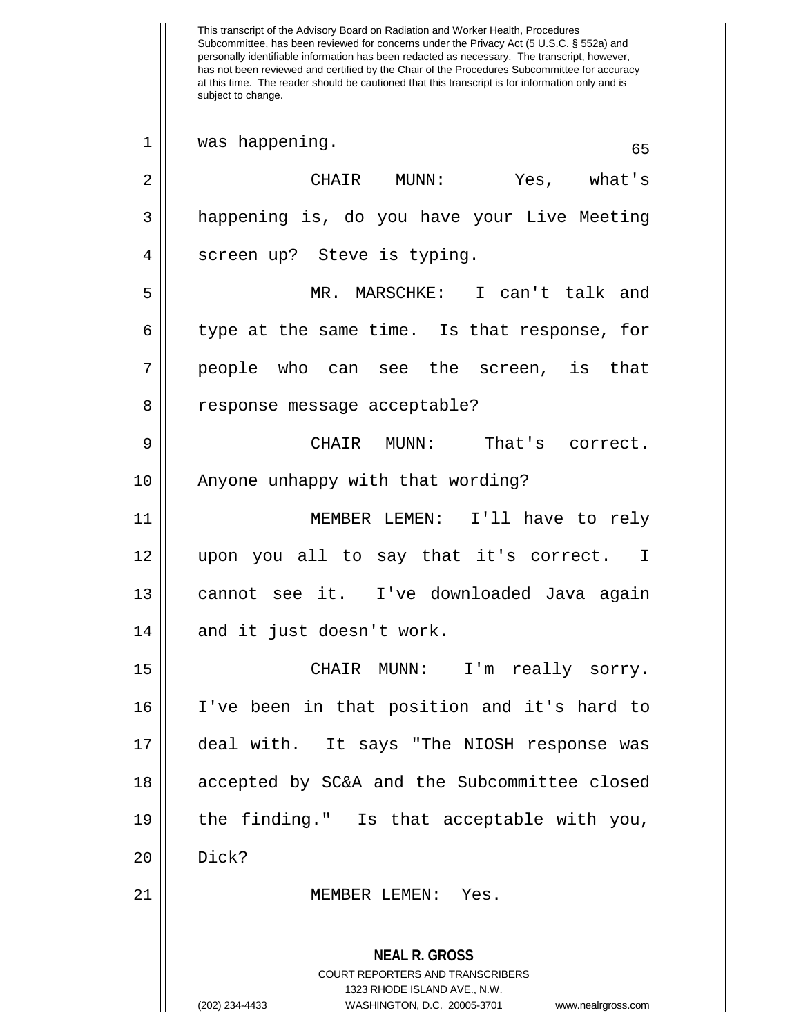This transcript of the Advisory Board on Radiation and Worker Health, Procedures Subcommittee, has been reviewed for concerns under the Privacy Act (5 U.S.C. § 552a) and personally identifiable information has been redacted as necessary. The transcript, however, has not been reviewed and certified by the Chair of the Procedures Subcommittee for accuracy at this time. The reader should be cautioned that this transcript is for information only and is subject to change. **NEAL R. GROSS** COURT REPORTERS AND TRANSCRIBERS 1323 RHODE ISLAND AVE., N.W. (202) 234-4433 WASHINGTON, D.C. 20005-3701 www.nealrgross.com 1 was happening. (65) 2 CHAIR MUNN: Yes, what's 3 happening is, do you have your Live Meeting 4 || screen up? Steve is typing. 5 MR. MARSCHKE: I can't talk and  $6 \parallel$  type at the same time. Is that response, for 7 people who can see the screen, is that 8 || response message acceptable? 9 CHAIR MUNN: That's correct. 10 || Anyone unhappy with that wording? 11 MEMBER LEMEN: I'll have to rely 12 upon you all to say that it's correct. I 13 cannot see it. I've downloaded Java again  $14$  || and it just doesn't work. 15 CHAIR MUNN: I'm really sorry. 16 I've been in that position and it's hard to 17 deal with. It says "The NIOSH response was 18 accepted by SC&A and the Subcommittee closed 19 the finding." Is that acceptable with you,  $20$  Dick? 21 MEMBER LEMEN: Yes.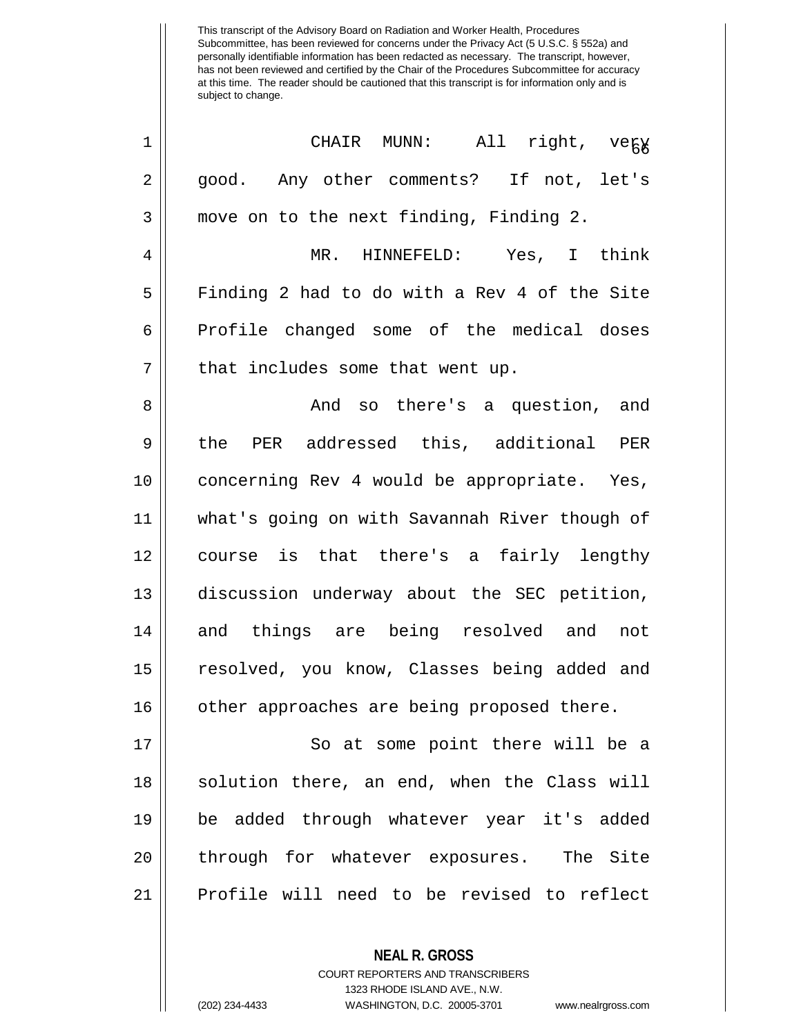| $\mathbf 1$    | CHAIR MUNN: All right, vegy                   |
|----------------|-----------------------------------------------|
| $\overline{2}$ | good. Any other comments? If not, let's       |
| 3              | move on to the next finding, Finding 2.       |
| 4              | MR. HINNEFELD: Yes, I think                   |
| 5              | Finding 2 had to do with a Rev 4 of the Site  |
| 6              | Profile changed some of the medical doses     |
| 7              | that includes some that went up.              |
| 8              | And so there's a question, and                |
| 9              | the PER addressed this, additional PER        |
| 10             | concerning Rev 4 would be appropriate. Yes,   |
| 11             | what's going on with Savannah River though of |
| 12             | course is that there's a fairly lengthy       |
| 13             | discussion underway about the SEC petition,   |
| 14             | and things are being resolved and not         |
| 15             | resolved, you know, Classes being added and   |
| 16             | other approaches are being proposed there.    |
| 17             | So at some point there will be a              |
| 18             | solution there, an end, when the Class will   |
| 19             | be added through whatever year it's added     |
| 20             | through for whatever exposures. The Site      |
| 21             | Profile will need to be revised to reflect    |
|                |                                               |

**NEAL R. GROSS** COURT REPORTERS AND TRANSCRIBERS 1323 RHODE ISLAND AVE., N.W. (202) 234-4433 WASHINGTON, D.C. 20005-3701 www.nealrgross.com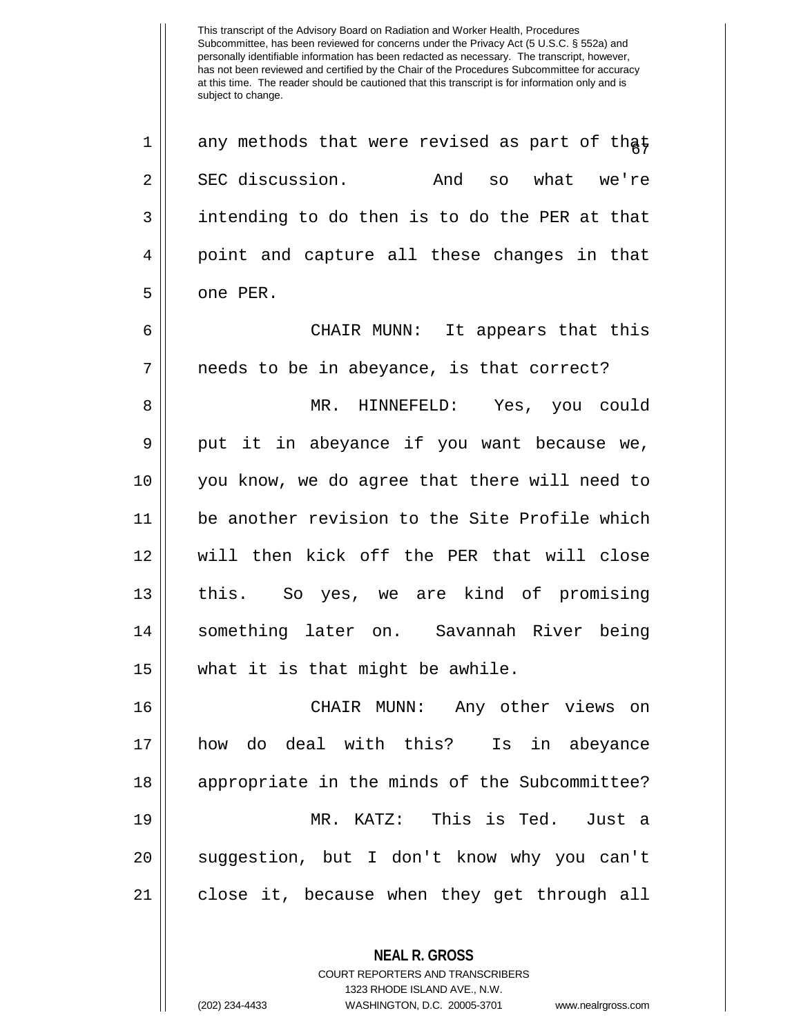$1 ||$  any methods that were revised as part of that 2 SEC discussion. And so what we're  $3 \parallel$  intending to do then is to do the PER at that 4 || point and capture all these changes in that 5 | one PER.

6 CHAIR MUNN: It appears that this  $7 \parallel$  needs to be in abeyance, is that correct?

 MR. HINNEFELD: Yes, you could 9 put it in abeyance if you want because we, you know, we do agree that there will need to be another revision to the Site Profile which will then kick off the PER that will close this. So yes, we are kind of promising something later on. Savannah River being what it is that might be awhile.

 CHAIR MUNN: Any other views on how do deal with this? Is in abeyance 18 || appropriate in the minds of the Subcommittee? MR. KATZ: This is Ted. Just a 20 || suggestion, but I don't know why you can't close it, because when they get through all

> COURT REPORTERS AND TRANSCRIBERS 1323 RHODE ISLAND AVE., N.W.

**NEAL R. GROSS**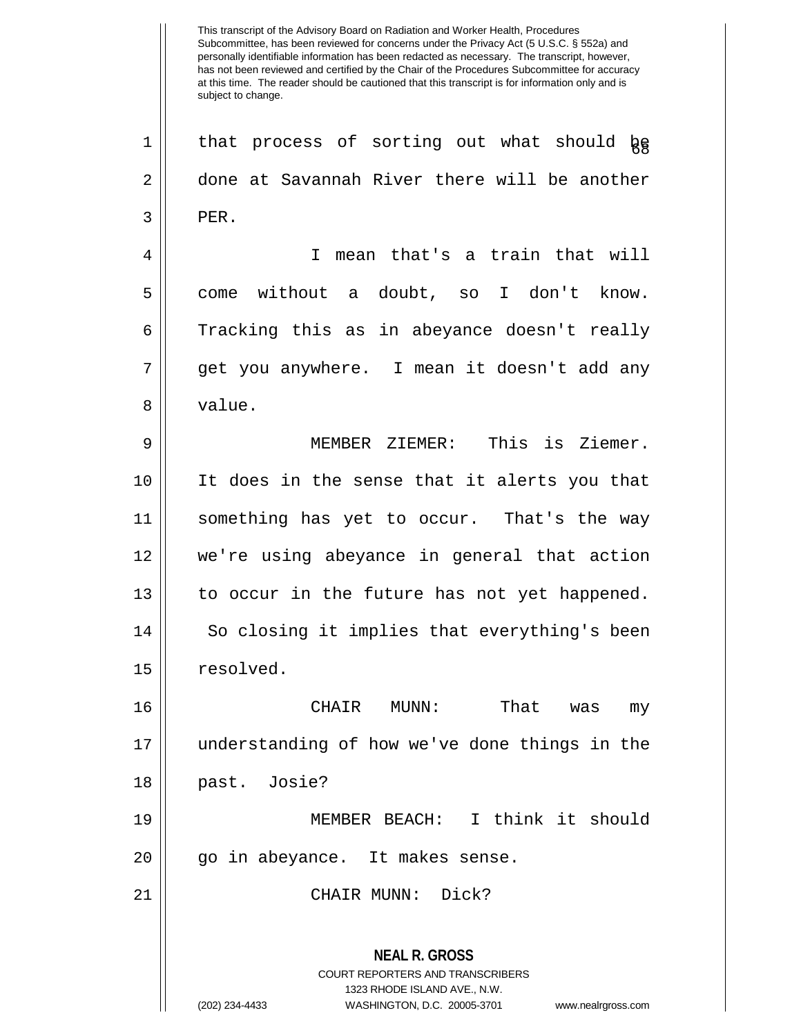**NEAL R. GROSS** COURT REPORTERS AND TRANSCRIBERS 1323 RHODE ISLAND AVE., N.W.  $1 ||$  that process of sorting out what should  $\log$ 2 done at Savannah River there will be another  $3$   $\parallel$  PER. 4 I mean that's a train that will 5 come without a doubt, so I don't know.  $6 \parallel$  Tracking this as in abeyance doesn't really 7 get you anywhere. I mean it doesn't add any 8 value. 9 MEMBER ZIEMER: This is Ziemer. 10 It does in the sense that it alerts you that 11 something has yet to occur. That's the way 12 we're using abeyance in general that action 13 || to occur in the future has not yet happened. 14 || So closing it implies that everything's been 15 | resolved. 16 CHAIR MUNN: That was my 17 understanding of how we've done things in the 18 past. Josie? 19 MEMBER BEACH: I think it should 20 || go in abeyance. It makes sense. 21 CHAIR MUNN: Dick?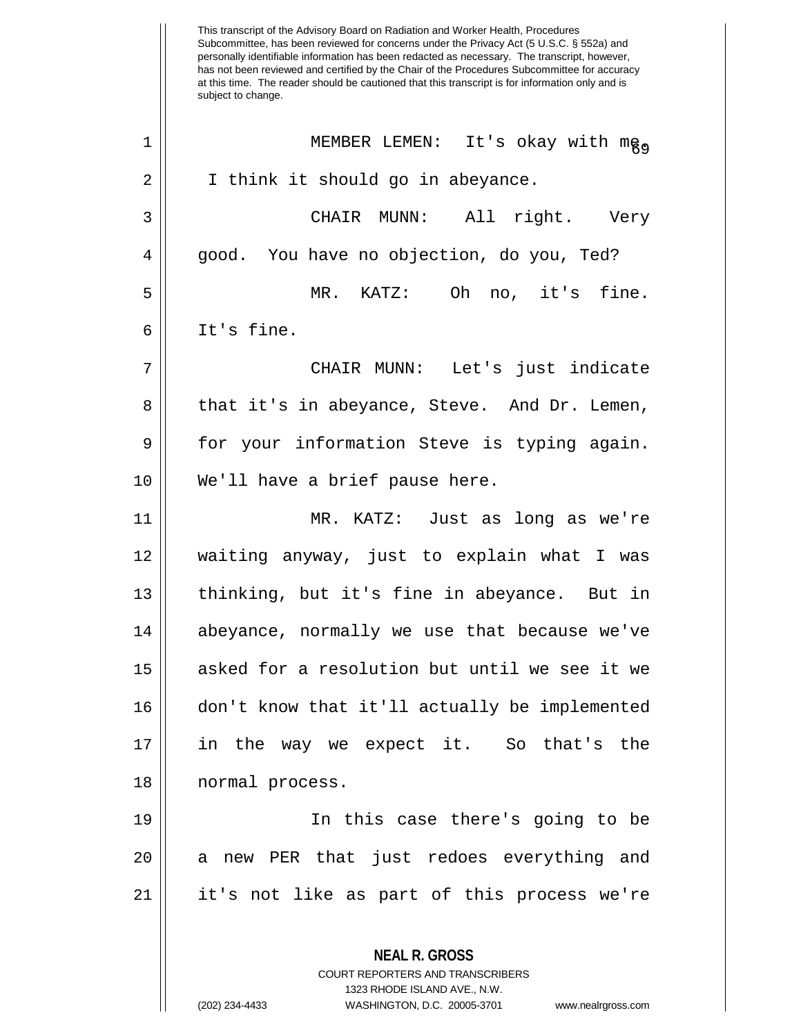This transcript of the Advisory Board on Radiation and Worker Health, Procedures Subcommittee, has been reviewed for concerns under the Privacy Act (5 U.S.C. § 552a) and personally identifiable information has been redacted as necessary. The transcript, however, has not been reviewed and certified by the Chair of the Procedures Subcommittee for accuracy at this time. The reader should be cautioned that this transcript is for information only and is subject to change. **NEAL R. GROSS** COURT REPORTERS AND TRANSCRIBERS 1323 RHODE ISLAND AVE., N.W. <sup>69</sup> <sup>1</sup> MEMBER LEMEN: It's okay with me. 2 | I think it should go in abeyance. 3 CHAIR MUNN: All right. Very 4 || good. You have no objection, do you, Ted? 5 MR. KATZ: Oh no, it's fine. 6 It's fine. 7 CHAIR MUNN: Let's just indicate 8 that it's in abeyance, Steve. And Dr. Lemen, 9 || for your information Steve is typing again. 10 || We'll have a brief pause here. 11 MR. KATZ: Just as long as we're 12 waiting anyway, just to explain what I was 13 || thinking, but it's fine in abeyance. But in 14 || abeyance, normally we use that because we've 15 || asked for a resolution but until we see it we 16 don't know that it'll actually be implemented 17 in the way we expect it. So that's the 18 || normal process. 19 In this case there's going to be 20 || a new PER that just redoes everything and 21 it's not like as part of this process we're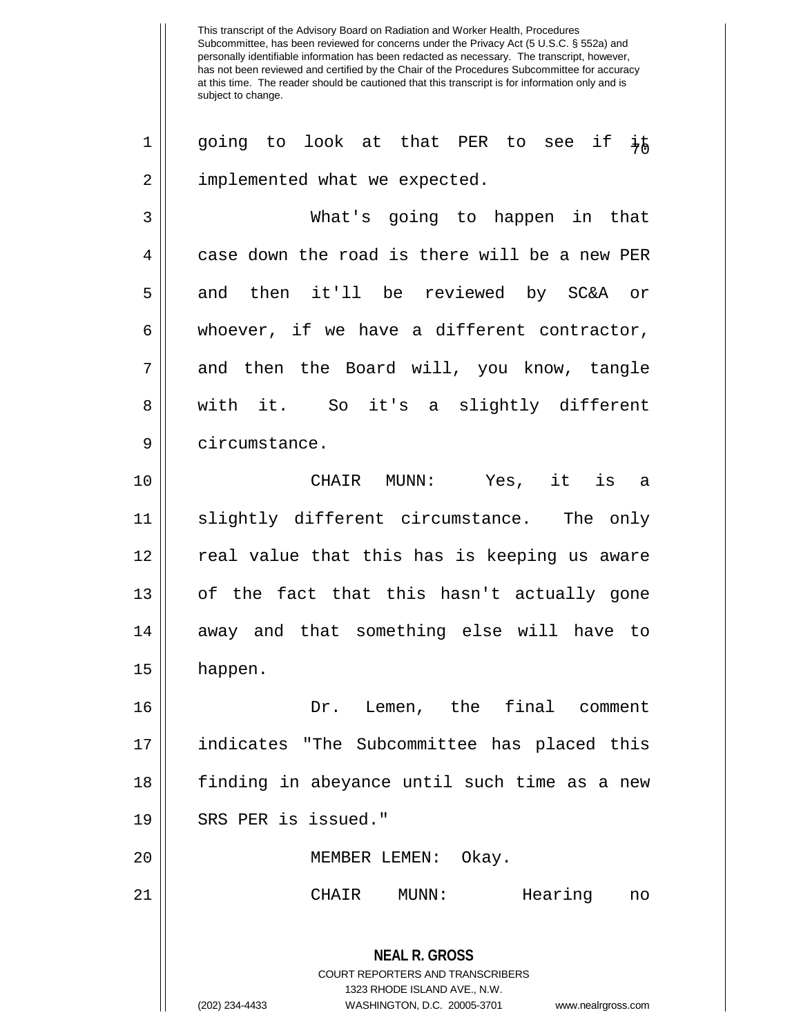1 || going to look at that PER to see if  $\frac{1}{4}$ 2 | implemented what we expected.

3 What's going to happen in that  $4 \parallel$  case down the road is there will be a new PER 5 and then it'll be reviewed by SC&A or  $6 \parallel$  whoever, if we have a different contractor, 7 || and then the Board will, you know, tangle 8 || with it. So it's a slightly different 9 | circumstance.

10 CHAIR MUNN: Yes, it is a 11 slightly different circumstance. The only 12 || real value that this has is keeping us aware 13 || of the fact that this hasn't actually gone 14 || away and that something else will have to 15 happen.

16 Dr. Lemen, the final comment 17 indicates "The Subcommittee has placed this 18 finding in abeyance until such time as a new 19 || SRS PER is issued." 20 || MEMBER LEMEN: Okay.

21 CHAIR MUNN: Hearing no

**NEAL R. GROSS** COURT REPORTERS AND TRANSCRIBERS 1323 RHODE ISLAND AVE., N.W. (202) 234-4433 WASHINGTON, D.C. 20005-3701 www.nealrgross.com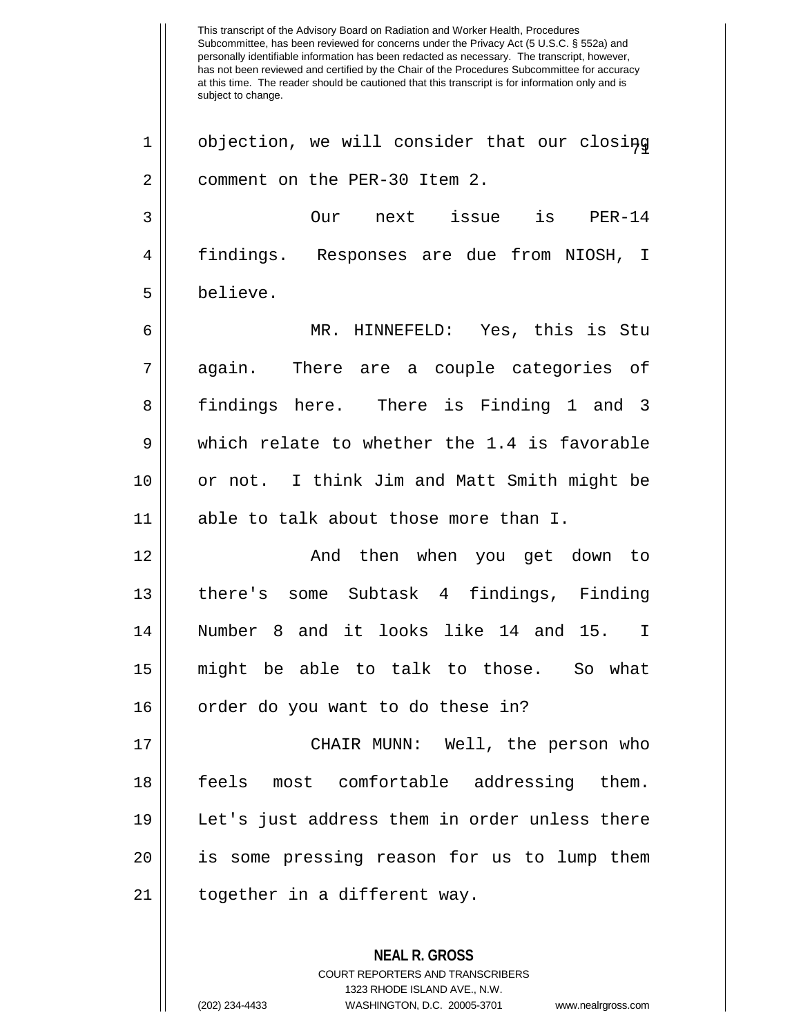This transcript of the Advisory Board on Radiation and Worker Health, Procedures Subcommittee, has been reviewed for concerns under the Privacy Act (5 U.S.C. § 552a) and personally identifiable information has been redacted as necessary. The transcript, however, has not been reviewed and certified by the Chair of the Procedures Subcommittee for accuracy at this time. The reader should be cautioned that this transcript is for information only and is subject to change. **NEAL R. GROSS**  $1 \parallel$  objection, we will consider that our closing 2 | comment on the PER-30 Item 2. 3 Our next issue is PER-14 4 findings. Responses are due from NIOSH, I 5 believe. 6 MR. HINNEFELD: Yes, this is Stu 7 again. There are a couple categories of 8 findings here. There is Finding 1 and 3  $9 \parallel$  which relate to whether the 1.4 is favorable 10 || or not. I think Jim and Matt Smith might be 11 able to talk about those more than I. 12 And then when you get down to 13 there's some Subtask 4 findings, Finding 14 Number 8 and it looks like 14 and 15. I 15 might be able to talk to those. So what 16 || order do you want to do these in? 17 CHAIR MUNN: Well, the person who 18 feels most comfortable addressing them. 19 Let's just address them in order unless there 20 || is some pressing reason for us to lump them 21 || together in a different way.

> COURT REPORTERS AND TRANSCRIBERS 1323 RHODE ISLAND AVE., N.W.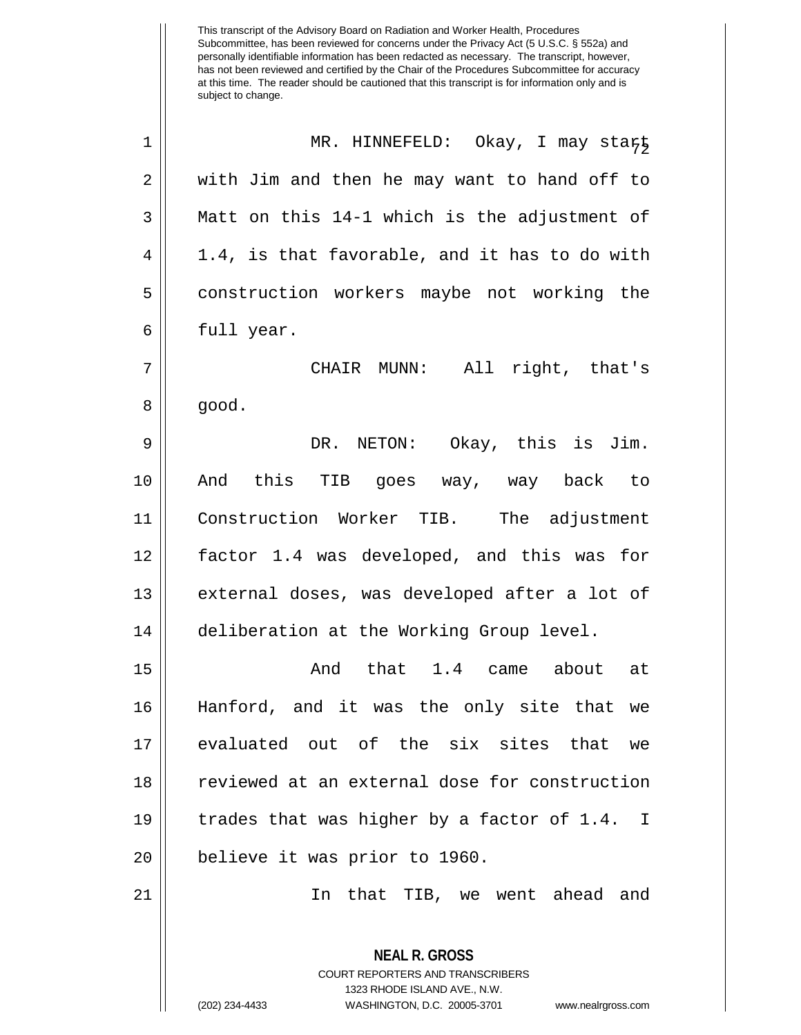| 1              | MR. HINNEFELD: Okay, I may start                                                                                                                                       |
|----------------|------------------------------------------------------------------------------------------------------------------------------------------------------------------------|
| 2              | with Jim and then he may want to hand off to                                                                                                                           |
| $\mathfrak{Z}$ | Matt on this 14-1 which is the adjustment of                                                                                                                           |
| $\overline{4}$ | 1.4, is that favorable, and it has to do with                                                                                                                          |
| 5              | construction workers maybe not working the                                                                                                                             |
| 6              | full year.                                                                                                                                                             |
| 7              | CHAIR MUNN: All right, that's                                                                                                                                          |
| 8              | good.                                                                                                                                                                  |
| 9              | DR. NETON: Okay, this is Jim.                                                                                                                                          |
| 10             | And this TIB goes way, way back to                                                                                                                                     |
| 11             | Construction Worker TIB. The adjustment                                                                                                                                |
| 12             | factor 1.4 was developed, and this was for                                                                                                                             |
| 13             | external doses, was developed after a lot of                                                                                                                           |
| 14             | deliberation at the Working Group level.                                                                                                                               |
| 15             | And that 1.4 came about at                                                                                                                                             |
| 16             | Hanford, and it was the only site that we                                                                                                                              |
| 17             | evaluated out of the six sites that we                                                                                                                                 |
| 18             | reviewed at an external dose for construction                                                                                                                          |
| 19             | trades that was higher by a factor of 1.4.<br>I.                                                                                                                       |
| 20             | believe it was prior to 1960.                                                                                                                                          |
| 21             | In that TIB, we went ahead and                                                                                                                                         |
|                | <b>NEAL R. GROSS</b><br><b>COURT REPORTERS AND TRANSCRIBERS</b><br>1323 RHODE ISLAND AVE., N.W.<br>(202) 234-4433<br>WASHINGTON, D.C. 20005-3701<br>www.nealrgross.com |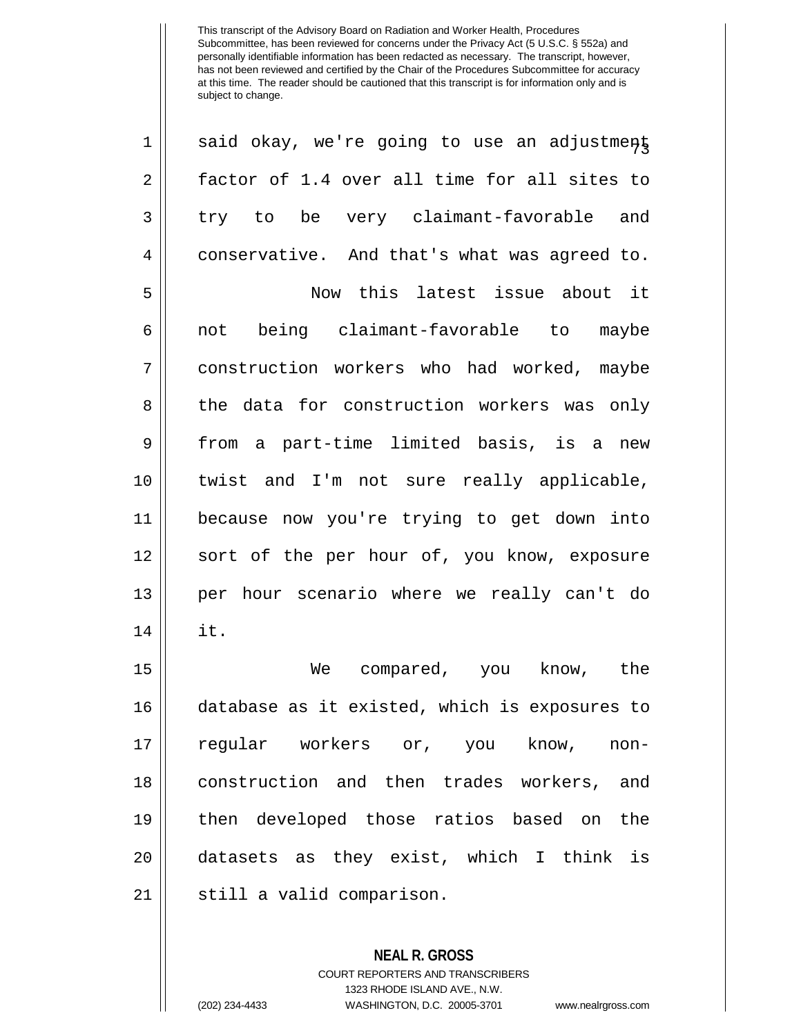| $\mathbf 1$    | said okay, we're going to use an adjustment   |
|----------------|-----------------------------------------------|
| $\overline{2}$ | factor of 1.4 over all time for all sites to  |
| 3              | try to be very claimant-favorable and         |
| 4              | conservative. And that's what was agreed to.  |
| 5              | Now this latest issue about it                |
| 6              | being claimant-favorable to maybe<br>not      |
| 7              | construction workers who had worked, maybe    |
| 8              | the data for construction workers was only    |
| 9              | from a part-time limited basis, is a new      |
| 10             | twist and I'm not sure really applicable,     |
| 11             | because now you're trying to get down into    |
| 12             | sort of the per hour of, you know, exposure   |
| 13             | per hour scenario where we really can't do    |
| 14             | it.                                           |
| 15             | We<br>compared, you know, the                 |
| 16             | database as it existed, which is exposures to |
| 17             | regular workers or, you know, non-            |
| 18             | construction and then trades workers, and     |
| 19             | then developed those ratios based on the      |
| 20             | datasets as they exist, which I think is      |
| 21             | still a valid comparison.                     |
|                |                                               |

**NEAL R. GROSS** COURT REPORTERS AND TRANSCRIBERS 1323 RHODE ISLAND AVE., N.W.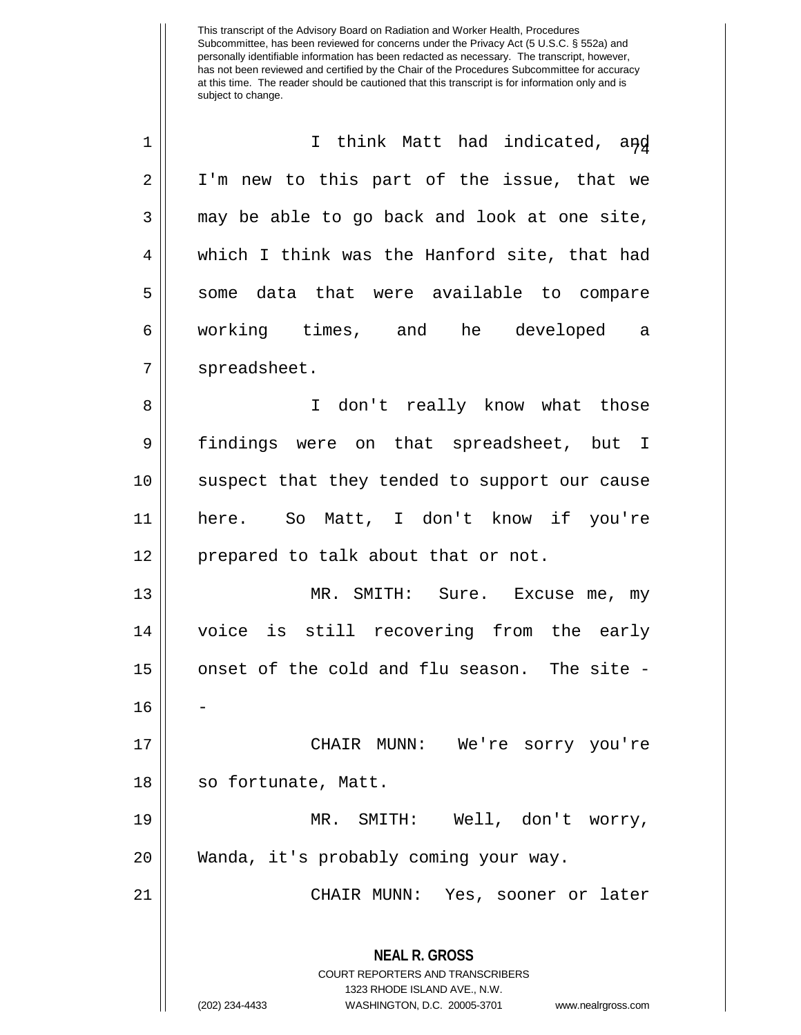| $\mathbf 1$    | I think Matt had indicated, and                                                                                                                                        |
|----------------|------------------------------------------------------------------------------------------------------------------------------------------------------------------------|
| $\overline{2}$ | I'm new to this part of the issue, that we                                                                                                                             |
| 3              | may be able to go back and look at one site,                                                                                                                           |
| 4              | which I think was the Hanford site, that had                                                                                                                           |
| 5              | some data that were available to compare                                                                                                                               |
| 6              | working times, and he developed a                                                                                                                                      |
| 7              | spreadsheet.                                                                                                                                                           |
| 8              | I don't really know what those                                                                                                                                         |
| 9              | findings were on that spreadsheet, but I                                                                                                                               |
| 10             | suspect that they tended to support our cause                                                                                                                          |
| 11             | here. So Matt, I don't know if you're                                                                                                                                  |
| 12             | prepared to talk about that or not.                                                                                                                                    |
| 13             | MR. SMITH: Sure. Excuse me, my                                                                                                                                         |
| 14             | voice is still recovering from the early                                                                                                                               |
| 15             | onset of the cold and flu season. The site -                                                                                                                           |
| 16             |                                                                                                                                                                        |
| 17             | CHAIR MUNN: We're sorry you're                                                                                                                                         |
| 18             | so fortunate, Matt.                                                                                                                                                    |
| 19             | MR. SMITH: Well, don't worry,                                                                                                                                          |
| 20             | Wanda, it's probably coming your way.                                                                                                                                  |
| 21             | CHAIR MUNN: Yes, sooner or later                                                                                                                                       |
|                | <b>NEAL R. GROSS</b><br><b>COURT REPORTERS AND TRANSCRIBERS</b><br>1323 RHODE ISLAND AVE., N.W.<br>(202) 234-4433<br>WASHINGTON, D.C. 20005-3701<br>www.nealrgross.com |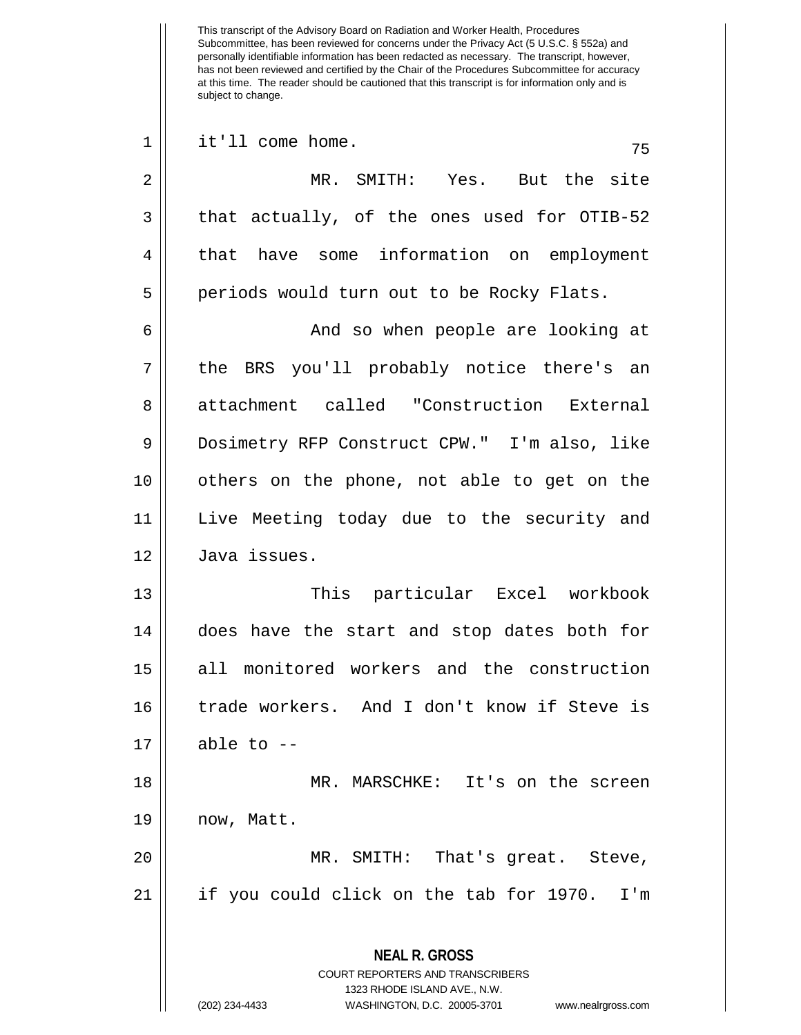Subcommittee, has been reviewed for concerns under the Privacy Act (5 U.S.C. § 552a) and personally identifiable information has been redacted as necessary. The transcript, however, has not been reviewed and certified by the Chair of the Procedures Subcommittee for accuracy at this time. The reader should be cautioned that this transcript is for information only and is subject to change. **NEAL R. GROSS** COURT REPORTERS AND TRANSCRIBERS 1323 RHODE ISLAND AVE., N.W. (202) 234-4433 WASHINGTON, D.C. 20005-3701 www.nealrgross.com  $1 \parallel$  it'll come home.  $75$ 2 MR. SMITH: Yes. But the site  $3 \parallel$  that actually, of the ones used for OTIB-52 4 | that have some information on employment 5 | periods would turn out to be Rocky Flats. 6 And so when people are looking at 7 || the BRS you'll probably notice there's an 8 attachment called "Construction External 9 | Dosimetry RFP Construct CPW." I'm also, like 10 || others on the phone, not able to get on the 11 Live Meeting today due to the security and 12 Java issues. 13 This particular Excel workbook 14 does have the start and stop dates both for 15 all monitored workers and the construction 16 trade workers. And I don't know if Steve is  $17 \parallel$  able to  $-$ 18 MR. MARSCHKE: It's on the screen 19 || now, Matt. 20 || MR. SMITH: That's great. Steve, 21 if you could click on the tab for 1970. I'm

This transcript of the Advisory Board on Radiation and Worker Health, Procedures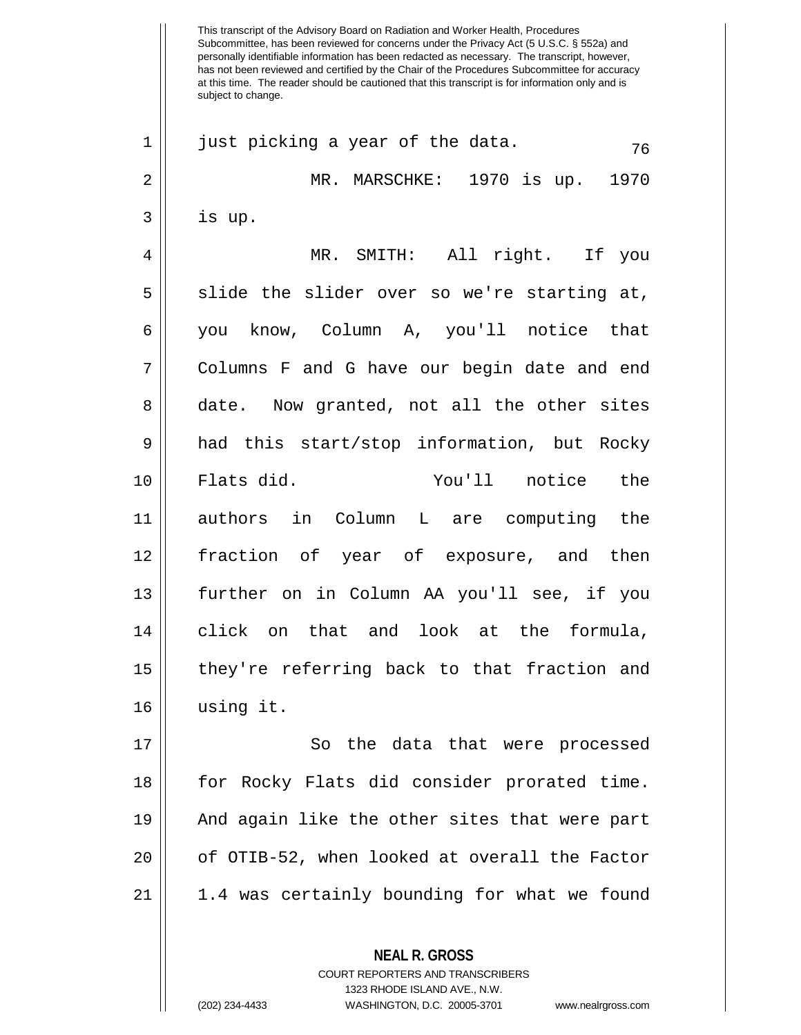Subcommittee, has been reviewed for concerns under the Privacy Act (5 U.S.C. § 552a) and personally identifiable information has been redacted as necessary. The transcript, however, has not been reviewed and certified by the Chair of the Procedures Subcommittee for accuracy at this time. The reader should be cautioned that this transcript is for information only and is subject to change. **NEAL R. GROSS** 1 || just picking a year of the data.  $\frac{76}{16}$ 2 MR. MARSCHKE: 1970 is up. 1970  $3 \parallel$  is up. 4 MR. SMITH: All right. If you  $5$  slide the slider over so we're starting at, 6 you know, Column A, you'll notice that 7 Columns F and G have our begin date and end 8 date. Now granted, not all the other sites 9 had this start/stop information, but Rocky 10 Flats did. You'll notice the 11 authors in Column L are computing the 12 fraction of year of exposure, and then 13 further on in Column AA you'll see, if you 14 click on that and look at the formula, 15 they're referring back to that fraction and 16 using it. 17 || So the data that were processed 18 || for Rocky Flats did consider prorated time. 19 And again like the other sites that were part 20 || of OTIB-52, when looked at overall the Factor 21 1.4 was certainly bounding for what we found

> COURT REPORTERS AND TRANSCRIBERS 1323 RHODE ISLAND AVE., N.W.

This transcript of the Advisory Board on Radiation and Worker Health, Procedures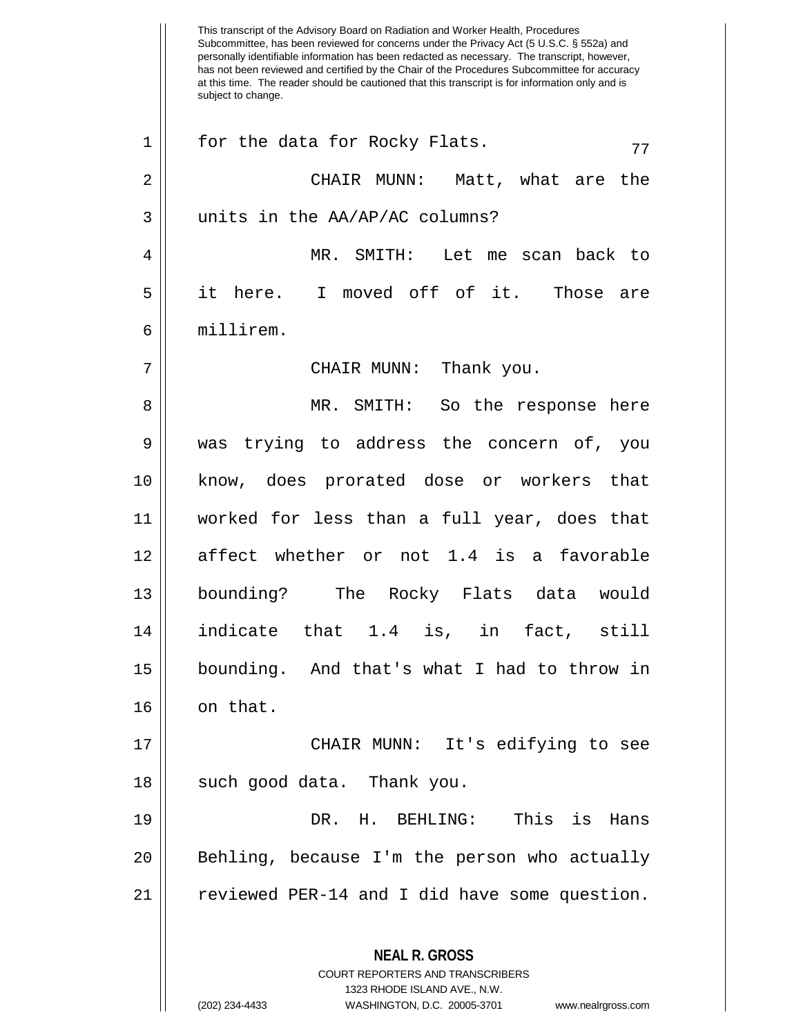This transcript of the Advisory Board on Radiation and Worker Health, Procedures Subcommittee, has been reviewed for concerns under the Privacy Act (5 U.S.C. § 552a) and personally identifiable information has been redacted as necessary. The transcript, however, has not been reviewed and certified by the Chair of the Procedures Subcommittee for accuracy at this time. The reader should be cautioned that this transcript is for information only and is subject to change. **NEAL R. GROSS** COURT REPORTERS AND TRANSCRIBERS 1323 RHODE ISLAND AVE., N.W.  $1 \parallel$  for the data for Rocky Flats.  $77$ 2 CHAIR MUNN: Matt, what are the 3 || units in the AA/AP/AC columns? 4 MR. SMITH: Let me scan back to 5 it here. I moved off of it. Those are 6 millirem. 7 CHAIR MUNN: Thank you. 8 MR. SMITH: So the response here 9 was trying to address the concern of, you 10 know, does prorated dose or workers that 11 worked for less than a full year, does that 12 affect whether or not 1.4 is a favorable 13 bounding? The Rocky Flats data would 14 indicate that 1.4 is, in fact, still 15 bounding. And that's what I had to throw in  $16$  || on that. 17 CHAIR MUNN: It's edifying to see  $18$  || such good data. Thank you. 19 DR. H. BEHLING: This is Hans 20 || Behling, because I'm the person who actually 21 || reviewed PER-14 and I did have some question.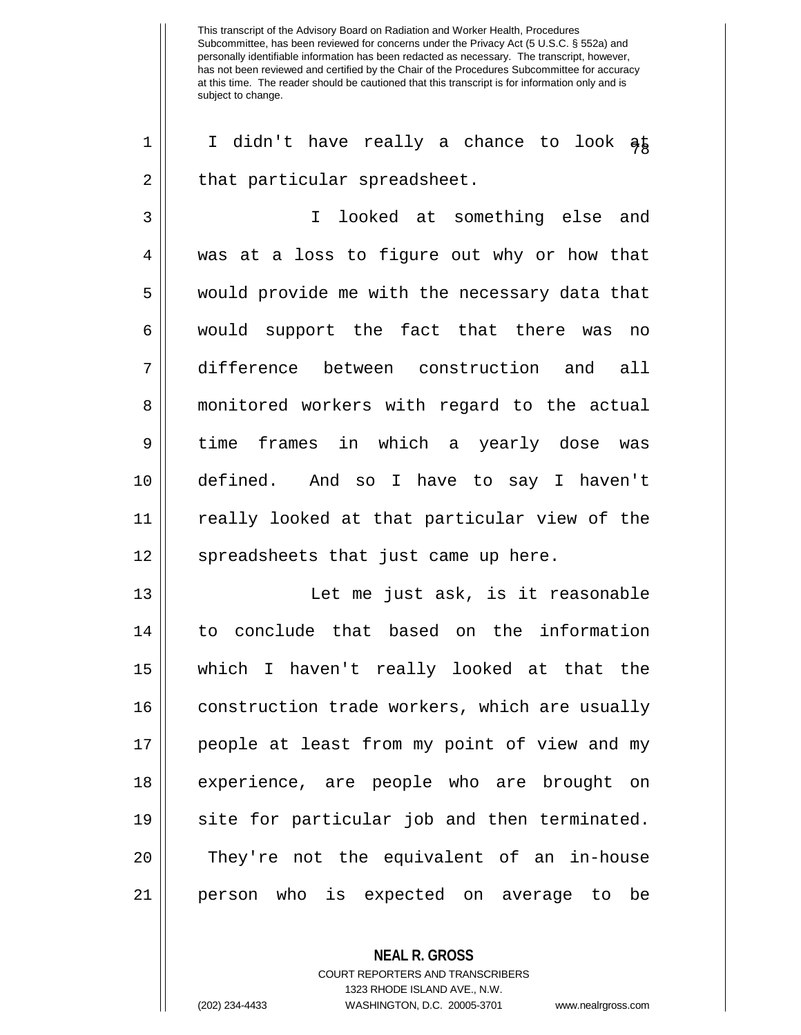1 || I didn't have really a chance to look  $a\overline{b}$  $2 \parallel$  that particular spreadsheet.

3 I looked at something else and 4 was at a loss to figure out why or how that 5 || would provide me with the necessary data that 6 || would support the fact that there was no 7 difference between construction and all 8 | monitored workers with regard to the actual 9 || time frames in which a yearly dose was 10 defined. And so I have to say I haven't 11 really looked at that particular view of the 12 || spreadsheets that just came up here.

 Let me just ask, is it reasonable to conclude that based on the information which I haven't really looked at that the 16 | construction trade workers, which are usually people at least from my point of view and my experience, are people who are brought on 19 || site for particular job and then terminated. 20 || They're not the equivalent of an in-house person who is expected on average to be

> **NEAL R. GROSS** COURT REPORTERS AND TRANSCRIBERS 1323 RHODE ISLAND AVE., N.W. (202) 234-4433 WASHINGTON, D.C. 20005-3701 www.nealrgross.com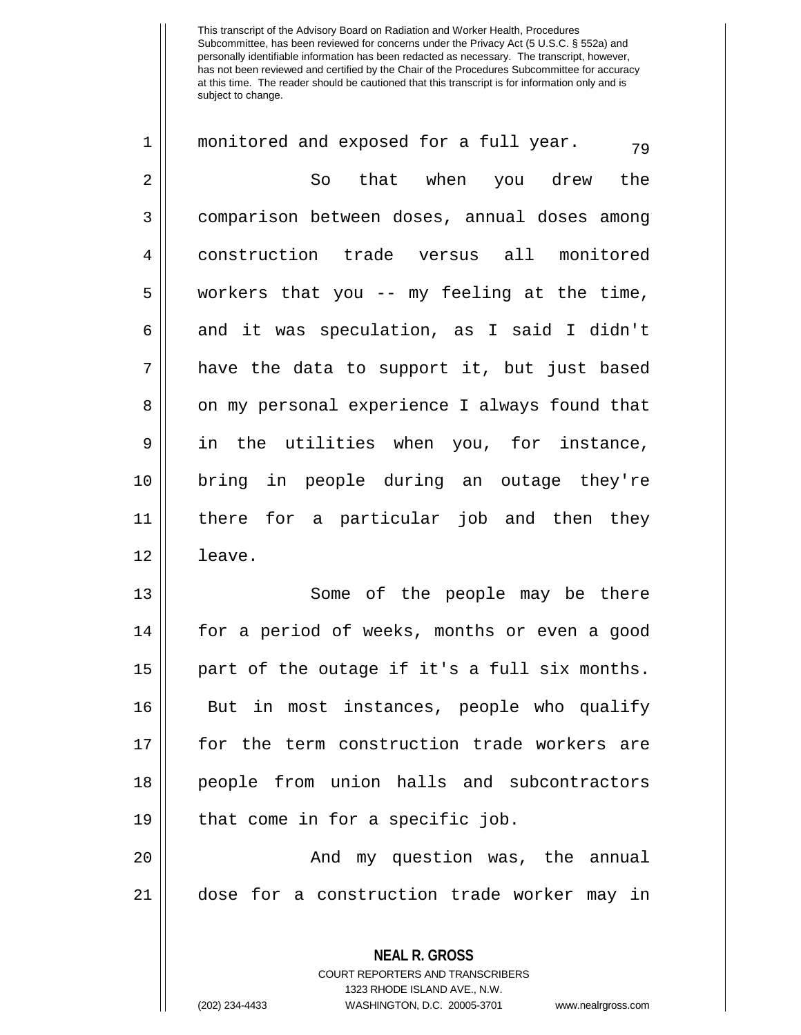| $\mathbf 1$ | monitored and exposed for a full year.<br>79                    |
|-------------|-----------------------------------------------------------------|
| 2           | that when you drew<br>the<br>So                                 |
| 3           | comparison between doses, annual doses among                    |
| 4           | construction trade versus all monitored                         |
| 5           | workers that you -- my feeling at the time,                     |
| 6           | and it was speculation, as I said I didn't                      |
| 7           | have the data to support it, but just based                     |
| 8           | on my personal experience I always found that                   |
| 9           | in the utilities when you, for instance,                        |
| 10          | bring in people during an outage they're                        |
| 11          | there for a particular job and then they                        |
| 12          | leave.                                                          |
| 13          | Some of the people may be there                                 |
| 14          | for a period of weeks, months or even a good                    |
| 15          | part of the outage if it's a full six months.                   |
| 16          | in most instances, people who qualify<br>But                    |
| 17          | for the term construction trade workers are                     |
| 18          | people from union halls and subcontractors                      |
| 19          | that come in for a specific job.                                |
| 20          | And my question was, the annual                                 |
| 21          | dose for a construction trade worker may in                     |
|             |                                                                 |
|             | <b>NEAL R. GROSS</b><br><b>COURT REPORTERS AND TRANSCRIBERS</b> |

1323 RHODE ISLAND AVE., N.W.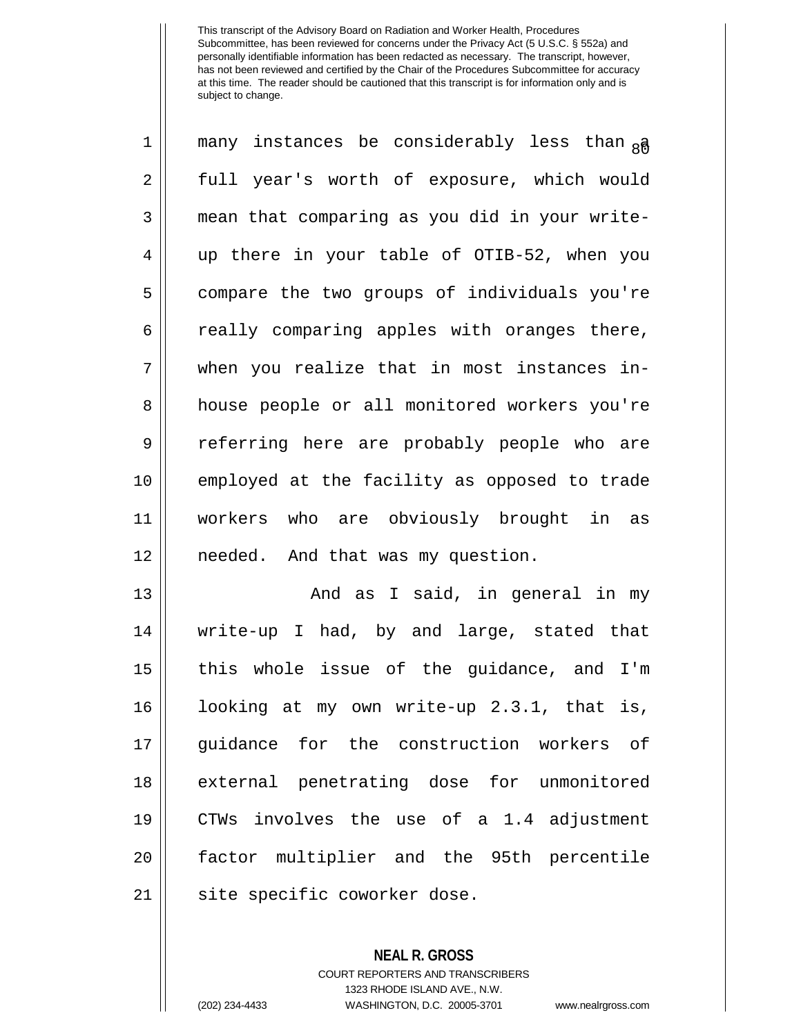| 1              | many instances be considerably less than <sub>8</sub> a |
|----------------|---------------------------------------------------------|
| $\overline{2}$ | full year's worth of exposure, which would              |
| 3              | mean that comparing as you did in your write-           |
| 4              | up there in your table of OTIB-52, when you             |
| 5              | compare the two groups of individuals you're            |
| 6              | really comparing apples with oranges there,             |
| 7              | when you realize that in most instances in-             |
| 8              | house people or all monitored workers you're            |
| 9              | referring here are probably people who are              |
| 10             | employed at the facility as opposed to trade            |
| 11             | workers who are obviously brought in as                 |
| 12             | needed. And that was my question.                       |
| 13             | And as I said, in general in my                         |
| 14             | write-up I had, by and large, stated that               |
|                |                                                         |

15 || this whole issue of the guidance, and I'm 16 || looking at my own write-up 2.3.1, that is, 17 || guidance for the construction workers of 18 || external penetrating dose for unmonitored 19 CTWs involves the use of a 1.4 adjustment 20 || factor multiplier and the 95th percentile 21 || site specific coworker dose.

> **NEAL R. GROSS** COURT REPORTERS AND TRANSCRIBERS 1323 RHODE ISLAND AVE., N.W. (202) 234-4433 WASHINGTON, D.C. 20005-3701 www.nealrgross.com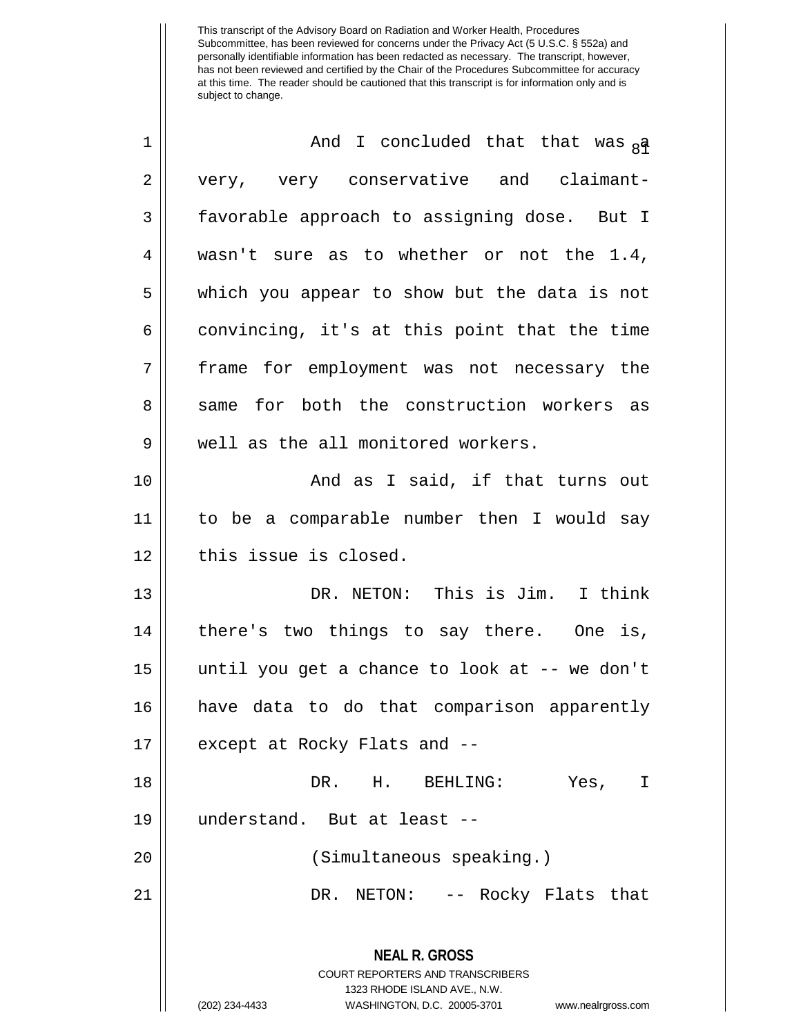| $\mathbf 1$    | And I concluded that that was ga                                                                                                                                       |
|----------------|------------------------------------------------------------------------------------------------------------------------------------------------------------------------|
| $\overline{2}$ | very, very conservative and claimant-                                                                                                                                  |
| 3              | favorable approach to assigning dose. But I                                                                                                                            |
| 4              | wasn't sure as to whether or not the 1.4,                                                                                                                              |
| 5              | which you appear to show but the data is not                                                                                                                           |
| 6              | convincing, it's at this point that the time                                                                                                                           |
| 7              | frame for employment was not necessary the                                                                                                                             |
| 8              | same for both the construction workers as                                                                                                                              |
| $\mathsf 9$    | well as the all monitored workers.                                                                                                                                     |
| 10             | And as I said, if that turns out                                                                                                                                       |
| 11             | to be a comparable number then I would say                                                                                                                             |
| 12             | this issue is closed.                                                                                                                                                  |
| 13             | DR. NETON: This is Jim. I think                                                                                                                                        |
| 14             | there's two things to say there. One is,                                                                                                                               |
| 15             | until you get a chance to look at -- we don't                                                                                                                          |
| 16             | have data to do that comparison apparently                                                                                                                             |
| 17             | except at Rocky Flats and --                                                                                                                                           |
| 18             | DR. H. BEHLING:<br>Yes,<br>I                                                                                                                                           |
| 19             | understand. But at least --                                                                                                                                            |
| 20             | (Simultaneous speaking.)                                                                                                                                               |
| 21             | NETON: -- Rocky Flats that<br>DR.                                                                                                                                      |
|                | <b>NEAL R. GROSS</b><br><b>COURT REPORTERS AND TRANSCRIBERS</b><br>1323 RHODE ISLAND AVE., N.W.<br>(202) 234-4433<br>WASHINGTON, D.C. 20005-3701<br>www.nealrgross.com |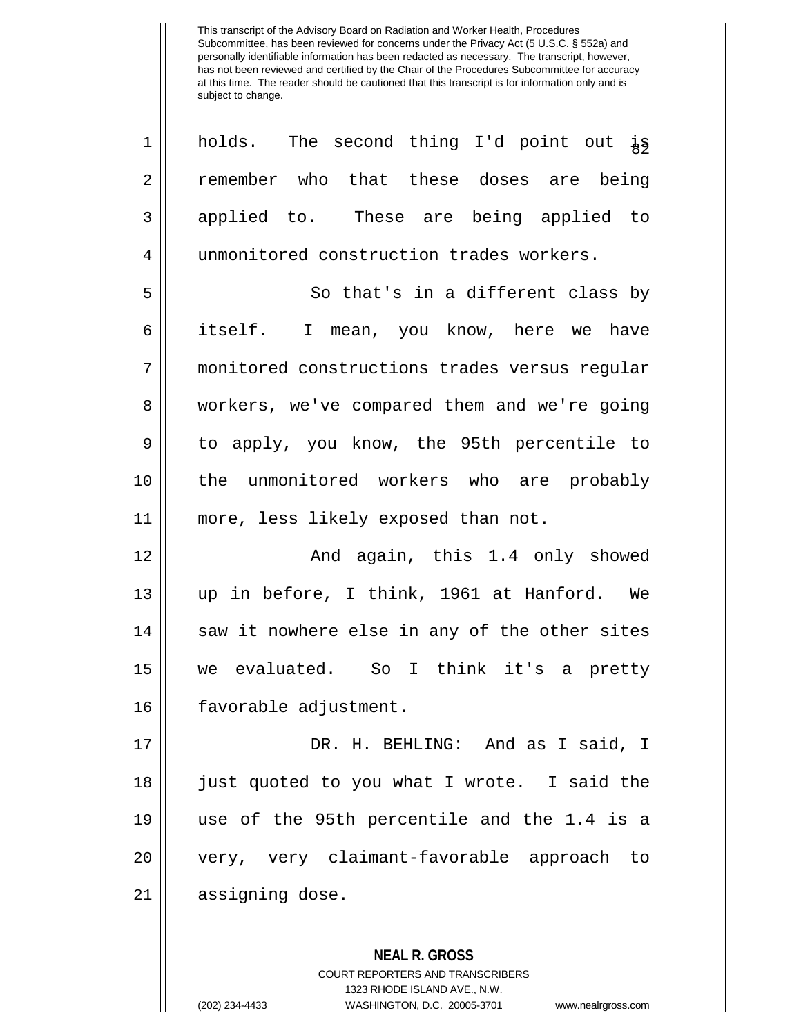| $\mathbf 1$ | holds. The second thing I'd point out is      |
|-------------|-----------------------------------------------|
| 2           | remember who that these doses are being       |
| 3           | applied to. These are being applied to        |
| 4           | unmonitored construction trades workers.      |
| 5           | So that's in a different class by             |
| 6           | itself. I mean, you know, here we have        |
| 7           | monitored constructions trades versus regular |
| 8           | workers, we've compared them and we're going  |
| 9           | to apply, you know, the 95th percentile to    |
| 10          | the unmonitored workers who are probably      |
| 11          | more, less likely exposed than not.           |
| 12          | And again, this 1.4 only showed               |
| 13          | up in before, I think, 1961 at Hanford. We    |
| 14          | saw it nowhere else in any of the other sites |
| 15          | we evaluated. So I think it's a pretty        |
| 16          | favorable adjustment.                         |
| 17          | DR. H. BEHLING: And as I said, I              |
| 18          | just quoted to you what I wrote. I said the   |
| 19          | use of the 95th percentile and the 1.4 is a   |
| 20          | very, very claimant-favorable approach to     |
| 21          | assigning dose.                               |
|             |                                               |
|             | <b>NEAL R. GROSS</b>                          |

COURT REPORTERS AND TRANSCRIBERS 1323 RHODE ISLAND AVE., N.W. (202) 234-4433 WASHINGTON, D.C. 20005-3701 www.nealrgross.com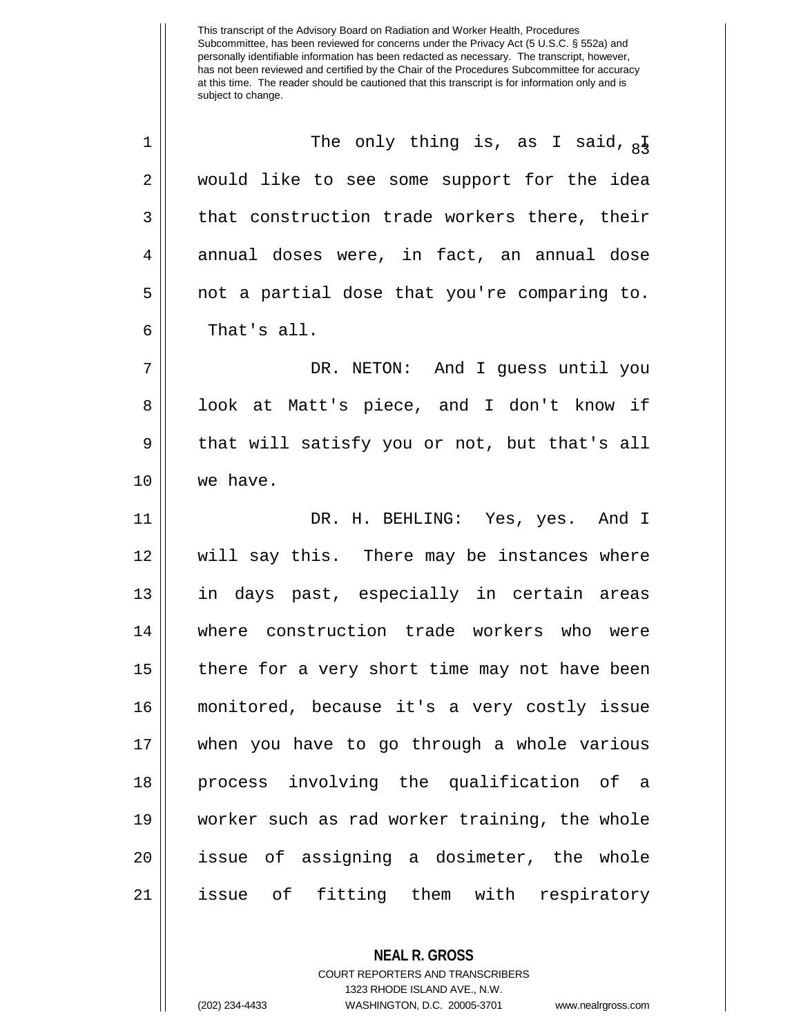| $\mathbf 1$ | The only thing is, as I said, $_{8}$ <sup>I</sup> |
|-------------|---------------------------------------------------|
| 2           | would like to see some support for the idea       |
| 3           | that construction trade workers there, their      |
| 4           | annual doses were, in fact, an annual dose        |
| 5           | not a partial dose that you're comparing to.      |
| 6           | That's all.                                       |
| 7           | DR. NETON: And I guess until you                  |
| 8           | look at Matt's piece, and I don't know if         |
| 9           | that will satisfy you or not, but that's all      |
| 10          | we have.                                          |
| 11          | DR. H. BEHLING: Yes, yes. And I                   |
| 12          | will say this. There may be instances where       |
| 13          | in days past, especially in certain areas         |
| 14          | where construction trade workers who were         |
| 15          | there for a very short time may not have been     |
| 16          | monitored, because it's a very costly issue       |
| 17          | when you have to go through a whole various       |
| 18          | process involving the qualification of a          |
| 19          | worker such as rad worker training, the whole     |
| 20          | issue of assigning a dosimeter, the whole         |
| 21          | issue of fitting them with respiratory            |
|             |                                                   |

**NEAL R. GROSS** COURT REPORTERS AND TRANSCRIBERS 1323 RHODE ISLAND AVE., N.W. (202) 234-4433 WASHINGTON, D.C. 20005-3701 www.nealrgross.com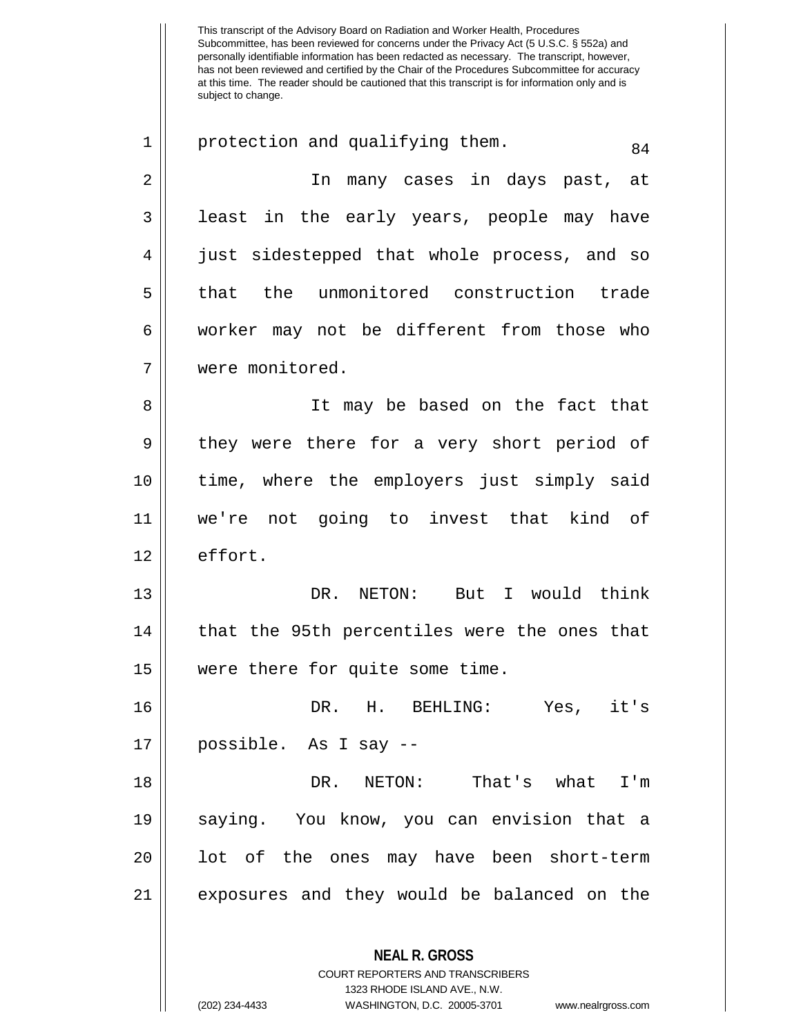This transcript of the Advisory Board on Radiation and Worker Health, Procedures Subcommittee, has been reviewed for concerns under the Privacy Act (5 U.S.C. § 552a) and personally identifiable information has been redacted as necessary. The transcript, however, has not been reviewed and certified by the Chair of the Procedures Subcommittee for accuracy at this time. The reader should be cautioned that this transcript is for information only and is subject to change. **NEAL R. GROSS** COURT REPORTERS AND TRANSCRIBERS 1323 RHODE ISLAND AVE., N.W. 1 || protection and qualifying them. 2 In many cases in days past, at 3 || least in the early years, people may have 4 just sidestepped that whole process, and so 5 || that the unmonitored construction trade 6 worker may not be different from those who 7 were monitored. 8 || It may be based on the fact that 9 || they were there for a very short period of 10 time, where the employers just simply said 11 we're not going to invest that kind of 12 | effort. 13 DR. NETON: But I would think  $14$  | that the 95th percentiles were the ones that 15 were there for quite some time. 16 DR. H. BEHLING: Yes, it's 17 possible. As I say -- 18 DR. NETON: That's what I'm 19 saying. You know, you can envision that a  $20$  || lot of the ones may have been short-term 21 exposures and they would be balanced on the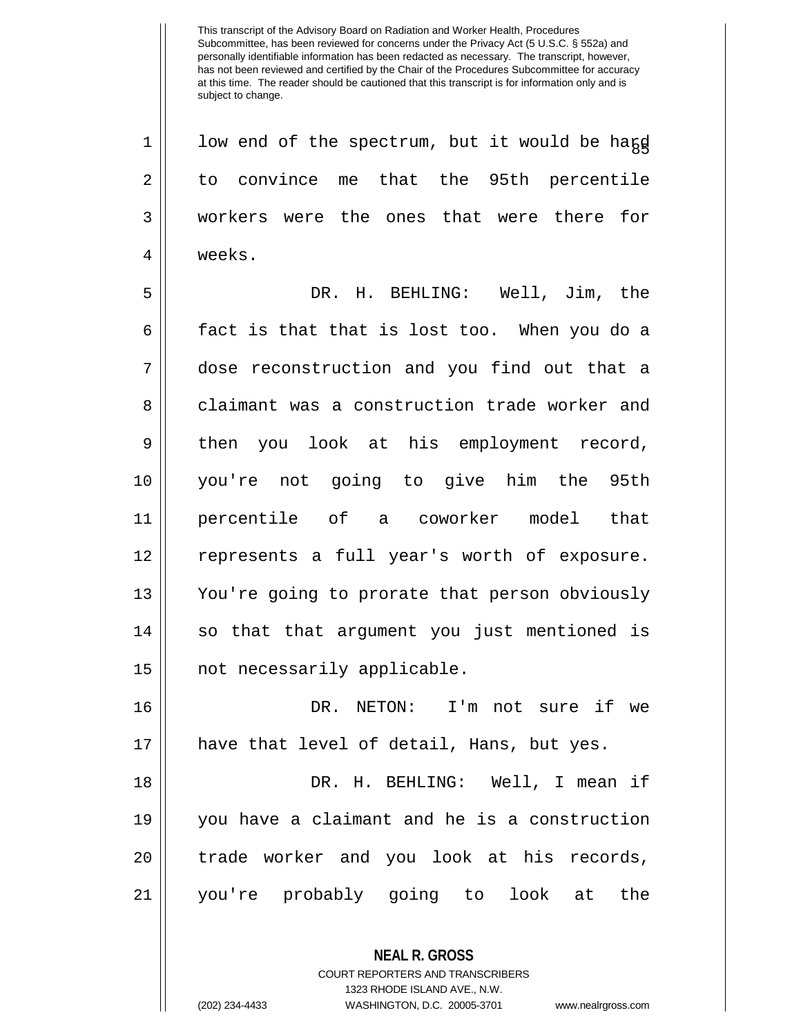$1 ||$  low end of the spectrum, but it would be hard 2 to convince me that the 95th percentile 3 Workers were the ones that were there for 4 weeks. 5 DR. H. BEHLING: Well, Jim, the  $6 \parallel$  fact is that that is lost too. When you do a 7 dose reconstruction and you find out that a 8 claimant was a construction trade worker and 9 || then you look at his employment record, 10 you're not going to give him the 95th 11 percentile of a coworker model that 12 represents a full year's worth of exposure. 13 You're going to prorate that person obviously 14 || so that that argument you just mentioned is 15 || not necessarily applicable. 16 DR. NETON: I'm not sure if we

17 have that level of detail, Hans, but yes.

 DR. H. BEHLING: Well, I mean if you have a claimant and he is a construction 20 || trade worker and you look at his records, you're probably going to look at the

> **NEAL R. GROSS** COURT REPORTERS AND TRANSCRIBERS 1323 RHODE ISLAND AVE., N.W. (202) 234-4433 WASHINGTON, D.C. 20005-3701 www.nealrgross.com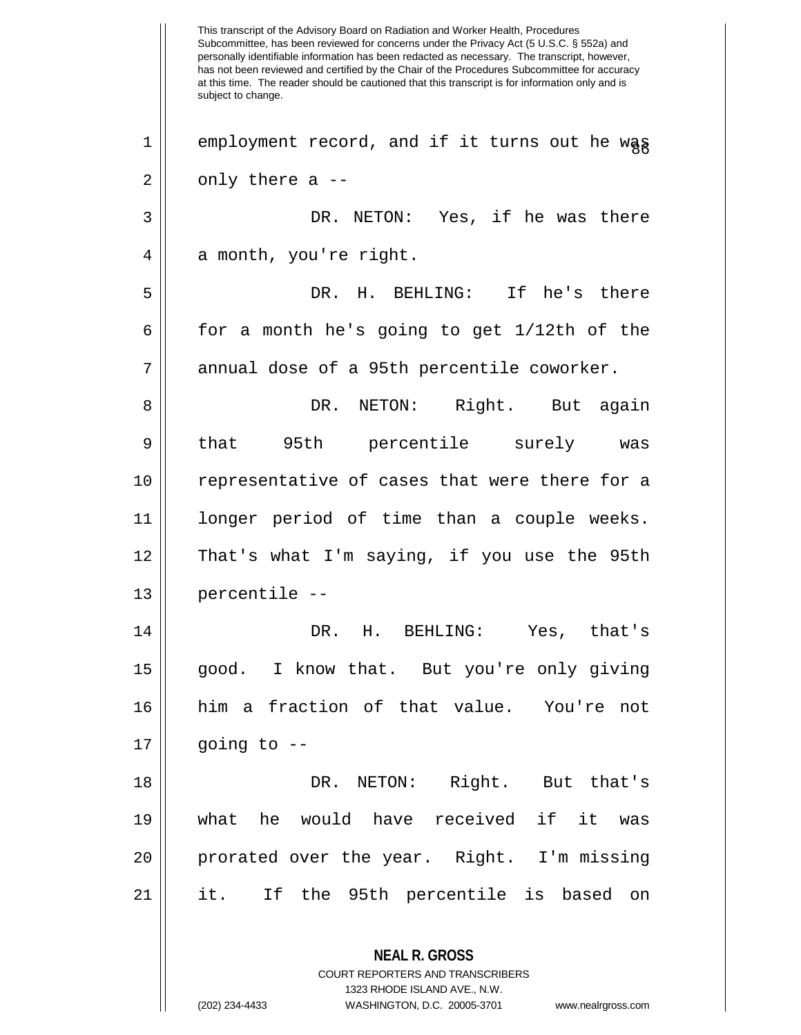This transcript of the Advisory Board on Radiation and Worker Health, Procedures Subcommittee, has been reviewed for concerns under the Privacy Act (5 U.S.C. § 552a) and personally identifiable information has been redacted as necessary. The transcript, however, has not been reviewed and certified by the Chair of the Procedures Subcommittee for accuracy at this time. The reader should be cautioned that this transcript is for information only and is subject to change. **NEAL R. GROSS** COURT REPORTERS AND TRANSCRIBERS 1323 RHODE ISLAND AVE., N.W. (202) 234-4433 WASHINGTON, D.C. 20005-3701 www.nealrgross.com  $1 ||$  employment record, and if it turns out he wag  $2 \parallel$  only there a --3 DR. NETON: Yes, if he was there  $4 \parallel$  a month, you're right. 5 DR. H. BEHLING: If he's there  $6 \parallel$  for a month he's going to get 1/12th of the 7 || annual dose of a 95th percentile coworker. 8 DR. NETON: Right. But again 9 || that 95th percentile surely was 10 || representative of cases that were there for a 11 longer period of time than a couple weeks. 12 || That's what I'm saying, if you use the 95th  $13$  || percentile  $-$ 14 DR. H. BEHLING: Yes, that's 15 good. I know that. But you're only giving 16 him a fraction of that value. You're not  $17 \parallel$  going to  $-$ 18 DR. NETON: Right. But that's 19 what he would have received if it was 20 prorated over the year. Right. I'm missing 21 it. If the 95th percentile is based on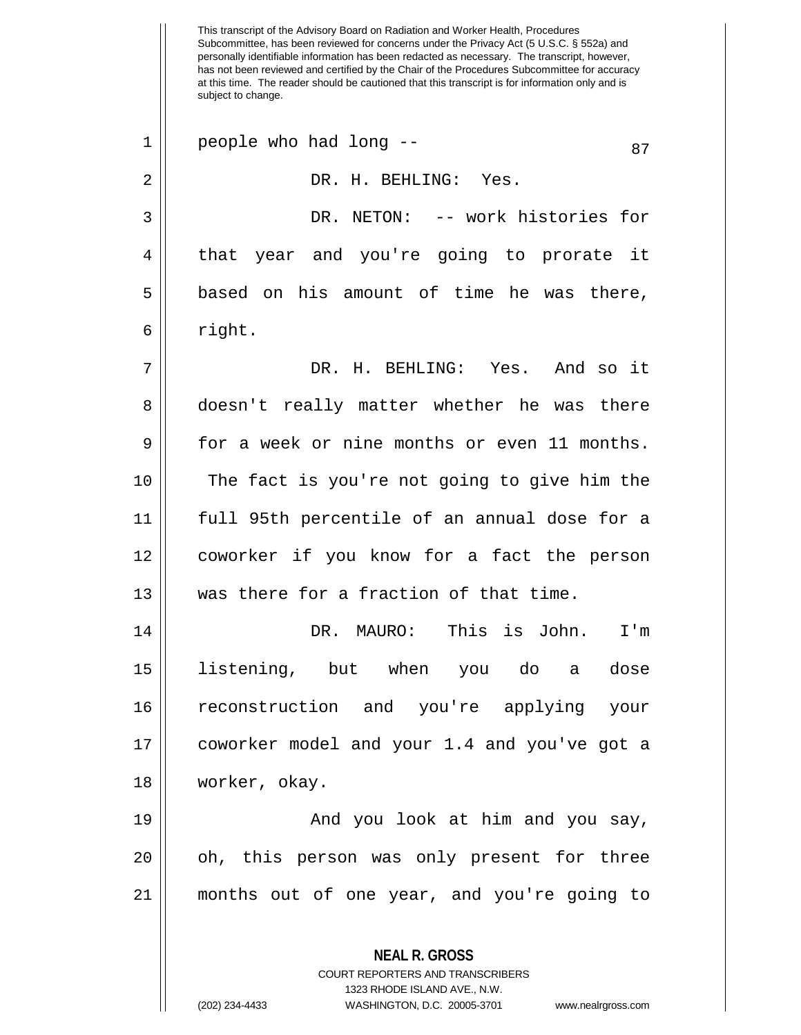This transcript of the Advisory Board on Radiation and Worker Health, Procedures Subcommittee, has been reviewed for concerns under the Privacy Act (5 U.S.C. § 552a) and personally identifiable information has been redacted as necessary. The transcript, however, has not been reviewed and certified by the Chair of the Procedures Subcommittee for accuracy at this time. The reader should be cautioned that this transcript is for information only and is subject to change. **NEAL R. GROSS** COURT REPORTERS AND TRANSCRIBERS 1323 RHODE ISLAND AVE., N.W.  $1 \parallel$  people who had long --  $\vert$  87 2 DR. H. BEHLING: Yes. 3 DR. NETON: -- work histories for 4 that year and you're going to prorate it  $5 \parallel$  based on his amount of time he was there,  $6 \parallel$  right. 7 DR. H. BEHLING: Yes. And so it 8 doesn't really matter whether he was there 9 for a week or nine months or even 11 months. 10 || The fact is you're not going to give him the 11 full 95th percentile of an annual dose for a 12 coworker if you know for a fact the person 13 We was there for a fraction of that time. 14 DR. MAURO: This is John. I'm 15 listening, but when you do a dose 16 reconstruction and you're applying your 17 coworker model and your 1.4 and you've got a 18 worker, okay. 19 And you look at him and you say, 20 || oh, this person was only present for three 21 months out of one year, and you're going to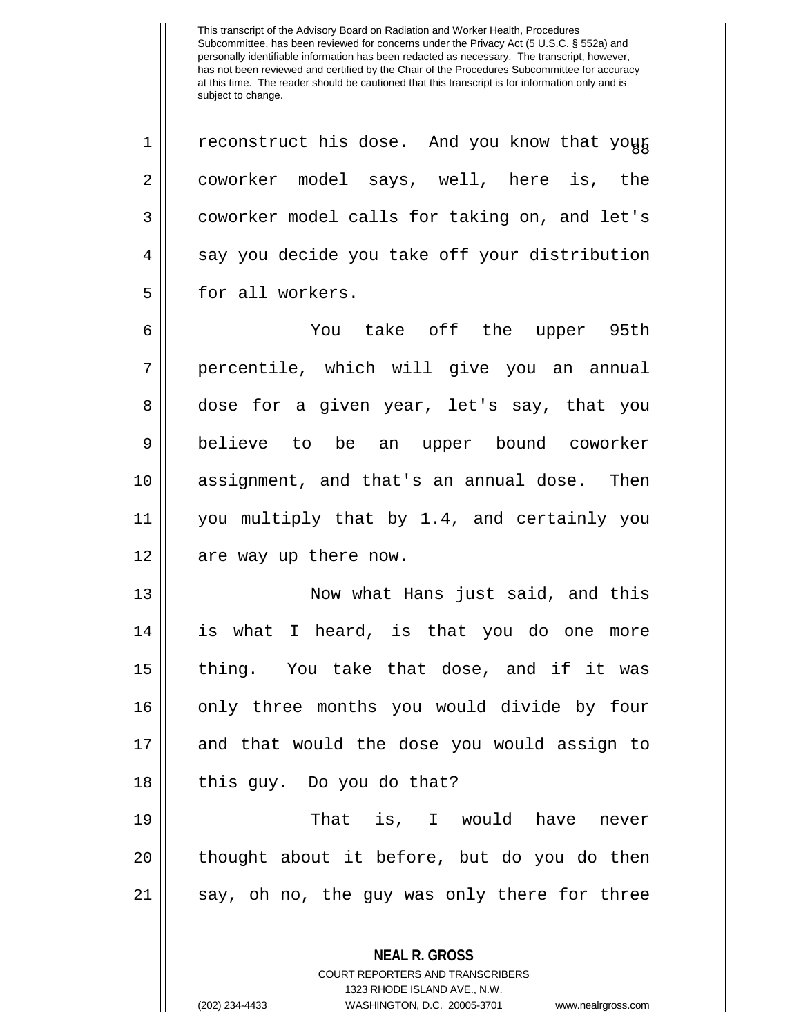$1 ||$  reconstruct his dose. And you know that your 2 || coworker model says, well, here is, the 3 coworker model calls for taking on, and let's  $4 \parallel$  say you decide you take off your distribution 5 || for all workers.

 You take off the upper 95th percentile, which will give you an annual 8 dose for a given year, let's say, that you believe to be an upper bound coworker assignment, and that's an annual dose. Then you multiply that by 1.4, and certainly you 12 || are way up there now.

 Now what Hans just said, and this is what I heard, is that you do one more 15 || thing. You take that dose, and if it was 16 || only three months you would divide by four and that would the dose you would assign to | this guy. Do you do that?

19 That is, I would have never 20 || thought about it before, but do you do then 21 || say, oh no, the guy was only there for three

> **NEAL R. GROSS** COURT REPORTERS AND TRANSCRIBERS 1323 RHODE ISLAND AVE., N.W.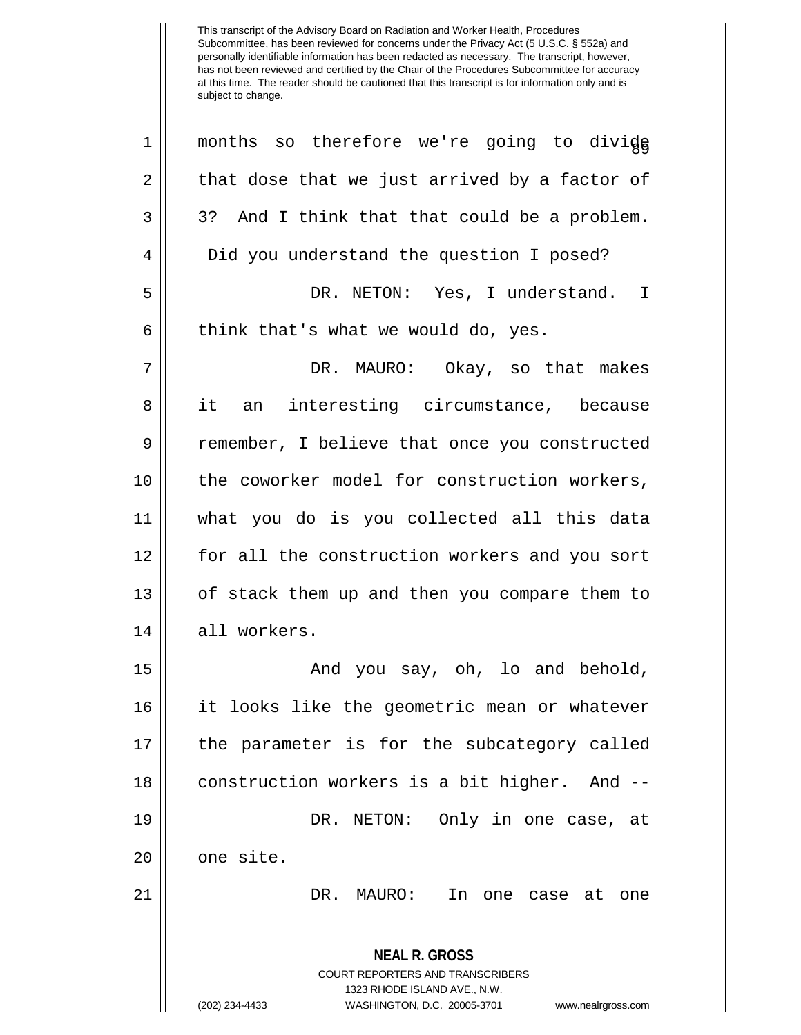| $\mathbf 1$    | months so therefore we're going to divide                                                       |
|----------------|-------------------------------------------------------------------------------------------------|
| 2              | that dose that we just arrived by a factor of                                                   |
| 3              | 3? And I think that that could be a problem.                                                    |
| $\overline{4}$ | Did you understand the question I posed?                                                        |
| 5              | DR. NETON: Yes, I understand. I                                                                 |
| 6              | think that's what we would do, yes.                                                             |
| 7              | DR. MAURO: Okay, so that makes                                                                  |
| 8              | it<br>an interesting circumstance, because                                                      |
| $\mathsf 9$    | remember, I believe that once you constructed                                                   |
| 10             | the coworker model for construction workers,                                                    |
| 11             | what you do is you collected all this data                                                      |
| 12             | for all the construction workers and you sort                                                   |
| 13             | of stack them up and then you compare them to                                                   |
| 14             | all workers.                                                                                    |
| 15             | And you say, oh, lo and behold,                                                                 |
| 16             | it looks like the geometric mean or whatever                                                    |
| 17             | the parameter is for the subcategory called                                                     |
| 18             | construction workers is a bit higher. And --                                                    |
| 19             | DR. NETON: Only in one case, at                                                                 |
| 20             | one site.                                                                                       |
| 21             | DR. MAURO:<br>In one case at one                                                                |
|                | <b>NEAL R. GROSS</b><br><b>COURT REPORTERS AND TRANSCRIBERS</b><br>1323 RHODE ISLAND AVE., N.W. |
|                | (202) 234-4433<br>WASHINGTON, D.C. 20005-3701<br>www.nealrgross.com                             |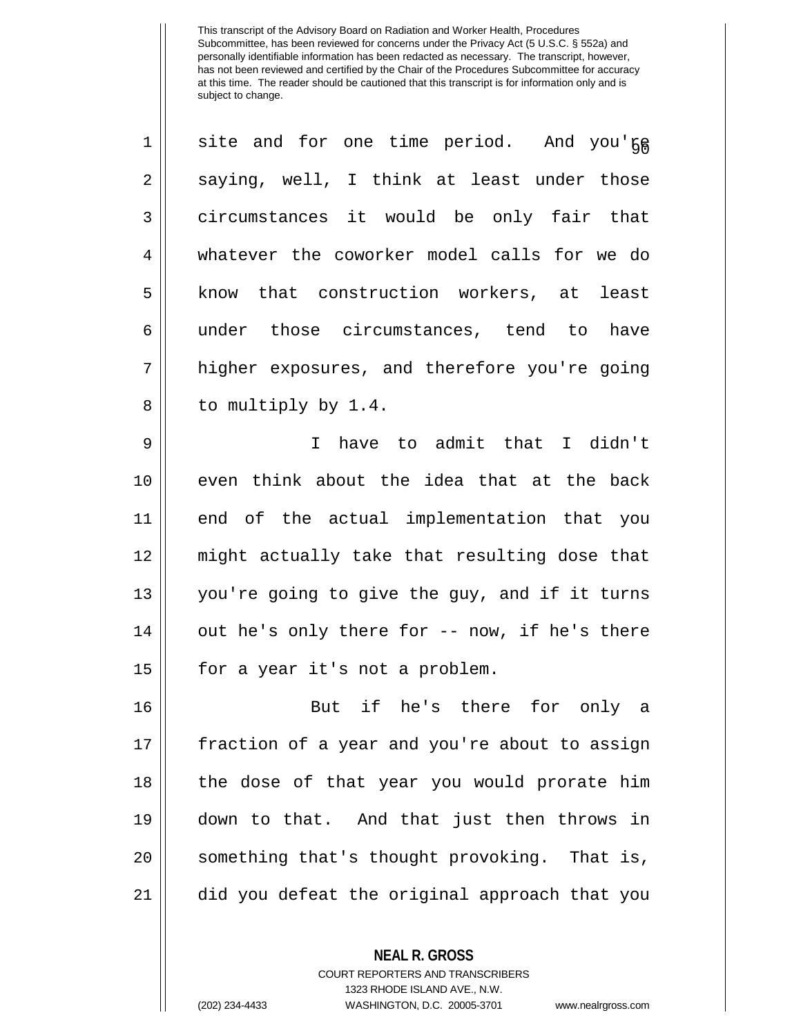| 1  | site and for one time period. And you'ge      |
|----|-----------------------------------------------|
| 2  | saying, well, I think at least under those    |
| 3  | circumstances it would be only fair that      |
| 4  | whatever the coworker model calls for we do   |
| 5  | know that construction workers, at least      |
| 6  | under those circumstances, tend to<br>have    |
| 7  | higher exposures, and therefore you're going  |
| 8  | to multiply by 1.4.                           |
| 9  | have to admit that I didn't<br>$\mathbf{I}$   |
| 10 | even think about the idea that at the back    |
| 11 | end of the actual implementation that you     |
| 12 | might actually take that resulting dose that  |
| 13 | you're going to give the guy, and if it turns |
| 14 | out he's only there for -- now, if he's there |
| 15 | for a year it's not a problem.                |
| 16 | But if he's there for only a                  |
| 17 | fraction of a year and you're about to assign |
| 18 | the dose of that year you would prorate him   |
| 19 | down to that. And that just then throws in    |
| 20 | something that's thought provoking. That is,  |
| 21 | did you defeat the original approach that you |

COURT REPORTERS AND TRANSCRIBERS 1323 RHODE ISLAND AVE., N.W.

**NEAL R. GROSS**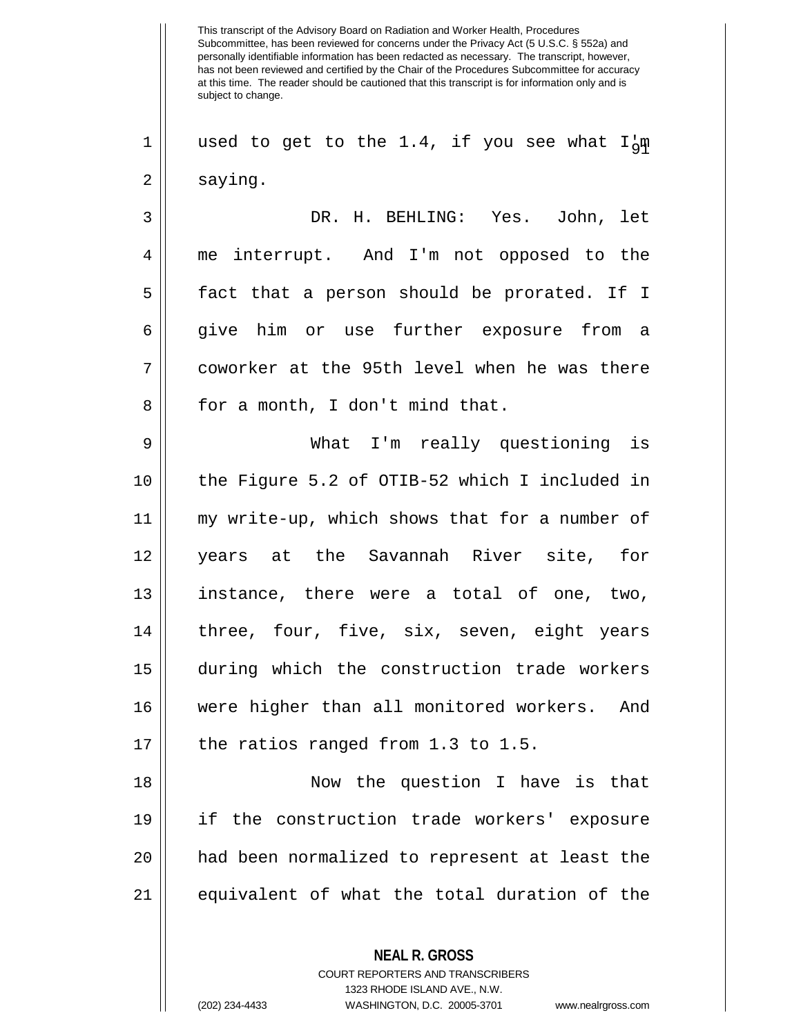This transcript of the Advisory Board on Radiation and Worker Health, Procedures Subcommittee, has been reviewed for concerns under the Privacy Act (5 U.S.C. § 552a) and personally identifiable information has been redacted as necessary. The transcript, however, has not been reviewed and certified by the Chair of the Procedures Subcommittee for accuracy at this time. The reader should be cautioned that this transcript is for information only and is subject to change. **NEAL R. GROSS** 1 || used to get to the 1.4, if you see what I'm  $2 \parallel$  saying. 3 DR. H. BEHLING: Yes. John, let 4 me interrupt. And I'm not opposed to the 5 || fact that a person should be prorated. If I 6 give him or use further exposure from a 7 coworker at the 95th level when he was there 8 || for a month, I don't mind that. 9 What I'm really questioning is 10 the Figure 5.2 of OTIB-52 which I included in 11 my write-up, which shows that for a number of 12 years at the Savannah River site, for 13 instance, there were a total of one, two, 14 || three, four, five, six, seven, eight years 15 during which the construction trade workers 16 were higher than all monitored workers. And 17  $\parallel$  the ratios ranged from 1.3 to 1.5. 18 Now the question I have is that 19 if the construction trade workers' exposure 20 had been normalized to represent at least the 21 equivalent of what the total duration of the

> COURT REPORTERS AND TRANSCRIBERS 1323 RHODE ISLAND AVE., N.W.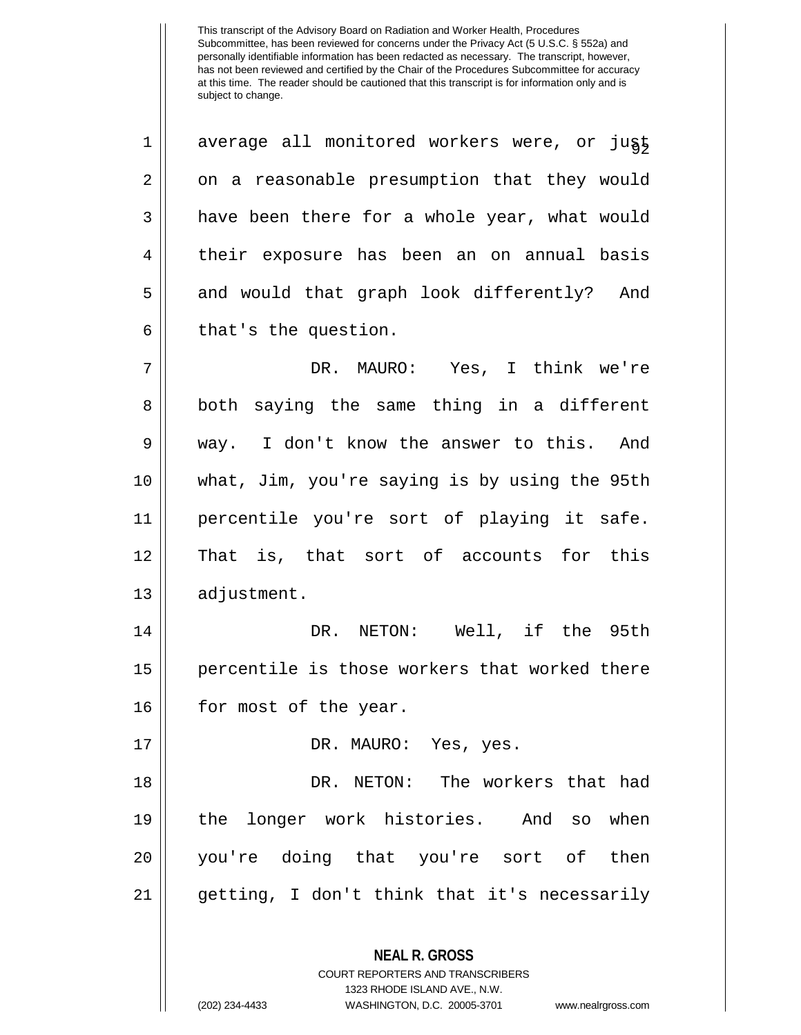**NEAL R. GROSS** COURT REPORTERS AND TRANSCRIBERS 1 || average all monitored workers were, or jugt 2 | on a reasonable presumption that they would  $3 \parallel$  have been there for a whole year, what would 4 || their exposure has been an on annual basis 5 || and would that graph look differently? And  $6 \parallel$  that's the question. 7 DR. MAURO: Yes, I think we're 8 || both saying the same thing in a different 9 way. I don't know the answer to this. And 10 what, Jim, you're saying is by using the 95th 11 percentile you're sort of playing it safe. 12 That is, that sort of accounts for this 13 | adjustment. 14 DR. NETON: Well, if the 95th 15 || percentile is those workers that worked there 16 || for most of the year. 17 DR. MAURO: Yes, yes. 18 DR. NETON: The workers that had 19 the longer work histories. And so when 20 you're doing that you're sort of then 21 getting, I don't think that it's necessarily

1323 RHODE ISLAND AVE., N.W.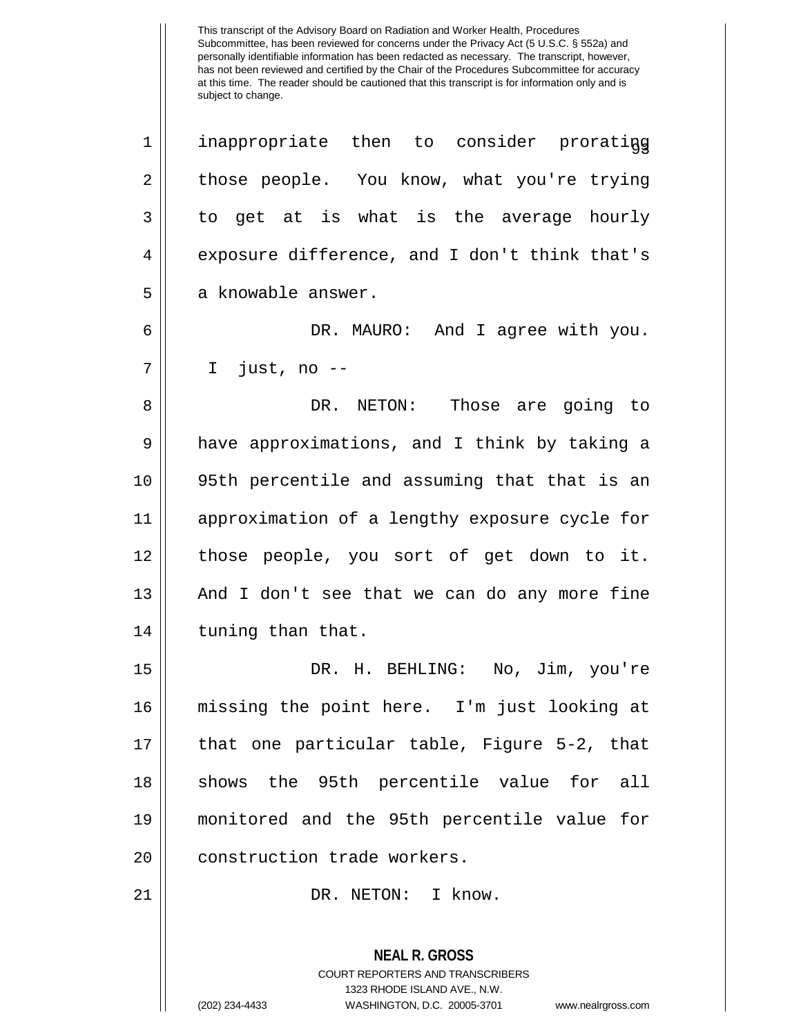2 those people. You know, what you're trying  $3 \parallel$  to get at is what is the average hourly 4 exposure difference, and I don't think that's 5 | a knowable answer. 6 DR. MAURO: And I agree with you. 7 I just, no -- 8 DR. NETON: Those are going to 9 || have approximations, and I think by taking a 10 95th percentile and assuming that that is an

 approximation of a lengthy exposure cycle for those people, you sort of get down to it. | And I don't see that we can do any more fine | tuning than that.

 DR. H. BEHLING: No, Jim, you're missing the point here. I'm just looking at that one particular table, Figure 5-2, that 18 || shows the 95th percentile value for all monitored and the 95th percentile value for **construction** trade workers.

21 || DR. NETON: I know.

**NEAL R. GROSS** COURT REPORTERS AND TRANSCRIBERS 1323 RHODE ISLAND AVE., N.W. (202) 234-4433 WASHINGTON, D.C. 20005-3701 www.nealrgross.com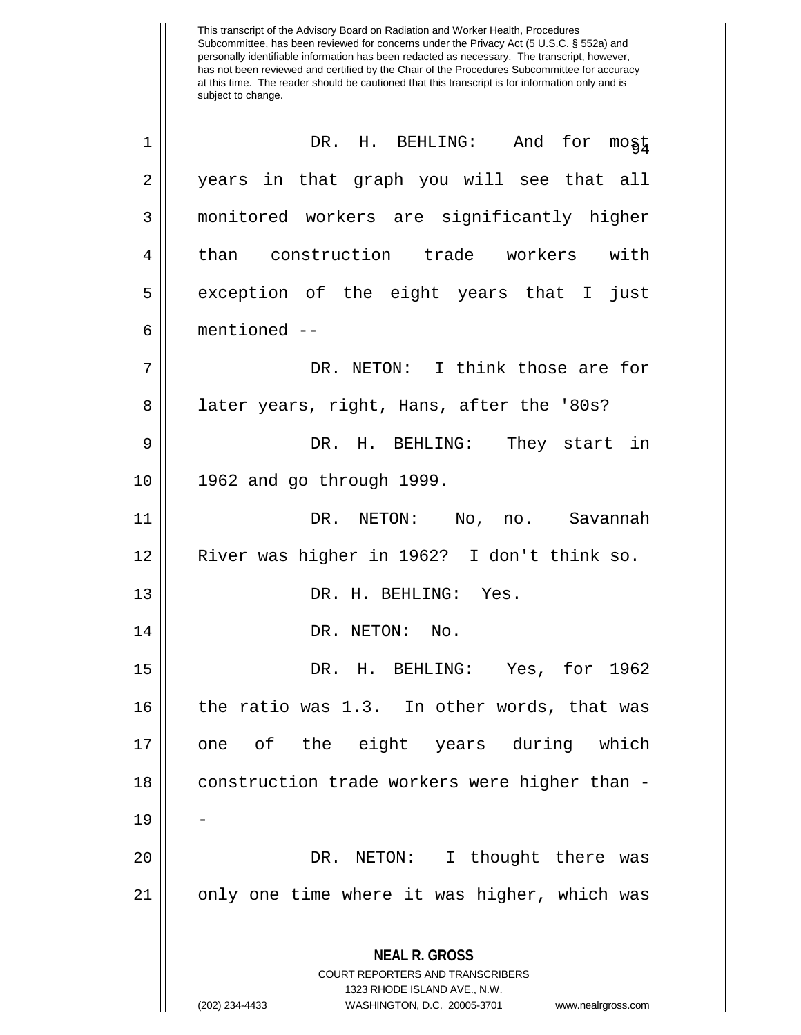| 1  | DR. H. BEHLING: And for most                                                                                                                                           |
|----|------------------------------------------------------------------------------------------------------------------------------------------------------------------------|
| 2  | years in that graph you will see that all                                                                                                                              |
| 3  | monitored workers are significantly higher                                                                                                                             |
| 4  | than construction trade workers with                                                                                                                                   |
| 5  | exception of the eight years that I just                                                                                                                               |
| 6  | mentioned --                                                                                                                                                           |
| 7  | DR. NETON: I think those are for                                                                                                                                       |
| 8  | later years, right, Hans, after the '80s?                                                                                                                              |
| 9  | DR. H. BEHLING: They start in                                                                                                                                          |
| 10 | 1962 and go through 1999.                                                                                                                                              |
| 11 | DR. NETON: No, no. Savannah                                                                                                                                            |
| 12 | River was higher in 1962? I don't think so.                                                                                                                            |
| 13 | DR. H. BEHLING: Yes.                                                                                                                                                   |
| 14 | DR. NETON: No.                                                                                                                                                         |
| 15 | DR. H. BEHLING: Yes, for 1962                                                                                                                                          |
| 16 | the ratio was 1.3. In other words, that was                                                                                                                            |
| 17 | one of the eight years during which                                                                                                                                    |
| 18 | construction trade workers were higher than -                                                                                                                          |
| 19 |                                                                                                                                                                        |
| 20 | I thought there was<br>DR. NETON:                                                                                                                                      |
| 21 | only one time where it was higher, which was                                                                                                                           |
|    | <b>NEAL R. GROSS</b><br><b>COURT REPORTERS AND TRANSCRIBERS</b><br>1323 RHODE ISLAND AVE., N.W.<br>(202) 234-4433<br>WASHINGTON, D.C. 20005-3701<br>www.nealrgross.com |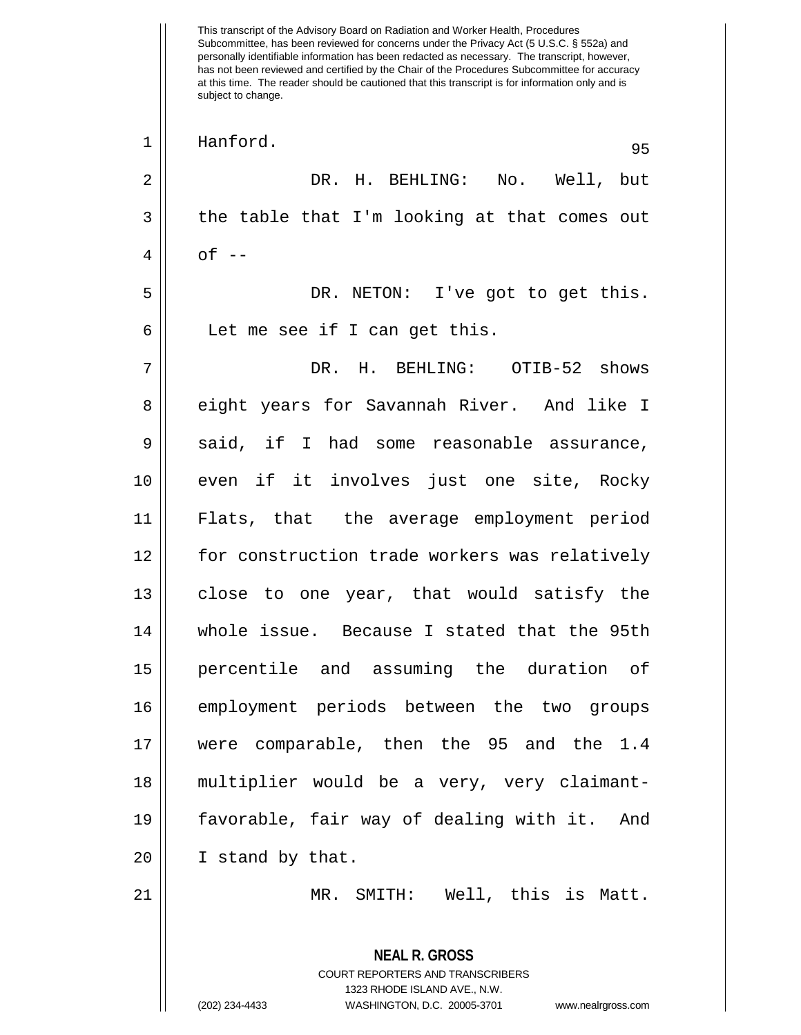This transcript of the Advisory Board on Radiation and Worker Health, Procedures Subcommittee, has been reviewed for concerns under the Privacy Act (5 U.S.C. § 552a) and personally identifiable information has been redacted as necessary. The transcript, however, has not been reviewed and certified by the Chair of the Procedures Subcommittee for accuracy at this time. The reader should be cautioned that this transcript is for information only and is subject to change. **NEAL R. GROSS** COURT REPORTERS AND TRANSCRIBERS 1323 RHODE ISLAND AVE., N.W. (202) 234-4433 WASHINGTON, D.C. 20005-3701 www.nealrgross.com <sup>95</sup> <sup>1</sup> Hanford. 2 DR. H. BEHLING: No. Well, but  $3 \parallel$  the table that I'm looking at that comes out  $4 \parallel$  of  $-$ 5 DR. NETON: I've got to get this. 6 || Let me see if I can get this. 7 DR. H. BEHLING: OTIB-52 shows 8 eight years for Savannah River. And like I  $9 \parallel$  said, if I had some reasonable assurance, 10 even if it involves just one site, Rocky 11 Flats, that the average employment period 12 for construction trade workers was relatively 13 || close to one year, that would satisfy the 14 whole issue. Because I stated that the 95th 15 percentile and assuming the duration of 16 employment periods between the two groups 17 were comparable, then the 95 and the 1.4 18 multiplier would be a very, very claimant-19 favorable, fair way of dealing with it. And 20 || I stand by that. 21 MR. SMITH: Well, this is Matt.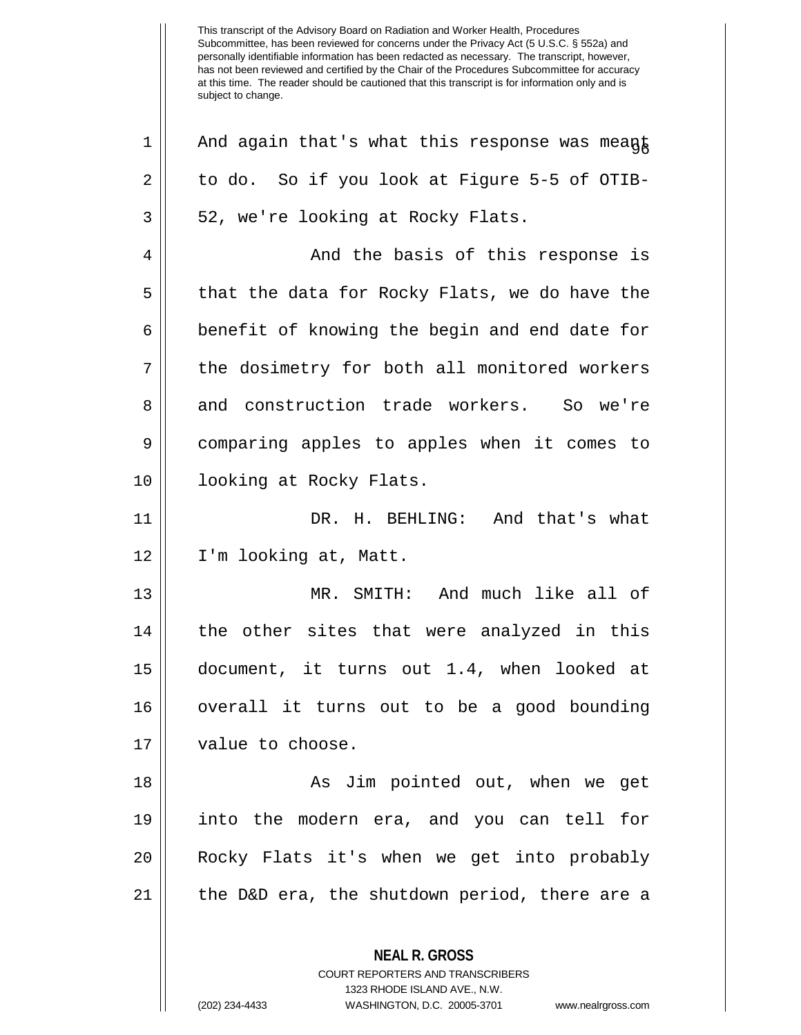This transcript of the Advisory Board on Radiation and Worker Health, Procedures Subcommittee, has been reviewed for concerns under the Privacy Act (5 U.S.C. § 552a) and personally identifiable information has been redacted as necessary. The transcript, however, has not been reviewed and certified by the Chair of the Procedures Subcommittee for accuracy at this time. The reader should be cautioned that this transcript is for information only and is subject to change. **NEAL R. GROSS** COURT REPORTERS AND TRANSCRIBERS  $1 ||$  And again that's what this response was meant  $2 \parallel$  to do. So if you look at Figure 5-5 of OTIB- $3 \parallel 52$ , we're looking at Rocky Flats. 4 And the basis of this response is  $5 \parallel$  that the data for Rocky Flats, we do have the  $6 \parallel$  benefit of knowing the begin and end date for 7 || the dosimetry for both all monitored workers 8 and construction trade workers. So we're 9 comparing apples to apples when it comes to 10 || looking at Rocky Flats. 11 DR. H. BEHLING: And that's what 12 I'm looking at, Matt. 13 MR. SMITH: And much like all of  $14$  | the other sites that were analyzed in this 15 document, it turns out 1.4, when looked at 16 overall it turns out to be a good bounding 17 || value to choose. 18 || As Jim pointed out, when we get 19 into the modern era, and you can tell for 20 || Rocky Flats it's when we get into probably  $21$  || the D&D era, the shutdown period, there are a

1323 RHODE ISLAND AVE., N.W.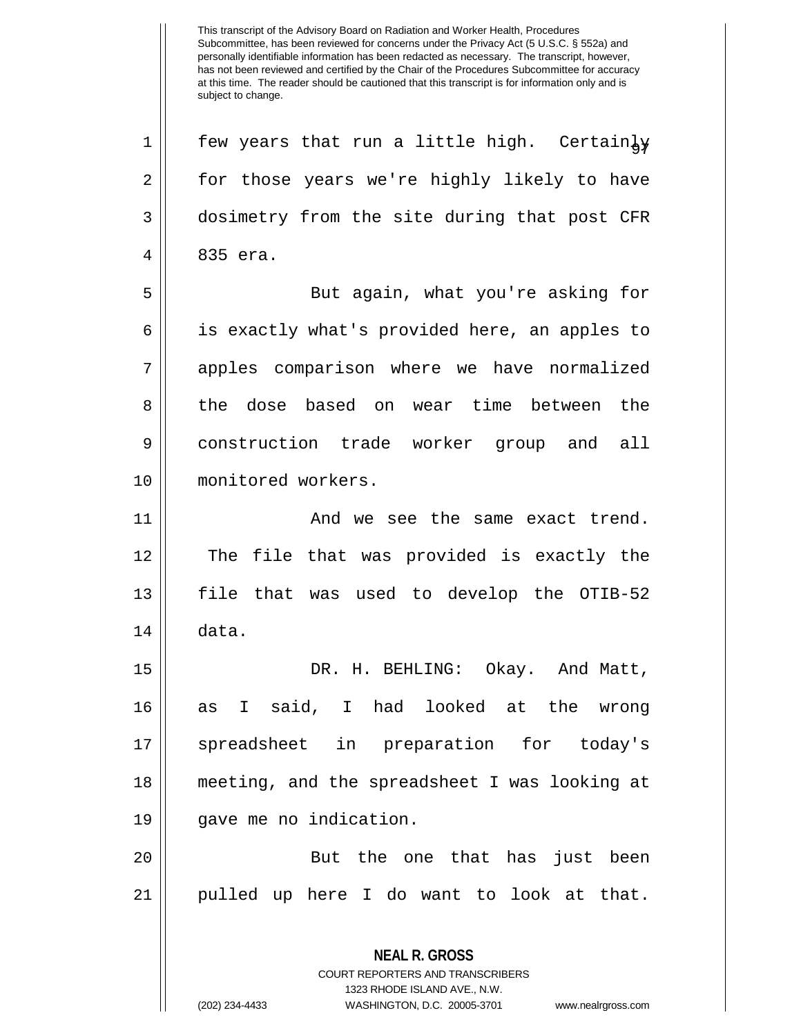**NEAL R. GROSS** COURT REPORTERS AND TRANSCRIBERS  $1 ||$  few years that run a little high. Certainly 2 || for those years we're highly likely to have 3 dosimetry from the site during that post CFR 4 || 835 era. 5 || But again, what you're asking for 6 is exactly what's provided here, an apples to 7 apples comparison where we have normalized 8 the dose based on wear time between the 9 construction trade worker group and all 10 || monitored workers. 11 || And we see the same exact trend. 12 || The file that was provided is exactly the 13 file that was used to develop the OTIB-52 14 data. 15 DR. H. BEHLING: Okay. And Matt, 16 as I said, I had looked at the wrong 17 spreadsheet in preparation for today's 18 meeting, and the spreadsheet I was looking at 19 gave me no indication. 20 || But the one that has just been 21 pulled up here I do want to look at that.

1323 RHODE ISLAND AVE., N.W.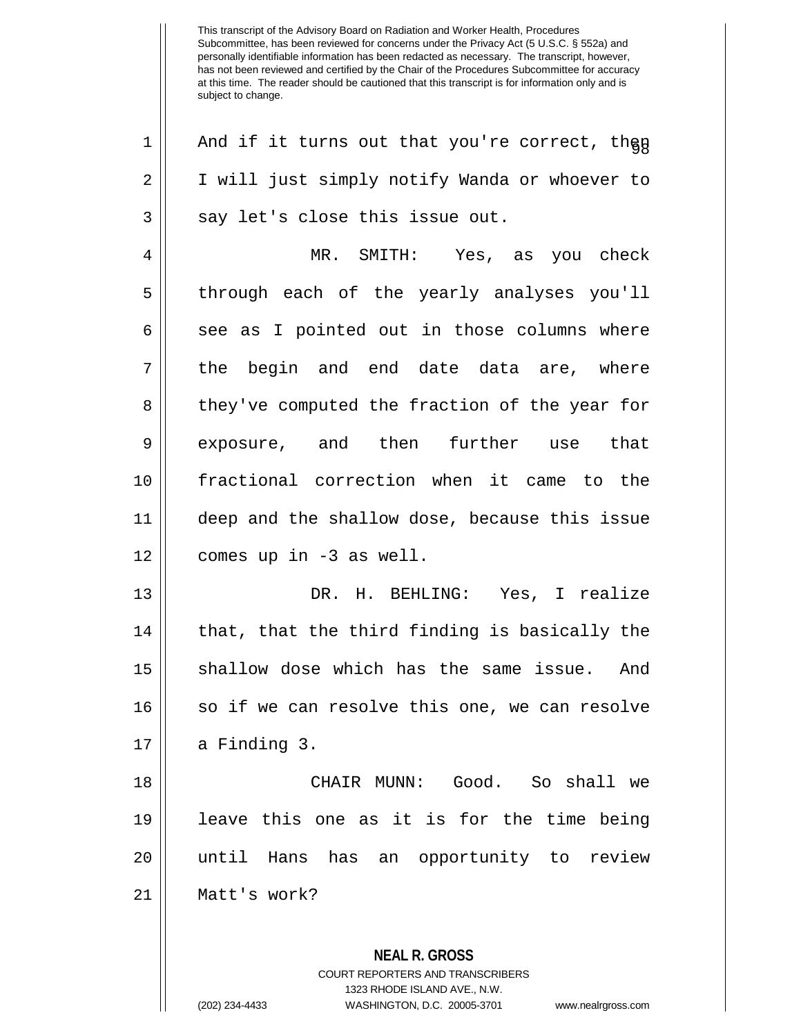**NEAL R. GROSS** COURT REPORTERS AND TRANSCRIBERS 1323 RHODE ISLAND AVE., N.W.  $1 ||$  And if it turns out that you're correct, then 2 | I will just simply notify Wanda or whoever to  $3$  || say let's close this issue out. 4 MR. SMITH: Yes, as you check 5 || through each of the yearly analyses you'll  $6 \parallel$  see as I pointed out in those columns where 7 || the begin and end date data are, where 8 | they've computed the fraction of the year for 9 exposure, and then further use that 10 fractional correction when it came to the 11 deep and the shallow dose, because this issue  $12 \parallel$  comes up in -3 as well. 13 DR. H. BEHLING: Yes, I realize  $14$  | that, that the third finding is basically the 15 || shallow dose which has the same issue. And  $16$  so if we can resolve this one, we can resolve  $17 \parallel$  a Finding 3. 18 CHAIR MUNN: Good. So shall we 19 leave this one as it is for the time being 20 until Hans has an opportunity to review 21 Matt's work?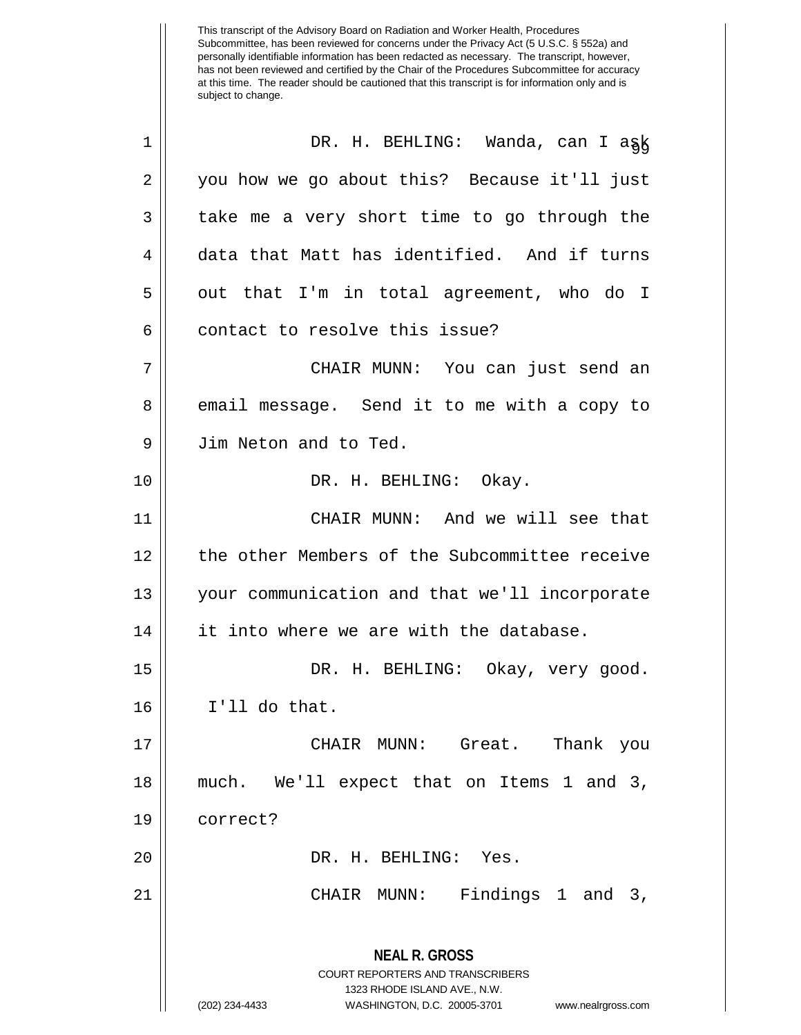| $\mathbf 1$    | DR. H. BEHLING: Wanda, can I ask                                                                                                                                       |
|----------------|------------------------------------------------------------------------------------------------------------------------------------------------------------------------|
| $\overline{2}$ | you how we go about this? Because it'll just                                                                                                                           |
| 3              | take me a very short time to go through the                                                                                                                            |
| 4              | data that Matt has identified. And if turns                                                                                                                            |
| 5              | out that I'm in total agreement, who do I                                                                                                                              |
| 6              | contact to resolve this issue?                                                                                                                                         |
| 7              | CHAIR MUNN: You can just send an                                                                                                                                       |
| 8              | email message. Send it to me with a copy to                                                                                                                            |
| 9              | Jim Neton and to Ted.                                                                                                                                                  |
| 10             | DR. H. BEHLING: Okay.                                                                                                                                                  |
| 11             | CHAIR MUNN: And we will see that                                                                                                                                       |
| 12             | the other Members of the Subcommittee receive                                                                                                                          |
| 13             | your communication and that we'll incorporate                                                                                                                          |
| 14             | it into where we are with the database.                                                                                                                                |
| 15             | DR. H. BEHLING: Okay, very good.                                                                                                                                       |
| 16             | I'll do that.                                                                                                                                                          |
| 17             | CHAIR MUNN: Great. Thank you                                                                                                                                           |
| 18             | much. We'll expect that on Items 1 and 3,                                                                                                                              |
| 19             | correct?                                                                                                                                                               |
| 20             | DR. H. BEHLING: Yes.                                                                                                                                                   |
| 21             | CHAIR MUNN: Findings 1 and 3,                                                                                                                                          |
|                | <b>NEAL R. GROSS</b><br><b>COURT REPORTERS AND TRANSCRIBERS</b><br>1323 RHODE ISLAND AVE., N.W.<br>(202) 234-4433<br>WASHINGTON, D.C. 20005-3701<br>www.nealrgross.com |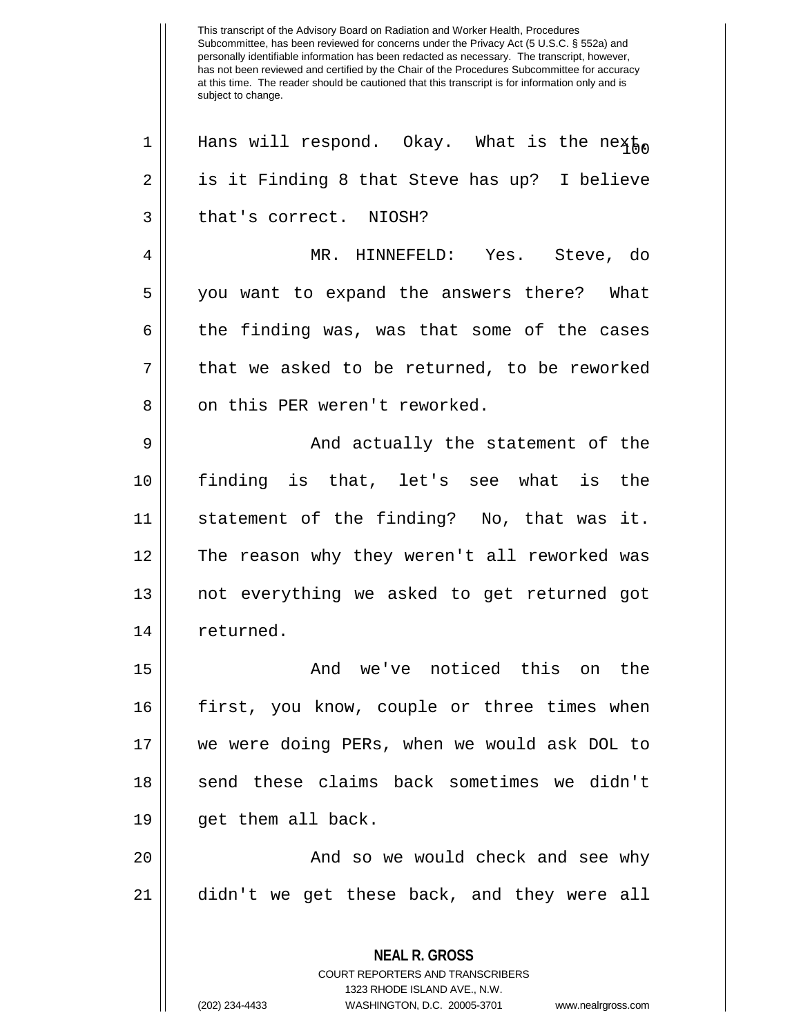**NEAL R. GROSS** COURT REPORTERS AND TRANSCRIBERS 1323 RHODE ISLAND AVE., N.W. (202) 234-4433 WASHINGTON, D.C. 20005-3701 www.nealrgross.com 1 || Hans will respond. Okay. What is the next, 2 || is it Finding 8 that Steve has up? I believe 3 l that's correct. NIOSH? 4 MR. HINNEFELD: Yes. Steve, do 5 you want to expand the answers there? What  $6 \parallel$  the finding was, was that some of the cases  $7 \parallel$  that we asked to be returned, to be reworked 8 || on this PER weren't reworked. 9 And actually the statement of the 10 finding is that, let's see what is the 11 statement of the finding? No, that was it. 12 The reason why they weren't all reworked was 13 not everything we asked to get returned got 14 | returned. 15 And we've noticed this on the 16 first, you know, couple or three times when 17 we were doing PERs, when we would ask DOL to 18 || send these claims back sometimes we didn't 19 || qet them all back. 20 And so we would check and see why 21 didn't we get these back, and they were all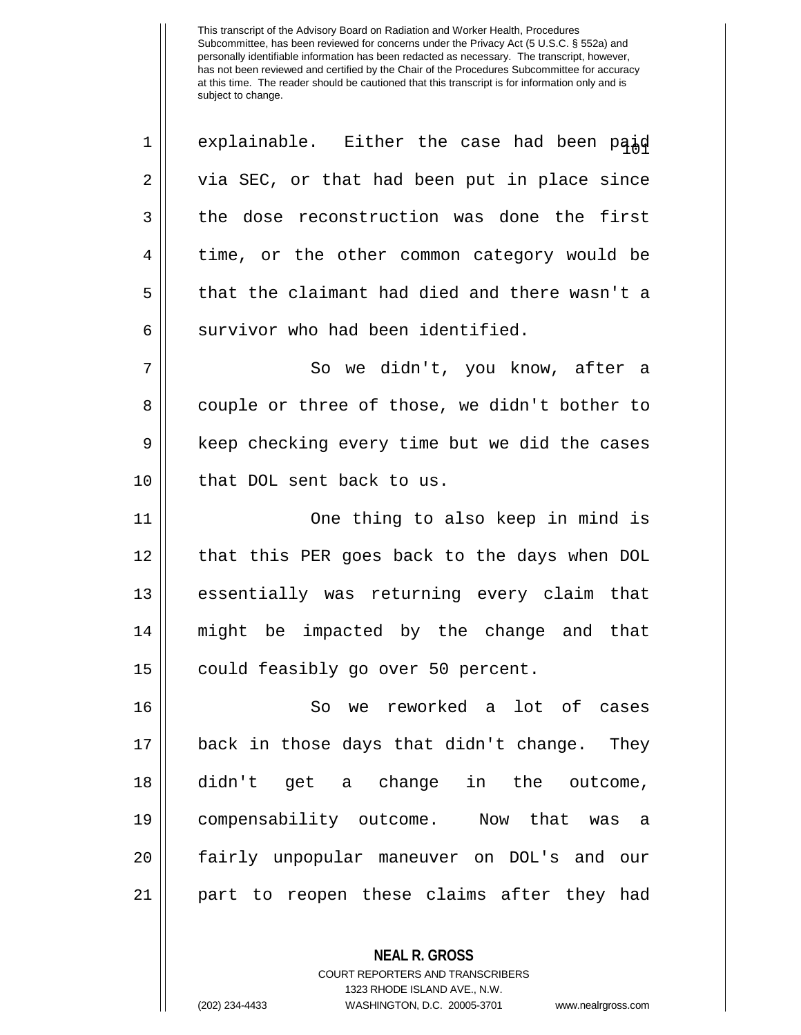$1 \parallel$  explainable. Either the case had been paid  $2 \parallel$  via SEC, or that had been put in place since  $3 \parallel$  the dose reconstruction was done the first 4 || time, or the other common category would be 5 that the claimant had died and there wasn't a  $6$  | survivor who had been identified. 7 || So we didn't, you know, after a 8 couple or three of those, we didn't bother to 9 | keep checking every time but we did the cases 10 || that DOL sent back to us. 11 One thing to also keep in mind is 12 || that this PER goes back to the days when DOL 13 || essentially was returning every claim that 14 might be impacted by the change and that 15 || could feasibly go over 50 percent. 16 So we reworked a lot of cases 17 back in those days that didn't change. They 18 didn't get a change in the outcome, 19 compensability outcome. Now that was a 20 fairly unpopular maneuver on DOL's and our 21 part to reopen these claims after they had

> **NEAL R. GROSS** COURT REPORTERS AND TRANSCRIBERS 1323 RHODE ISLAND AVE., N.W.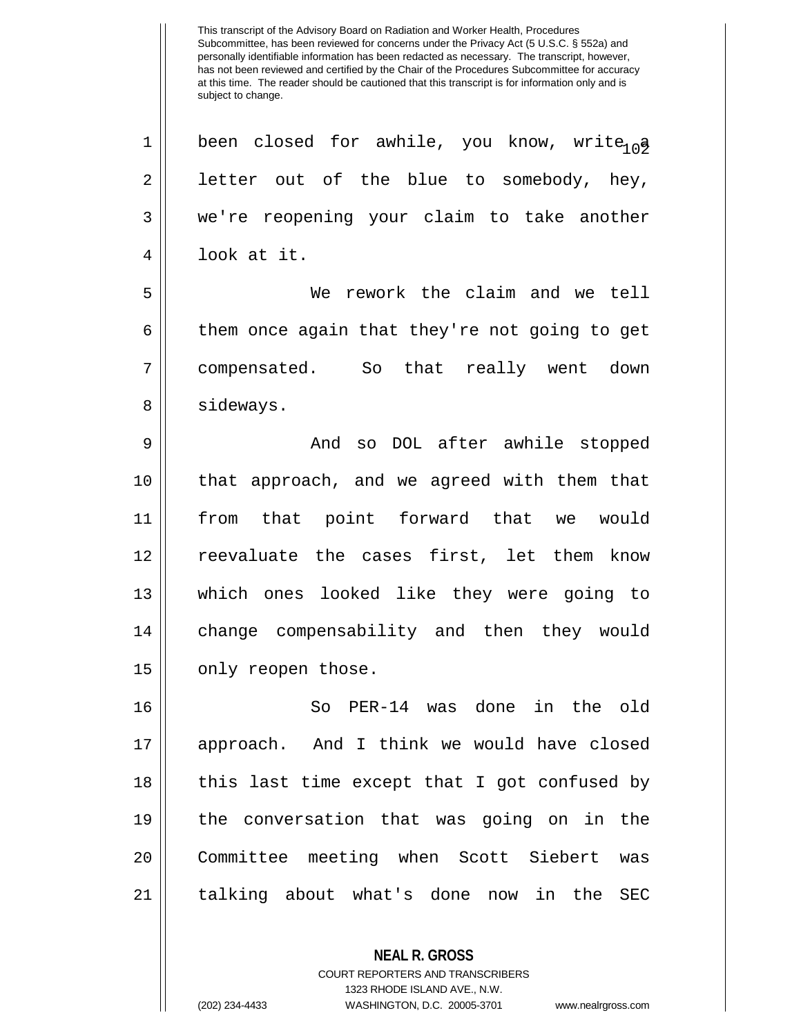1 || been closed for awhile, you know, write  $a_0$  $2 \parallel$  letter out of the blue to somebody, hey, 3 we're reopening your claim to take another 4 look at it.

5 We rework the claim and we tell  $6 \parallel$  them once again that they're not going to get 7 compensated. So that really went down 8 | sideways.

 And so DOL after awhile stopped that approach, and we agreed with them that from that point forward that we would reevaluate the cases first, let them know which ones looked like they were going to 14 || change compensability and then they would 15 | only reopen those.

 So PER-14 was done in the old approach. And I think we would have closed 18 || this last time except that I got confused by the conversation that was going on in the Committee meeting when Scott Siebert was 21 || talking about what's done now in the SEC

> COURT REPORTERS AND TRANSCRIBERS 1323 RHODE ISLAND AVE., N.W.

**NEAL R. GROSS**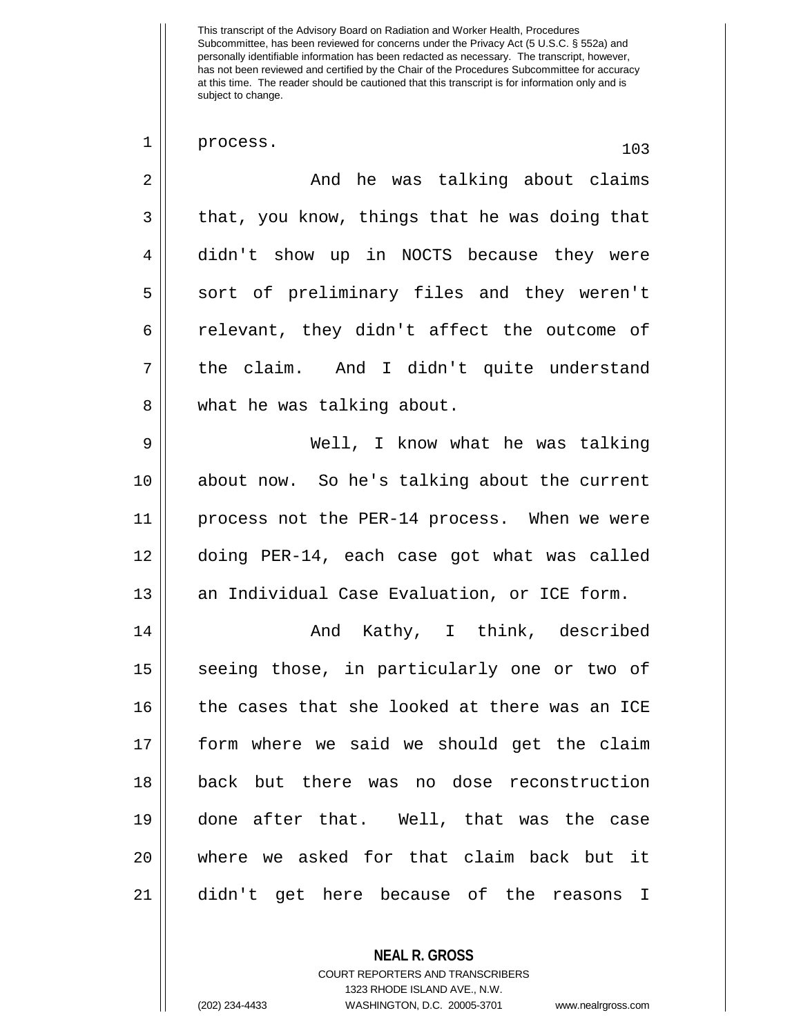| $\mathbf 1$    | process.<br>103                               |
|----------------|-----------------------------------------------|
| $\overline{2}$ | And he was talking about claims               |
| 3              | that, you know, things that he was doing that |
| 4              | didn't show up in NOCTS because they were     |
| 5              | sort of preliminary files and they weren't    |
| 6              | relevant, they didn't affect the outcome of   |
| 7              | the claim. And I didn't quite understand      |
| 8              | what he was talking about.                    |
| 9              | Well, I know what he was talking              |
| 10             | about now. So he's talking about the current  |
| 11             | process not the PER-14 process. When we were  |
| 12             | doing PER-14, each case got what was called   |
| 13             | an Individual Case Evaluation, or ICE form.   |
| 14             | And Kathy, I think, described                 |
| 15             | seeing those, in particularly one or two of   |
| 16             | the cases that she looked at there was an ICE |
| 17             | form where we said we should get the claim    |
| 18             | back but there was no dose reconstruction     |
| 19             | done after that. Well, that was the case      |
| 20             | where we asked for that claim back but it     |
| 21             | didn't get here because of the reasons I      |

COURT REPORTERS AND TRANSCRIBERS 1323 RHODE ISLAND AVE., N.W. (202) 234-4433 WASHINGTON, D.C. 20005-3701 www.nealrgross.com

**NEAL R. GROSS**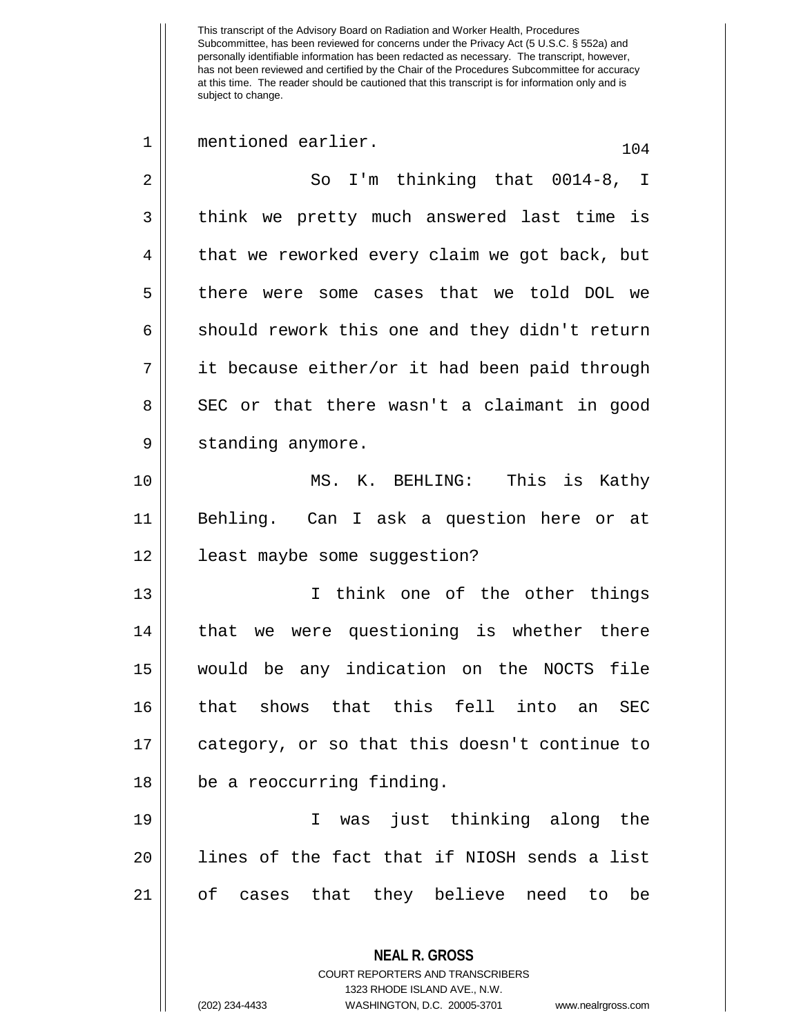| 1           | mentioned earlier.<br>104                                                                       |
|-------------|-------------------------------------------------------------------------------------------------|
| $\sqrt{2}$  | So I'm thinking that 0014-8, I                                                                  |
| 3           | think we pretty much answered last time is                                                      |
| 4           | that we reworked every claim we got back, but                                                   |
| 5           | there were some cases that we told DOL we                                                       |
| 6           | should rework this one and they didn't return                                                   |
| 7           | it because either/or it had been paid through                                                   |
| 8           | SEC or that there wasn't a claimant in good                                                     |
| $\mathsf 9$ | standing anymore.                                                                               |
| 10          | MS. K. BEHLING: This is Kathy                                                                   |
| 11          | Behling. Can I ask a question here or at                                                        |
| 12          | least maybe some suggestion?                                                                    |
| 13          | I think one of the other things                                                                 |
| 14          | that we were questioning is whether there                                                       |
| 15          | would be any indication on the NOCTS file                                                       |
| 16          | that shows that this<br>fell into<br>an<br>SEC                                                  |
| 17          | category, or so that this doesn't continue to                                                   |
| 18          | be a reoccurring finding.                                                                       |
| 19          | was just thinking along the<br>T.                                                               |
| 20          | lines of the fact that if NIOSH sends a list                                                    |
| 21          | of cases that they believe need to<br>be                                                        |
|             | <b>NEAL R. GROSS</b><br><b>COURT REPORTERS AND TRANSCRIBERS</b><br>1323 RHODE ISLAND AVE., N.W. |

 $\prod_{i=1}^{n}$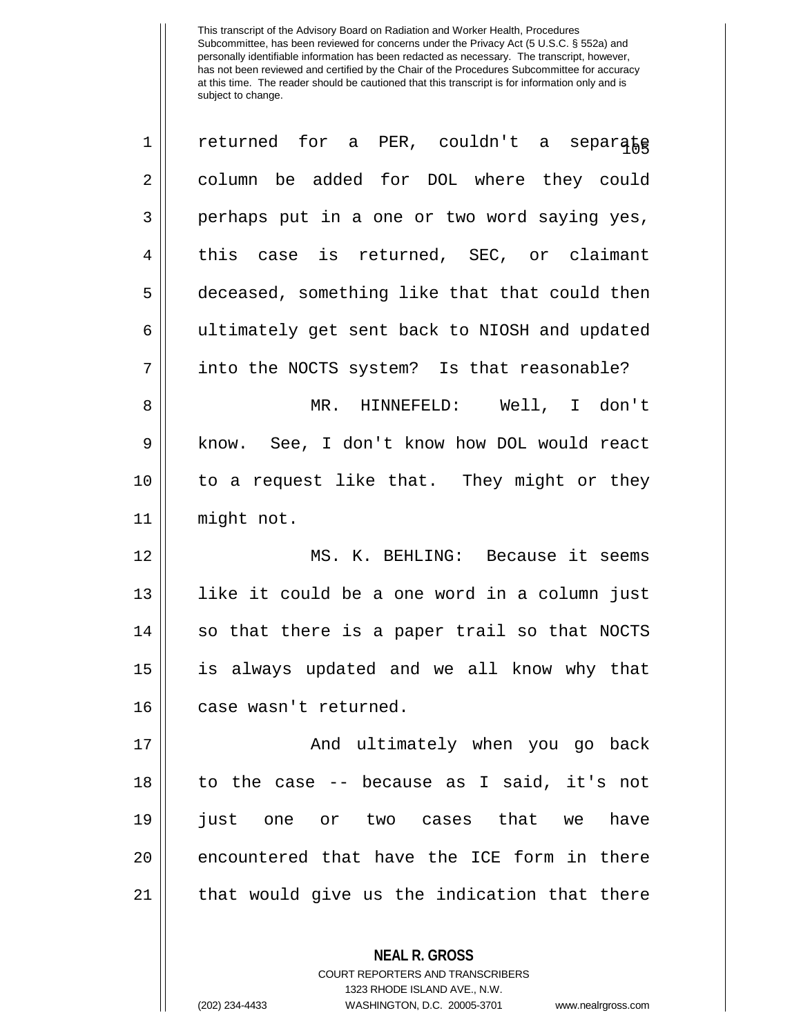| $\mathbf 1$    | returned for a PER, couldn't a separake       |
|----------------|-----------------------------------------------|
| $\overline{2}$ | column be added for DOL where they could      |
| 3              | perhaps put in a one or two word saying yes,  |
| 4              | this case is returned, SEC, or claimant       |
| 5              | deceased, something like that that could then |
| 6              | ultimately get sent back to NIOSH and updated |
| 7              | into the NOCTS system? Is that reasonable?    |
| 8              | MR. HINNEFELD: Well, I don't                  |
| 9              | know. See, I don't know how DOL would react   |
| 10             | to a request like that. They might or they    |
| 11             | might not.                                    |
| 12             | MS. K. BEHLING: Because it seems              |
| 13             | like it could be a one word in a column just  |
| 14             | so that there is a paper trail so that NOCTS  |
| 15             | is always updated and we all know why that    |
| 16             | case wasn't returned.                         |
| 17             | And ultimately when you go back               |
| 18             | to the case -- because as I said, it's not    |
| 19             | just one or two cases that we have            |
| 20             | encountered that have the ICE form in there   |
| 21             | that would give us the indication that there  |
|                | <b>NEAL R. GROSS</b>                          |

COURT REPORTERS AND TRANSCRIBERS 1323 RHODE ISLAND AVE., N.W.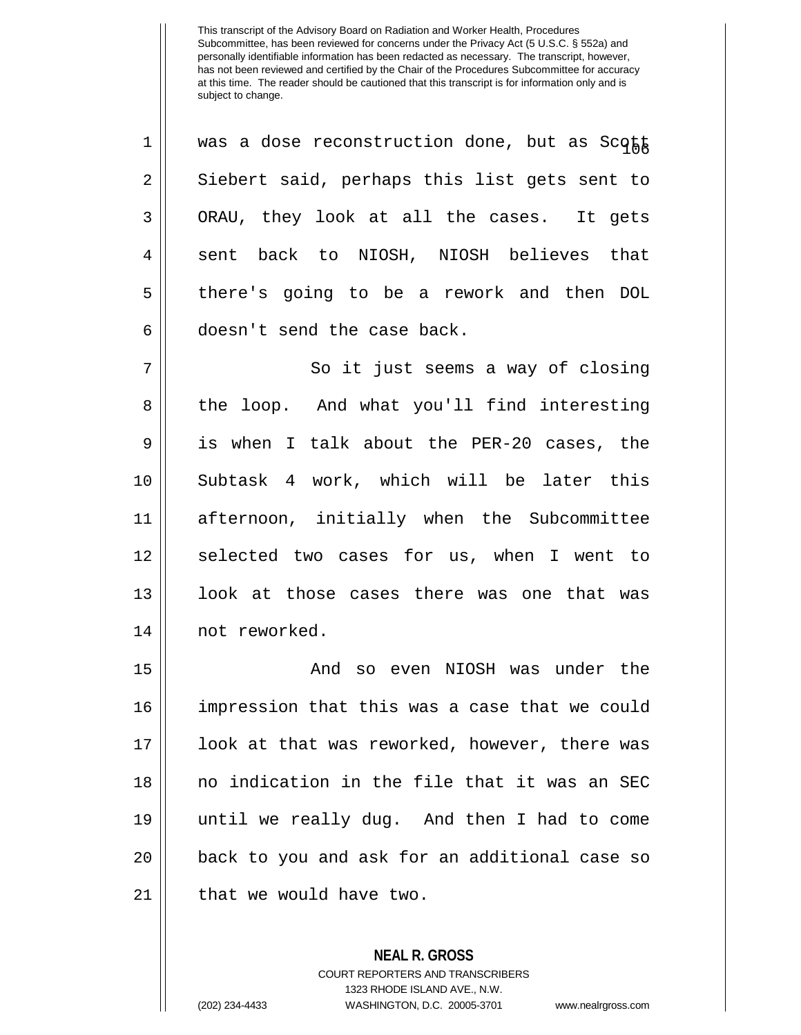$1$  | was a dose reconstruction done, but as Scott 2 || Siebert said, perhaps this list gets sent to  $3 \parallel$  ORAU, they look at all the cases. It gets 4 sent back to NIOSH, NIOSH believes that 5 there's going to be a rework and then DOL  $6 \parallel$  doesn't send the case back.

7 || So it just seems a way of closing 8 the loop. And what you'll find interesting 9 is when I talk about the PER-20 cases, the 10 Subtask 4 work, which will be later this 11 afternoon, initially when the Subcommittee 12 || selected two cases for us, when I went to 13 || look at those cases there was one that was 14 | not reworked.

 And so even NIOSH was under the impression that this was a case that we could look at that was reworked, however, there was no indication in the file that it was an SEC until we really dug. And then I had to come 20 || back to you and ask for an additional case so | that we would have two.

> **NEAL R. GROSS** COURT REPORTERS AND TRANSCRIBERS 1323 RHODE ISLAND AVE., N.W. (202) 234-4433 WASHINGTON, D.C. 20005-3701 www.nealrgross.com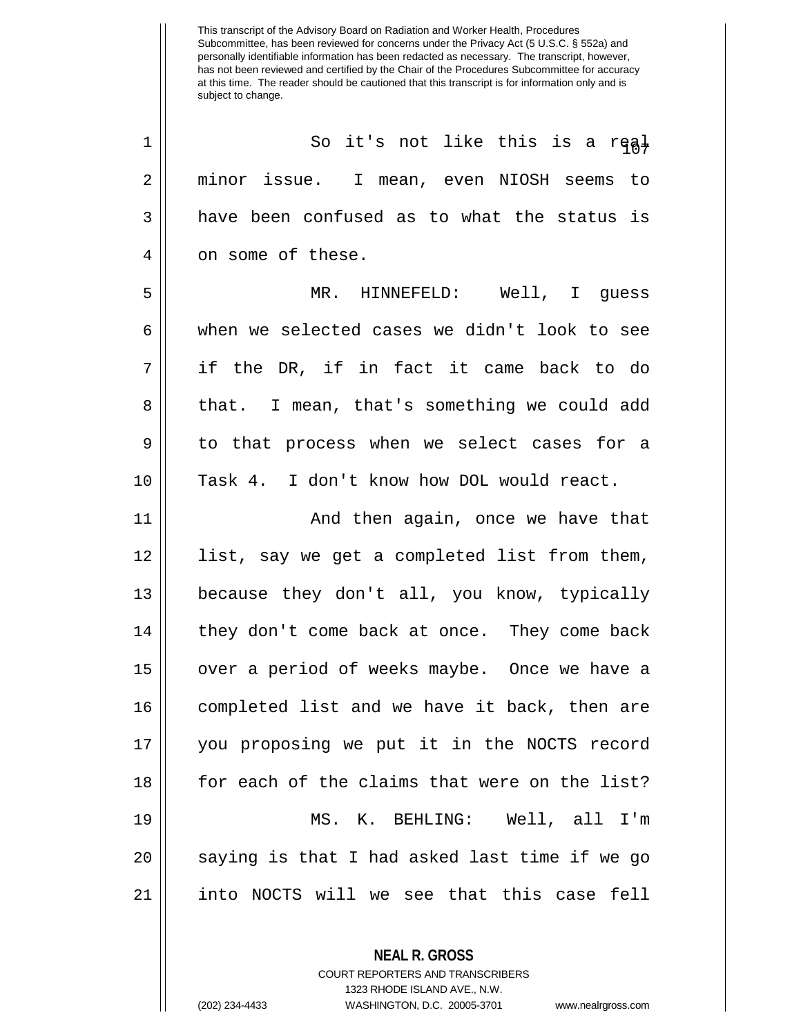<sup>107</sup> <sup>1</sup> So it's not like this is a real 2 minor issue. I mean, even NIOSH seems to  $3 \parallel$  have been confused as to what the status is 4 || on some of these. 5 MR. HINNEFELD: Well, I guess  $6 \parallel$  when we selected cases we didn't look to see 7 if the DR, if in fact it came back to do 8 || that. I mean, that's something we could add 9 || to that process when we select cases for a 10 Task 4. I don't know how DOL would react. 11 And then again, once we have that

 list, say we get a completed list from them, because they don't all, you know, typically | they don't come back at once. They come back 15 || over a period of weeks maybe. Once we have a completed list and we have it back, then are you proposing we put it in the NOCTS record for each of the claims that were on the list? MS. K. BEHLING: Well, all I'm || saying is that I had asked last time if we go into NOCTS will we see that this case fell

**NEAL R. GROSS**

COURT REPORTERS AND TRANSCRIBERS 1323 RHODE ISLAND AVE., N.W. (202) 234-4433 WASHINGTON, D.C. 20005-3701 www.nealrgross.com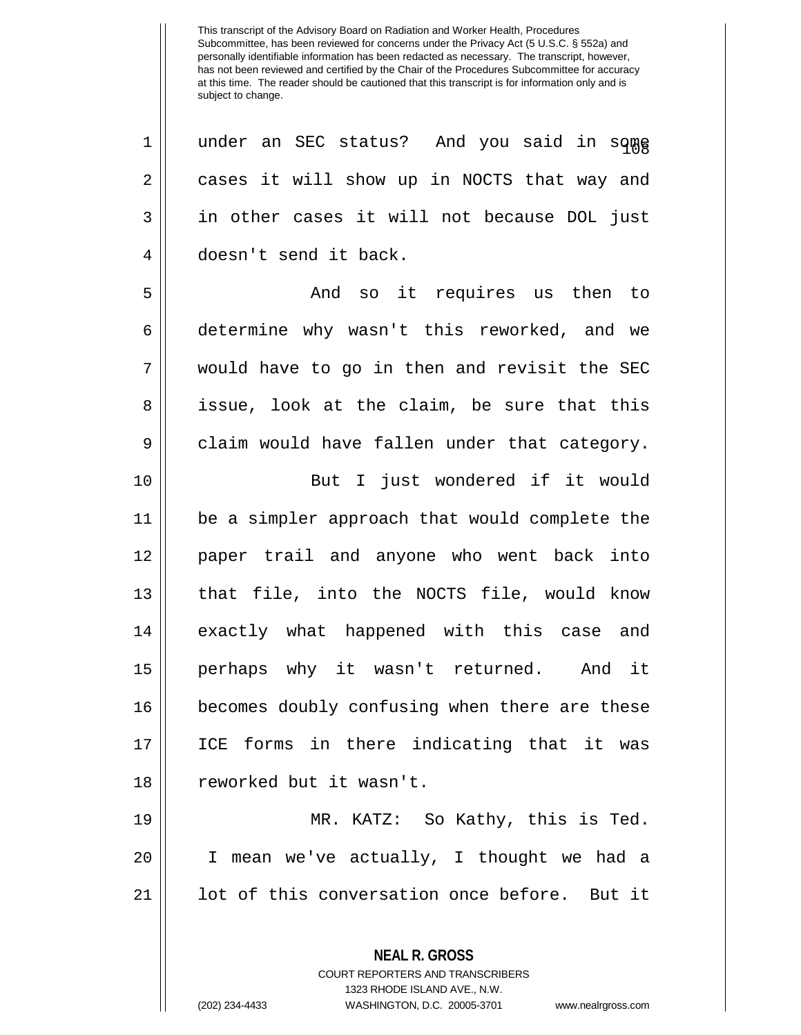1 || under an SEC status? And you said in some 2 || cases it will show up in NOCTS that way and 3 || in other cases it will not because DOL just 4 doesn't send it back.

5 And so it requires us then to 6 determine why wasn't this reworked, and we 7 would have to go in then and revisit the SEC 8 || issue, look at the claim, be sure that this  $9 \parallel$  claim would have fallen under that category. 10 || But I just wondered if it would 11 be a simpler approach that would complete the

12 paper trail and anyone who went back into 13 that file, into the NOCTS file, would know 14 || exactly what happened with this case and 15 perhaps why it wasn't returned. And it 16 || becomes doubly confusing when there are these 17 ICE forms in there indicating that it was 18 || reworked but it wasn't.

19 MR. KATZ: So Kathy, this is Ted. 20 I mean we've actually, I thought we had a 21 || lot of this conversation once before. But it

> **NEAL R. GROSS** COURT REPORTERS AND TRANSCRIBERS 1323 RHODE ISLAND AVE., N.W.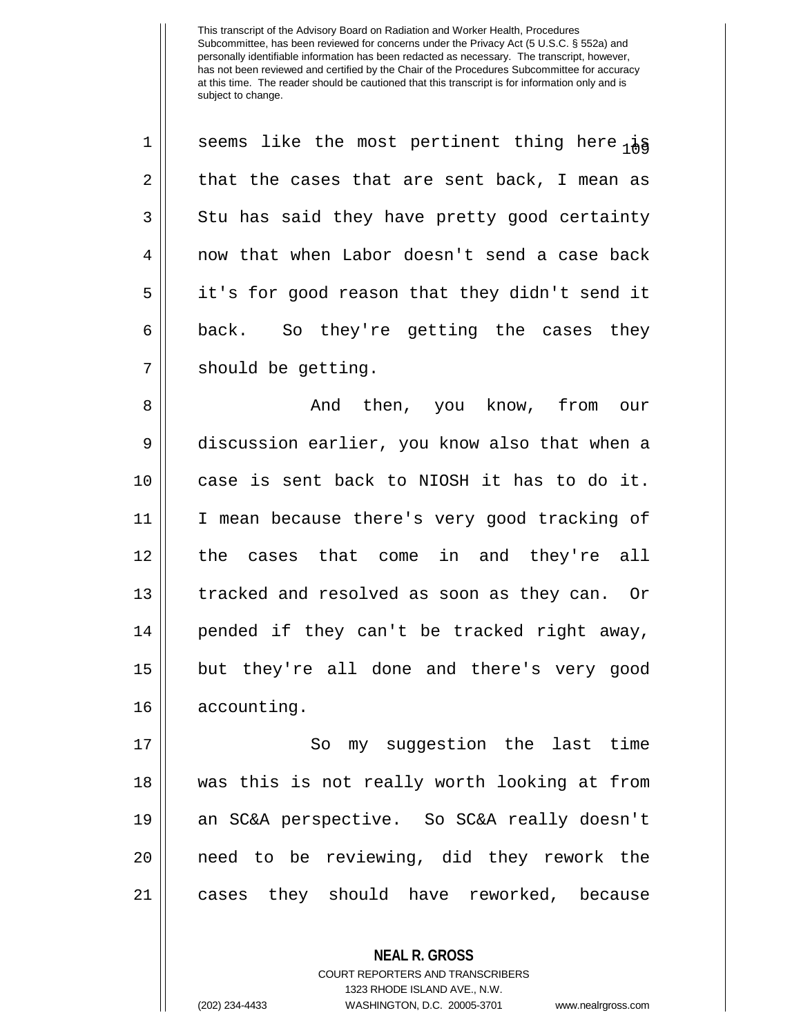1 || seems like the most pertinent thing here  $i$  $2 \parallel$  that the cases that are sent back, I mean as  $3 \parallel$  Stu has said they have pretty good certainty 4 now that when Labor doesn't send a case back 5 || it's for good reason that they didn't send it  $6 \parallel$  back. So they're getting the cases they  $7 \parallel$  should be getting.

 And then, you know, from our discussion earlier, you know also that when a case is sent back to NIOSH it has to do it. I mean because there's very good tracking of 12 || the cases that come in and they're all 13 || tracked and resolved as soon as they can. Or || pended if they can't be tracked right away, but they're all done and there's very good accounting.

17 || So my suggestion the last time was this is not really worth looking at from an SC&A perspective. So SC&A really doesn't need to be reviewing, did they rework the cases they should have reworked, because

> **NEAL R. GROSS** COURT REPORTERS AND TRANSCRIBERS 1323 RHODE ISLAND AVE., N.W. (202) 234-4433 WASHINGTON, D.C. 20005-3701 www.nealrgross.com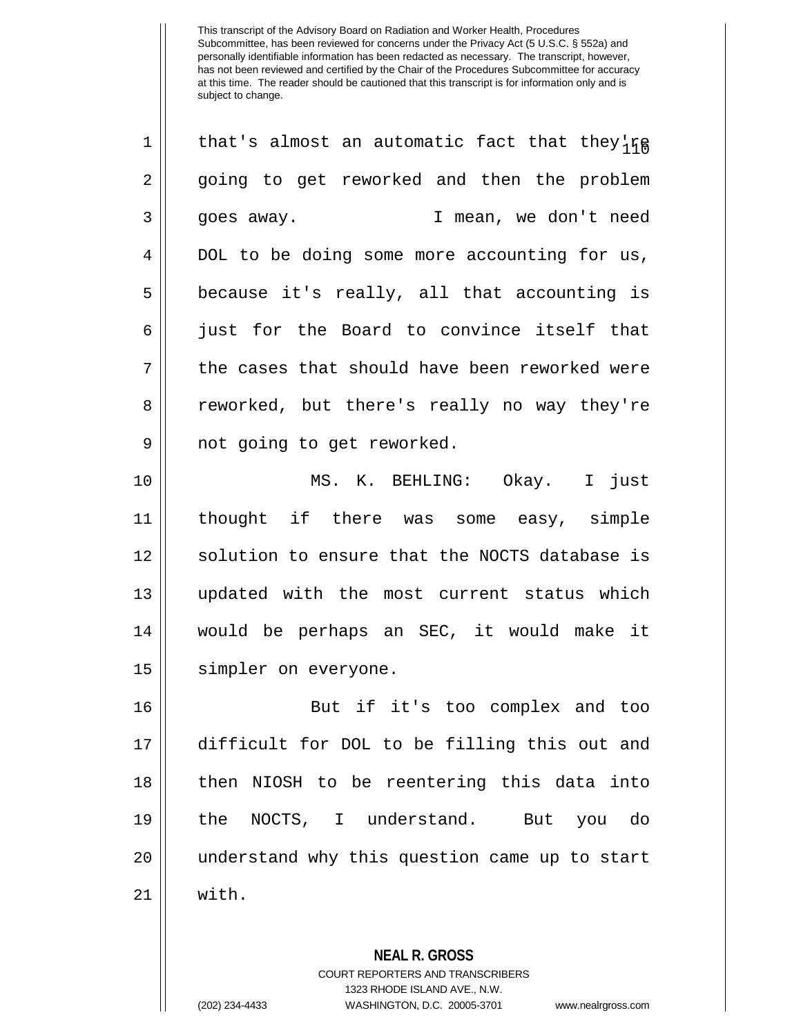$1||$  that's almost an automatic fact that they're 2 going to get reworked and then the problem 3 goes away. I mean, we don't need 4 DOL to be doing some more accounting for us,  $5 \parallel$  because it's really, all that accounting is 6 || just for the Board to convince itself that  $7 \parallel$  the cases that should have been reworked were 8 || reworked, but there's really no way they're 9 || not going to get reworked.

 MS. K. BEHLING: Okay. I just thought if there was some easy, simple 12 || solution to ensure that the NOCTS database is updated with the most current status which would be perhaps an SEC, it would make it 15 | simpler on everyone.

 But if it's too complex and too difficult for DOL to be filling this out and then NIOSH to be reentering this data into the NOCTS, I understand. But you do understand why this question came up to start 21 with.

> **NEAL R. GROSS** COURT REPORTERS AND TRANSCRIBERS 1323 RHODE ISLAND AVE., N.W. (202) 234-4433 WASHINGTON, D.C. 20005-3701 www.nealrgross.com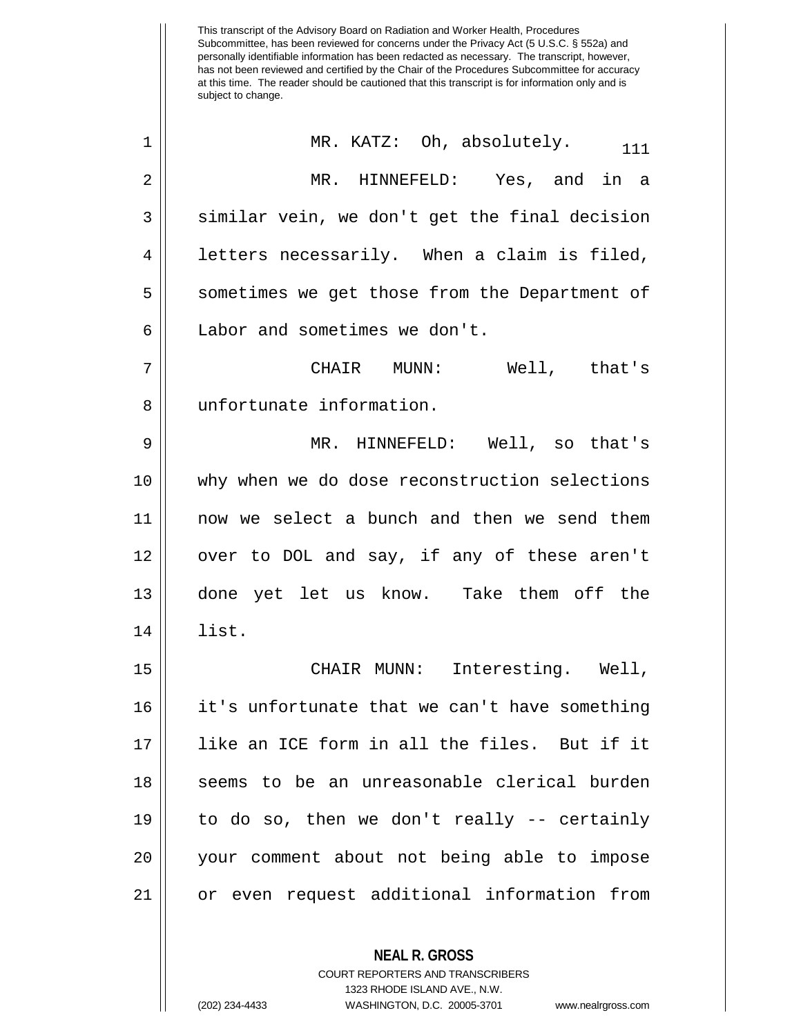This transcript of the Advisory Board on Radiation and Worker Health, Procedures Subcommittee, has been reviewed for concerns under the Privacy Act (5 U.S.C. § 552a) and personally identifiable information has been redacted as necessary. The transcript, however, has not been reviewed and certified by the Chair of the Procedures Subcommittee for accuracy at this time. The reader should be cautioned that this transcript is for information only and is subject to change. **NEAL R. GROSS**  $1 \parallel$  MR. KATZ: Oh, absolutely.  $1 \parallel$  111 2 MR. HINNEFELD: Yes, and in a  $3 \parallel$  similar vein, we don't get the final decision  $4 \parallel$  letters necessarily. When a claim is filed, 5 || sometimes we get those from the Department of 6 | Labor and sometimes we don't. 7 CHAIR MUNN: Well, that's 8 || unfortunate information. 9 MR. HINNEFELD: Well, so that's 10 why when we do dose reconstruction selections 11 now we select a bunch and then we send them 12 || over to DOL and say, if any of these aren't 13 done yet let us know. Take them off the 14 list. 15 CHAIR MUNN: Interesting. Well, 16 it's unfortunate that we can't have something 17 like an ICE form in all the files. But if it 18 || seems to be an unreasonable clerical burden 19 to do so, then we don't really -- certainly 20 your comment about not being able to impose 21 or even request additional information from

> COURT REPORTERS AND TRANSCRIBERS 1323 RHODE ISLAND AVE., N.W. (202) 234-4433 WASHINGTON, D.C. 20005-3701 www.nealrgross.com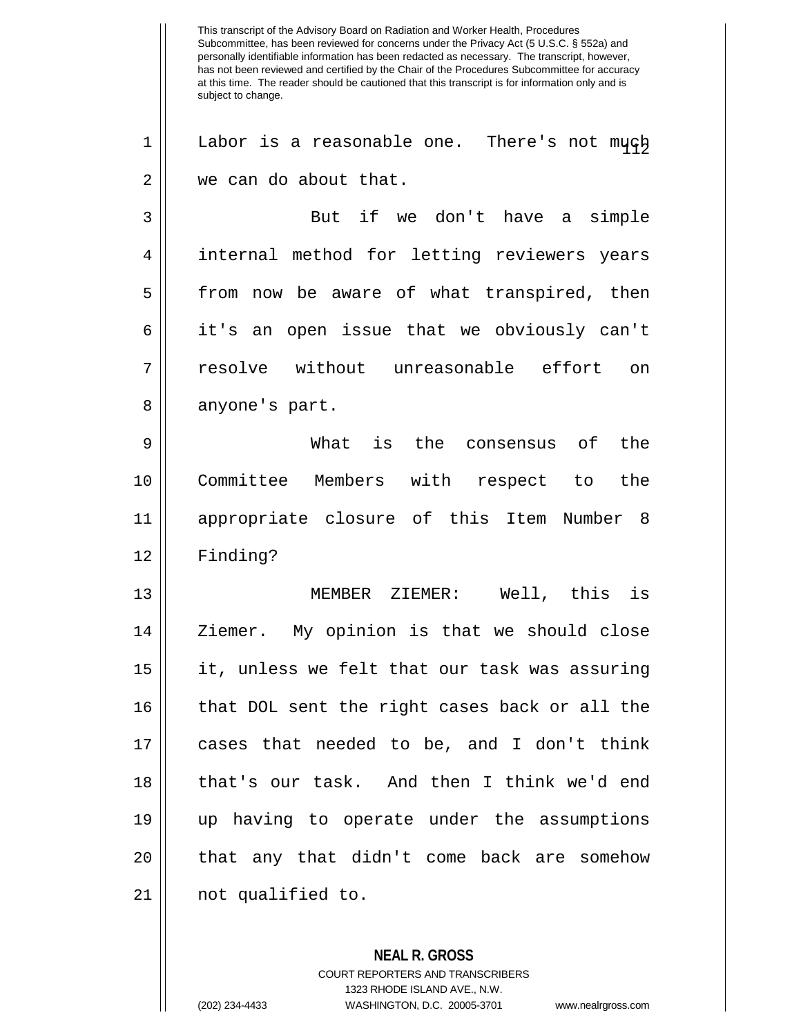This transcript of the Advisory Board on Radiation and Worker Health, Procedures Subcommittee, has been reviewed for concerns under the Privacy Act (5 U.S.C. § 552a) and personally identifiable information has been redacted as necessary. The transcript, however, has not been reviewed and certified by the Chair of the Procedures Subcommittee for accuracy at this time. The reader should be cautioned that this transcript is for information only and is subject to change.  $1 \parallel$  Labor is a reasonable one. There's not much 2 we can do about that. 3 But if we don't have a simple 4 || internal method for letting reviewers years 5 || from now be aware of what transpired, then 6 it's an open issue that we obviously can't 7 resolve without unreasonable effort on 8 || anyone's part. 9 What is the consensus of the 10 Committee Members with respect to the 11 appropriate closure of this Item Number 8 12 Finding? 13 MEMBER ZIEMER: Well, this is 14 || Ziemer. My opinion is that we should close 15 it, unless we felt that our task was assuring 16 that DOL sent the right cases back or all the 17 cases that needed to be, and I don't think 18 that's our task. And then I think we'd end 19 up having to operate under the assumptions 20 || that any that didn't come back are somehow 21 not qualified to.

> **NEAL R. GROSS** COURT REPORTERS AND TRANSCRIBERS 1323 RHODE ISLAND AVE., N.W. (202) 234-4433 WASHINGTON, D.C. 20005-3701 www.nealrgross.com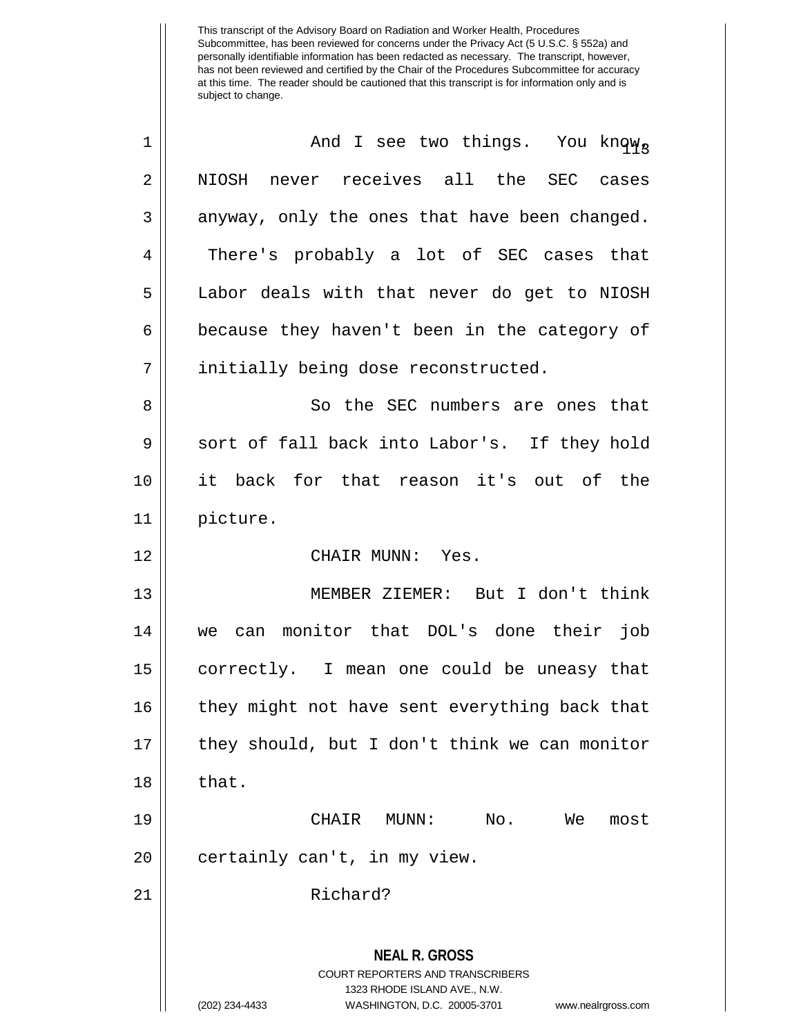| $\mathbf 1$    | And I see two things. You knqw <sub>3</sub>                                                                                                                            |
|----------------|------------------------------------------------------------------------------------------------------------------------------------------------------------------------|
| $\overline{2}$ | NIOSH never receives all the SEC cases                                                                                                                                 |
| 3              | anyway, only the ones that have been changed.                                                                                                                          |
| 4              | There's probably a lot of SEC cases that                                                                                                                               |
| 5              | Labor deals with that never do get to NIOSH                                                                                                                            |
| 6              | because they haven't been in the category of                                                                                                                           |
| 7              | initially being dose reconstructed.                                                                                                                                    |
| 8              | So the SEC numbers are ones that                                                                                                                                       |
| 9              | sort of fall back into Labor's. If they hold                                                                                                                           |
| 10             | it back for that reason it's out of the                                                                                                                                |
| 11             | picture.                                                                                                                                                               |
| 12             | CHAIR MUNN: Yes.                                                                                                                                                       |
| 13             | MEMBER ZIEMER: But I don't think                                                                                                                                       |
| 14             | can monitor that DOL's done their job<br>we                                                                                                                            |
| 15             | correctly. I mean one could be uneasy that                                                                                                                             |
| 16             | they might not have sent everything back that                                                                                                                          |
| 17             | they should, but I don't think we can monitor                                                                                                                          |
| 18             | that.                                                                                                                                                                  |
| 19             | CHAIR MUNN:<br>No.<br>We<br>most                                                                                                                                       |
| 20             | certainly can't, in my view.                                                                                                                                           |
| 21             | Richard?                                                                                                                                                               |
|                | <b>NEAL R. GROSS</b><br><b>COURT REPORTERS AND TRANSCRIBERS</b><br>1323 RHODE ISLAND AVE., N.W.<br>(202) 234-4433<br>WASHINGTON, D.C. 20005-3701<br>www.nealrgross.com |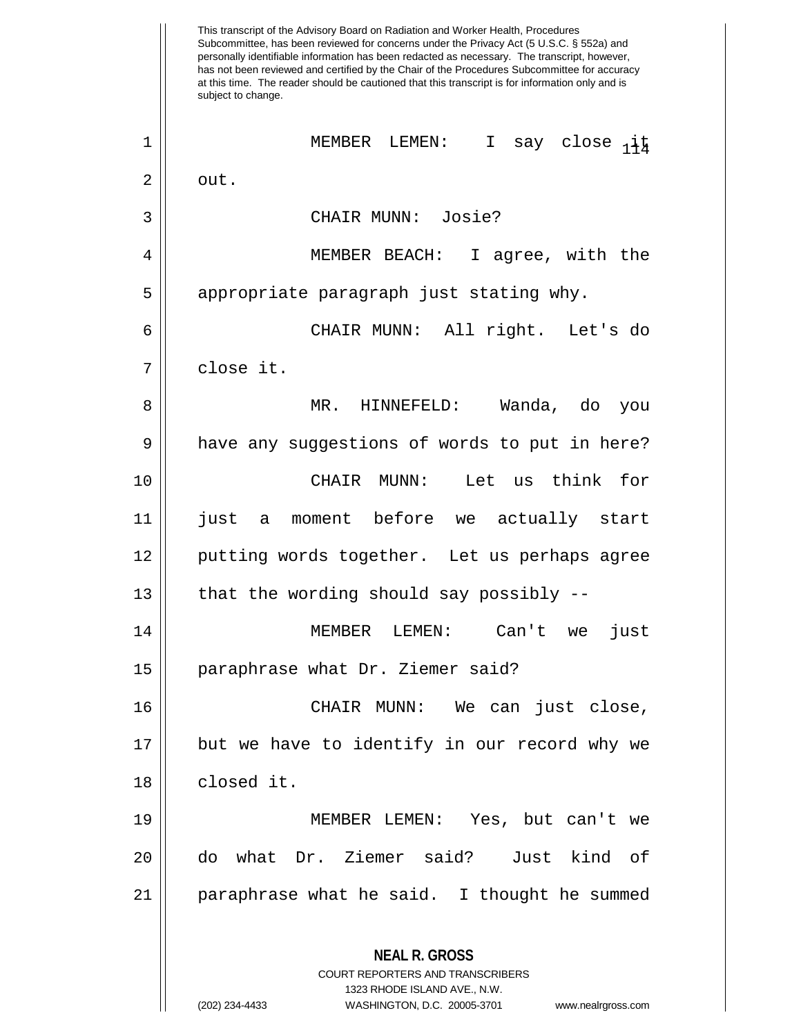This transcript of the Advisory Board on Radiation and Worker Health, Procedures Subcommittee, has been reviewed for concerns under the Privacy Act (5 U.S.C. § 552a) and personally identifiable information has been redacted as necessary. The transcript, however, has not been reviewed and certified by the Chair of the Procedures Subcommittee for accuracy at this time. The reader should be cautioned that this transcript is for information only and is subject to change. **NEAL R. GROSS** COURT REPORTERS AND TRANSCRIBERS 1323 RHODE ISLAND AVE., N.W. <sup>114</sup> <sup>1</sup> MEMBER LEMEN: I say close it  $2 \parallel$  out. 3 CHAIR MUNN: Josie? 4 MEMBER BEACH: I agree, with the 5 || appropriate paragraph just stating why. 6 CHAIR MUNN: All right. Let's do 7 close it. 8 MR. HINNEFELD: Wanda, do you 9 | have any suggestions of words to put in here? 10 CHAIR MUNN: Let us think for 11 just a moment before we actually start 12 || putting words together. Let us perhaps agree  $13$  | that the wording should say possibly  $-$ 14 MEMBER LEMEN: Can't we just 15 || paraphrase what Dr. Ziemer said? 16 CHAIR MUNN: We can just close, 17 but we have to identify in our record why we 18 || closed it. 19 MEMBER LEMEN: Yes, but can't we 20 do what Dr. Ziemer said? Just kind of 21 paraphrase what he said. I thought he summed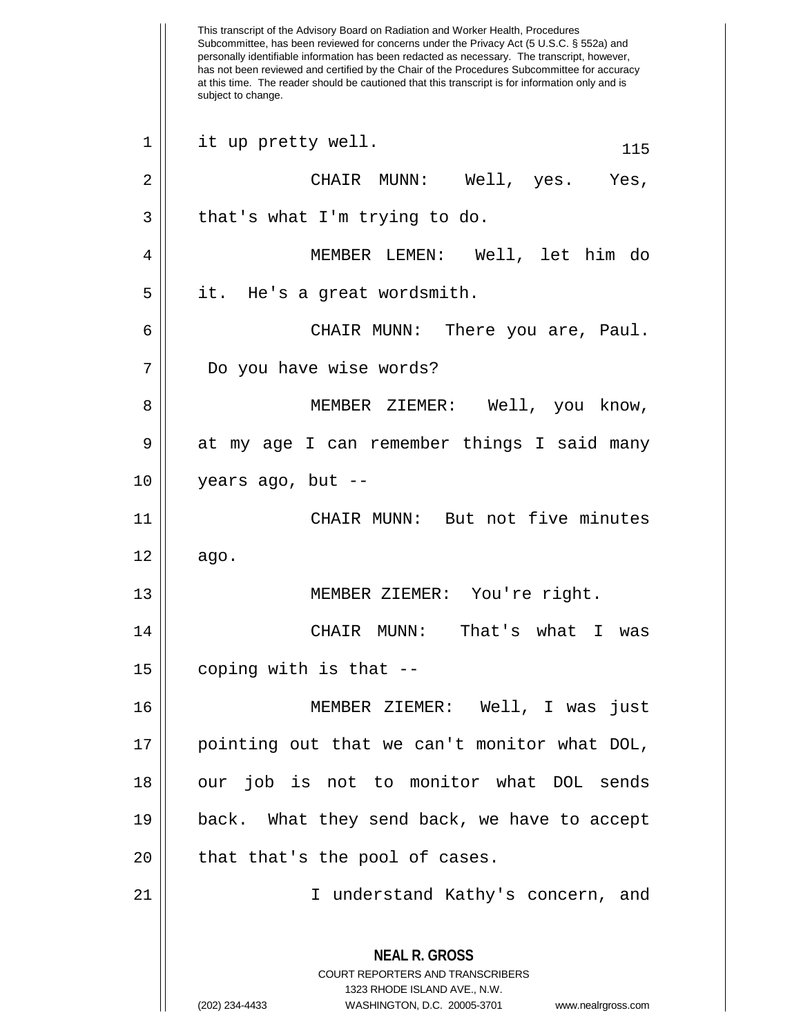This transcript of the Advisory Board on Radiation and Worker Health, Procedures Subcommittee, has been reviewed for concerns under the Privacy Act (5 U.S.C. § 552a) and personally identifiable information has been redacted as necessary. The transcript, however, has not been reviewed and certified by the Chair of the Procedures Subcommittee for accuracy at this time. The reader should be cautioned that this transcript is for information only and is subject to change. **NEAL R. GROSS** COURT REPORTERS AND TRANSCRIBERS 1323 RHODE ISLAND AVE., N.W. (202) 234-4433 WASHINGTON, D.C. 20005-3701 www.nealrgross.com  $1 \parallel$  it up pretty well.  $115$ 2 CHAIR MUNN: Well, yes. Yes,  $3 \parallel$  that's what I'm trying to do. 4 MEMBER LEMEN: Well, let him do 5 || it. He's a great wordsmith. 6 CHAIR MUNN: There you are, Paul. 7 Do you have wise words? 8 || MEMBER ZIEMER: Well, you know, 9 | at my age I can remember things I said many 10 years ago, but -- 11 CHAIR MUNN: But not five minutes  $12 \parallel$  ago. 13 MEMBER ZIEMER: You're right. 14 CHAIR MUNN: That's what I was  $15$  || coping with is that  $-$ -16 MEMBER ZIEMER: Well, I was just 17 pointing out that we can't monitor what DOL, 18 || our job is not to monitor what DOL sends 19 back. What they send back, we have to accept  $20$  || that that's the pool of cases. 21 I understand Kathy's concern, and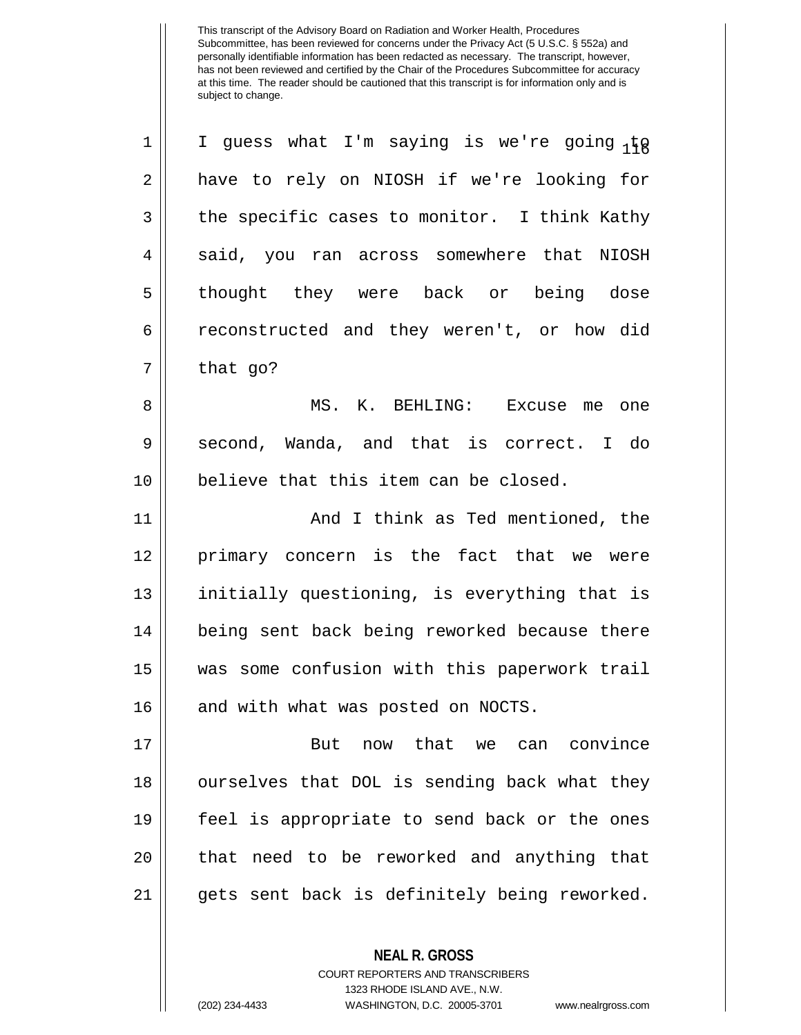1 || I guess what I'm saying is we're going  ${}_1\sharp_Q$ 2 || have to rely on NIOSH if we're looking for  $3 \parallel$  the specific cases to monitor. I think Kathy 4 || said, you ran across somewhere that NIOSH 5 || thought they were back or being dose 6 reconstructed and they weren't, or how did  $7 \parallel$  that go? 8 MS. K. BEHLING: Excuse me one 9 Second, Wanda, and that is correct. I do 10 || believe that this item can be closed. 11 || And I think as Ted mentioned, the 12 primary concern is the fact that we were 13 || initially questioning, is everything that is 14 || being sent back being reworked because there 15 was some confusion with this paperwork trail 16 || and with what was posted on NOCTS. 17 H and that we can convince 18 || ourselves that DOL is sending back what they 19 feel is appropriate to send back or the ones 20 || that need to be reworked and anything that 21 || gets sent back is definitely being reworked.

> COURT REPORTERS AND TRANSCRIBERS 1323 RHODE ISLAND AVE., N.W.

**NEAL R. GROSS**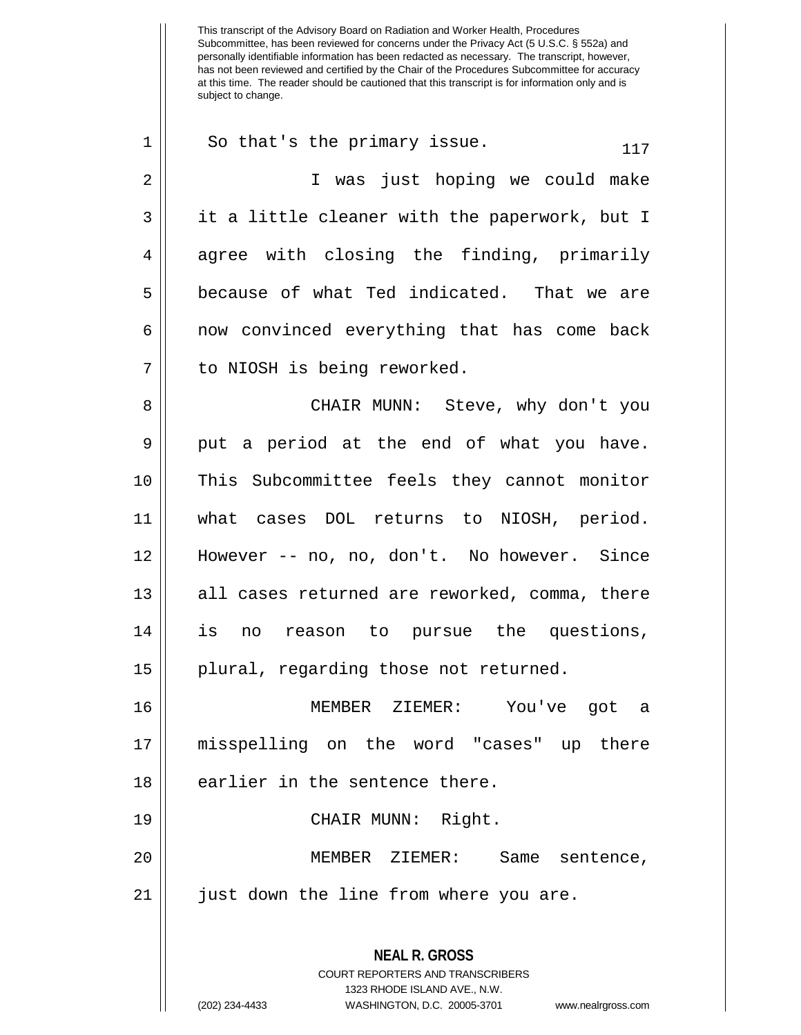**NEAL R. GROSS** COURT REPORTERS AND TRANSCRIBERS 1323 RHODE ISLAND AVE., N.W.  $1 \parallel$  So that's the primary issue.  $117$ 2 I was just hoping we could make 3 || it a little cleaner with the paperwork, but I 4 agree with closing the finding, primarily 5 || because of what Ted indicated. That we are 6 || now convinced everything that has come back 7 || to NIOSH is being reworked. 8 CHAIR MUNN: Steve, why don't you  $9 \parallel$  put a period at the end of what you have. 10 || This Subcommittee feels they cannot monitor 11 what cases DOL returns to NIOSH, period. 12 However -- no, no, don't. No however. Since 13 || all cases returned are reworked, comma, there 14 is no reason to pursue the questions, 15 || plural, regarding those not returned. 16 MEMBER ZIEMER: You've got a 17 misspelling on the word "cases" up there  $18$  | earlier in the sentence there. 19 CHAIR MUNN: Right. 20 MEMBER ZIEMER: Same sentence, 21 just down the line from where you are.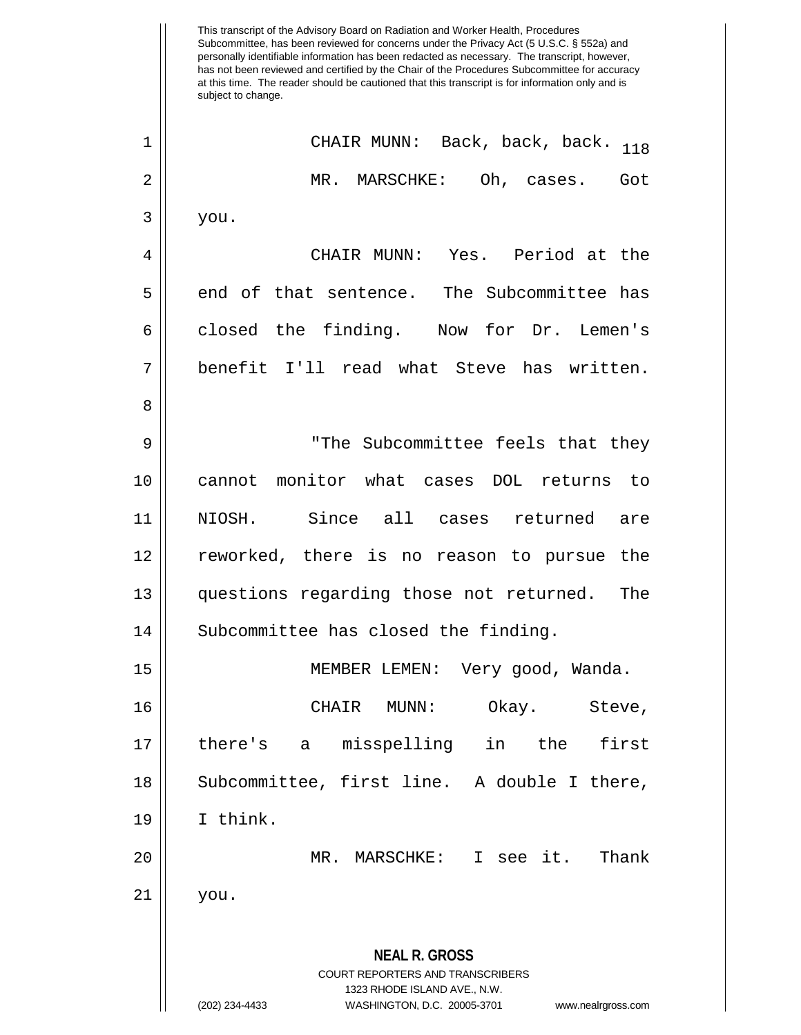This transcript of the Advisory Board on Radiation and Worker Health, Procedures Subcommittee, has been reviewed for concerns under the Privacy Act (5 U.S.C. § 552a) and personally identifiable information has been redacted as necessary. The transcript, however, has not been reviewed and certified by the Chair of the Procedures Subcommittee for accuracy at this time. The reader should be cautioned that this transcript is for information only and is subject to change. **NEAL R. GROSS** COURT REPORTERS AND TRANSCRIBERS 1323 RHODE ISLAND AVE., N.W. (202) 234-4433 WASHINGTON, D.C. 20005-3701 www.nealrgross.com <sup>118</sup> <sup>1</sup> CHAIR MUNN: Back, back, back. 2 MR. MARSCHKE: Oh, cases. Got  $3 \parallel$  you. 4 CHAIR MUNN: Yes. Period at the 5 || end of that sentence. The Subcommittee has 6 closed the finding. Now for Dr. Lemen's 7 benefit I'll read what Steve has written. 8 9 "The Subcommittee feels that they 10 cannot monitor what cases DOL returns to 11 NIOSH. Since all cases returned are 12 reworked, there is no reason to pursue the 13 questions regarding those not returned. The 14 | Subcommittee has closed the finding. 15 MEMBER LEMEN: Very good, Wanda. 16 CHAIR MUNN: Okay. Steve, 17 there's a misspelling in the first 18 || Subcommittee, first line. A double I there, 19 I think. 20 || MR. MARSCHKE: I see it. Thank 21 you.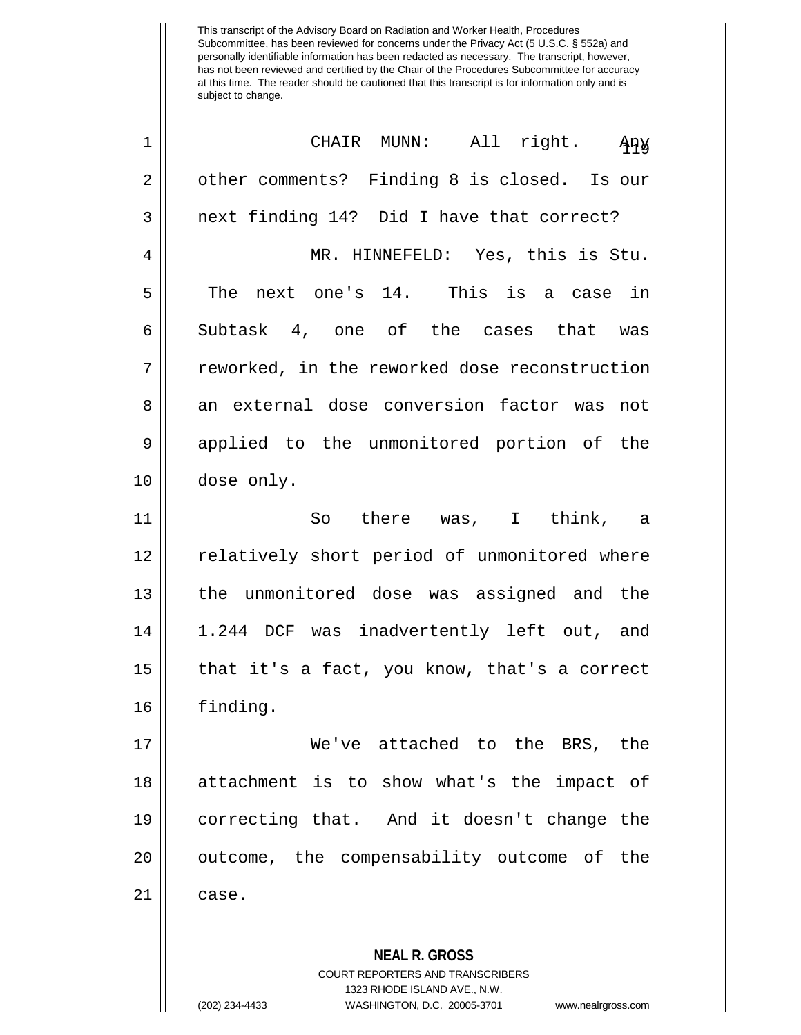| 1           | CHAIR MUNN: All right.<br>ਮੁਸ਼ੇਲ                                                                |
|-------------|-------------------------------------------------------------------------------------------------|
| $\sqrt{2}$  | other comments? Finding 8 is closed. Is our                                                     |
| 3           | next finding 14? Did I have that correct?                                                       |
| 4           | MR. HINNEFELD: Yes, this is Stu.                                                                |
| 5           | The next one's 14. This is a case in                                                            |
| 6           | Subtask 4, one of the cases that was                                                            |
| 7           | reworked, in the reworked dose reconstruction                                                   |
| 8           | an external dose conversion factor was not                                                      |
| $\mathsf 9$ | applied to the unmonitored portion of the                                                       |
| 10          | dose only.                                                                                      |
| 11          | So there was, I think, a                                                                        |
| 12          | relatively short period of unmonitored where                                                    |
| 13          | the unmonitored dose was assigned and the                                                       |
| 14          | 1.244 DCF was inadvertently left out, and                                                       |
| 15          | that it's a fact, you know, that's a correct                                                    |
| 16          | finding.                                                                                        |
| 17          | We've attached to the BRS, the                                                                  |
| 18          | attachment is to show what's the impact of                                                      |
| 19          | correcting that. And it doesn't change the                                                      |
| 20          | outcome, the compensability outcome of the                                                      |
| 21          | case.                                                                                           |
|             | <b>NEAL R. GROSS</b><br><b>COURT REPORTERS AND TRANSCRIBERS</b><br>1323 RHODE ISLAND AVE., N.W. |

 $\prod_{i=1}^{n}$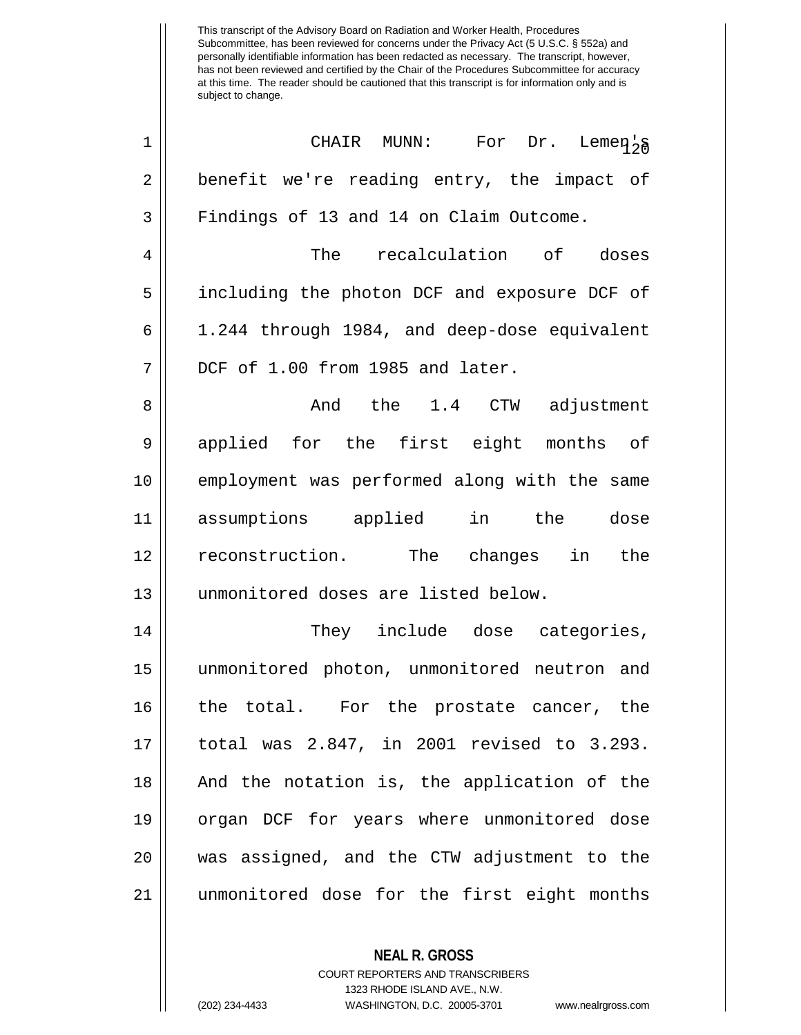| $1\,$          | CHAIR MUNN: For Dr. Lemen <sub>2</sub>       |
|----------------|----------------------------------------------|
| $\overline{2}$ | benefit we're reading entry, the impact of   |
| 3              | Findings of 13 and 14 on Claim Outcome.      |
| 4              | The recalculation of doses                   |
| 5              | including the photon DCF and exposure DCF of |
| 6              | 1.244 through 1984, and deep-dose equivalent |
| 7              | DCF of 1.00 from 1985 and later.             |
| 8              | And the 1.4 CTW adjustment                   |
| 9              | applied for the first eight months of        |
| 10             | employment was performed along with the same |
| 11             | in the dose<br>assumptions applied           |
| 12             |                                              |
|                | reconstruction. The changes<br>in the        |
| 13             | unmonitored doses are listed below.          |
| 14             | They include dose categories,                |
| 15             | unmonitored photon, unmonitored neutron and  |
| 16             | the total. For the prostate cancer, the      |
| 17             | total was 2.847, in 2001 revised to 3.293.   |
| 18             | And the notation is, the application of the  |
| 19             | organ DCF for years where unmonitored dose   |
| 20             | was assigned, and the CTW adjustment to the  |
| 21             | unmonitored dose for the first eight months  |

**NEAL R. GROSS** COURT REPORTERS AND TRANSCRIBERS

1323 RHODE ISLAND AVE., N.W.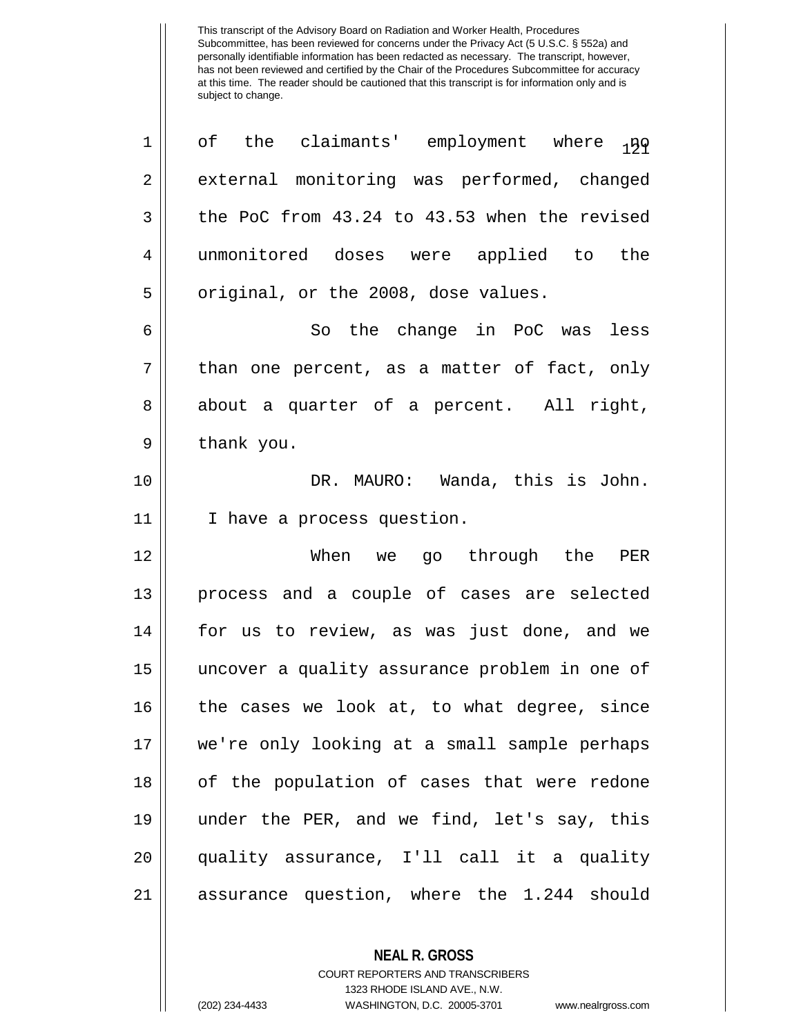| $\mathbf 1$    | of the claimants' employment where 139        |
|----------------|-----------------------------------------------|
| $\overline{2}$ | external monitoring was performed, changed    |
| 3              | the PoC from 43.24 to 43.53 when the revised  |
| 4              | unmonitored doses were applied to the         |
| 5              | original, or the 2008, dose values.           |
| б              | So the change in PoC was less                 |
| 7              | than one percent, as a matter of fact, only   |
| 8              | about a quarter of a percent. All right,      |
| 9              | thank you.                                    |
| 10             | DR. MAURO: Wanda, this is John.               |
| 11             | I have a process question.                    |
| 12             | When we go through the PER                    |
| 13             | process and a couple of cases are selected    |
| 14             | for us to review, as was just done, and we    |
| 15             | uncover a quality assurance problem in one of |
| 16             | the cases we look at, to what degree, since   |
| 17             | we're only looking at a small sample perhaps  |
| 18             | of the population of cases that were redone   |
| 19             | under the PER, and we find, let's say, this   |
| 20             | quality assurance, I'll call it a quality     |
| 21             | assurance question, where the 1.244 should    |

**NEAL R. GROSS** COURT REPORTERS AND TRANSCRIBERS

1323 RHODE ISLAND AVE., N.W.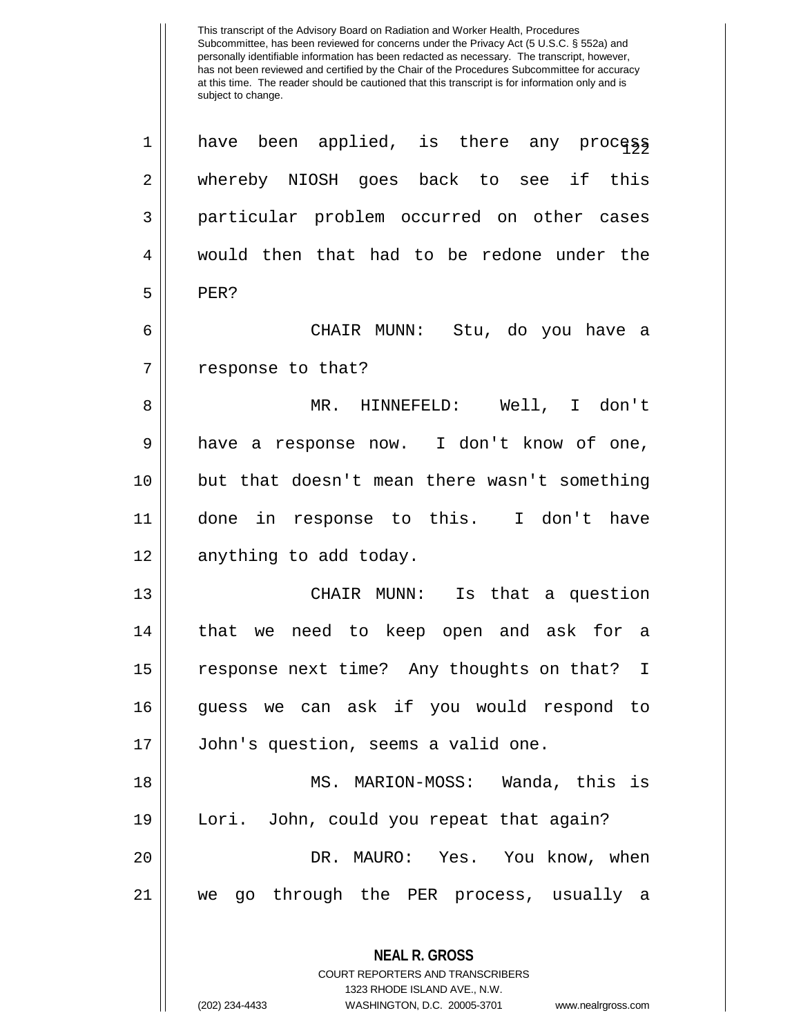This transcript of the Advisory Board on Radiation and Worker Health, Procedures Subcommittee, has been reviewed for concerns under the Privacy Act (5 U.S.C. § 552a) and personally identifiable information has been redacted as necessary. The transcript, however, has not been reviewed and certified by the Chair of the Procedures Subcommittee for accuracy at this time. The reader should be cautioned that this transcript is for information only and is subject to change. **NEAL R. GROSS**  $\begin{array}{ccc} 1 & \text{have} & \text{been} & \text{applied} \, , & \text{is} & \text{there} & \text{any} & \text{proce}_1 \text{sg} \, , \end{array}$ 2 whereby NIOSH goes back to see if this 3 particular problem occurred on other cases 4 would then that had to be redone under the  $5$  PER? 6 CHAIR MUNN: Stu, do you have a 7 || response to that? 8 MR. HINNEFELD: Well, I don't 9 || have a response now. I don't know of one, 10 but that doesn't mean there wasn't something 11 done in response to this. I don't have 12 || anything to add today. 13 || CHAIR MUNN: Is that a question 14 that we need to keep open and ask for a 15 || response next time? Any thoughts on that? I 16 guess we can ask if you would respond to 17 John's question, seems a valid one. 18 MS. MARION-MOSS: Wanda, this is 19 Lori. John, could you repeat that again? 20 DR. MAURO: Yes. You know, when 21 we go through the PER process, usually a

> COURT REPORTERS AND TRANSCRIBERS 1323 RHODE ISLAND AVE., N.W.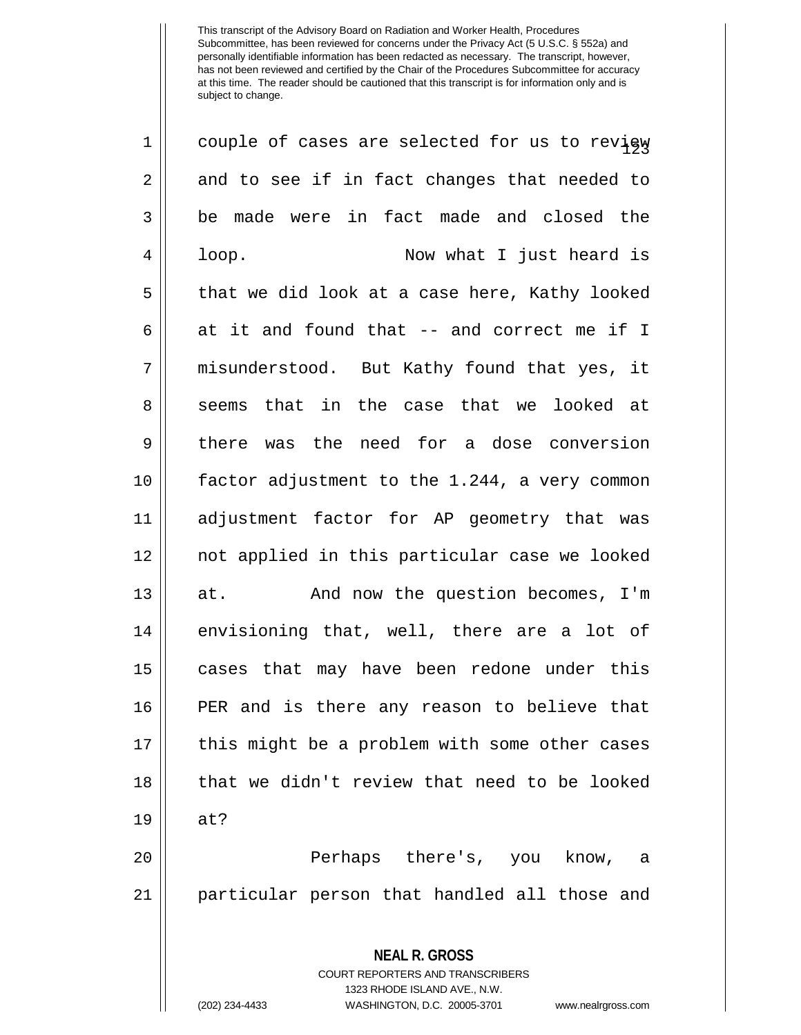| $\mathbf 1$    | couple of cases are selected for us to revisy                   |
|----------------|-----------------------------------------------------------------|
| $\overline{c}$ | and to see if in fact changes that needed to                    |
| 3              | be made were in fact made and closed the                        |
| 4              | Now what I just heard is<br>loop.                               |
| 5              | that we did look at a case here, Kathy looked                   |
| 6              | at it and found that -- and correct me if I                     |
| 7              | misunderstood. But Kathy found that yes, it                     |
| 8              | seems that in the case that we looked at                        |
| $\mathsf 9$    | there was the need for a dose conversion                        |
| 10             | factor adjustment to the 1.244, a very common                   |
| 11             | adjustment factor for AP geometry that was                      |
| 12             | not applied in this particular case we looked                   |
| 13             | And now the question becomes, I'm<br>at.                        |
| 14             | envisioning that, well, there are a lot of                      |
| 15             | cases that may have been redone under this                      |
| 16             | PER and is there any reason to believe that                     |
| 17             | this might be a problem with some other cases                   |
| 18             | that we didn't review that need to be looked                    |
| 19             | at?                                                             |
| 20             | Perhaps there's, you know,<br>a a                               |
| 21             | particular person that handled all those and                    |
|                | <b>NEAL R. GROSS</b><br><b>COURT REPORTERS AND TRANSCRIBERS</b> |

1323 RHODE ISLAND AVE., N.W.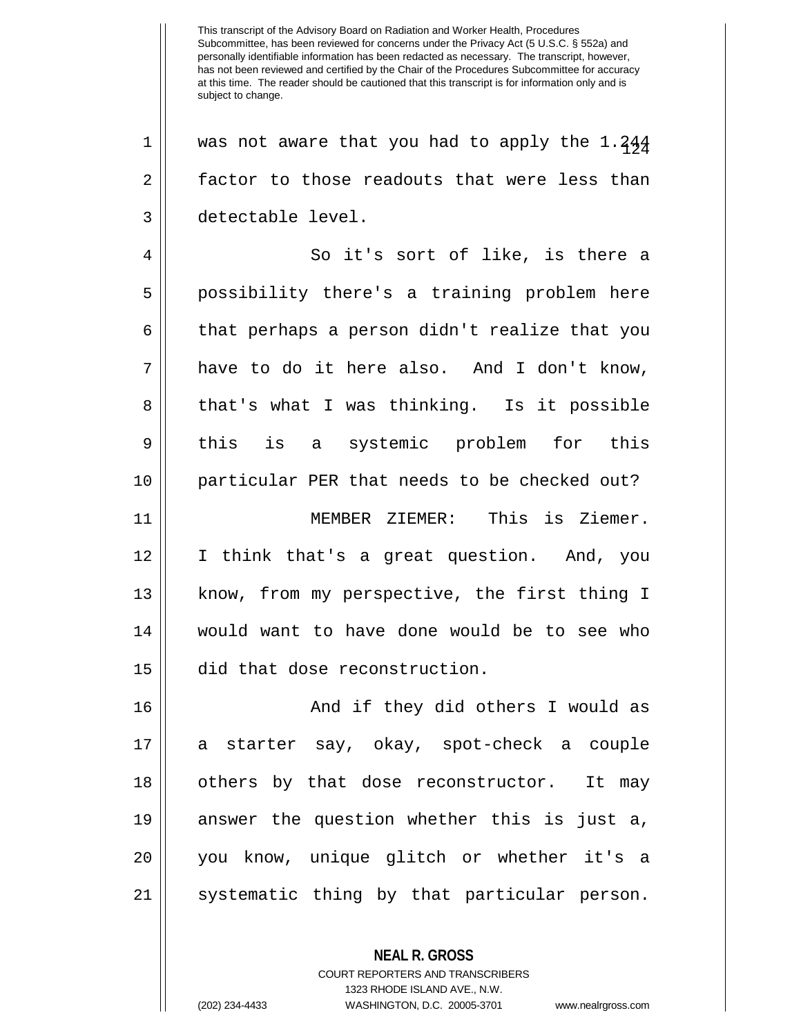This transcript of the Advisory Board on Radiation and Worker Health, Procedures Subcommittee, has been reviewed for concerns under the Privacy Act (5 U.S.C. § 552a) and personally identifiable information has been redacted as necessary. The transcript, however, has not been reviewed and certified by the Chair of the Procedures Subcommittee for accuracy at this time. The reader should be cautioned that this transcript is for information only and is subject to change.  $1$  | was not aware that you had to apply the 1.244 2 factor to those readouts that were less than 3 detectable level. 4 So it's sort of like, is there a 5 possibility there's a training problem here  $6 \parallel$  that perhaps a person didn't realize that you 7 have to do it here also. And I don't know,  $8 \parallel$  that's what I was thinking. Is it possible 9 || this is a systemic problem for this 10 particular PER that needs to be checked out? 11 MEMBER ZIEMER: This is Ziemer. 12 I think that's a great question. And, you 13 || know, from my perspective, the first thing I 14 would want to have done would be to see who 15 did that dose reconstruction. 16 And if they did others I would as 17 a starter say, okay, spot-check a couple 18 || others by that dose reconstructor. It may 19 answer the question whether this is just a, 20 you know, unique glitch or whether it's a 21 || systematic thing by that particular person.

> COURT REPORTERS AND TRANSCRIBERS 1323 RHODE ISLAND AVE., N.W.

**NEAL R. GROSS**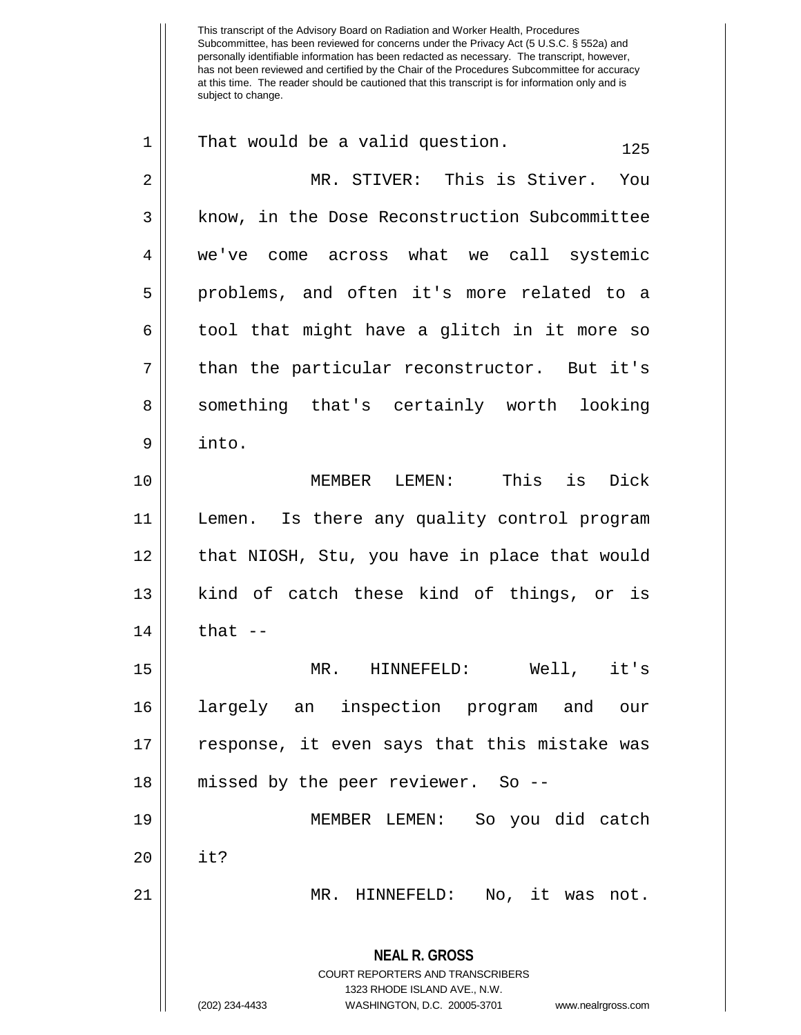This transcript of the Advisory Board on Radiation and Worker Health, Procedures Subcommittee, has been reviewed for concerns under the Privacy Act (5 U.S.C. § 552a) and personally identifiable information has been redacted as necessary. The transcript, however, has not been reviewed and certified by the Chair of the Procedures Subcommittee for accuracy at this time. The reader should be cautioned that this transcript is for information only and is subject to change. **NEAL R. GROSS** COURT REPORTERS AND TRANSCRIBERS 1323 RHODE ISLAND AVE., N.W. (202) 234-4433 WASHINGTON, D.C. 20005-3701 www.nealrgross.com 1 || That would be a valid question.  $125$ 2 MR. STIVER: This is Stiver. You 3 | know, in the Dose Reconstruction Subcommittee 4 we've come across what we call systemic 5 || problems, and often it's more related to a 6 || tool that might have a glitch in it more so  $7 \parallel$  than the particular reconstructor. But it's 8 || something that's certainly worth looking 9 into. 10 MEMBER LEMEN: This is Dick 11 Lemen. Is there any quality control program 12 || that NIOSH, Stu, you have in place that would 13 || kind of catch these kind of things, or is  $14$   $||$  that  $-$ 15 MR. HINNEFELD: Well, it's 16 largely an inspection program and our 17 response, it even says that this mistake was 18 || missed by the peer reviewer. So --19 MEMBER LEMEN: So you did catch 20 it? 21 MR. HINNEFELD: No, it was not.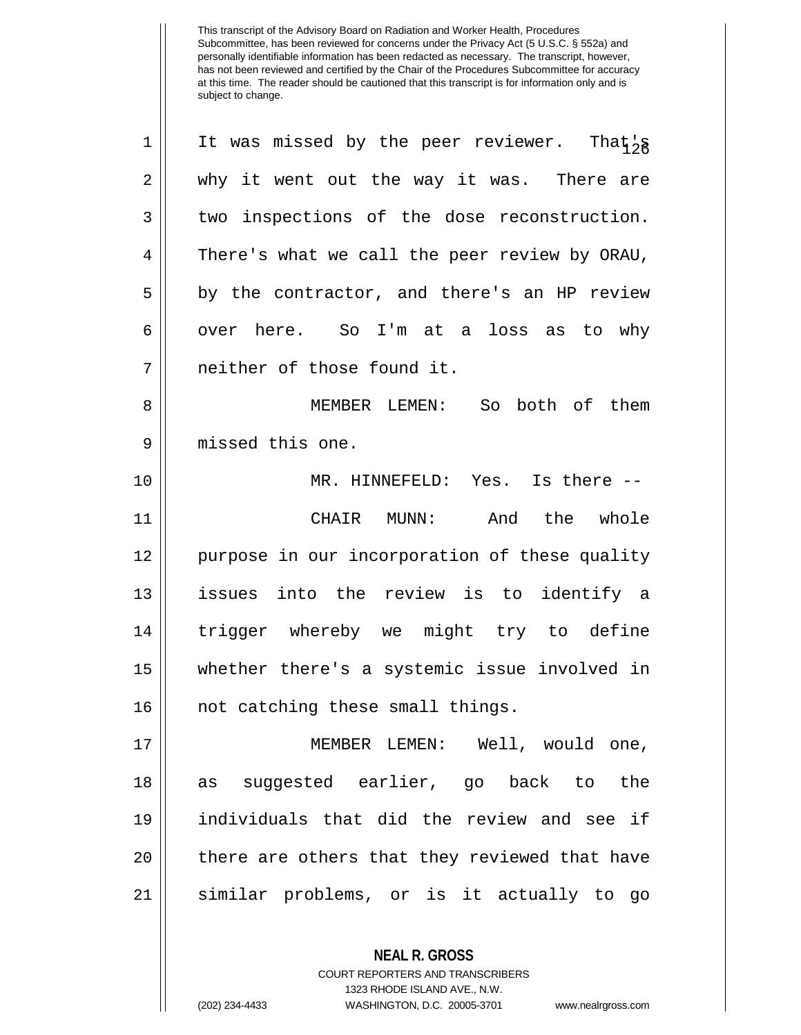1 || It was missed by the peer reviewer. That  $\frac{1}{8}$ 2 why it went out the way it was. There are 3 two inspections of the dose reconstruction. 4 There's what we call the peer review by ORAU,  $5 \parallel$  by the contractor, and there's an HP review  $6 \parallel$  over here. So I'm at a loss as to why neither of those found it. MEMBER LEMEN: So both of them missed this one. MR. HINNEFELD: Yes. Is there -- CHAIR MUNN: And the whole purpose in our incorporation of these quality issues into the review is to identify a trigger whereby we might try to define whether there's a systemic issue involved in 16 || not catching these small things. MEMBER LEMEN: Well, would one, as suggested earlier, go back to the individuals that did the review and see if 20 || there are others that they reviewed that have similar problems, or is it actually to go

> **NEAL R. GROSS** COURT REPORTERS AND TRANSCRIBERS 1323 RHODE ISLAND AVE., N.W.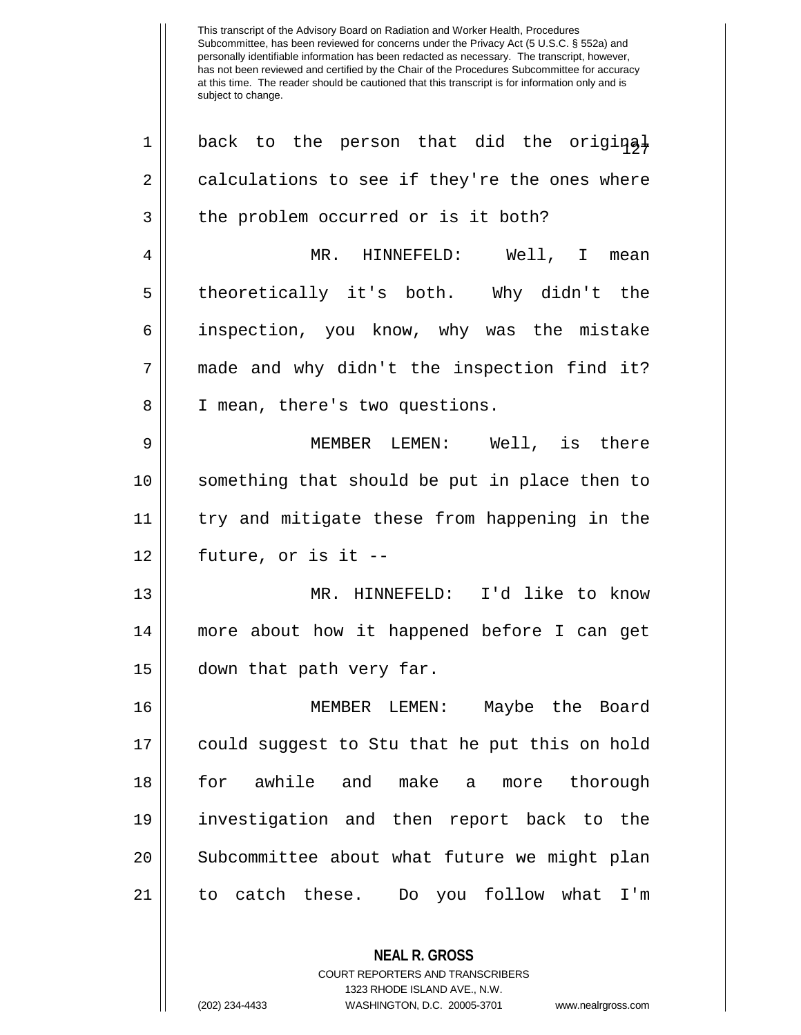This transcript of the Advisory Board on Radiation and Worker Health, Procedures Subcommittee, has been reviewed for concerns under the Privacy Act (5 U.S.C. § 552a) and personally identifiable information has been redacted as necessary. The transcript, however, has not been reviewed and certified by the Chair of the Procedures Subcommittee for accuracy at this time. The reader should be cautioned that this transcript is for information only and is subject to change.  $1 \parallel$  back to the person that did the original  $2 \parallel$  calculations to see if they're the ones where  $3 \parallel$  the problem occurred or is it both? 4 MR. HINNEFELD: Well, I mean 5 || theoretically it's both. Why didn't the 6 inspection, you know, why was the mistake 7 || made and why didn't the inspection find it? 8 || I mean, there's two questions. 9 || MEMBER LEMEN: Well, is there 10 something that should be put in place then to 11 try and mitigate these from happening in the  $12 \parallel$  future, or is it --13 MR. HINNEFELD: I'd like to know 14 more about how it happened before I can get 15 down that path very far. 16 MEMBER LEMEN: Maybe the Board 17 could suggest to Stu that he put this on hold 18 for awhile and make a more thorough 19 investigation and then report back to the 20 || Subcommittee about what future we might plan 21 to catch these. Do you follow what I'm

> **NEAL R. GROSS** COURT REPORTERS AND TRANSCRIBERS 1323 RHODE ISLAND AVE., N.W.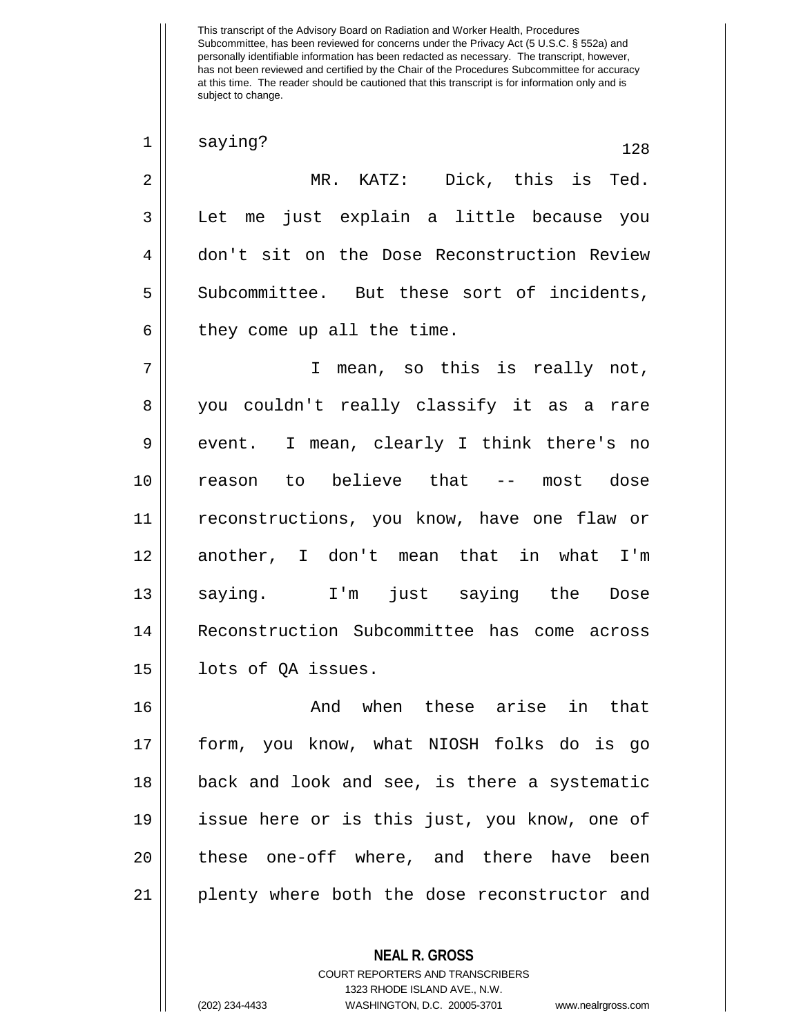Subcommittee, has been reviewed for concerns under the Privacy Act (5 U.S.C. § 552a) and personally identifiable information has been redacted as necessary. The transcript, however, has not been reviewed and certified by the Chair of the Procedures Subcommittee for accuracy at this time. The reader should be cautioned that this transcript is for information only and is subject to change. **NEAL R. GROSS**  $\begin{array}{c|c} 1 & \text{saying?} \end{array}$  128 2 MR. KATZ: Dick, this is Ted. 3 Let me just explain a little because you 4 don't sit on the Dose Reconstruction Review 5 || Subcommittee. But these sort of incidents,  $6 \parallel$  they come up all the time. 7 || T mean, so this is really not, 8 you couldn't really classify it as a rare  $9 \parallel$  event. I mean, clearly I think there's no 10 reason to believe that -- most dose 11 reconstructions, you know, have one flaw or 12 another, I don't mean that in what I'm 13 || saying. I'm just saying the Dose 14 Reconstruction Subcommittee has come across 15 || lots of QA issues. 16 And when these arise in that 17 form, you know, what NIOSH folks do is go 18 back and look and see, is there a systematic 19 issue here or is this just, you know, one of 20 || these one-off where, and there have been 21 plenty where both the dose reconstructor and

> COURT REPORTERS AND TRANSCRIBERS 1323 RHODE ISLAND AVE., N.W.

This transcript of the Advisory Board on Radiation and Worker Health, Procedures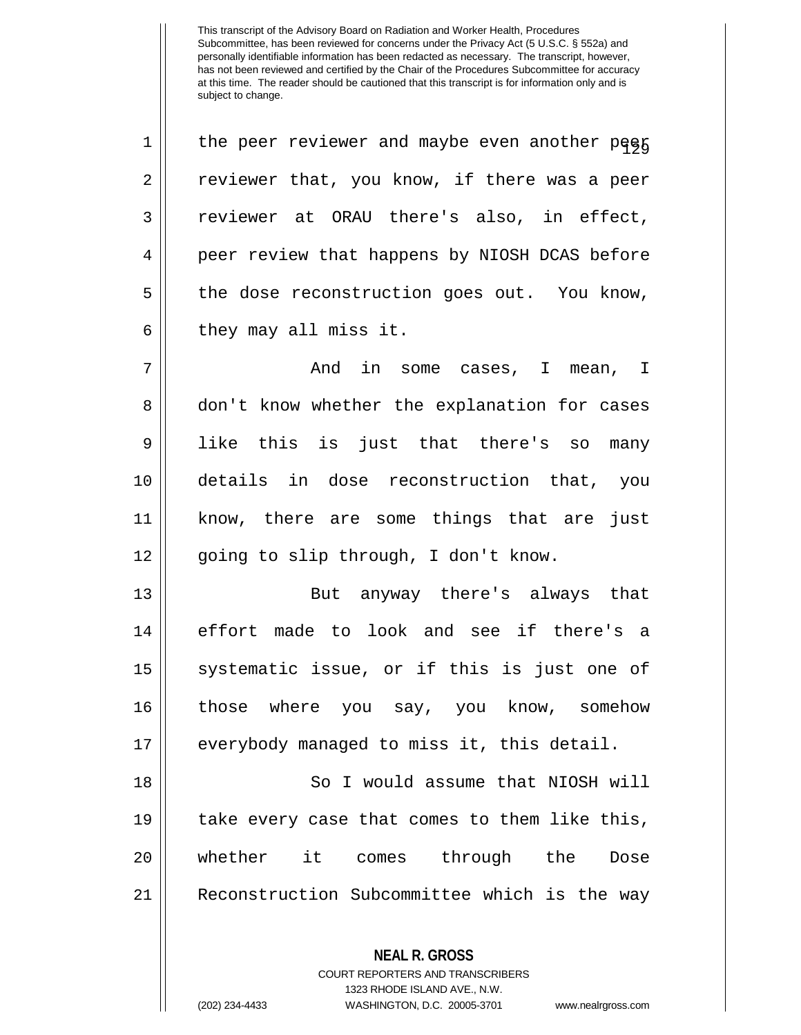| $\mathbf 1$    | the peer reviewer and maybe even another pegg |
|----------------|-----------------------------------------------|
| $\overline{2}$ | reviewer that, you know, if there was a peer  |
| $\mathbf{3}$   | reviewer at ORAU there's also, in effect,     |
| 4              | peer review that happens by NIOSH DCAS before |
| 5              | the dose reconstruction goes out. You know,   |
| 6              | they may all miss it.                         |
| 7              | And in some cases, I mean, I                  |
| 8              | don't know whether the explanation for cases  |
| 9              | like this is just that there's so many        |
| 10             | details in dose reconstruction that, you      |
| 11             | know, there are some things that are just     |
| 12             | going to slip through, I don't know.          |
| 13             | But anyway there's always that                |
| 14             | effort made to look and see if there's a      |
| 15             | systematic issue, or if this is just one of   |
| 16             | those where you say, you know, somehow        |
| 17             | everybody managed to miss it, this detail.    |
|                |                                               |
| 18             | So I would assume that NIOSH will             |
| 19             | take every case that comes to them like this, |
| 20             | whether it<br>comes through the<br>Dose       |
| 21             | Reconstruction Subcommittee which is the way  |

**NEAL R. GROSS** COURT REPORTERS AND TRANSCRIBERS 1323 RHODE ISLAND AVE., N.W.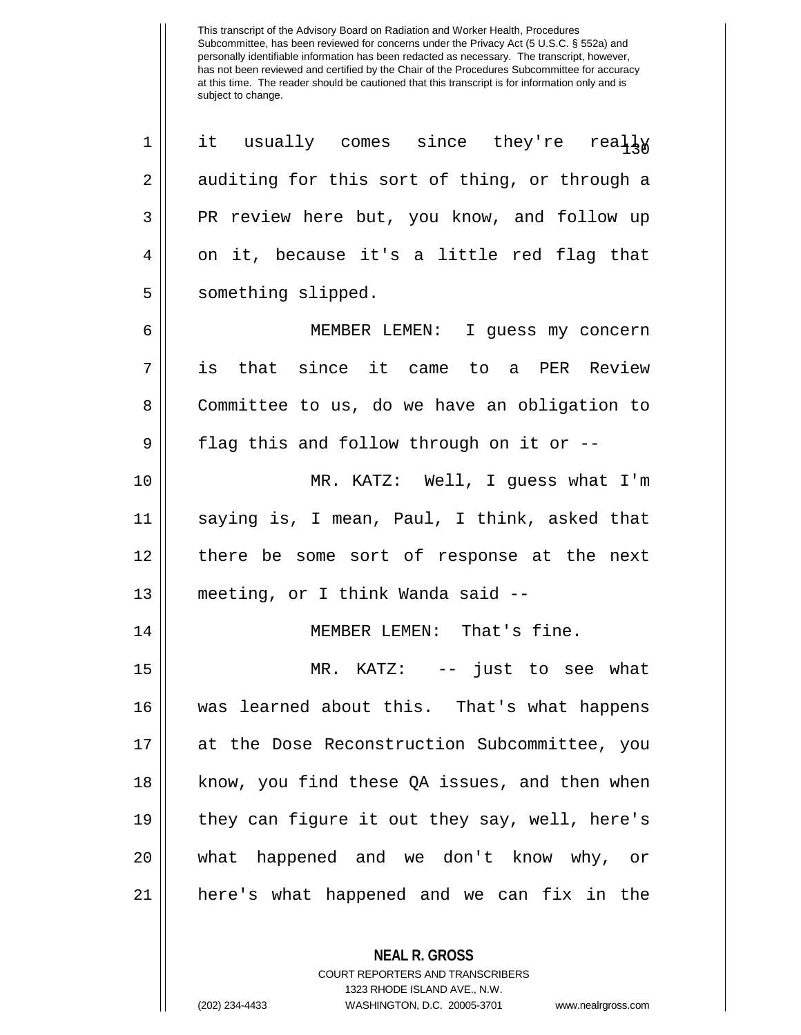$\begin{array}{ccc} 1 & \mathrm{it} & \mathrm{usually} & \mathrm{comes} & \mathrm{since} & \mathrm{they}^\prime\mathrm{re} & \mathrm{real}\frac{1}{13}\frac{1}{9} \end{array}$  $2 \parallel$  auditing for this sort of thing, or through a 3 PR review here but, you know, and follow up  $4 \parallel$  on it, because it's a little red flag that 5 | something slipped. 6 MEMBER LEMEN: I guess my concern 7 is that since it came to a PER Review 8 Committee to us, do we have an obligation to  $9 \parallel$  flag this and follow through on it or --10 MR. KATZ: Well, I guess what I'm 11 saying is, I mean, Paul, I think, asked that 12 there be some sort of response at the next 13 meeting, or I think Wanda said -- 14 || MEMBER LEMEN: That's fine. 15 MR. KATZ: -- just to see what 16 was learned about this. That's what happens 17 at the Dose Reconstruction Subcommittee, you 18 || know, you find these QA issues, and then when 19 they can figure it out they say, well, here's 20 what happened and we don't know why, or 21 here's what happened and we can fix in the

> **NEAL R. GROSS** COURT REPORTERS AND TRANSCRIBERS

> > 1323 RHODE ISLAND AVE., N.W.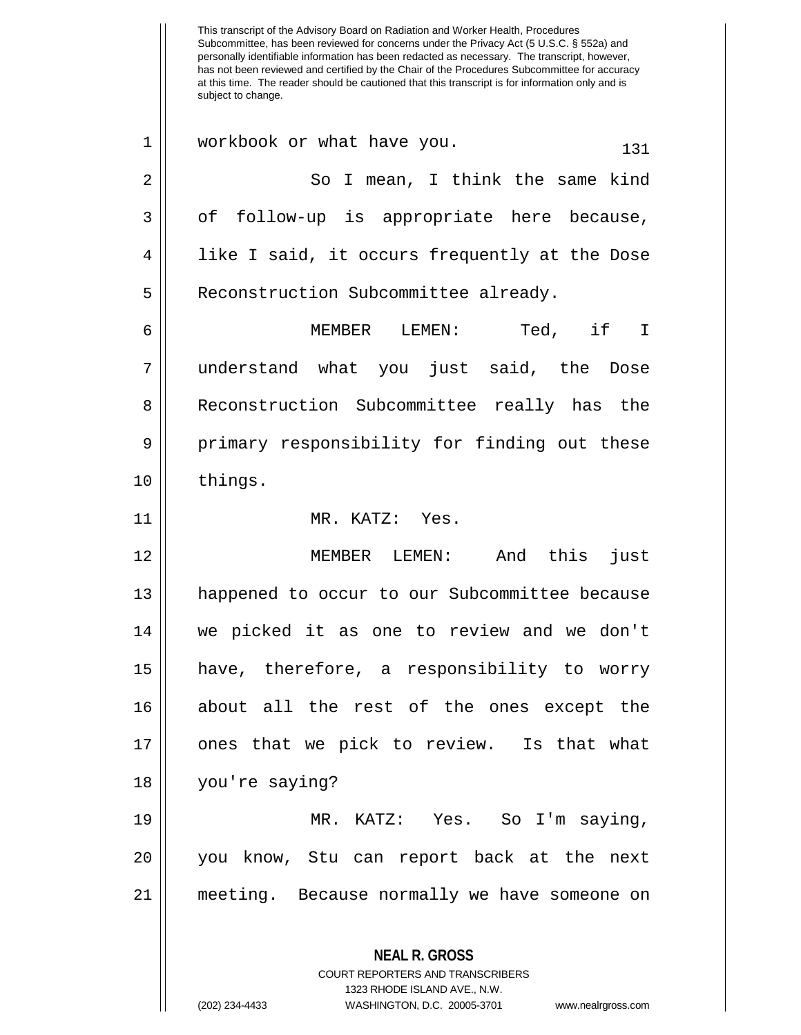Subcommittee, has been reviewed for concerns under the Privacy Act (5 U.S.C. § 552a) and personally identifiable information has been redacted as necessary. The transcript, however, has not been reviewed and certified by the Chair of the Procedures Subcommittee for accuracy at this time. The reader should be cautioned that this transcript is for information only and is subject to change. **NEAL R. GROSS** COURT REPORTERS AND TRANSCRIBERS 1323 RHODE ISLAND AVE., N.W.  $1 \parallel$  workbook or what have you.  $131$ 2 So I mean, I think the same kind  $3 \parallel$  of follow-up is appropriate here because, 4 || like I said, it occurs frequently at the Dose 5 | Reconstruction Subcommittee already. 6 MEMBER LEMEN: Ted, if I 7 understand what you just said, the Dose 8 | Reconstruction Subcommittee really has the 9 primary responsibility for finding out these 10 | things. 11 MR. KATZ: Yes. 12 MEMBER LEMEN: And this just 13 happened to occur to our Subcommittee because 14 we picked it as one to review and we don't 15 have, therefore, a responsibility to worry 16 about all the rest of the ones except the 17 ones that we pick to review. Is that what 18 you're saying? 19 MR. KATZ: Yes. So I'm saying, 20 you know, Stu can report back at the next 21 meeting. Because normally we have someone on

This transcript of the Advisory Board on Radiation and Worker Health, Procedures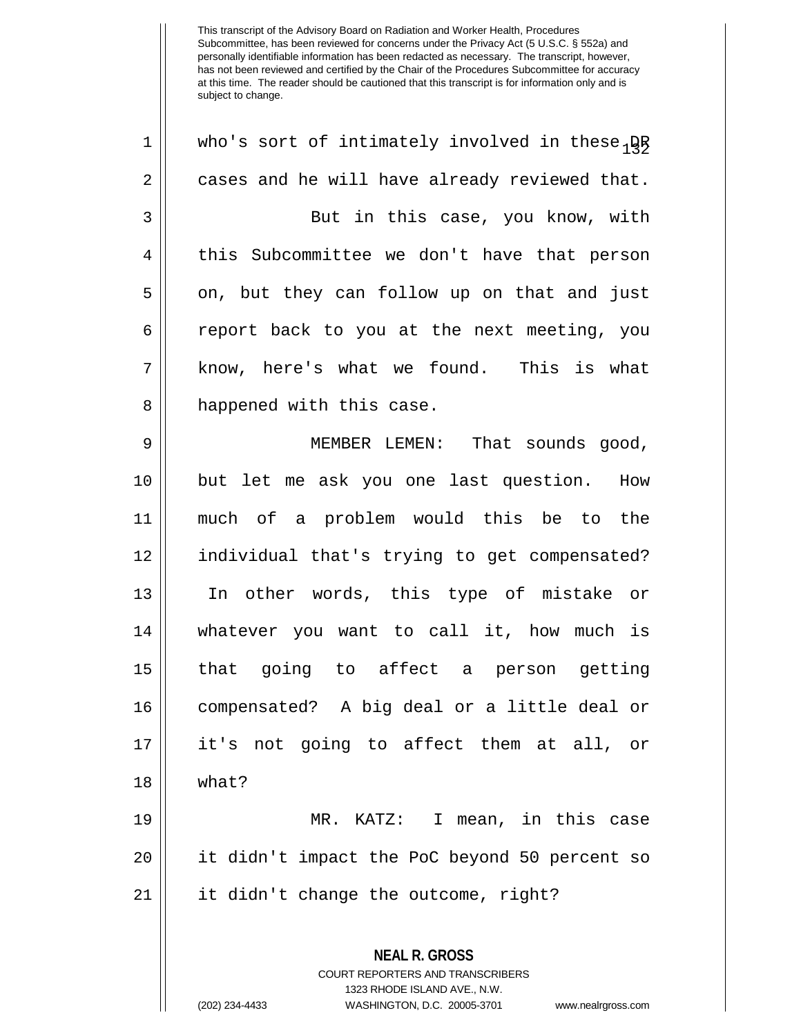**NEAL R. GROSS** COURT REPORTERS AND TRANSCRIBERS 1 || who's sort of intimately involved in these  $\beta R$  $2 \parallel$  cases and he will have already reviewed that. 3 || But in this case, you know, with 4 || this Subcommittee we don't have that person  $5 \parallel$  on, but they can follow up on that and just 6 report back to you at the next meeting, you 7 || know, here's what we found. This is what 8 || happened with this case. 9 || MEMBER LEMEN: That sounds good, 10 but let me ask you one last question. How 11 much of a problem would this be to the 12 individual that's trying to get compensated? 13 In other words, this type of mistake or 14 whatever you want to call it, how much is 15 that going to affect a person getting 16 compensated? A big deal or a little deal or 17 it's not going to affect them at all, or 18 what? 19 MR. KATZ: I mean, in this case 20 it didn't impact the PoC beyond 50 percent so 21 it didn't change the outcome, right?

1323 RHODE ISLAND AVE., N.W.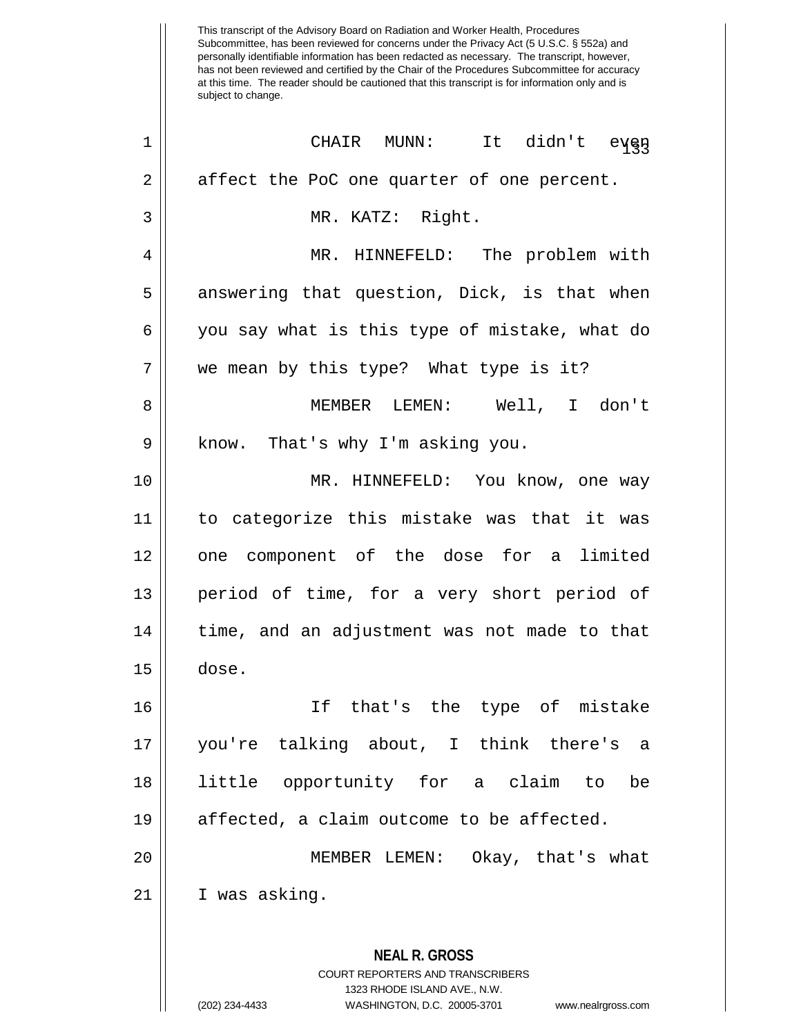| 1  | CHAIR MUNN:<br>It didn't eyen                                                                                                                                          |
|----|------------------------------------------------------------------------------------------------------------------------------------------------------------------------|
| 2  | affect the PoC one quarter of one percent.                                                                                                                             |
| 3  | MR. KATZ: Right.                                                                                                                                                       |
| 4  | MR. HINNEFELD: The problem with                                                                                                                                        |
| 5  | answering that question, Dick, is that when                                                                                                                            |
| 6  | you say what is this type of mistake, what do                                                                                                                          |
| 7  | we mean by this type? What type is it?                                                                                                                                 |
| 8  | MEMBER LEMEN: Well, I don't                                                                                                                                            |
| 9  | know. That's why I'm asking you.                                                                                                                                       |
| 10 | MR. HINNEFELD: You know, one way                                                                                                                                       |
| 11 | to categorize this mistake was that it was                                                                                                                             |
| 12 | one component of the dose for a limited                                                                                                                                |
| 13 | period of time, for a very short period of                                                                                                                             |
| 14 | time, and an adjustment was not made to that                                                                                                                           |
| 15 | dose.                                                                                                                                                                  |
| 16 | If that's the type of mistake                                                                                                                                          |
| 17 | you're talking about, I think there's a                                                                                                                                |
| 18 | little opportunity for a claim<br>to.<br>be                                                                                                                            |
| 19 | affected, a claim outcome to be affected.                                                                                                                              |
| 20 | Okay, that's what<br>MEMBER LEMEN:                                                                                                                                     |
| 21 | I was asking.                                                                                                                                                          |
|    | <b>NEAL R. GROSS</b><br><b>COURT REPORTERS AND TRANSCRIBERS</b><br>1323 RHODE ISLAND AVE., N.W.<br>(202) 234-4433<br>WASHINGTON, D.C. 20005-3701<br>www.nealrgross.com |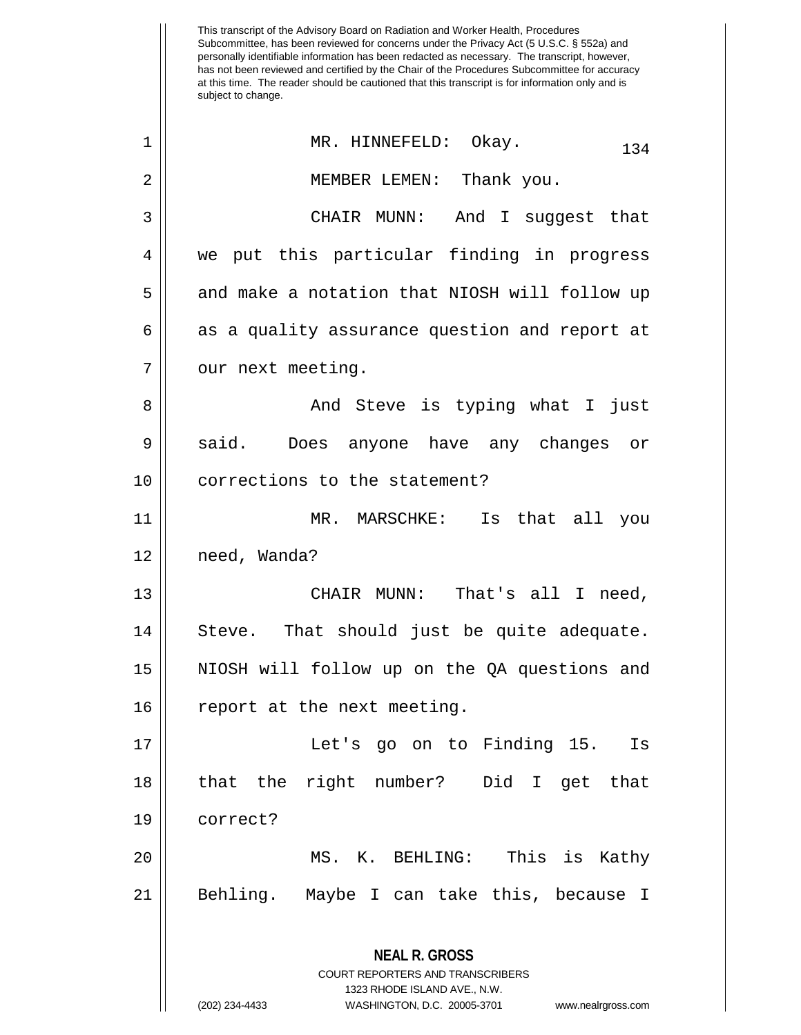This transcript of the Advisory Board on Radiation and Worker Health, Procedures Subcommittee, has been reviewed for concerns under the Privacy Act (5 U.S.C. § 552a) and personally identifiable information has been redacted as necessary. The transcript, however, has not been reviewed and certified by the Chair of the Procedures Subcommittee for accuracy at this time. The reader should be cautioned that this transcript is for information only and is subject to change. **NEAL R. GROSS** COURT REPORTERS AND TRANSCRIBERS 1323 RHODE ISLAND AVE., N.W. 1 || MR. HINNEFELD: Okay. 134 2 || MEMBER LEMEN: Thank you. 3 CHAIR MUNN: And I suggest that 4 || we put this particular finding in progress 5 || and make a notation that NIOSH will follow up  $6 \parallel$  as a quality assurance question and report at 7 | our next meeting. 8 And Steve is typing what I just 9 || said. Does anyone have any changes or 10 || corrections to the statement? 11 MR. MARSCHKE: Is that all you 12 need, Wanda? 13 CHAIR MUNN: That's all I need, 14 || Steve. That should just be quite adequate. 15 NIOSH will follow up on the QA questions and 16 || report at the next meeting. 17 Let's go on to Finding 15. Is 18 that the right number? Did I get that 19 correct? 20 MS. K. BEHLING: This is Kathy 21 Behling. Maybe I can take this, because I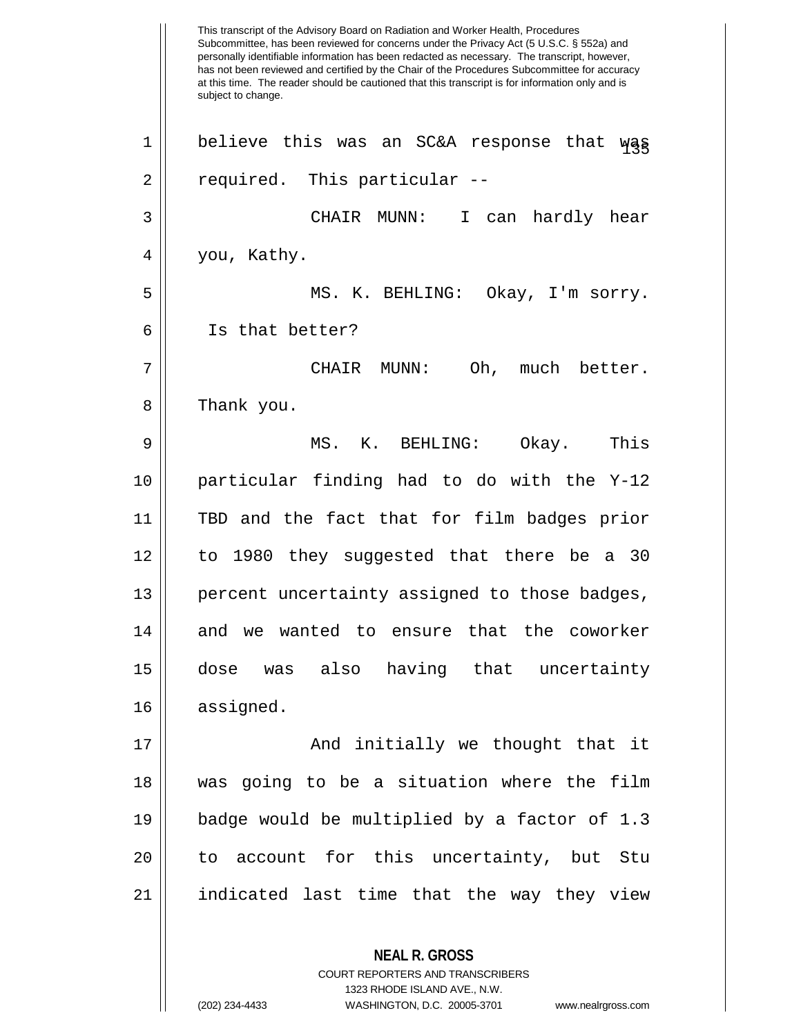This transcript of the Advisory Board on Radiation and Worker Health, Procedures Subcommittee, has been reviewed for concerns under the Privacy Act (5 U.S.C. § 552a) and personally identifiable information has been redacted as necessary. The transcript, however, has not been reviewed and certified by the Chair of the Procedures Subcommittee for accuracy at this time. The reader should be cautioned that this transcript is for information only and is subject to change. **NEAL R. GROSS** COURT REPORTERS AND TRANSCRIBERS 1323 RHODE ISLAND AVE., N.W.  $1 \parallel$  believe this was an SC&A response that was 2 || required. This particular --3 CHAIR MUNN: I can hardly hear 4 || you, Kathy. 5 MS. K. BEHLING: Okay, I'm sorry. 6 Is that better? 7 CHAIR MUNN: Oh, much better. 8 | Thank you. 9 MS. K. BEHLING: Okay. This 10 particular finding had to do with the Y-12 11 TBD and the fact that for film badges prior 12 to 1980 they suggested that there be a 30 13 || percent uncertainty assigned to those badges, 14 and we wanted to ensure that the coworker 15 dose was also having that uncertainty 16 assigned. 17 And initially we thought that it 18 was going to be a situation where the film 19 badge would be multiplied by a factor of 1.3 20 || to account for this uncertainty, but Stu 21 indicated last time that the way they view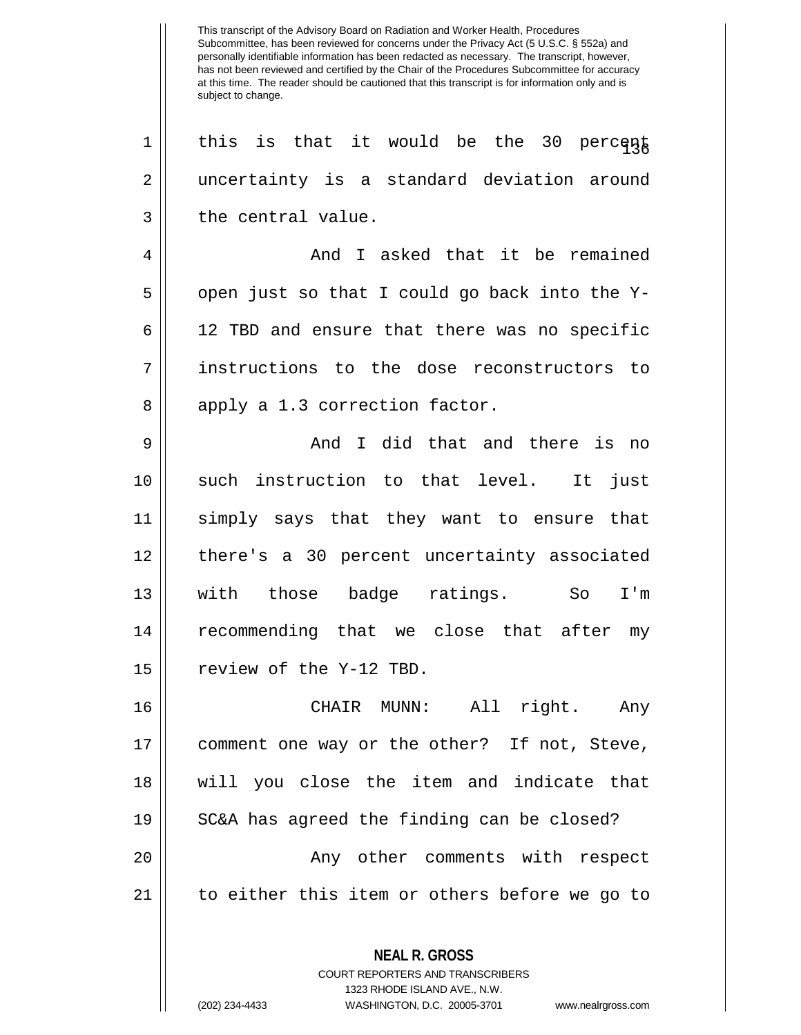This transcript of the Advisory Board on Radiation and Worker Health, Procedures Subcommittee, has been reviewed for concerns under the Privacy Act (5 U.S.C. § 552a) and personally identifiable information has been redacted as necessary. The transcript, however, has not been reviewed and certified by the Chair of the Procedures Subcommittee for accuracy at this time. The reader should be cautioned that this transcript is for information only and is subject to change. **NEAL R. GROSS** COURT REPORTERS AND TRANSCRIBERS 1323 RHODE ISLAND AVE., N.W. 1 || this is that it would be the 30 percent 2 uncertainty is a standard deviation around  $3 \parallel$  the central value. 4 And I asked that it be remained  $5 \parallel$  open just so that I could go back into the Y-6 12 TBD and ensure that there was no specific 7 instructions to the dose reconstructors to  $8 \parallel$  apply a 1.3 correction factor. 9 And I did that and there is no 10 || such instruction to that level. It just 11 simply says that they want to ensure that 12 there's a 30 percent uncertainty associated 13 with those badge ratings. So I'm 14 || recommending that we close that after my 15 | review of the Y-12 TBD. 16 CHAIR MUNN: All right. Any 17 comment one way or the other? If not, Steve, 18 will you close the item and indicate that 19 || SC&A has agreed the finding can be closed? 20 || Any other comments with respect 21 to either this item or others before we go to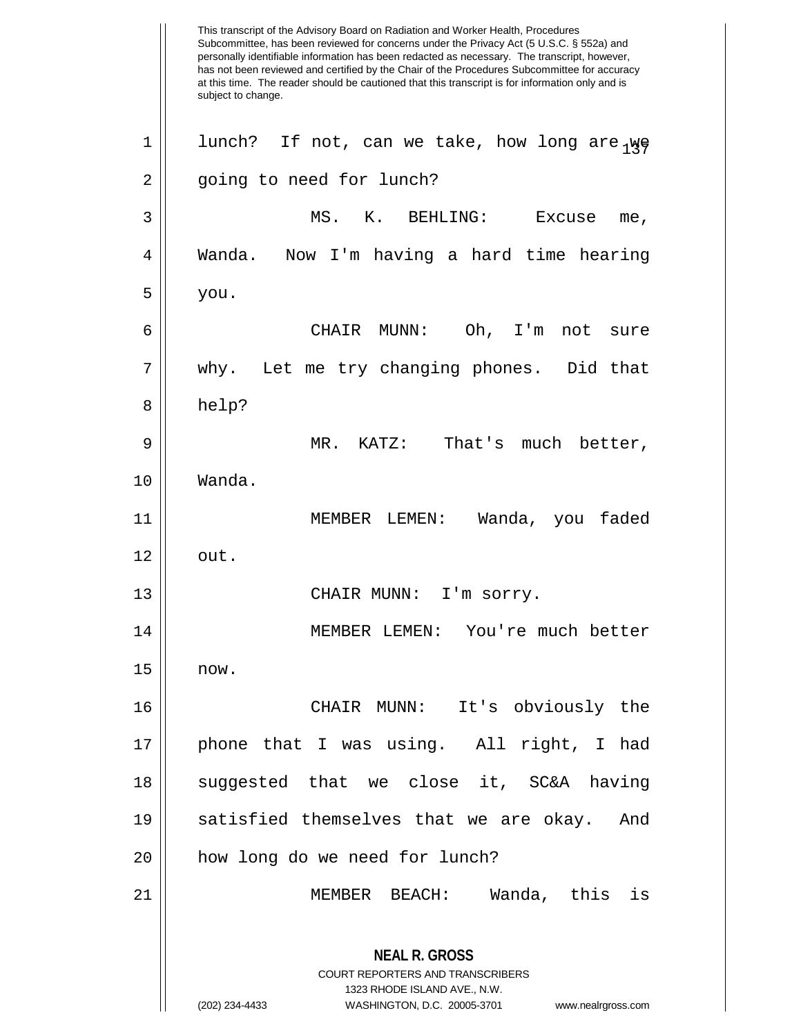This transcript of the Advisory Board on Radiation and Worker Health, Procedures Subcommittee, has been reviewed for concerns under the Privacy Act (5 U.S.C. § 552a) and personally identifiable information has been redacted as necessary. The transcript, however, has not been reviewed and certified by the Chair of the Procedures Subcommittee for accuracy at this time. The reader should be cautioned that this transcript is for information only and is subject to change. **NEAL R. GROSS** COURT REPORTERS AND TRANSCRIBERS 1323 RHODE ISLAND AVE., N.W. (202) 234-4433 WASHINGTON, D.C. 20005-3701 www.nealrgross.com 1 || lunch? If not, can we take, how long are  $_{1}\psi$ 2 | going to need for lunch? 3 MS. K. BEHLING: Excuse me, 4 Wanda. Now I'm having a hard time hearing  $5 \mid$  you. 6 CHAIR MUNN: Oh, I'm not sure 7 || why. Let me try changing phones. Did that 8 help? 9 MR. KATZ: That's much better, 10 Wanda. 11 MEMBER LEMEN: Wanda, you faded  $12 \parallel \quad \text{out.}$ 13 || CHAIR MUNN: I'm sorry. 14 MEMBER LEMEN: You're much better  $15 \parallel \quad now.$ 16 CHAIR MUNN: It's obviously the 17 || phone that I was using. All right, I had 18 || suggested that we close it, SC&A having 19 satisfied themselves that we are okay. And 20 || how long do we need for lunch? 21 MEMBER BEACH: Wanda, this is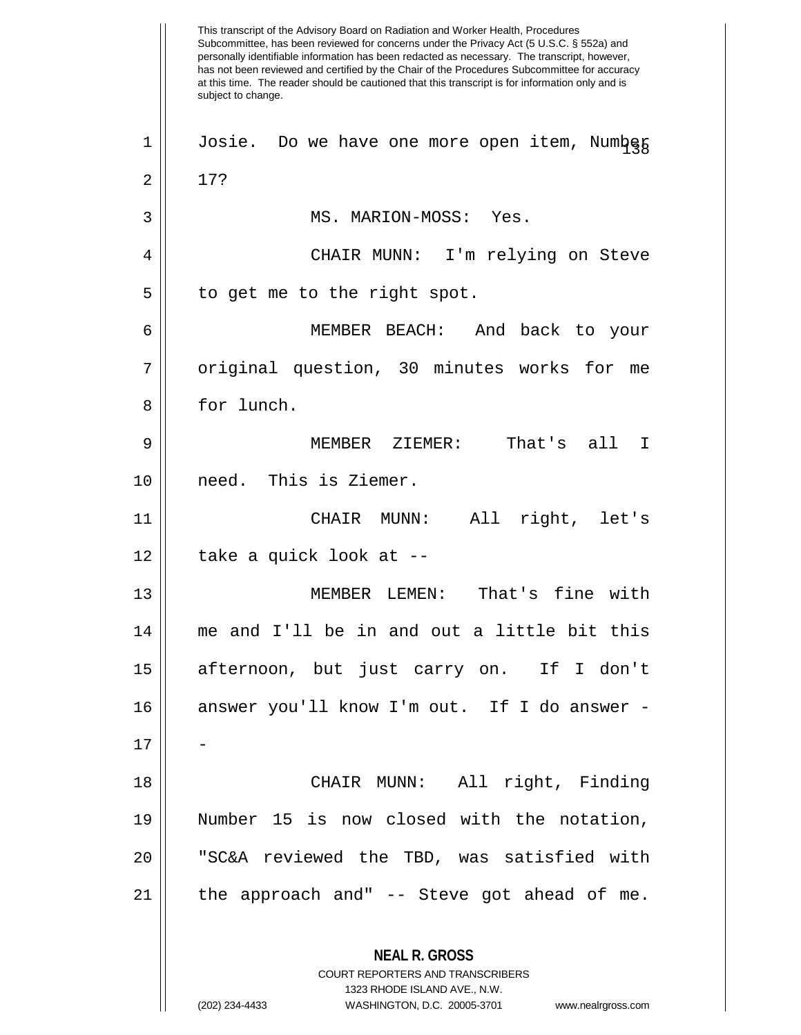This transcript of the Advisory Board on Radiation and Worker Health, Procedures Subcommittee, has been reviewed for concerns under the Privacy Act (5 U.S.C. § 552a) and personally identifiable information has been redacted as necessary. The transcript, however, has not been reviewed and certified by the Chair of the Procedures Subcommittee for accuracy at this time. The reader should be cautioned that this transcript is for information only and is subject to change. **NEAL R. GROSS** COURT REPORTERS AND TRANSCRIBERS 1323 RHODE ISLAND AVE., N.W. (202) 234-4433 WASHINGTON, D.C. 20005-3701 www.nealrgross.com 1 | Josie. Do we have one more open item, Numbeg  $2 \parallel 17$ ? 3 MS. MARION-MOSS: Yes. 4 CHAIR MUNN: I'm relying on Steve  $5 \parallel$  to get me to the right spot. 6 MEMBER BEACH: And back to your 7 || original question, 30 minutes works for me 8 | for lunch. 9 MEMBER ZIEMER: That's all I 10 need. This is Ziemer. 11 CHAIR MUNN: All right, let's  $12$  || take a quick look at  $-$ 13 MEMBER LEMEN: That's fine with 14 me and I'll be in and out a little bit this 15 afternoon, but just carry on. If I don't 16 answer you'll know I'm out. If I do answer -  $17$ 18 CHAIR MUNN: All right, Finding 19 Number 15 is now closed with the notation, 20 "SC&A reviewed the TBD, was satisfied with  $21$  || the approach and" -- Steve got ahead of me.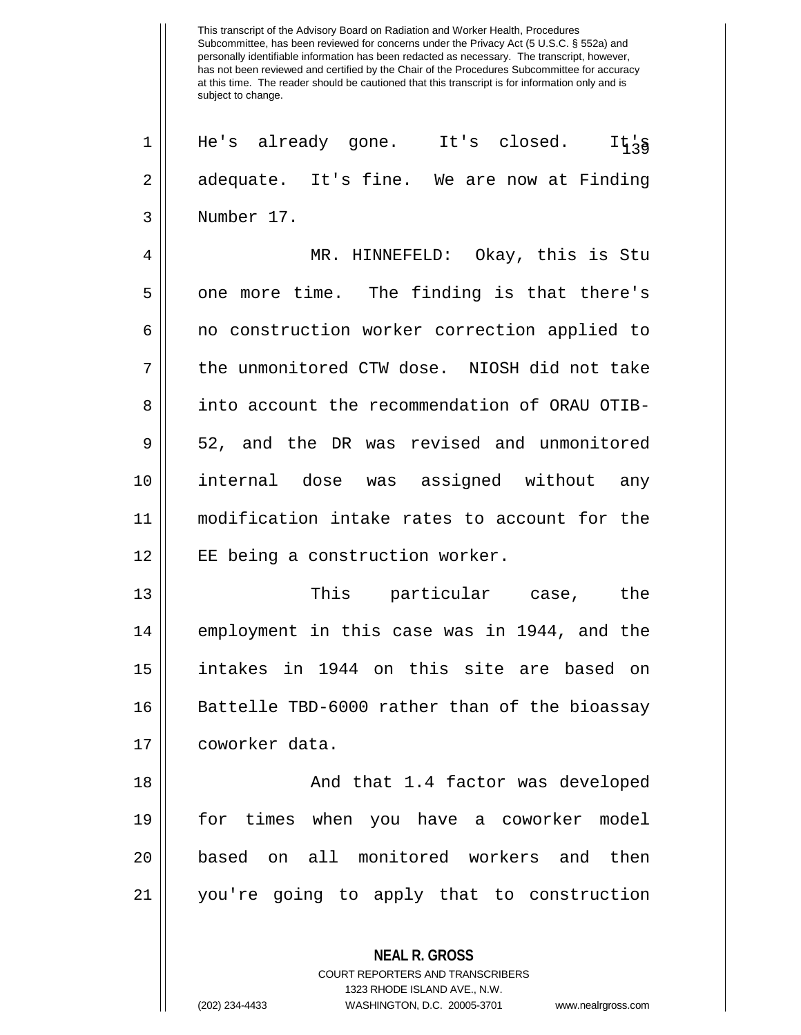$1 \parallel$  He's already gone. It's closed. It<sub>'s</sub>  $2 \parallel$  adequate. It's fine. We are now at Finding 3 Number 17.

4 MR. HINNEFELD: Okay, this is Stu  $5 \parallel$  one more time. The finding is that there's 6 || no construction worker correction applied to 7 the unmonitored CTW dose. NIOSH did not take 8 || into account the recommendation of ORAU OTIB-9 || 52, and the DR was revised and unmonitored 10 internal dose was assigned without any 11 modification intake rates to account for the 12 || EE being a construction worker.

13 This particular case, the 14 || employment in this case was in 1944, and the 15 intakes in 1944 on this site are based on 16 || Battelle TBD-6000 rather than of the bioassay 17 coworker data.

18 || And that 1.4 factor was developed for times when you have a coworker model based on all monitored workers and then you're going to apply that to construction

> COURT REPORTERS AND TRANSCRIBERS 1323 RHODE ISLAND AVE., N.W. (202) 234-4433 WASHINGTON, D.C. 20005-3701 www.nealrgross.com

**NEAL R. GROSS**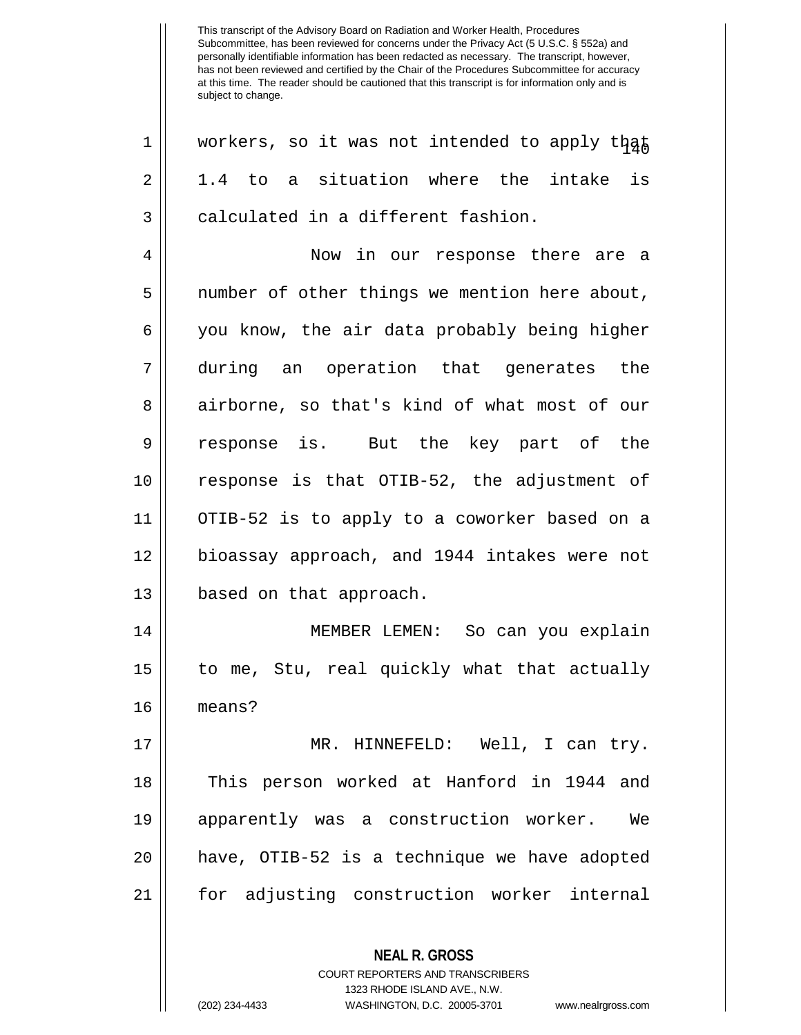**NEAL R. GROSS** COURT REPORTERS AND TRANSCRIBERS 1323 RHODE ISLAND AVE., N.W.  $1 \parallel$  workers, so it was not intended to apply that  $2 \parallel$  1.4 to a situation where the intake is  $3 \parallel$  calculated in a different fashion. 4 Now in our response there are a 5 | number of other things we mention here about, 6 || you know, the air data probably being higher 7 during an operation that generates the 8 airborne, so that's kind of what most of our 9 response is. But the key part of the 10 response is that OTIB-52, the adjustment of 11 OTIB-52 is to apply to a coworker based on a 12 bioassay approach, and 1944 intakes were not 13 || based on that approach. 14 MEMBER LEMEN: So can you explain 15 to me, Stu, real quickly what that actually 16 means? 17 MR. HINNEFELD: Well, I can try. 18 || This person worked at Hanford in 1944 and 19 apparently was a construction worker. We 20 have, OTIB-52 is a technique we have adopted 21 for adjusting construction worker internal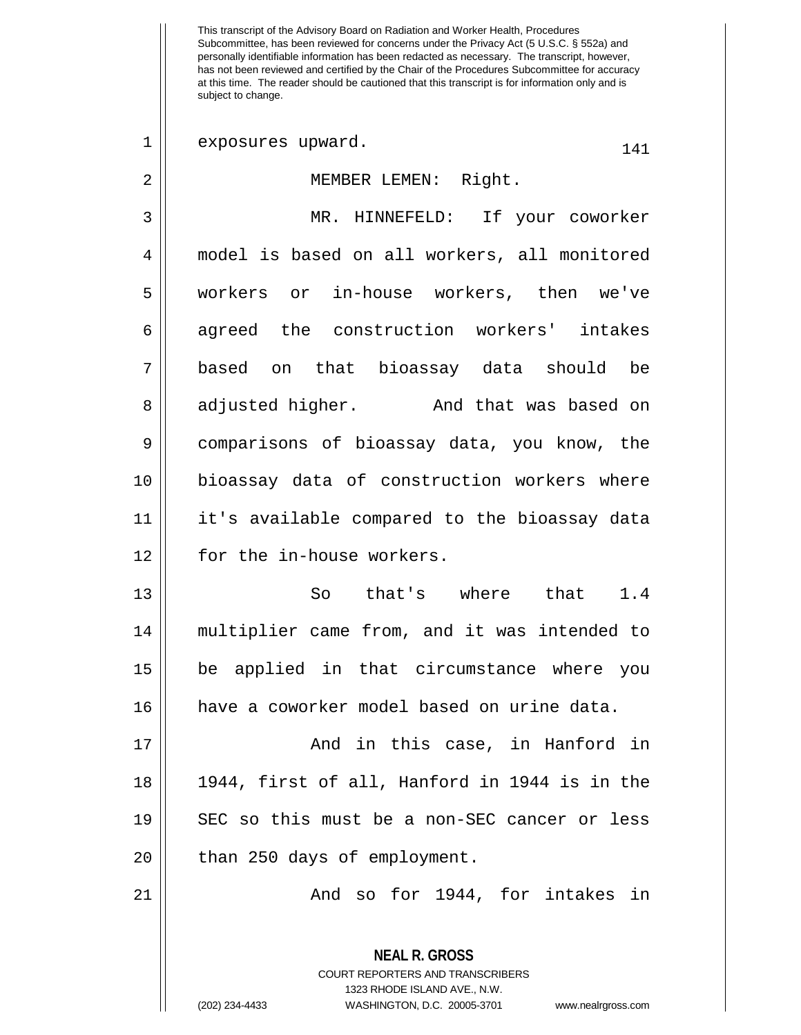This transcript of the Advisory Board on Radiation and Worker Health, Procedures Subcommittee, has been reviewed for concerns under the Privacy Act (5 U.S.C. § 552a) and personally identifiable information has been redacted as necessary. The transcript, however, has not been reviewed and certified by the Chair of the Procedures Subcommittee for accuracy at this time. The reader should be cautioned that this transcript is for information only and is subject to change. 1 exposures upward. 141 2 MEMBER LEMEN: Right. 3 MR. HINNEFELD: If your coworker 4 model is based on all workers, all monitored 5 workers or in-house workers, then we've 6 agreed the construction workers' intakes 7 based on that bioassay data should be 8 adjusted higher. And that was based on 9 comparisons of bioassay data, you know, the 10 bioassay data of construction workers where 11 it's available compared to the bioassay data 12 || for the in-house workers. 13 So that's where that 1.4 14 multiplier came from, and it was intended to 15 be applied in that circumstance where you 16 have a coworker model based on urine data. 17 And in this case, in Hanford in 18 1944, first of all, Hanford in 1944 is in the 19 SEC so this must be a non-SEC cancer or less 20 || than 250 days of employment. 21 And so for 1944, for intakes in

> **NEAL R. GROSS** COURT REPORTERS AND TRANSCRIBERS 1323 RHODE ISLAND AVE., N.W. (202) 234-4433 WASHINGTON, D.C. 20005-3701 www.nealrgross.com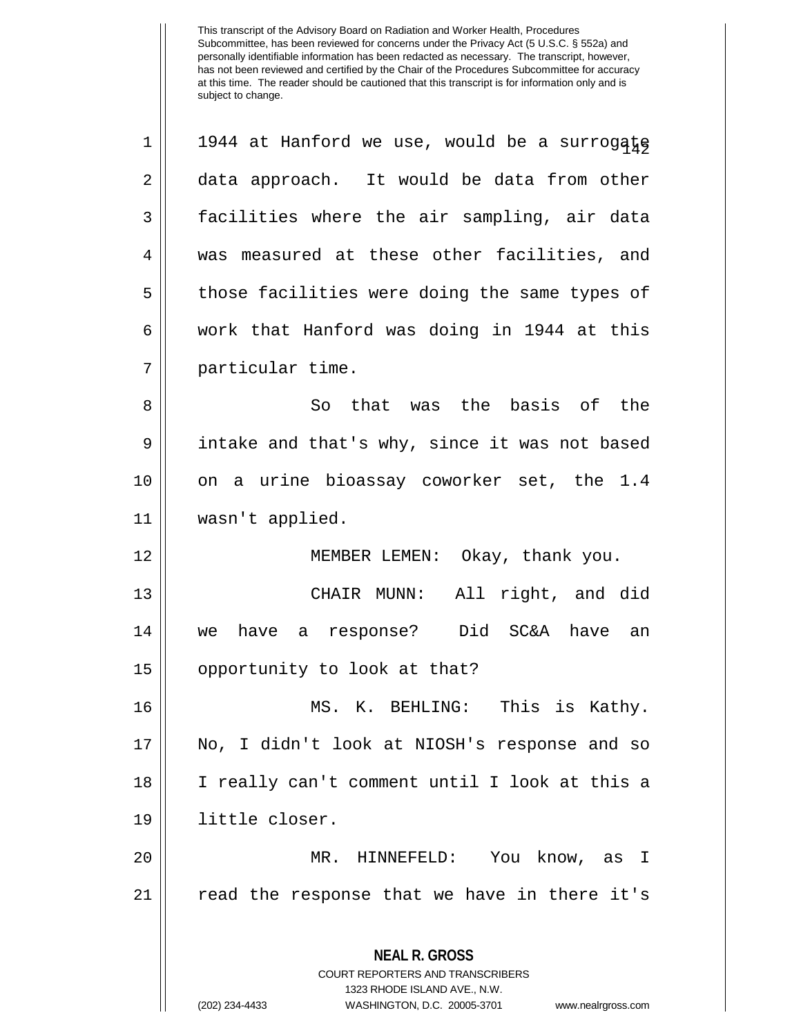**NEAL R. GROSS** COURT REPORTERS AND TRANSCRIBERS 1323 RHODE ISLAND AVE., N.W. (202) 234-4433 WASHINGTON, D.C. 20005-3701 www.nealrgross.com  $1 \parallel 1944$  at Hanford we use, would be a surrogate 2 data approach. It would be data from other 3 facilities where the air sampling, air data 4 was measured at these other facilities, and 5 || those facilities were doing the same types of  $6 \parallel$  work that Hanford was doing in 1944 at this 7 particular time. 8 || So that was the basis of the 9 || intake and that's why, since it was not based 10 || on a urine bioassay coworker set, the 1.4 11 wasn't applied. 12 || MEMBER LEMEN: Okay, thank you. 13 CHAIR MUNN: All right, and did 14 we have a response? Did SC&A have an 15 || opportunity to look at that? 16 MS. K. BEHLING: This is Kathy. 17 No, I didn't look at NIOSH's response and so 18 I really can't comment until I look at this a 19 little closer. 20 MR. HINNEFELD: You know, as I 21 read the response that we have in there it's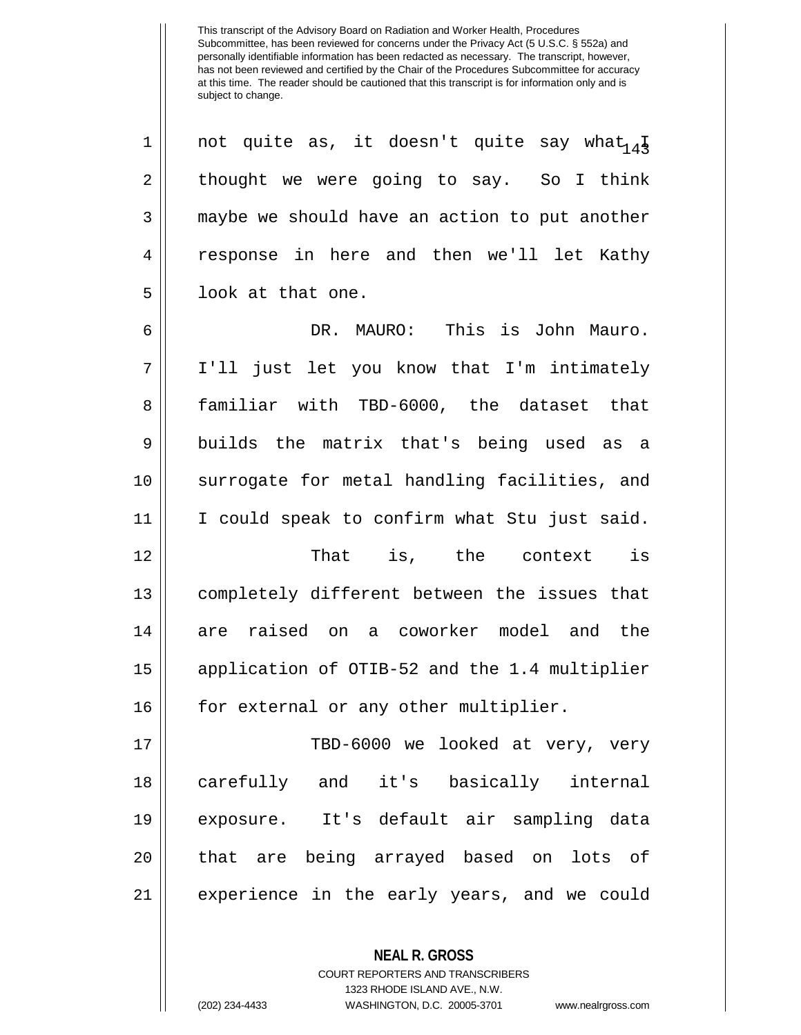1 || not quite as, it doesn't quite say what  $_4\frac{1}{4}$  $2 \parallel$  thought we were going to say. So I think 3 maybe we should have an action to put another 4 response in here and then we'll let Kathy  $5 \parallel$  look at that one.

6 DR. MAURO: This is John Mauro. 7 I'll just let you know that I'm intimately 8 || familiar with TBD-6000, the dataset that 9 || builds the matrix that's being used as a 10 || surrogate for metal handling facilities, and 11 I could speak to confirm what Stu just said. 12 That is, the context is

 completely different between the issues that are raised on a coworker model and the application of OTIB-52 and the 1.4 multiplier 16 || for external or any other multiplier.

 TBD-6000 we looked at very, very carefully and it's basically internal exposure. It's default air sampling data 20 || that are being arrayed based on lots of experience in the early years, and we could

> **NEAL R. GROSS** COURT REPORTERS AND TRANSCRIBERS 1323 RHODE ISLAND AVE., N.W. (202) 234-4433 WASHINGTON, D.C. 20005-3701 www.nealrgross.com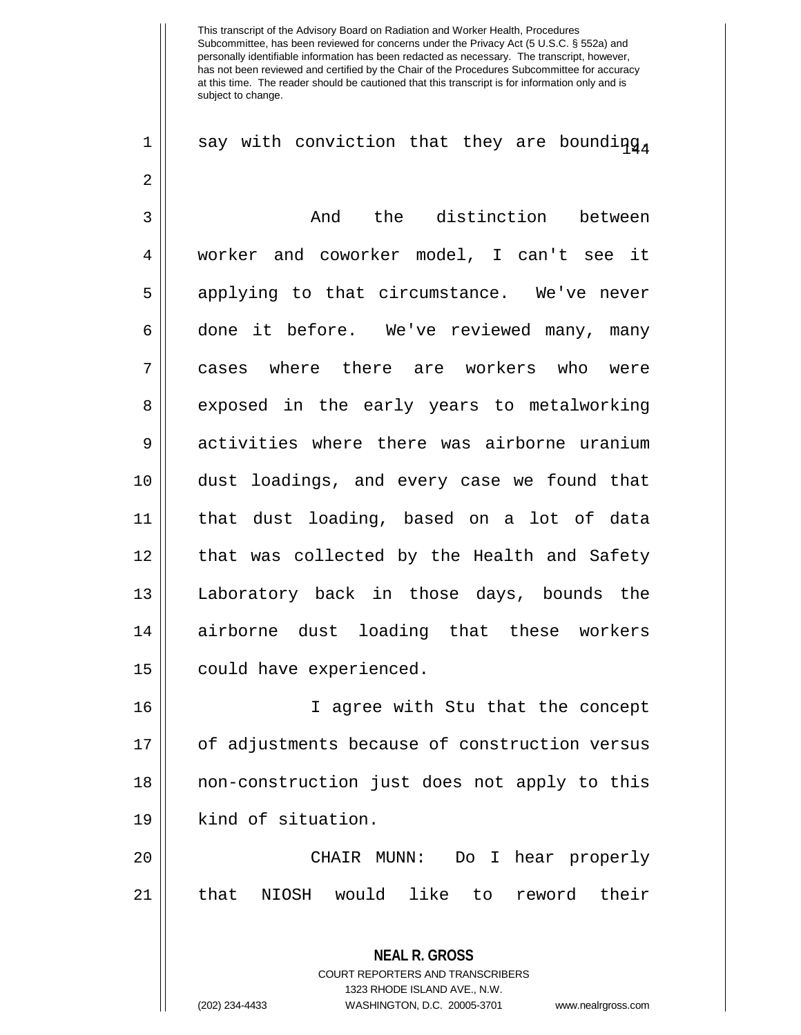1 || say with conviction that they are bounding

2 3 And the distinction between 4 worker and coworker model, I can't see it 5 || applying to that circumstance. We've never 6 done it before. We've reviewed many, many 7 cases where there are workers who were 8 exposed in the early years to metalworking 9 activities where there was airborne uranium 10 dust loadings, and every case we found that 11 that dust loading, based on a lot of data 12 || that was collected by the Health and Safety 13 Laboratory back in those days, bounds the 14 airborne dust loading that these workers 15 | could have experienced.

16 I agree with Stu that the concept 17 || of adjustments because of construction versus 18 || non-construction just does not apply to this 19 || kind of situation.

20 CHAIR MUNN: Do I hear properly 21 that NIOSH would like to reword their

> **NEAL R. GROSS** COURT REPORTERS AND TRANSCRIBERS 1323 RHODE ISLAND AVE., N.W. (202) 234-4433 WASHINGTON, D.C. 20005-3701 www.nealrgross.com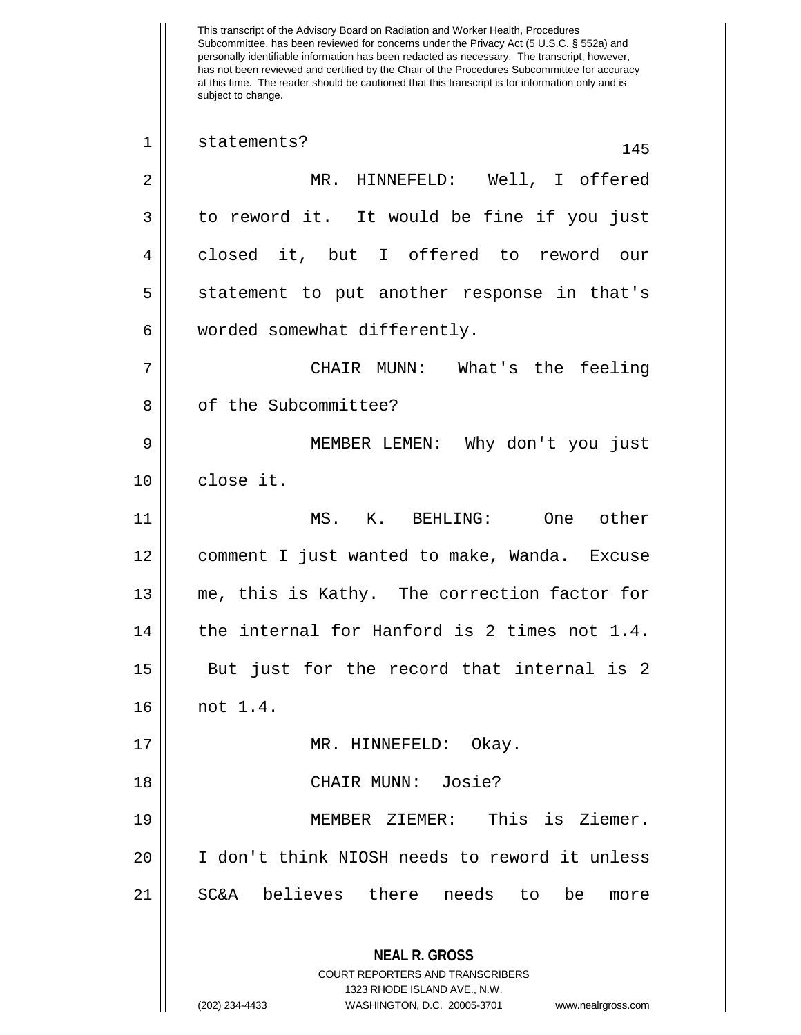This transcript of the Advisory Board on Radiation and Worker Health, Procedures Subcommittee, has been reviewed for concerns under the Privacy Act (5 U.S.C. § 552a) and personally identifiable information has been redacted as necessary. The transcript, however, has not been reviewed and certified by the Chair of the Procedures Subcommittee for accuracy at this time. The reader should be cautioned that this transcript is for information only and is subject to change. **NEAL R. GROSS** COURT REPORTERS AND TRANSCRIBERS 1323 RHODE ISLAND AVE., N.W. (202) 234-4433 WASHINGTON, D.C. 20005-3701 www.nealrgross.com 1 || statements? 145 2 MR. HINNEFELD: Well, I offered  $3 \parallel$  to reword it. It would be fine if you just 4 closed it, but I offered to reword our 5 || statement to put another response in that's 6 | worded somewhat differently. 7 CHAIR MUNN: What's the feeling 8 | of the Subcommittee? 9 MEMBER LEMEN: Why don't you just 10 | close it. 11 MS. K. BEHLING: One other 12 comment I just wanted to make, Wanda. Excuse 13 me, this is Kathy. The correction factor for 14 || the internal for Hanford is 2 times not 1.4. 15 || But just for the record that internal is 2 16 not 1.4. 17 || MR. HINNEFELD: Okay. 18 CHAIR MUNN: Josie? 19 MEMBER ZIEMER: This is Ziemer. 20 I don't think NIOSH needs to reword it unless 21 SC&A believes there needs to be more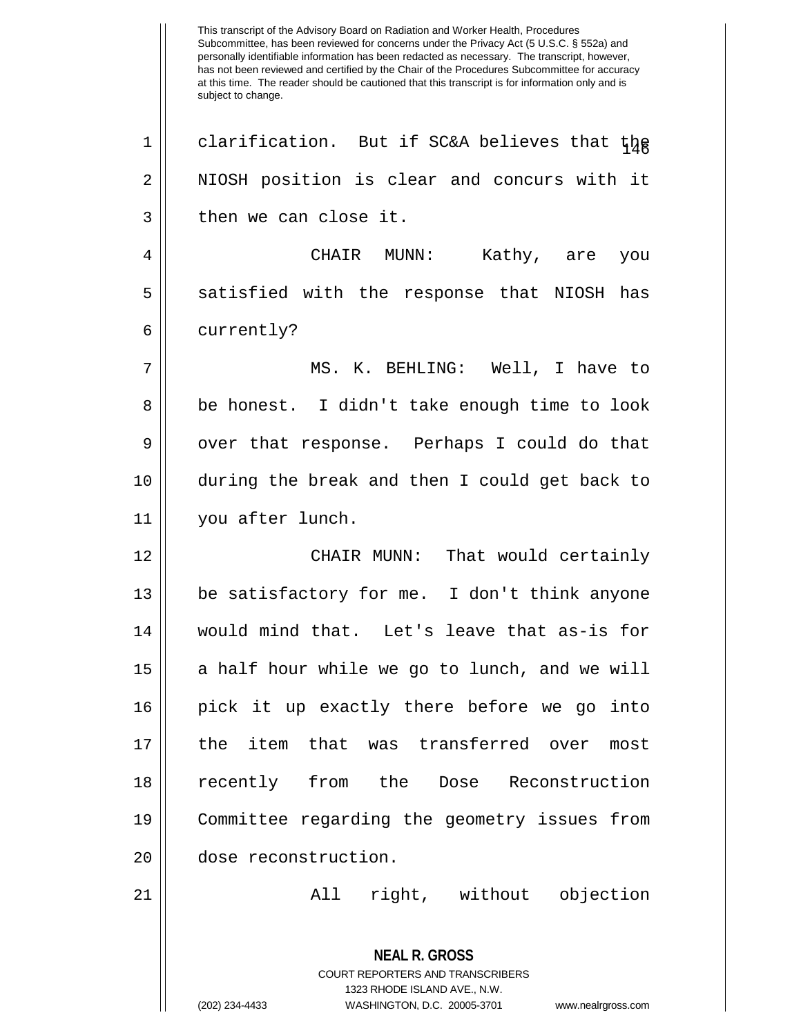This transcript of the Advisory Board on Radiation and Worker Health, Procedures Subcommittee, has been reviewed for concerns under the Privacy Act (5 U.S.C. § 552a) and personally identifiable information has been redacted as necessary. The transcript, however, has not been reviewed and certified by the Chair of the Procedures Subcommittee for accuracy at this time. The reader should be cautioned that this transcript is for information only and is subject to change. **NEAL R. GROSS** COURT REPORTERS AND TRANSCRIBERS 1323 RHODE ISLAND AVE., N.W. (202) 234-4433 WASHINGTON, D.C. 20005-3701 www.nealrgross.com 1 || clarification. But if SC&A believes that  $t\frac{1}{4}$ 2 | NIOSH position is clear and concurs with it  $3 \parallel$  then we can close it. 4 CHAIR MUNN: Kathy, are you 5 || satisfied with the response that NIOSH has 6 | currently? 7 MS. K. BEHLING: Well, I have to 8 || be honest. I didn't take enough time to look 9 | over that response. Perhaps I could do that 10 during the break and then I could get back to 11 you after lunch. 12 CHAIR MUNN: That would certainly 13 be satisfactory for me. I don't think anyone 14 would mind that. Let's leave that as-is for 15 || a half hour while we go to lunch, and we will 16 pick it up exactly there before we go into 17 the item that was transferred over most 18 recently from the Dose Reconstruction 19 Committee regarding the geometry issues from 20 dose reconstruction. 21 || Tight, without objection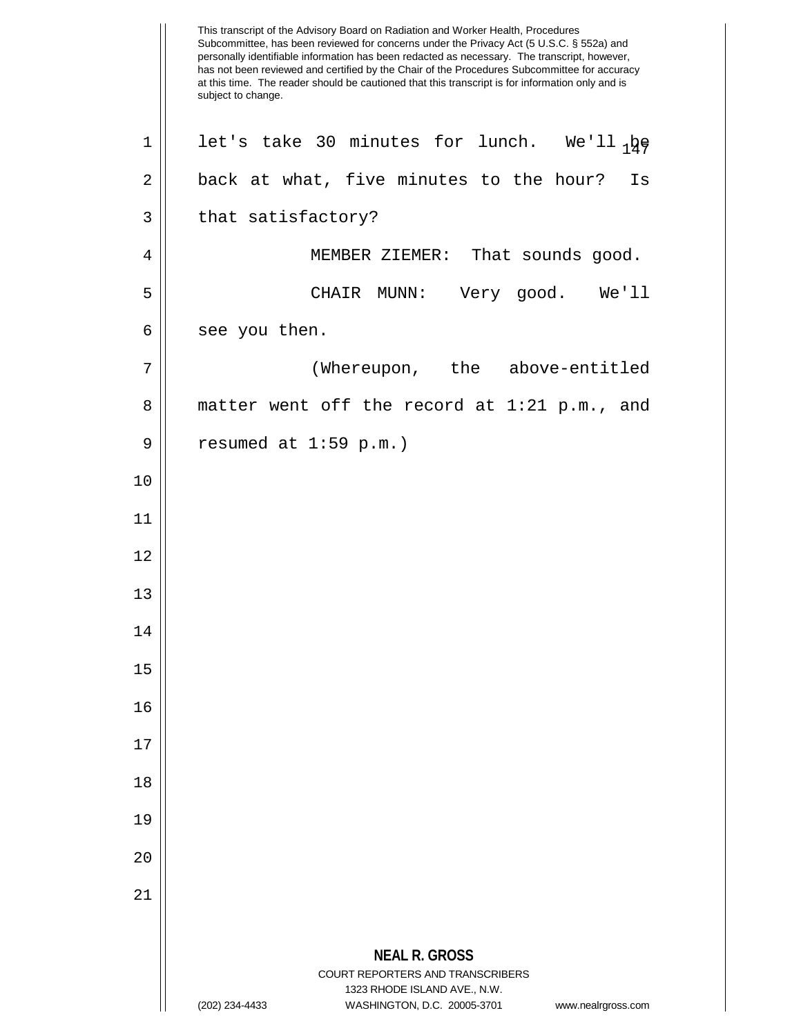|             | This transcript of the Advisory Board on Radiation and Worker Health, Procedures<br>Subcommittee, has been reviewed for concerns under the Privacy Act (5 U.S.C. § 552a) and<br>personally identifiable information has been redacted as necessary. The transcript, however,<br>has not been reviewed and certified by the Chair of the Procedures Subcommittee for accuracy<br>at this time. The reader should be cautioned that this transcript is for information only and is<br>subject to change. |
|-------------|--------------------------------------------------------------------------------------------------------------------------------------------------------------------------------------------------------------------------------------------------------------------------------------------------------------------------------------------------------------------------------------------------------------------------------------------------------------------------------------------------------|
| $\mathbf 1$ | let's take 30 minutes for lunch. We'll 1ge                                                                                                                                                                                                                                                                                                                                                                                                                                                             |
| 2           | back at what, five minutes to the hour?<br>Is                                                                                                                                                                                                                                                                                                                                                                                                                                                          |
| 3           | that satisfactory?                                                                                                                                                                                                                                                                                                                                                                                                                                                                                     |
| 4           | MEMBER ZIEMER: That sounds good.                                                                                                                                                                                                                                                                                                                                                                                                                                                                       |
| 5           | CHAIR MUNN: Very good. We'll                                                                                                                                                                                                                                                                                                                                                                                                                                                                           |
| 6           | see you then.                                                                                                                                                                                                                                                                                                                                                                                                                                                                                          |
| 7           | (Whereupon, the above-entitled                                                                                                                                                                                                                                                                                                                                                                                                                                                                         |
| 8           | matter went off the record at 1:21 p.m., and                                                                                                                                                                                                                                                                                                                                                                                                                                                           |
| 9           | resumed at $1:59$ p.m.)                                                                                                                                                                                                                                                                                                                                                                                                                                                                                |
| 10          |                                                                                                                                                                                                                                                                                                                                                                                                                                                                                                        |
| 11          |                                                                                                                                                                                                                                                                                                                                                                                                                                                                                                        |
| 12          |                                                                                                                                                                                                                                                                                                                                                                                                                                                                                                        |
| 13          |                                                                                                                                                                                                                                                                                                                                                                                                                                                                                                        |
| 14          |                                                                                                                                                                                                                                                                                                                                                                                                                                                                                                        |
| 15          |                                                                                                                                                                                                                                                                                                                                                                                                                                                                                                        |
| 16          |                                                                                                                                                                                                                                                                                                                                                                                                                                                                                                        |
| 17          |                                                                                                                                                                                                                                                                                                                                                                                                                                                                                                        |
| 18          |                                                                                                                                                                                                                                                                                                                                                                                                                                                                                                        |
| 19          |                                                                                                                                                                                                                                                                                                                                                                                                                                                                                                        |
| 20          |                                                                                                                                                                                                                                                                                                                                                                                                                                                                                                        |
| 21          |                                                                                                                                                                                                                                                                                                                                                                                                                                                                                                        |
|             |                                                                                                                                                                                                                                                                                                                                                                                                                                                                                                        |
|             | <b>NEAL R. GROSS</b><br>COURT REPORTERS AND TRANSCRIBERS<br>1323 RHODE ISLAND AVE., N.W.                                                                                                                                                                                                                                                                                                                                                                                                               |
|             | (202) 234-4433<br>WASHINGTON, D.C. 20005-3701<br>www.nealrgross.com                                                                                                                                                                                                                                                                                                                                                                                                                                    |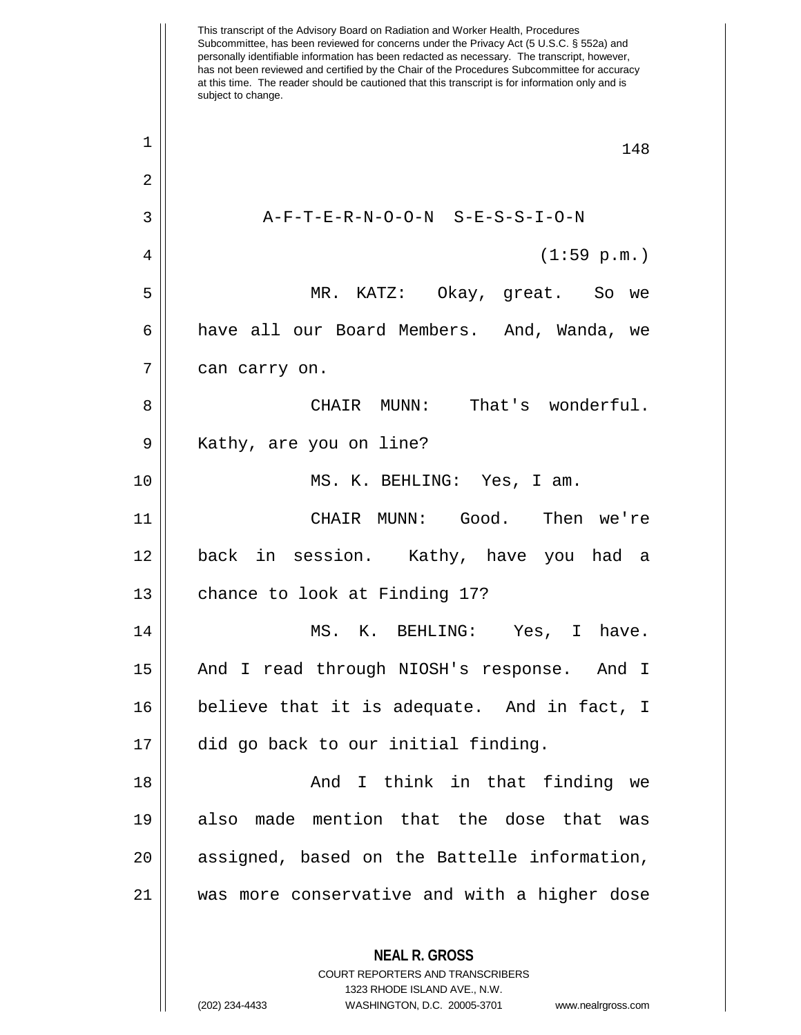This transcript of the Advisory Board on Radiation and Worker Health, Procedures Subcommittee, has been reviewed for concerns under the Privacy Act (5 U.S.C. § 552a) and personally identifiable information has been redacted as necessary. The transcript, however, has not been reviewed and certified by the Chair of the Procedures Subcommittee for accuracy at this time. The reader should be cautioned that this transcript is for information only and is subject to change. **NEAL R. GROSS** COURT REPORTERS AND TRANSCRIBERS 1323 RHODE ISLAND AVE., N.W. (202) 234-4433 WASHINGTON, D.C. 20005-3701 www.nealrgross.com  $\begin{array}{c|c|c|c|c} 1 & 148 \end{array}$ 2  $3$   $\parallel$   $A-F-T-E-R-N-O-O-N$   $S-E-S-S-I-O-N$ 4 (1:59 p.m.) 5 MR. KATZ: Okay, great. So we 6 have all our Board Members. And, Wanda, we  $7 \parallel$  can carry on. 8 CHAIR MUNN: That's wonderful. 9 || Kathy, are you on line? 10 MS. K. BEHLING: Yes, I am. 11 CHAIR MUNN: Good. Then we're 12 back in session. Kathy, have you had a  $13$  | chance to look at Finding 17? 14 MS. K. BEHLING: Yes, I have. 15 And I read through NIOSH's response. And I 16 believe that it is adequate. And in fact, I 17 did go back to our initial finding. 18 || Think in that finding we 19 also made mention that the dose that was 20 || assigned, based on the Battelle information, 21 was more conservative and with a higher dose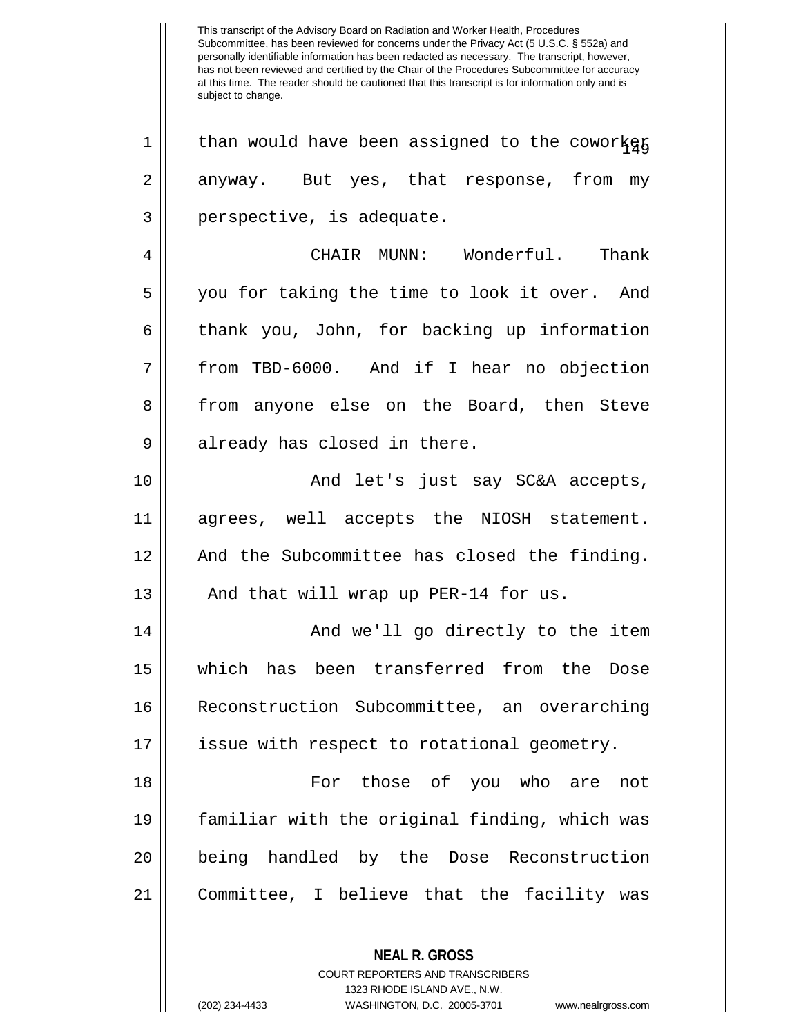This transcript of the Advisory Board on Radiation and Worker Health, Procedures Subcommittee, has been reviewed for concerns under the Privacy Act (5 U.S.C. § 552a) and personally identifiable information has been redacted as necessary. The transcript, however, has not been reviewed and certified by the Chair of the Procedures Subcommittee for accuracy at this time. The reader should be cautioned that this transcript is for information only and is subject to change.  $1 \parallel$  than would have been assigned to the coworker 2 anyway. But yes, that response, from my  $3 \parallel$  perspective, is adequate. 4 CHAIR MUNN: Wonderful. Thank 5 you for taking the time to look it over. And 6 thank you, John, for backing up information 7 || from TBD-6000. And if I hear no objection 8 from anyone else on the Board, then Steve 9 || already has closed in there. 10 And let's just say SC&A accepts, 11 agrees, well accepts the NIOSH statement. 12 || And the Subcommittee has closed the finding. 13  $\parallel$  And that will wrap up PER-14 for us. 14 || And we'll go directly to the item 15 which has been transferred from the Dose 16 Reconstruction Subcommittee, an overarching 17 issue with respect to rotational geometry. 18 For those of you who are not 19 familiar with the original finding, which was 20 || being handled by the Dose Reconstruction 21 Committee, I believe that the facility was

> COURT REPORTERS AND TRANSCRIBERS 1323 RHODE ISLAND AVE., N.W.

**NEAL R. GROSS**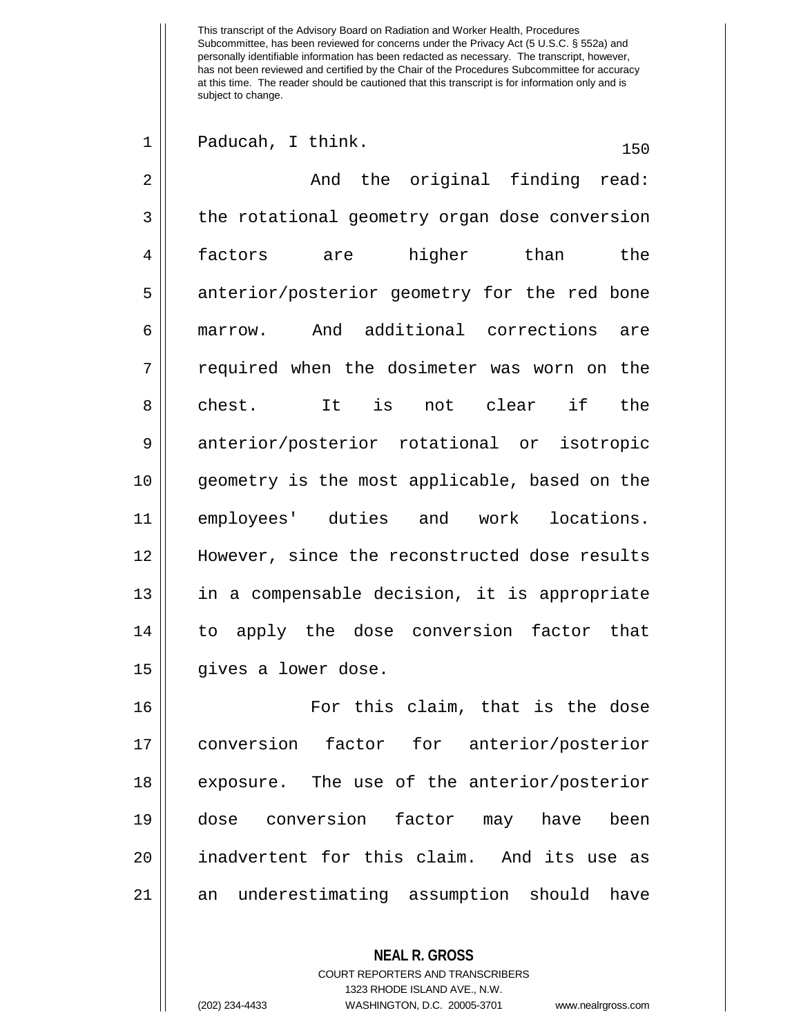| $\mathbf 1$ | Paducah, I think.<br>150                      |
|-------------|-----------------------------------------------|
| 2           | And the original finding read:                |
| 3           | the rotational geometry organ dose conversion |
| 4           | factors are higher than the                   |
| 5           | anterior/posterior geometry for the red bone  |
| 6           | marrow. And additional corrections are        |
| 7           | required when the dosimeter was worn on the   |
| 8           | chest. It is not clear if<br>the              |
| 9           | anterior/posterior rotational or isotropic    |
| 10          | geometry is the most applicable, based on the |
| 11          | employees' duties and work locations.         |
| 12          | However, since the reconstructed dose results |
| 13          | in a compensable decision, it is appropriate  |
| 14          | to apply the dose conversion factor that      |
| 15          | gives a lower dose.                           |
| 16          | For this claim, that is the dose              |
| 17          | conversion factor for anterior/posterior      |
| 18          | exposure. The use of the anterior/posterior   |
| 19          | dose conversion factor may have<br>been       |
| 20          | inadvertent for this claim. And its use as    |
| 21          | an underestimating assumption should have     |
|             |                                               |

**NEAL R. GROSS** COURT REPORTERS AND TRANSCRIBERS 1323 RHODE ISLAND AVE., N.W.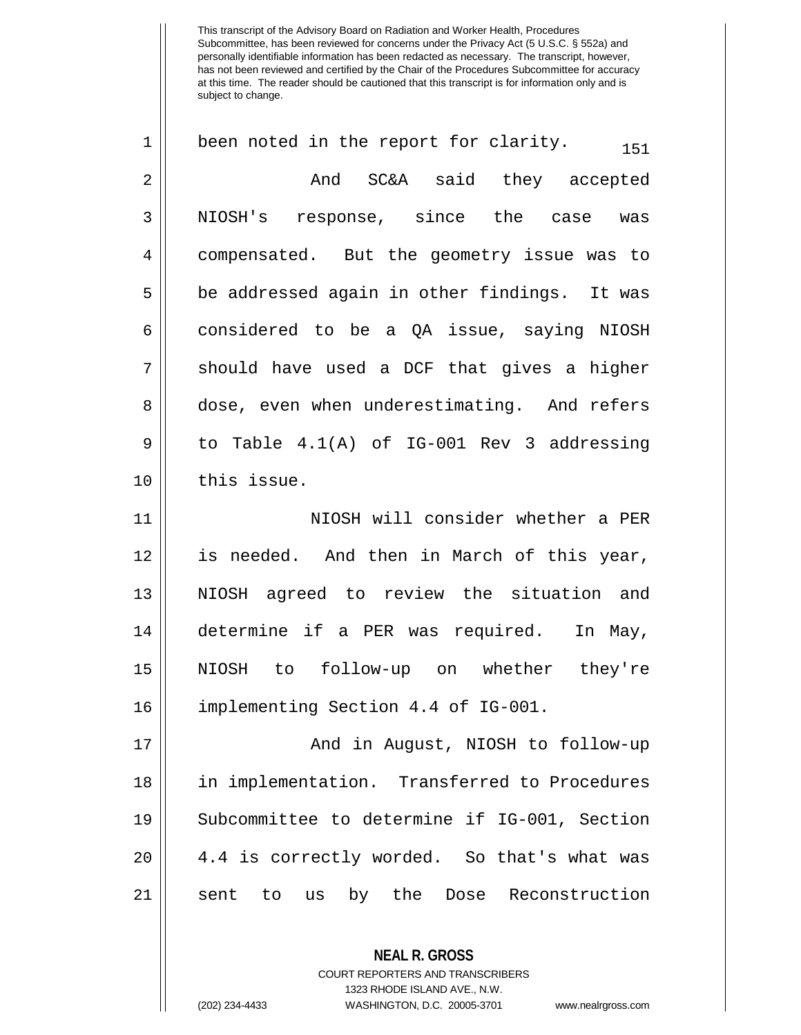**NEAL R. GROSS**  $1 \parallel$  been noted in the report for clarity.  $1 \parallel$ 2 And SC&A said they accepted 3 || NIOSH's response, since the case was 4 | compensated. But the geometry issue was to  $5 \parallel$  be addressed again in other findings. It was 6 considered to be a QA issue, saying NIOSH  $7 \parallel$  should have used a DCF that gives a higher 8 dose, even when underestimating. And refers  $9 \parallel$  to Table  $4.1(A)$  of IG-001 Rev 3 addressing 10 | this issue. 11 || NIOSH will consider whether a PER 12 is needed. And then in March of this year, 13 NIOSH agreed to review the situation and 14 determine if a PER was required. In May, 15 NIOSH to follow-up on whether they're 16 implementing Section 4.4 of IG-001. 17 And in August, NIOSH to follow-up 18 in implementation. Transferred to Procedures 19 Subcommittee to determine if IG-001, Section 20 || 4.4 is correctly worded. So that's what was 21 sent to us by the Dose Reconstruction

> COURT REPORTERS AND TRANSCRIBERS 1323 RHODE ISLAND AVE., N.W.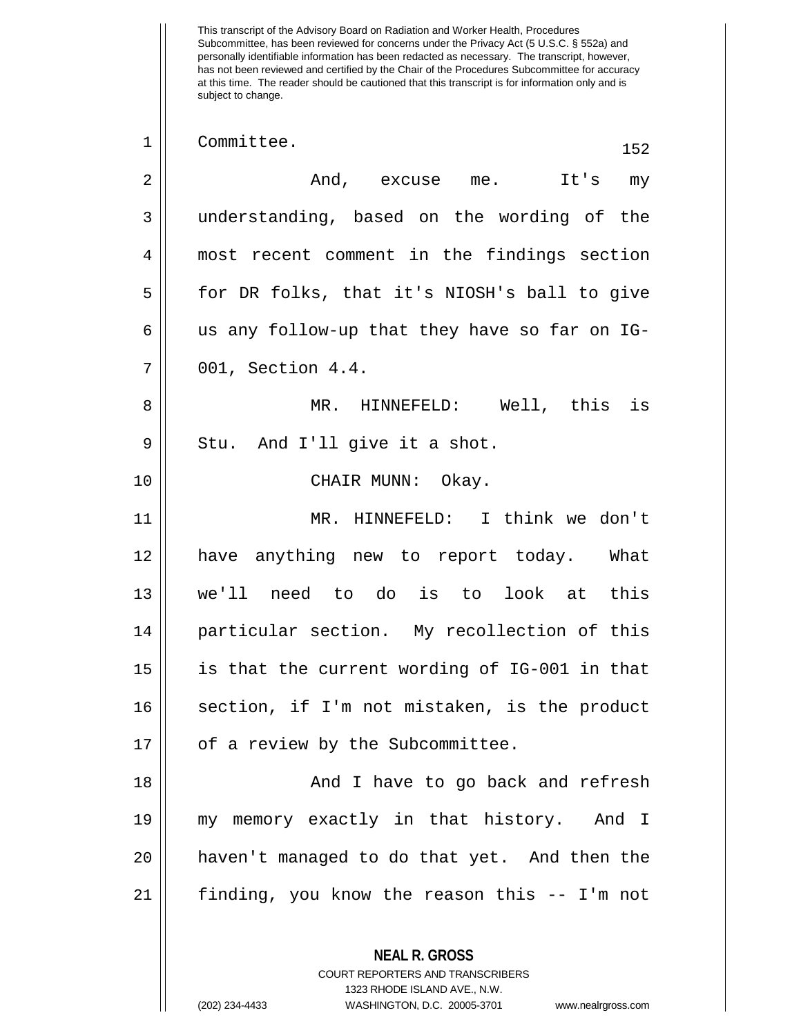This transcript of the Advisory Board on Radiation and Worker Health, Procedures Subcommittee, has been reviewed for concerns under the Privacy Act (5 U.S.C. § 552a) and personally identifiable information has been redacted as necessary. The transcript, however, has not been reviewed and certified by the Chair of the Procedures Subcommittee for accuracy at this time. The reader should be cautioned that this transcript is for information only and is subject to change. **NEAL R. GROSS** COURT REPORTERS AND TRANSCRIBERS 1323 RHODE ISLAND AVE., N.W. 1 Committee. 152 2 And, excuse me. It's my 3 understanding, based on the wording of the 4 most recent comment in the findings section 5 for DR folks, that it's NIOSH's ball to give  $6 \parallel$  us any follow-up that they have so far on IG-7 001, Section 4.4. 8 MR. HINNEFELD: Well, this is  $9 \parallel$  Stu. And I'll give it a shot. 10 CHAIR MUNN: Okay. 11 MR. HINNEFELD: I think we don't 12 have anything new to report today. What 13 we'll need to do is to look at this 14 particular section. My recollection of this 15 is that the current wording of IG-001 in that 16 || section, if I'm not mistaken, is the product 17 | of a review by the Subcommittee. 18 || And I have to go back and refresh 19 my memory exactly in that history. And I 20 haven't managed to do that yet. And then the 21 finding, you know the reason this -- I'm not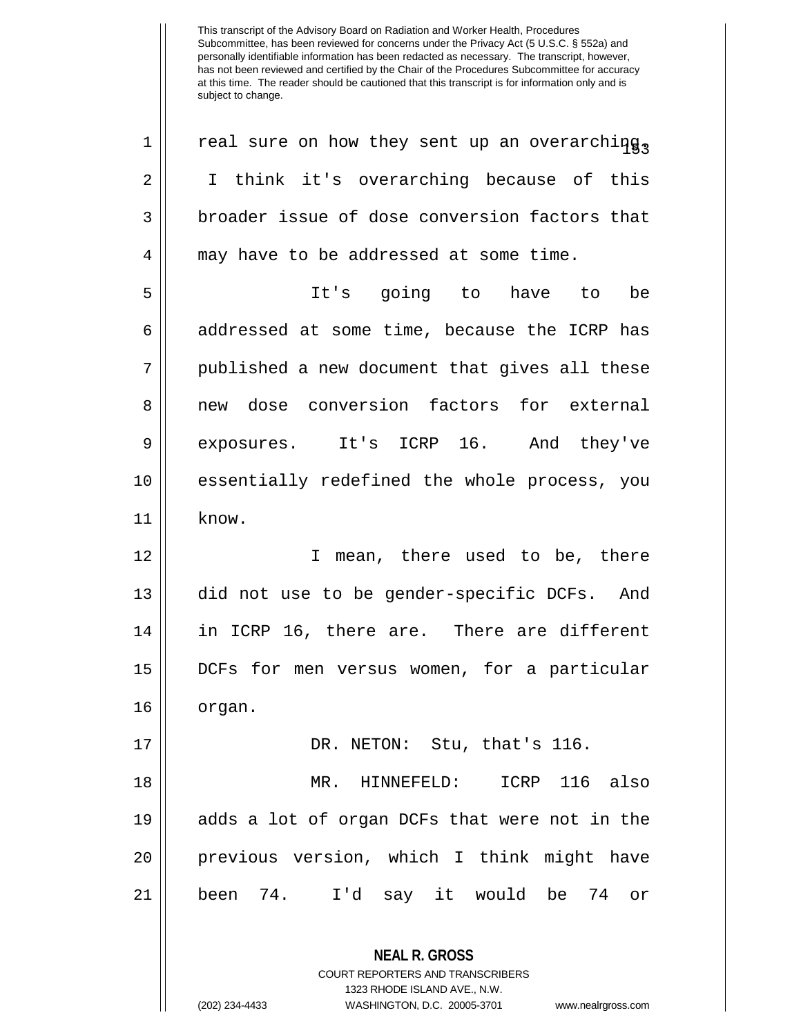**NEAL R. GROSS** COURT REPORTERS AND TRANSCRIBERS 1323 RHODE ISLAND AVE., N.W.  $1 \parallel$  real sure on how they sent up an overarching, 2 || I think it's overarching because of this  $3 \parallel$  broader issue of dose conversion factors that 4 || may have to be addressed at some time. 5 It's going to have to be 6 addressed at some time, because the ICRP has 7 || published a new document that gives all these 8 || new dose conversion factors for external 9 exposures. It's ICRP 16. And they've 10 || essentially redefined the whole process, you 11 know. 12 || I mean, there used to be, there 13 did not use to be gender-specific DCFs. And 14 in ICRP 16, there are. There are different 15 DCFs for men versus women, for a particular 16 || organ. 17 || DR. NETON: Stu, that's 116. 18 MR. HINNEFELD: ICRP 116 also 19 adds a lot of organ DCFs that were not in the 20 previous version, which I think might have 21 been 74. I'd say it would be 74 or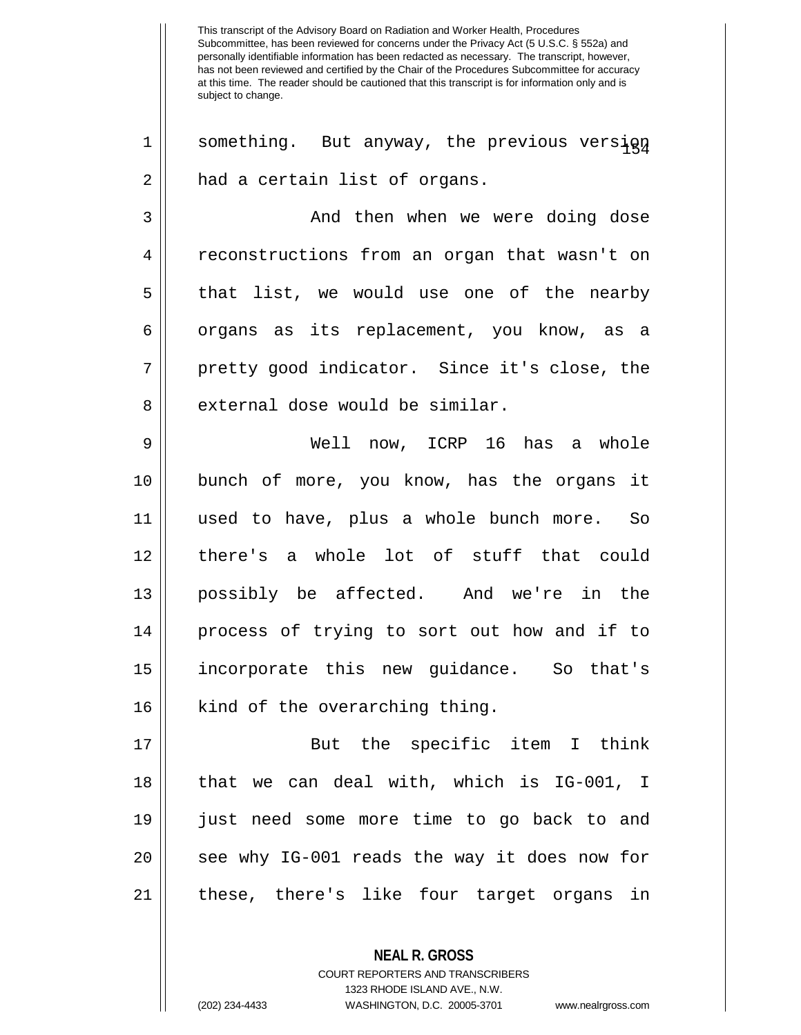$1 \parallel$  something. But anyway, the previous version 2 | had a certain list of organs. 3 And then when we were doing dose 4 | reconstructions from an organ that wasn't on 5 || that list, we would use one of the nearby 6 | organs as its replacement, you know, as a 7 || pretty good indicator. Since it's close, the  $8$  || external dose would be similar. 9 Well now, ICRP 16 has a whole 10 bunch of more, you know, has the organs it 11 used to have, plus a whole bunch more. So 12 there's a whole lot of stuff that could 13 possibly be affected. And we're in the 14 process of trying to sort out how and if to 15 incorporate this new guidance. So that's 16 || kind of the overarching thing. 17 But the specific item I think 18 that we can deal with, which is IG-001, I 19 just need some more time to go back to and 20 || see why IG-001 reads the way it does now for

21 these, there's like four target organs in

**NEAL R. GROSS**

COURT REPORTERS AND TRANSCRIBERS 1323 RHODE ISLAND AVE., N.W. (202) 234-4433 WASHINGTON, D.C. 20005-3701 www.nealrgross.com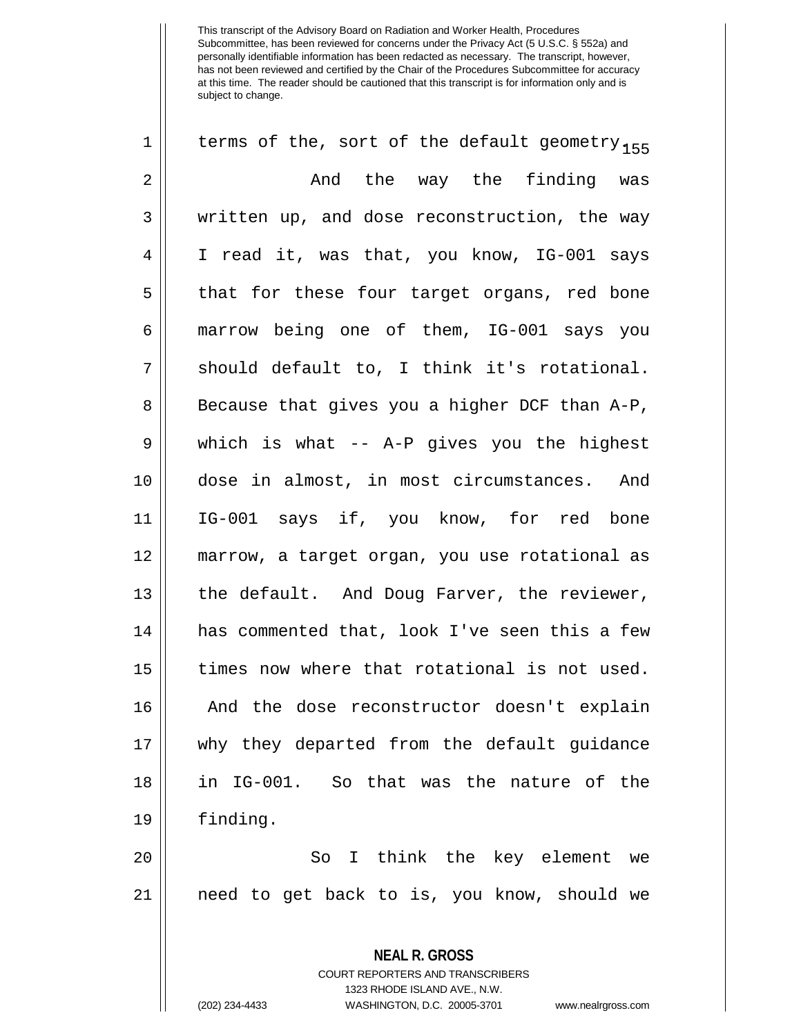| $\mathbf 1$    | terms of the, sort of the default geometry <sub>155</sub> |
|----------------|-----------------------------------------------------------|
| $\overline{2}$ | And the way the finding was                               |
| 3              | written up, and dose reconstruction, the way              |
| 4              | I read it, was that, you know, IG-001 says                |
| 5              | that for these four target organs, red bone               |
| 6              | marrow being one of them, IG-001 says you                 |
| 7              | should default to, I think it's rotational.               |
| 8              | Because that gives you a higher DCF than A-P,             |
| $\mathsf 9$    | which is what -- A-P gives you the highest                |
| 10             | dose in almost, in most circumstances. And                |
| 11             | IG-001 says if, you know, for red bone                    |
| 12             | marrow, a target organ, you use rotational as             |
| 13             | the default. And Doug Farver, the reviewer,               |
| 14             | has commented that, look I've seen this a few             |
| 15             | times now where that rotational is not used.              |
| 16             | And the dose reconstructor doesn't explain                |
| 17             | why they departed from the default guidance               |
| 18             | in IG-001. So that was the nature of the                  |
| 19             | finding.                                                  |
| 20             | I think the key element we<br>So                          |
| 21             | need to get back to is, you know, should we               |
|                | <b>NEAL R. GROSS</b>                                      |

COURT REPORTERS AND TRANSCRIBERS 1323 RHODE ISLAND AVE., N.W.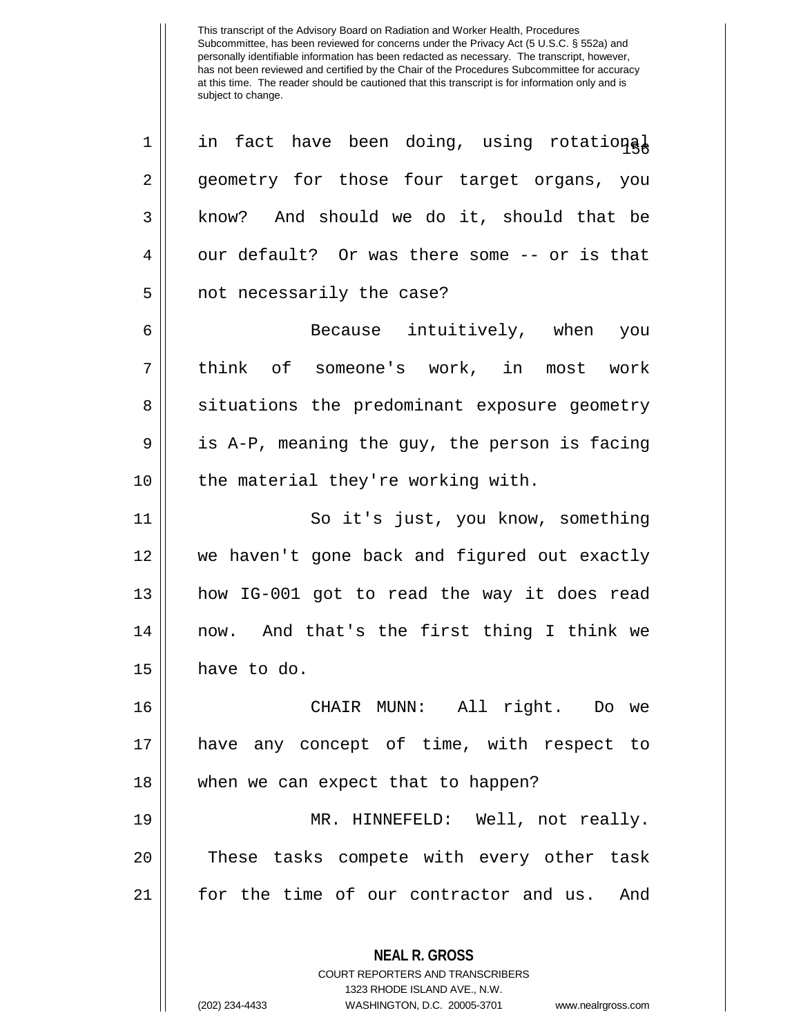**NEAL R. GROSS** COURT REPORTERS AND TRANSCRIBERS  $1 \parallel$  in fact have been doing, using rotational 2 geometry for those four target organs, you 3 || know? And should we do it, should that be  $4 \parallel$  our default? Or was there some -- or is that 5 || not necessarily the case? 6 Because intuitively, when you 7 think of someone's work, in most work 8 || situations the predominant exposure geometry  $9 \parallel$  is A-P, meaning the guy, the person is facing  $10$  | the material they're working with. 11 || So it's just, you know, something 12 we haven't gone back and figured out exactly 13 how IG-001 got to read the way it does read 14 now. And that's the first thing I think we  $15$  have to do. 16 CHAIR MUNN: All right. Do we 17 have any concept of time, with respect to 18 || when we can expect that to happen? 19 MR. HINNEFELD: Well, not really. 20 || These tasks compete with every other task 21 for the time of our contractor and us. And

1323 RHODE ISLAND AVE., N.W.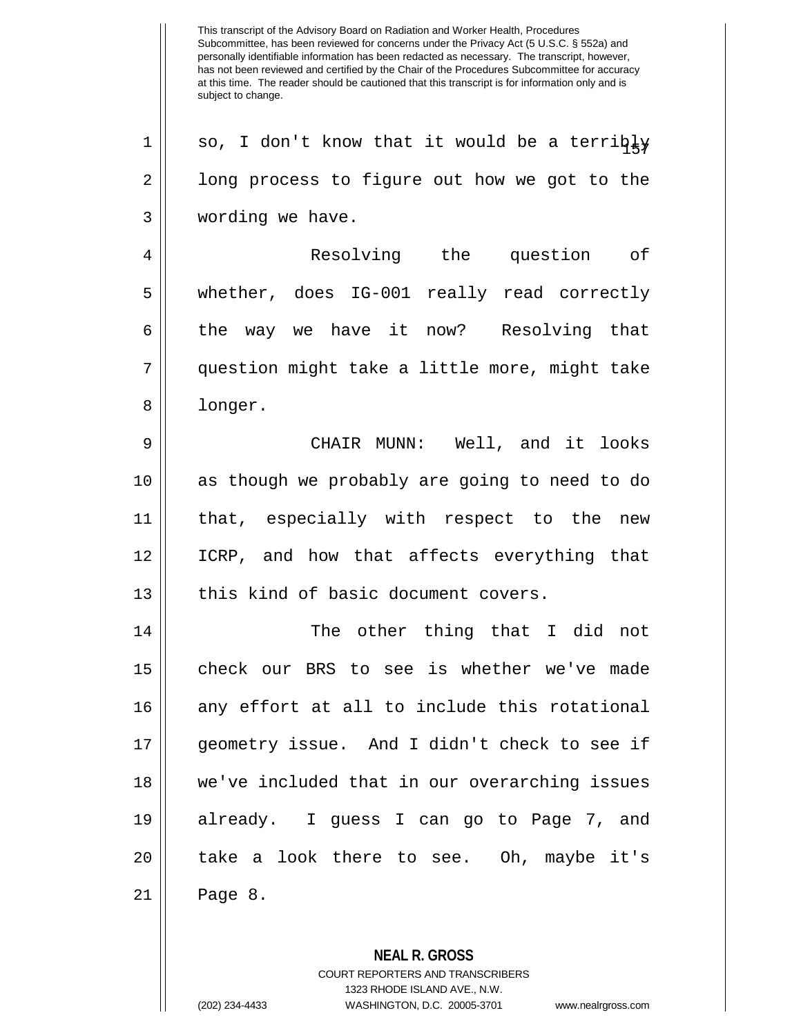Subcommittee, has been reviewed for concerns under the Privacy Act (5 U.S.C. § 552a) and personally identifiable information has been redacted as necessary. The transcript, however, has not been reviewed and certified by the Chair of the Procedures Subcommittee for accuracy at this time. The reader should be cautioned that this transcript is for information only and is subject to change. **NEAL R. GROSS**  $1||$  so, I don't know that it would be a terribly 2 | long process to figure out how we got to the 3 wording we have. 4 Resolving the question of 5 || whether, does IG-001 really read correctly 6 the way we have it now? Resolving that 7 question might take a little more, might take 8 || longer. 9 CHAIR MUNN: Well, and it looks 10 || as though we probably are going to need to do 11 that, especially with respect to the new 12 ICRP, and how that affects everything that  $13$  | this kind of basic document covers. 14 The other thing that I did not 15 || check our BRS to see is whether we've made 16 any effort at all to include this rotational 17 geometry issue. And I didn't check to see if 18 we've included that in our overarching issues 19 already. I guess I can go to Page 7, and 20 || take a look there to see. Oh, maybe it's 21 Page 8.

This transcript of the Advisory Board on Radiation and Worker Health, Procedures

COURT REPORTERS AND TRANSCRIBERS 1323 RHODE ISLAND AVE., N.W. (202) 234-4433 WASHINGTON, D.C. 20005-3701 www.nealrgross.com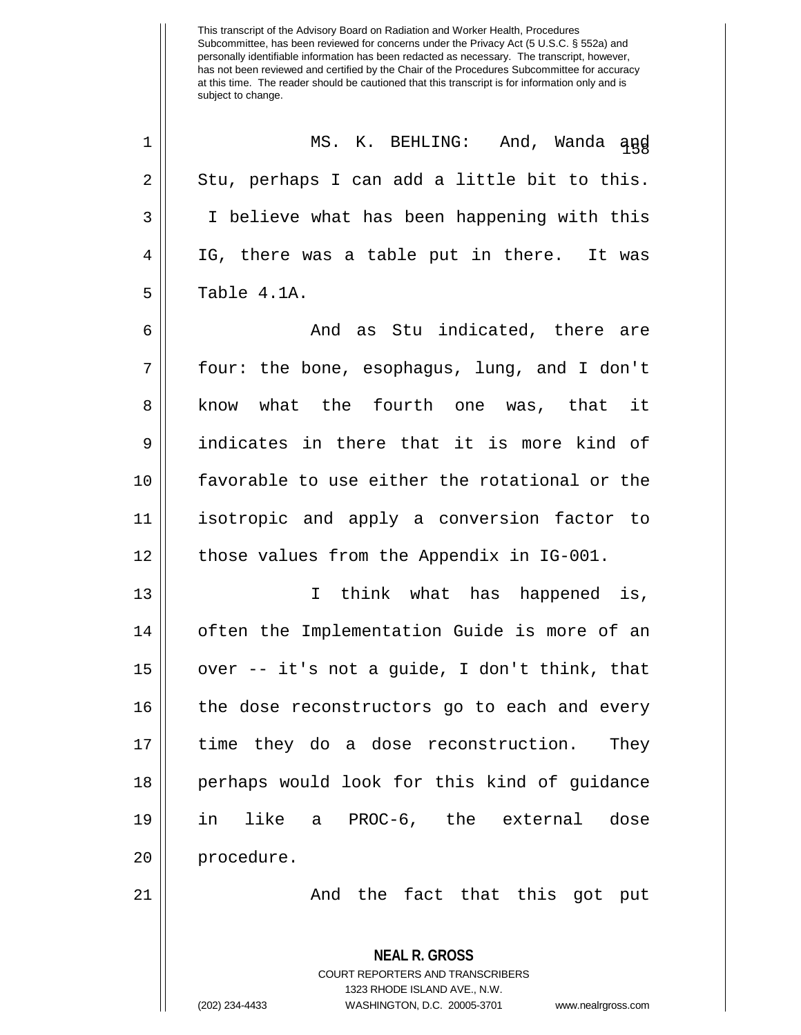<sup>158</sup> <sup>1</sup> MS. K. BEHLING: And, Wanda and  $2 \parallel$  Stu, perhaps I can add a little bit to this. 3 I believe what has been happening with this 4 || IG, there was a table put in there. It was  $5 \parallel$  Table  $4.1A$ .

 And as Stu indicated, there are four: the bone, esophagus, lung, and I don't 8 || know what the fourth one was, that it indicates in there that it is more kind of favorable to use either the rotational or the isotropic and apply a conversion factor to 12 | those values from the Appendix in IG-001.

13 || Think what has happened is, 14 | often the Implementation Guide is more of an 15 over -- it's not a guide, I don't think, that 16 || the dose reconstructors go to each and every 17 time they do a dose reconstruction. They 18 || perhaps would look for this kind of quidance 19 in like a PROC-6, the external dose 20 || procedure.

21 And the fact that this got put

**NEAL R. GROSS** COURT REPORTERS AND TRANSCRIBERS 1323 RHODE ISLAND AVE., N.W. (202) 234-4433 WASHINGTON, D.C. 20005-3701 www.nealrgross.com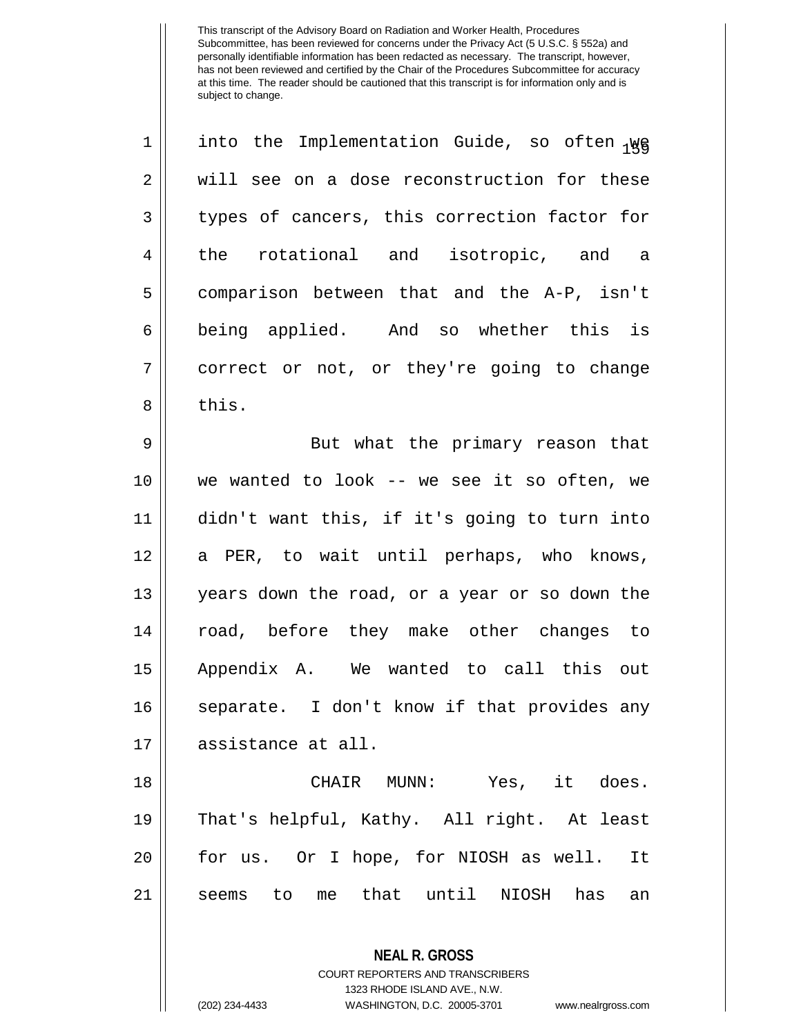| 1              | into the Implementation Guide, so often 1WG   |
|----------------|-----------------------------------------------|
| $\overline{2}$ | will see on a dose reconstruction for these   |
| 3              | types of cancers, this correction factor for  |
| 4              | the rotational and isotropic, and a           |
| 5              | comparison between that and the A-P, isn't    |
| 6              | being applied. And so whether this is         |
| 7              | correct or not, or they're going to change    |
| 8              | this.                                         |
| 9              | But what the primary reason that              |
| 10             | we wanted to look -- we see it so often, we   |
| 11             | didn't want this, if it's going to turn into  |
| 12             | a PER, to wait until perhaps, who knows,      |
| 13             | years down the road, or a year or so down the |
| 14             | road, before they make other changes to       |
| 15             | Appendix A. We wanted to call this out        |
| 16             | separate. I don't know if that provides any   |
| 17             | assistance at all.                            |
| 18             | CHAIR MUNN: Yes, it does.                     |
| 19             | That's helpful, Kathy. All right. At least    |
| 20             | for us. Or I hope, for NIOSH as well.<br>It   |
| 21             | seems to me that until NIOSH has<br>an        |
|                | <b>NEAL R. GROSS</b>                          |

COURT REPORTERS AND TRANSCRIBERS 1323 RHODE ISLAND AVE., N.W.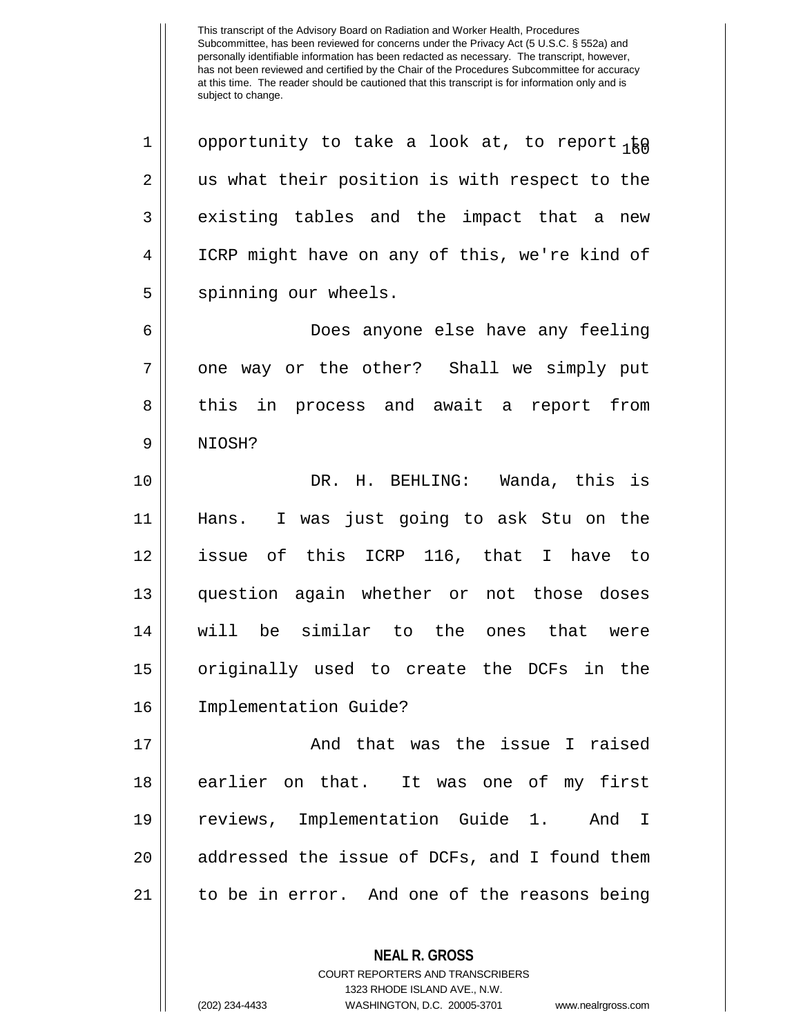1 || opportunity to take a look at, to report  $\frac{1}{160}$  $2 \parallel$  us what their position is with respect to the  $3 \parallel$  existing tables and the impact that a new 4 ICRP might have on any of this, we're kind of 5 || spinning our wheels.

6 Does anyone else have any feeling 7 || one way or the other? Shall we simply put 8 || this in process and await a report from 9 NIOSH?

 DR. H. BEHLING: Wanda, this is Hans. I was just going to ask Stu on the issue of this ICRP 116, that I have to question again whether or not those doses will be similar to the ones that were originally used to create the DCFs in the Implementation Guide?

17 || The South Chat was the issue I raised 18 earlier on that. It was one of my first 19 reviews, Implementation Guide 1. And I 20 || addressed the issue of DCFs, and I found them 21 to be in error. And one of the reasons being

**NEAL R. GROSS**

COURT REPORTERS AND TRANSCRIBERS 1323 RHODE ISLAND AVE., N.W. (202) 234-4433 WASHINGTON, D.C. 20005-3701 www.nealrgross.com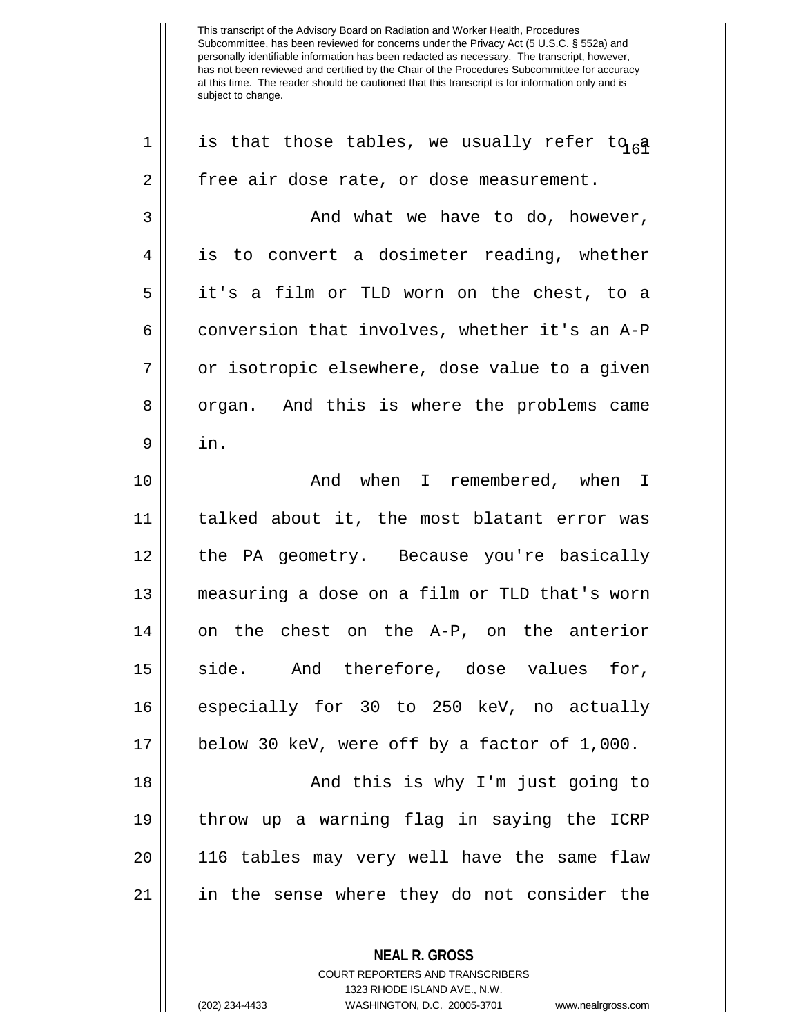**NEAL R. GROSS** 1 || is that those tables, we usually refer to  $a \overline{a}$ 2 | free air dose rate, or dose measurement.  $3 \parallel$  and what we have to do, however, 4 || is to convert a dosimeter reading, whether 5 it's a film or TLD worn on the chest, to a  $6 \parallel$  conversion that involves, whether it's an A-P 7 || or isotropic elsewhere, dose value to a given 8 || organ. And this is where the problems came  $9 \parallel \quad in.$ 10 And when I remembered, when I 11 talked about it, the most blatant error was 12 the PA geometry. Because you're basically 13 measuring a dose on a film or TLD that's worn  $14$  on the chest on the A-P, on the anterior 15 || side. And therefore, dose values for, 16 especially for 30 to 250 keV, no actually 17 below 30 keV, were off by a factor of 1,000. 18 || And this is why I'm just going to 19 throw up a warning flag in saying the ICRP 20 116 tables may very well have the same flaw 21 in the sense where they do not consider the

> COURT REPORTERS AND TRANSCRIBERS 1323 RHODE ISLAND AVE., N.W.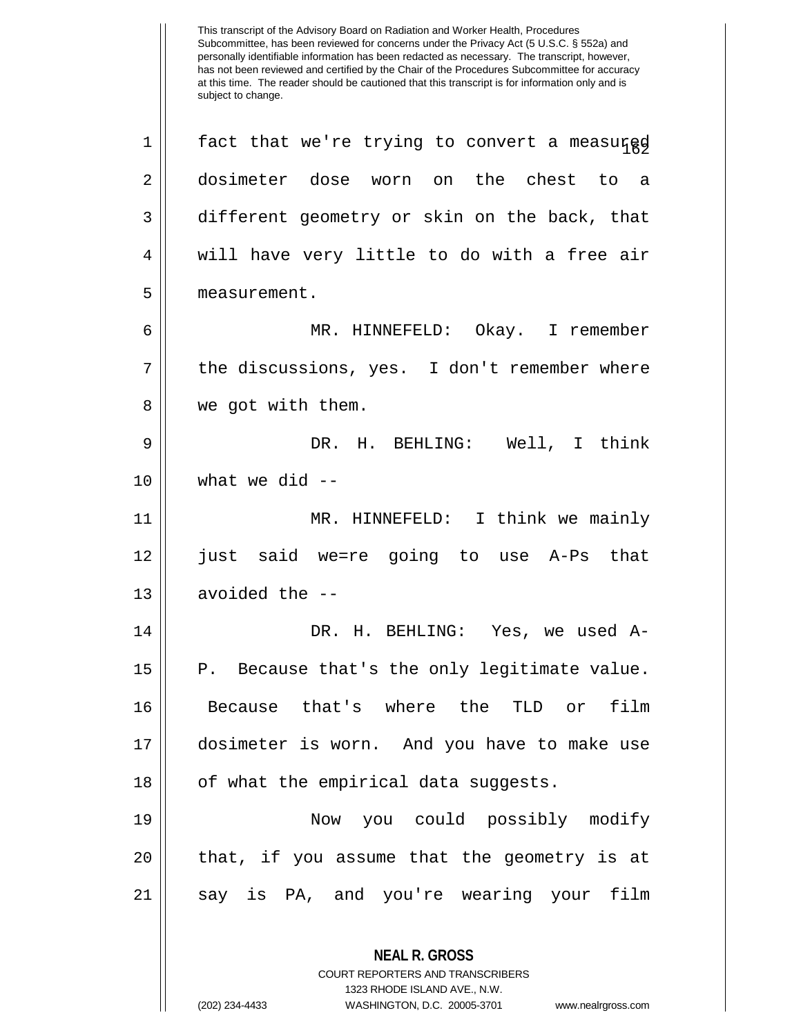This transcript of the Advisory Board on Radiation and Worker Health, Procedures Subcommittee, has been reviewed for concerns under the Privacy Act (5 U.S.C. § 552a) and personally identifiable information has been redacted as necessary. The transcript, however, has not been reviewed and certified by the Chair of the Procedures Subcommittee for accuracy at this time. The reader should be cautioned that this transcript is for information only and is subject to change. **NEAL R. GROSS** COURT REPORTERS AND TRANSCRIBERS 1323 RHODE ISLAND AVE., N.W.  $1 \parallel$  fact that we're trying to convert a measured 2 dosimeter dose worn on the chest to a 3 different geometry or skin on the back, that  $4 \parallel$  will have very little to do with a free air 5 measurement. 6 MR. HINNEFELD: Okay. I remember 7 || the discussions, yes. I don't remember where 8 || we got with them. 9 DR. H. BEHLING: Well, I think  $10$  | what we did  $-$ 11 MR. HINNEFELD: I think we mainly 12 just said we=re going to use A-Ps that  $13$  | avoided the  $-$ 14 DR. H. BEHLING: Yes, we used A-15 || P. Because that's the only legitimate value. 16 Because that's where the TLD or film 17 dosimeter is worn. And you have to make use  $18$  || of what the empirical data suggests. 19 Now you could possibly modify  $20$  || that, if you assume that the geometry is at 21 || say is PA, and you're wearing your film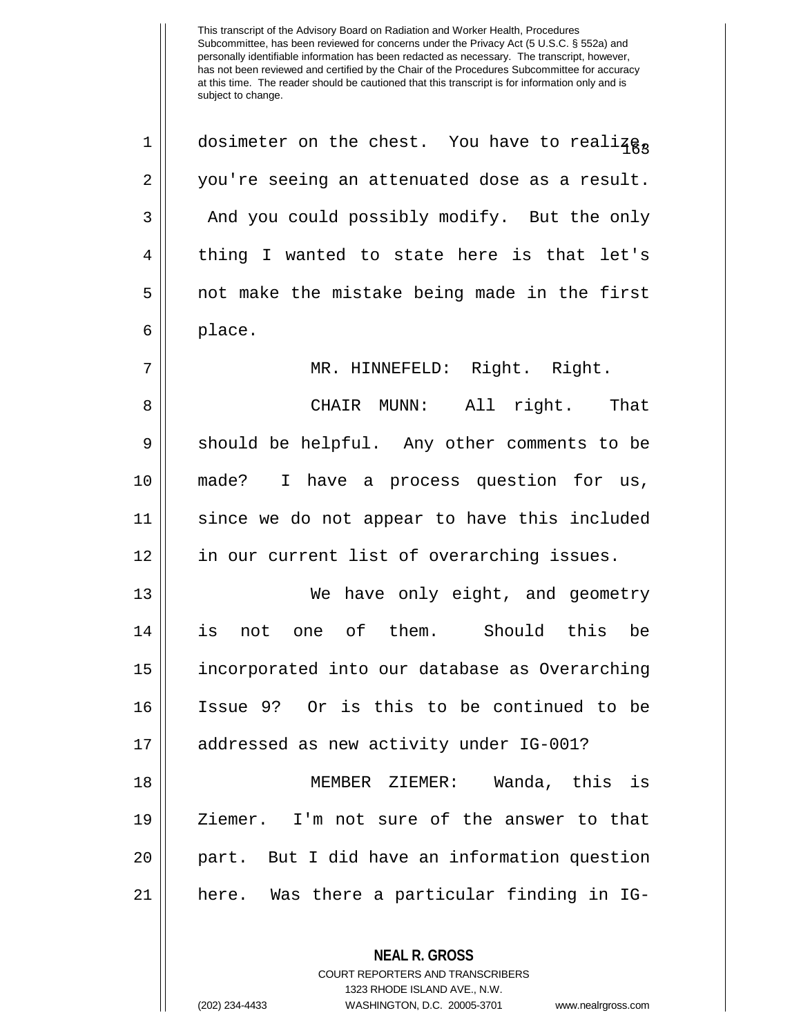1 || dosimeter on the chest. You have to realize, 2 you're seeing an attenuated dose as a result. 3 | And you could possibly modify. But the only 4 || thing I wanted to state here is that let's  $5 \parallel$  not make the mistake being made in the first  $6 \parallel$  place.

7 || MR. HINNEFELD: Right. Right.

8 CHAIR MUNN: All right. That 9 || should be helpful. Any other comments to be 10 made? I have a process question for us, 11 since we do not appear to have this included 12 || in our current list of overarching issues.

 We have only eight, and geometry is not one of them. Should this be incorporated into our database as Overarching Issue 9? Or is this to be continued to be addressed as new activity under IG-001?

 MEMBER ZIEMER: Wanda, this is Ziemer. I'm not sure of the answer to that part. But I did have an information question here. Was there a particular finding in IG-

**NEAL R. GROSS**

COURT REPORTERS AND TRANSCRIBERS 1323 RHODE ISLAND AVE., N.W. (202) 234-4433 WASHINGTON, D.C. 20005-3701 www.nealrgross.com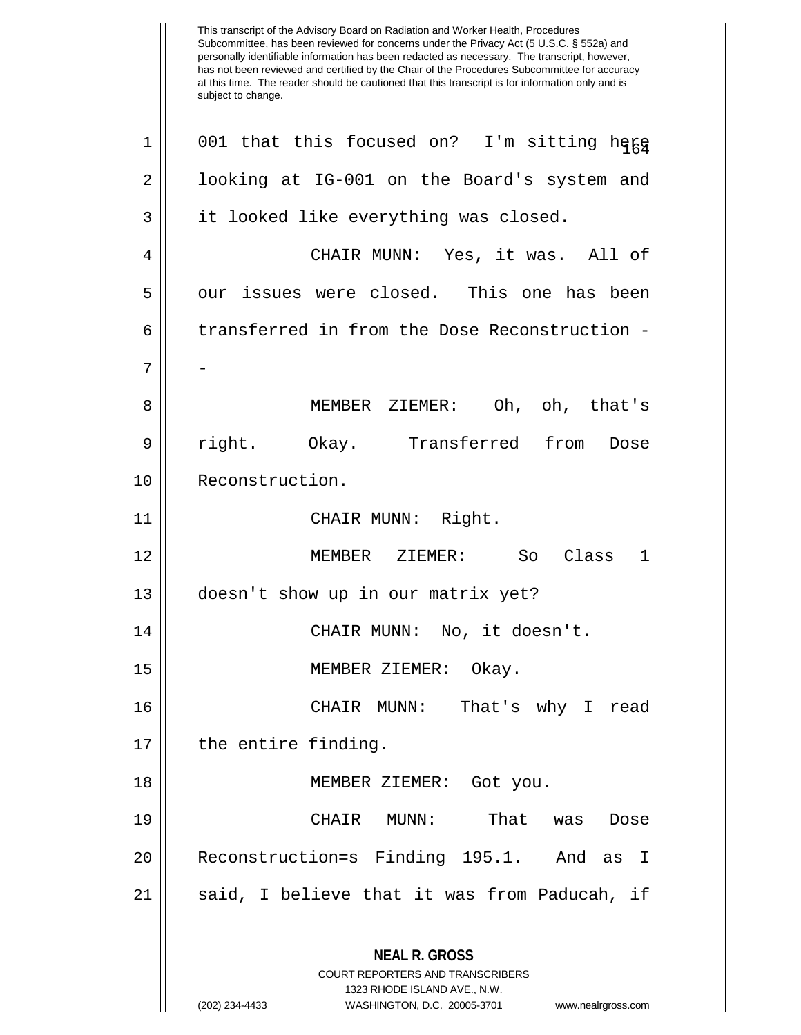This transcript of the Advisory Board on Radiation and Worker Health, Procedures Subcommittee, has been reviewed for concerns under the Privacy Act (5 U.S.C. § 552a) and personally identifiable information has been redacted as necessary. The transcript, however, has not been reviewed and certified by the Chair of the Procedures Subcommittee for accuracy at this time. The reader should be cautioned that this transcript is for information only and is subject to change. **NEAL R. GROSS** COURT REPORTERS AND TRANSCRIBERS 1323 RHODE ISLAND AVE., N.W. (202) 234-4433 WASHINGTON, D.C. 20005-3701 www.nealrgross.com 1 || 001 that this focused on? I'm sitting here 2 | looking at IG-001 on the Board's system and 3 | it looked like everything was closed. 4 CHAIR MUNN: Yes, it was. All of 5 || our issues were closed. This one has been 6 | transferred in from the Dose Reconstruction -7 | | | 8 MEMBER ZIEMER: Oh, oh, that's 9 || right. Okay. Transferred from Dose 10 | Reconstruction. 11 CHAIR MUNN: Right. 12 MEMBER ZIEMER: So Class 1 13 doesn't show up in our matrix yet? 14 || CHAIR MUNN: No, it doesn't. 15 MEMBER ZIEMER: Okay. 16 CHAIR MUNN: That's why I read 17 || the entire finding. 18 MEMBER ZIEMER: Got you. 19 CHAIR MUNN: That was Dose 20 Reconstruction=s Finding 195.1. And as I 21 || said, I believe that it was from Paducah, if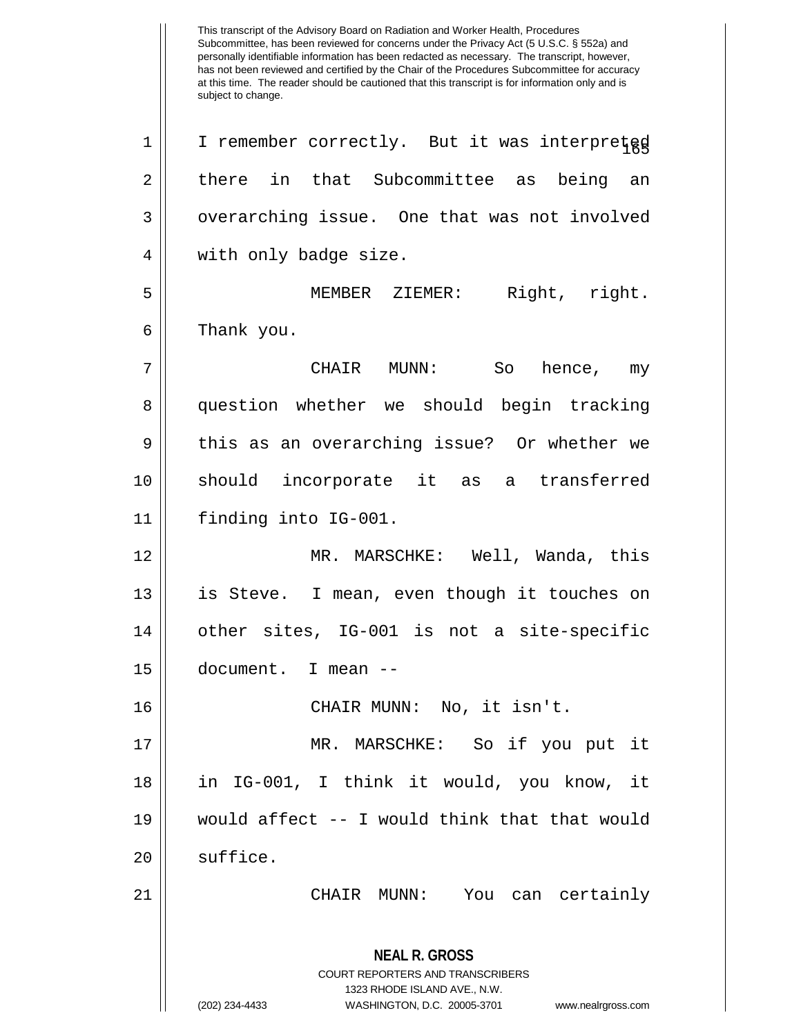This transcript of the Advisory Board on Radiation and Worker Health, Procedures Subcommittee, has been reviewed for concerns under the Privacy Act (5 U.S.C. § 552a) and personally identifiable information has been redacted as necessary. The transcript, however, has not been reviewed and certified by the Chair of the Procedures Subcommittee for accuracy at this time. The reader should be cautioned that this transcript is for information only and is subject to change. **NEAL R. GROSS** COURT REPORTERS AND TRANSCRIBERS 1323 RHODE ISLAND AVE., N.W. (202) 234-4433 WASHINGTON, D.C. 20005-3701 www.nealrgross.com 1 || I remember correctly. But it was interpreted 2 there in that Subcommittee as being an  $3 \parallel$  overarching issue. One that was not involved 4 || with only badge size. 5 MEMBER ZIEMER: Right, right. 6 | Thank you. 7 CHAIR MUNN: So hence, my 8 question whether we should begin tracking 9 || this as an overarching issue? Or whether we 10 should incorporate it as a transferred 11 finding into IG-001. 12 MR. MARSCHKE: Well, Wanda, this 13 is Steve. I mean, even though it touches on 14 other sites, IG-001 is not a site-specific 15 document. I mean -- 16 CHAIR MUNN: No, it isn't. 17 MR. MARSCHKE: So if you put it 18 in IG-001, I think it would, you know, it 19 would affect -- I would think that that would  $20$   $\parallel$  suffice. 21 CHAIR MUNN: You can certainly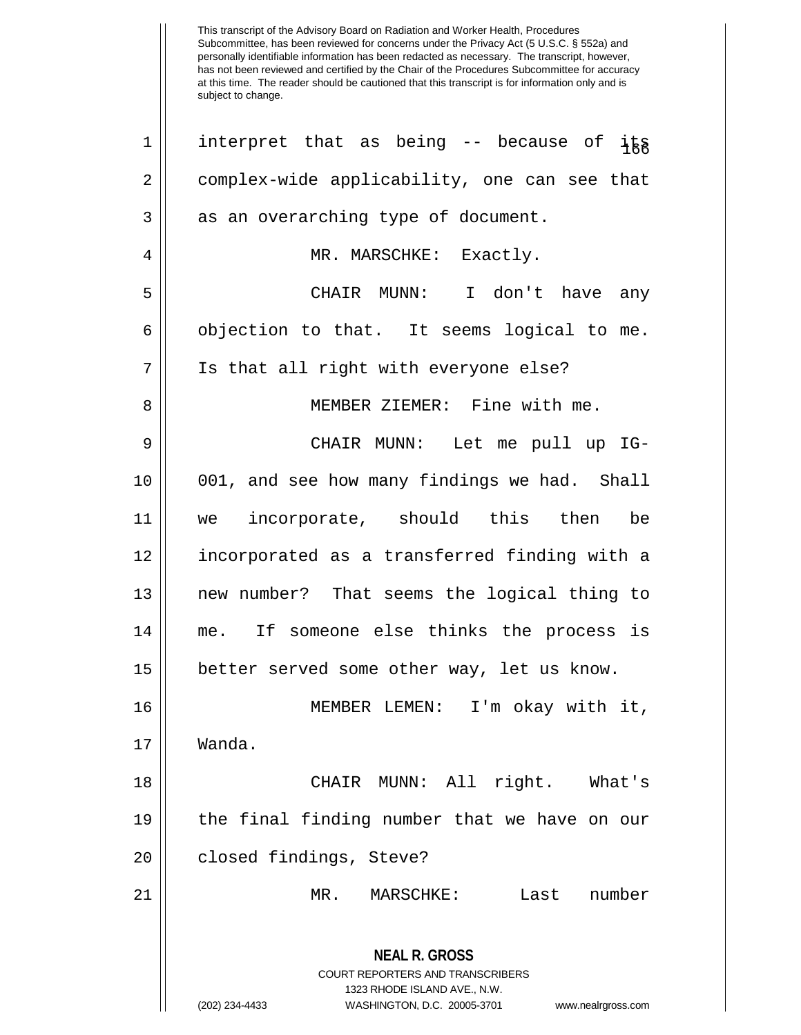| $\mathbf 1$ | interpret that as being -- because of its                                                                                                                              |
|-------------|------------------------------------------------------------------------------------------------------------------------------------------------------------------------|
| 2           | complex-wide applicability, one can see that                                                                                                                           |
| 3           | as an overarching type of document.                                                                                                                                    |
| 4           | MR. MARSCHKE: Exactly.                                                                                                                                                 |
| 5           | CHAIR MUNN: I don't have any                                                                                                                                           |
| 6           | objection to that. It seems logical to me.                                                                                                                             |
| 7           | Is that all right with everyone else?                                                                                                                                  |
| 8           | MEMBER ZIEMER: Fine with me.                                                                                                                                           |
| 9           | CHAIR MUNN: Let me pull up IG-                                                                                                                                         |
| 10          | 001, and see how many findings we had. Shall                                                                                                                           |
| 11          | we incorporate, should this then be                                                                                                                                    |
| 12          | incorporated as a transferred finding with a                                                                                                                           |
| 13          | new number? That seems the logical thing to                                                                                                                            |
| 14          | me. If someone else thinks the process is                                                                                                                              |
| 15          | better served some other way, let us know.                                                                                                                             |
| 16          | MEMBER LEMEN: I'm okay with it,                                                                                                                                        |
| 17          | Wanda.                                                                                                                                                                 |
| 18          | CHAIR MUNN: All right. What's                                                                                                                                          |
| 19          | the final finding number that we have on our                                                                                                                           |
| 20          | closed findings, Steve?                                                                                                                                                |
| 21          | Last<br>number<br>MR.<br>MARSCHKE:                                                                                                                                     |
|             | <b>NEAL R. GROSS</b><br><b>COURT REPORTERS AND TRANSCRIBERS</b><br>1323 RHODE ISLAND AVE., N.W.<br>(202) 234-4433<br>WASHINGTON, D.C. 20005-3701<br>www.nealrgross.com |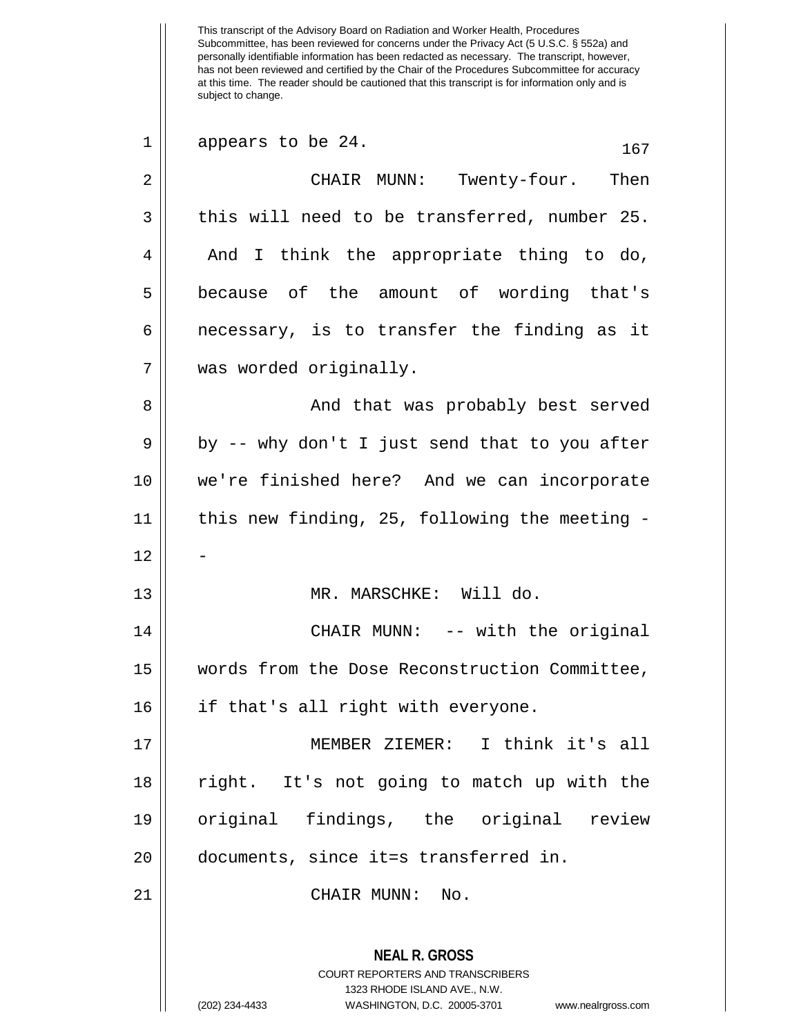This transcript of the Advisory Board on Radiation and Worker Health, Procedures Subcommittee, has been reviewed for concerns under the Privacy Act (5 U.S.C. § 552a) and personally identifiable information has been redacted as necessary. The transcript, however, has not been reviewed and certified by the Chair of the Procedures Subcommittee for accuracy at this time. The reader should be cautioned that this transcript is for information only and is subject to change. **NEAL R. GROSS** COURT REPORTERS AND TRANSCRIBERS 1323 RHODE ISLAND AVE., N.W.  $1 \parallel$  appears to be 24.  $167$ 2 CHAIR MUNN: Twenty-four. Then  $3 \parallel$  this will need to be transferred, number 25. 4 || And I think the appropriate thing to do, 5 because of the amount of wording that's  $6 \parallel$  necessary, is to transfer the finding as it 7 was worded originally. 8 And that was probably best served  $9 \parallel$  by -- why don't I just send that to you after 10 we're finished here? And we can incorporate 11 this new finding, 25, following the meeting -  $12.$ 13 || MR. MARSCHKE: Will do. 14 || CHAIR MUNN: -- with the original 15 words from the Dose Reconstruction Committee, 16 if that's all right with everyone. 17 MEMBER ZIEMER: I think it's all 18 right. It's not going to match up with the 19 original findings, the original review 20 documents, since it=s transferred in. 21 || CHAIR MUNN: No.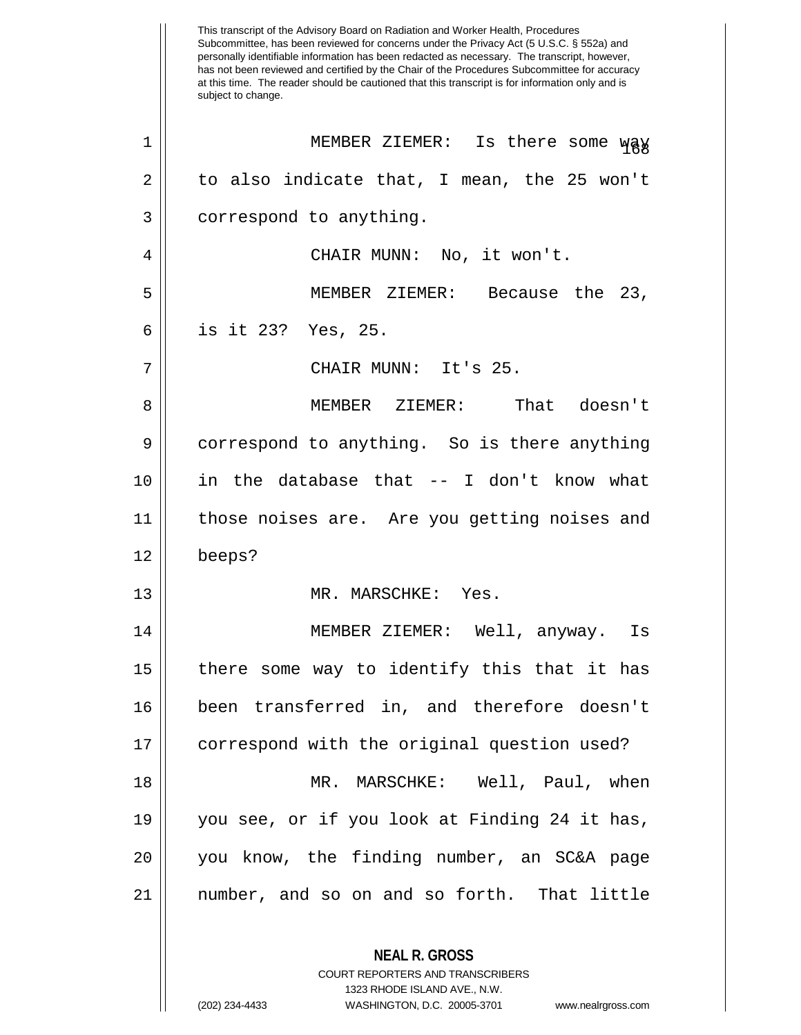This transcript of the Advisory Board on Radiation and Worker Health, Procedures Subcommittee, has been reviewed for concerns under the Privacy Act (5 U.S.C. § 552a) and personally identifiable information has been redacted as necessary. The transcript, however, has not been reviewed and certified by the Chair of the Procedures Subcommittee for accuracy at this time. The reader should be cautioned that this transcript is for information only and is subject to change. **NEAL R. GROSS** COURT REPORTERS AND TRANSCRIBERS 1 || MEMBER ZIEMER: Is there some way  $2 \parallel$  to also indicate that, I mean, the 25 won't  $3 \parallel$  correspond to anything. 4 CHAIR MUNN: No, it won't. 5 MEMBER ZIEMER: Because the 23, 6 is it 23? Yes, 25. 7 || CHAIR MUNN: It's 25. 8 MEMBER ZIEMER: That doesn't 9 correspond to anything. So is there anything 10 in the database that -- I don't know what 11 those noises are. Are you getting noises and 12 beeps? 13 MR. MARSCHKE: Yes. 14 MEMBER ZIEMER: Well, anyway. Is 15 there some way to identify this that it has 16 been transferred in, and therefore doesn't 17 correspond with the original question used? 18 MR. MARSCHKE: Well, Paul, when 19 you see, or if you look at Finding 24 it has, 20 you know, the finding number, an SC&A page 21 number, and so on and so forth. That little

1323 RHODE ISLAND AVE., N.W.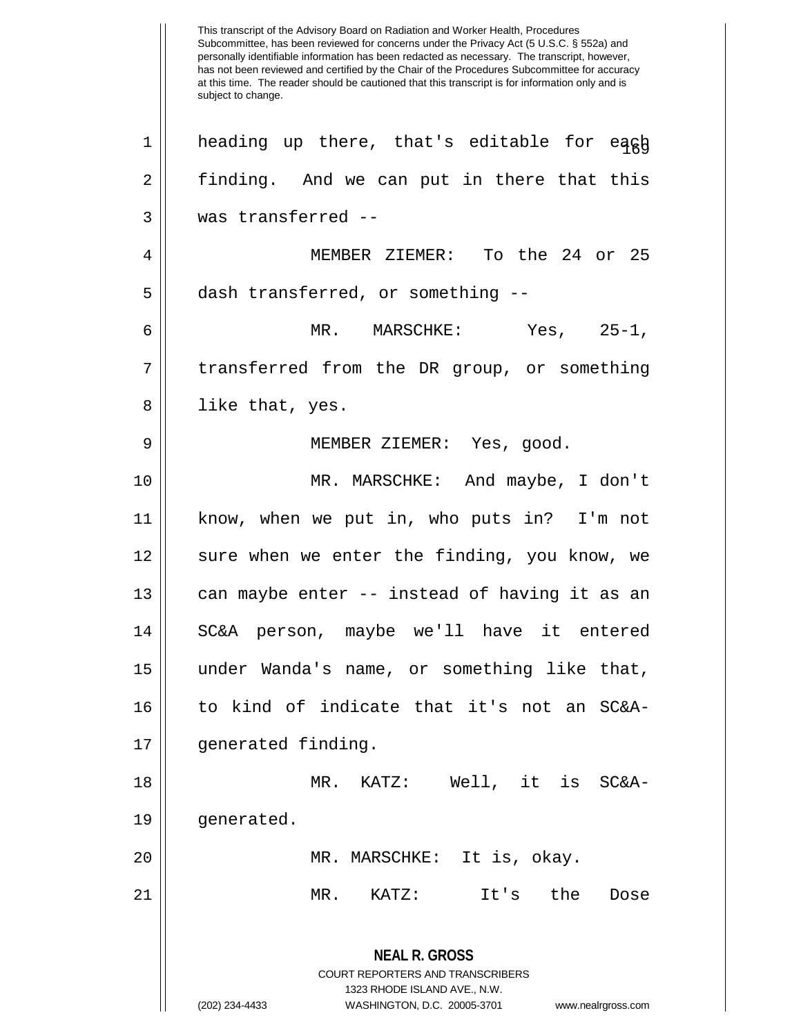This transcript of the Advisory Board on Radiation and Worker Health, Procedures Subcommittee, has been reviewed for concerns under the Privacy Act (5 U.S.C. § 552a) and personally identifiable information has been redacted as necessary. The transcript, however, has not been reviewed and certified by the Chair of the Procedures Subcommittee for accuracy at this time. The reader should be cautioned that this transcript is for information only and is subject to change. **NEAL R. GROSS** COURT REPORTERS AND TRANSCRIBERS 1323 RHODE ISLAND AVE., N.W. (202) 234-4433 WASHINGTON, D.C. 20005-3701 www.nealrgross.com  $1\parallel$  heading up there, that's editable for eagh 2 || finding. And we can put in there that this 3 was transferred -- 4 MEMBER ZIEMER: To the 24 or 25 5 | dash transferred, or something --6 MR. MARSCHKE: Yes, 25-1, 7 || transferred from the DR group, or something 8 || like that, yes. 9 || MEMBER ZIEMER: Yes, good. 10 MR. MARSCHKE: And maybe, I don't 11 know, when we put in, who puts in? I'm not 12 || sure when we enter the finding, you know, we 13  $\parallel$  can maybe enter -- instead of having it as an 14 SC&A person, maybe we'll have it entered 15 under Wanda's name, or something like that, 16 to kind of indicate that it's not an SC&A-17 generated finding. 18 MR. KATZ: Well, it is SC&A-19 || qenerated. 20 || MR. MARSCHKE: It is, okay. 21 MR. KATZ: It's the Dose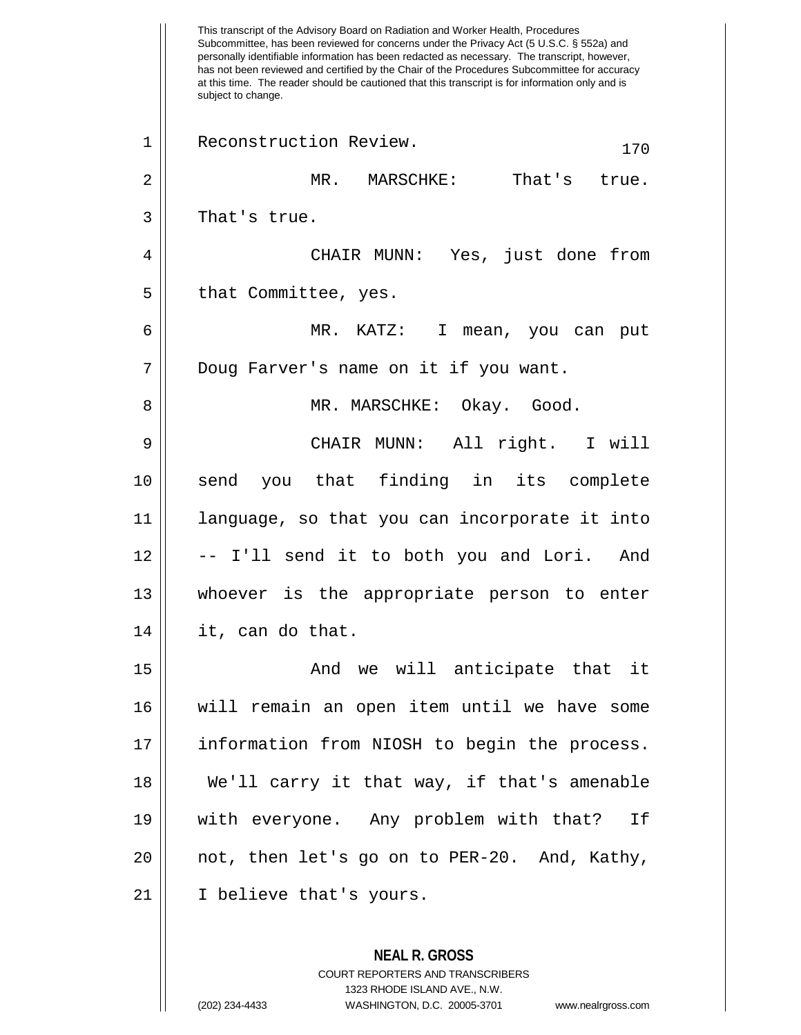This transcript of the Advisory Board on Radiation and Worker Health, Procedures Subcommittee, has been reviewed for concerns under the Privacy Act (5 U.S.C. § 552a) and personally identifiable information has been redacted as necessary. The transcript, however, has not been reviewed and certified by the Chair of the Procedures Subcommittee for accuracy at this time. The reader should be cautioned that this transcript is for information only and is subject to change. **NEAL R. GROSS** COURT REPORTERS AND TRANSCRIBERS 1 || Reconstruction Review. 170 2 MR. MARSCHKE: That's true.  $3 \parallel$  That's true. 4 CHAIR MUNN: Yes, just done from  $5 \parallel$  that Committee, yes. 6 MR. KATZ: I mean, you can put 7 || Doug Farver's name on it if you want. 8 MR. MARSCHKE: Okay. Good. 9 CHAIR MUNN: All right. I will 10 send you that finding in its complete 11 language, so that you can incorporate it into 12 || -- I'll send it to both you and Lori. And 13 whoever is the appropriate person to enter  $14 \parallel$  it, can do that. 15 And we will anticipate that it 16 will remain an open item until we have some 17 information from NIOSH to begin the process. 18 We'll carry it that way, if that's amenable 19 with everyone. Any problem with that? If 20 not, then let's go on to PER-20. And, Kathy, 21 I believe that's yours.

1323 RHODE ISLAND AVE., N.W.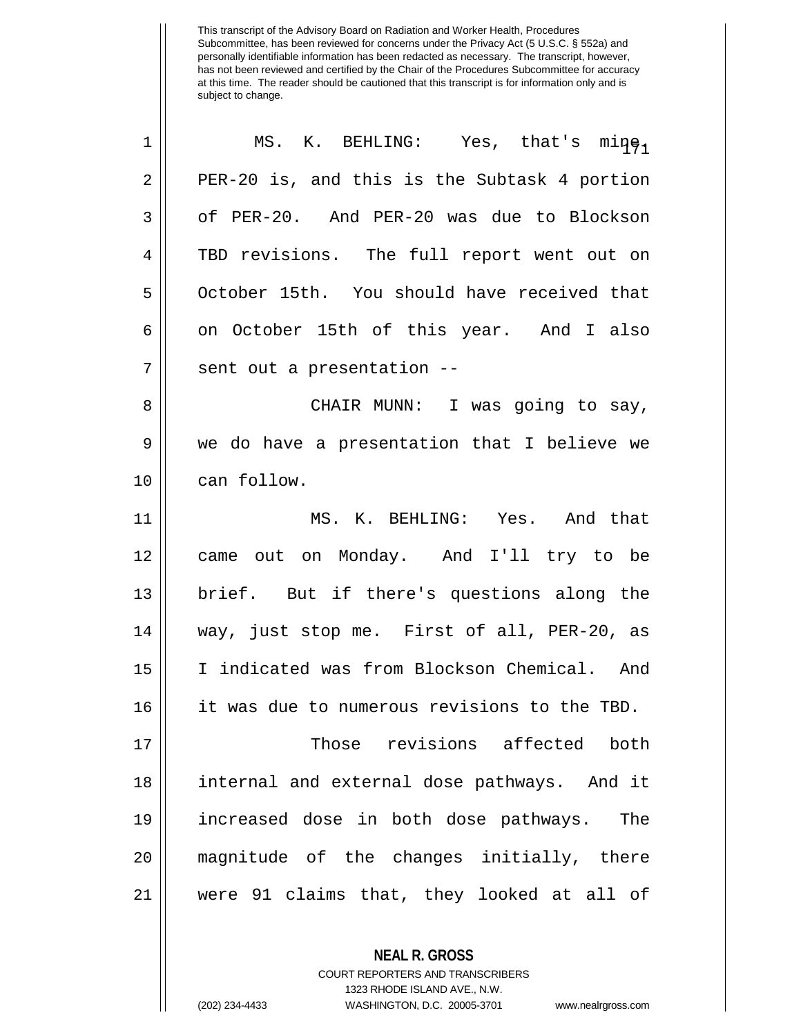| $\mathbf 1$ | MS. K. BEHLING: Yes, that's mine,            |
|-------------|----------------------------------------------|
| 2           | PER-20 is, and this is the Subtask 4 portion |
| 3           | of PER-20. And PER-20 was due to Blockson    |
| 4           | TBD revisions. The full report went out on   |
| 5           | October 15th. You should have received that  |
| 6           | on October 15th of this year. And I also     |
| 7           | sent out a presentation --                   |
| 8           | CHAIR MUNN: I was going to say,              |
| 9           | we do have a presentation that I believe we  |
| 10          | can follow.                                  |
| 11          | MS. K. BEHLING: Yes. And that                |
| 12          | came out on Monday. And I'll try to be       |
| 13          | brief. But if there's questions along the    |
| 14          | way, just stop me. First of all, PER-20, as  |
| 15          | I indicated was from Blockson Chemical. And  |
| 16          | it was due to numerous revisions to the TBD. |
| 17          | Those revisions affected both                |
| 18          | internal and external dose pathways. And it  |
| 19          | increased dose in both dose pathways. The    |
| 20          | magnitude of the changes initially, there    |
| 21          | were 91 claims that, they looked at all of   |
|             |                                              |

**NEAL R. GROSS** COURT REPORTERS AND TRANSCRIBERS 1323 RHODE ISLAND AVE., N.W.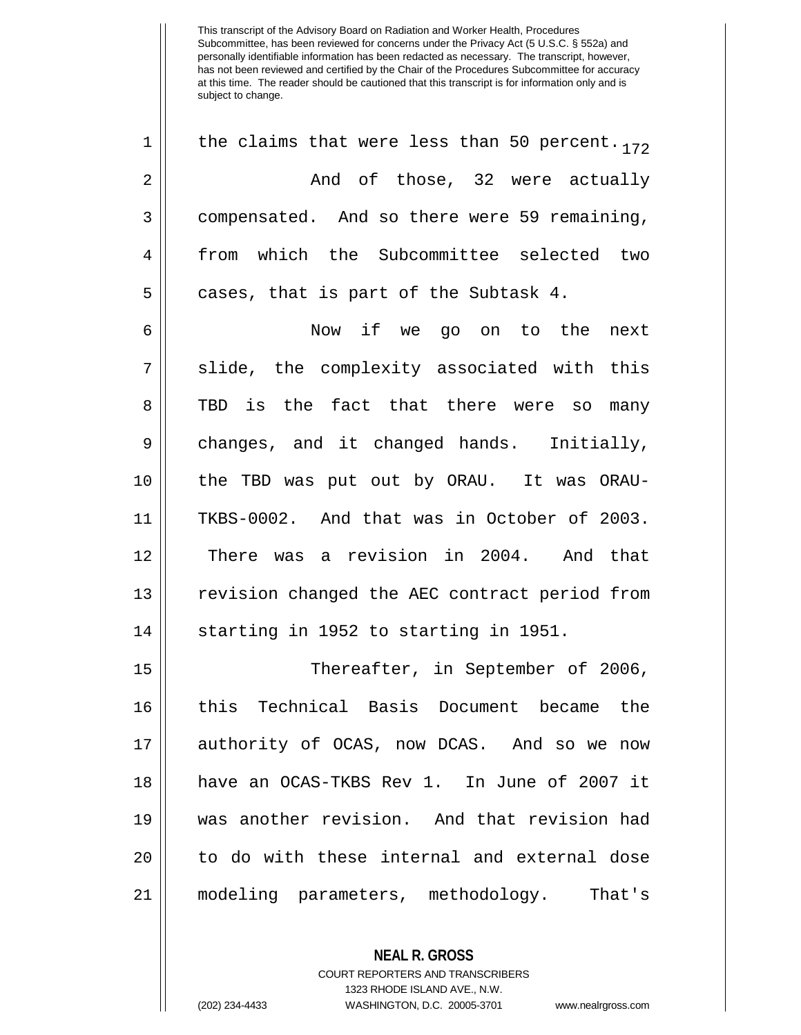1 || the claims that were less than 50 percent.  $172$ 2 And of those, 32 were actually 3 compensated. And so there were 59 remaining, 4 from which the Subcommittee selected two  $5 \parallel$  cases, that is part of the Subtask 4.

6 Now if we go on to the next 7 || slide, the complexity associated with this 8 TBD is the fact that there were so many 9 || changes, and it changed hands. Initially, 10 the TBD was put out by ORAU. It was ORAU-11 TKBS-0002. And that was in October of 2003. 12 || There was a revision in 2004. And that 13 || revision changed the AEC contract period from  $14$   $\parallel$  starting in 1952 to starting in 1951.

 Thereafter, in September of 2006, this Technical Basis Document became the authority of OCAS, now DCAS. And so we now have an OCAS-TKBS Rev 1. In June of 2007 it was another revision. And that revision had 20 || to do with these internal and external dose modeling parameters, methodology. That's

> **NEAL R. GROSS** COURT REPORTERS AND TRANSCRIBERS 1323 RHODE ISLAND AVE., N.W. (202) 234-4433 WASHINGTON, D.C. 20005-3701 www.nealrgross.com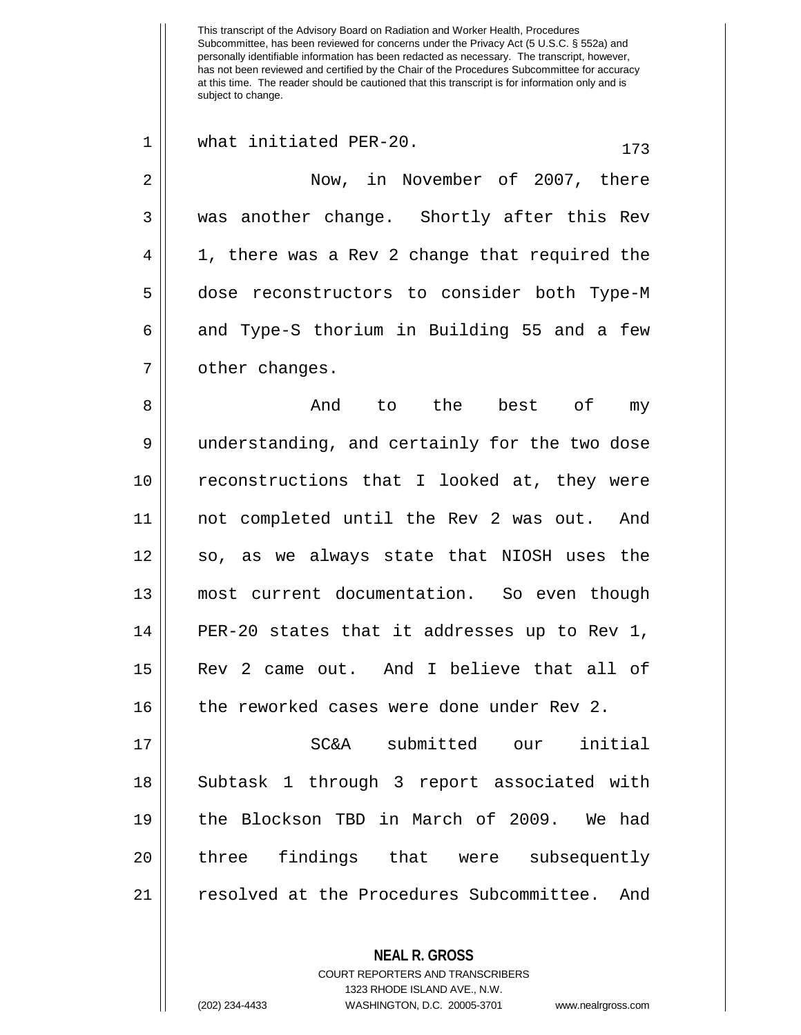This transcript of the Advisory Board on Radiation and Worker Health, Procedures Subcommittee, has been reviewed for concerns under the Privacy Act (5 U.S.C. § 552a) and personally identifiable information has been redacted as necessary. The transcript, however, has not been reviewed and certified by the Chair of the Procedures Subcommittee for accuracy at this time. The reader should be cautioned that this transcript is for information only and is subject to change. **NEAL R. GROSS** COURT REPORTERS AND TRANSCRIBERS 1 || what initiated PER-20.  $173$ 2 | Now, in November of 2007, there 3 was another change. Shortly after this Rev 4 || 1, there was a Rev 2 change that required the 5 | dose reconstructors to consider both Type-M  $6 \parallel$  and Type-S thorium in Building 55 and a few 7 | other changes. 8 And to the best of my 9 || understanding, and certainly for the two dose 10 reconstructions that I looked at, they were 11 not completed until the Rev 2 was out. And 12 || so, as we always state that NIOSH uses the 13 most current documentation. So even though 14  $\vert$  PER-20 states that it addresses up to Rev 1, 15 Rev 2 came out. And I believe that all of 16 the reworked cases were done under Rev 2. 17 SC&A submitted our initial 18 || Subtask 1 through 3 report associated with 19 the Blockson TBD in March of 2009. We had 20 || three findings that were subsequently 21 resolved at the Procedures Subcommittee. And

1323 RHODE ISLAND AVE., N.W.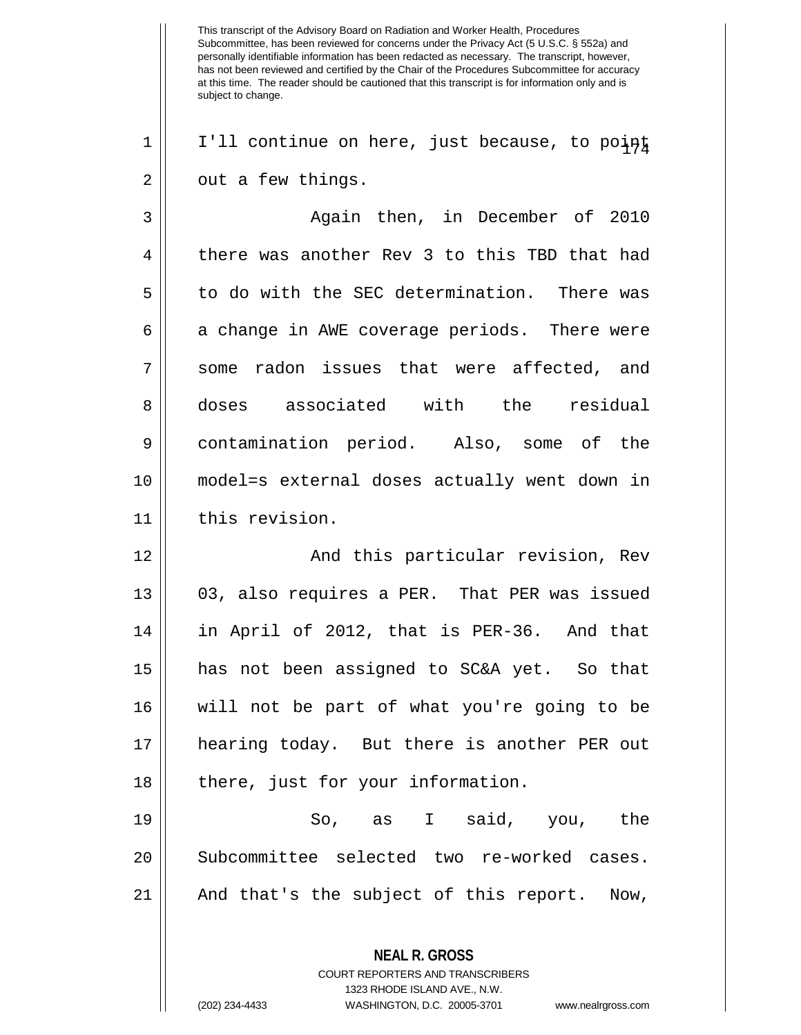$1 \parallel$  I'll continue on here, just because, to point  $2 \parallel$  out a few things.

3 Again then, in December of 2010 4 there was another Rev 3 to this TBD that had 5 || to do with the SEC determination. There was  $6 \parallel$  a change in AWE coverage periods. There were 7 some radon issues that were affected, and 8 doses associated with the residual 9 contamination period. Also, some of the 10 model=s external doses actually went down in 11 | this revision.

 And this particular revision, Rev 13 || 03, also requires a PER. That PER was issued in April of 2012, that is PER-36. And that has not been assigned to SC&A yet. So that will not be part of what you're going to be hearing today. But there is another PER out || there, just for your information.

19  $\parallel$  So, as I said, you, the 20 | Subcommittee selected two re-worked cases. 21 || And that's the subject of this report. Now,

> **NEAL R. GROSS** COURT REPORTERS AND TRANSCRIBERS 1323 RHODE ISLAND AVE., N.W. (202) 234-4433 WASHINGTON, D.C. 20005-3701 www.nealrgross.com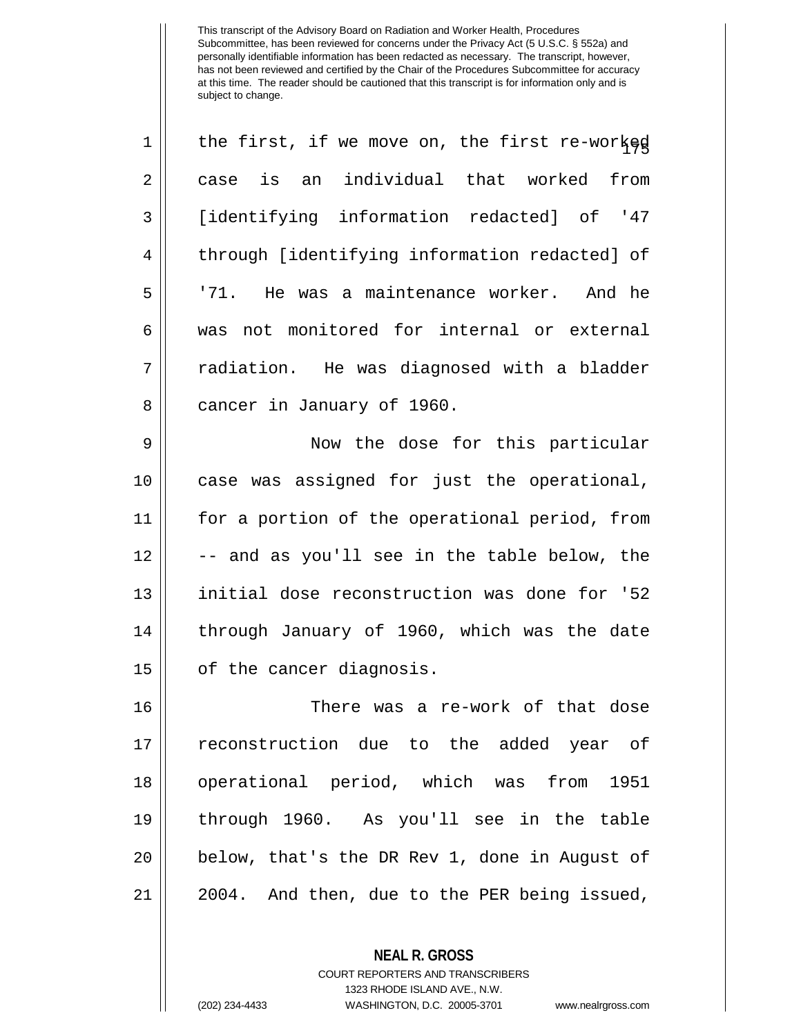| 1  | the first, if we move on, the first re-worked |
|----|-----------------------------------------------|
| 2  | is an individual that worked<br>from<br>case  |
| 3  | [identifying information redacted] of '47     |
| 4  | through [identifying information redacted] of |
| 5  | '71. He was a maintenance worker. And he      |
| 6  | was not monitored for internal or external    |
| 7  | radiation. He was diagnosed with a bladder    |
| 8  | cancer in January of 1960.                    |
| 9  | Now the dose for this particular              |
| 10 | case was assigned for just the operational,   |
| 11 | for a portion of the operational period, from |
| 12 | -- and as you'll see in the table below, the  |
| 13 | initial dose reconstruction was done for '52  |
| 14 | through January of 1960, which was the date   |
| 15 | of the cancer diagnosis.                      |
| 16 | There was a re-work of that dose              |
| 17 | reconstruction due to the added year of       |
| 18 | operational period, which was from<br>1951    |
| 19 | through 1960. As you'll see in the table      |
| 20 | below, that's the DR Rev 1, done in August of |
| 21 | 2004. And then, due to the PER being issued,  |
|    |                                               |

**NEAL R. GROSS** COURT REPORTERS AND TRANSCRIBERS 1323 RHODE ISLAND AVE., N.W.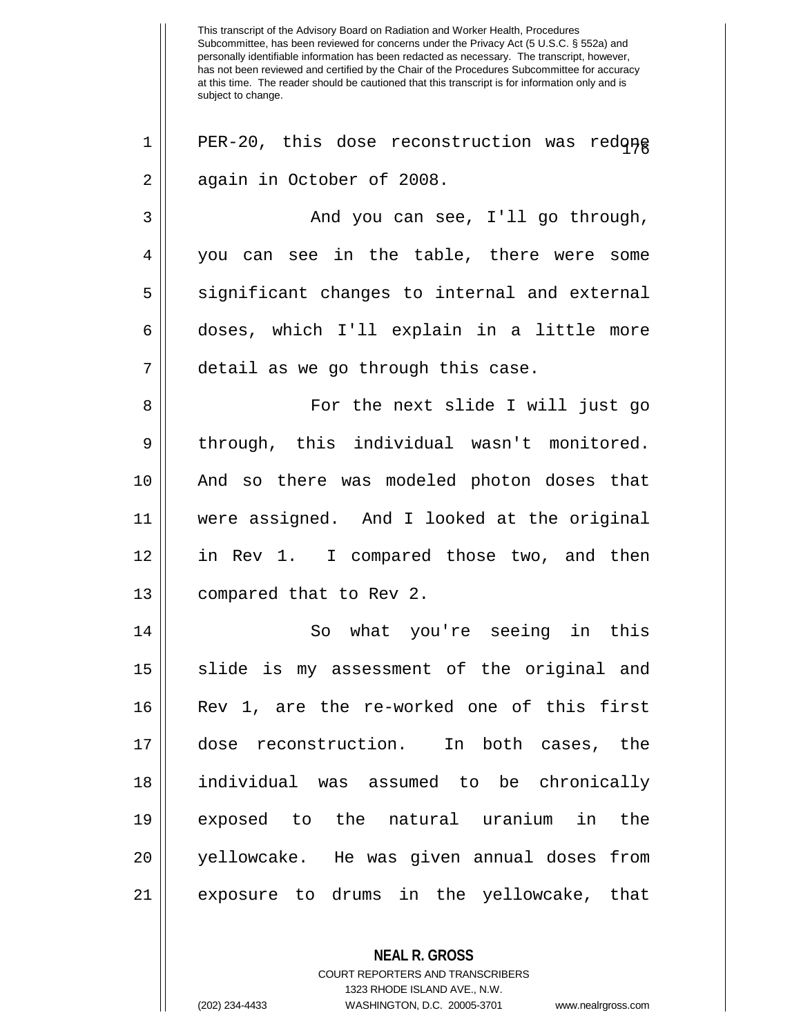This transcript of the Advisory Board on Radiation and Worker Health, Procedures Subcommittee, has been reviewed for concerns under the Privacy Act (5 U.S.C. § 552a) and personally identifiable information has been redacted as necessary. The transcript, however, has not been reviewed and certified by the Chair of the Procedures Subcommittee for accuracy at this time. The reader should be cautioned that this transcript is for information only and is subject to change. **NEAL R. GROSS**  $1$ | PER-20, this dose reconstruction was redone 2 | again in October of 2008. 3 And you can see, I'll go through, 4 you can see in the table, there were some  $5 \parallel$  significant changes to internal and external 6 doses, which I'll explain in a little more 7 detail as we go through this case. 8 For the next slide I will just go 9 | through, this individual wasn't monitored. 10 And so there was modeled photon doses that 11 were assigned. And I looked at the original 12 in Rev 1. I compared those two, and then 13 || compared that to Rev 2. 14 || So what you're seeing in this 15 || slide is my assessment of the original and 16 Rev 1, are the re-worked one of this first 17 dose reconstruction. In both cases, the 18 individual was assumed to be chronically 19 exposed to the natural uranium in the 20 yellowcake. He was given annual doses from 21 exposure to drums in the yellowcake, that

> COURT REPORTERS AND TRANSCRIBERS 1323 RHODE ISLAND AVE., N.W. (202) 234-4433 WASHINGTON, D.C. 20005-3701 www.nealrgross.com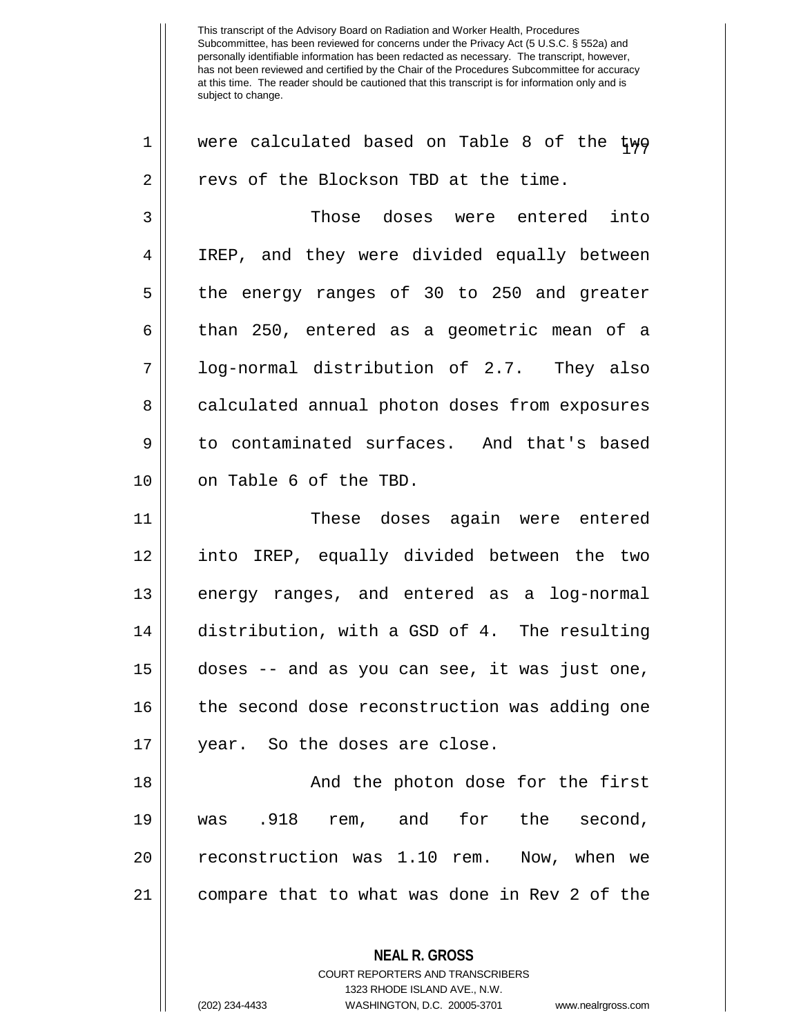| $\mathbf 1$  | were calculated based on Table 8 of the twg   |
|--------------|-----------------------------------------------|
| 2            | revs of the Blockson TBD at the time.         |
| $\mathbf{3}$ | Those doses were entered into                 |
| 4            | IREP, and they were divided equally between   |
| 5            | the energy ranges of 30 to 250 and greater    |
| $\epsilon$   | than 250, entered as a geometric mean of a    |
| 7            | log-normal distribution of 2.7. They also     |
| 8            | calculated annual photon doses from exposures |
| 9            | to contaminated surfaces. And that's based    |
| 10           | on Table 6 of the TBD.                        |
| 11           | These doses again were entered                |
| 12           | into IREP, equally divided between the two    |
| 13           | energy ranges, and entered as a log-normal    |
| 14           | distribution, with a GSD of 4. The resulting  |
| 15           | doses -- and as you can see, it was just one, |
| 16           | the second dose reconstruction was adding one |
| 17           | year. So the doses are close.                 |
| 18           | And the photon dose for the first             |
| 19           | was .918 rem, and for the second,             |
| 20           | reconstruction was 1.10 rem. Now, when we     |
| 21           | compare that to what was done in Rev 2 of the |
|              | <b>NEAL R. GROSS</b>                          |

COURT REPORTERS AND TRANSCRIBERS 1323 RHODE ISLAND AVE., N.W.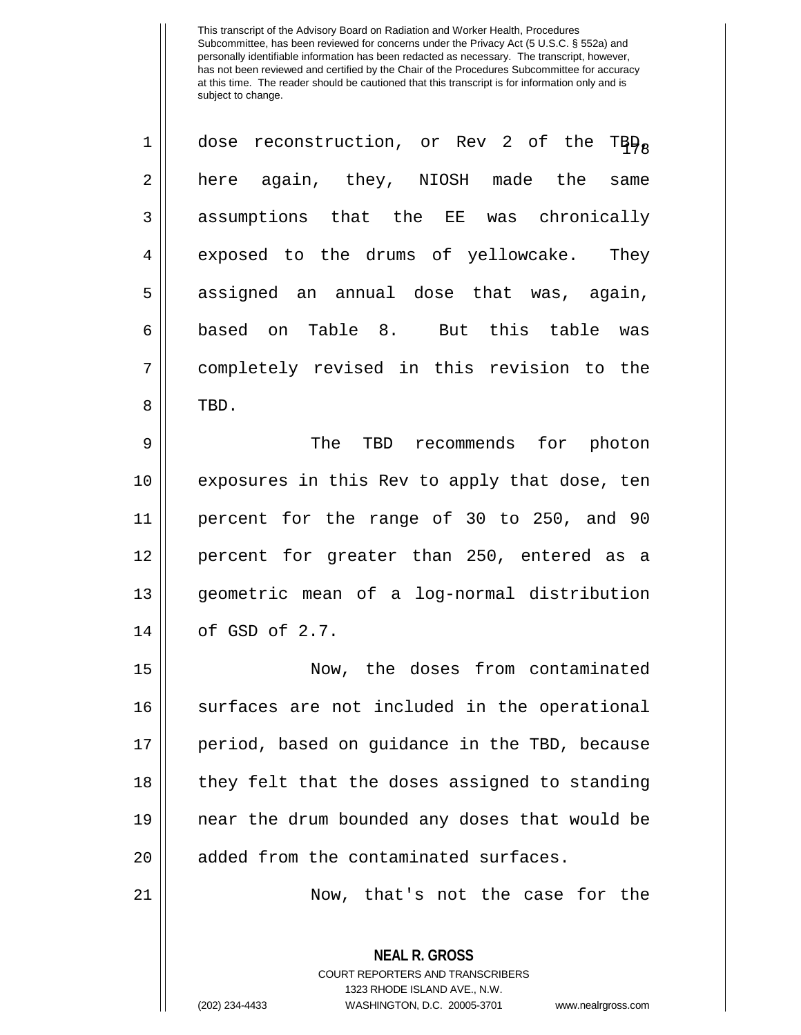| $\mathbf 1$    | dose reconstruction, or Rev 2 of the TBD <sub>a</sub> |
|----------------|-------------------------------------------------------|
| 2              | here again, they, NIOSH made the same                 |
| $\mathbf{3}$   | assumptions that the EE was chronically               |
| $\overline{4}$ | exposed to the drums of yellowcake. They              |
| 5              | assigned an annual dose that was, again,              |
| 6              | based on Table 8. But this table was                  |
| 7              | completely revised in this revision to the            |
| 8              | TBD.                                                  |
| 9              | The<br>TBD recommends for photon                      |

10 || exposures in this Rev to apply that dose, ten 11 percent for the range of 30 to 250, and 90 12 percent for greater than 250, entered as a 13 geometric mean of a log-normal distribution 14 | cf GSD of 2.7.

 Now, the doses from contaminated 16 || surfaces are not included in the operational period, based on guidance in the TBD, because | they felt that the doses assigned to standing near the drum bounded any doses that would be || added from the contaminated surfaces.

21 Now, that's not the case for the

**NEAL R. GROSS** COURT REPORTERS AND TRANSCRIBERS 1323 RHODE ISLAND AVE., N.W. (202) 234-4433 WASHINGTON, D.C. 20005-3701 www.nealrgross.com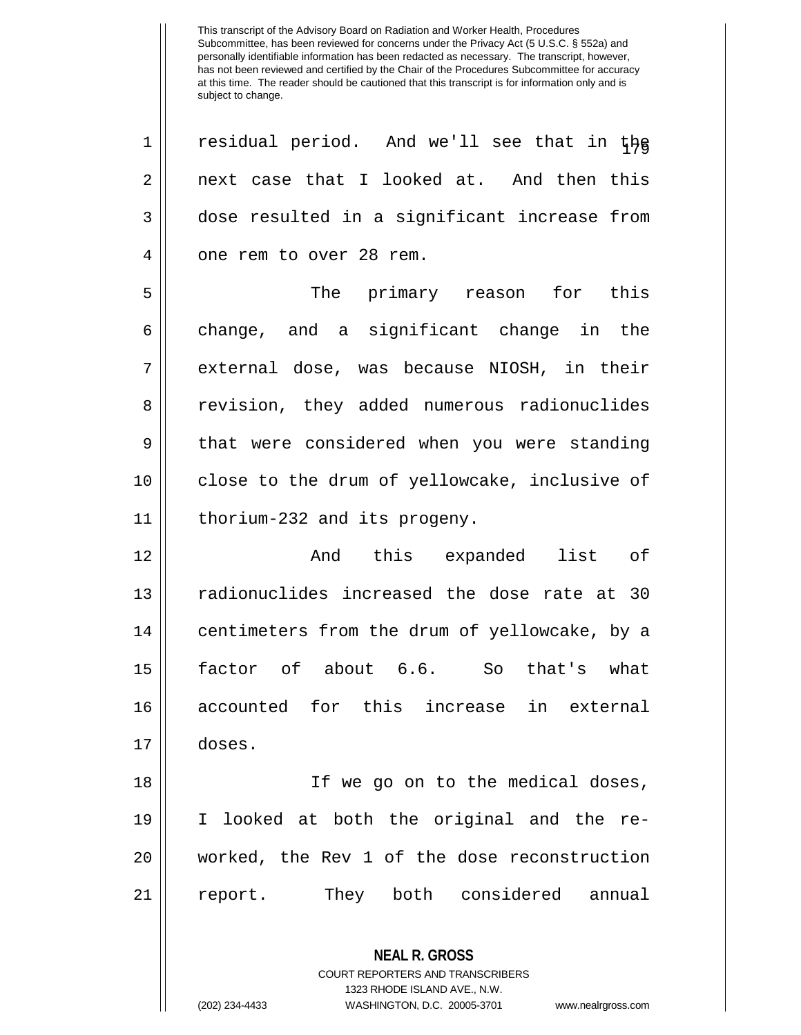**NEAL R. GROSS** COURT REPORTERS AND TRANSCRIBERS  $1 \parallel$  residual period. And we'll see that in the  $2 \parallel$  next case that I looked at. And then this 3 dose resulted in a significant increase from 4 || one rem to over 28 rem. 5 The primary reason for this  $6 \parallel$  change, and a significant change in the 7 || external dose, was because NIOSH, in their 8 || revision, they added numerous radionuclides 9 || that were considered when you were standing 10 || close to the drum of yellowcake, inclusive of 11 thorium-232 and its progeny. 12 And this expanded list of 13 || radionuclides increased the dose rate at 30 14 | centimeters from the drum of yellowcake, by a 15 factor of about 6.6. So that's what 16 accounted for this increase in external 17 doses. 18 If we go on to the medical doses, 19 I looked at both the original and the re-20 worked, the Rev 1 of the dose reconstruction 21 || report. They both considered annual

1323 RHODE ISLAND AVE., N.W.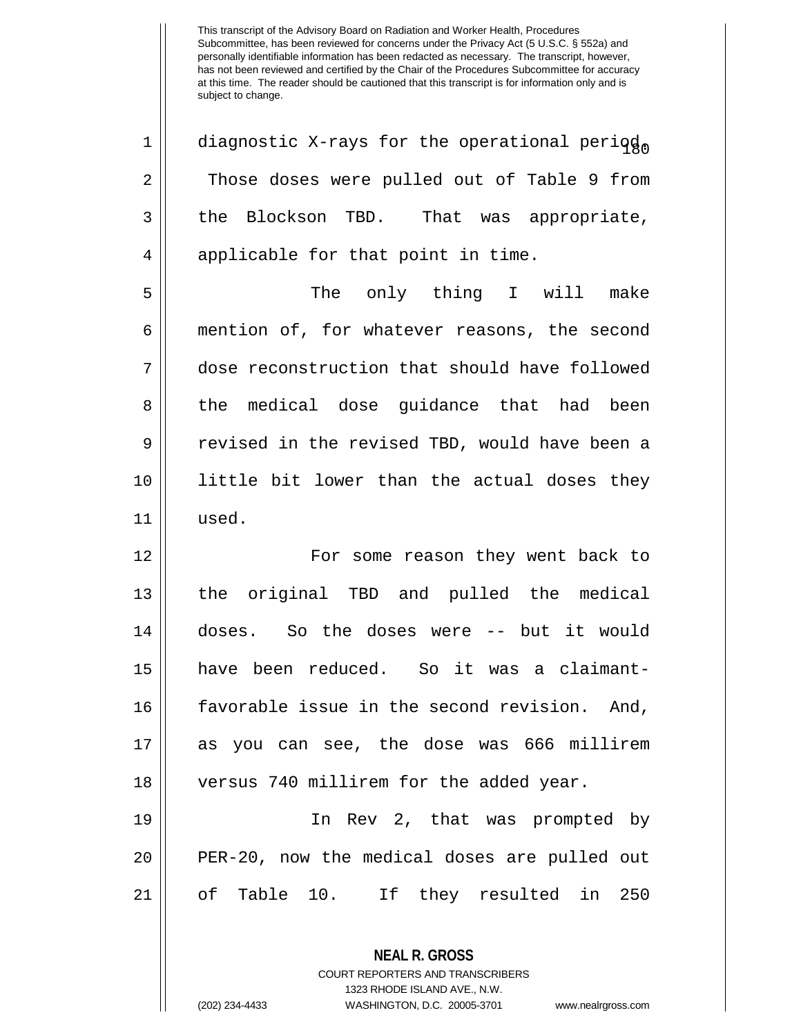**NEAL R. GROSS** 1 | diagnostic X-rays for the operational period. 2 Those doses were pulled out of Table 9 from  $3 \parallel$  the Blockson TBD. That was appropriate,  $4 \parallel$  applicable for that point in time. 5 The only thing I will make 6 mention of, for whatever reasons, the second 7 dose reconstruction that should have followed 8 the medical dose quidance that had been 9 || revised in the revised TBD, would have been a 10 little bit lower than the actual doses they 11 used. 12 || For some reason they went back to 13 the original TBD and pulled the medical 14 doses. So the doses were -- but it would 15 have been reduced. So it was a claimant-16 favorable issue in the second revision. And, 17 as you can see, the dose was 666 millirem 18 || versus 740 millirem for the added year. 19 In Rev 2, that was prompted by 20 || PER-20, now the medical doses are pulled out 21 of Table 10. If they resulted in 250

> COURT REPORTERS AND TRANSCRIBERS 1323 RHODE ISLAND AVE., N.W.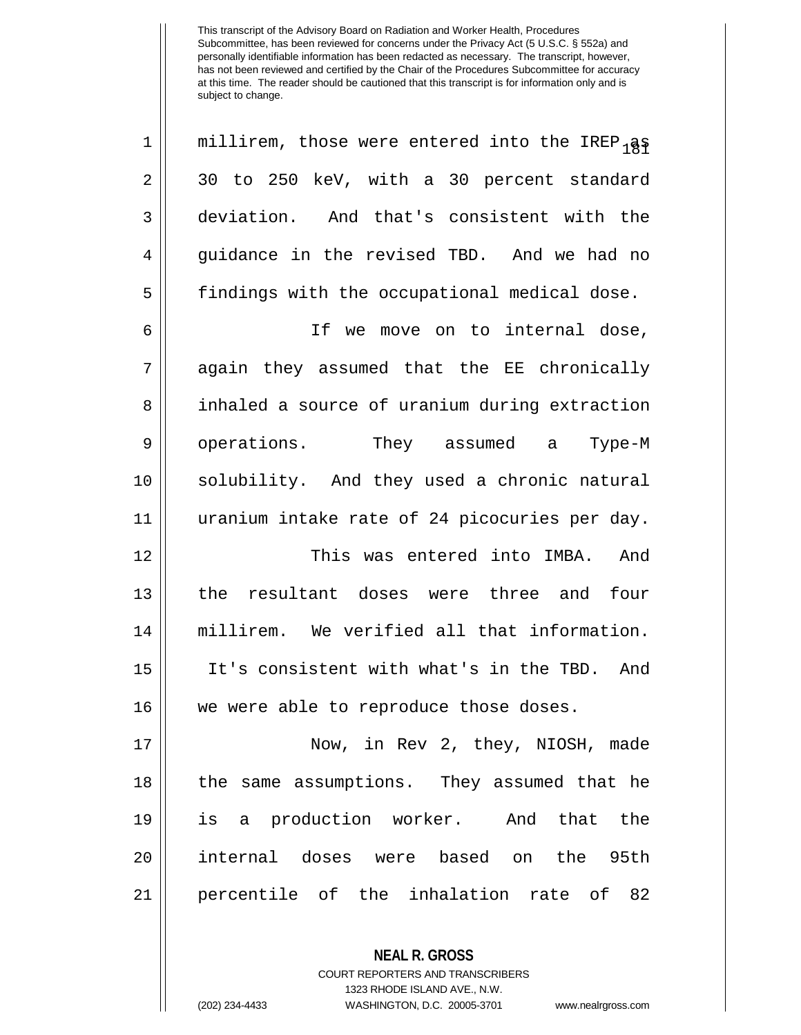**NEAL R. GROSS** 1 || millirem, those were entered into the IREP  $_1$ as  $2 \parallel 30$  to 250 keV, with a 30 percent standard 3 deviation. And that's consistent with the 4 guidance in the revised TBD. And we had no 5 | findings with the occupational medical dose. 6 If we move on to internal dose, 7 again they assumed that the EE chronically 8 | inhaled a source of uranium during extraction 9 || operations. They assumed a Type-M 10 solubility. And they used a chronic natural 11 uranium intake rate of 24 picocuries per day. 12 This was entered into IMBA. And 13 the resultant doses were three and four 14 millirem. We verified all that information. 15 It's consistent with what's in the TBD. And 16 || we were able to reproduce those doses. 17 Now, in Rev 2, they, NIOSH, made 18 || the same assumptions. They assumed that he 19 is a production worker. And that the 20 internal doses were based on the 95th 21 percentile of the inhalation rate of 82

> COURT REPORTERS AND TRANSCRIBERS 1323 RHODE ISLAND AVE., N.W.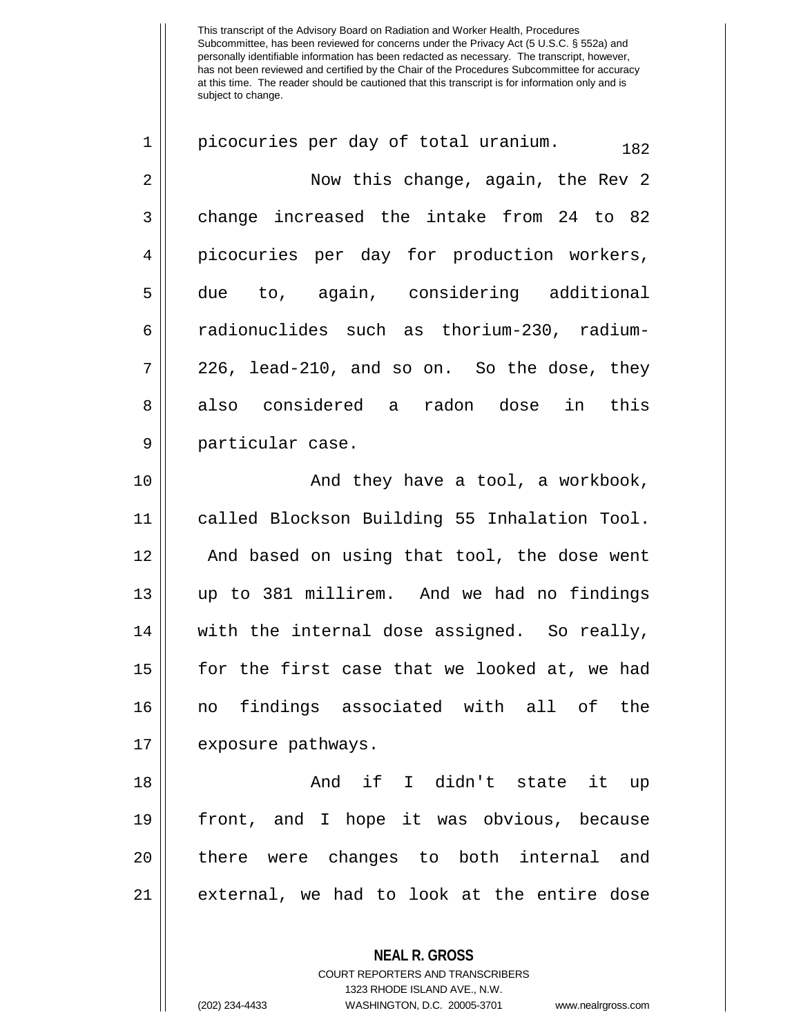1 || picocuries per day of total uranium.  $182$ 2 Now this change, again, the Rev 2  $3 \parallel$  change increased the intake from 24 to 82 4 picocuries per day for production workers, 5 due to, again, considering additional 6 radionuclides such as thorium-230, radium- $7 \parallel 226$ , lead-210, and so on. So the dose, they 8 also considered a radon dose in this 9 || particular case.

10 || And they have a tool, a workbook, called Blockson Building 55 Inhalation Tool. 12 || And based on using that tool, the dose went up to 381 millirem. And we had no findings || with the internal dose assigned. So really, for the first case that we looked at, we had no findings associated with all of the 17 || exposure pathways.

 And if I didn't state it up front, and I hope it was obvious, because 20 there were changes to both internal and external, we had to look at the entire dose

> COURT REPORTERS AND TRANSCRIBERS 1323 RHODE ISLAND AVE., N.W. (202) 234-4433 WASHINGTON, D.C. 20005-3701 www.nealrgross.com

**NEAL R. GROSS**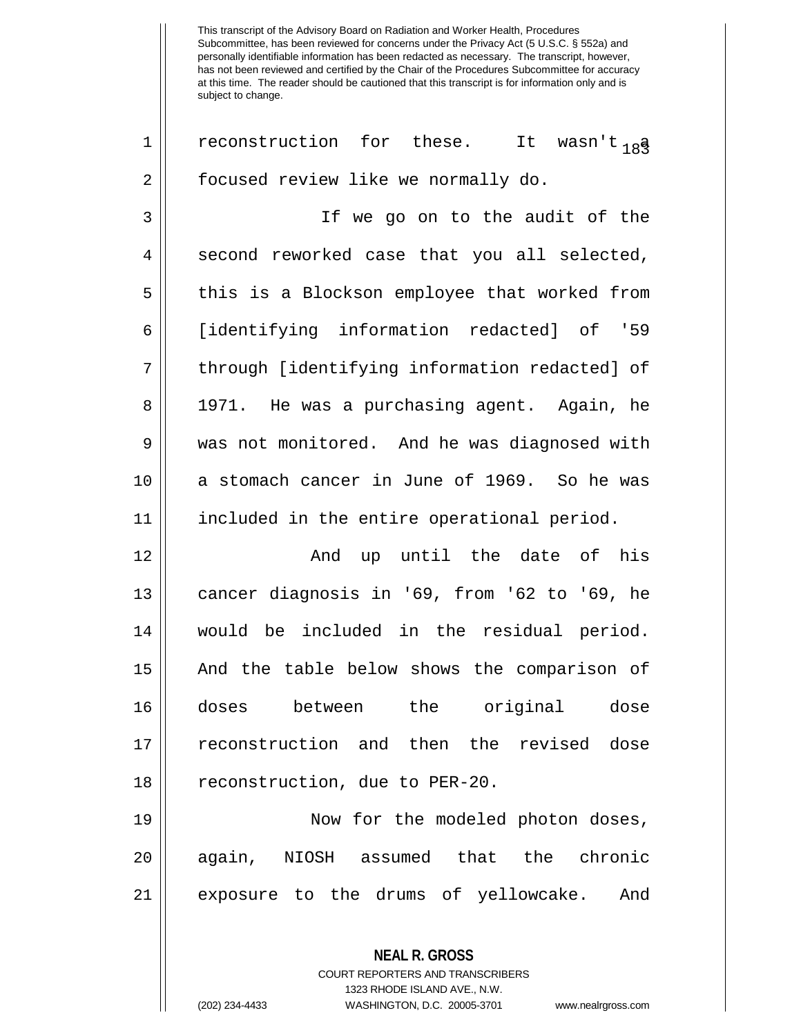1 || reconstruction for these. It wasn't <sub>18</sub>3 2 | focused review like we normally do.

3 If we go on to the audit of the  $4 \parallel$  second reworked case that you all selected, 5 || this is a Blockson employee that worked from 6 [identifying information redacted] of '59 7 || through [identifying information redacted] of 8 || 1971. He was a purchasing agent. Again, he 9 was not monitored. And he was diagnosed with 10 || a stomach cancer in June of 1969. So he was 11 included in the entire operational period.

12 || The Controller and up until the date of his 13 || cancer diagnosis in '69, from '62 to '69, he 14 would be included in the residual period. 15 And the table below shows the comparison of 16 doses between the original dose 17 reconstruction and then the revised dose 18 | reconstruction, due to PER-20.

19 || Now for the modeled photon doses, 20 || again, NIOSH assumed that the chronic 21 || exposure to the drums of yellowcake. And

> **NEAL R. GROSS** COURT REPORTERS AND TRANSCRIBERS 1323 RHODE ISLAND AVE., N.W. (202) 234-4433 WASHINGTON, D.C. 20005-3701 www.nealrgross.com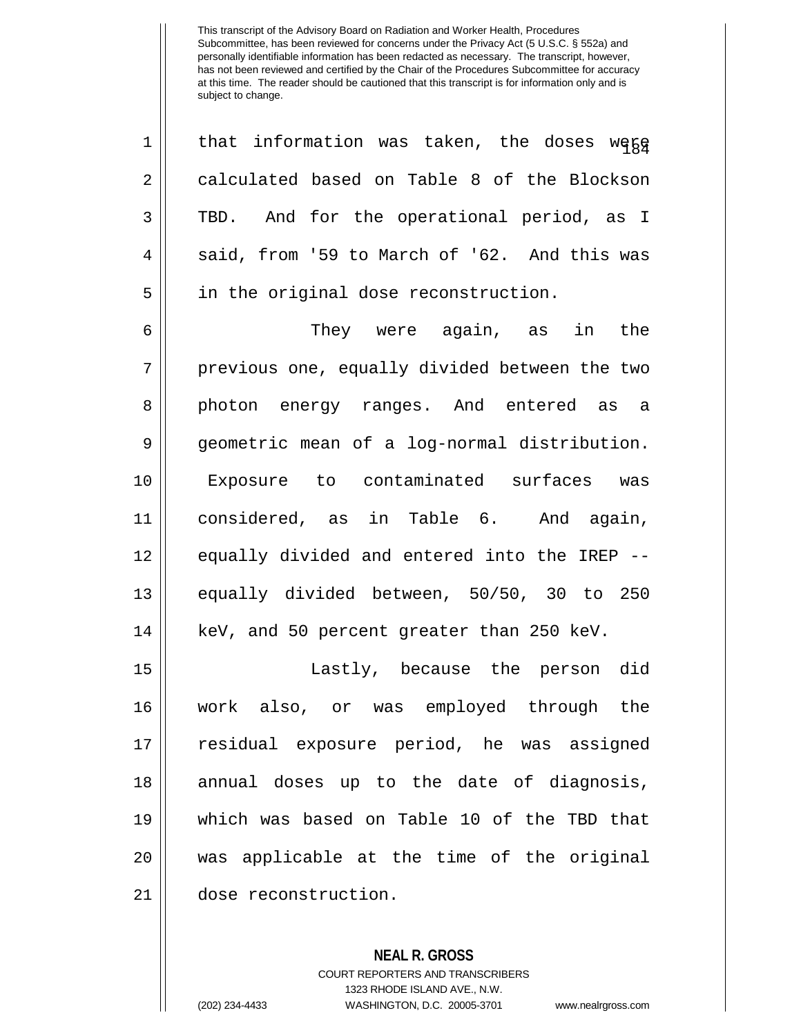1 || that information was taken, the doses wegg 2 calculated based on Table 8 of the Blockson 3 TBD. And for the operational period, as I  $4 \parallel$  said, from '59 to March of '62. And this was 5 || in the original dose reconstruction. 6 They were again, as in the 7 || previous one, equally divided between the two 8 || photon energy ranges. And entered as a 9 geometric mean of a log-normal distribution. 10 Exposure to contaminated surfaces was 11 considered, as in Table 6. And again, 12 || equally divided and entered into the IREP --13 equally divided between, 50/50, 30 to 250 14 || keV, and 50 percent greater than 250 keV. 15 Lastly, because the person did 16 work also, or was employed through the 17 residual exposure period, he was assigned 18 || annual doses up to the date of diagnosis, 19 which was based on Table 10 of the TBD that 20 was applicable at the time of the original 21 dose reconstruction.

> **NEAL R. GROSS** COURT REPORTERS AND TRANSCRIBERS 1323 RHODE ISLAND AVE., N.W. (202) 234-4433 WASHINGTON, D.C. 20005-3701 www.nealrgross.com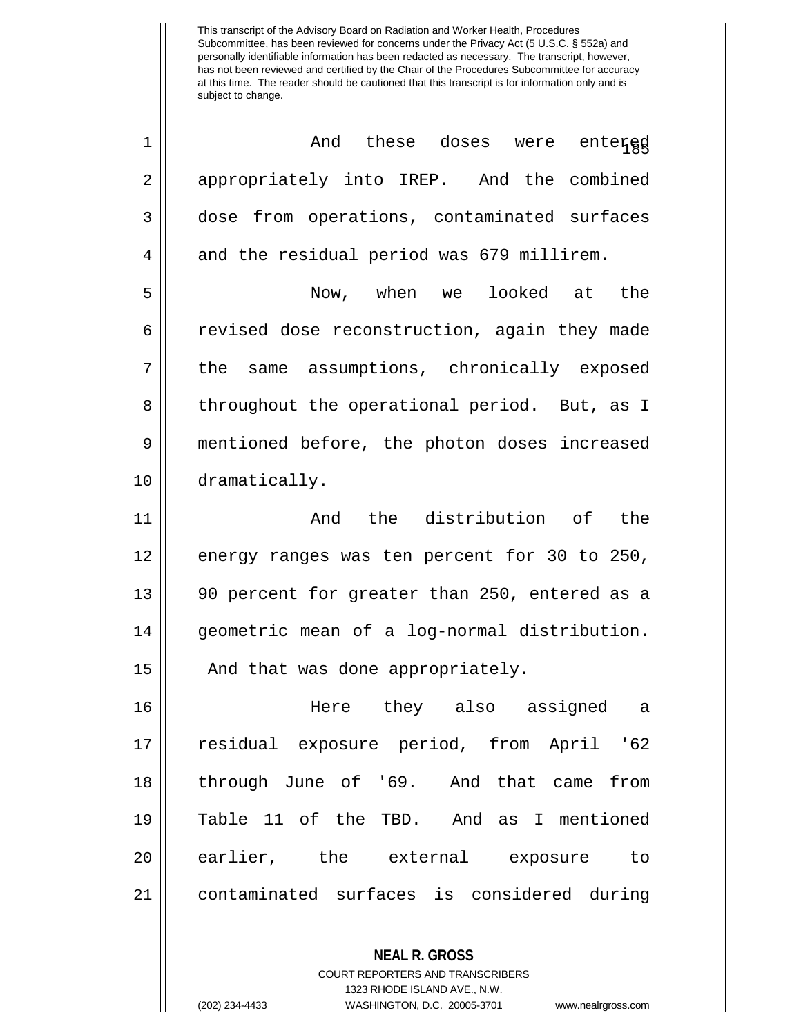| 1  | And these doses were entergd                             |
|----|----------------------------------------------------------|
| 2  | appropriately into IREP. And the combined                |
| 3  | dose from operations, contaminated surfaces              |
| 4  | and the residual period was 679 millirem.                |
| 5  | Now, when we looked at the                               |
| 6  | revised dose reconstruction, again they made             |
| 7  | the same assumptions, chronically exposed                |
| 8  | throughout the operational period. But, as I             |
| 9  | mentioned before, the photon doses increased             |
| 10 | dramatically.                                            |
| 11 | And the distribution of the                              |
| 12 | energy ranges was ten percent for 30 to 250,             |
| 13 | 90 percent for greater than 250, entered as a            |
| 14 | geometric mean of a log-normal distribution.             |
| 15 | And that was done appropriately.                         |
| 16 | Here they also assigned<br>a                             |
| 17 | residual exposure period, from April '62                 |
| 18 | through June of '69. And that came from                  |
| 19 | Table 11 of the TBD. And as I mentioned                  |
| 20 | earlier, the external exposure to                        |
| 21 | contaminated surfaces is considered during               |
|    |                                                          |
|    | <b>NEAL R. GROSS</b><br>COURT REPORTERS AND TRANSCRIBERS |

1323 RHODE ISLAND AVE., N.W.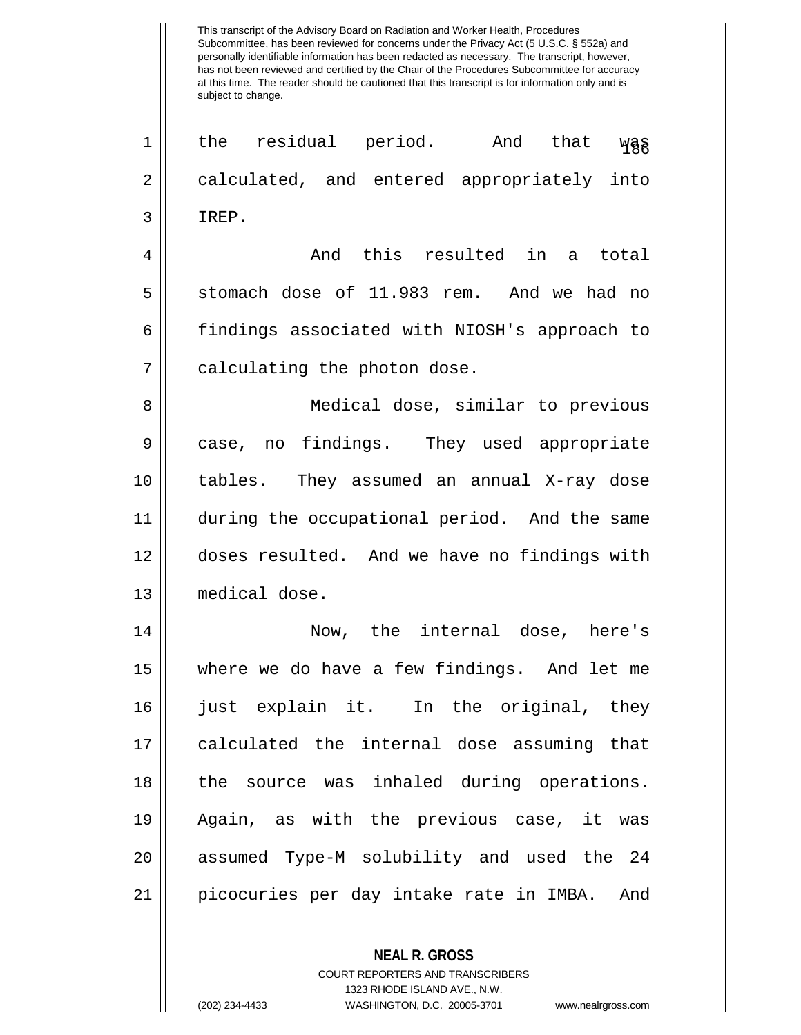This transcript of the Advisory Board on Radiation and Worker Health, Procedures Subcommittee, has been reviewed for concerns under the Privacy Act (5 U.S.C. § 552a) and personally identifiable information has been redacted as necessary. The transcript, however, has not been reviewed and certified by the Chair of the Procedures Subcommittee for accuracy at this time. The reader should be cautioned that this transcript is for information only and is subject to change.  $\begin{array}{ccc} 1 & \text{the} & \text{residual} & \text{period.} & \text{And} & \text{that} & \text{WBS} \end{array}$ 2 calculated, and entered appropriately into  $3$  | TREP. 4 And this resulted in a total  $5 \parallel$  stomach dose of 11.983 rem. And we had no 6 findings associated with NIOSH's approach to 7 || calculating the photon dose. 8 || Medical dose, similar to previous 9 case, no findings. They used appropriate 10 tables. They assumed an annual X-ray dose 11 during the occupational period. And the same 12 doses resulted. And we have no findings with 13 medical dose. 14 Now, the internal dose, here's 15 where we do have a few findings. And let me 16 just explain it. In the original, they 17 calculated the internal dose assuming that 18 || the source was inhaled during operations. 19 Again, as with the previous case, it was 20 || assumed Type-M solubility and used the 24 21 picocuries per day intake rate in IMBA. And

> COURT REPORTERS AND TRANSCRIBERS 1323 RHODE ISLAND AVE., N.W. (202) 234-4433 WASHINGTON, D.C. 20005-3701 www.nealrgross.com

**NEAL R. GROSS**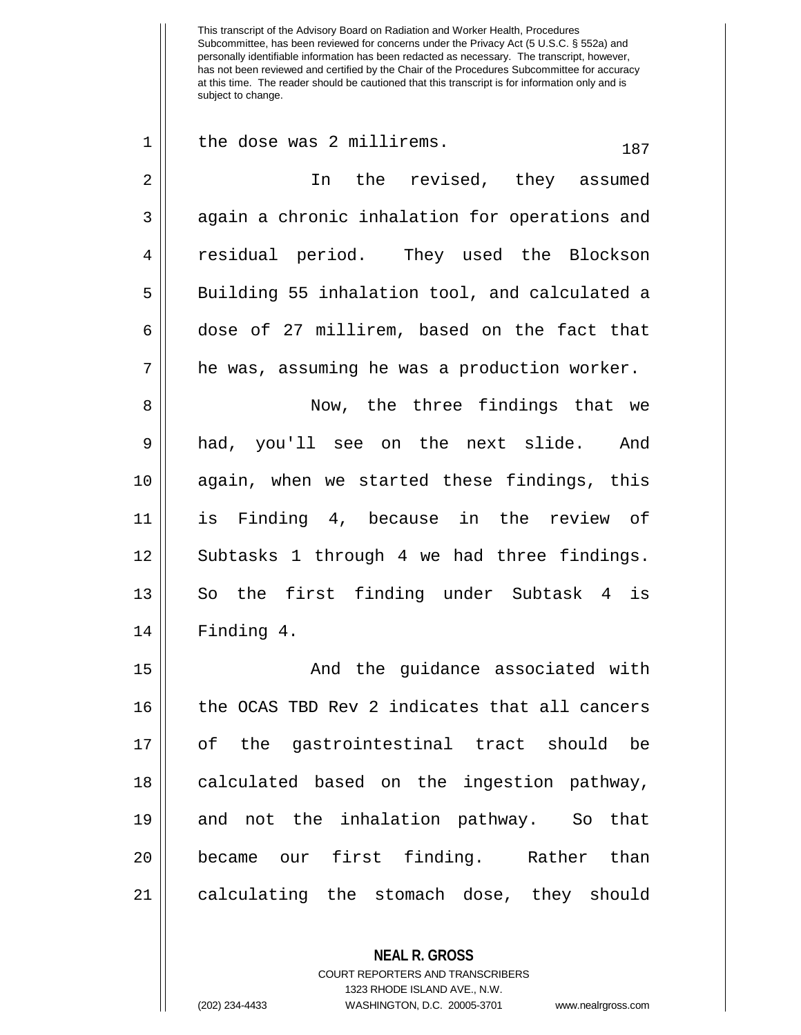$1 \parallel$  the dose was 2 millirems.  $187$ 2 || In the revised, they assumed  $3 \parallel$  again a chronic inhalation for operations and 4 residual period. They used the Blockson 5 || Building 55 inhalation tool, and calculated a  $6 \parallel$  dose of 27 millirem, based on the fact that  $7 \parallel$  he was, assuming he was a production worker. 8 Now, the three findings that we 9 had, you'll see on the next slide. And 10 again, when we started these findings, this 11 is Finding 4, because in the review of 12 || Subtasks 1 through 4 we had three findings. 13 || So the first finding under Subtask 4 is 14 Finding 4. 15 || And the guidance associated with 16 || the OCAS TBD Rev 2 indicates that all cancers 17 of the gastrointestinal tract should be 18 || calculated based on the ingestion pathway, 19 and not the inhalation pathway. So that 20 became our first finding. Rather than 21 || calculating the stomach dose, they should

> **NEAL R. GROSS** COURT REPORTERS AND TRANSCRIBERS 1323 RHODE ISLAND AVE., N.W. (202) 234-4433 WASHINGTON, D.C. 20005-3701 www.nealrgross.com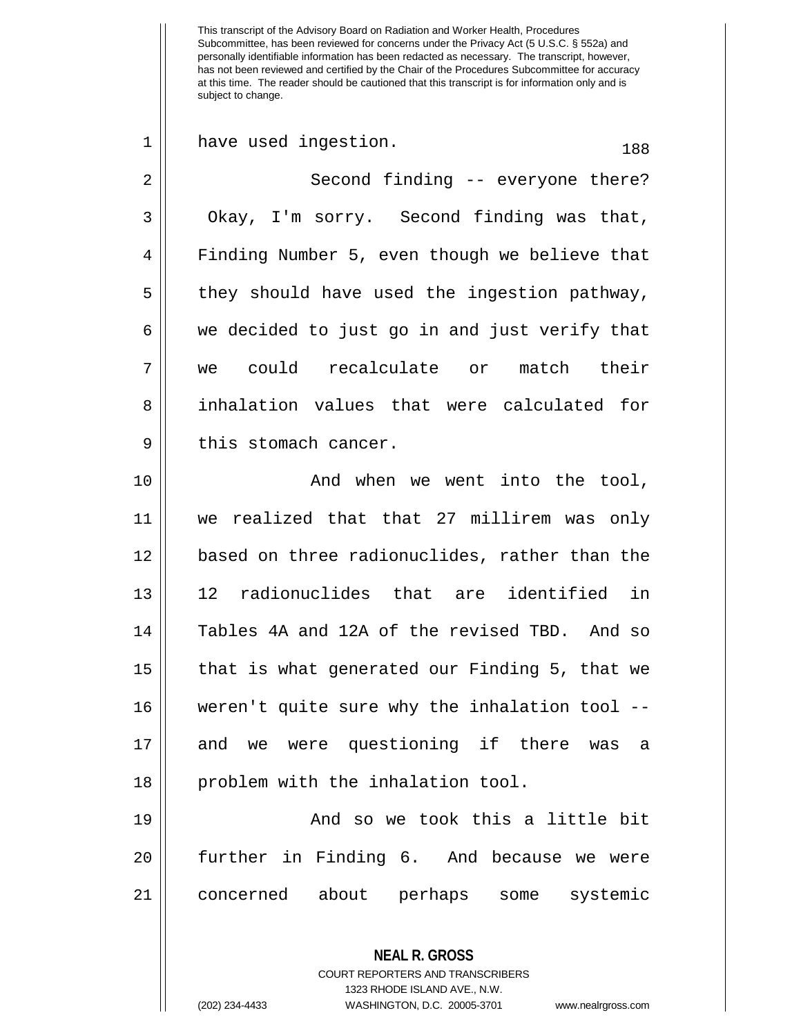$1 \parallel$  have used ingestion.  $188$ 2 || Second finding -- everyone there?  $3 \parallel$  Okay, I'm sorry. Second finding was that, 4 | Finding Number 5, even though we believe that  $5 \parallel$  they should have used the ingestion pathway,  $6 \parallel$  we decided to just go in and just verify that 7 we could recalculate or match their 8 **inhalation** values that were calculated for  $9 \parallel$  this stomach cancer. 10 || The Movies When we went into the tool, 11 we realized that that 27 millirem was only 12 based on three radionuclides, rather than the 13 12 radionuclides that are identified in 14 Tables 4A and 12A of the revised TBD. And so 15 that is what generated our Finding 5, that we 16 weren't quite sure why the inhalation tool -- 17 and we were questioning if there was a 18 || problem with the inhalation tool. 19 And so we took this a little bit 20 further in Finding 6. And because we were 21 concerned about perhaps some systemic

> COURT REPORTERS AND TRANSCRIBERS 1323 RHODE ISLAND AVE., N.W. (202) 234-4433 WASHINGTON, D.C. 20005-3701 www.nealrgross.com

**NEAL R. GROSS**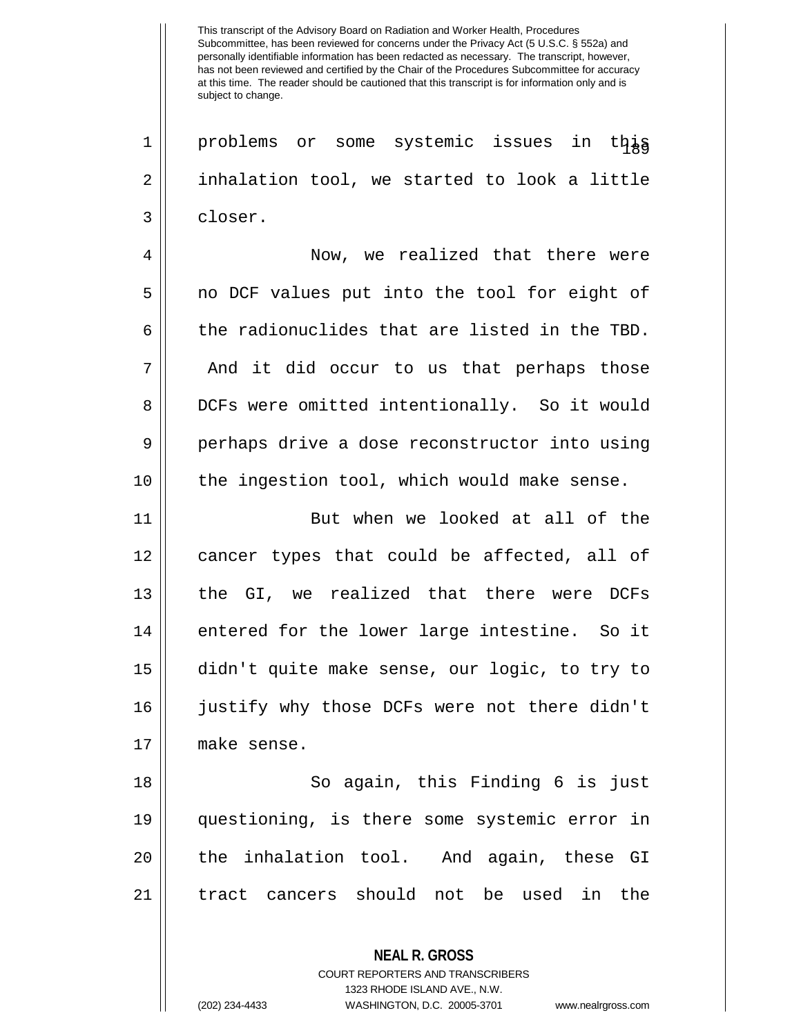1 || problems or some systemic issues in this 2 inhalation tool, we started to look a little 3 ll closer.

4 Now, we realized that there were 5 || no DCF values put into the tool for eight of  $6 \parallel$  the radionuclides that are listed in the TBD. 7 || And it did occur to us that perhaps those 8 DCFs were omitted intentionally. So it would 9 perhaps drive a dose reconstructor into using 10 || the ingestion tool, which would make sense.

11 || But when we looked at all of the cancer types that could be affected, all of the GI, we realized that there were DCFs || entered for the lower large intestine. So it didn't quite make sense, our logic, to try to justify why those DCFs were not there didn't make sense.

18 || So again, this Finding 6 is just 19 questioning, is there some systemic error in 20 || the inhalation tool. And again, these GI 21 tract cancers should not be used in the

> **NEAL R. GROSS** COURT REPORTERS AND TRANSCRIBERS

> > 1323 RHODE ISLAND AVE., N.W.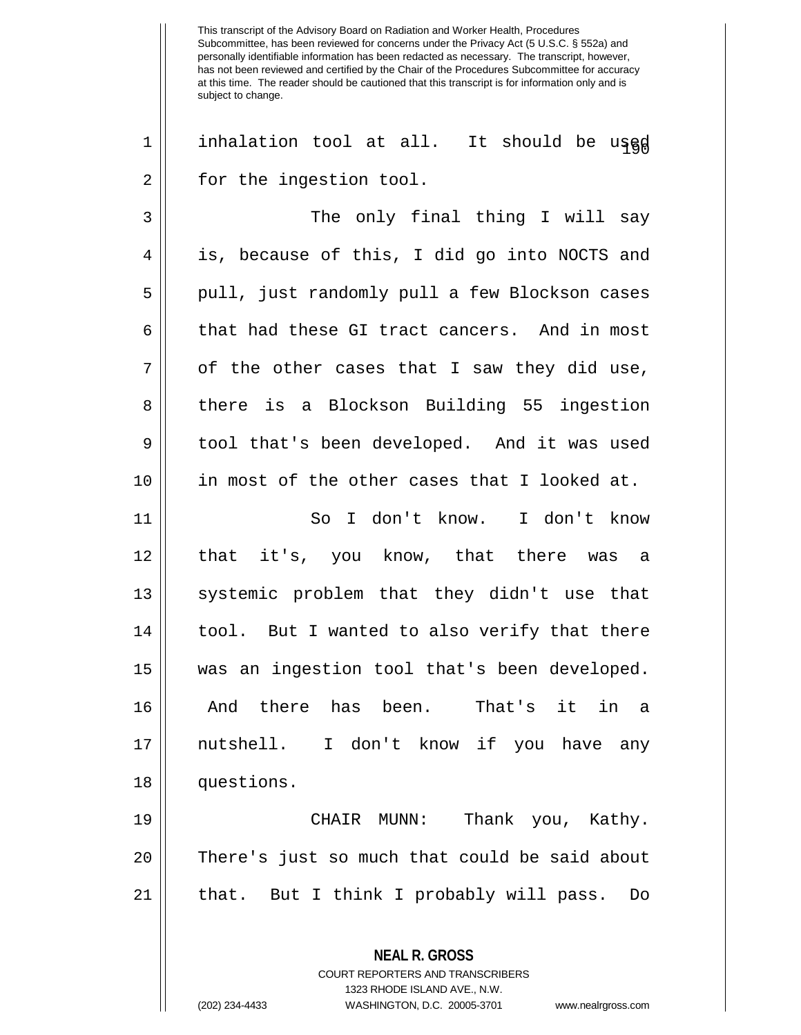$1$  | inhalation tool at all. It should be used 2 | for the ingestion tool.

3 || The only final thing I will say 4 is, because of this, I did go into NOCTS and 5 || pull, just randomly pull a few Blockson cases 6 || that had these GI tract cancers. And in most  $7 \parallel$  of the other cases that I saw they did use, 8 there is a Blockson Building 55 ingestion 9 || tool that's been developed. And it was used 10 in most of the other cases that I looked at.

 So I don't know. I don't know 12 || that it's, you know, that there was a 13 || systemic problem that they didn't use that | tool. But I wanted to also verify that there was an ingestion tool that's been developed. And there has been. That's it in a nutshell. I don't know if you have any 18 | questions.

19 CHAIR MUNN: Thank you, Kathy. 20 || There's just so much that could be said about 21 that. But I think I probably will pass. Do

> **NEAL R. GROSS** COURT REPORTERS AND TRANSCRIBERS 1323 RHODE ISLAND AVE., N.W.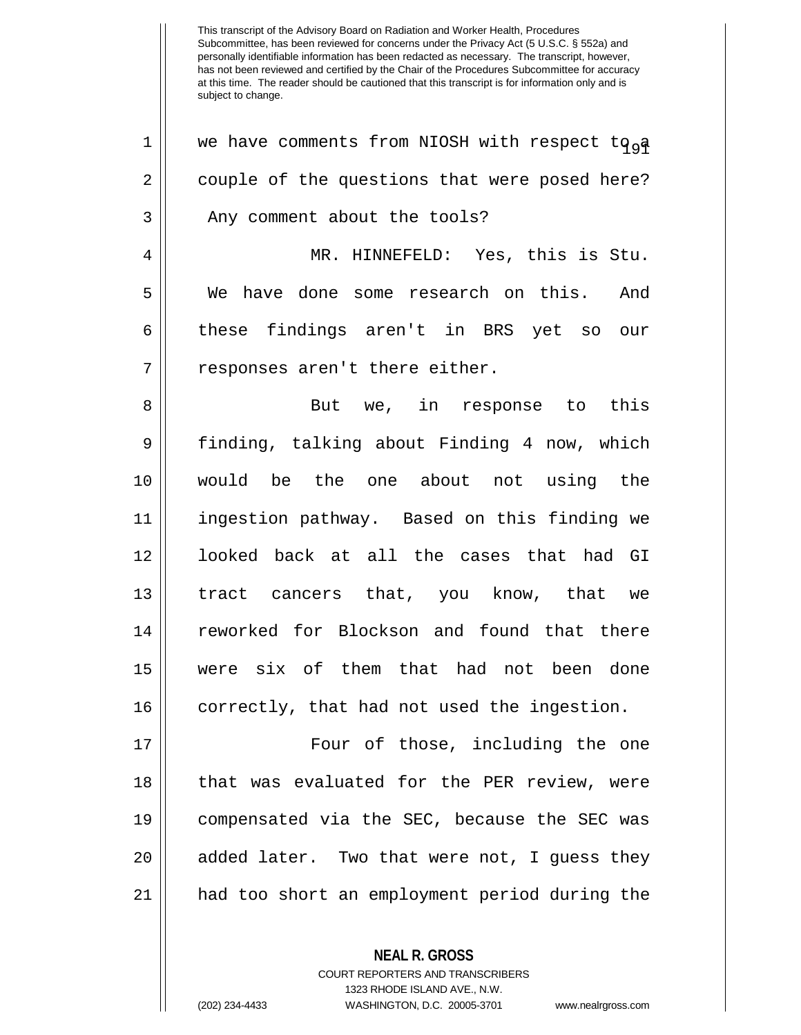1 || we have comments from NIOSH with respect to a 2 | couple of the questions that were posed here? 3 || Any comment about the tools? 4 MR. HINNEFELD: Yes, this is Stu. 5 We have done some research on this. And 6 these findings aren't in BRS yet so our 7 || responses aren't there either. 8 || But we, in response to this 9 | finding, talking about Finding 4 now, which 10 would be the one about not using the 11 ingestion pathway. Based on this finding we 12 looked back at all the cases that had GI 13 || tract cancers that, you know, that we 14 || reworked for Blockson and found that there 15 were six of them that had not been done 16 || correctly, that had not used the ingestion. 17 || Four of those, including the one 18 || that was evaluated for the PER review, were 19 compensated via the SEC, because the SEC was 20 || added later. Two that were not, I guess they 21 had too short an employment period during the

> **NEAL R. GROSS** COURT REPORTERS AND TRANSCRIBERS

> > 1323 RHODE ISLAND AVE., N.W.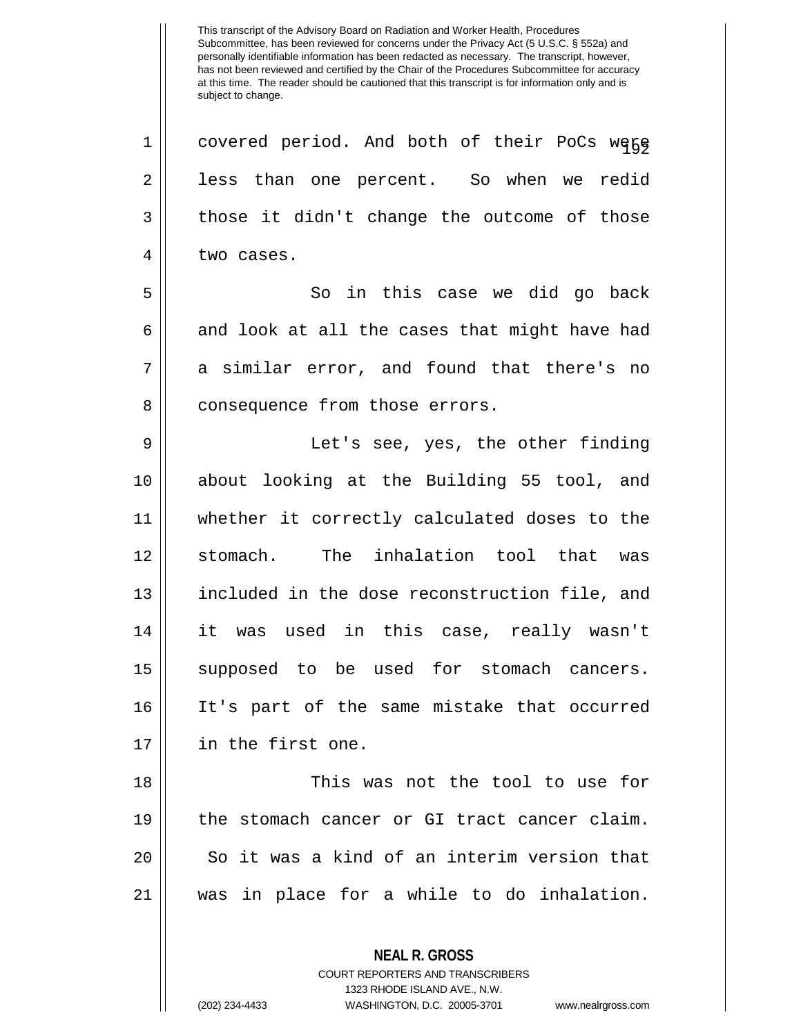1 || covered period. And both of their PoCs wegg 2 || less than one percent. So when we redid  $3 \parallel$  those it didn't change the outcome of those 4 l two cases. 5 So in this case we did go back  $6 \parallel$  and look at all the cases that might have had  $7 \parallel$  a similar error, and found that there's no 8 | consequence from those errors. 9 || Let's see, yes, the other finding 10 about looking at the Building 55 tool, and 11 whether it correctly calculated doses to the 12 Stomach. The inhalation tool that was 13 included in the dose reconstruction file, and 14 it was used in this case, really wasn't 15 supposed to be used for stomach cancers. 16 It's part of the same mistake that occurred 17 in the first one. 18 This was not the tool to use for 19 the stomach cancer or GI tract cancer claim. 20 || So it was a kind of an interim version that 21 was in place for a while to do inhalation.

> **NEAL R. GROSS** COURT REPORTERS AND TRANSCRIBERS

> > 1323 RHODE ISLAND AVE., N.W.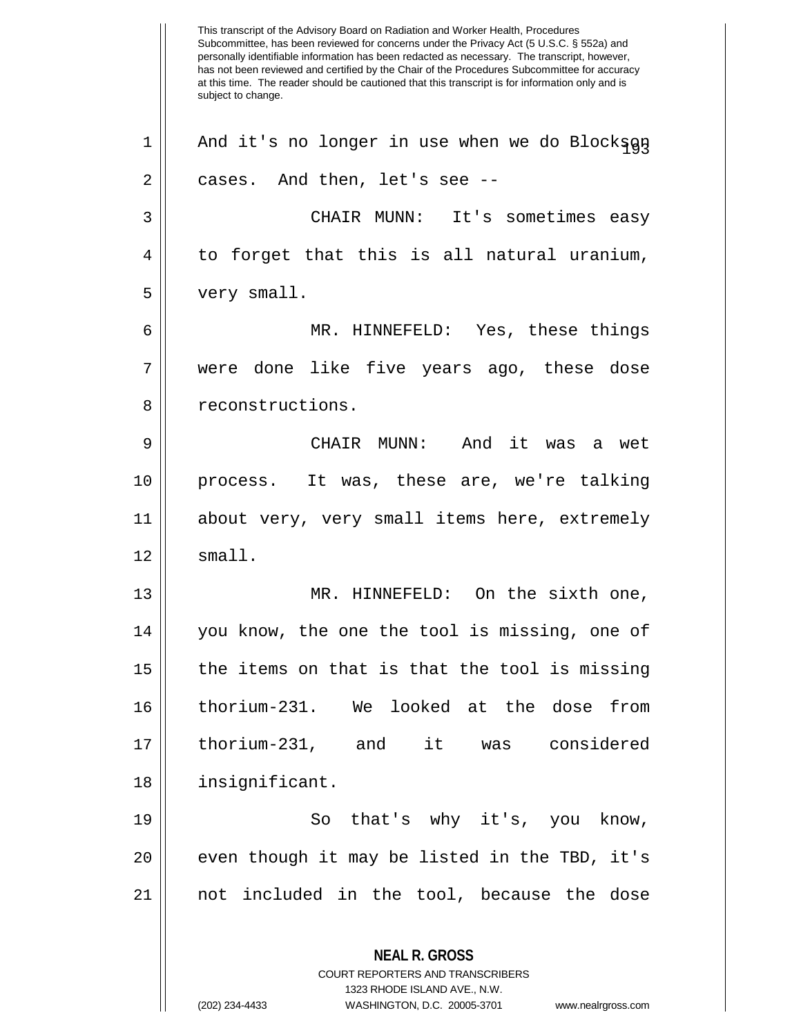This transcript of the Advisory Board on Radiation and Worker Health, Procedures Subcommittee, has been reviewed for concerns under the Privacy Act (5 U.S.C. § 552a) and personally identifiable information has been redacted as necessary. The transcript, however, has not been reviewed and certified by the Chair of the Procedures Subcommittee for accuracy at this time. The reader should be cautioned that this transcript is for information only and is subject to change. **NEAL R. GROSS** COURT REPORTERS AND TRANSCRIBERS 1323 RHODE ISLAND AVE., N.W. (202) 234-4433 WASHINGTON, D.C. 20005-3701 www.nealrgross.com 1 || And it's no longer in use when we do Blockson  $2 \parallel$  cases. And then, let's see --3 CHAIR MUNN: It's sometimes easy  $4 \parallel$  to forget that this is all natural uranium, 5 very small. 6 MR. HINNEFELD: Yes, these things 7 were done like five years ago, these dose 8 || reconstructions. 9 CHAIR MUNN: And it was a wet 10 process. It was, these are, we're talking 11 about very, very small items here, extremely  $12$   $\parallel$  small. 13 MR. HINNEFELD: On the sixth one, 14 || you know, the one the tool is missing, one of  $15$  | the items on that is that the tool is missing 16 thorium-231. We looked at the dose from 17 thorium-231, and it was considered 18 | insignificant. 19 || So that's why it's, you know, 20 || even though it may be listed in the TBD, it's 21 not included in the tool, because the dose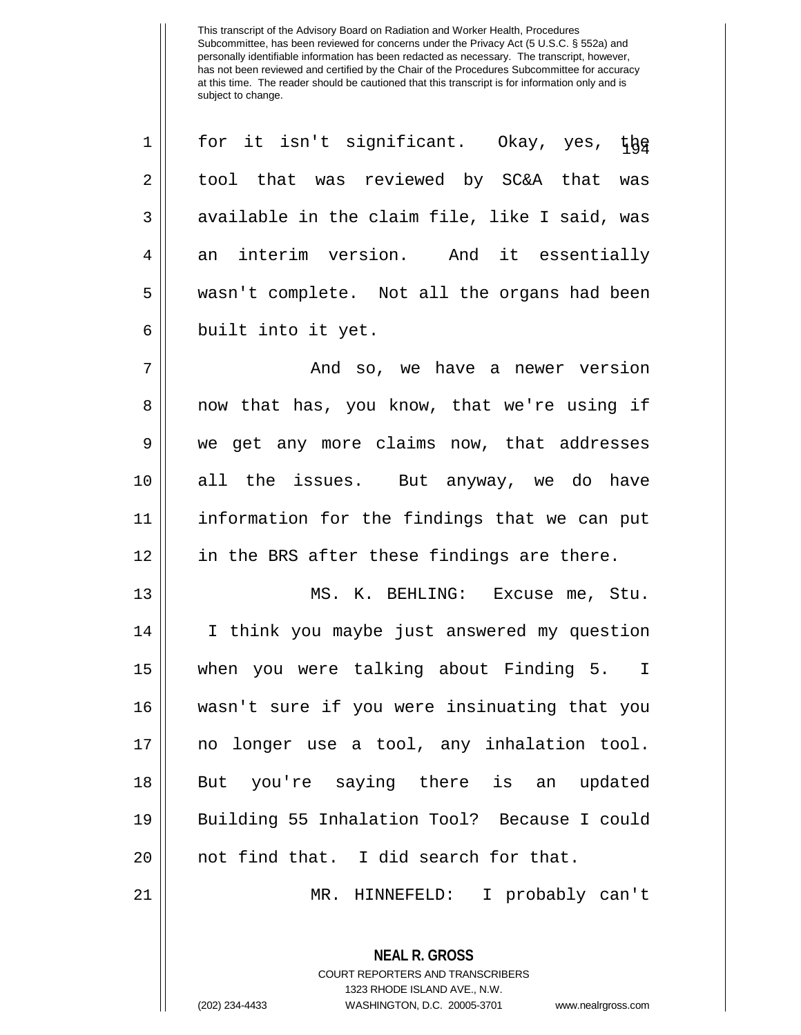**NEAL R. GROSS** 1 || for it isn't significant. Okay, yes,  $t\frac{1}{6}$ 2 || tool that was reviewed by SC&A that was  $3 \parallel$  available in the claim file, like I said, was  $4 \parallel$  an interim version. And it essentially wasn't complete. Not all the organs had been 6 || built into it yet. And so, we have a newer version 8 || now that has, you know, that we're using if 9 We get any more claims now, that addresses all the issues. But anyway, we do have information for the findings that we can put || in the BRS after these findings are there. MS. K. BEHLING: Excuse me, Stu. I think you maybe just answered my question when you were talking about Finding 5. I wasn't sure if you were insinuating that you no longer use a tool, any inhalation tool. But you're saying there is an updated Building 55 Inhalation Tool? Because I could || not find that. I did search for that. MR. HINNEFELD: I probably can't

> COURT REPORTERS AND TRANSCRIBERS 1323 RHODE ISLAND AVE., N.W.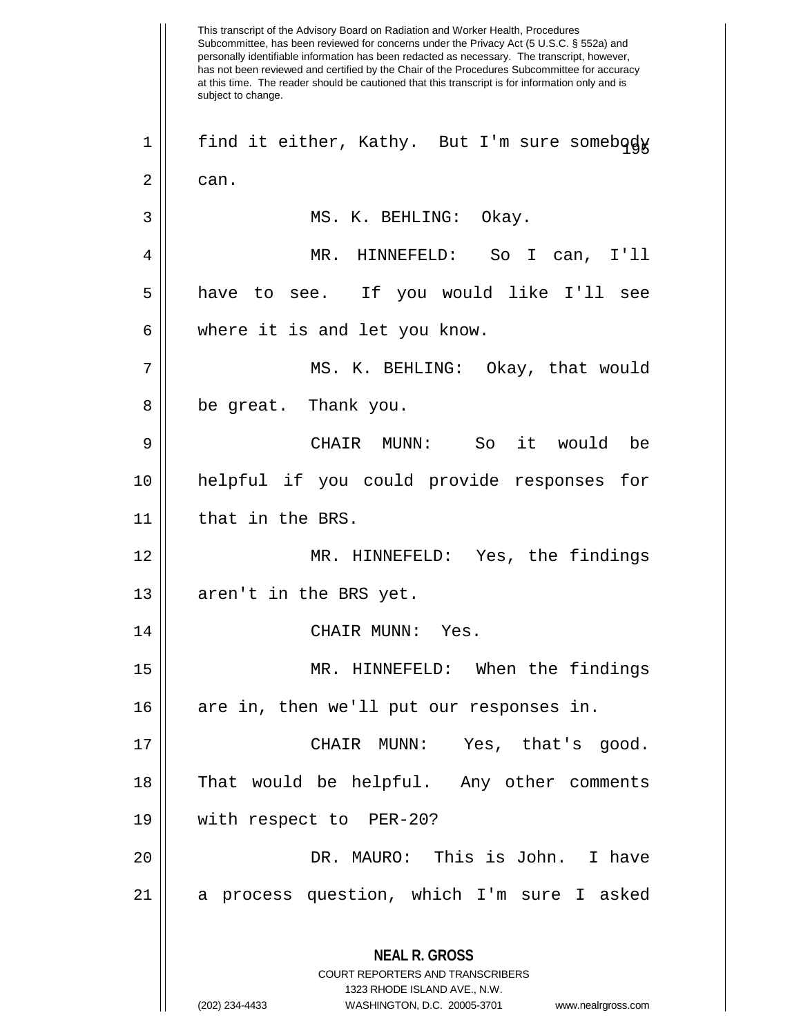This transcript of the Advisory Board on Radiation and Worker Health, Procedures Subcommittee, has been reviewed for concerns under the Privacy Act (5 U.S.C. § 552a) and personally identifiable information has been redacted as necessary. The transcript, however, has not been reviewed and certified by the Chair of the Procedures Subcommittee for accuracy at this time. The reader should be cautioned that this transcript is for information only and is subject to change. **NEAL R. GROSS** COURT REPORTERS AND TRANSCRIBERS 1323 RHODE ISLAND AVE., N.W. (202) 234-4433 WASHINGTON, D.C. 20005-3701 www.nealrgross.com 1 || find it either, Kathy. But I'm sure somebody  $2 \parallel$  can. 3 MS. K. BEHLING: Okay. 4 MR. HINNEFELD: So I can, I'll 5 have to see. If you would like I'll see 6 || where it is and let you know. 7 MS. K. BEHLING: Okay, that would 8 || be great. Thank you. 9 CHAIR MUNN: So it would be 10 helpful if you could provide responses for 11 || that in the BRS. 12 MR. HINNEFELD: Yes, the findings  $13$  || aren't in the BRS yet. 14 CHAIR MUNN: Yes. 15 MR. HINNEFELD: When the findings 16 || are in, then we'll put our responses in. 17 CHAIR MUNN: Yes, that's good. 18 || That would be helpful. Any other comments 19 with respect to PER-20? 20 DR. MAURO: This is John. I have 21 a process question, which I'm sure I asked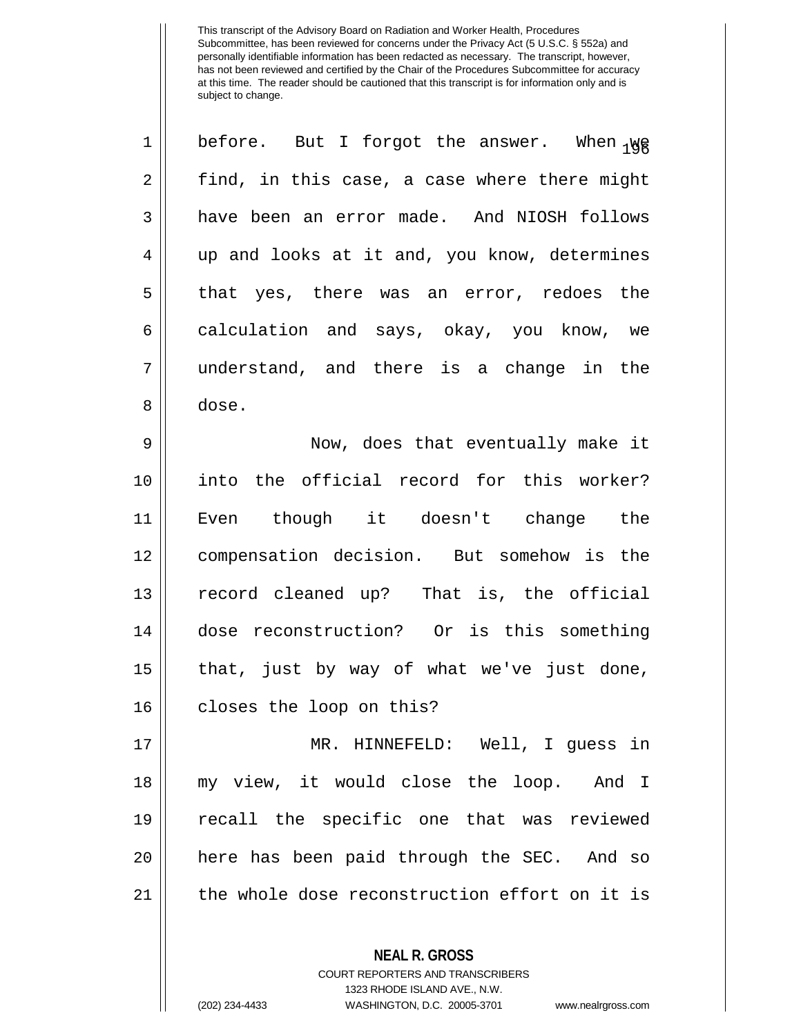| $\mathbf 1$    | before. But I forgot the answer. When 198     |
|----------------|-----------------------------------------------|
| $\overline{2}$ | find, in this case, a case where there might  |
| 3              | have been an error made. And NIOSH follows    |
| $\overline{4}$ | up and looks at it and, you know, determines  |
| 5              | that yes, there was an error, redoes the      |
| 6              | calculation and says, okay, you know, we      |
| 7              | understand, and there is a change in the      |
| 8              | dose.                                         |
| 9              | Now, does that eventually make it             |
| 10             | into the official record for this worker?     |
| 11             | Even though it doesn't change the             |
| 12             | compensation decision. But somehow is the     |
| 13             | record cleaned up? That is, the official      |
| 14             | dose reconstruction? Or is this something     |
| 15             | that, just by way of what we've just done,    |
| 16             | closes the loop on this?                      |
| 17             | MR. HINNEFELD: Well, I guess in               |
| 18             | my view, it would close the loop. And I       |
| 19             | recall the specific one that was reviewed     |
| 20             | here has been paid through the SEC. And so    |
| 21             | the whole dose reconstruction effort on it is |
|                | <b>NEAL R. GROSS</b>                          |

COURT REPORTERS AND TRANSCRIBERS 1323 RHODE ISLAND AVE., N.W.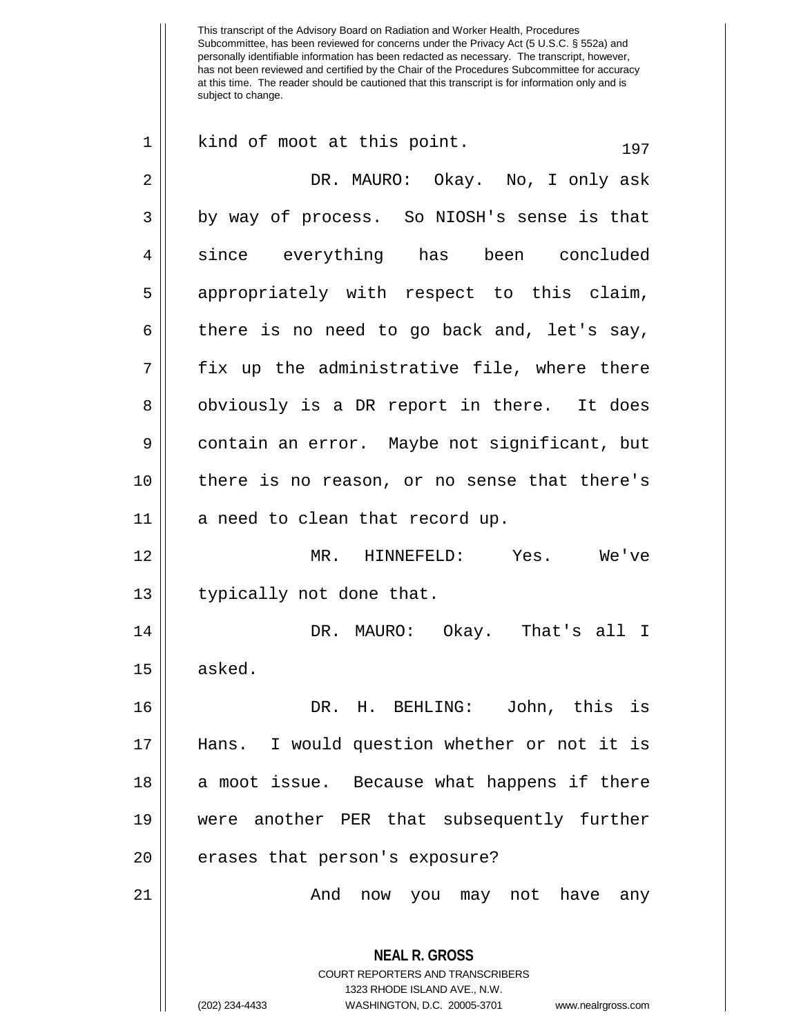| $\mathbf 1$    | kind of moot at this point.<br>197                                                                                                                                     |
|----------------|------------------------------------------------------------------------------------------------------------------------------------------------------------------------|
| $\overline{2}$ | DR. MAURO: Okay. No, I only ask                                                                                                                                        |
| 3              | by way of process. So NIOSH's sense is that                                                                                                                            |
| $\overline{4}$ | since everything has been concluded                                                                                                                                    |
| 5              | appropriately with respect to this claim,                                                                                                                              |
| 6              | there is no need to go back and, let's say,                                                                                                                            |
| 7              | fix up the administrative file, where there                                                                                                                            |
| 8              | obviously is a DR report in there. It does                                                                                                                             |
| 9              | contain an error. Maybe not significant, but                                                                                                                           |
| 10             | there is no reason, or no sense that there's                                                                                                                           |
| 11             | a need to clean that record up.                                                                                                                                        |
| 12             | MR. HINNEFELD: Yes. We've                                                                                                                                              |
| 13             | typically not done that.                                                                                                                                               |
| 14             | DR. MAURO: Okay. That's all I                                                                                                                                          |
| 15             | asked.                                                                                                                                                                 |
| 16             | DR. H. BEHLING: John, this is                                                                                                                                          |
| 17             | Hans. I would question whether or not it is                                                                                                                            |
| 18             | a moot issue. Because what happens if there                                                                                                                            |
| 19             | were another PER that subsequently further                                                                                                                             |
| 20             | erases that person's exposure?                                                                                                                                         |
| 21             | And<br>now you may not have<br>any                                                                                                                                     |
|                | <b>NEAL R. GROSS</b><br><b>COURT REPORTERS AND TRANSCRIBERS</b><br>1323 RHODE ISLAND AVE., N.W.<br>(202) 234-4433<br>WASHINGTON, D.C. 20005-3701<br>www.nealrgross.com |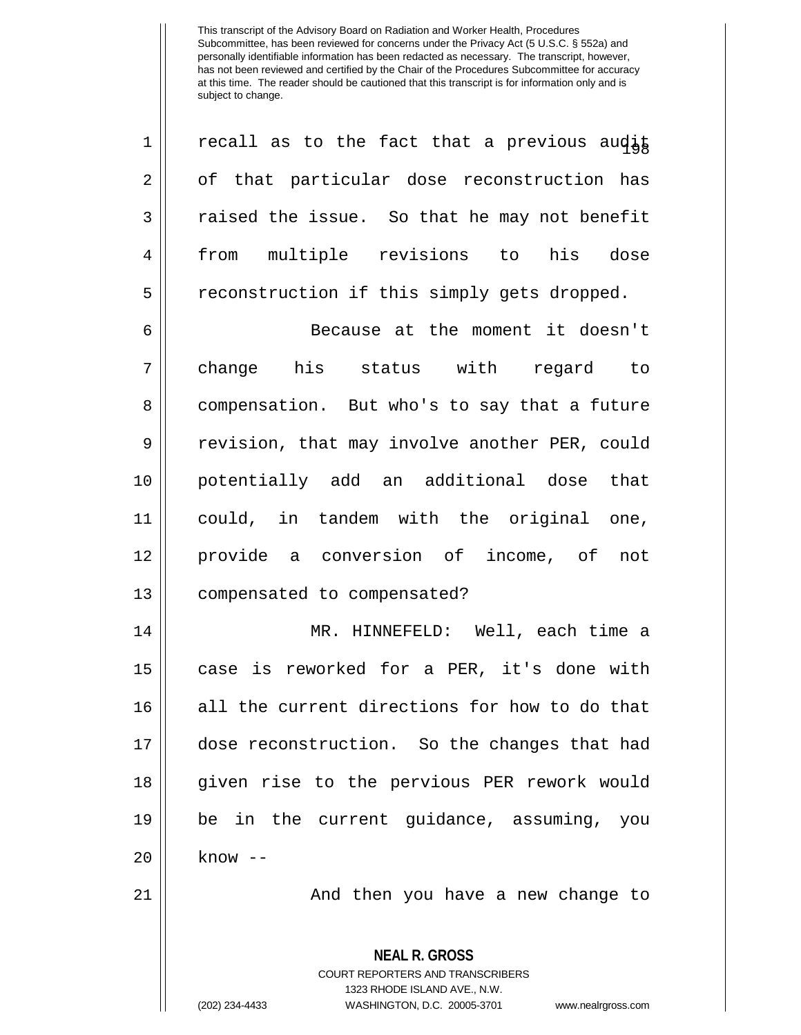| $\mathbf 1$ | recall as to the fact that a previous audit                                                                                                                            |
|-------------|------------------------------------------------------------------------------------------------------------------------------------------------------------------------|
| $\mathbf 2$ | of that particular dose reconstruction has                                                                                                                             |
| 3           | raised the issue. So that he may not benefit                                                                                                                           |
| 4           | from multiple revisions to his dose                                                                                                                                    |
| 5           | reconstruction if this simply gets dropped.                                                                                                                            |
| 6           | Because at the moment it doesn't                                                                                                                                       |
| 7           | change his status with regard to                                                                                                                                       |
| 8           | compensation. But who's to say that a future                                                                                                                           |
| 9           | revision, that may involve another PER, could                                                                                                                          |
| 10          | potentially add an additional dose that                                                                                                                                |
| 11          | could, in tandem with the original one,                                                                                                                                |
| 12          | provide a conversion of income, of not                                                                                                                                 |
| 13          | compensated to compensated?                                                                                                                                            |
| 14          | MR. HINNEFELD: Well, each time a                                                                                                                                       |
| 15          | case is reworked for a PER, it's done with                                                                                                                             |
| 16          | all the current directions for how to do that                                                                                                                          |
| 17          | dose reconstruction. So the changes that had                                                                                                                           |
| 18          | given rise to the pervious PER rework would                                                                                                                            |
| 19          | be in the current guidance, assuming, you                                                                                                                              |
| 20          | $know --$                                                                                                                                                              |
| 21          | And then you have a new change to                                                                                                                                      |
|             | <b>NEAL R. GROSS</b><br><b>COURT REPORTERS AND TRANSCRIBERS</b><br>1323 RHODE ISLAND AVE., N.W.<br>(202) 234-4433<br>WASHINGTON, D.C. 20005-3701<br>www.nealrgross.com |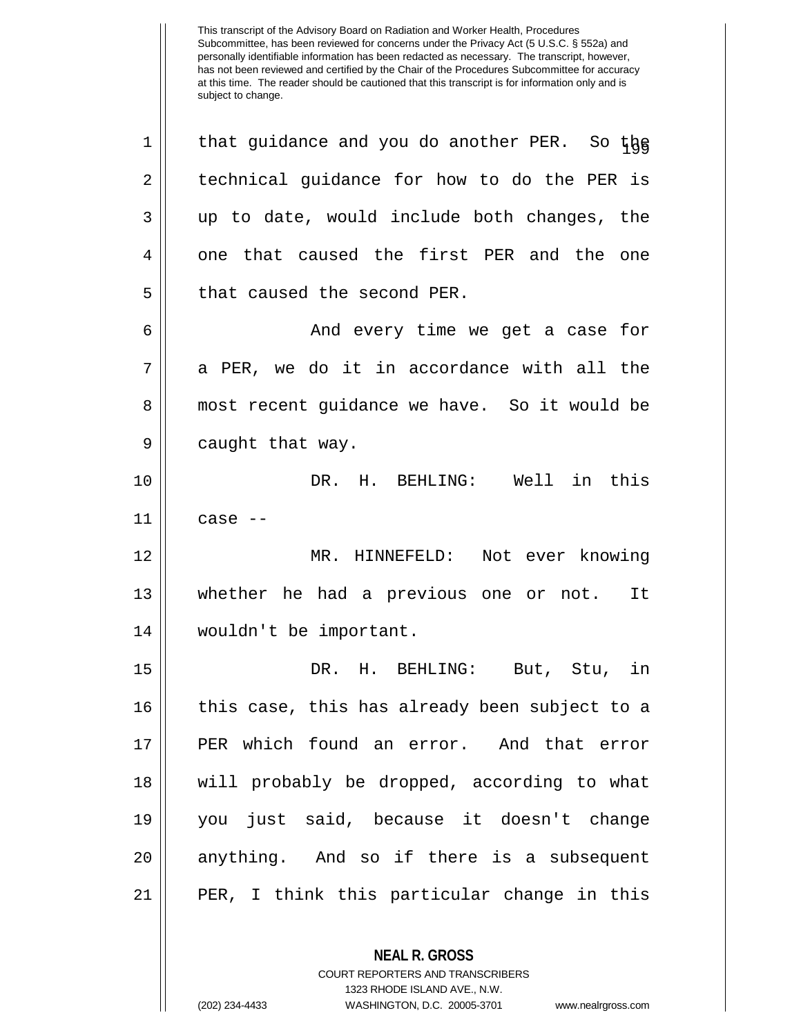$1 \parallel$  that guidance and you do another PER. So the  $2 \parallel$  technical quidance for how to do the PER is  $3 \parallel$  up to date, would include both changes, the 4 || one that caused the first PER and the one 5 | that caused the second PER. 6 And every time we get a case for  $7 \parallel$  a PER, we do it in accordance with all the 8 || most recent guidance we have. So it would be 9 | caught that way. 10 DR. H. BEHLING: Well in this 11 case -- 12 MR. HINNEFELD: Not ever knowing 13 whether he had a previous one or not. It 14 wouldn't be important. 15 DR. H. BEHLING: But, Stu, in 16 || this case, this has already been subject to a 17 PER which found an error. And that error 18 will probably be dropped, according to what 19 you just said, because it doesn't change 20 || anything. And so if there is a subsequent 21 PER, I think this particular change in this

> **NEAL R. GROSS** COURT REPORTERS AND TRANSCRIBERS 1323 RHODE ISLAND AVE., N.W.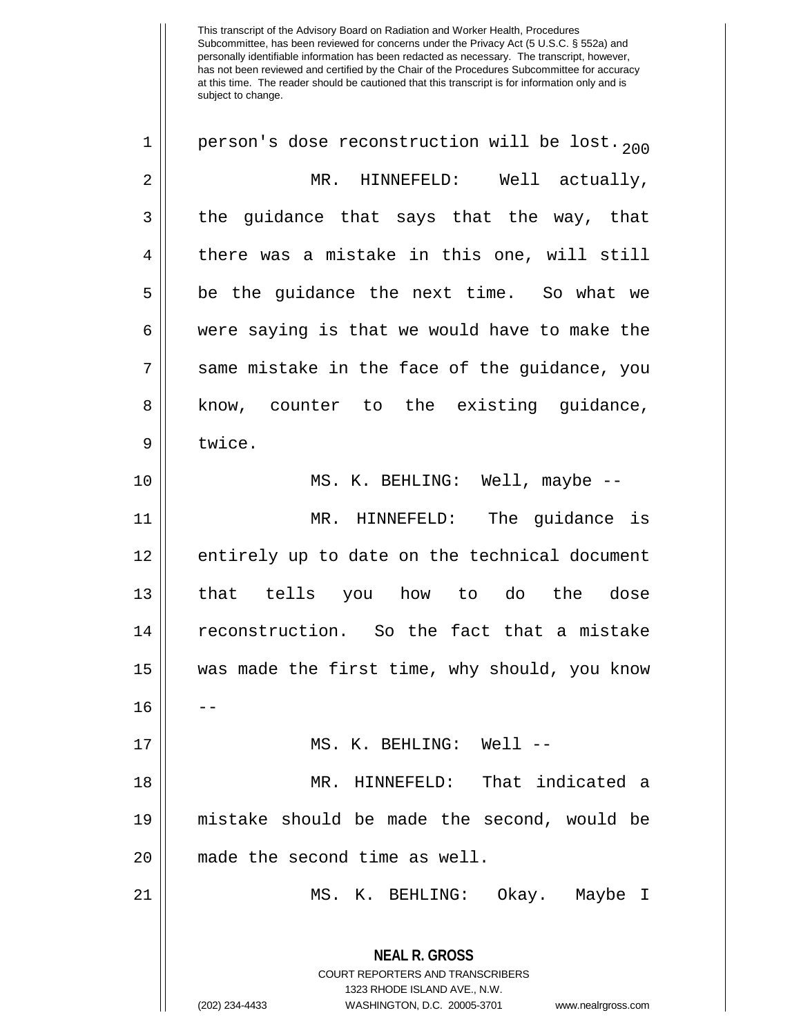**NEAL R. GROSS** COURT REPORTERS AND TRANSCRIBERS 1323 RHODE ISLAND AVE., N.W. 1 || person's dose reconstruction will be lost.  $_{200}$ 2 | MR. HINNEFELD: Well actually,  $3 \parallel$  the guidance that says that the way, that  $4 \parallel$  there was a mistake in this one, will still  $5 \parallel$  be the guidance the next time. So what we  $6 \parallel$  were saying is that we would have to make the 7 || same mistake in the face of the guidance, you 8 || know, counter to the existing quidance, 9 I twice. 10 || MS. K. BEHLING: Well, maybe --11 MR. HINNEFELD: The guidance is 12 || entirely up to date on the technical document 13 that tells you how to do the dose 14 | reconstruction. So the fact that a mistake 15 || was made the first time, why should, you know 16 17 MS. K. BEHLING: Well -- 18 MR. HINNEFELD: That indicated a 19 mistake should be made the second, would be 20 || made the second time as well. 21 MS. K. BEHLING: Okay. Maybe I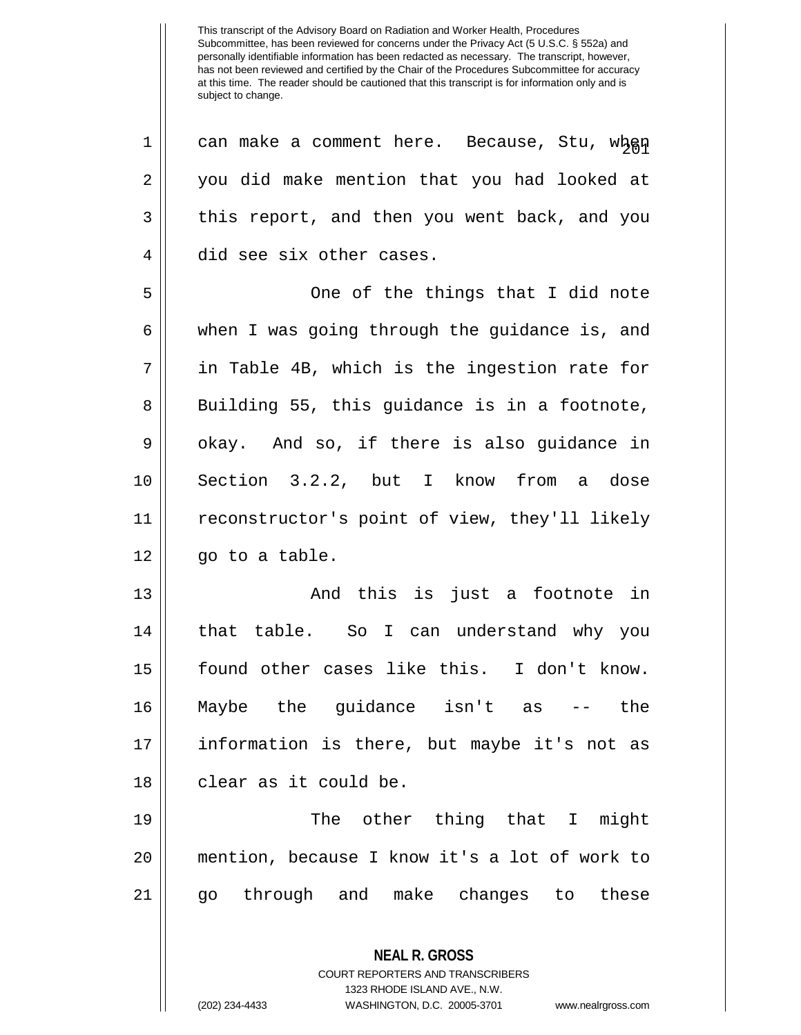**NEAL R. GROSS** COURT REPORTERS AND TRANSCRIBERS 1323 RHODE ISLAND AVE., N.W. 1 || can make a comment here. Because, Stu, when 2 || you did make mention that you had looked at 3 this report, and then you went back, and you 4 did see six other cases. 5 One of the things that I did note 6 || when I was going through the guidance is, and  $7 \parallel$  in Table 4B, which is the ingestion rate for  $8 \parallel$  Building 55, this guidance is in a footnote,  $9 \parallel$  okay. And so, if there is also guidance in 10 Section 3.2.2, but I know from a dose 11 reconstructor's point of view, they'll likely  $12 \parallel$  go to a table. 13 And this is just a footnote in 14 || that table. So I can understand why you 15 found other cases like this. I don't know. 16 Maybe the guidance isn't as -- the 17 information is there, but maybe it's not as 18 || clear as it could be. 19 The other thing that I might 20 mention, because I know it's a lot of work to 21 go through and make changes to these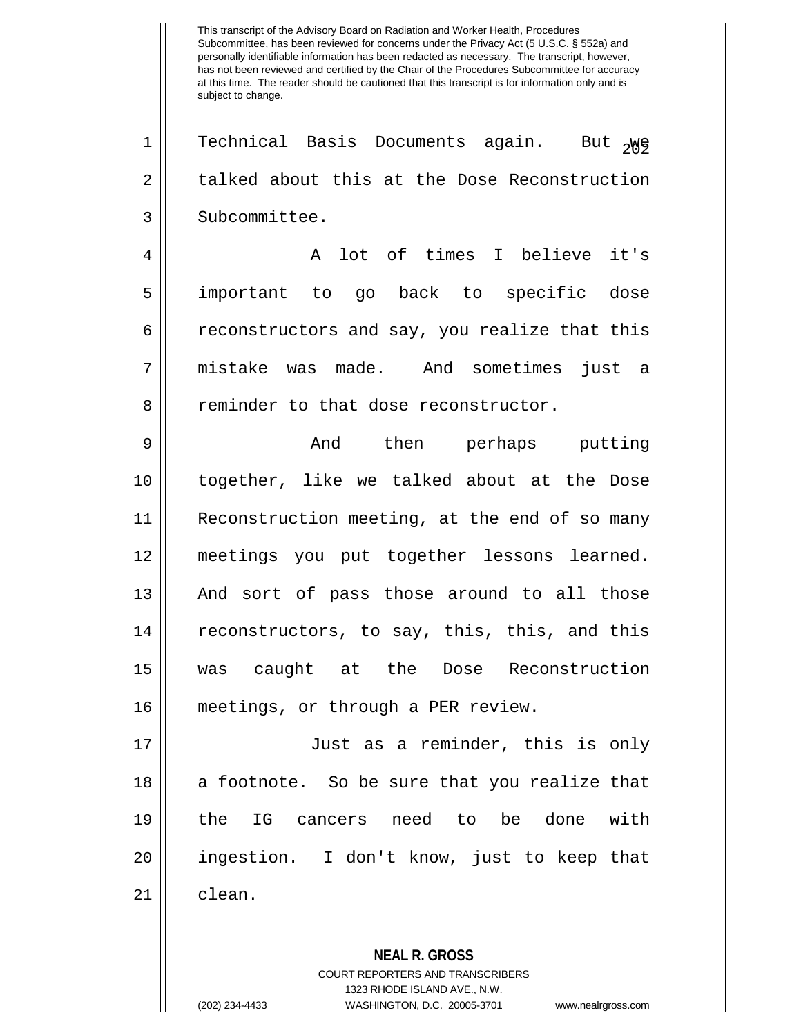1 || Technical Basis Documents again. But <sub>2</sub>Wg 2 talked about this at the Dose Reconstruction 3 | Subcommittee.

4 A lot of times I believe it's 5 important to go back to specific dose 6 caconstructors and say, you realize that this 7 mistake was made. And sometimes just a 8 | reminder to that dose reconstructor.

 And then perhaps putting together, like we talked about at the Dose Reconstruction meeting, at the end of so many meetings you put together lessons learned. 13 || And sort of pass those around to all those 14 || reconstructors, to say, this, this, and this was caught at the Dose Reconstruction meetings, or through a PER review.

 Just as a reminder, this is only || a footnote. So be sure that you realize that the IG cancers need to be done with ingestion. I don't know, just to keep that 21 || clean.

> **NEAL R. GROSS** COURT REPORTERS AND TRANSCRIBERS 1323 RHODE ISLAND AVE., N.W. (202) 234-4433 WASHINGTON, D.C. 20005-3701 www.nealrgross.com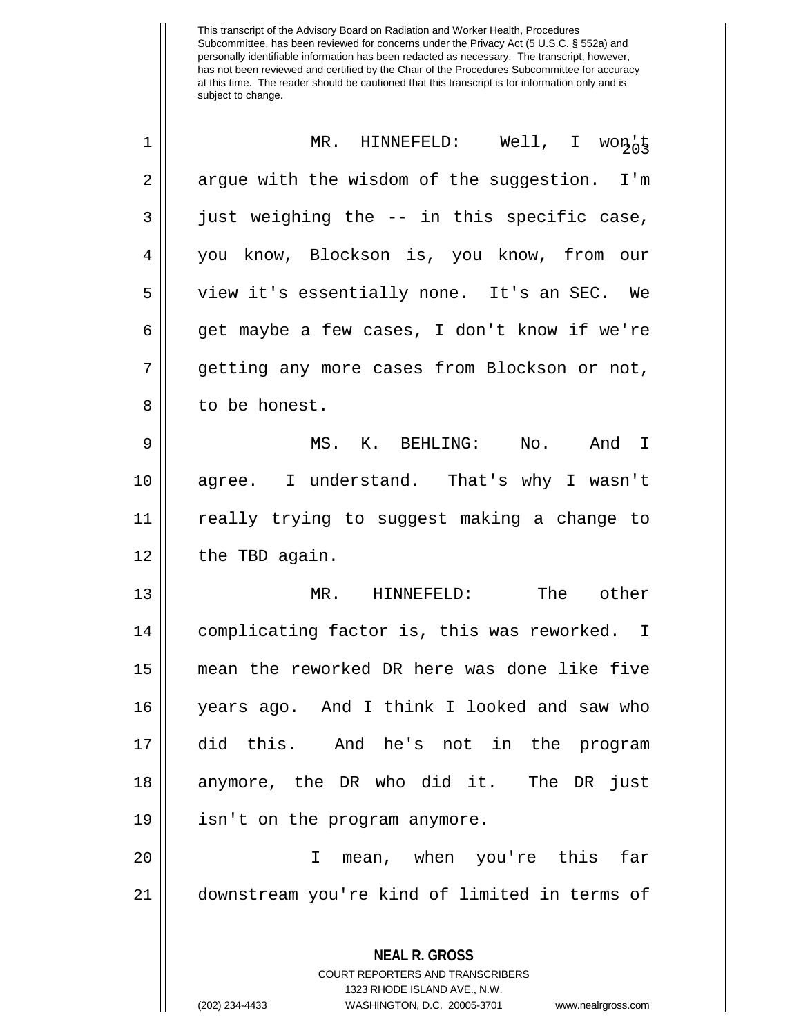| 1              | MR. HINNEFELD: Well, I won                                                                                                                                             |
|----------------|------------------------------------------------------------------------------------------------------------------------------------------------------------------------|
| 2              | argue with the wisdom of the suggestion. I'm                                                                                                                           |
| 3              | just weighing the -- in this specific case,                                                                                                                            |
| $\overline{4}$ | you know, Blockson is, you know, from our                                                                                                                              |
| 5              | view it's essentially none. It's an SEC. We                                                                                                                            |
| 6              | get maybe a few cases, I don't know if we're                                                                                                                           |
| 7              | getting any more cases from Blockson or not,                                                                                                                           |
| 8              | to be honest.                                                                                                                                                          |
| 9              | MS. K. BEHLING: No. And I                                                                                                                                              |
| 10             | agree. I understand. That's why I wasn't                                                                                                                               |
| 11             | really trying to suggest making a change to                                                                                                                            |
| 12             | the TBD again.                                                                                                                                                         |
| 13             | MR. HINNEFELD: The other                                                                                                                                               |
| 14             | complicating factor is, this was reworked. I                                                                                                                           |
| 15             | mean the reworked DR here was done like five                                                                                                                           |
| 16             | years ago. And I think I looked and saw who                                                                                                                            |
| 17             | did this. And he's not in the program                                                                                                                                  |
| 18             | anymore, the DR who did it. The DR just                                                                                                                                |
| 19             | isn't on the program anymore.                                                                                                                                          |
| 20             | mean, when you're this<br>far<br>I.                                                                                                                                    |
| 21             | downstream you're kind of limited in terms of                                                                                                                          |
|                | <b>NEAL R. GROSS</b><br><b>COURT REPORTERS AND TRANSCRIBERS</b><br>1323 RHODE ISLAND AVE., N.W.<br>(202) 234-4433<br>WASHINGTON, D.C. 20005-3701<br>www.nealrgross.com |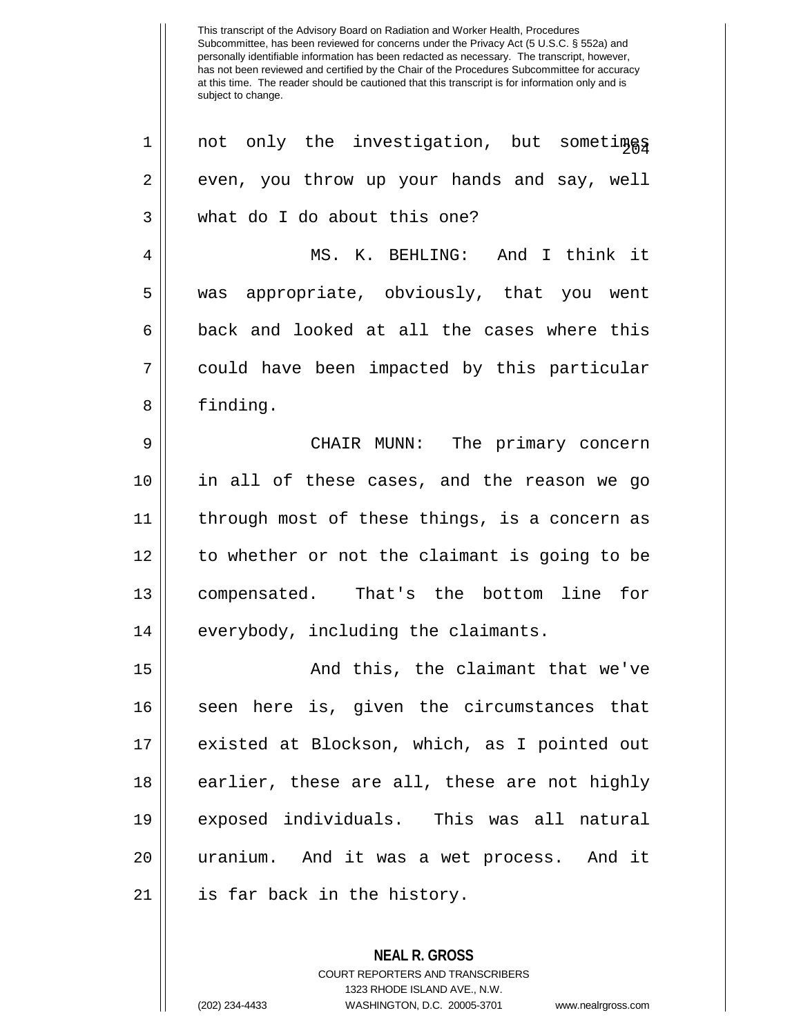| $\mathbf 1$ | not only the investigation, but someting      |
|-------------|-----------------------------------------------|
| $\mathbf 2$ | even, you throw up your hands and say, well   |
| 3           | what do I do about this one?                  |
| 4           | MS. K. BEHLING: And I think it                |
| 5           | was appropriate, obviously, that you went     |
| 6           | back and looked at all the cases where this   |
| 7           | could have been impacted by this particular   |
| 8           | finding.                                      |
| 9           | CHAIR MUNN: The primary concern               |
| 10          | in all of these cases, and the reason we go   |
| 11          | through most of these things, is a concern as |
| 12          | to whether or not the claimant is going to be |
| 13          | compensated. That's the bottom line for       |
| 14          | everybody, including the claimants.           |
| 15          | And this, the claimant that we've             |
| 16          | seen here is, given the circumstances that    |
| 17          | existed at Blockson, which, as I pointed out  |
| 18          | earlier, these are all, these are not highly  |
| 19          | exposed individuals. This was all natural     |
| 20          | uranium. And it was a wet process. And it     |
| 21          | is far back in the history.                   |

**NEAL R. GROSS** COURT REPORTERS AND TRANSCRIBERS 1323 RHODE ISLAND AVE., N.W. (202) 234-4433 WASHINGTON, D.C. 20005-3701 www.nealrgross.com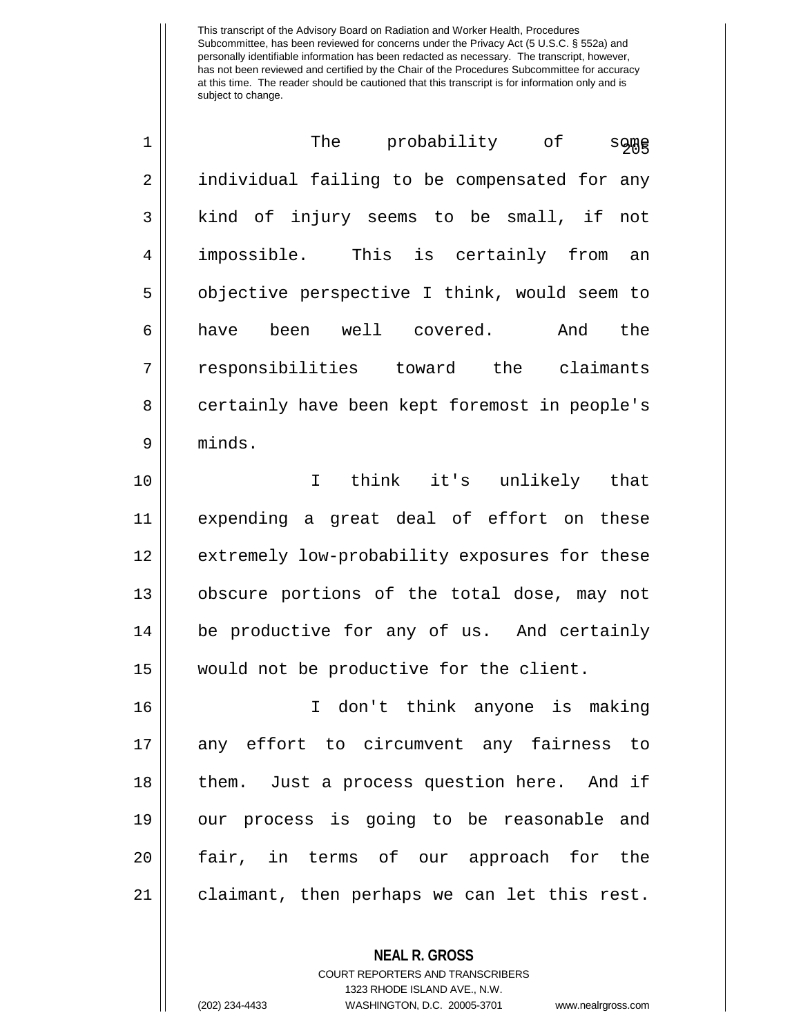| $\mathbf 1$ | probability of<br>The<br><b>s</b> 이때          |
|-------------|-----------------------------------------------|
| 2           | individual failing to be compensated for any  |
| 3           | kind of injury seems to be small, if<br>not   |
| 4           | impossible. This is certainly from an         |
| 5           | objective perspective I think, would seem to  |
| 6           | been well covered.<br>the<br>And<br>have      |
| 7           | responsibilities toward the claimants         |
| 8           | certainly have been kept foremost in people's |
| 9           | minds.                                        |

 I think it's unlikely that expending a great deal of effort on these 12 | extremely low-probability exposures for these obscure portions of the total dose, may not 14 | be productive for any of us. And certainly would not be productive for the client.

 I don't think anyone is making any effort to circumvent any fairness to 18 || them. Just a process question here. And if our process is going to be reasonable and fair, in terms of our approach for the claimant, then perhaps we can let this rest.

## **NEAL R. GROSS** COURT REPORTERS AND TRANSCRIBERS 1323 RHODE ISLAND AVE., N.W.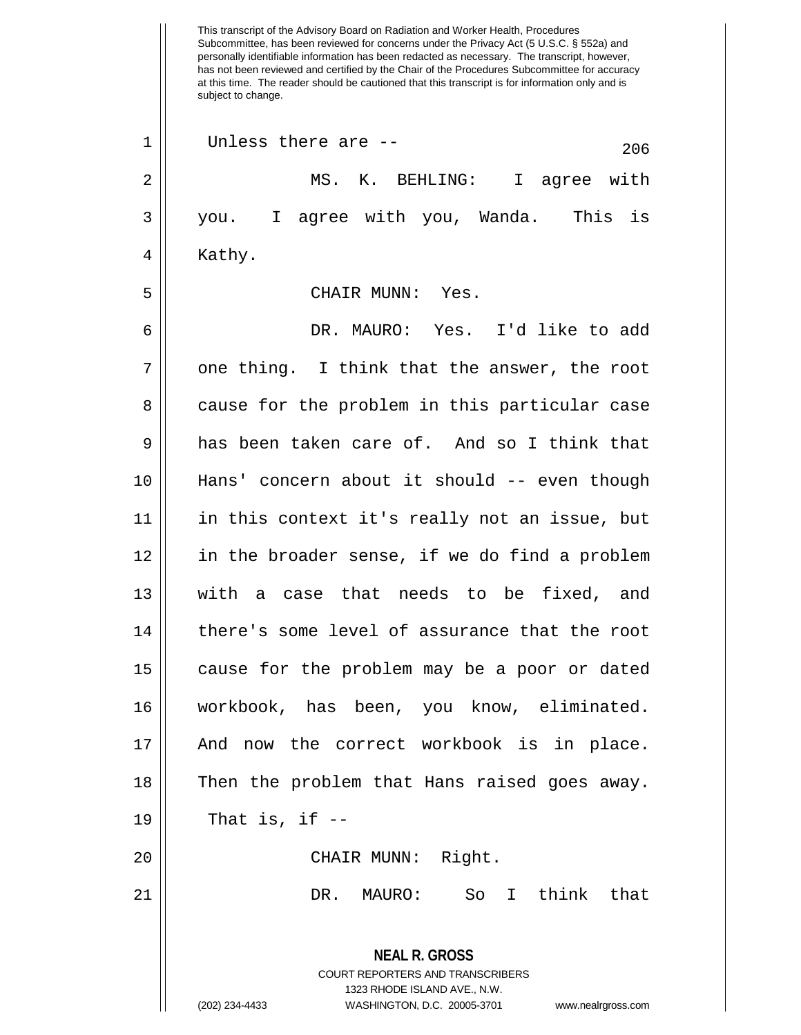This transcript of the Advisory Board on Radiation and Worker Health, Procedures Subcommittee, has been reviewed for concerns under the Privacy Act (5 U.S.C. § 552a) and personally identifiable information has been redacted as necessary. The transcript, however, has not been reviewed and certified by the Chair of the Procedures Subcommittee for accuracy at this time. The reader should be cautioned that this transcript is for information only and is subject to change. **NEAL R. GROSS** COURT REPORTERS AND TRANSCRIBERS 1323 RHODE ISLAND AVE., N.W. (202) 234-4433 WASHINGTON, D.C. 20005-3701 www.nealrgross.com  $206$  1 | Unless there are --2 || MS. K. BEHLING: I agree with 3 you. I agree with you, Wanda. This is 4 | Kathy. 5 CHAIR MUNN: Yes. 6 DR. MAURO: Yes. I'd like to add  $7 ||$  one thing. I think that the answer, the root 8 cause for the problem in this particular case 9 and has been taken care of. And so I think that 10 Hans' concern about it should -- even though 11 in this context it's really not an issue, but 12 || in the broader sense, if we do find a problem 13 with a case that needs to be fixed, and 14 || there's some level of assurance that the root 15 || cause for the problem may be a poor or dated 16 workbook, has been, you know, eliminated. 17 And now the correct workbook is in place. 18 || Then the problem that Hans raised goes away.  $19 \parallel$  That is, if  $-$ 20 || CHAIR MUNN: Right. 21 DR. MAURO: So I think that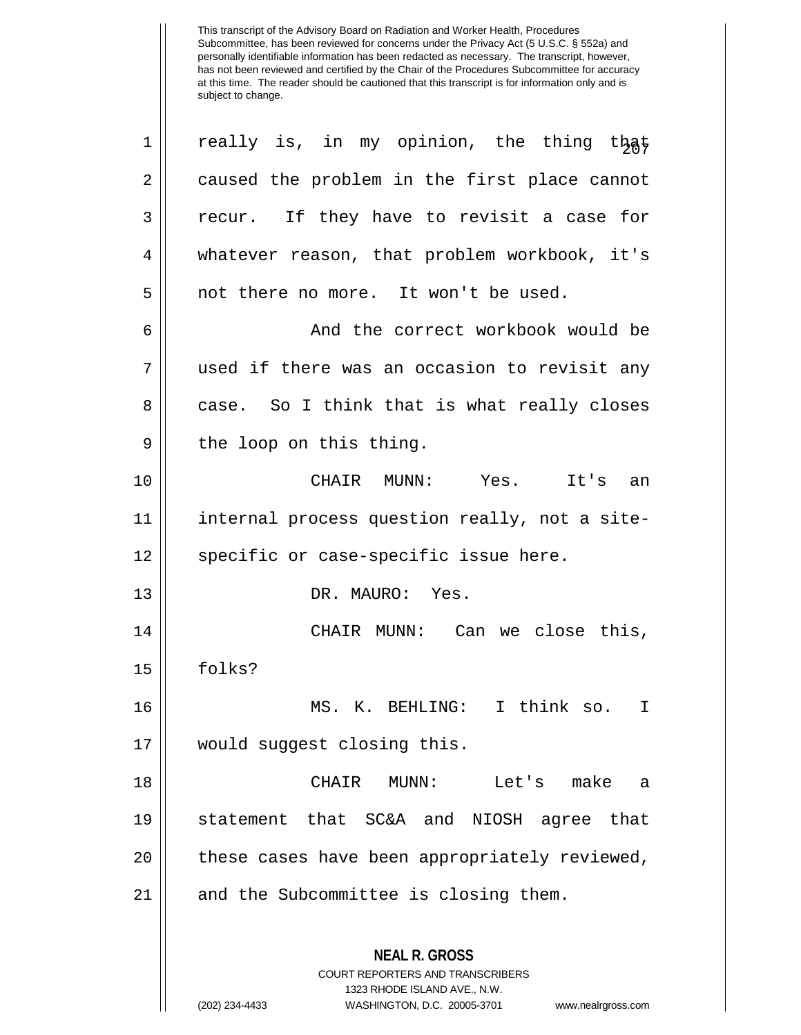**NEAL R. GROSS** COURT REPORTERS AND TRANSCRIBERS 1323 RHODE ISLAND AVE., N.W. (202) 234-4433 WASHINGTON, D.C. 20005-3701 www.nealrgross.com  $1 \parallel$  really is, in my opinion, the thing that 2 | caused the problem in the first place cannot 3 || recur. If they have to revisit a case for 4 whatever reason, that problem workbook, it's 5 || not there no more. It won't be used. 6 And the correct workbook would be 7 used if there was an occasion to revisit any 8 case. So I think that is what really closes  $9 \parallel$  the loop on this thing. 10 CHAIR MUNN: Yes. It's an 11 || internal process question really, not a site-12 || specific or case-specific issue here. 13 DR. MAURO: Yes. 14 CHAIR MUNN: Can we close this, 15 folks? 16 MS. K. BEHLING: I think so. I 17 would suggest closing this. 18 CHAIR MUNN: Let's make a 19 statement that SC&A and NIOSH agree that 20 || these cases have been appropriately reviewed, 21 || and the Subcommittee is closing them.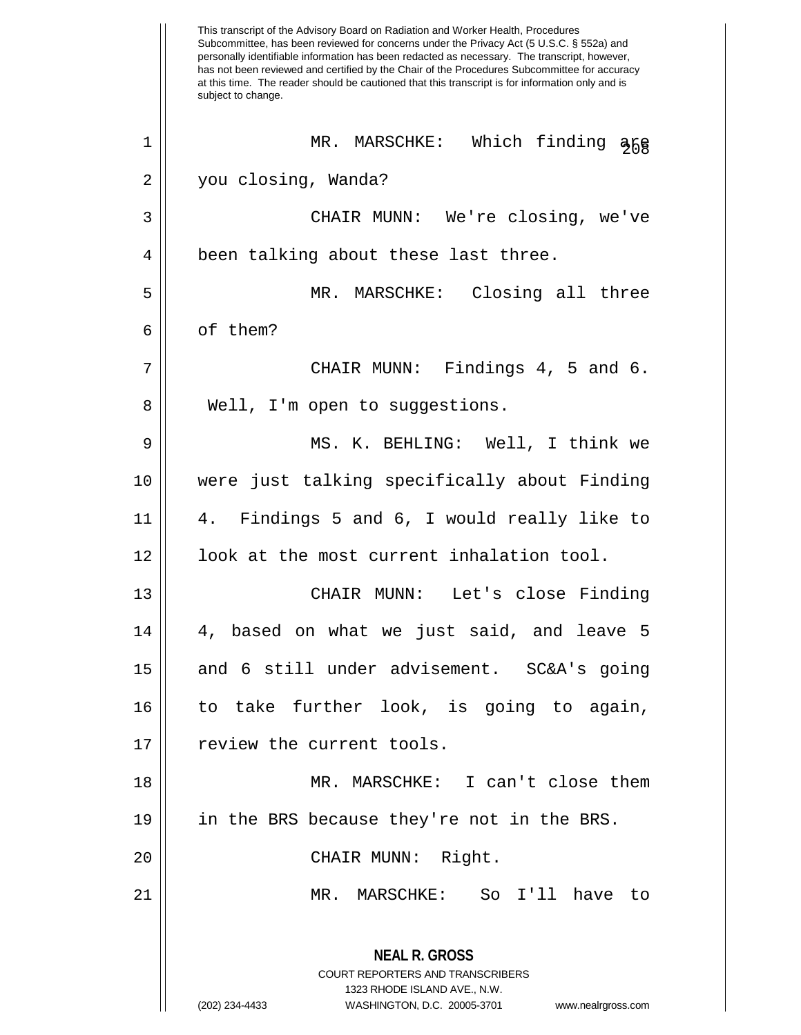This transcript of the Advisory Board on Radiation and Worker Health, Procedures Subcommittee, has been reviewed for concerns under the Privacy Act (5 U.S.C. § 552a) and personally identifiable information has been redacted as necessary. The transcript, however, has not been reviewed and certified by the Chair of the Procedures Subcommittee for accuracy at this time. The reader should be cautioned that this transcript is for information only and is subject to change. **NEAL R. GROSS** COURT REPORTERS AND TRANSCRIBERS 1323 RHODE ISLAND AVE., N.W. (202) 234-4433 WASHINGTON, D.C. 20005-3701 www.nealrgross.com 1 || MR. MARSCHKE: Which finding  $\frac{266}{366}$ 2 you closing, Wanda? 3 CHAIR MUNN: We're closing, we've 4 || been talking about these last three. 5 MR. MARSCHKE: Closing all three 6 || of them?  $7 \parallel$  CHAIR MUNN: Findings 4, 5 and 6. 8 || Well, I'm open to suggestions. 9 MS. K. BEHLING: Well, I think we 10 were just talking specifically about Finding 11 4. Findings 5 and 6, I would really like to 12 | look at the most current inhalation tool. 13 CHAIR MUNN: Let's close Finding  $14 \parallel 4$ , based on what we just said, and leave 5 15 and 6 still under advisement. SC&A's going 16 to take further look, is going to again, 17 || review the current tools. 18 MR. MARSCHKE: I can't close them 19 in the BRS because they're not in the BRS. 20 || CHAIR MUNN: Right. 21 MR. MARSCHKE: So I'll have to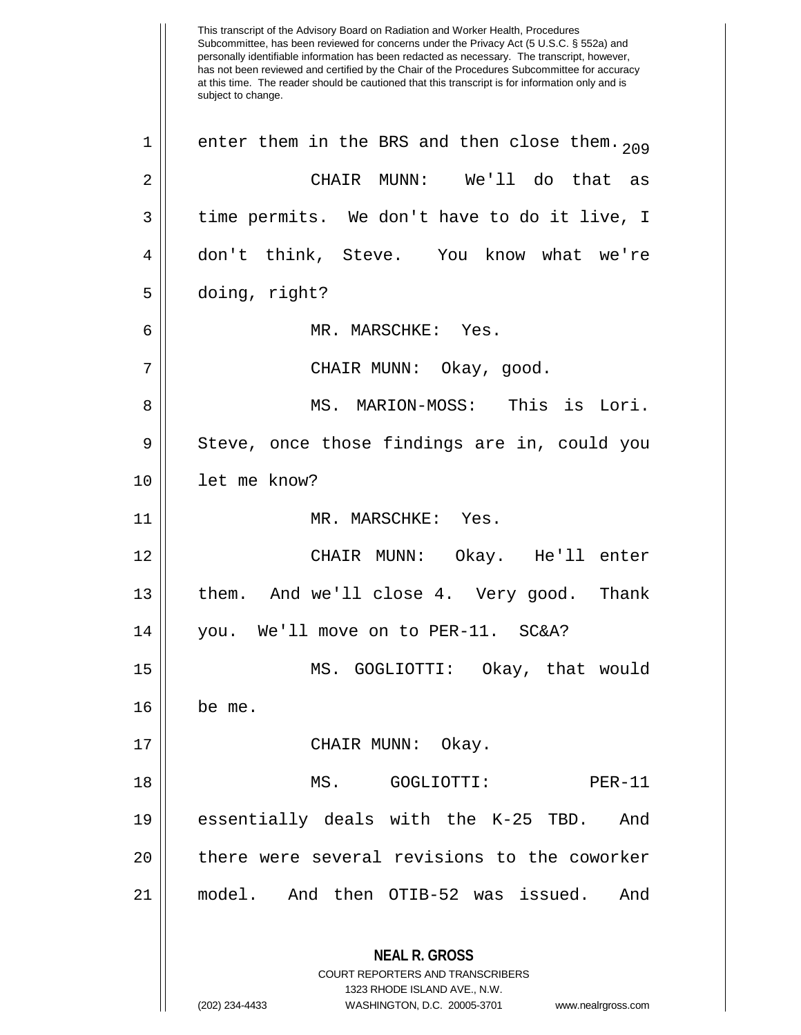This transcript of the Advisory Board on Radiation and Worker Health, Procedures Subcommittee, has been reviewed for concerns under the Privacy Act (5 U.S.C. § 552a) and personally identifiable information has been redacted as necessary. The transcript, however, has not been reviewed and certified by the Chair of the Procedures Subcommittee for accuracy at this time. The reader should be cautioned that this transcript is for information only and is subject to change. **NEAL R. GROSS** COURT REPORTERS AND TRANSCRIBERS 1323 RHODE ISLAND AVE., N.W. (202) 234-4433 WASHINGTON, D.C. 20005-3701 www.nealrgross.com 1 || enter them in the BRS and then close them.  $200$ 2 CHAIR MUNN: We'll do that as  $3 \parallel$  time permits. We don't have to do it live, I 4 don't think, Steve. You know what we're 5 doing, right? 6 MR. MARSCHKE: Yes. 7 CHAIR MUNN: Okay, good. 8 MS. MARION-MOSS: This is Lori.  $9 \parallel$  Steve, once those findings are in, could you 10 let me know? 11 MR. MARSCHKE: Yes. 12 CHAIR MUNN: Okay. He'll enter 13 || them. And we'll close 4. Very good. Thank 14 || you. We'll move on to PER-11. SC&A? 15 MS. GOGLIOTTI: Okay, that would 16 be me. 17 CHAIR MUNN: Okay. 18 MS. GOGLIOTTI: PER-11 19 essentially deals with the K-25 TBD. And 20 || there were several revisions to the coworker 21 model. And then OTIB-52 was issued. And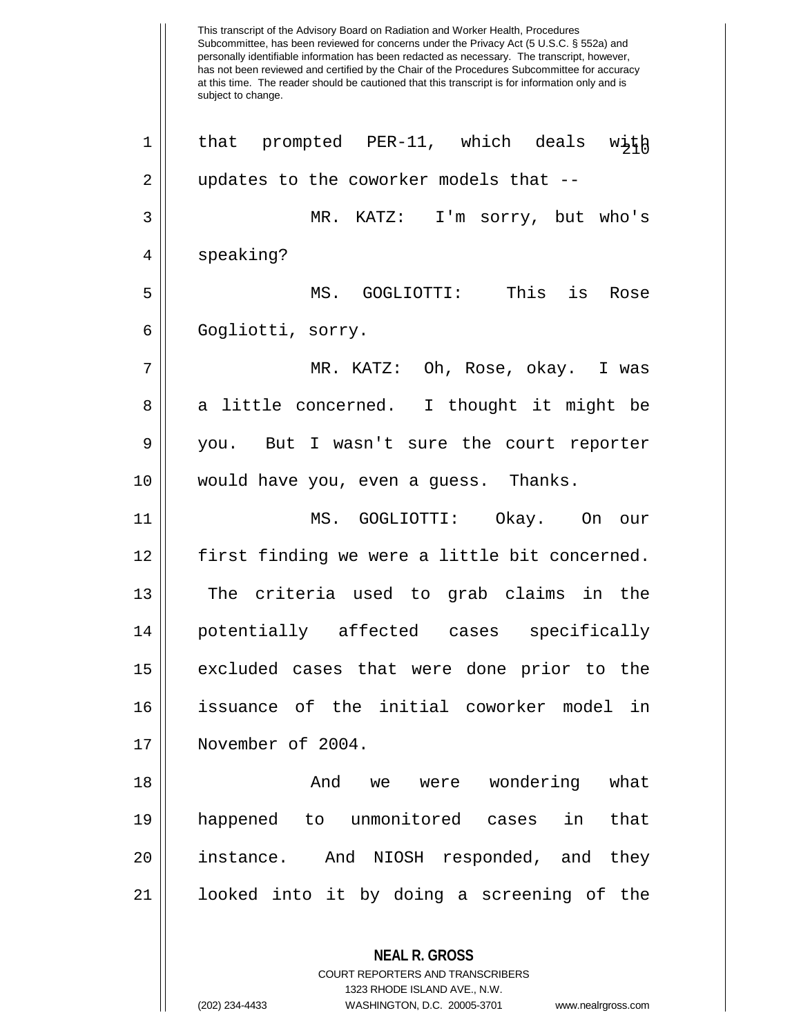This transcript of the Advisory Board on Radiation and Worker Health, Procedures Subcommittee, has been reviewed for concerns under the Privacy Act (5 U.S.C. § 552a) and personally identifiable information has been redacted as necessary. The transcript, however, has not been reviewed and certified by the Chair of the Procedures Subcommittee for accuracy at this time. The reader should be cautioned that this transcript is for information only and is subject to change. **NEAL R. GROSS** COURT REPORTERS AND TRANSCRIBERS  $\begin{array}{ccc} 1 & \text{that} & \text{prompted} & \text{PER-11}, & \text{which} & \text{deals} & \text{with} \end{array}$ 2 || updates to the coworker models that --3 MR. KATZ: I'm sorry, but who's 4 || speaking? 5 MS. GOGLIOTTI: This is Rose 6 | Gogliotti, sorry. 7 MR. KATZ: Oh, Rose, okay. I was  $8 \parallel$  a little concerned. I thought it might be 9 || you. But I wasn't sure the court reporter 10 would have you, even a guess. Thanks. 11 MS. GOGLIOTTI: Okay. On our 12 || first finding we were a little bit concerned. 13 || The criteria used to grab claims in the 14 potentially affected cases specifically 15 excluded cases that were done prior to the 16 issuance of the initial coworker model in 17 November of 2004. 18 And we were wondering what 19 happened to unmonitored cases in that 20 || instance. And NIOSH responded, and they 21 looked into it by doing a screening of the

1323 RHODE ISLAND AVE., N.W.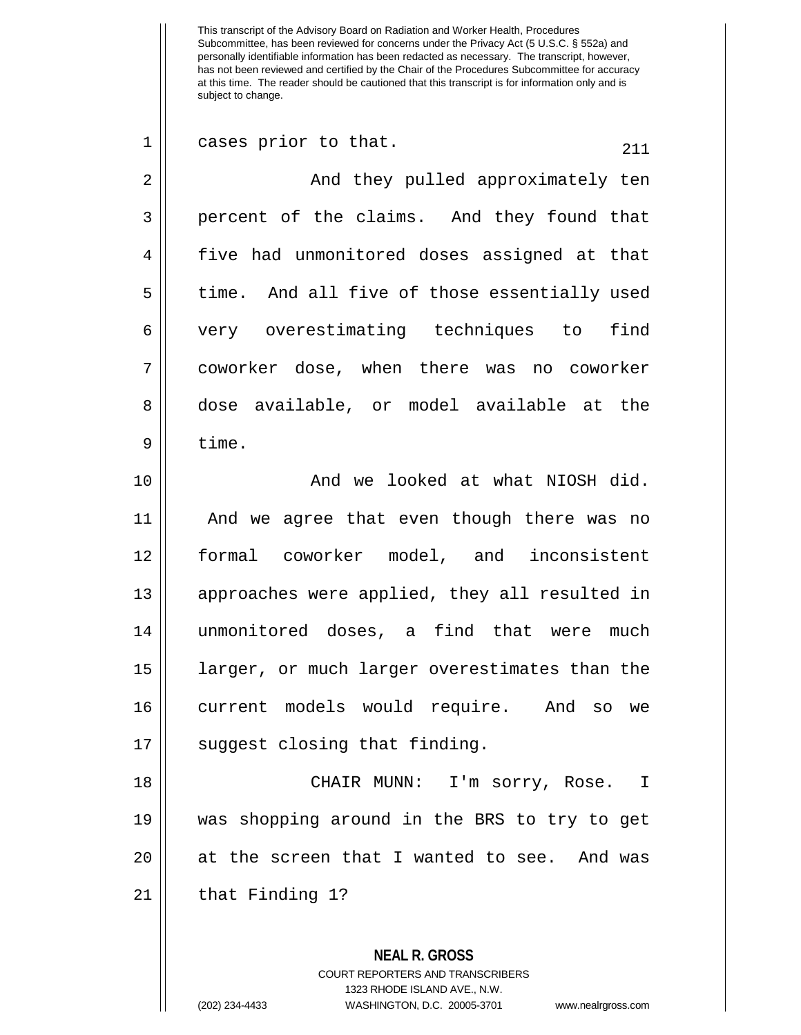| $\mathbf 1$ | cases prior to that.<br>211                   |
|-------------|-----------------------------------------------|
| 2           | And they pulled approximately ten             |
| 3           | percent of the claims. And they found that    |
| 4           | five had unmonitored doses assigned at that   |
| 5           | time. And all five of those essentially used  |
| 6           | very overestimating techniques to<br>find     |
| 7           | coworker dose, when there was no coworker     |
| 8           | dose available, or model available at the     |
| 9           | time.                                         |
| 10          | And we looked at what NIOSH did.              |
| 11          | And we agree that even though there was no    |
| 12          | formal coworker model, and inconsistent       |
| 13          | approaches were applied, they all resulted in |
| 14          | unmonitored doses, a find that were much      |
| 15          | larger, or much larger overestimates than the |
| 16          | current models would require. And so we       |
| 17          | suggest closing that finding.                 |
| 18          | CHAIR MUNN: I'm sorry, Rose. I                |
| 19          | was shopping around in the BRS to try to get  |
| 20          | at the screen that I wanted to see. And was   |
| 21          | that Finding 1?                               |
|             |                                               |
|             | <b>NEAL R. GROSS</b>                          |

COURT REPORTERS AND TRANSCRIBERS 1323 RHODE ISLAND AVE., N.W.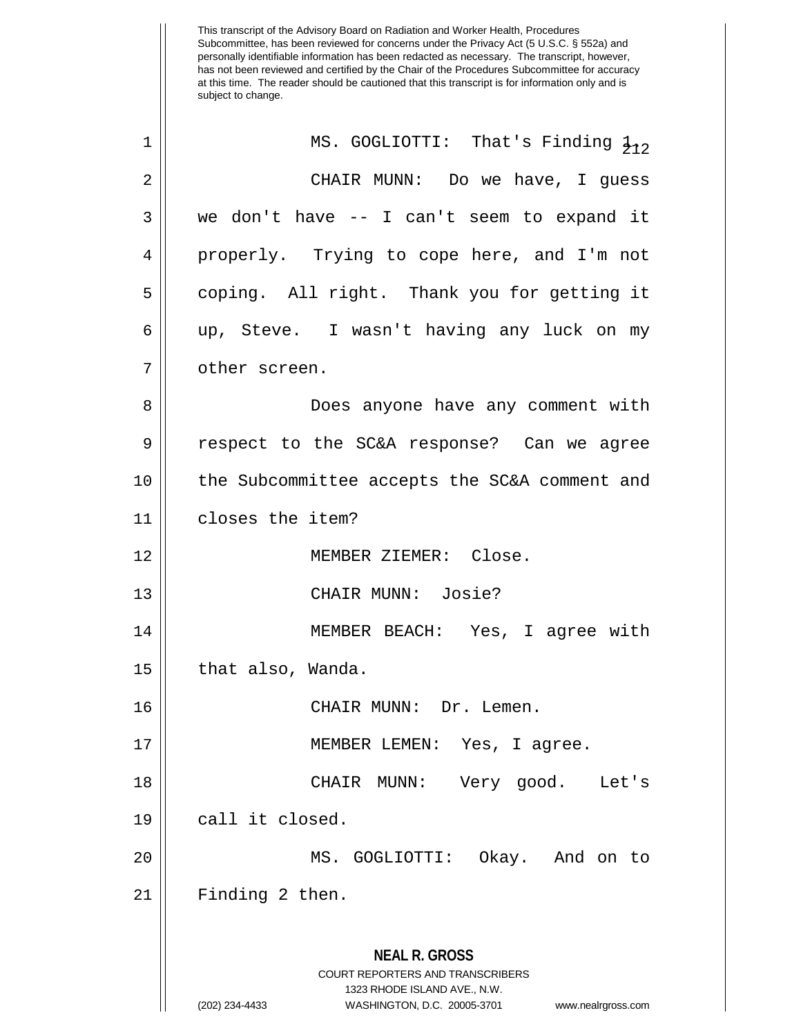| 1              | MS. GOGLIOTTI: That's Finding $\frac{1}{212}$                                                                                                                          |
|----------------|------------------------------------------------------------------------------------------------------------------------------------------------------------------------|
| $\overline{2}$ | CHAIR MUNN: Do we have, I guess                                                                                                                                        |
| 3              | we don't have -- I can't seem to expand it                                                                                                                             |
| 4              | properly. Trying to cope here, and I'm not                                                                                                                             |
| 5              | coping. All right. Thank you for getting it                                                                                                                            |
| 6              | up, Steve. I wasn't having any luck on my                                                                                                                              |
| 7              | other screen.                                                                                                                                                          |
| 8              | Does anyone have any comment with                                                                                                                                      |
| 9              | respect to the SC&A response? Can we agree                                                                                                                             |
| 10             | the Subcommittee accepts the SC&A comment and                                                                                                                          |
| 11             | closes the item?                                                                                                                                                       |
| 12             | MEMBER ZIEMER: Close.                                                                                                                                                  |
| 13             | CHAIR MUNN: Josie?                                                                                                                                                     |
| 14             | MEMBER BEACH: Yes, I agree with                                                                                                                                        |
| 15             | that also, Wanda.                                                                                                                                                      |
| 16             | CHAIR MUNN: Dr. Lemen.                                                                                                                                                 |
| 17             | MEMBER LEMEN: Yes, I agree.                                                                                                                                            |
| 18             | CHAIR MUNN:<br>Very good. Let's                                                                                                                                        |
| 19             | call it closed.                                                                                                                                                        |
| 20             | MS. GOGLIOTTI: Okay. And on to                                                                                                                                         |
| 21             | Finding 2 then.                                                                                                                                                        |
|                | <b>NEAL R. GROSS</b><br><b>COURT REPORTERS AND TRANSCRIBERS</b><br>1323 RHODE ISLAND AVE., N.W.<br>WASHINGTON, D.C. 20005-3701<br>(202) 234-4433<br>www.nealrgross.com |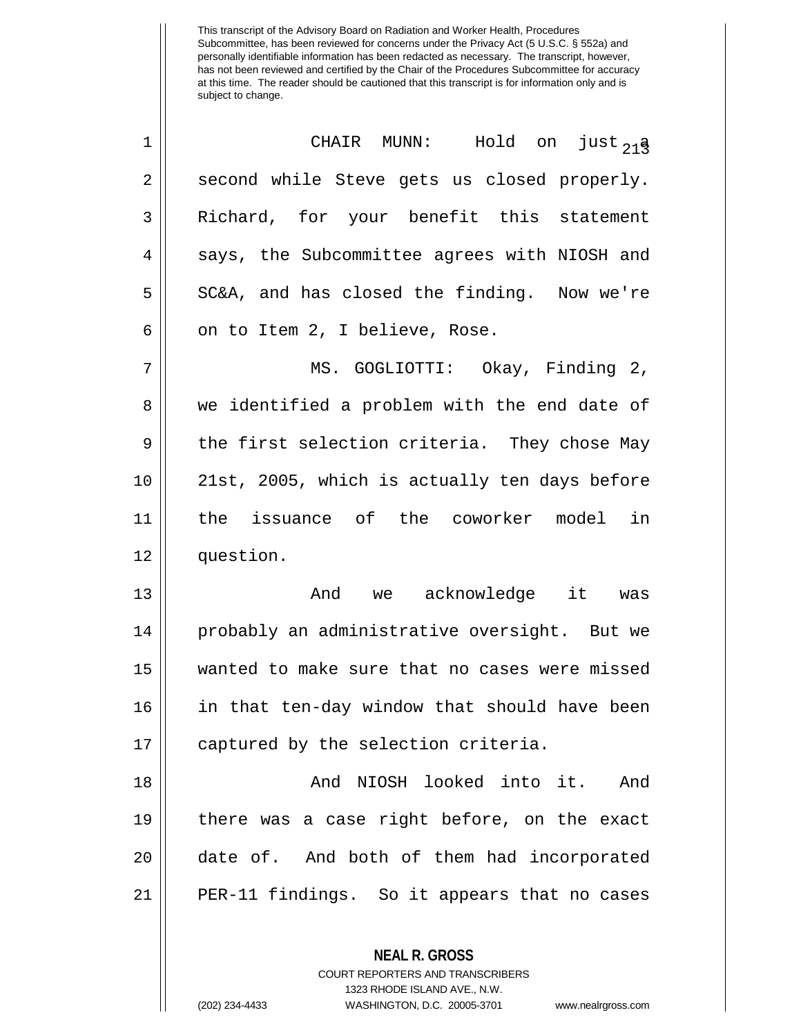| $\mathbf 1$ | CHAIR MUNN: Hold on just <sub>21</sub> 3                 |
|-------------|----------------------------------------------------------|
| 2           | second while Steve gets us closed properly.              |
| 3           | Richard, for your benefit this statement                 |
| 4           | says, the Subcommittee agrees with NIOSH and             |
| 5           | SC&A, and has closed the finding. Now we're              |
| 6           | on to Item 2, I believe, Rose.                           |
| 7           | MS. GOGLIOTTI: Okay, Finding 2,                          |
| 8           | we identified a problem with the end date of             |
| 9           | the first selection criteria. They chose May             |
| 10          | 21st, 2005, which is actually ten days before            |
| 11          | the issuance of the coworker model in                    |
| 12          | question.                                                |
| 13          | And we acknowledge it was                                |
| 14          | probably an administrative oversight. But we             |
| 15          | wanted to make sure that no cases were missed            |
| 16          | in that ten-day window that should have been             |
| 17          | captured by the selection criteria.                      |
| 18          | And NIOSH looked into it. And                            |
| 19          | there was a case right before, on the exact              |
| 20          | date of. And both of them had incorporated               |
| 21          | PER-11 findings. So it appears that no cases             |
|             | <b>NEAL R. GROSS</b><br>COURT REPORTERS AND TRANSCRIBERS |

1323 RHODE ISLAND AVE., N.W.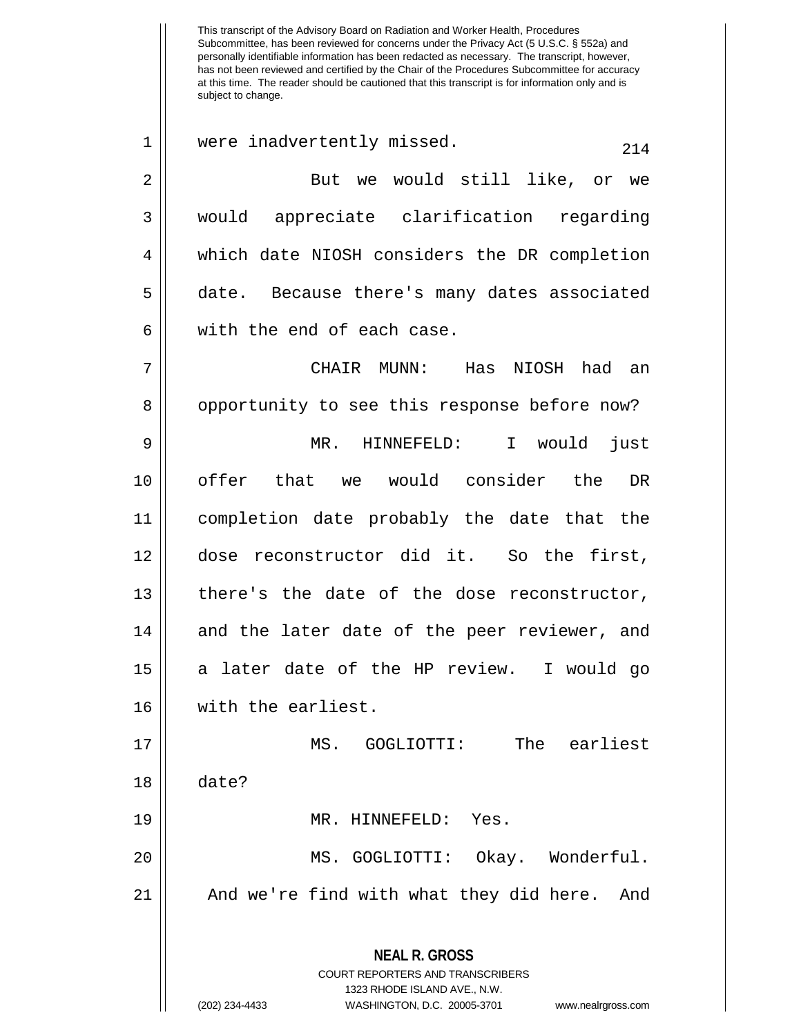This transcript of the Advisory Board on Radiation and Worker Health, Procedures Subcommittee, has been reviewed for concerns under the Privacy Act (5 U.S.C. § 552a) and personally identifiable information has been redacted as necessary. The transcript, however, has not been reviewed and certified by the Chair of the Procedures Subcommittee for accuracy at this time. The reader should be cautioned that this transcript is for information only and is subject to change. **NEAL R. GROSS** COURT REPORTERS AND TRANSCRIBERS 1323 RHODE ISLAND AVE., N.W. (202) 234-4433 WASHINGTON, D.C. 20005-3701 www.nealrgross.com  $1 \parallel$  were inadvertently missed.  $214$ 2 || But we would still like, or we 3 would appreciate clarification regarding 4 which date NIOSH considers the DR completion 5 date. Because there's many dates associated 6 || with the end of each case. 7 CHAIR MUNN: Has NIOSH had an 8 | opportunity to see this response before now? 9 MR. HINNEFELD: I would just 10 || offer that we would consider the DR 11 completion date probably the date that the 12 dose reconstructor did it. So the first, 13 there's the date of the dose reconstructor,  $14$  and the later date of the peer reviewer, and 15 a later date of the HP review. I would go 16 with the earliest. 17 MS. GOGLIOTTI: The earliest 18 date? 19 || MR. HINNEFELD: Yes. 20 || MS. GOGLIOTTI: Okay. Wonderful. 21 || And we're find with what they did here. And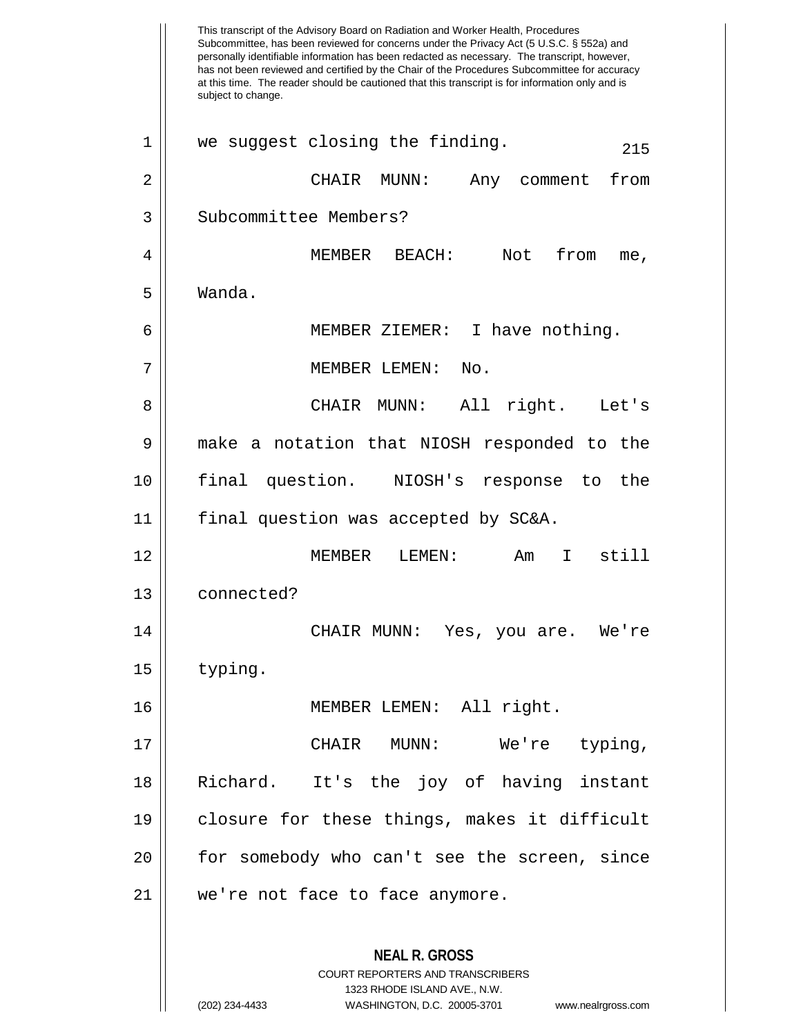This transcript of the Advisory Board on Radiation and Worker Health, Procedures Subcommittee, has been reviewed for concerns under the Privacy Act (5 U.S.C. § 552a) and personally identifiable information has been redacted as necessary. The transcript, however, has not been reviewed and certified by the Chair of the Procedures Subcommittee for accuracy at this time. The reader should be cautioned that this transcript is for information only and is subject to change. **NEAL R. GROSS** COURT REPORTERS AND TRANSCRIBERS 1323 RHODE ISLAND AVE., N.W. (202) 234-4433 WASHINGTON, D.C. 20005-3701 www.nealrgross.com  $1 \parallel$  we suggest closing the finding.  $215$ 2 CHAIR MUNN: Any comment from 3 | Subcommittee Members? 4 MEMBER BEACH: Not from me, 5 Wanda. 6 MEMBER ZIEMER: I have nothing. 7 MEMBER LEMEN: No. 8 CHAIR MUNN: All right. Let's 9 make a notation that NIOSH responded to the 10 final question. NIOSH's response to the 11 final question was accepted by SC&A. 12 MEMBER LEMEN: Am I still 13 connected? 14 CHAIR MUNN: Yes, you are. We're 15 typing. 16 MEMBER LEMEN: All right. 17 CHAIR MUNN: We're typing, 18 Richard. It's the joy of having instant 19 closure for these things, makes it difficult 20 || for somebody who can't see the screen, since 21 we're not face to face anymore.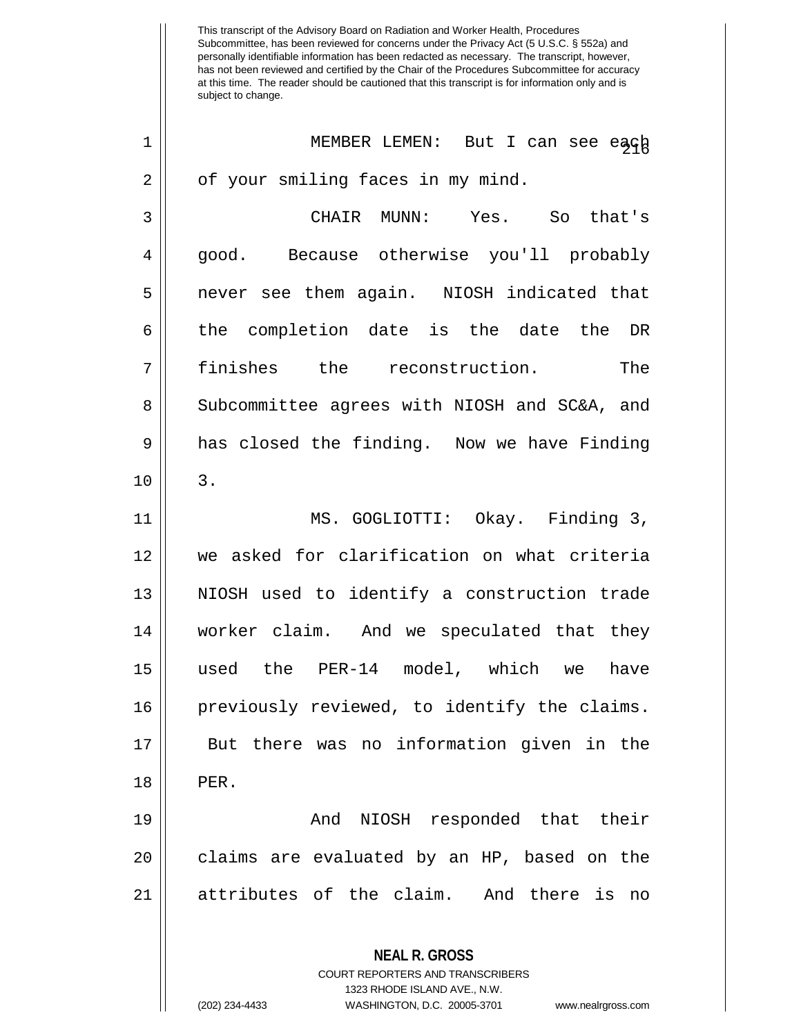1 || MEMBER LEMEN: But I can see each  $2 \parallel$  of your smiling faces in my mind.

3 CHAIR MUNN: Yes. So that's 4 good. Because otherwise you'll probably 5 || never see them again. NIOSH indicated that 6 || the completion date is the date the DR 7 finishes the reconstruction. The 8 | Subcommittee agrees with NIOSH and SC&A, and 9 || has closed the finding. Now we have Finding  $10 \parallel 3$ .

 MS. GOGLIOTTI: Okay. Finding 3, we asked for clarification on what criteria NIOSH used to identify a construction trade worker claim. And we speculated that they used the PER-14 model, which we have previously reviewed, to identify the claims. But there was no information given in the 18 PER.

19 And NIOSH responded that their 20 || claims are evaluated by an HP, based on the 21 attributes of the claim. And there is no

> **NEAL R. GROSS** COURT REPORTERS AND TRANSCRIBERS 1323 RHODE ISLAND AVE., N.W. (202) 234-4433 WASHINGTON, D.C. 20005-3701 www.nealrgross.com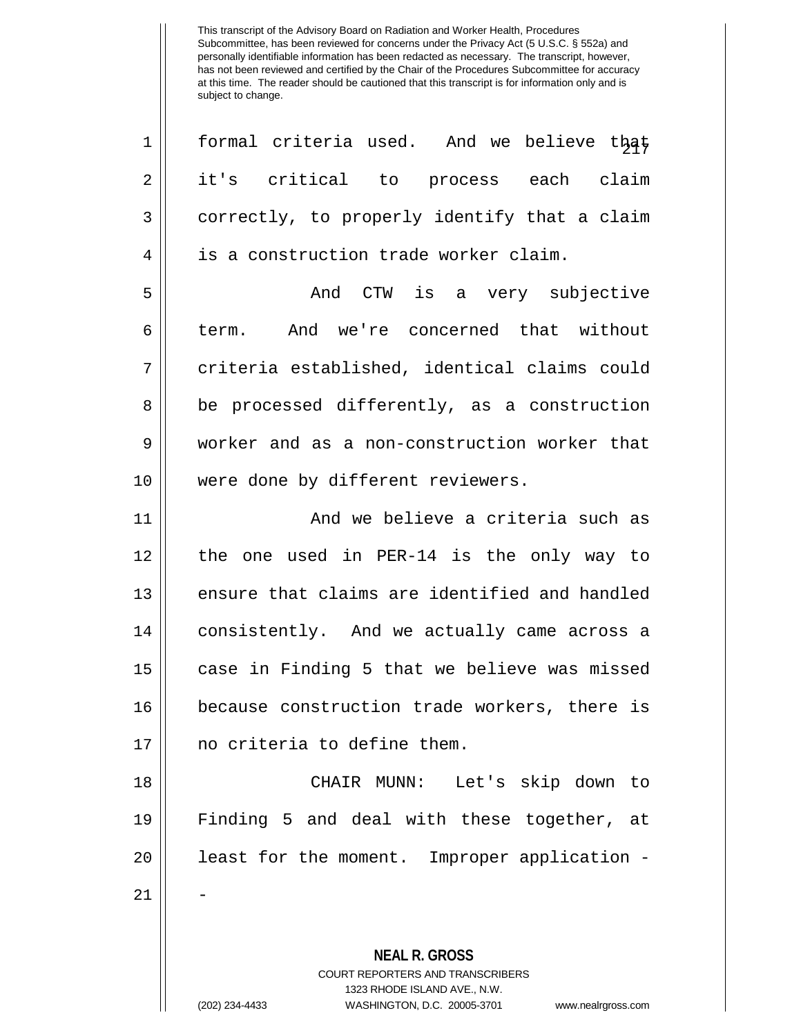**NEAL R. GROSS** COURT REPORTERS AND TRANSCRIBERS 1323 RHODE ISLAND AVE., N.W.  $1 \parallel$  formal criteria used. And we believe that 2 it's critical to process each claim  $3 \parallel$  correctly, to properly identify that a claim 4 | is a construction trade worker claim. 5 And CTW is a very subjective 6 || term. And we're concerned that without 7 || criteria established, identical claims could 8 || be processed differently, as a construction 9 worker and as a non-construction worker that 10 || were done by different reviewers. 11 And we believe a criteria such as 12 the one used in PER-14 is the only way to 13 || ensure that claims are identified and handled 14 | consistently. And we actually came across a 15 case in Finding 5 that we believe was missed 16 because construction trade workers, there is 17 no criteria to define them. 18 CHAIR MUNN: Let's skip down to 19 Finding 5 and deal with these together, at 20 || least for the moment. Improper application -21 -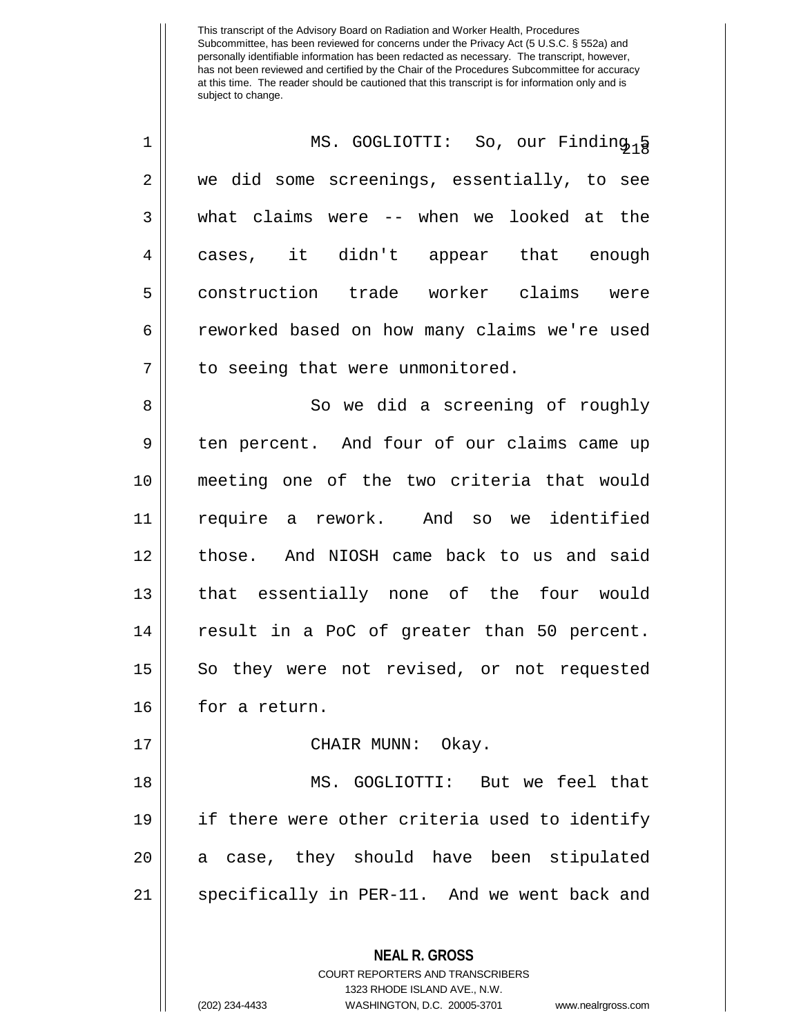| $\mathbf 1$ | MS. GOGLIOTTI: So, our Finding <sub>1</sub> § |
|-------------|-----------------------------------------------|
| 2           | we did some screenings, essentially, to see   |
| 3           | what claims were -- when we looked at the     |
| 4           | cases, it didn't appear that enough           |
| 5           | construction trade worker claims were         |
| 6           | reworked based on how many claims we're used  |
| 7           | to seeing that were unmonitored.              |
| 8           | So we did a screening of roughly              |
| 9           | ten percent. And four of our claims came up   |
| 10          | meeting one of the two criteria that would    |
| 11          | require a rework. And so we identified        |
| 12          | those. And NIOSH came back to us and said     |
| 13          | that essentially none of the four would       |
| 14          | result in a PoC of greater than 50 percent.   |
| 15          | So they were not revised, or not requested    |
| 16          | for a return.                                 |
| 17          | CHAIR MUNN: Okay.                             |
| 18          | MS. GOGLIOTTI: But we feel that               |
| 19          | if there were other criteria used to identify |
| 20          | a case, they should have been stipulated      |
| 21          | specifically in PER-11. And we went back and  |
|             | <b>NEAL R. GROSS</b>                          |

COURT REPORTERS AND TRANSCRIBERS 1323 RHODE ISLAND AVE., N.W.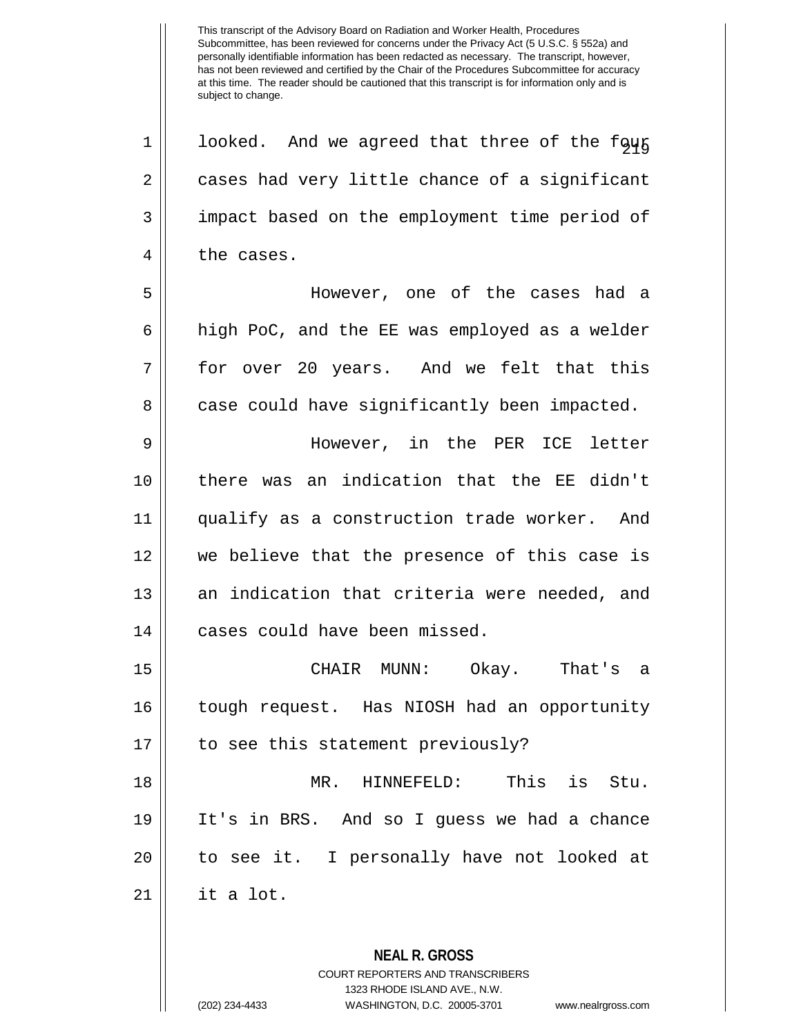**NEAL R. GROSS** COURT REPORTERS AND TRANSCRIBERS  $1 \parallel$  looked. And we agreed that three of the four  $2 \parallel$  cases had very little chance of a significant 3 | impact based on the employment time period of 4 | the cases. 5 However, one of the cases had a 6 high PoC, and the EE was employed as a welder 7 for over 20 years. And we felt that this  $8 \parallel$  case could have significantly been impacted. 9 However, in the PER ICE letter 10 there was an indication that the EE didn't 11 qualify as a construction trade worker. And 12 we believe that the presence of this case is 13 || an indication that criteria were needed, and 14 | cases could have been missed. 15 CHAIR MUNN: Okay. That's a 16 tough request. Has NIOSH had an opportunity 17 || to see this statement previously? 18 MR. HINNEFELD: This is Stu. 19 It's in BRS. And so I guess we had a chance 20 || to see it. I personally have not looked at  $21 \parallel$  it a lot.

1323 RHODE ISLAND AVE., N.W.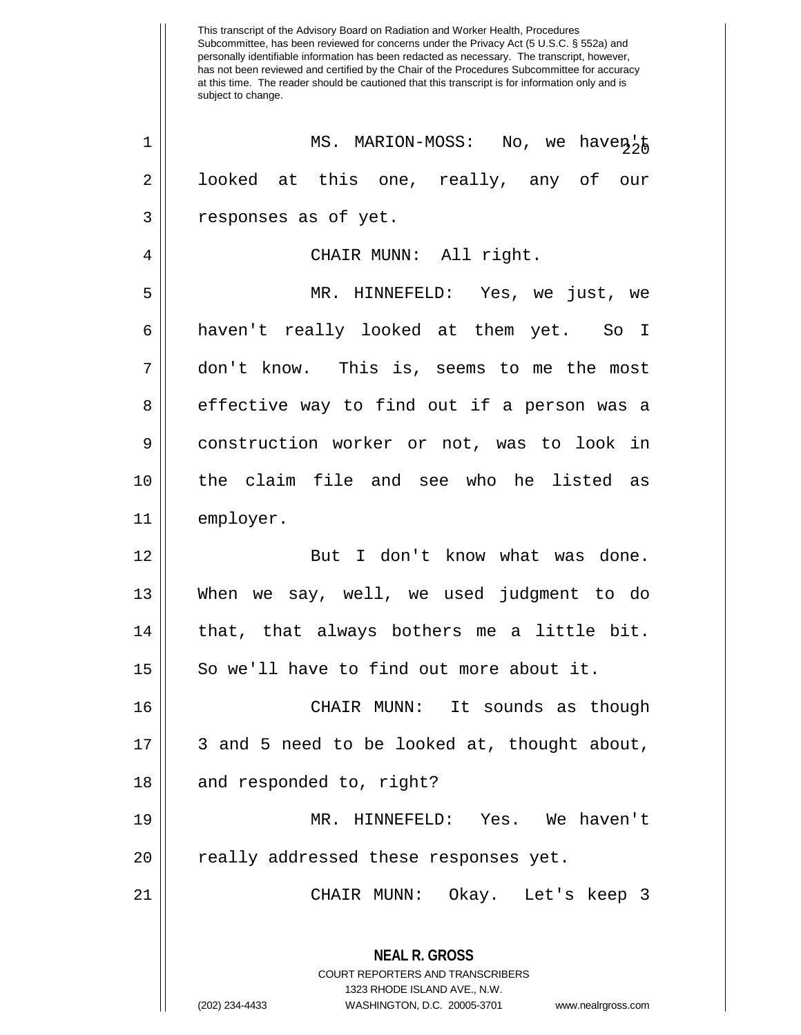This transcript of the Advisory Board on Radiation and Worker Health, Procedures Subcommittee, has been reviewed for concerns under the Privacy Act (5 U.S.C. § 552a) and personally identifiable information has been redacted as necessary. The transcript, however, has not been reviewed and certified by the Chair of the Procedures Subcommittee for accuracy at this time. The reader should be cautioned that this transcript is for information only and is subject to change. **NEAL R. GROSS** COURT REPORTERS AND TRANSCRIBERS 1323 RHODE ISLAND AVE., N.W. (202) 234-4433 WASHINGTON, D.C. 20005-3701 www.nealrgross.com <sup>220</sup> <sup>1</sup> MS. MARION-MOSS: No, we haven't 2 || looked at this one, really, any of our 3 | responses as of yet. 4 CHAIR MUNN: All right. 5 MR. HINNEFELD: Yes, we just, we 6 haven't really looked at them yet. So I 7 don't know. This is, seems to me the most 8 effective way to find out if a person was a 9 | construction worker or not, was to look in 10 the claim file and see who he listed as 11 employer. 12 || But I don't know what was done. 13 When we say, well, we used judgment to do  $14$  || that, that always bothers me a little bit.  $15$  So we'll have to find out more about it. 16 CHAIR MUNN: It sounds as though 17 || 3 and 5 need to be looked at, thought about,  $18$  || and responded to, right? 19 MR. HINNEFELD: Yes. We haven't 20 || really addressed these responses yet. 21 CHAIR MUNN: Okay. Let's keep 3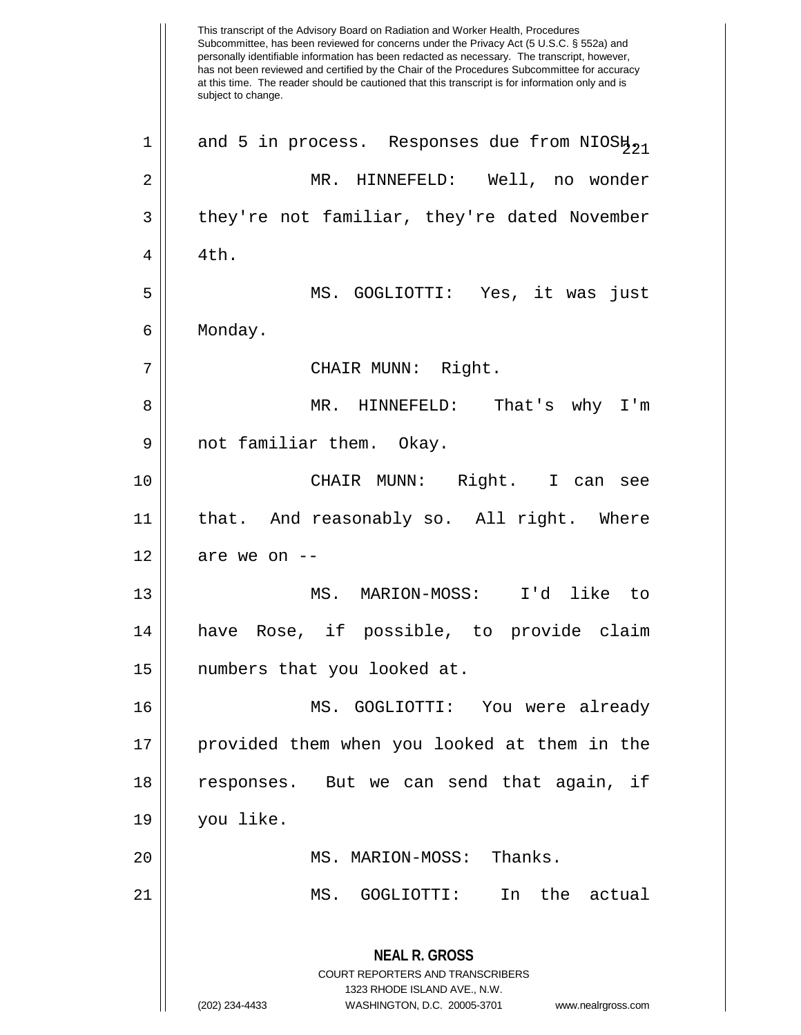This transcript of the Advisory Board on Radiation and Worker Health, Procedures Subcommittee, has been reviewed for concerns under the Privacy Act (5 U.S.C. § 552a) and personally identifiable information has been redacted as necessary. The transcript, however, has not been reviewed and certified by the Chair of the Procedures Subcommittee for accuracy at this time. The reader should be cautioned that this transcript is for information only and is subject to change. **NEAL R. GROSS** COURT REPORTERS AND TRANSCRIBERS 1323 RHODE ISLAND AVE., N.W. (202) 234-4433 WASHINGTON, D.C. 20005-3701 www.nealrgross.com 1 || and 5 in process. Responses due from NIOS $\mu_{21}$ 2 MR. HINNEFELD: Well, no wonder  $3 \parallel$  they're not familiar, they're dated November  $4 \parallel 4 \text{th}$ . 5 MS. GOGLIOTTI: Yes, it was just 6 Monday. 7 || CHAIR MUNN: Right. 8 MR. HINNEFELD: That's why I'm 9 || not familiar them. Okay. 10 CHAIR MUNN: Right. I can see 11 that. And reasonably so. All right. Where  $12$  | are we on  $-$ 13 MS. MARION-MOSS: I'd like to 14 have Rose, if possible, to provide claim 15 numbers that you looked at. 16 MS. GOGLIOTTI: You were already 17 provided them when you looked at them in the 18 || responses. But we can send that again, if 19 you like. 20 || MS. MARION-MOSS: Thanks. 21 MS. GOGLIOTTI: In the actual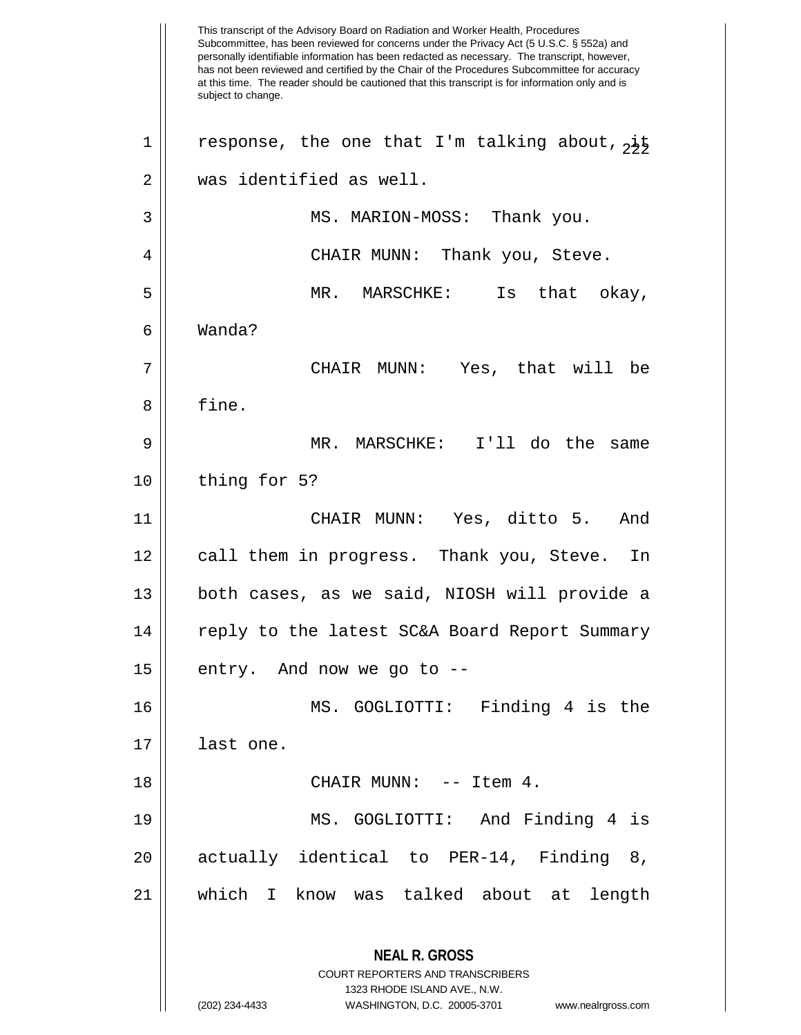This transcript of the Advisory Board on Radiation and Worker Health, Procedures Subcommittee, has been reviewed for concerns under the Privacy Act (5 U.S.C. § 552a) and personally identifiable information has been redacted as necessary. The transcript, however, has not been reviewed and certified by the Chair of the Procedures Subcommittee for accuracy at this time. The reader should be cautioned that this transcript is for information only and is subject to change. **NEAL R. GROSS** COURT REPORTERS AND TRANSCRIBERS 1323 RHODE ISLAND AVE., N.W. (202) 234-4433 WASHINGTON, D.C. 20005-3701 www.nealrgross.com 1 || response, the one that I'm talking about,  $\frac{1}{2}$ 2 was identified as well. 3 MS. MARION-MOSS: Thank you. 4 CHAIR MUNN: Thank you, Steve. 5 MR. MARSCHKE: Is that okay, 6 Wanda? 7 CHAIR MUNN: Yes, that will be 8 | fine. 9 MR. MARSCHKE: I'll do the same  $10$  | thing for 5? 11 CHAIR MUNN: Yes, ditto 5. And 12 || call them in progress. Thank you, Steve. In 13 both cases, as we said, NIOSH will provide a 14 || reply to the latest SC&A Board Report Summary  $15 \parallel$  entry. And now we go to --16 MS. GOGLIOTTI: Finding 4 is the 17 last one. 18 || CHAIR MUNN: -- Item 4. 19 MS. GOGLIOTTI: And Finding 4 is 20 || actually identical to PER-14, Finding 8, 21 which I know was talked about at length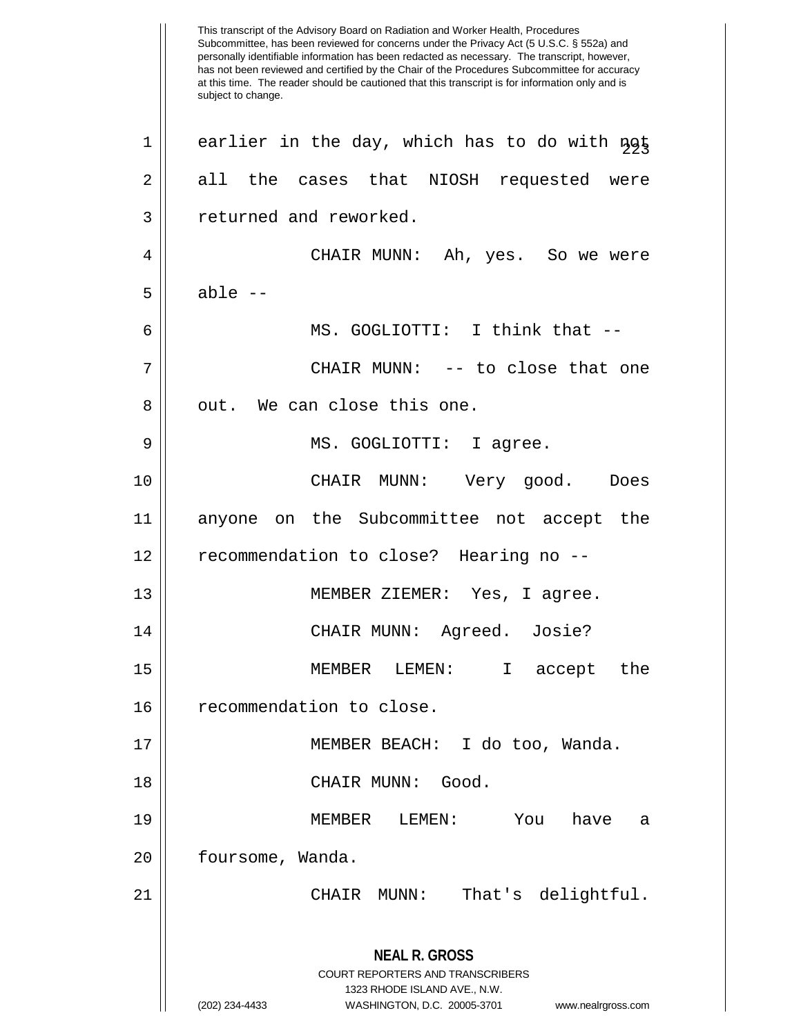This transcript of the Advisory Board on Radiation and Worker Health, Procedures Subcommittee, has been reviewed for concerns under the Privacy Act (5 U.S.C. § 552a) and personally identifiable information has been redacted as necessary. The transcript, however, has not been reviewed and certified by the Chair of the Procedures Subcommittee for accuracy at this time. The reader should be cautioned that this transcript is for information only and is subject to change. **NEAL R. GROSS** COURT REPORTERS AND TRANSCRIBERS 1323 RHODE ISLAND AVE., N.W. (202) 234-4433 WASHINGTON, D.C. 20005-3701 www.nealrgross.com  $22 |$  earlier in the day, which has to do with  $n \geq 1$  $2 \parallel$  all the cases that NIOSH requested were 3 || returned and reworked. 4 CHAIR MUNN: Ah, yes. So we were  $5 \parallel$  able  $-$ 6 MS. GOGLIOTTI: I think that -- 7 CHAIR MUNN: -- to close that one 8 || out. We can close this one. 9 MS. GOGLIOTTI: I agree. 10 CHAIR MUNN: Very good. Does 11 anyone on the Subcommittee not accept the 12 | recommendation to close? Hearing no --13 MEMBER ZIEMER: Yes, I agree. 14 CHAIR MUNN: Agreed. Josie? 15 MEMBER LEMEN: I accept the 16 | recommendation to close. 17 MEMBER BEACH: I do too, Wanda. 18 CHAIR MUNN: Good. 19 MEMBER LEMEN: You have a 20 | foursome, Wanda. 21 CHAIR MUNN: That's delightful.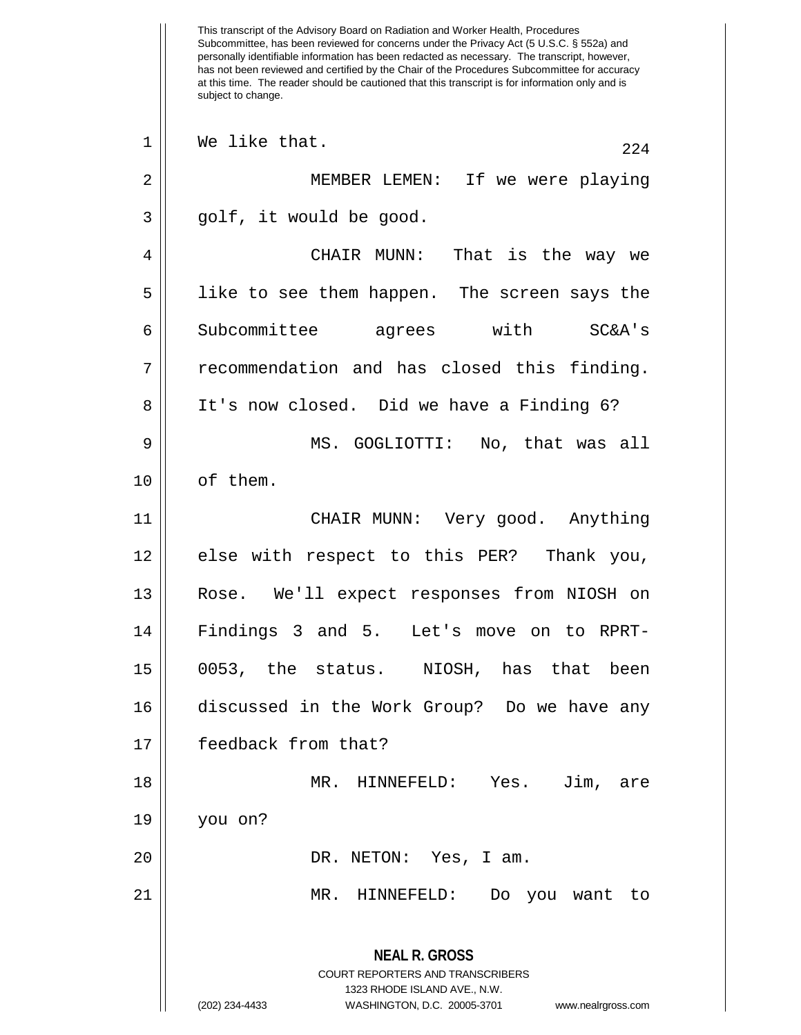This transcript of the Advisory Board on Radiation and Worker Health, Procedures Subcommittee, has been reviewed for concerns under the Privacy Act (5 U.S.C. § 552a) and personally identifiable information has been redacted as necessary. The transcript, however, has not been reviewed and certified by the Chair of the Procedures Subcommittee for accuracy at this time. The reader should be cautioned that this transcript is for information only and is subject to change. **NEAL R. GROSS** COURT REPORTERS AND TRANSCRIBERS 1323 RHODE ISLAND AVE., N.W. (202) 234-4433 WASHINGTON, D.C. 20005-3701 www.nealrgross.com  $\begin{array}{c|c|c|c|c} 1 & \text{We like that.} \end{array}$ 2 MEMBER LEMEN: If we were playing  $3 \parallel$  golf, it would be good. 4 CHAIR MUNN: That is the way we 5 || like to see them happen. The screen says the 6 || Subcommittee agrees with SC&A's 7 || recommendation and has closed this finding. 8 | It's now closed. Did we have a Finding 6? 9 MS. GOGLIOTTI: No, that was all 10 | of them. 11 CHAIR MUNN: Very good. Anything 12 || else with respect to this PER? Thank you, 13 Rose. We'll expect responses from NIOSH on 14 Findings 3 and 5. Let's move on to RPRT-15 0053, the status. NIOSH, has that been 16 discussed in the Work Group? Do we have any 17 feedback from that? 18 MR. HINNEFELD: Yes. Jim, are 19 you on? 20 DR. NETON: Yes, I am. 21 MR. HINNEFELD: Do you want to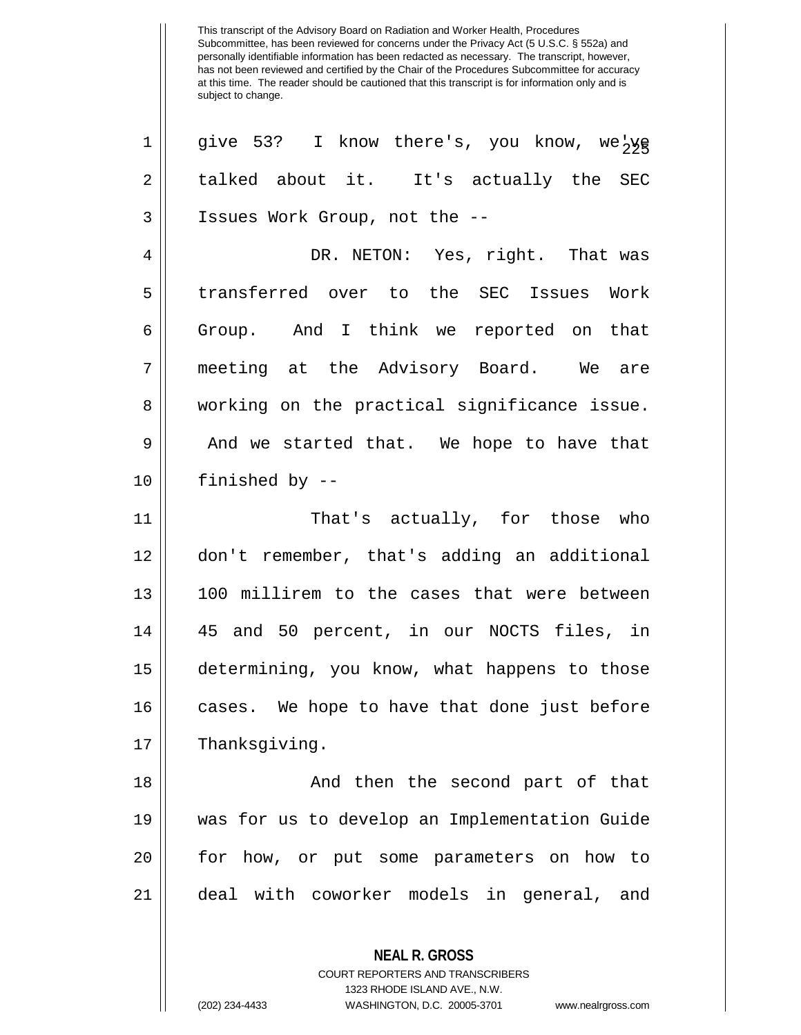| 1              | give 53? I know there's, you know, we <sub>2</sub> yg           |
|----------------|-----------------------------------------------------------------|
| $\overline{2}$ | talked about it. It's actually the SEC                          |
| 3              | Issues Work Group, not the --                                   |
| 4              | DR. NETON: Yes, right. That was                                 |
| 5              | transferred over to the SEC Issues Work                         |
| 6              | Group. And I think we reported on that                          |
| 7              | meeting at the Advisory Board. We are                           |
| 8              | working on the practical significance issue.                    |
| 9              | And we started that. We hope to have that                       |
| 10             | finished by --                                                  |
| 11             | That's actually, for those who                                  |
| 12             | don't remember, that's adding an additional                     |
| 13             | 100 millirem to the cases that were between                     |
| 14             | 45 and 50 percent, in our NOCTS files, in                       |
| 15             | determining, you know, what happens to those                    |
| 16             | cases. We hope to have that done just before                    |
| 17             | Thanksgiving.                                                   |
| 18             | And then the second part of that                                |
| 19             | was for us to develop an Implementation Guide                   |
| 20             | for how, or put some parameters on how to                       |
| 21             | deal with coworker models in general, and                       |
|                | <b>NEAL R. GROSS</b><br><b>COURT REPORTERS AND TRANSCRIBERS</b> |

1323 RHODE ISLAND AVE., N.W.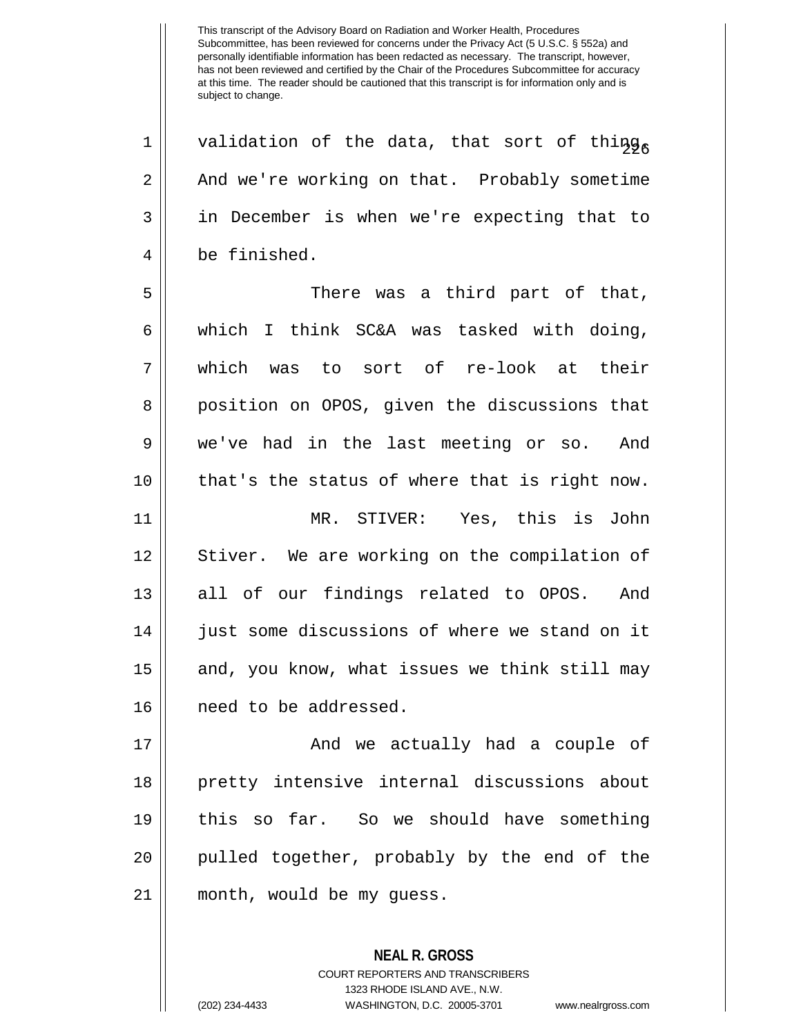1 || validation of the data, that sort of thing  $2 \parallel$  And we're working on that. Probably sometime 3 || in December is when we're expecting that to 4 be finished.

5 There was a third part of that, 6 || which I think  $SC&A$  was tasked with doing, 7 which was to sort of re-look at their 8 || position on OPOS, given the discussions that 9 we've had in the last meeting or so. And  $10$  | that's the status of where that is right now. 11 MR. STIVER: Yes, this is John 12 || Stiver. We are working on the compilation of 13 || all of our findings related to OPOS. And 14 | just some discussions of where we stand on it 15 || and, you know, what issues we think still may 16 need to be addressed.

 And we actually had a couple of pretty intensive internal discussions about this so far. So we should have something 20 || pulled together, probably by the end of the month, would be my guess.

> **NEAL R. GROSS** COURT REPORTERS AND TRANSCRIBERS 1323 RHODE ISLAND AVE., N.W. (202) 234-4433 WASHINGTON, D.C. 20005-3701 www.nealrgross.com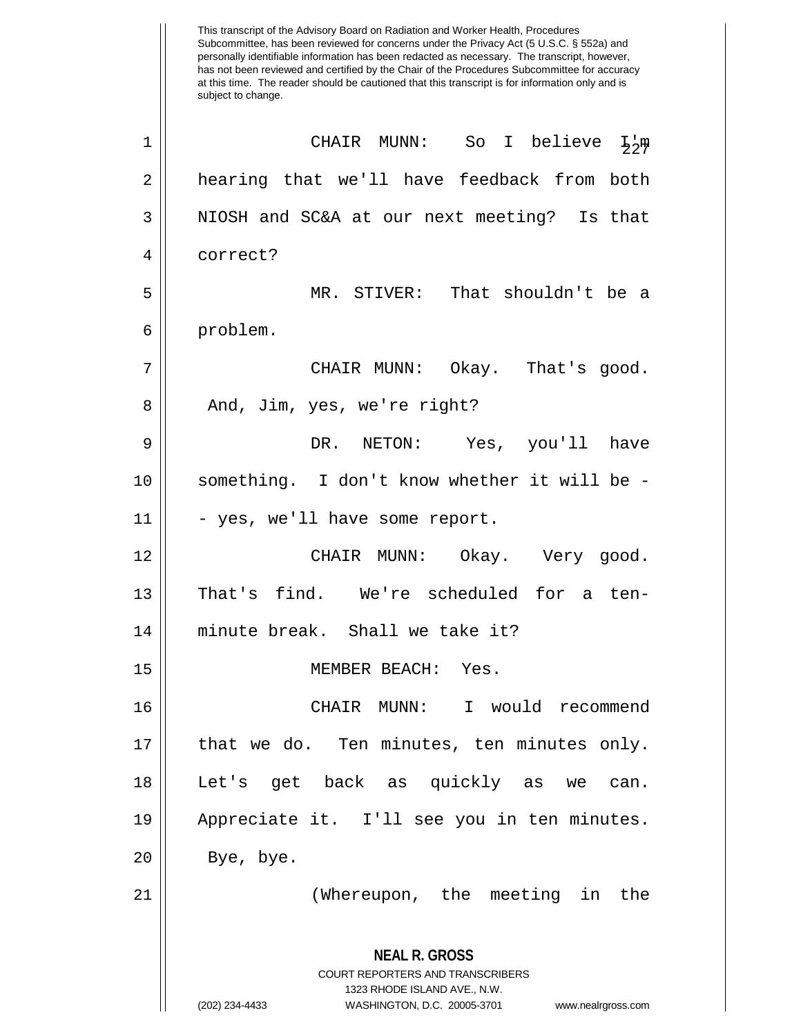This transcript of the Advisory Board on Radiation and Worker Health, Procedures Subcommittee, has been reviewed for concerns under the Privacy Act (5 U.S.C. § 552a) and personally identifiable information has been redacted as necessary. The transcript, however, has not been reviewed and certified by the Chair of the Procedures Subcommittee for accuracy at this time. The reader should be cautioned that this transcript is for information only and is subject to change. **NEAL R. GROSS** COURT REPORTERS AND TRANSCRIBERS 1323 RHODE ISLAND AVE., N.W. (202) 234-4433 WASHINGTON, D.C. 20005-3701 www.nealrgross.com <sup>227</sup> <sup>1</sup> CHAIR MUNN: So I believe I'm 2 | hearing that we'll have feedback from both 3 || NIOSH and SC&A at our next meeting? Is that 4 correct? 5 MR. STIVER: That shouldn't be a 6 problem. 7 CHAIR MUNN: Okay. That's good. 8 || And, Jim, yes, we're right? 9 DR. NETON: Yes, you'll have 10 || something. I don't know whether it will be - $11$   $\vert$  - yes, we'll have some report. 12 CHAIR MUNN: Okay. Very good. 13 That's find. We're scheduled for a ten-14 minute break. Shall we take it? 15 MEMBER BEACH: Yes. 16 CHAIR MUNN: I would recommend 17 || that we do. Ten minutes, ten minutes only. 18 Let's get back as quickly as we can. 19 Appreciate it. I'll see you in ten minutes.  $20$  | Bye, bye. 21 (Whereupon, the meeting in the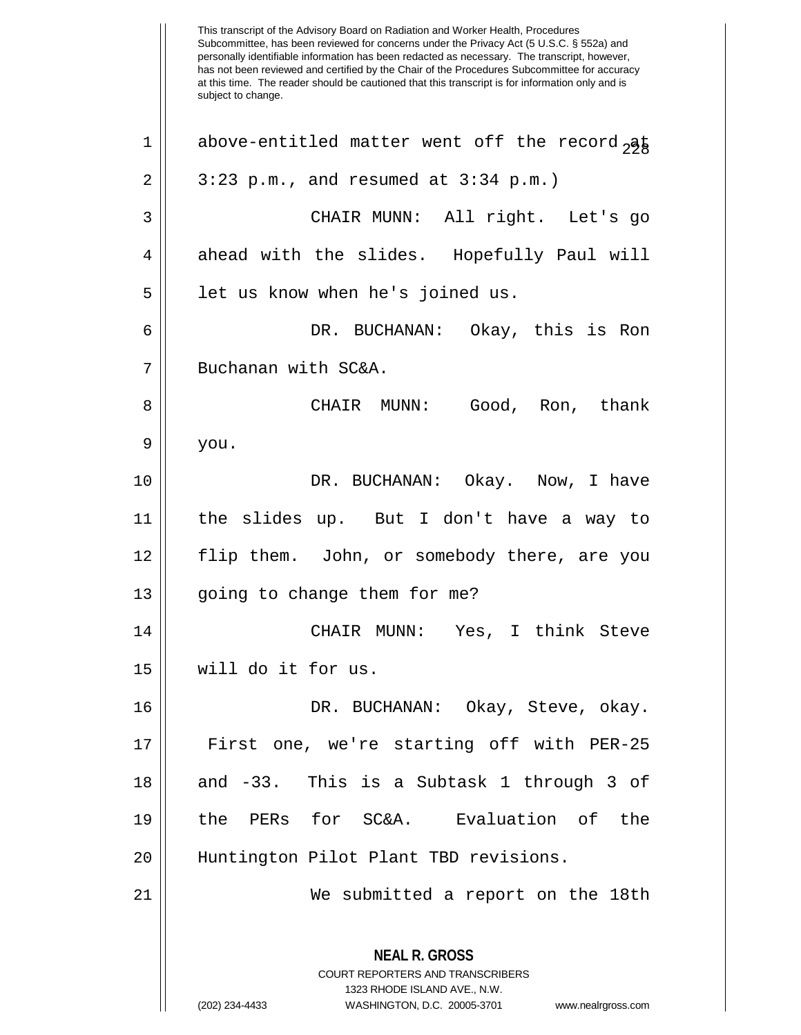This transcript of the Advisory Board on Radiation and Worker Health, Procedures Subcommittee, has been reviewed for concerns under the Privacy Act (5 U.S.C. § 552a) and personally identifiable information has been redacted as necessary. The transcript, however, has not been reviewed and certified by the Chair of the Procedures Subcommittee for accuracy at this time. The reader should be cautioned that this transcript is for information only and is subject to change. **NEAL R. GROSS** COURT REPORTERS AND TRANSCRIBERS 1323 RHODE ISLAND AVE., N.W. (202) 234-4433 WASHINGTON, D.C. 20005-3701 www.nealrgross.com 1 || above-entitled matter went off the record  $\partial \phi$  $2 \parallel 3:23 \text{ p.m.}$ , and resumed at  $3:34 \text{ p.m.}$ 3 CHAIR MUNN: All right. Let's go 4 ahead with the slides. Hopefully Paul will 5 | let us know when he's joined us. 6 DR. BUCHANAN: Okay, this is Ron 7 || Buchanan with SC&A. 8 CHAIR MUNN: Good, Ron, thank  $9 \parallel$  you. 10 DR. BUCHANAN: Okay. Now, I have 11 the slides up. But I don't have a way to 12 flip them. John, or somebody there, are you  $13 \parallel$  going to change them for me? 14 CHAIR MUNN: Yes, I think Steve 15 will do it for us. 16 DR. BUCHANAN: Okay, Steve, okay. 17 || First one, we're starting off with PER-25 18 and -33. This is a Subtask 1 through 3 of 19 the PERs for SC&A. Evaluation of the 20 || Huntington Pilot Plant TBD revisions. 21 We submitted a report on the 18th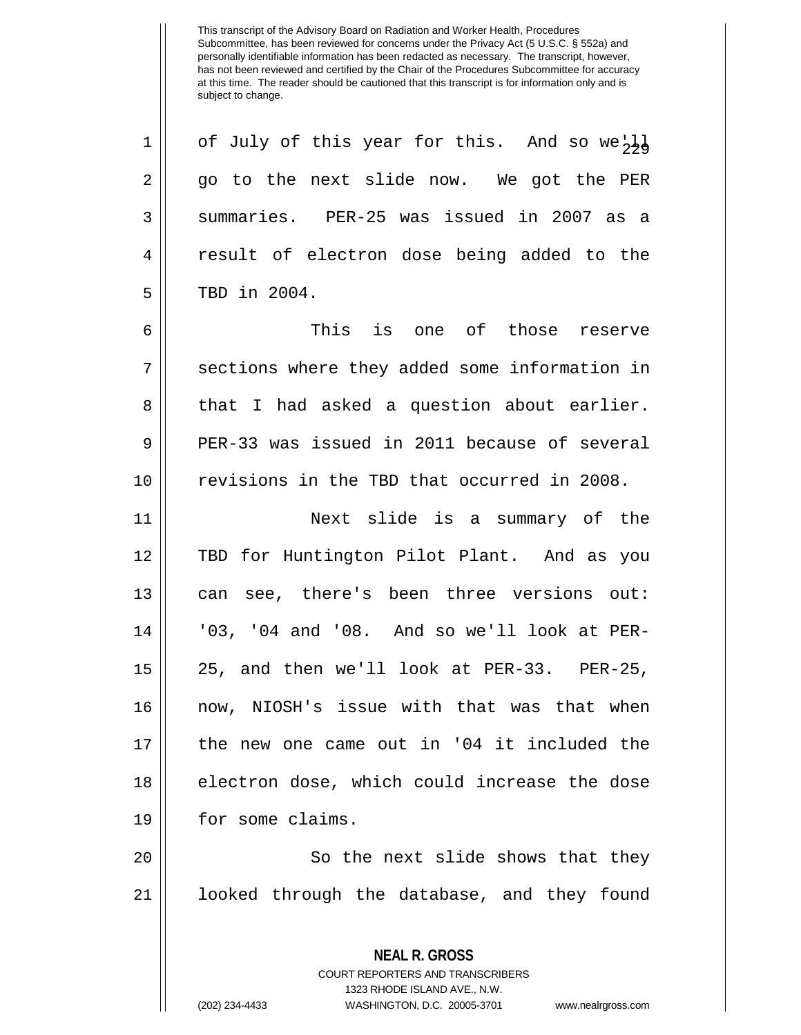$22 |$  of July of this year for this. And so we'll  $2 \parallel$  go to the next slide now. We got the PER 3 Summaries. PER-25 was issued in 2007 as a 4 || result of electron dose being added to the 5 || TBD in 2004.

6 This is one of those reserve 7 || sections where they added some information in  $8 \parallel$  that I had asked a question about earlier. 9 PER-33 was issued in 2011 because of several 10 revisions in the TBD that occurred in 2008.

 Next slide is a summary of the TBD for Huntington Pilot Plant. And as you 13 || can see, there's been three versions out: '03, '04 and '08. And so we'll look at PER- 25, and then we'll look at PER-33. PER-25, now, NIOSH's issue with that was that when the new one came out in '04 it included the || electron dose, which could increase the dose 19 | for some claims.

20 || So the next slide shows that they 21 looked through the database, and they found

> **NEAL R. GROSS** COURT REPORTERS AND TRANSCRIBERS 1323 RHODE ISLAND AVE., N.W.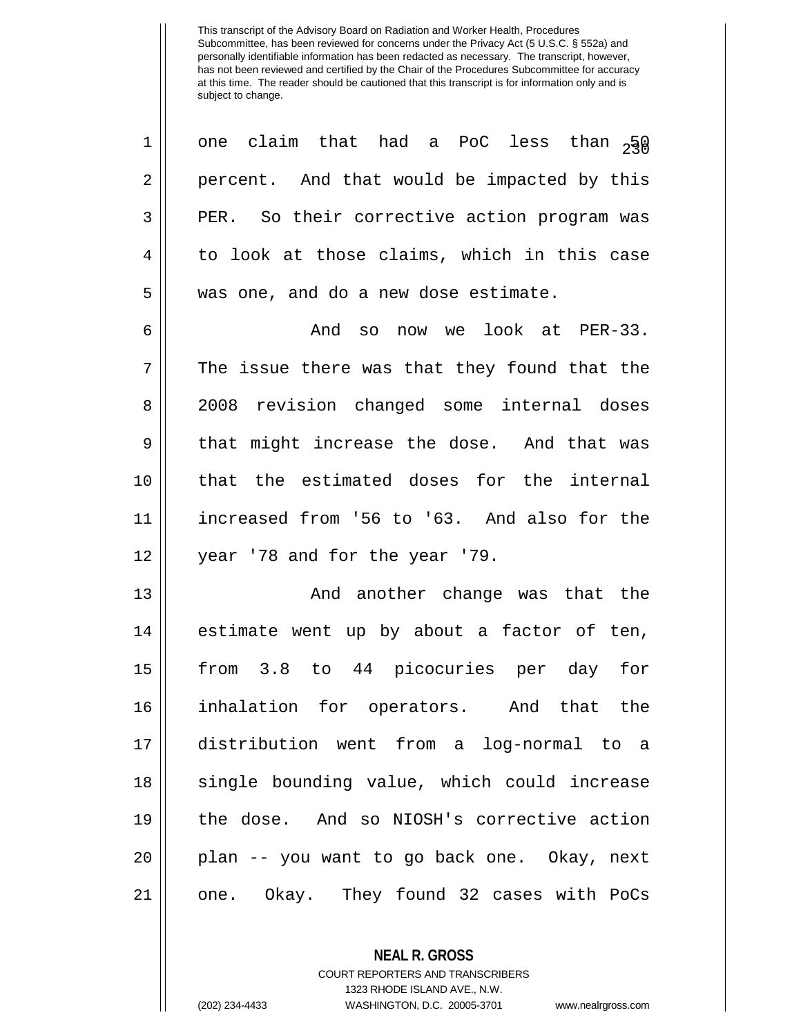| one claim that had a PoC less than $2\frac{5}{3}\theta$ |
|---------------------------------------------------------|
| percent. And that would be impacted by this             |
| PER. So their corrective action program was             |
| to look at those claims, which in this case             |
| was one, and do a new dose estimate.                    |
| And so now we look at PER-33.                           |
| The issue there was that they found that the            |
| 2008 revision changed some internal doses               |
| that might increase the dose. And that was              |
| that the estimated doses for the internal               |
| increased from '56 to '63. And also for the             |
| year '78 and for the year '79.                          |
| And another change was that the                         |
| estimate went up by about a factor of ten,              |
| from 3.8 to 44 picocuries per day for                   |
| inhalation for operators. And that the                  |
| distribution went from a log-normal to a                |
| single bounding value, which could increase             |
| the dose. And so NIOSH's corrective action              |
| plan -- you want to go back one. Okay, next             |
|                                                         |
|                                                         |

**NEAL R. GROSS**

COURT REPORTERS AND TRANSCRIBERS 1323 RHODE ISLAND AVE., N.W. (202) 234-4433 WASHINGTON, D.C. 20005-3701 www.nealrgross.com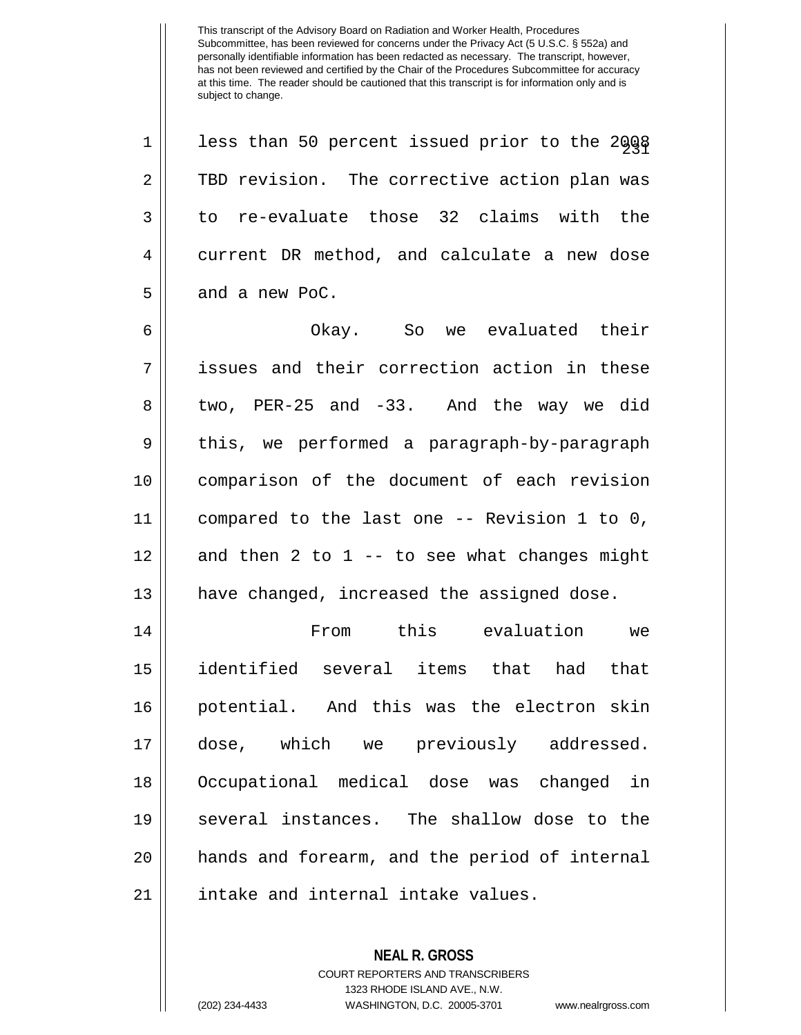$23$ 1 | less than 50 percent issued prior to the 2008 2 TBD revision. The corrective action plan was  $3 \parallel$  to re-evaluate those 32 claims with the 4 current DR method, and calculate a new dose 5 | and a new PoC.

 Okay. So we evaluated their issues and their correction action in these 8 two, PER-25 and -33. And the way we did 9 || this, we performed a paragraph-by-paragraph comparison of the document of each revision compared to the last one -- Revision 1 to 0, | and then 2 to 1 -- to see what changes might 13 || have changed, increased the assigned dose.

 From this evaluation we identified several items that had that potential. And this was the electron skin dose, which we previously addressed. Occupational medical dose was changed in several instances. The shallow dose to the hands and forearm, and the period of internal 21 | intake and internal intake values.

> **NEAL R. GROSS** COURT REPORTERS AND TRANSCRIBERS 1323 RHODE ISLAND AVE., N.W. (202) 234-4433 WASHINGTON, D.C. 20005-3701 www.nealrgross.com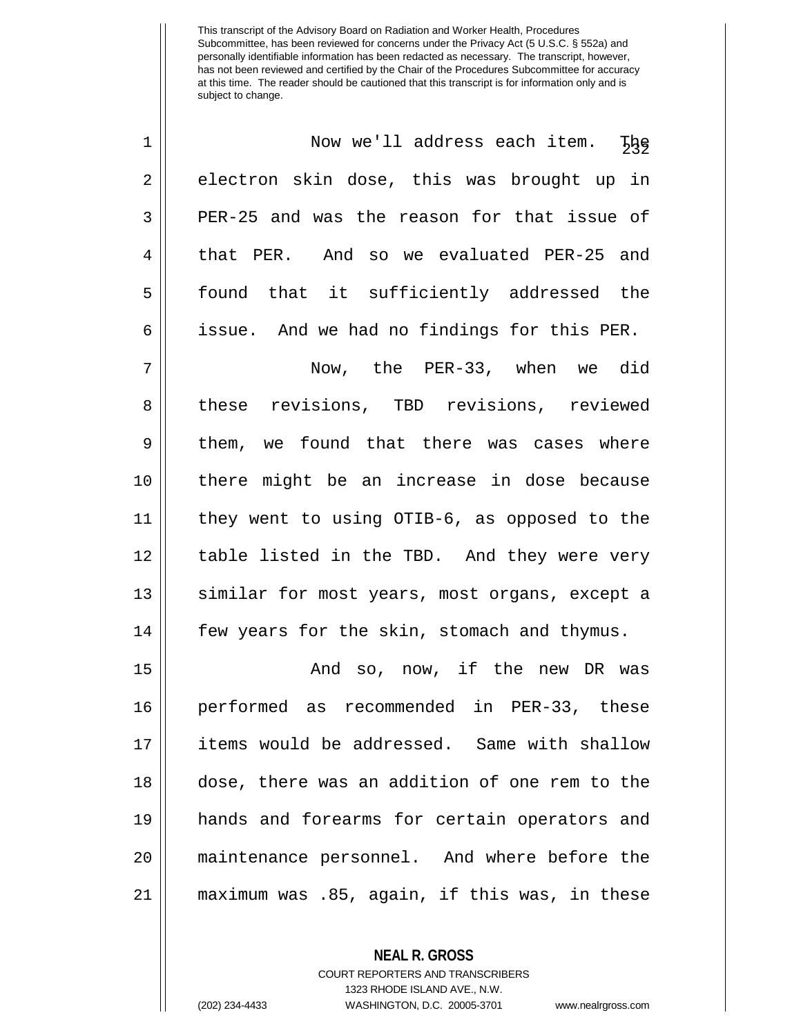| $\mathbf 1$ | Now we'll address each item. The              |
|-------------|-----------------------------------------------|
| 2           | electron skin dose, this was brought up in    |
| 3           | PER-25 and was the reason for that issue of   |
| 4           | that PER. And so we evaluated PER-25 and      |
| 5           | found that it sufficiently addressed the      |
| 6           | issue. And we had no findings for this PER.   |
| 7           | Now, the PER-33, when we did                  |
| 8           | these revisions, TBD revisions, reviewed      |
| 9           | them, we found that there was cases where     |
| 10          | there might be an increase in dose because    |
| 11          | they went to using OTIB-6, as opposed to the  |
| 12          | table listed in the TBD. And they were very   |
| 13          | similar for most years, most organs, except a |
| 14          | few years for the skin, stomach and thymus.   |
| 15          | And so, now, if the new DR was                |
| 16          | performed as recommended in PER-33, these     |
| 17          | items would be addressed. Same with shallow   |
| 18          | dose, there was an addition of one rem to the |
| 19          | hands and forearms for certain operators and  |
| 20          | maintenance personnel. And where before the   |
| 21          | maximum was .85, again, if this was, in these |

**NEAL R. GROSS**

COURT REPORTERS AND TRANSCRIBERS 1323 RHODE ISLAND AVE., N.W. (202) 234-4433 WASHINGTON, D.C. 20005-3701 www.nealrgross.com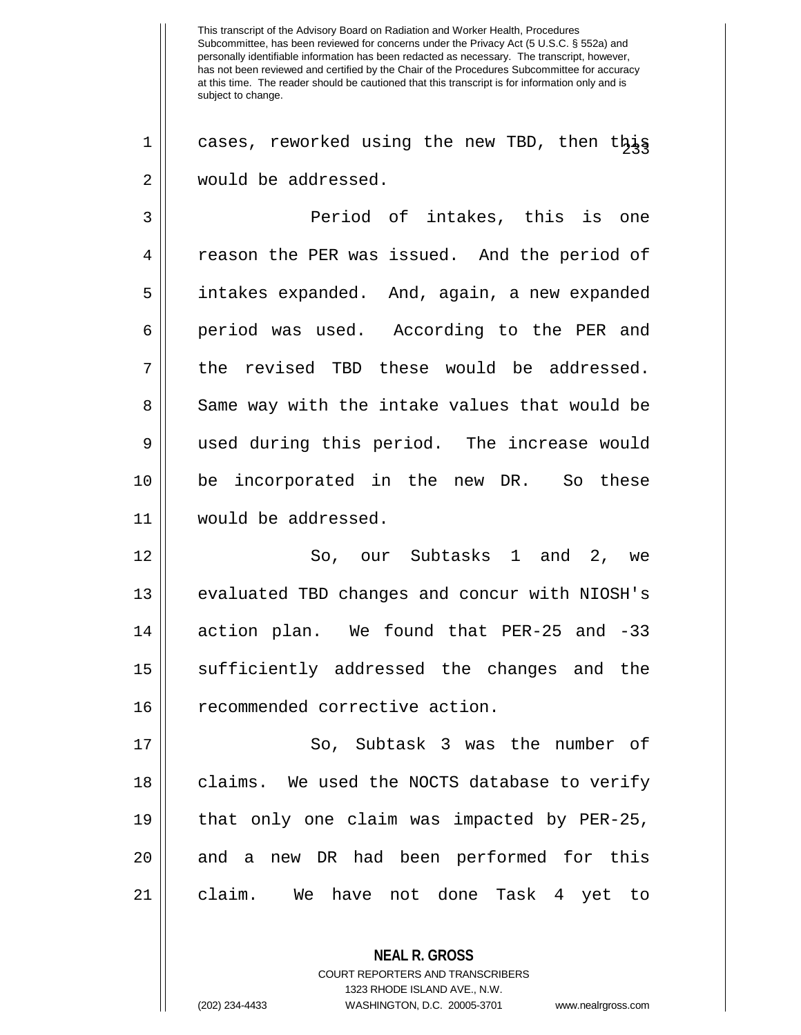$1 \parallel$  cases, reworked using the new TBD, then this 2 would be addressed.

3 Period of intakes, this is one 4 Teason the PER was issued. And the period of 5 | intakes expanded. And, again, a new expanded 6 || period was used. According to the PER and  $7 \parallel$  the revised TBD these would be addressed. 8 Same way with the intake values that would be 9 || used during this period. The increase would 10 be incorporated in the new DR. So these 11 would be addressed.

12 So, our Subtasks 1 and 2, we 13 || evaluated TBD changes and concur with NIOSH's 14 action plan. We found that PER-25 and -33 15 || sufficiently addressed the changes and the 16 | recommended corrective action.

17 || So, Subtask 3 was the number of 18 || claims. We used the NOCTS database to verify 19 that only one claim was impacted by PER-25, 20 || and a new DR had been performed for this 21 claim. We have not done Task 4 yet to

> COURT REPORTERS AND TRANSCRIBERS 1323 RHODE ISLAND AVE., N.W.

**NEAL R. GROSS**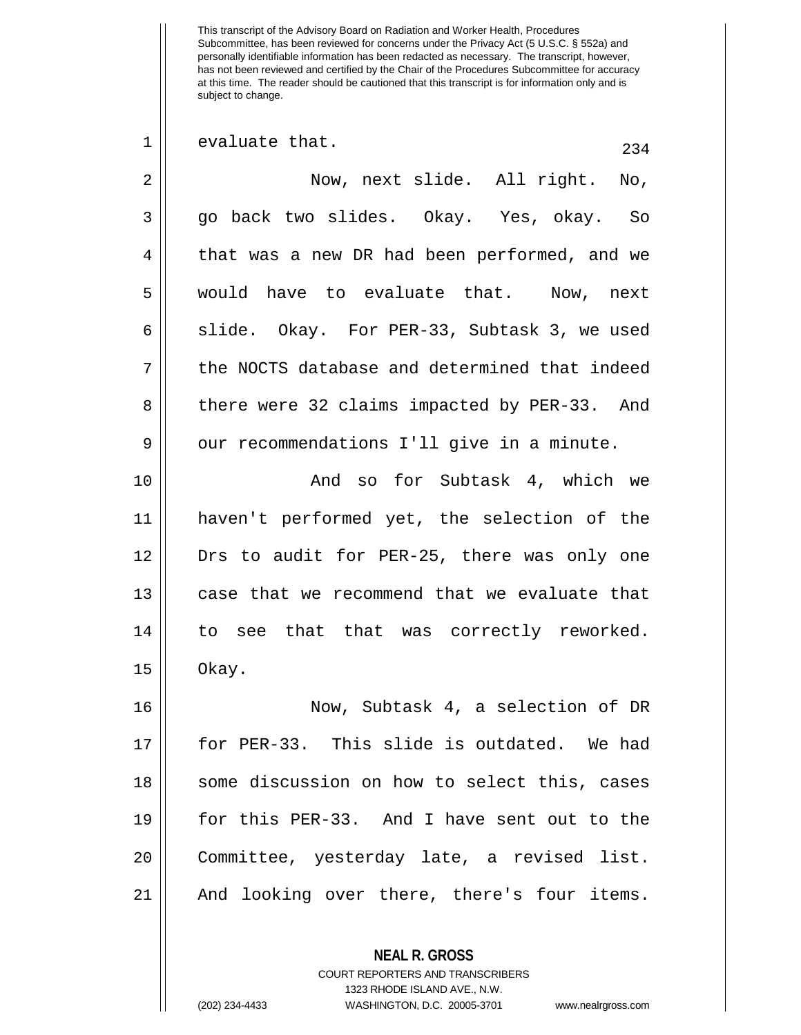This transcript of the Advisory Board on Radiation and Worker Health, Procedures Subcommittee, has been reviewed for concerns under the Privacy Act (5 U.S.C. § 552a) and personally identifiable information has been redacted as necessary. The transcript, however, has not been reviewed and certified by the Chair of the Procedures Subcommittee for accuracy at this time. The reader should be cautioned that this transcript is for information only and is subject to change.  $\begin{array}{c|c|c|c|c} 1 & \text{evaluate that.} \end{array}$  234 2 Now, next slide. All right. No, 3 go back two slides. Okay. Yes, okay. So 4 | that was a new DR had been performed, and we 5 would have to evaluate that. Now, next  $6 \parallel$  slide. Okay. For PER-33, Subtask 3, we used

7 d the NOCTS database and determined that indeed 8 || there were 32 claims impacted by PER-33. And  $9 \parallel$  our recommendations I'll give in a minute.

10 And so for Subtask 4, which we 11 haven't performed yet, the selection of the 12 Drs to audit for PER-25, there was only one 13 | case that we recommend that we evaluate that 14 || to see that that was correctly reworked.  $15 \parallel$  Okay.

 Now, Subtask 4, a selection of DR for PER-33. This slide is outdated. We had 18 || some discussion on how to select this, cases for this PER-33. And I have sent out to the Committee, yesterday late, a revised list. And looking over there, there's four items.

**NEAL R. GROSS**

COURT REPORTERS AND TRANSCRIBERS 1323 RHODE ISLAND AVE., N.W.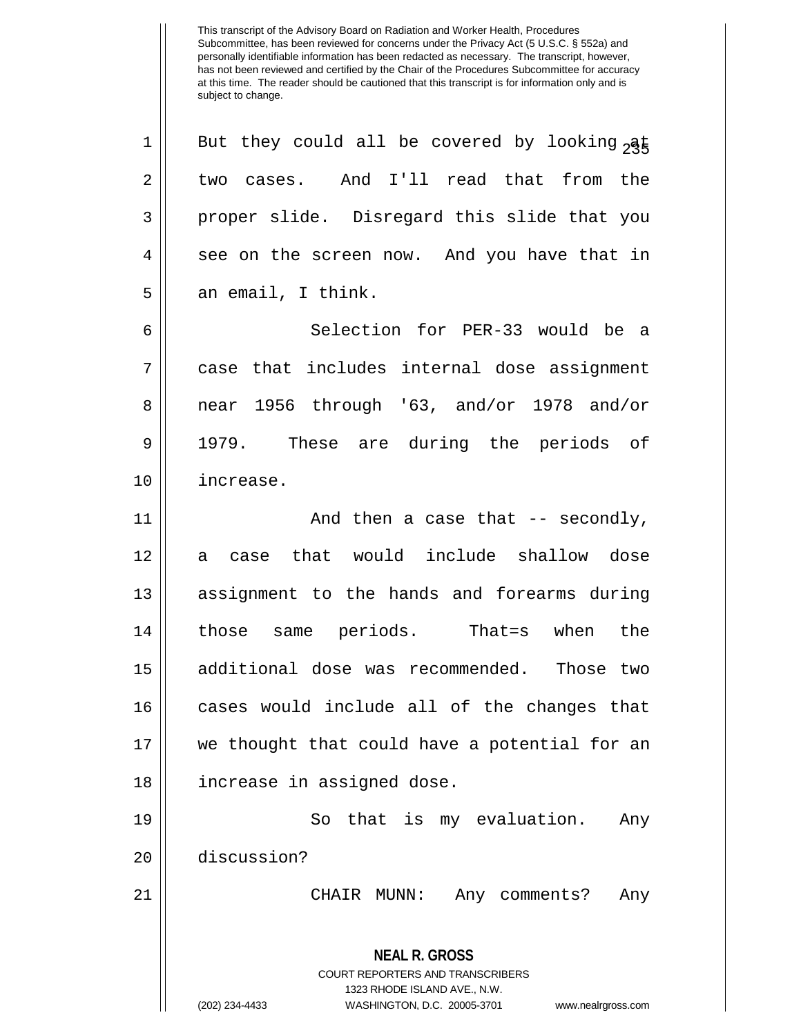**NEAL R. GROSS** COURT REPORTERS AND TRANSCRIBERS 1323 RHODE ISLAND AVE., N.W. (202) 234-4433 WASHINGTON, D.C. 20005-3701 www.nealrgross.com 1 || But they could all be covered by looking  $\frac{1}{2}$  $2 \parallel$  two cases. And I'll read that from the 3 proper slide. Disregard this slide that you  $4 \parallel$  see on the screen now. And you have that in  $5 \parallel$  an email, I think. 6 Selection for PER-33 would be a 7 case that includes internal dose assignment 8 near 1956 through '63, and/or 1978 and/or 9 1979. These are during the periods of 10 increase. 11 || And then a case that -- secondly, 12 a case that would include shallow dose 13 || assignment to the hands and forearms during 14 those same periods. That=s when the 15 additional dose was recommended. Those two 16 || cases would include all of the changes that 17 we thought that could have a potential for an 18 increase in assigned dose. 19 So that is my evaluation. Any 20 discussion? 21 CHAIR MUNN: Any comments? Any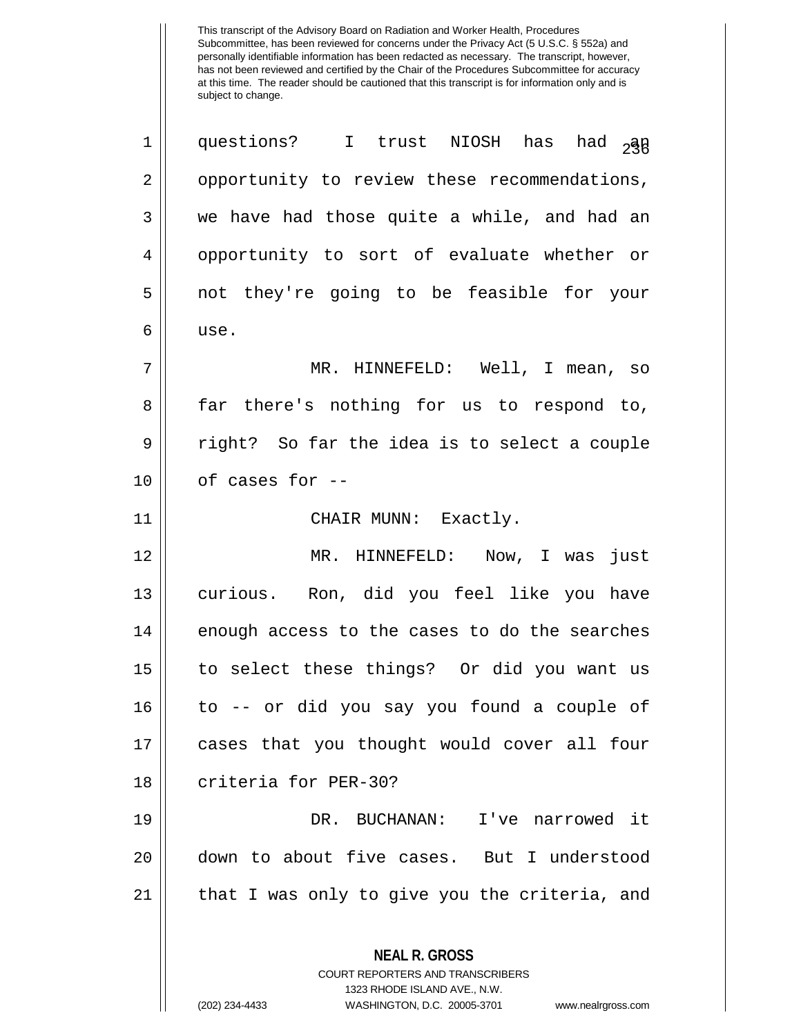**NEAL R. GROSS** COURT REPORTERS AND TRANSCRIBERS 1 || questions? I trust NIOSH has had  $_{2}$ an 2 | opportunity to review these recommendations,  $3 \parallel$  we have had those quite a while, and had an 4 || opportunity to sort of evaluate whether or 5 not they're going to be feasible for your 6 use. 7 MR. HINNEFELD: Well, I mean, so 8 far there's nothing for us to respond to, 9 || right? So far the idea is to select a couple  $10$  || of cases for  $-$ 11 || CHAIR MUNN: Exactly. 12 MR. HINNEFELD: Now, I was just 13 curious. Ron, did you feel like you have  $14$  enough access to the cases to do the searches 15 to select these things? Or did you want us 16 to -- or did you say you found a couple of 17 cases that you thought would cover all four 18 | criteria for PER-30? 19 DR. BUCHANAN: I've narrowed it 20 down to about five cases. But I understood 21 || that I was only to give you the criteria, and

1323 RHODE ISLAND AVE., N.W.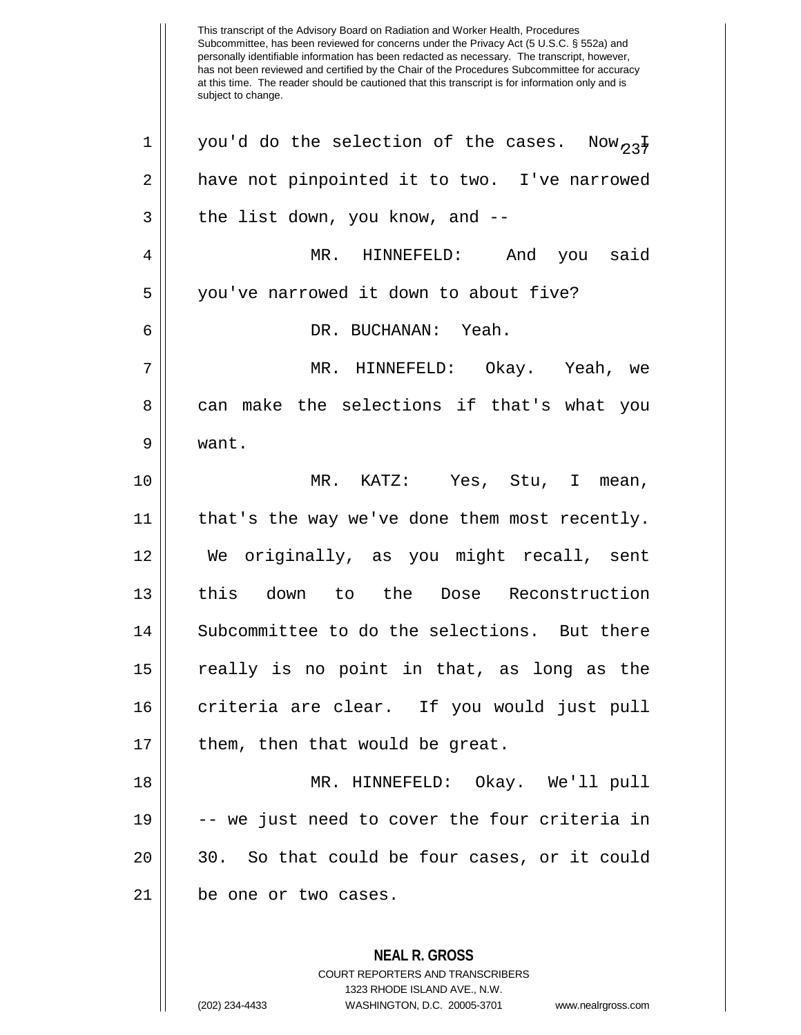Subcommittee, has been reviewed for concerns under the Privacy Act (5 U.S.C. § 552a) and personally identifiable information has been redacted as necessary. The transcript, however, has not been reviewed and certified by the Chair of the Procedures Subcommittee for accuracy at this time. The reader should be cautioned that this transcript is for information only and is subject to change. **NEAL R. GROSS** COURT REPORTERS AND TRANSCRIBERS 1323 RHODE ISLAND AVE., N.W. 1 || you'd do the selection of the cases. Now,  $2\frac{1}{2}$ 2 | have not pinpointed it to two. I've narrowed  $3 \parallel$  the list down, you know, and  $-$ 4 MR. HINNEFELD: And you said 5 | you've narrowed it down to about five? 6 DR. BUCHANAN: Yeah. 7 MR. HINNEFELD: Okay. Yeah, we 8 can make the selections if that's what you 9 want. 10 MR. KATZ: Yes, Stu, I mean, 11 || that's the way we've done them most recently. 12 We originally, as you might recall, sent 13 this down to the Dose Reconstruction 14 || Subcommittee to do the selections. But there 15 really is no point in that, as long as the 16 || criteria are clear. If you would just pull  $17$  || them, then that would be great. 18 MR. HINNEFELD: Okay. We'll pull 19 -- we just need to cover the four criteria in  $20 \parallel 30$ . So that could be four cases, or it could 21 | be one or two cases.

This transcript of the Advisory Board on Radiation and Worker Health, Procedures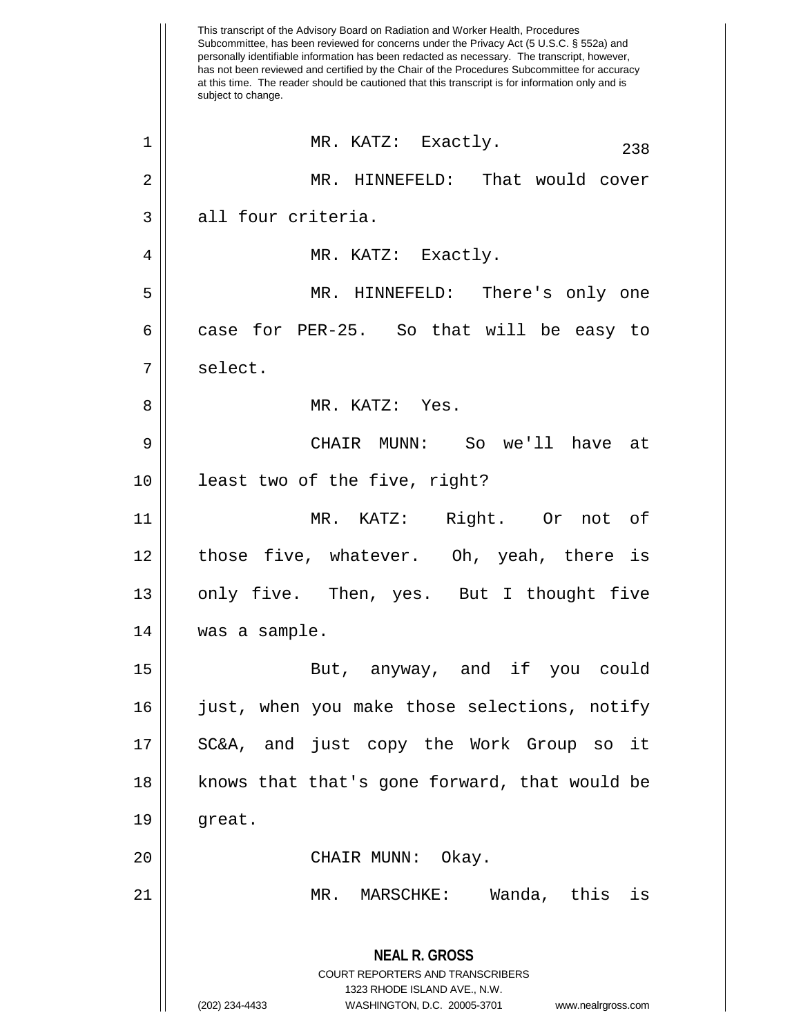This transcript of the Advisory Board on Radiation and Worker Health, Procedures Subcommittee, has been reviewed for concerns under the Privacy Act (5 U.S.C. § 552a) and personally identifiable information has been redacted as necessary. The transcript, however, has not been reviewed and certified by the Chair of the Procedures Subcommittee for accuracy at this time. The reader should be cautioned that this transcript is for information only and is subject to change. **NEAL R. GROSS** COURT REPORTERS AND TRANSCRIBERS 1323 RHODE ISLAND AVE., N.W. (202) 234-4433 WASHINGTON, D.C. 20005-3701 www.nealrgross.com  $\begin{array}{c|cccc}\n1 & \text{MR. KATZ:} & \text{Exactly.} \\
\end{array}$ 2 MR. HINNEFELD: That would cover 3 all four criteria. 4 || MR. KATZ: Exactly. 5 MR. HINNEFELD: There's only one 6 case for PER-25. So that will be easy to 7 | select. 8 MR. KATZ: Yes. 9 CHAIR MUNN: So we'll have at 10 || least two of the five, right? 11 MR. KATZ: Right. Or not of 12 those five, whatever. Oh, yeah, there is 13 || only five. Then, yes. But I thought five 14 was a sample. 15 || The But, anyway, and if you could 16 just, when you make those selections, notify 17 || SC&A, and just copy the Work Group so it 18 || knows that that's gone forward, that would be  $19 \parallel$  great. 20 CHAIR MUNN: Okay. 21 MR. MARSCHKE: Wanda, this is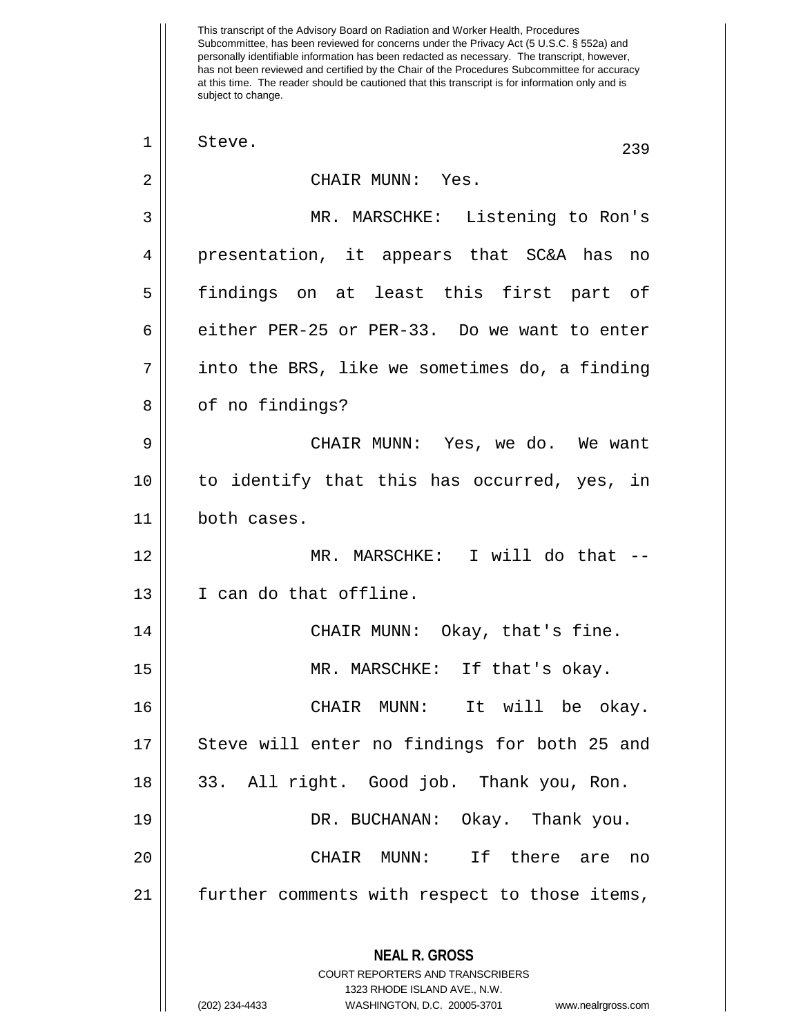This transcript of the Advisory Board on Radiation and Worker Health, Procedures Subcommittee, has been reviewed for concerns under the Privacy Act (5 U.S.C. § 552a) and personally identifiable information has been redacted as necessary. The transcript, however, has not been reviewed and certified by the Chair of the Procedures Subcommittee for accuracy at this time. The reader should be cautioned that this transcript is for information only and is subject to change. **NEAL R. GROSS** COURT REPORTERS AND TRANSCRIBERS 1323 RHODE ISLAND AVE., N.W. (202) 234-4433 WASHINGTON, D.C. 20005-3701 www.nealrgross.com  $\begin{array}{c|c|c|c|c} 1 & \text{Steve.} \end{array}$  239 2 CHAIR MUNN: Yes. 3 MR. MARSCHKE: Listening to Ron's 4 presentation, it appears that SC&A has no 5 findings on at least this first part of  $6 \parallel$  either PER-25 or PER-33. Do we want to enter  $7 ||$  into the BRS, like we sometimes do, a finding 8 | of no findings? 9 CHAIR MUNN: Yes, we do. We want 10 to identify that this has occurred, yes, in 11 both cases. 12 || MR. MARSCHKE: I will do that --13 I can do that offline. 14 CHAIR MUNN: Okay, that's fine. 15 MR. MARSCHKE: If that's okay. 16 CHAIR MUNN: It will be okay. 17 || Steve will enter no findings for both 25 and 18 || 33. All right. Good job. Thank you, Ron. 19 DR. BUCHANAN: Okay. Thank you. 20 CHAIR MUNN: If there are no 21 || further comments with respect to those items,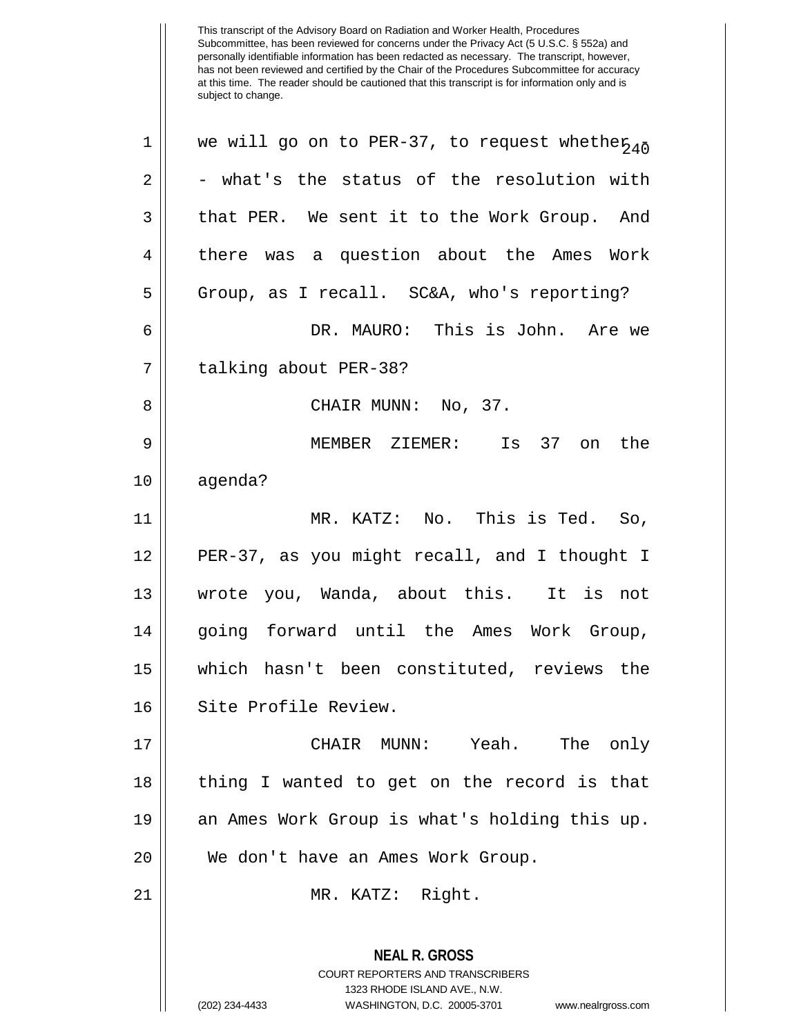| $\mathbf 1$    | we will go on to PER-37, to request whether <sub>40</sub>                                                                                                              |
|----------------|------------------------------------------------------------------------------------------------------------------------------------------------------------------------|
| $\sqrt{2}$     | - what's the status of the resolution with                                                                                                                             |
| 3              | that PER. We sent it to the Work Group. And                                                                                                                            |
| $\overline{4}$ | there was a question about the Ames Work                                                                                                                               |
| 5              | Group, as I recall. SC&A, who's reporting?                                                                                                                             |
| 6              | DR. MAURO: This is John. Are we                                                                                                                                        |
| 7              | talking about PER-38?                                                                                                                                                  |
| 8              | CHAIR MUNN: No, 37.                                                                                                                                                    |
| 9              | MEMBER ZIEMER:<br>Is 37 on the                                                                                                                                         |
| 10             | agenda?                                                                                                                                                                |
| 11             | MR. KATZ: No. This is Ted. So,                                                                                                                                         |
| 12             | PER-37, as you might recall, and I thought I                                                                                                                           |
| 13             | wrote you, Wanda, about this. It is not                                                                                                                                |
| 14             | going forward until the Ames Work Group,                                                                                                                               |
| 15             | which hasn't been constituted, reviews the                                                                                                                             |
| 16             | Site Profile Review.                                                                                                                                                   |
| 17             | CHAIR MUNN: Yeah. The only                                                                                                                                             |
| 18             | thing I wanted to get on the record is that                                                                                                                            |
| 19             | an Ames Work Group is what's holding this up.                                                                                                                          |
| 20             | We don't have an Ames Work Group.                                                                                                                                      |
| 21             | MR. KATZ: Right.                                                                                                                                                       |
|                | <b>NEAL R. GROSS</b><br><b>COURT REPORTERS AND TRANSCRIBERS</b><br>1323 RHODE ISLAND AVE., N.W.<br>(202) 234-4433<br>WASHINGTON, D.C. 20005-3701<br>www.nealrgross.com |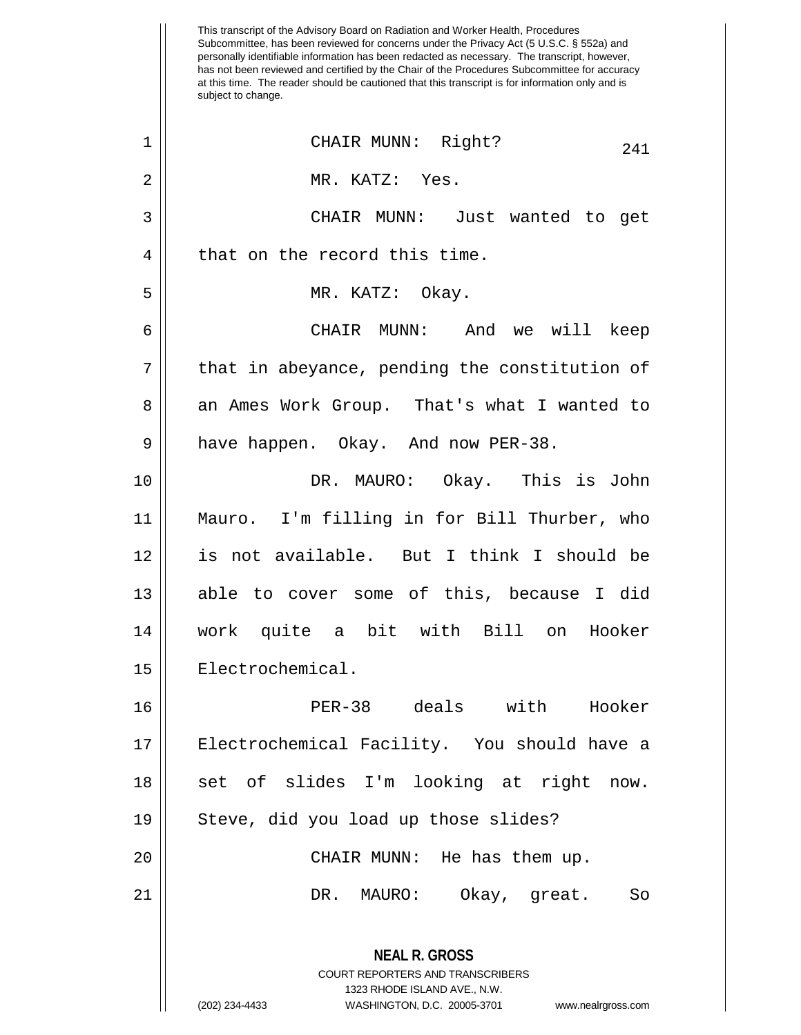This transcript of the Advisory Board on Radiation and Worker Health, Procedures Subcommittee, has been reviewed for concerns under the Privacy Act (5 U.S.C. § 552a) and personally identifiable information has been redacted as necessary. The transcript, however, has not been reviewed and certified by the Chair of the Procedures Subcommittee for accuracy at this time. The reader should be cautioned that this transcript is for information only and is subject to change. **NEAL R. GROSS** COURT REPORTERS AND TRANSCRIBERS 1323 RHODE ISLAND AVE., N.W. (202) 234-4433 WASHINGTON, D.C. 20005-3701 www.nealrgross.com <sup>241</sup> <sup>1</sup> CHAIR MUNN: Right? 2 MR. KATZ: Yes. 3 CHAIR MUNN: Just wanted to get 4 that on the record this time. 5 || MR. KATZ: Okay. 6 CHAIR MUNN: And we will keep  $7 \parallel$  that in abeyance, pending the constitution of 8 an Ames Work Group. That's what I wanted to 9 | have happen. Okay. And now PER-38. 10 DR. MAURO: Okay. This is John 11 Mauro. I'm filling in for Bill Thurber, who 12 is not available. But I think I should be 13 || able to cover some of this, because I did 14 work quite a bit with Bill on Hooker 15 | Electrochemical. 16 PER-38 deals with Hooker 17 || Electrochemical Facility. You should have a 18 || set of slides I'm looking at right now. 19 || Steve, did you load up those slides? 20 || CHAIR MUNN: He has them up. 21 DR. MAURO: Okay, great. So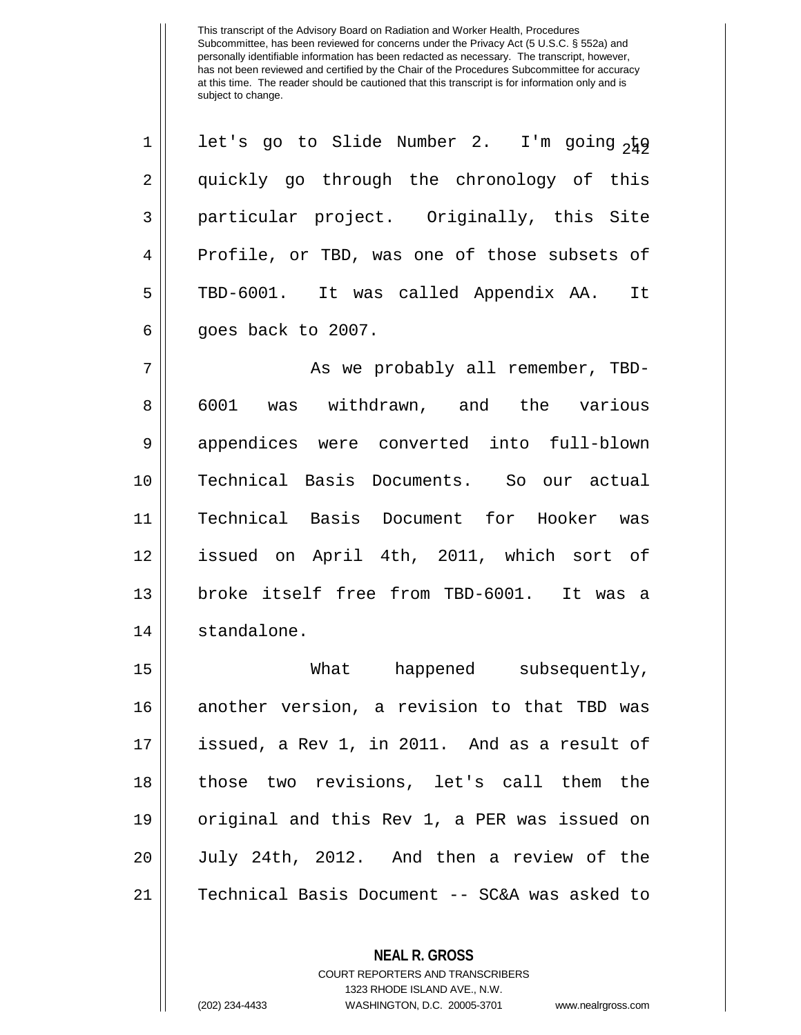| $\mathbf{1}$   | let's go to Slide Number 2. I'm going <sub>249</sub> |
|----------------|------------------------------------------------------|
| $\overline{2}$ | quickly go through the chronology of this            |
| 3              | particular project. Originally, this Site            |
| $\overline{4}$ | Profile, or TBD, was one of those subsets of         |
| 5              | TBD-6001. It was called Appendix AA. It              |
| 6              | goes back to 2007.                                   |

 As we probably all remember, TBD-8 6001 was withdrawn, and the various 9 || appendices were converted into full-blown Technical Basis Documents. So our actual Technical Basis Document for Hooker was issued on April 4th, 2011, which sort of broke itself free from TBD-6001. It was a 14 | standalone.

 What happened subsequently, another version, a revision to that TBD was issued, a Rev 1, in 2011. And as a result of 18 || those two revisions, let's call them the original and this Rev 1, a PER was issued on July 24th, 2012. And then a review of the Technical Basis Document -- SC&A was asked to

**NEAL R. GROSS**

COURT REPORTERS AND TRANSCRIBERS 1323 RHODE ISLAND AVE., N.W. (202) 234-4433 WASHINGTON, D.C. 20005-3701 www.nealrgross.com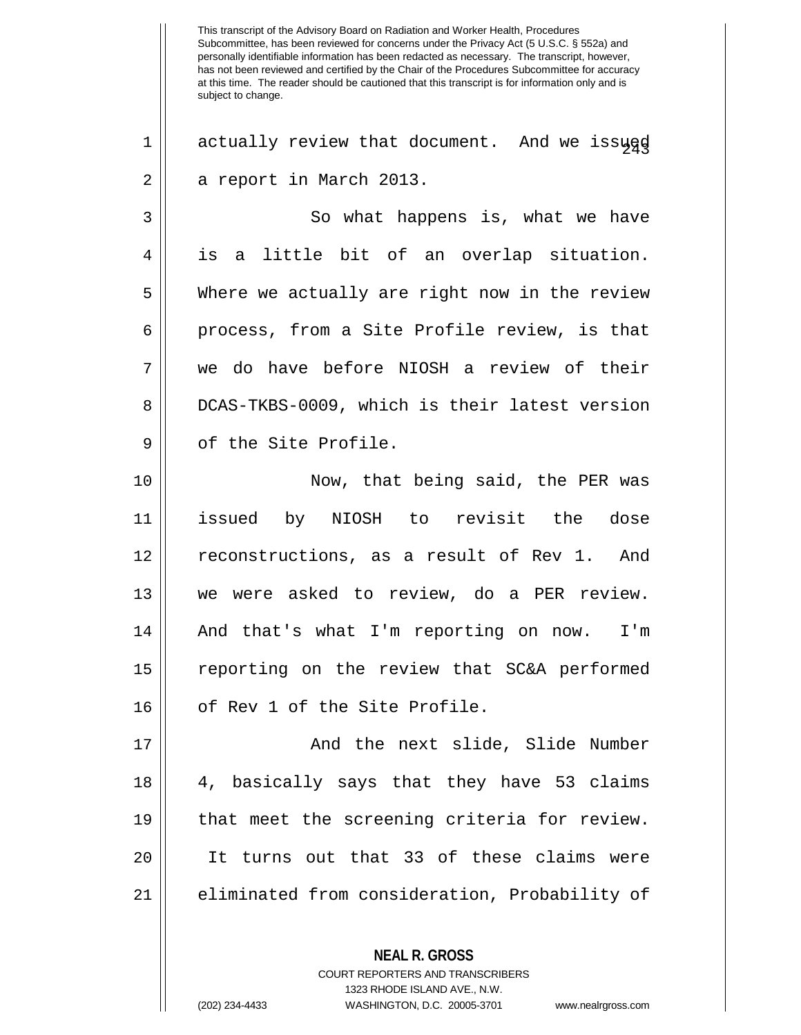$1 \parallel$  actually review that document. And we issued 2 | a report in March 2013.

3 || So what happens is, what we have 4 is a little bit of an overlap situation. 5 Where we actually are right now in the review 6 || process, from a Site Profile review, is that 7 we do have before NIOSH a review of their 8 DCAS-TKBS-0009, which is their latest version 9 || of the Site Profile.

10 || Now, that being said, the PER was 11 issued by NIOSH to revisit the dose 12 || reconstructions, as a result of Rev 1. And 13 we were asked to review, do a PER review. 14 || And that's what I'm reporting on now. I'm 15 reporting on the review that SC&A performed 16 || of Rev 1 of the Site Profile.

 And the next slide, Slide Number 4, basically says that they have 53 claims that meet the screening criteria for review. It turns out that 33 of these claims were 21 || eliminated from consideration, Probability of

COURT REPORTERS AND TRANSCRIBERS

**NEAL R. GROSS**

1323 RHODE ISLAND AVE., N.W.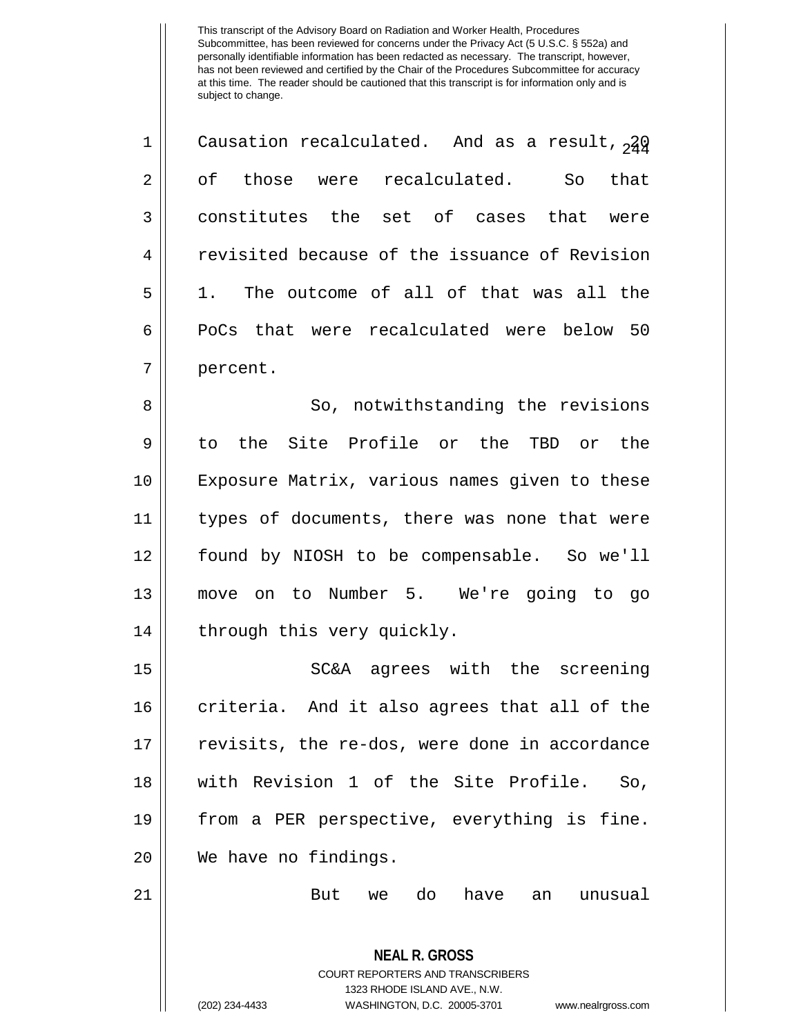| $\mathbf 1$    | Causation recalculated. And as a result, $2\frac{1}{4}$ |
|----------------|---------------------------------------------------------|
| $\overline{2}$ | of those were recalculated.<br>that<br>So               |
| 3              | constitutes the set of cases that were                  |
| $\overline{4}$ | revisited because of the issuance of Revision           |
| 5              | 1. The outcome of all of that was all the               |
| 6              | PoCs that were recalculated were below 50               |
| 7              | percent.                                                |

8 || So, notwithstanding the revisions to the Site Profile or the TBD or the Exposure Matrix, various names given to these types of documents, there was none that were found by NIOSH to be compensable. So we'll move on to Number 5. We're going to go | through this very quickly.

15 SC&A agrees with the screening 16 || criteria. And it also agrees that all of the 17 || revisits, the re-dos, were done in accordance 18 with Revision 1 of the Site Profile. So, 19 || from a PER perspective, everything is fine. 20 We have no findings.

21 But we do have an unusual

**NEAL R. GROSS** COURT REPORTERS AND TRANSCRIBERS 1323 RHODE ISLAND AVE., N.W. (202) 234-4433 WASHINGTON, D.C. 20005-3701 www.nealrgross.com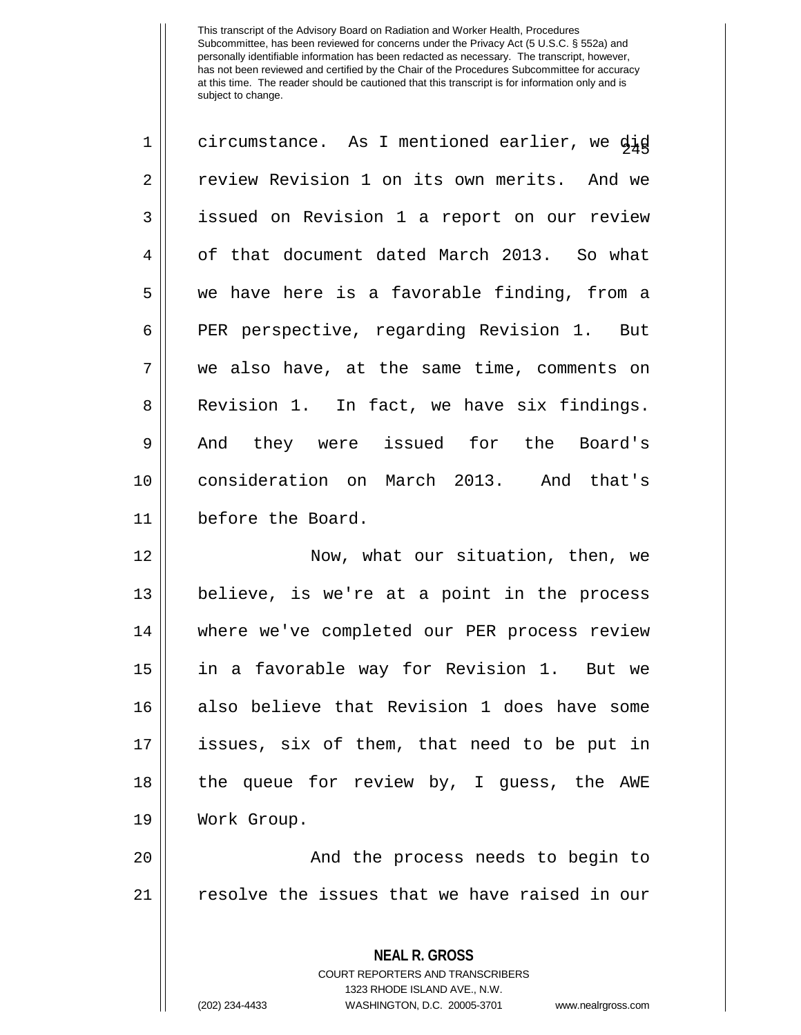| $\mathbf 1$    | circumstance. As I mentioned earlier, we did |
|----------------|----------------------------------------------|
| $\overline{2}$ | review Revision 1 on its own merits. And we  |
| 3              | issued on Revision 1 a report on our review  |
| 4              | of that document dated March 2013. So what   |
| 5              | we have here is a favorable finding, from a  |
| 6              | PER perspective, regarding Revision 1. But   |
| 7              | we also have, at the same time, comments on  |
| 8              | Revision 1. In fact, we have six findings.   |
| 9              | And they were issued for the Board's         |
| 10             | consideration on March 2013. And that's      |
| 11             | before the Board.                            |
|                |                                              |

12 || Now, what our situation, then, we 13 believe, is we're at a point in the process 14 || where we've completed our PER process review 15 in a favorable way for Revision 1. But we 16 also believe that Revision 1 does have some 17 issues, six of them, that need to be put in 18 || the queue for review by, I guess, the AWE 19 Work Group.

20 || The process needs to begin to 21 | resolve the issues that we have raised in our

> **NEAL R. GROSS** COURT REPORTERS AND TRANSCRIBERS 1323 RHODE ISLAND AVE., N.W. (202) 234-4433 WASHINGTON, D.C. 20005-3701 www.nealrgross.com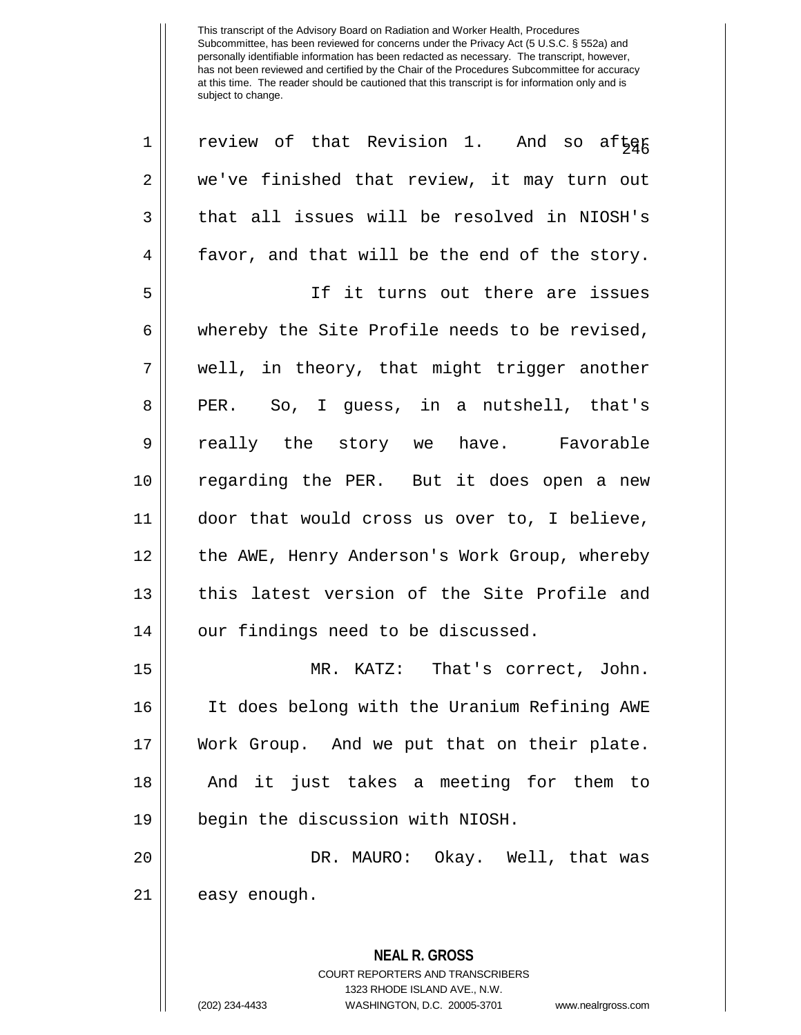| $\mathbf 1$ | review of that Revision 1. And so after                                                         |
|-------------|-------------------------------------------------------------------------------------------------|
| 2           | we've finished that review, it may turn out                                                     |
| 3           | that all issues will be resolved in NIOSH's                                                     |
| 4           | favor, and that will be the end of the story.                                                   |
| 5           | If it turns out there are issues                                                                |
| 6           | whereby the Site Profile needs to be revised,                                                   |
| 7           | well, in theory, that might trigger another                                                     |
| 8           | PER. So, I guess, in a nutshell, that's                                                         |
| 9           | really the story we have. Favorable                                                             |
| 10          | regarding the PER. But it does open a new                                                       |
| 11          | door that would cross us over to, I believe,                                                    |
| 12          | the AWE, Henry Anderson's Work Group, whereby                                                   |
| 13          | this latest version of the Site Profile and                                                     |
| 14          | our findings need to be discussed.                                                              |
| 15          | MR. KATZ: That's correct, John.                                                                 |
| 16          | It does belong with the Uranium Refining AWE                                                    |
| 17          | Work Group. And we put that on their plate.                                                     |
| 18          | And it just takes a meeting for them to                                                         |
| 19          | begin the discussion with NIOSH.                                                                |
| 20          | DR. MAURO: Okay. Well, that was                                                                 |
| 21          | easy enough.                                                                                    |
|             | <b>NEAL R. GROSS</b><br><b>COURT REPORTERS AND TRANSCRIBERS</b><br>1323 RHODE ISLAND AVE., N.W. |
|             | (202) 234-4433<br>WASHINGTON, D.C. 20005-3701<br>www.nealrgross.com                             |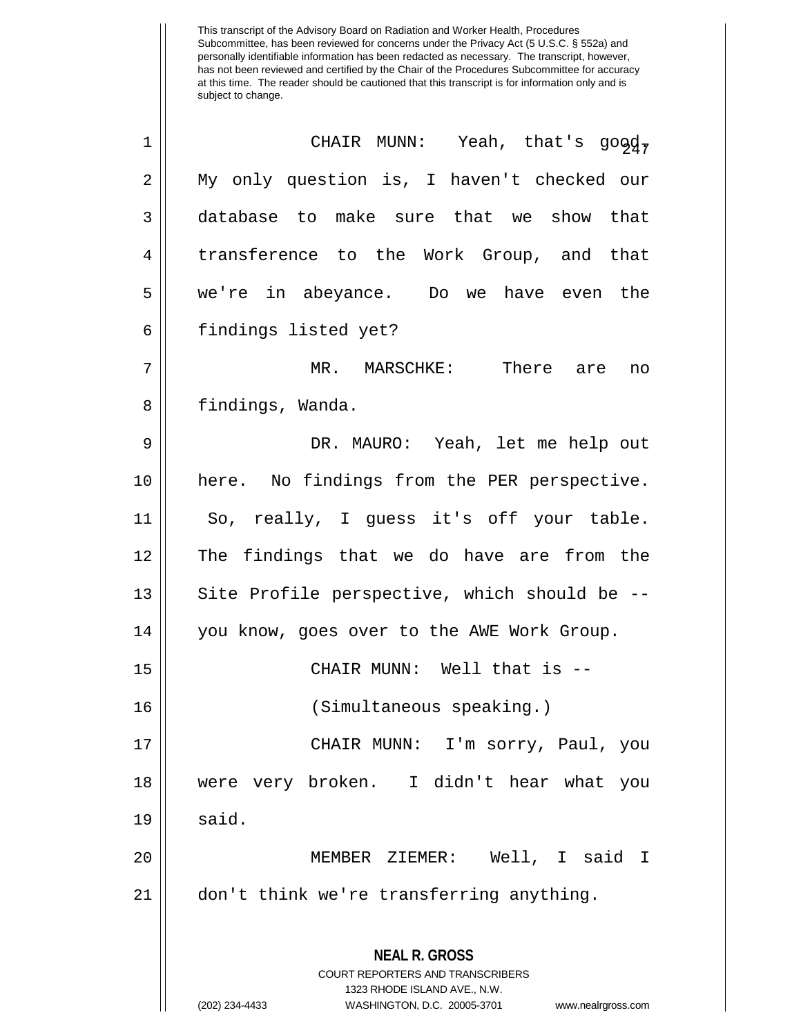| 1              | CHAIR MUNN: Yeah, that's good,                                                                                                                                         |
|----------------|------------------------------------------------------------------------------------------------------------------------------------------------------------------------|
| 2              | My only question is, I haven't checked our                                                                                                                             |
| 3              | database to make sure that we show that                                                                                                                                |
| $\overline{4}$ | transference to the Work Group, and that                                                                                                                               |
| 5              | we're in abeyance. Do we have even the                                                                                                                                 |
| 6              | findings listed yet?                                                                                                                                                   |
| 7              | MR. MARSCHKE: There are<br>no                                                                                                                                          |
| 8              | findings, Wanda.                                                                                                                                                       |
| 9              | DR. MAURO: Yeah, let me help out                                                                                                                                       |
| 10             | here. No findings from the PER perspective.                                                                                                                            |
| 11             | So, really, I guess it's off your table.                                                                                                                               |
| 12             | The findings that we do have are from the                                                                                                                              |
| 13             | Site Profile perspective, which should be --                                                                                                                           |
| 14             | you know, goes over to the AWE Work Group.                                                                                                                             |
| 15             | CHAIR MUNN: Well that is --                                                                                                                                            |
| 16             | (Simultaneous speaking.)                                                                                                                                               |
| 17             | CHAIR MUNN: I'm sorry, Paul, you                                                                                                                                       |
| 18             | were very broken. I didn't hear what you                                                                                                                               |
| 19             | said.                                                                                                                                                                  |
| 20             | MEMBER ZIEMER: Well, I said I                                                                                                                                          |
| 21             | don't think we're transferring anything.                                                                                                                               |
|                | <b>NEAL R. GROSS</b><br><b>COURT REPORTERS AND TRANSCRIBERS</b><br>1323 RHODE ISLAND AVE., N.W.<br>(202) 234-4433<br>WASHINGTON, D.C. 20005-3701<br>www.nealrgross.com |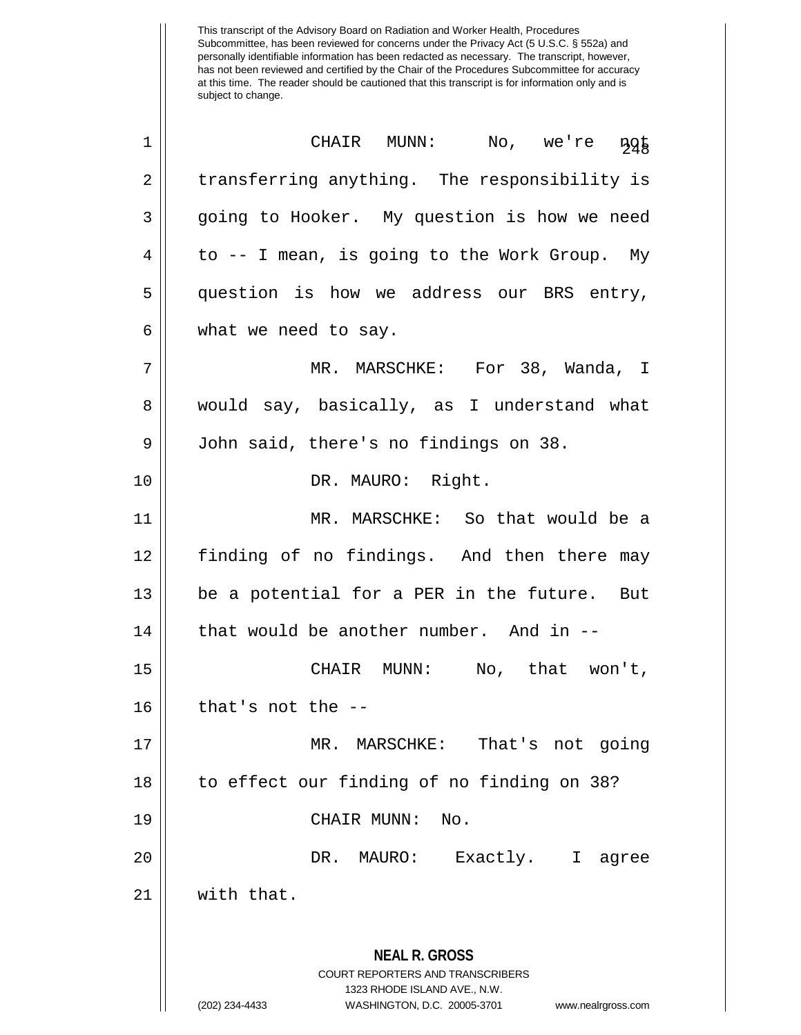| 1              | CHAIR MUNN: No, we're<br>$\frac{1}{2}9\frac{1}{8}$                                                                                                                     |
|----------------|------------------------------------------------------------------------------------------------------------------------------------------------------------------------|
| $\overline{2}$ | transferring anything. The responsibility is                                                                                                                           |
| 3              | going to Hooker. My question is how we need                                                                                                                            |
| 4              | to -- I mean, is going to the Work Group. My                                                                                                                           |
| 5              | question is how we address our BRS entry,                                                                                                                              |
| 6              | what we need to say.                                                                                                                                                   |
| 7              | MR. MARSCHKE: For 38, Wanda, I                                                                                                                                         |
| 8              | would say, basically, as I understand what                                                                                                                             |
| 9              | John said, there's no findings on 38.                                                                                                                                  |
| 10             | DR. MAURO: Right.                                                                                                                                                      |
| 11             | MR. MARSCHKE: So that would be a                                                                                                                                       |
| 12             | finding of no findings. And then there may                                                                                                                             |
| 13             | be a potential for a PER in the future. But                                                                                                                            |
| 14             | that would be another number. And in --                                                                                                                                |
| 15             | CHAIR MUNN: No, that won't,                                                                                                                                            |
| 16             | that's not the $-$ -                                                                                                                                                   |
| 17             | MR. MARSCHKE: That's not going                                                                                                                                         |
| 18             | to effect our finding of no finding on 38?                                                                                                                             |
| 19             | No.<br>CHAIR MUNN:                                                                                                                                                     |
| 20             | DR.<br>MAURO:<br>Exactly. I agree                                                                                                                                      |
| 21             | with that.                                                                                                                                                             |
|                | <b>NEAL R. GROSS</b><br><b>COURT REPORTERS AND TRANSCRIBERS</b><br>1323 RHODE ISLAND AVE., N.W.<br>(202) 234-4433<br>WASHINGTON, D.C. 20005-3701<br>www.nealrgross.com |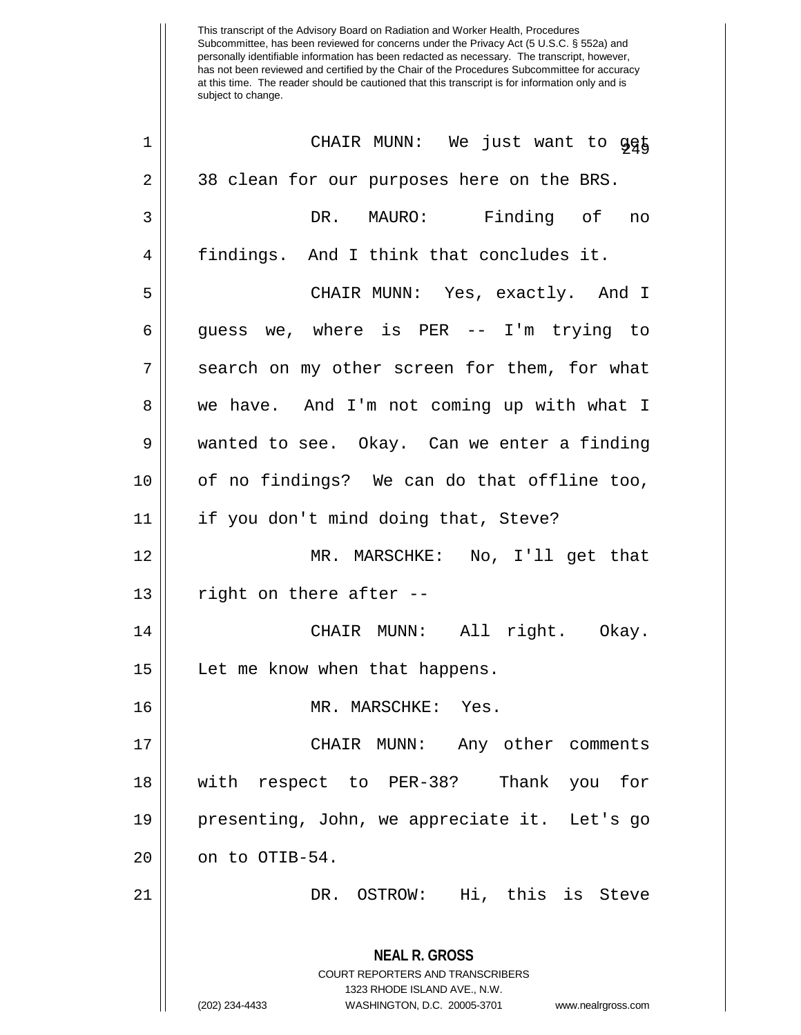| $\mathbf 1$    | CHAIR MUNN: We just want to 945                                                                                                                                        |
|----------------|------------------------------------------------------------------------------------------------------------------------------------------------------------------------|
| $\overline{2}$ | 38 clean for our purposes here on the BRS.                                                                                                                             |
| 3              | DR. MAURO: Finding of no                                                                                                                                               |
| 4              | findings. And I think that concludes it.                                                                                                                               |
| 5              | CHAIR MUNN: Yes, exactly. And I                                                                                                                                        |
| 6              | guess we, where is PER -- I'm trying to                                                                                                                                |
| 7              | search on my other screen for them, for what                                                                                                                           |
| 8              | we have. And I'm not coming up with what I                                                                                                                             |
| 9              | wanted to see. Okay. Can we enter a finding                                                                                                                            |
| 10             | of no findings? We can do that offline too,                                                                                                                            |
| 11             | if you don't mind doing that, Steve?                                                                                                                                   |
| 12             | MR. MARSCHKE: No, I'll get that                                                                                                                                        |
| 13             | right on there after --                                                                                                                                                |
| 14             | CHAIR MUNN: All right. Okay.                                                                                                                                           |
| 15             | Let me know when that happens.                                                                                                                                         |
| 16             | MR. MARSCHKE: Yes.                                                                                                                                                     |
| 17             | CHAIR MUNN: Any other comments                                                                                                                                         |
| 18             | with respect to PER-38? Thank you<br>for                                                                                                                               |
| 19             | presenting, John, we appreciate it. Let's go                                                                                                                           |
| 20             | on to OTIB-54.                                                                                                                                                         |
| 21             | DR. OSTROW: Hi, this is Steve                                                                                                                                          |
|                | <b>NEAL R. GROSS</b><br><b>COURT REPORTERS AND TRANSCRIBERS</b><br>1323 RHODE ISLAND AVE., N.W.<br>(202) 234-4433<br>WASHINGTON, D.C. 20005-3701<br>www.nealrgross.com |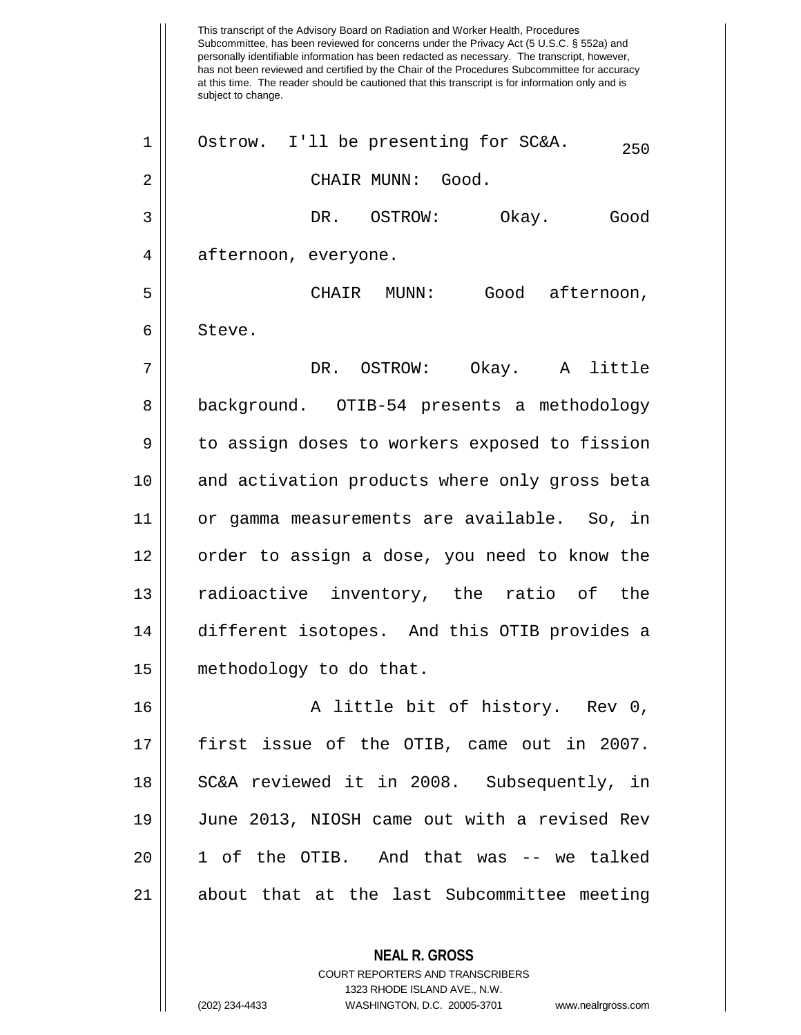This transcript of the Advisory Board on Radiation and Worker Health, Procedures Subcommittee, has been reviewed for concerns under the Privacy Act (5 U.S.C. § 552a) and personally identifiable information has been redacted as necessary. The transcript, however, has not been reviewed and certified by the Chair of the Procedures Subcommittee for accuracy at this time. The reader should be cautioned that this transcript is for information only and is subject to change. **NEAL R. GROSS**  $1 \parallel$  Ostrow. I'll be presenting for SC&A.  $250$ 2 CHAIR MUNN: Good. 3 DR. OSTROW: Okay. Good 4 || afternoon, everyone. 5 CHAIR MUNN: Good afternoon, 6 Steve. 7 DR. OSTROW: Okay. A little 8 | background. OTIB-54 presents a methodology 9 | to assign doses to workers exposed to fission 10 || and activation products where only gross beta 11 or gamma measurements are available. So, in 12 || order to assign a dose, you need to know the 13 || radioactive inventory, the ratio of the 14 different isotopes. And this OTIB provides a 15 methodology to do that. 16 || A little bit of history. Rev 0, 17 first issue of the OTIB, came out in 2007. 18 || SC&A reviewed it in 2008. Subsequently, in 19 June 2013, NIOSH came out with a revised Rev 20 1 of the OTIB. And that was -- we talked 21 about that at the last Subcommittee meeting

> COURT REPORTERS AND TRANSCRIBERS 1323 RHODE ISLAND AVE., N.W.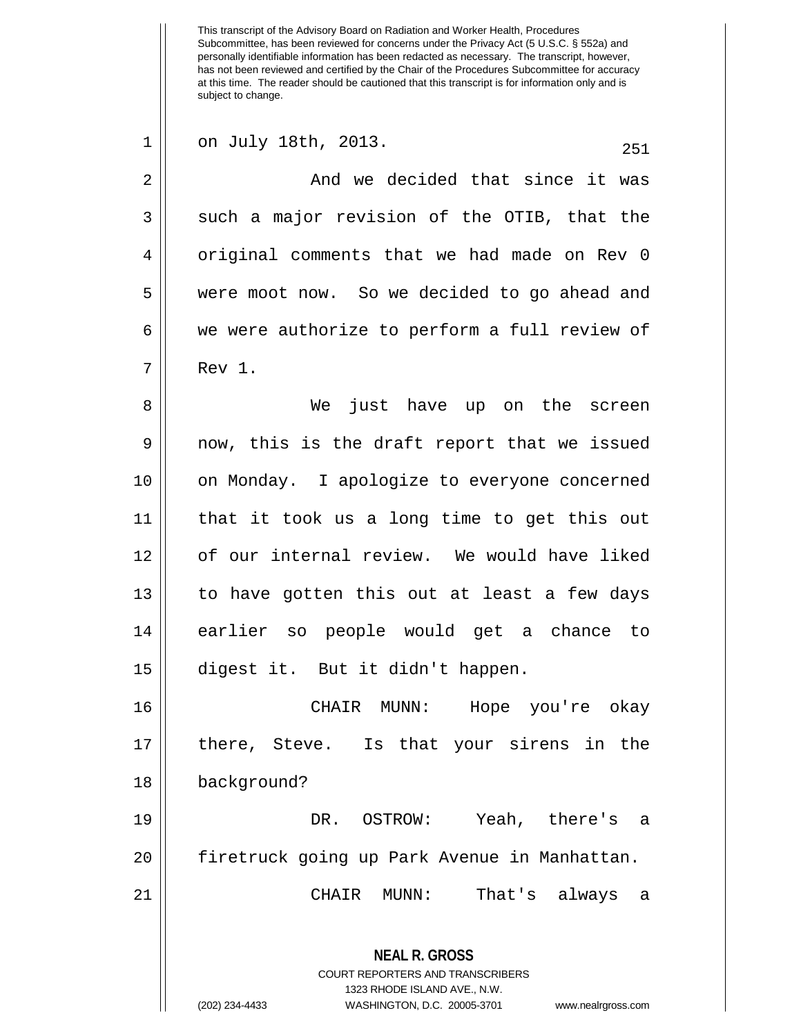This transcript of the Advisory Board on Radiation and Worker Health, Procedures Subcommittee, has been reviewed for concerns under the Privacy Act (5 U.S.C. § 552a) and personally identifiable information has been redacted as necessary. The transcript, however, has not been reviewed and certified by the Chair of the Procedures Subcommittee for accuracy at this time. The reader should be cautioned that this transcript is for information only and is subject to change. **NEAL R. GROSS** COURT REPORTERS AND TRANSCRIBERS 1323 RHODE ISLAND AVE., N.W. (202) 234-4433 WASHINGTON, D.C. 20005-3701 www.nealrgross.com  $1 \parallel$  on July 18th, 2013.  $251$ 2 And we decided that since it was  $3 \parallel$  such a major revision of the OTIB, that the 4 || original comments that we had made on Rev 0 5 were moot now. So we decided to go ahead and  $6 \parallel$  we were authorize to perform a full review of 7 Rev 1. 8 We just have up on the screen 9 || now, this is the draft report that we issued 10 on Monday. I apologize to everyone concerned 11 that it took us a long time to get this out 12 || of our internal review. We would have liked 13 to have gotten this out at least a few days 14 earlier so people would get a chance to 15 digest it. But it didn't happen. 16 CHAIR MUNN: Hope you're okay 17 there, Steve. Is that your sirens in the 18 background? 19 DR. OSTROW: Yeah, there's a 20 firetruck going up Park Avenue in Manhattan. 21 CHAIR MUNN: That's always a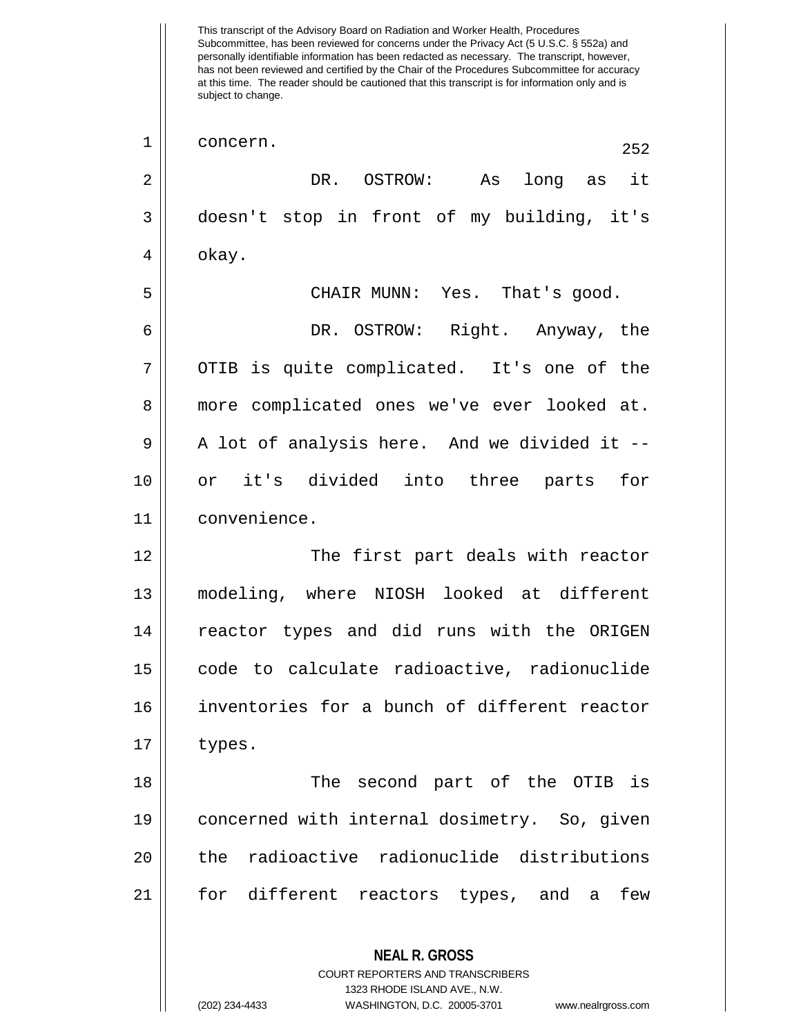This transcript of the Advisory Board on Radiation and Worker Health, Procedures Subcommittee, has been reviewed for concerns under the Privacy Act (5 U.S.C. § 552a) and personally identifiable information has been redacted as necessary. The transcript, however, has not been reviewed and certified by the Chair of the Procedures Subcommittee for accuracy at this time. The reader should be cautioned that this transcript is for information only and is subject to change. **NEAL R. GROSS** COURT REPORTERS AND TRANSCRIBERS 1323 RHODE ISLAND AVE., N.W. (202) 234-4433 WASHINGTON, D.C. 20005-3701 www.nealrgross.com  $\begin{array}{c|c} 1 & \text{concern.} \end{array}$  252 2 DR. OSTROW: As long as it 3 doesn't stop in front of my building, it's  $4 \parallel$  okay. 5 CHAIR MUNN: Yes. That's good. 6 DR. OSTROW: Right. Anyway, the 7 || OTIB is quite complicated. It's one of the 8 more complicated ones we've ever looked at.  $9 \parallel$  A lot of analysis here. And we divided it --10 or it's divided into three parts for 11 convenience. 12 The first part deals with reactor 13 modeling, where NIOSH looked at different 14 || reactor types and did runs with the ORIGEN 15 code to calculate radioactive, radionuclide 16 inventories for a bunch of different reactor  $17 \parallel$  types. 18 The second part of the OTIB is 19 concerned with internal dosimetry. So, given 20 the radioactive radionuclide distributions 21 for different reactors types, and a few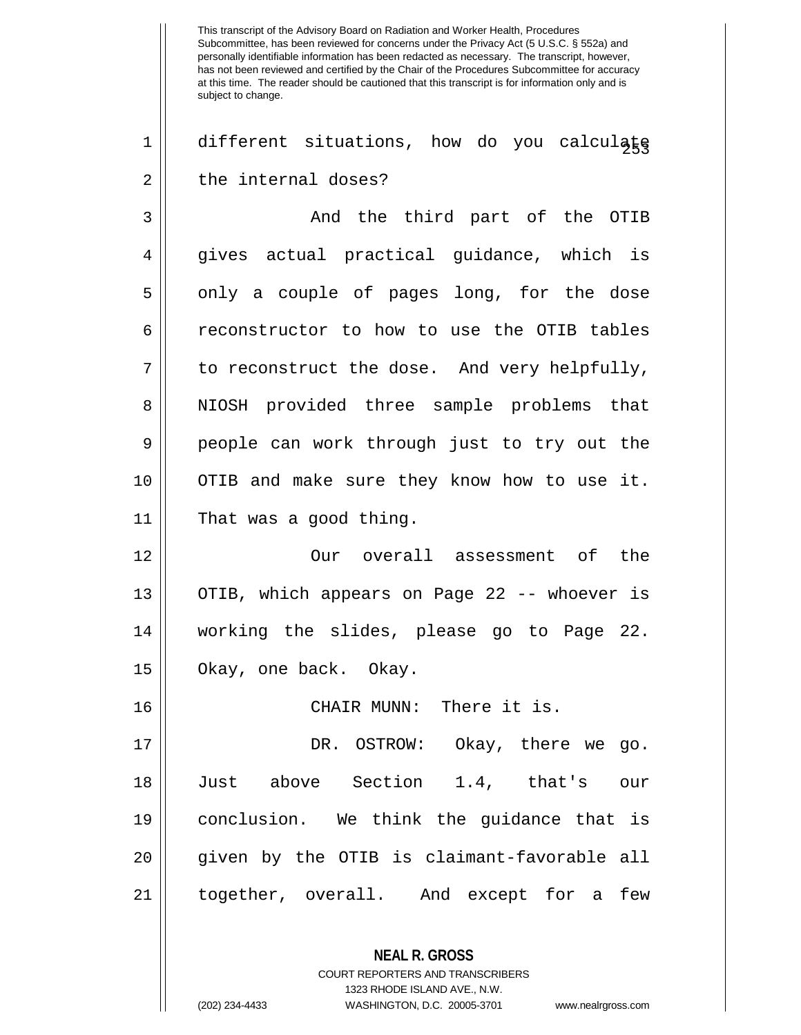$1 \parallel$  different situations, how do you calculate  $2 \parallel$  the internal doses?

3 and the third part of the OTIB 4 gives actual practical guidance, which is 5 || only a couple of pages long, for the dose 6 reconstructor to how to use the OTIB tables  $7 \parallel$  to reconstruct the dose. And very helpfully, 8 || NIOSH provided three sample problems that 9 || people can work through just to try out the 10 || OTIB and make sure they know how to use it. 11 That was a good thing.

12 Our overall assessment of the 13 || OTIB, which appears on Page 22 -- whoever is 14 working the slides, please go to Page 22. 15 || Okay, one back. Okay.

16 CHAIR MUNN: There it is.

 DR. OSTROW: Okay, there we go. Just above Section 1.4, that's our conclusion. We think the guidance that is given by the OTIB is claimant-favorable all together, overall. And except for a few

> **NEAL R. GROSS** COURT REPORTERS AND TRANSCRIBERS 1323 RHODE ISLAND AVE., N.W.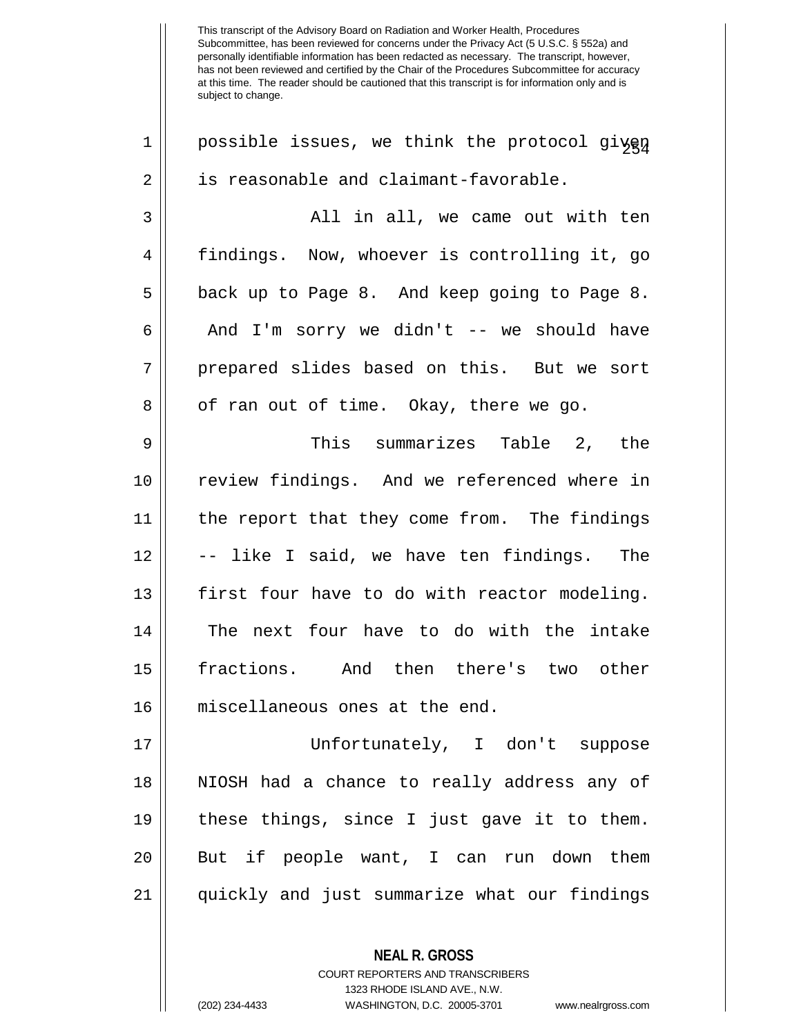$1$  | possible issues, we think the protocol given  $2 \parallel$  is reasonable and claimant-favorable. 3 All in all, we came out with ten 4 findings. Now, whoever is controlling it, go 5 || back up to Page 8. And keep going to Page 8. 6 | And I'm sorry we didn't -- we should have 7 || prepared slides based on this. But we sort  $8 \parallel$  of ran out of time. Okay, there we go. 9 This summarizes Table 2, the 10 || review findings. And we referenced where in 11 || the report that they come from. The findings 12 | | -- like I said, we have ten findings. The 13 first four have to do with reactor modeling. 14 || The next four have to do with the intake 15 fractions. And then there's two other 16 miscellaneous ones at the end. 17 Unfortunately, I don't suppose 18 NIOSH had a chance to really address any of  $19$  | these things, since I just gave it to them. 20 || But if people want, I can run down them 21 quickly and just summarize what our findings

> COURT REPORTERS AND TRANSCRIBERS 1323 RHODE ISLAND AVE., N.W.

**NEAL R. GROSS**

<sup>(202) 234-4433</sup> WASHINGTON, D.C. 20005-3701 www.nealrgross.com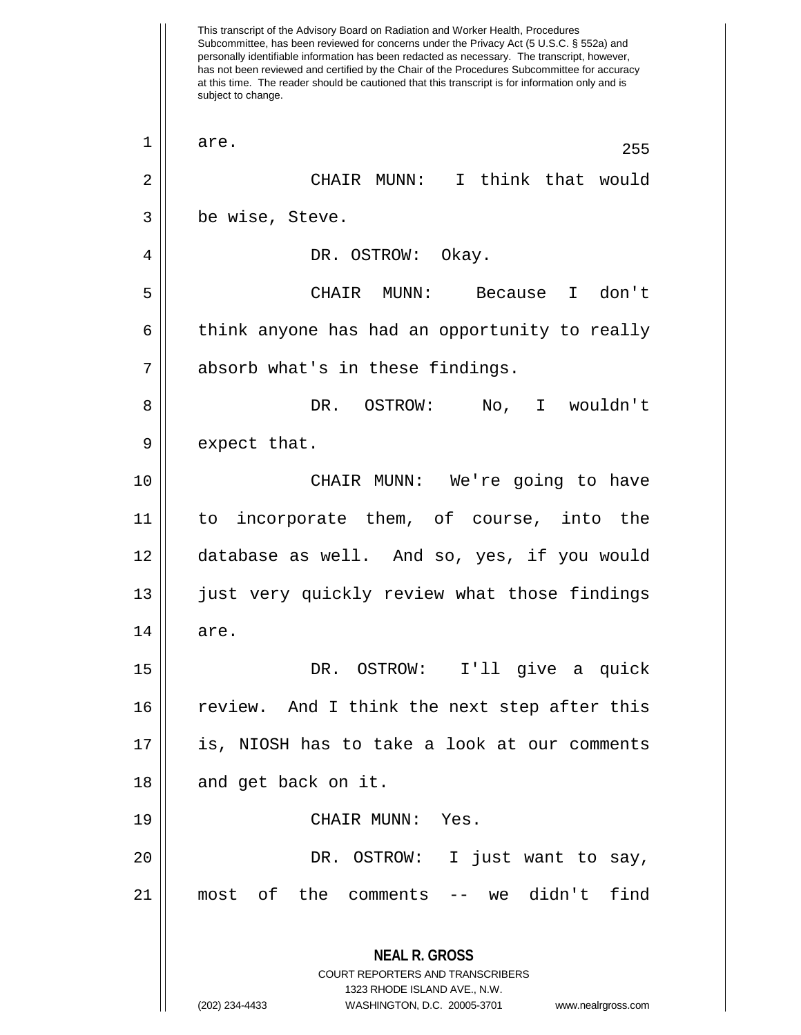This transcript of the Advisory Board on Radiation and Worker Health, Procedures Subcommittee, has been reviewed for concerns under the Privacy Act (5 U.S.C. § 552a) and personally identifiable information has been redacted as necessary. The transcript, however, has not been reviewed and certified by the Chair of the Procedures Subcommittee for accuracy at this time. The reader should be cautioned that this transcript is for information only and is subject to change. **NEAL R. GROSS** COURT REPORTERS AND TRANSCRIBERS 1323 RHODE ISLAND AVE., N.W. (202) 234-4433 WASHINGTON, D.C. 20005-3701 www.nealrgross.com  $\begin{array}{|c|c|c|c|c|}\n1 & \text{are.} & \text{255}\n\end{array}$ 2 CHAIR MUNN: I think that would 3 | be wise, Steve. 4 DR. OSTROW: Okay. 5 CHAIR MUNN: Because I don't  $6 \parallel$  think anyone has had an opportunity to really 7 absorb what's in these findings. 8 DR. OSTROW: No, I wouldn't  $9 \parallel$  expect that. 10 CHAIR MUNN: We're going to have 11 to incorporate them, of course, into the 12 database as well. And so, yes, if you would 13 || just very quickly review what those findings  $14 \parallel \quad$  are. 15 DR. OSTROW: I'll give a quick 16 review. And I think the next step after this 17 is, NIOSH has to take a look at our comments  $18$  || and get back on it. 19 CHAIR MUNN: Yes. 20 DR. OSTROW: I just want to say, 21 most of the comments -- we didn't find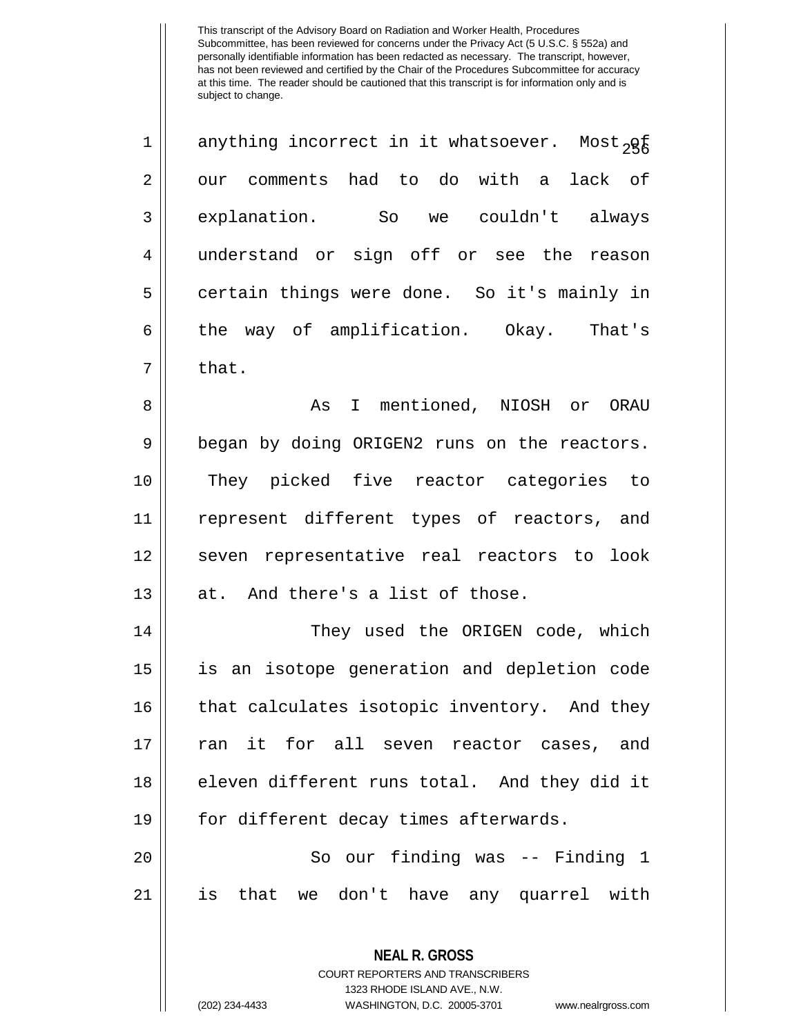| $\mathbf 1$ | anything incorrect in it whatsoever. Most <sub>2g</sub> |
|-------------|---------------------------------------------------------|
| 2           | our comments had to do with a<br>lack of                |
| 3           | explanation.<br>couldn't<br>So<br>always<br>we          |
| 4           | understand or sign off or see the reason                |
| 5           | certain things were done. So it's mainly in             |
| 6           | way of amplification.<br>the<br>Okay.<br>That's         |
| 7           | that.                                                   |

 As I mentioned, NIOSH or ORAU 9 | began by doing ORIGEN2 runs on the reactors. They picked five reactor categories to represent different types of reactors, and 12 || seven representative real reactors to look | at. And there's a list of those.

14 || They used the ORIGEN code, which 15 is an isotope generation and depletion code 16 || that calculates isotopic inventory. And they 17 ran it for all seven reactor cases, and 18 eleven different runs total. And they did it 19 | for different decay times afterwards.

20 || So our finding was -- Finding 1 21 is that we don't have any quarrel with

> **NEAL R. GROSS** COURT REPORTERS AND TRANSCRIBERS 1323 RHODE ISLAND AVE., N.W.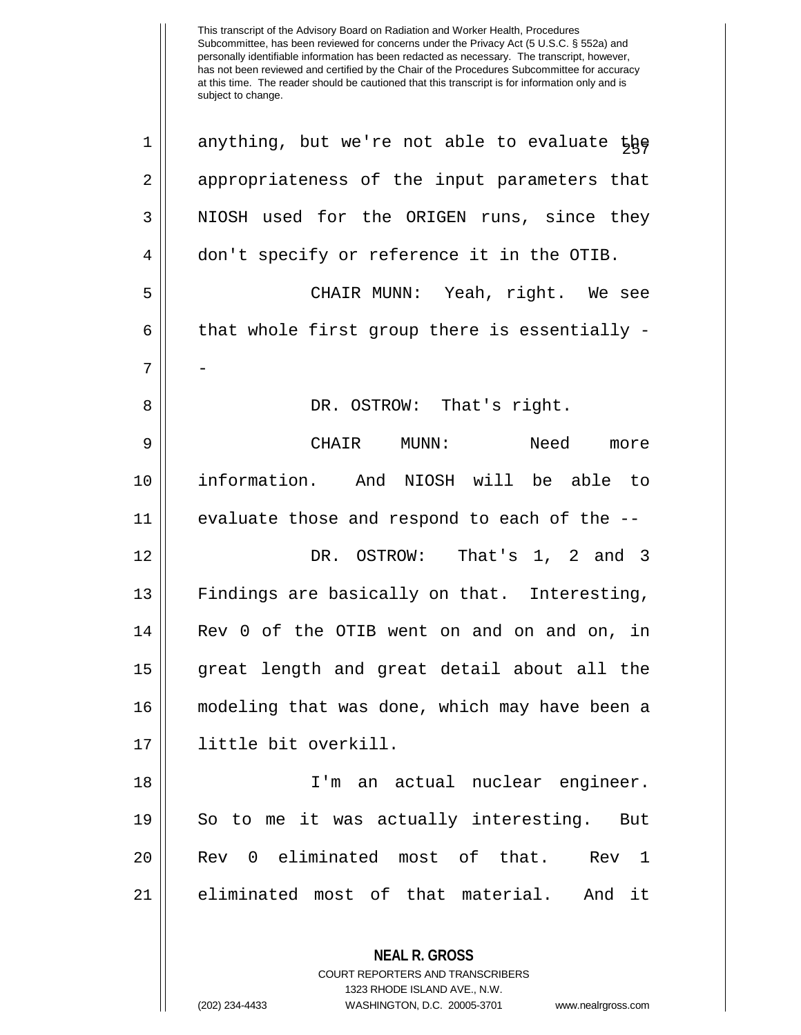| 1  | anything, but we're not able to evaluate the                                                    |
|----|-------------------------------------------------------------------------------------------------|
| 2  | appropriateness of the input parameters that                                                    |
| 3  | NIOSH used for the ORIGEN runs, since they                                                      |
| 4  | don't specify or reference it in the OTIB.                                                      |
| 5  | CHAIR MUNN: Yeah, right. We see                                                                 |
| 6  | that whole first group there is essentially -                                                   |
| 7  |                                                                                                 |
| 8  | DR. OSTROW: That's right.                                                                       |
| 9  | CHAIR MUNN:<br>Need<br>more                                                                     |
| 10 | information. And NIOSH will be able to                                                          |
| 11 | evaluate those and respond to each of the --                                                    |
| 12 | DR. OSTROW: That's 1, 2 and 3                                                                   |
| 13 | Findings are basically on that. Interesting,                                                    |
| 14 | Rev 0 of the OTIB went on and on and on, in                                                     |
| 15 | great length and great detail about all the                                                     |
| 16 | modeling that was done, which may have been a                                                   |
| 17 | little bit overkill.                                                                            |
| 18 | I'm an actual nuclear engineer.                                                                 |
| 19 | So to me it was actually interesting. But                                                       |
| 20 | Rev 0 eliminated most of that. Rev 1                                                            |
| 21 | eliminated most of that material. And it                                                        |
|    | <b>NEAL R. GROSS</b><br><b>COURT REPORTERS AND TRANSCRIBERS</b><br>1323 RHODE ISLAND AVE., N.W. |

 $\prod_{i=1}^{n}$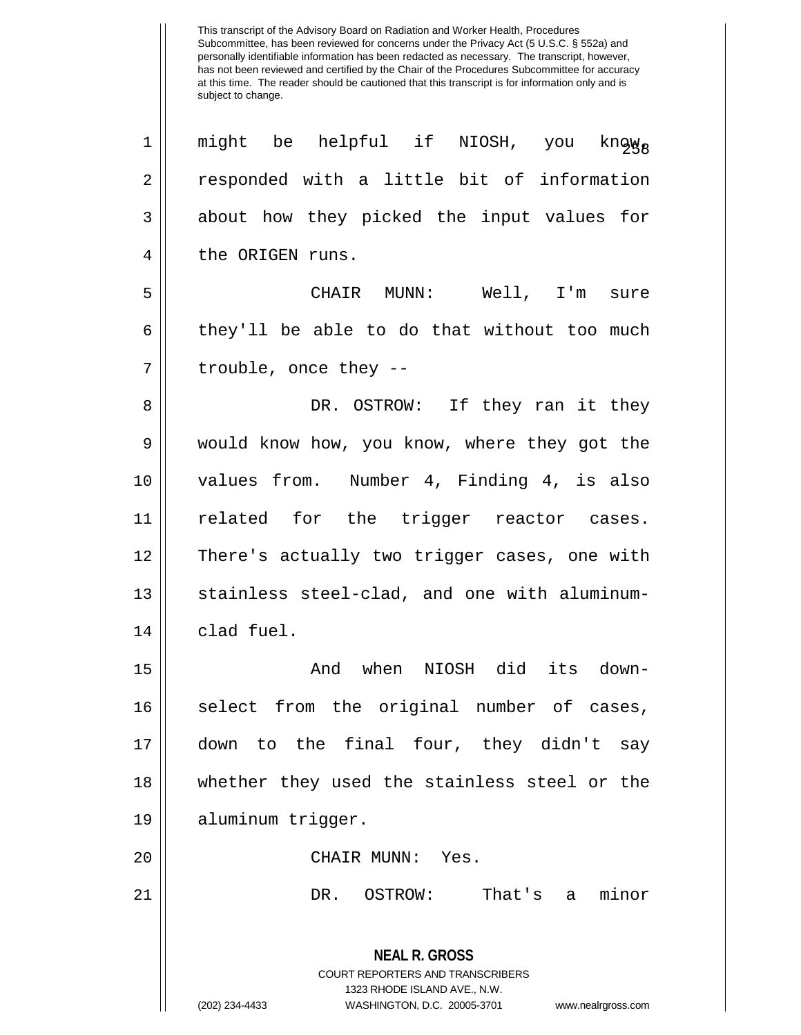**NEAL R. GROSS** COURT REPORTERS AND TRANSCRIBERS 1323 RHODE ISLAND AVE., N.W. (202) 234-4433 WASHINGTON, D.C. 20005-3701 www.nealrgross.com 1 || might be helpful if NIOSH, you know, s 2 | responded with a little bit of information 3 about how they picked the input values for 4 || the ORIGEN runs. 5 CHAIR MUNN: Well, I'm sure  $6 \parallel$  they'll be able to do that without too much  $7 \parallel$  trouble, once they --8 DR. OSTROW: If they ran it they 9 would know how, you know, where they got the 10 values from. Number 4, Finding 4, is also 11 || related for the trigger reactor cases. 12 There's actually two trigger cases, one with 13 || stainless steel-clad, and one with aluminum- $14$  | clad fuel. 15 And when NIOSH did its down-16 || select from the original number of cases, 17 down to the final four, they didn't say 18 whether they used the stainless steel or the 19 aluminum trigger. 20 CHAIR MUNN: Yes. 21 DR. OSTROW: That's a minor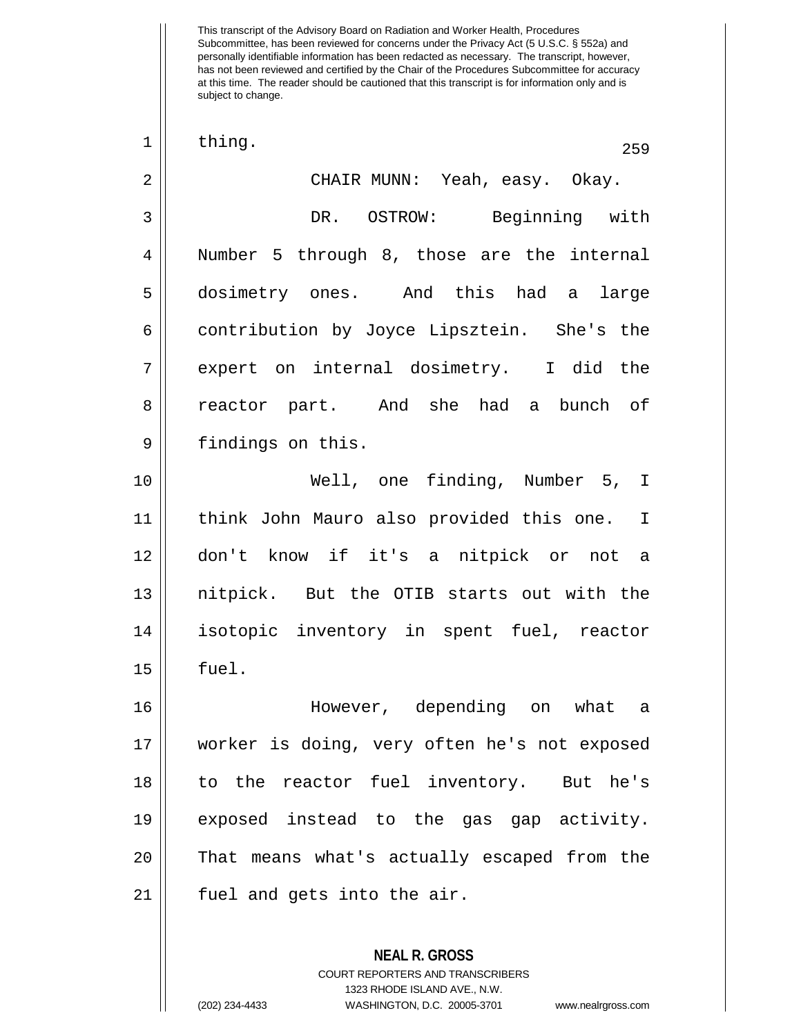| $\mathbf 1$    | thing.<br>259                                |
|----------------|----------------------------------------------|
| $\overline{2}$ | CHAIR MUNN: Yeah, easy. Okay.                |
| 3              | DR. OSTROW: Beginning with                   |
| $\overline{4}$ | Number 5 through 8, those are the internal   |
| 5              | dosimetry ones. And this had a large         |
| 6              | contribution by Joyce Lipsztein. She's the   |
| 7              | expert on internal dosimetry. I did the      |
| 8              | reactor part. And she had a bunch of         |
| 9              | findings on this.                            |
| 10             | Well, one finding, Number 5, I               |
| 11             | think John Mauro also provided this one. I   |
| 12             | don't know if it's a nitpick or not a        |
| 13             | nitpick. But the OTIB starts out with the    |
| 14             | isotopic inventory in spent fuel, reactor    |
| 15             | fuel.                                        |
| 16             | However, depending on what a                 |
| 17             | worker is doing, very often he's not exposed |
| 18             | to the reactor fuel inventory. But he's      |
| 19             | exposed instead to the gas gap activity.     |
| 20             | That means what's actually escaped from the  |
| 21             | fuel and gets into the air.                  |
|                | <b>NEAL R. GROSS</b>                         |

COURT REPORTERS AND TRANSCRIBERS 1323 RHODE ISLAND AVE., N.W.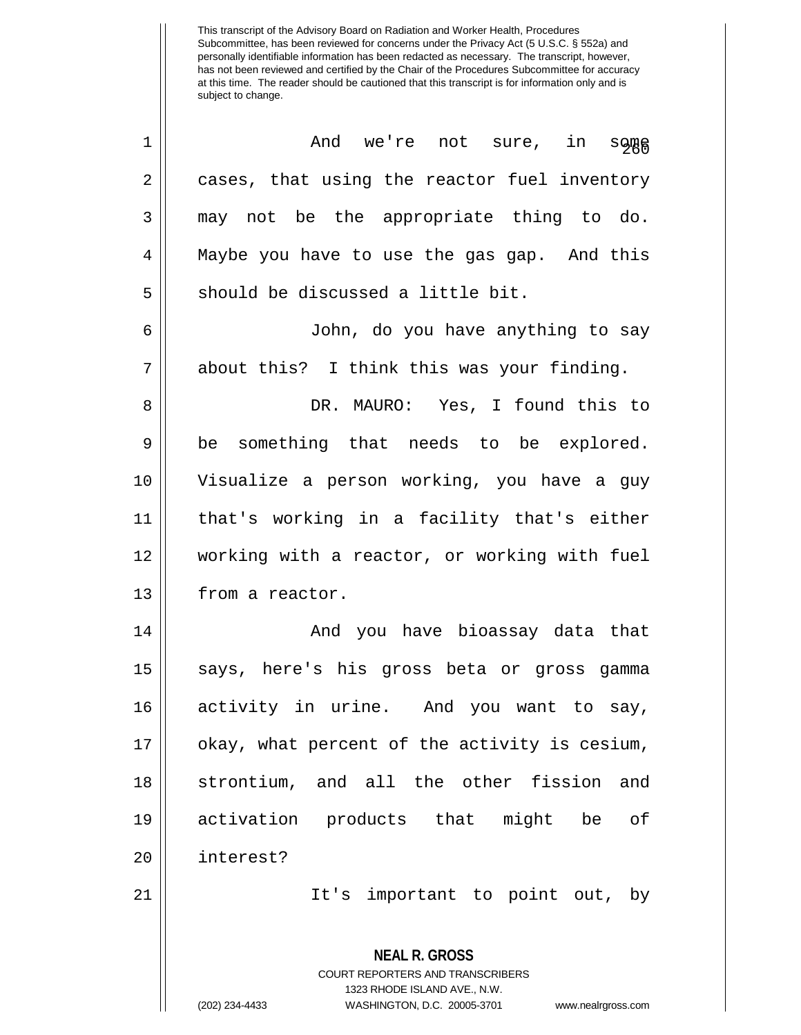| 1              | And we're not sure, in<br>some                                                                  |
|----------------|-------------------------------------------------------------------------------------------------|
| $\overline{2}$ | cases, that using the reactor fuel inventory                                                    |
| 3              | may not be the appropriate thing to do.                                                         |
| 4              | Maybe you have to use the gas gap. And this                                                     |
| 5              | should be discussed a little bit.                                                               |
| 6              | John, do you have anything to say                                                               |
| 7              | about this? I think this was your finding.                                                      |
| 8              | DR. MAURO: Yes, I found this to                                                                 |
| 9              | be something that needs to be explored.                                                         |
| 10             | Visualize a person working, you have a guy                                                      |
| 11             | that's working in a facility that's either                                                      |
| 12             | working with a reactor, or working with fuel                                                    |
| 13             | from a reactor.                                                                                 |
| 14             | And you have bioassay data that                                                                 |
| 15             | says, here's his gross beta or gross gamma                                                      |
| 16             | activity in urine. And you want to say,                                                         |
| 17             | okay, what percent of the activity is cesium,                                                   |
| 18             | strontium, and all the other fission<br>and                                                     |
| 19             | activation products that might be<br>оf                                                         |
| 20             | interest?                                                                                       |
| 21             | It's important to point out, by                                                                 |
|                | <b>NEAL R. GROSS</b><br><b>COURT REPORTERS AND TRANSCRIBERS</b><br>1323 RHODE ISLAND AVE., N.W. |
|                | (202) 234-4433<br>WASHINGTON, D.C. 20005-3701<br>www.nealrgross.com                             |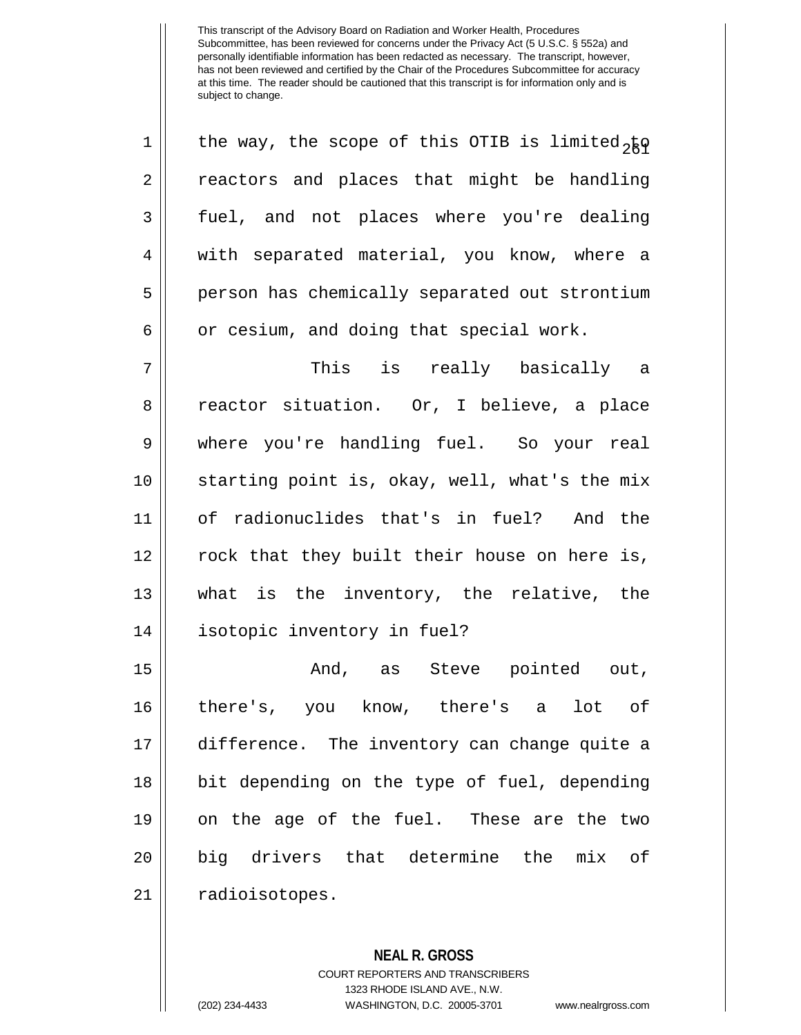| $\mathbf 1$    | the way, the scope of this OTIB is limited <sub>2</sub> ko |
|----------------|------------------------------------------------------------|
| $\overline{2}$ | reactors and places that might be handling                 |
| $\overline{3}$ | fuel, and not places where you're dealing                  |
| $\overline{4}$ | with separated material, you know, where a                 |
| 5              | person has chemically separated out strontium              |
| 6              | or cesium, and doing that special work.                    |

 This is really basically a 8 || reactor situation. Or, I believe, a place where you're handling fuel. So your real 10 || starting point is, okay, well, what's the mix of radionuclides that's in fuel? And the | rock that they built their house on here is, what is the inventory, the relative, the isotopic inventory in fuel?

 And, as Steve pointed out, there's, you know, there's a lot of difference. The inventory can change quite a 18 || bit depending on the type of fuel, depending on the age of the fuel. These are the two big drivers that determine the mix of 21 | radioisotopes.

> **NEAL R. GROSS** COURT REPORTERS AND TRANSCRIBERS 1323 RHODE ISLAND AVE., N.W. (202) 234-4433 WASHINGTON, D.C. 20005-3701 www.nealrgross.com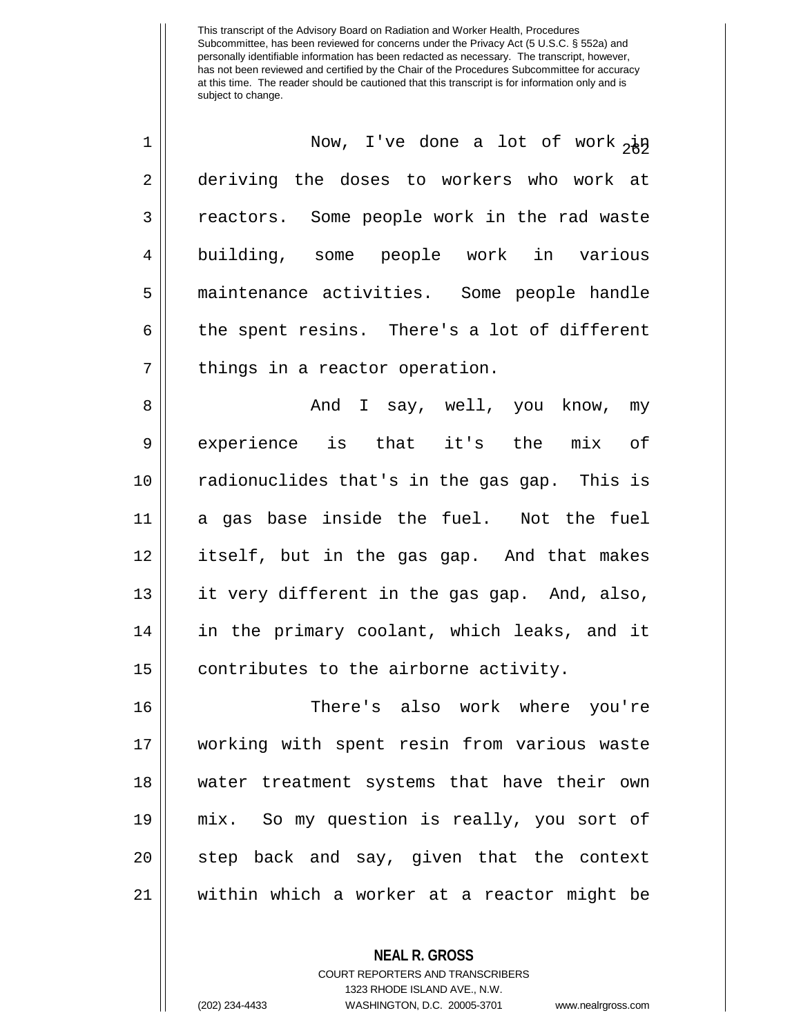| $\mathbf 1$    | Now, I've done a lot of work $2\frac{1}{2}$  |
|----------------|----------------------------------------------|
| $\overline{a}$ | deriving the doses to workers who work at    |
| $\mathbf{3}$   | reactors. Some people work in the rad waste  |
| $\overline{4}$ | building, some people work in various        |
| 5              | maintenance activities. Some people handle   |
| 6              | the spent resins. There's a lot of different |
| 7              | things in a reactor operation.               |
| 8              | And I say, well, you know, my                |
| $\overline{9}$ | experience is that it's the mix of           |
| 10             | radionuclides that's in the gas gap. This is |
| 11             | a gas base inside the fuel. Not the fuel     |
| 1 O            | that hut in the sea care and that maless     |

 itself, but in the gas gap. And that makes it very different in the gas gap. And, also, 14 || in the primary coolant, which leaks, and it | contributes to the airborne activity.

 There's also work where you're working with spent resin from various waste water treatment systems that have their own mix. So my question is really, you sort of 20 || step back and say, given that the context within which a worker at a reactor might be

> **NEAL R. GROSS** COURT REPORTERS AND TRANSCRIBERS 1323 RHODE ISLAND AVE., N.W. (202) 234-4433 WASHINGTON, D.C. 20005-3701 www.nealrgross.com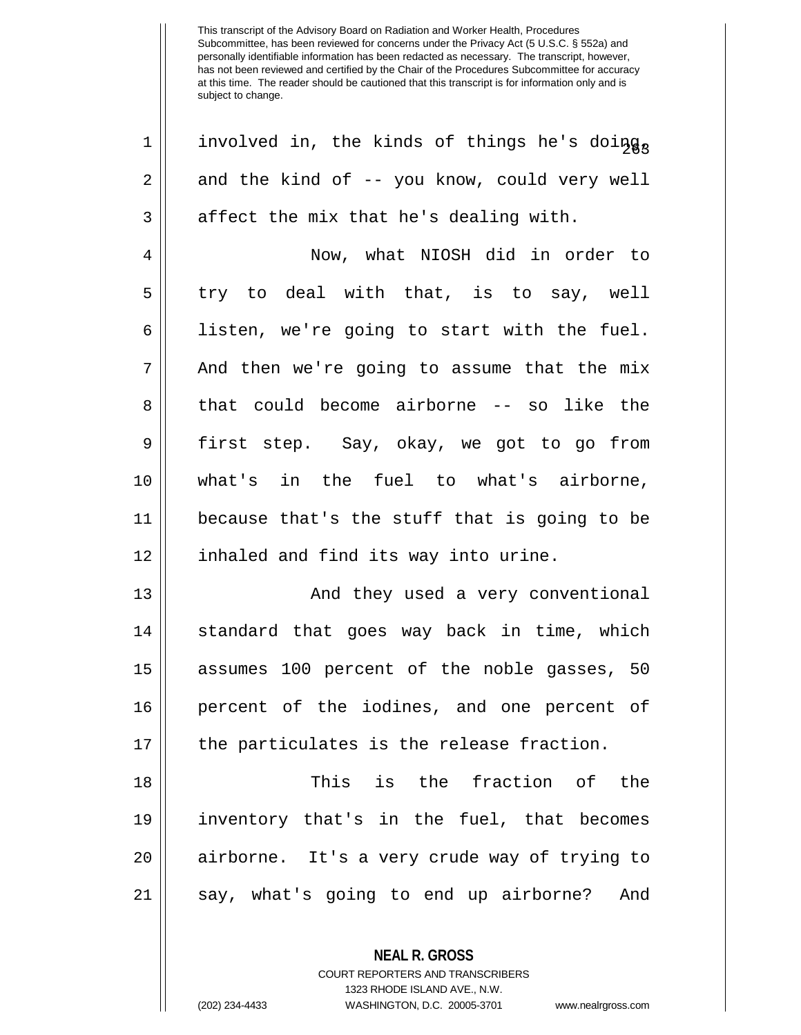1 || involved in, the kinds of things he's doing,  $2 \parallel$  and the kind of -- you know, could very well  $3 \parallel$  affect the mix that he's dealing with. 4 Now, what NIOSH did in order to  $5 \parallel$  try to deal with that, is to say, well  $6 \parallel$  listen, we're going to start with the fuel. 7 || And then we're going to assume that the mix 8 that could become airborne -- so like the 9 first step. Say, okay, we got to go from 10 what's in the fuel to what's airborne, 11 because that's the stuff that is going to be 12 || inhaled and find its way into urine. 13 || And they used a very conventional 14 || standard that goes way back in time, which 15 assumes 100 percent of the noble gasses, 50 16 percent of the iodines, and one percent of  $17 \parallel$  the particulates is the release fraction. 18 This is the fraction of the 19 inventory that's in the fuel, that becomes 20 airborne. It's a very crude way of trying to 21 || say, what's going to end up airborne? And

> COURT REPORTERS AND TRANSCRIBERS 1323 RHODE ISLAND AVE., N.W. (202) 234-4433 WASHINGTON, D.C. 20005-3701 www.nealrgross.com

**NEAL R. GROSS**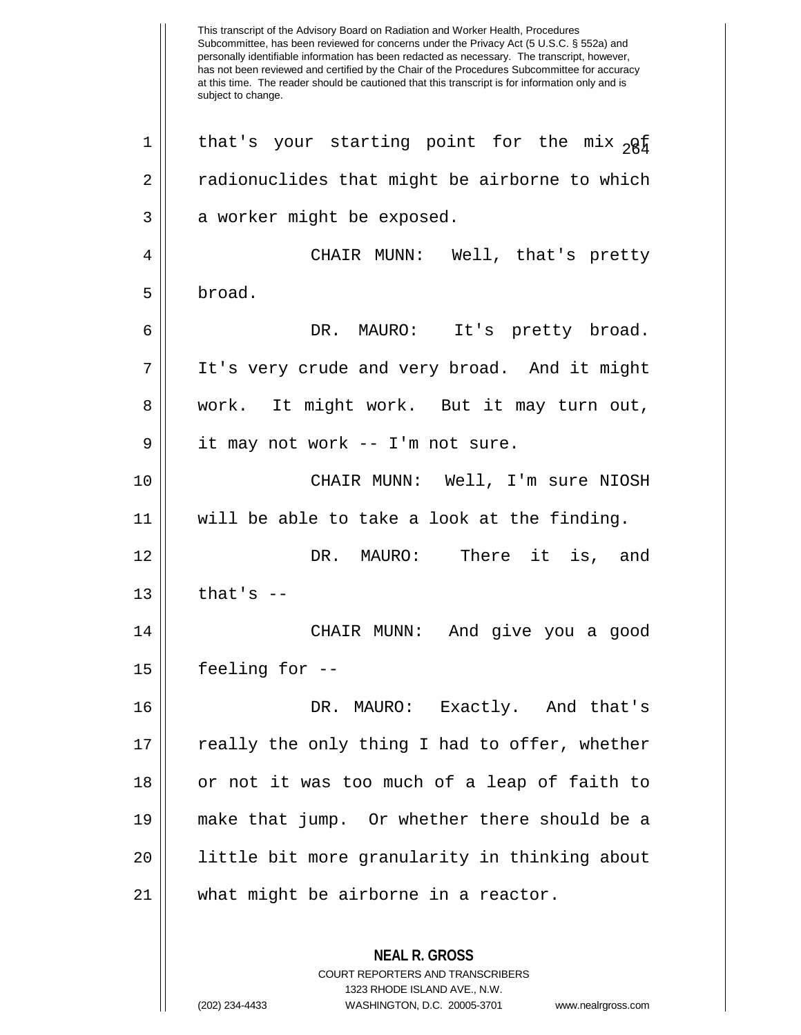This transcript of the Advisory Board on Radiation and Worker Health, Procedures Subcommittee, has been reviewed for concerns under the Privacy Act (5 U.S.C. § 552a) and personally identifiable information has been redacted as necessary. The transcript, however, has not been reviewed and certified by the Chair of the Procedures Subcommittee for accuracy at this time. The reader should be cautioned that this transcript is for information only and is subject to change. **NEAL R. GROSS** COURT REPORTERS AND TRANSCRIBERS 1323 RHODE ISLAND AVE., N.W. 1 || that's your starting point for the mix  ${}_{2}Q_{\frac{1}{2}}$ 2 || radionuclides that might be airborne to which  $3 \parallel$  a worker might be exposed. 4 CHAIR MUNN: Well, that's pretty 5 broad. 6 DR. MAURO: It's pretty broad. 7 It's very crude and very broad. And it might 8 work. It might work. But it may turn out,  $9 \parallel$  it may not work -- I'm not sure. 10 CHAIR MUNN: Well, I'm sure NIOSH 11 will be able to take a look at the finding. 12 || There it is, and  $13$  | that's  $-$ 14 CHAIR MUNN: And give you a good 15 feeling for -- 16 DR. MAURO: Exactly. And that's  $17 \parallel$  really the only thing I had to offer, whether 18 || or not it was too much of a leap of faith to 19 make that jump. Or whether there should be a 20 || little bit more granularity in thinking about 21 what might be airborne in a reactor.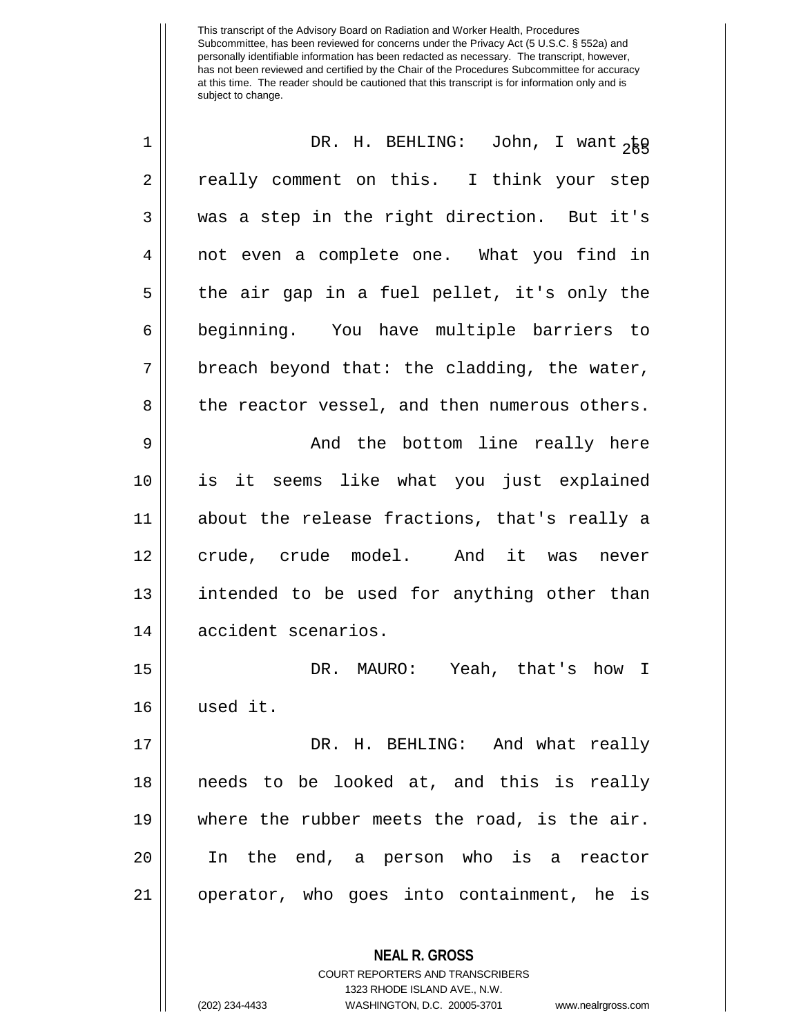| $\mathbf 1$ | DR. H. BEHLING: John, I want <sub>2</sub> kg                    |
|-------------|-----------------------------------------------------------------|
| $\sqrt{2}$  | really comment on this. I think your step                       |
| 3           | was a step in the right direction. But it's                     |
| 4           | not even a complete one. What you find in                       |
| 5           | the air gap in a fuel pellet, it's only the                     |
| 6           | beginning. You have multiple barriers to                        |
| 7           | breach beyond that: the cladding, the water,                    |
| 8           | the reactor vessel, and then numerous others.                   |
| $\mathsf 9$ | And the bottom line really here                                 |
| 10          | is it seems like what you just explained                        |
| 11          | about the release fractions, that's really a                    |
| 12          | crude, crude model. And it was never                            |
| 13          | intended to be used for anything other than                     |
| 14          | accident scenarios.                                             |
| 15          | DR. MAURO: Yeah, that's how I                                   |
| 16          | used it.                                                        |
| 17          | DR. H. BEHLING: And what really                                 |
| 18          | needs to be looked at, and this is really                       |
| 19          | where the rubber meets the road, is the air.                    |
| 20          | In the end, a person who is a reactor                           |
| 21          | operator, who goes into containment, he is                      |
|             | <b>NEAL R. GROSS</b><br><b>COURT REPORTERS AND TRANSCRIBERS</b> |

1323 RHODE ISLAND AVE., N.W.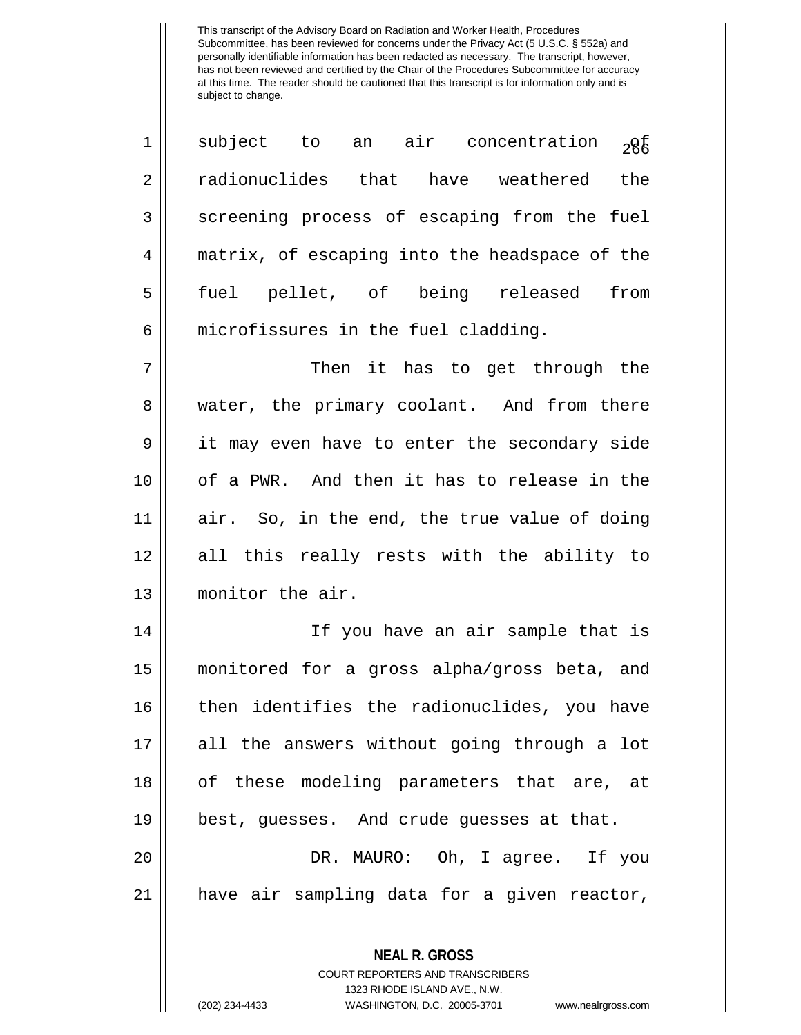| $\mathbf 1$ | subject to an air concentration<br>28€                   |
|-------------|----------------------------------------------------------|
| 2           | radionuclides that have weathered<br>the                 |
| 3           | screening process of escaping from the fuel              |
| 4           | matrix, of escaping into the headspace of the            |
| 5           | fuel pellet, of being released from                      |
| 6           | microfissures in the fuel cladding.                      |
| 7           | Then it has to get through the                           |
| 8           | water, the primary coolant. And from there               |
| 9           | it may even have to enter the secondary side             |
| 10          | of a PWR. And then it has to release in the              |
| 11          | air. So, in the end, the true value of doing             |
| 12          | all this really rests with the ability to                |
| 13          | monitor the air.                                         |
| 14          | If you have an air sample that is                        |
| 15          | monitored for a gross alpha/gross beta, and              |
| 16          | then identifies the radionuclides, you have              |
| 17          | all the answers without going through a lot              |
| 18          | of these modeling parameters that are, at                |
| 19          | best, guesses. And crude guesses at that.                |
| 20          | DR. MAURO: Oh, I agree. If you                           |
| 21          | have air sampling data for a given reactor,              |
|             | <b>NEAL R. GROSS</b><br>COURT REPORTERS AND TRANSCRIBERS |

1323 RHODE ISLAND AVE., N.W.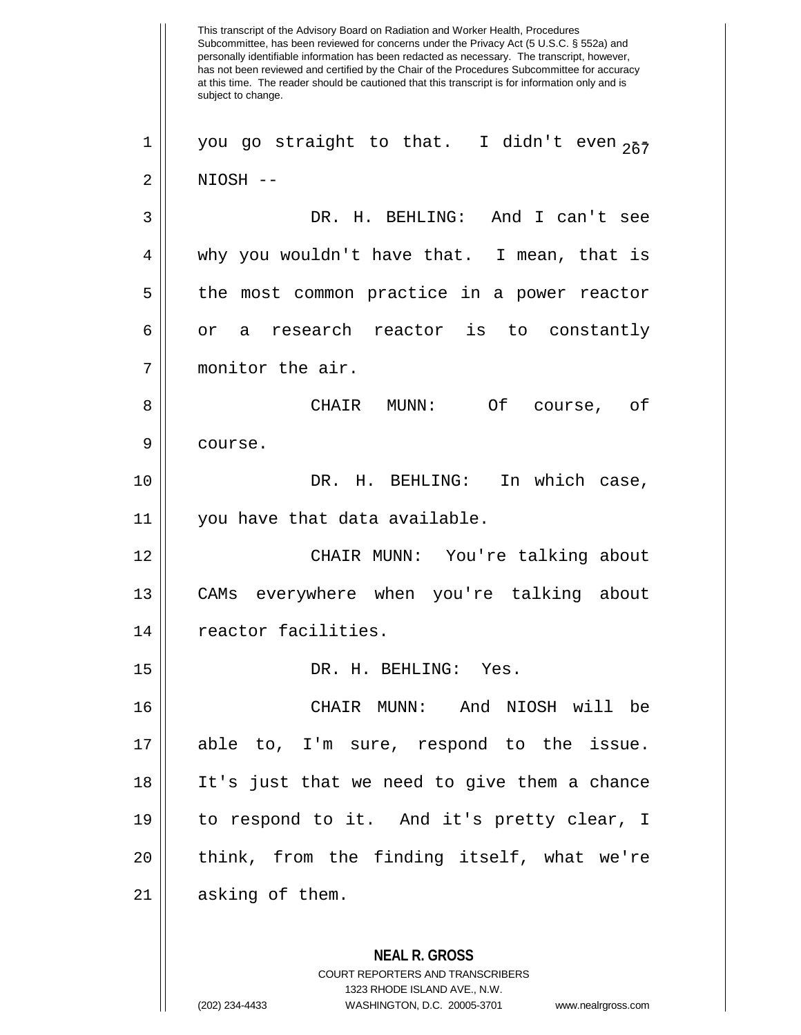This transcript of the Advisory Board on Radiation and Worker Health, Procedures Subcommittee, has been reviewed for concerns under the Privacy Act (5 U.S.C. § 552a) and personally identifiable information has been redacted as necessary. The transcript, however, has not been reviewed and certified by the Chair of the Procedures Subcommittee for accuracy at this time. The reader should be cautioned that this transcript is for information only and is subject to change. **NEAL R. GROSS** COURT REPORTERS AND TRANSCRIBERS 1323 RHODE ISLAND AVE., N.W. 1 || you go straight to that. I didn't even  $257$ 2 NIOSH -- 3 DR. H. BEHLING: And I can't see 4 why you wouldn't have that. I mean, that is 5 || the most common practice in a power reactor  $6 \parallel$  or a research reactor is to constantly 7 monitor the air. 8 CHAIR MUNN: Of course, of 9 | course. 10 DR. H. BEHLING: In which case, 11 you have that data available. 12 CHAIR MUNN: You're talking about 13 CAMs everywhere when you're talking about 14 | reactor facilities. 15 DR. H. BEHLING: Yes. 16 CHAIR MUNN: And NIOSH will be 17 able to, I'm sure, respond to the issue. 18 It's just that we need to give them a chance 19 to respond to it. And it's pretty clear, I 20 || think, from the finding itself, what we're 21 || asking of them.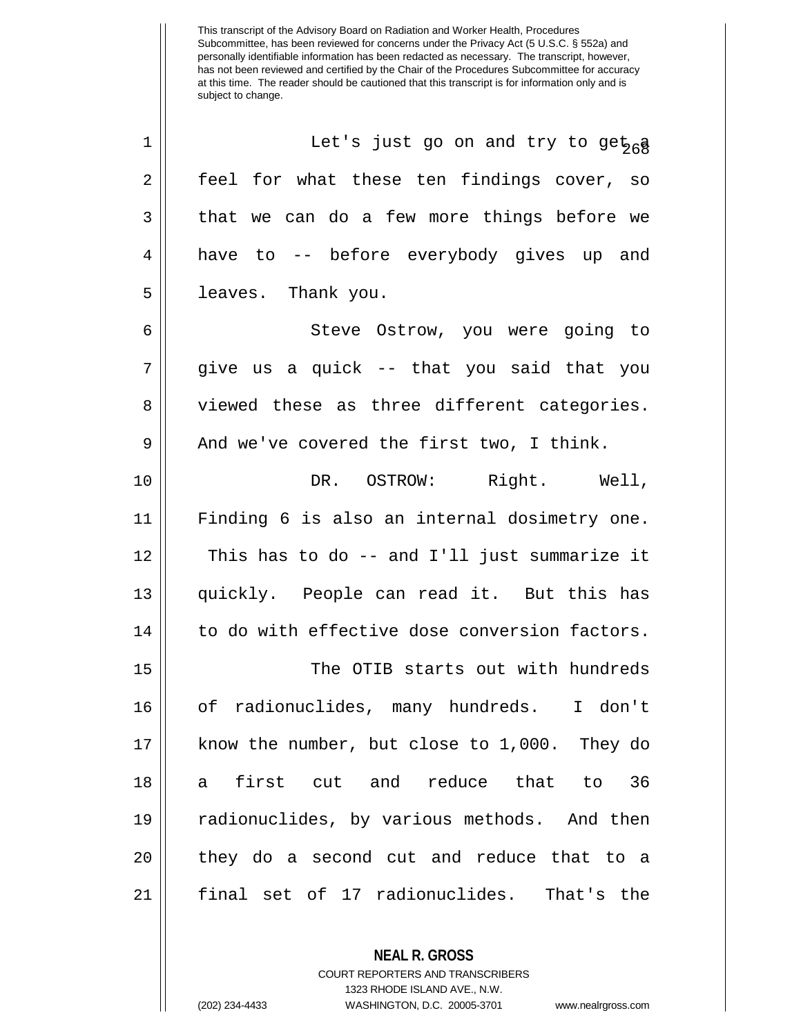| $\mathbf 1$    | Let's just go on and try to get <sub>26</sub> g |
|----------------|-------------------------------------------------|
| $\overline{2}$ | feel for what these ten findings cover, so      |
| 3              | that we can do a few more things before we      |
| 4              | have to -- before everybody gives up and        |
| 5              | leaves. Thank you.                              |
| 6              | Steve Ostrow, you were going to                 |
| 7              | give us a quick -- that you said that you       |
| 8              | viewed these as three different categories.     |
| 9              | And we've covered the first two, I think.       |
| 10             | DR. OSTROW: Right. Well,                        |
| 11             | Finding 6 is also an internal dosimetry one.    |
| 12             | This has to do -- and I'll just summarize it    |
| 13             | quickly. People can read it. But this has       |
| 14             | to do with effective dose conversion factors.   |
| 15             | The OTIB starts out with hundreds               |
| 16             | of radionuclides, many hundreds. I don't        |
| 17             | know the number, but close to 1,000. They do    |
| 18             | first cut and reduce that to 36<br>a l          |
| 19             | radionuclides, by various methods. And then     |
| 20             | they do a second cut and reduce that to a       |
| 21             | final set of 17 radionuclides. That's the       |

**NEAL R. GROSS**

COURT REPORTERS AND TRANSCRIBERS 1323 RHODE ISLAND AVE., N.W. (202) 234-4433 WASHINGTON, D.C. 20005-3701 www.nealrgross.com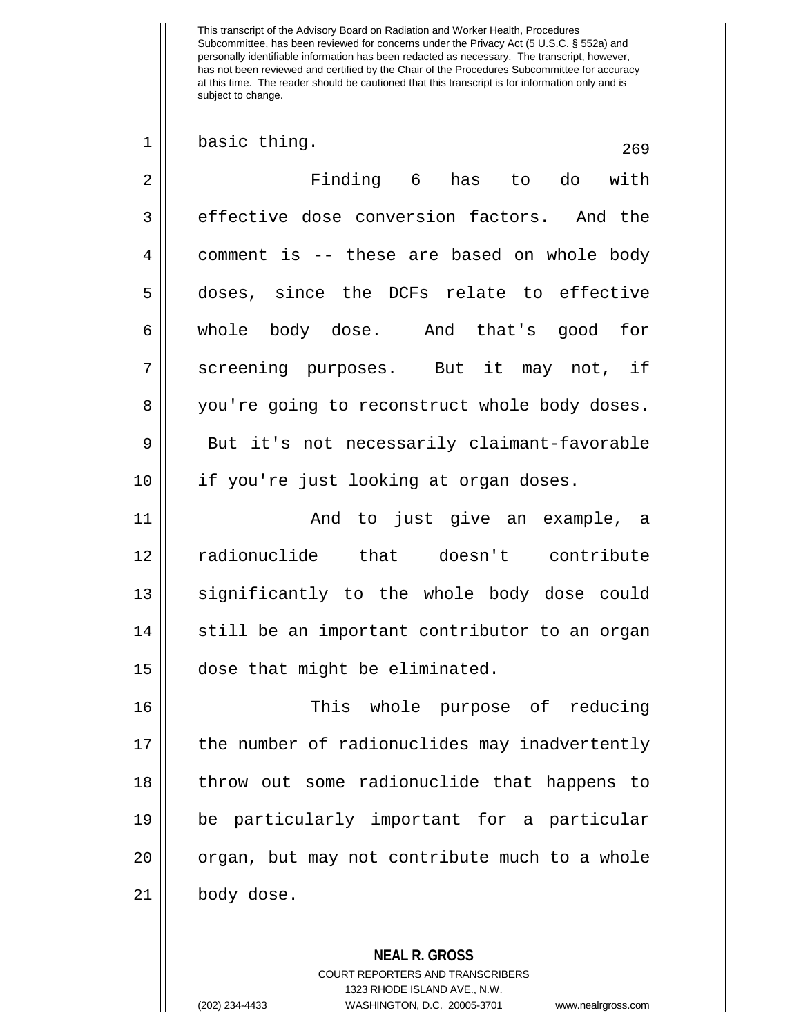| $\mathbf 1$ | basic thing.<br>269                           |
|-------------|-----------------------------------------------|
| 2           | Finding 6 has to do with                      |
| 3           | effective dose conversion factors. And the    |
| 4           | comment is -- these are based on whole body   |
| 5           | doses, since the DCFs relate to effective     |
| 6           | whole body dose. And that's good for          |
| 7           | screening purposes. But it may not, if        |
| 8           | you're going to reconstruct whole body doses. |
| 9           | But it's not necessarily claimant-favorable   |
| 10          | if you're just looking at organ doses.        |
| 11          | And to just give an example, a                |
| 12          | radionuclide that doesn't contribute          |
| 13          | significantly to the whole body dose could    |
| 14          | still be an important contributor to an organ |
| 15          | dose that might be eliminated.                |
| 16          | This<br>whole purpose of<br>reducing          |
| 17          | the number of radionuclides may inadvertently |
| 18          | throw out some radionuclide that happens to   |
| 19          | be particularly important for a particular    |
| 20          | organ, but may not contribute much to a whole |
| 21          | body dose.                                    |
|             |                                               |
|             | <b>NEAL R. GROSS</b>                          |

COURT REPORTERS AND TRANSCRIBERS 1323 RHODE ISLAND AVE., N.W.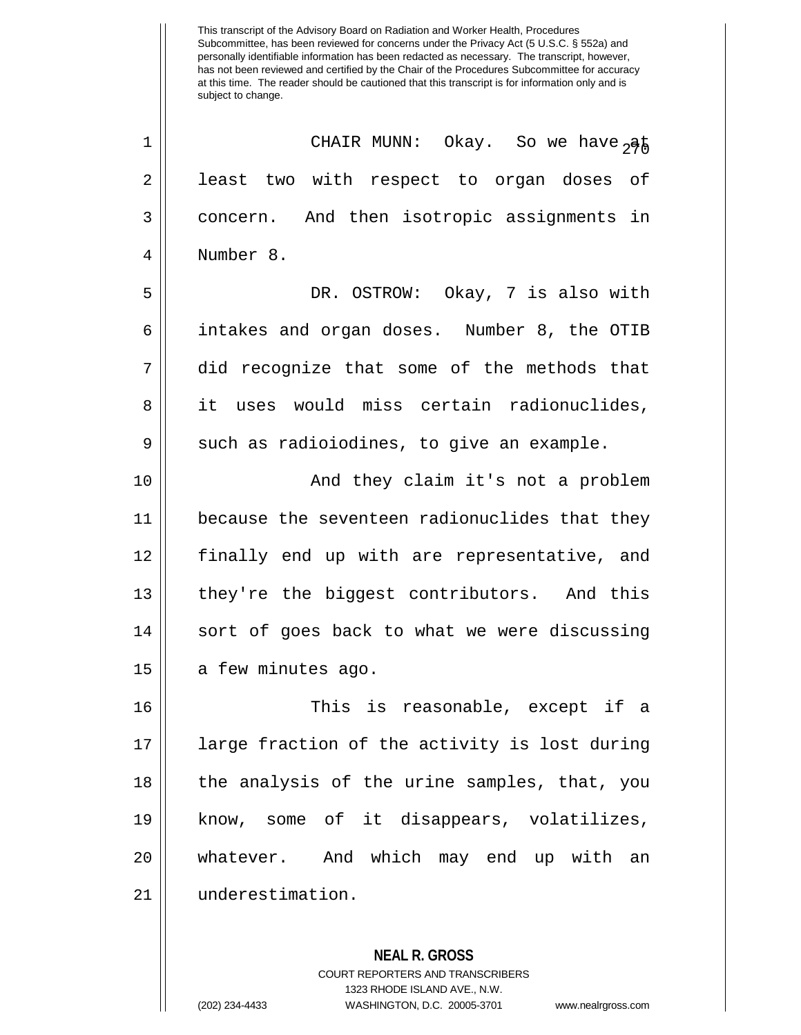<sup>1</sup> CHAIR MUNN: Okay. So we have at 2 || least two with respect to organ doses of 3 concern. And then isotropic assignments in Number 8. DR. OSTROW: Okay, 7 is also with intakes and organ doses. Number 8, the OTIB did recognize that some of the methods that 8 it uses would miss certain radionuclides,  $9 \parallel$  such as radioiodines, to give an example. 10 || And they claim it's not a problem because the seventeen radionuclides that they finally end up with are representative, and 13 || they're the biggest contributors. And this | sort of goes back to what we were discussing || a few minutes ago. This is reasonable, except if a large fraction of the activity is lost during 18 || the analysis of the urine samples, that, you know, some of it disappears, volatilizes, 20 || whatever. And which may end up with an underestimation.

> **NEAL R. GROSS** COURT REPORTERS AND TRANSCRIBERS 1323 RHODE ISLAND AVE., N.W. (202) 234-4433 WASHINGTON, D.C. 20005-3701 www.nealrgross.com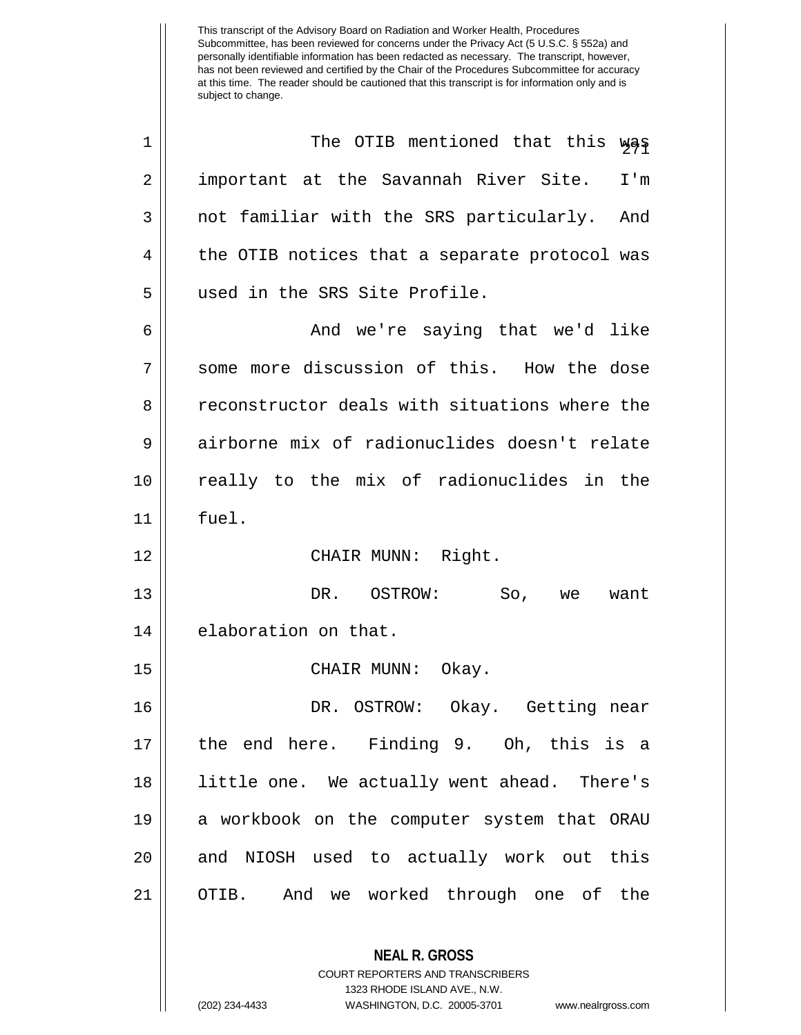| $\mathbf 1$    | The OTIB mentioned that this was                                                                |
|----------------|-------------------------------------------------------------------------------------------------|
| 2              | important at the Savannah River Site.<br>I'm                                                    |
| 3              | not familiar with the SRS particularly. And                                                     |
| $\overline{4}$ | the OTIB notices that a separate protocol was                                                   |
| 5              | used in the SRS Site Profile.                                                                   |
| 6              | And we're saying that we'd like                                                                 |
| 7              | some more discussion of this. How the dose                                                      |
| 8              | reconstructor deals with situations where the                                                   |
| 9              | airborne mix of radionuclides doesn't relate                                                    |
| 10             | really to the mix of radionuclides in the                                                       |
| 11             | fuel.                                                                                           |
| 12             | CHAIR MUNN: Right.                                                                              |
| 13             | DR. OSTROW: So,<br>want<br>we                                                                   |
| 14             | elaboration on that.                                                                            |
| 15             | CHAIR MUNN:<br>Okay.                                                                            |
| 16             | DR. OSTROW: Okay. Getting near                                                                  |
| 17             | the end here. Finding 9. Oh, this is a                                                          |
| 18             | little one. We actually went ahead. There's                                                     |
| 19             | a workbook on the computer system that ORAU                                                     |
| 20             | and NIOSH used to actually work out this                                                        |
| 21             | OTIB. And we worked through one of the                                                          |
|                | <b>NEAL R. GROSS</b><br><b>COURT REPORTERS AND TRANSCRIBERS</b><br>1323 RHODE ISLAND AVE., N.W. |

 $\mathop{\text{||}}$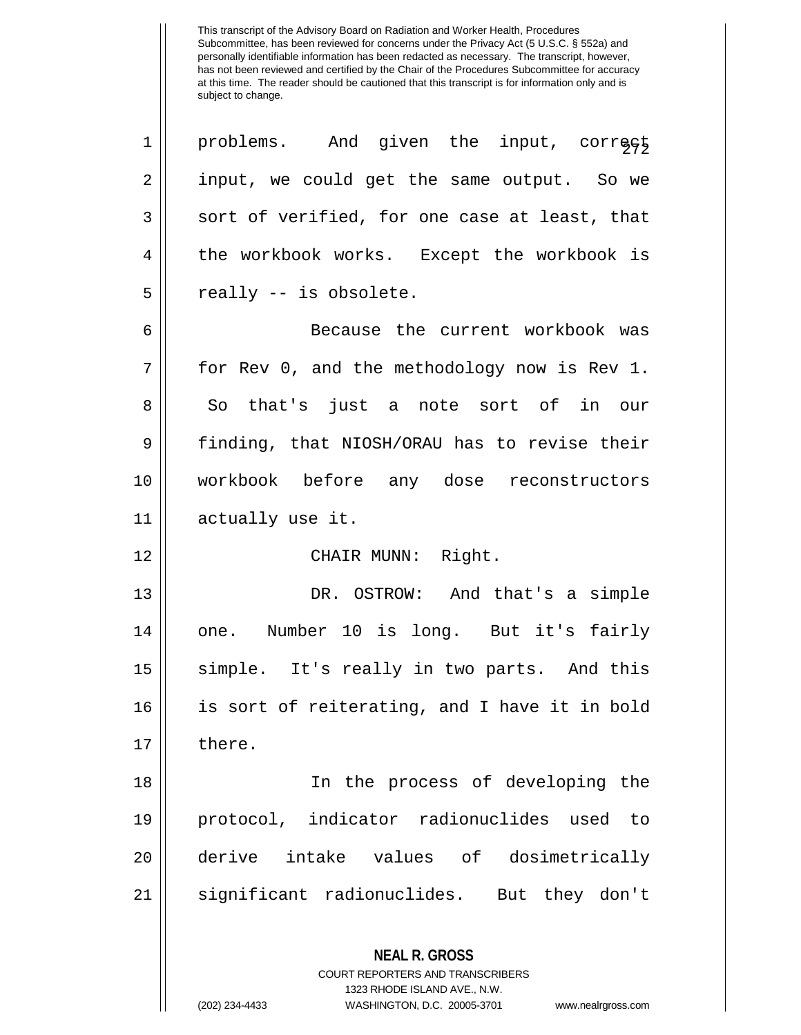| 1  | problems. And given the input, corregt                                                                                                                                 |
|----|------------------------------------------------------------------------------------------------------------------------------------------------------------------------|
| 2  | input, we could get the same output. So we                                                                                                                             |
| 3  | sort of verified, for one case at least, that                                                                                                                          |
| 4  | the workbook works. Except the workbook is                                                                                                                             |
| 5  | really -- is obsolete.                                                                                                                                                 |
| 6  | Because the current workbook was                                                                                                                                       |
| 7  | for Rev 0, and the methodology now is Rev 1.                                                                                                                           |
| 8  | So that's just a note sort of in our                                                                                                                                   |
| 9  | finding, that NIOSH/ORAU has to revise their                                                                                                                           |
| 10 | workbook before any dose reconstructors                                                                                                                                |
| 11 | actually use it.                                                                                                                                                       |
| 12 | CHAIR MUNN: Right.                                                                                                                                                     |
| 13 | DR. OSTROW: And that's a simple                                                                                                                                        |
| 14 | one. Number 10 is long. But it's fairly                                                                                                                                |
| 15 | simple. It's really in two parts. And this                                                                                                                             |
| 16 | is sort of reiterating, and I have it in bold                                                                                                                          |
| 17 | there.                                                                                                                                                                 |
| 18 | In the process of developing the                                                                                                                                       |
| 19 | protocol, indicator radionuclides used<br>to                                                                                                                           |
| 20 | derive intake values of dosimetrically                                                                                                                                 |
| 21 | significant radionuclides. But they don't                                                                                                                              |
|    | <b>NEAL R. GROSS</b><br><b>COURT REPORTERS AND TRANSCRIBERS</b><br>1323 RHODE ISLAND AVE., N.W.<br>(202) 234-4433<br>WASHINGTON, D.C. 20005-3701<br>www.nealrgross.com |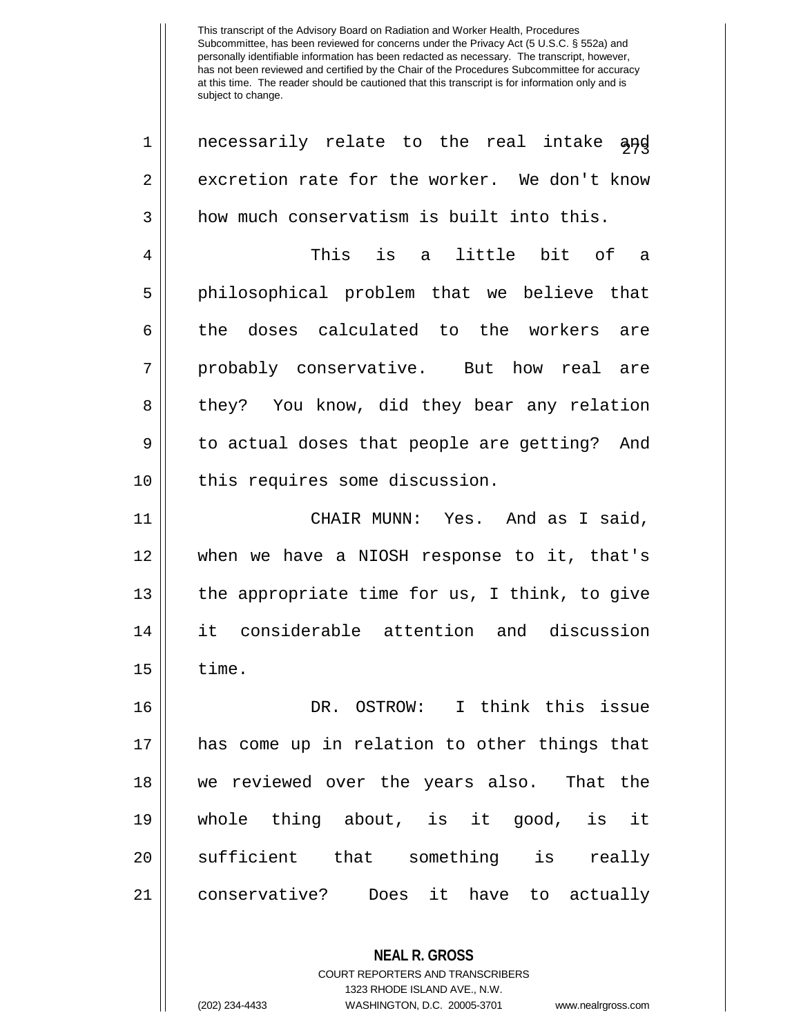$1 \parallel$  necessarily relate to the real intake and  $2 \parallel$  excretion rate for the worker. We don't know  $3 \parallel$  how much conservatism is built into this. 4 This is a little bit of a 5 || philosophical problem that we believe that 6 the doses calculated to the workers are 7 || probably conservative. But how real are 8 they? You know, did they bear any relation 9 || to actual doses that people are getting? And 10 || this requires some discussion. 11 CHAIR MUNN: Yes. And as I said, 12 when we have a NIOSH response to it, that's 13 || the appropriate time for us, I think, to give 14 it considerable attention and discussion  $15$   $\parallel$  time. 16 DR. OSTROW: I think this issue 17 has come up in relation to other things that

 we reviewed over the years also. That the whole thing about, is it good, is it 20 || sufficient that something is really conservative? Does it have to actually

> **NEAL R. GROSS** COURT REPORTERS AND TRANSCRIBERS 1323 RHODE ISLAND AVE., N.W. (202) 234-4433 WASHINGTON, D.C. 20005-3701 www.nealrgross.com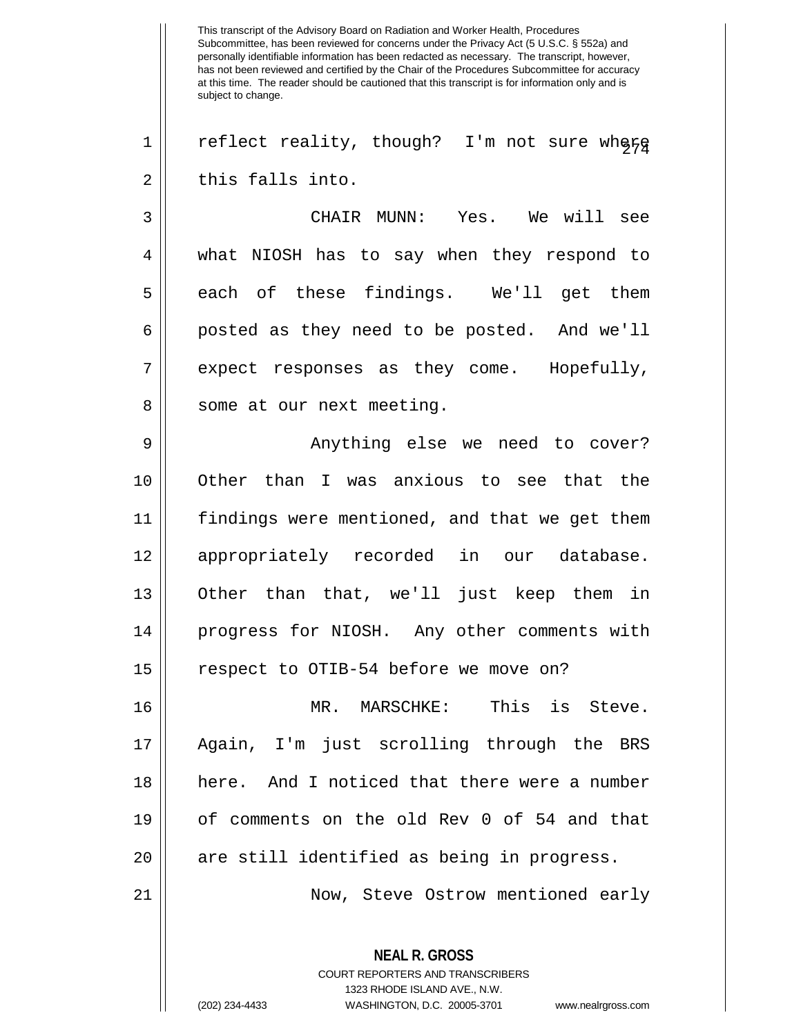This transcript of the Advisory Board on Radiation and Worker Health, Procedures Subcommittee, has been reviewed for concerns under the Privacy Act (5 U.S.C. § 552a) and personally identifiable information has been redacted as necessary. The transcript, however, has not been reviewed and certified by the Chair of the Procedures Subcommittee for accuracy at this time. The reader should be cautioned that this transcript is for information only and is subject to change. **NEAL R. GROSS** COURT REPORTERS AND TRANSCRIBERS 1323 RHODE ISLAND AVE., N.W. 1 | reflect reality, though? I'm not sure where  $2 \parallel$  this falls into. 3 CHAIR MUNN: Yes. We will see 4 what NIOSH has to say when they respond to  $5 \parallel$  each of these findings. We'll get them  $6 \parallel$  posted as they need to be posted. And we'll  $7 \parallel$  expect responses as they come. Hopefully, 8 || some at our next meeting. 9 Anything else we need to cover? 10 Other than I was anxious to see that the 11 || findings were mentioned, and that we get them 12 appropriately recorded in our database. 13 Other than that, we'll just keep them in 14 progress for NIOSH. Any other comments with 15 || respect to OTIB-54 before we move on? 16 MR. MARSCHKE: This is Steve. 17 Again, I'm just scrolling through the BRS 18 here. And I noticed that there were a number 19 of comments on the old Rev 0 of 54 and that 20 || are still identified as being in progress. 21 Now, Steve Ostrow mentioned early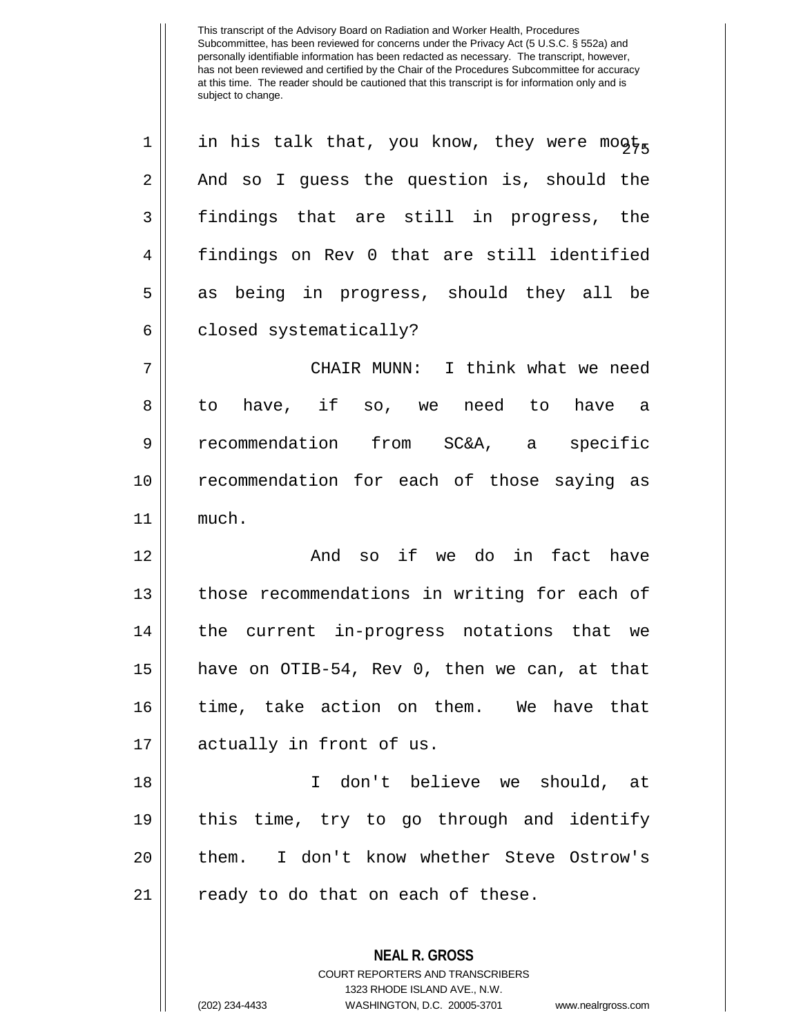| 1              | in his talk that, you know, they were mogts  |
|----------------|----------------------------------------------|
| 2              | And so I guess the question is, should the   |
| 3              | findings that are still in progress, the     |
| $\overline{4}$ | findings on Rev 0 that are still identified  |
| 5              | as being in progress, should they all be     |
| 6              | closed systematically?                       |
| 7              | CHAIR MUNN: I think what we need             |
| 8              | to have, if so, we need to have a            |
| 9              | recommendation from SC&A, a specific         |
| 10             | recommendation for each of those saying as   |
| 11             | much.                                        |
| 12             | And so if we do in fact have                 |
| 13             | those recommendations in writing for each of |
| 14             | the current in-progress notations that we    |
| 15             | have on OTIB-54, Rev 0, then we can, at that |
| 16             | time, take action on them. We have that      |
| 17             | actually in front of us.                     |
| 18             | don't believe we should, at<br>T.            |
| 19             | this time, try to go through and identify    |
| 20             | I don't know whether Steve Ostrow's<br>them. |
| 21             | ready to do that on each of these.           |
|                | <b>NEAL R. GROSS</b>                         |
|                | <b>COURT REPORTERS AND TRANSCRIBERS</b>      |

1323 RHODE ISLAND AVE., N.W.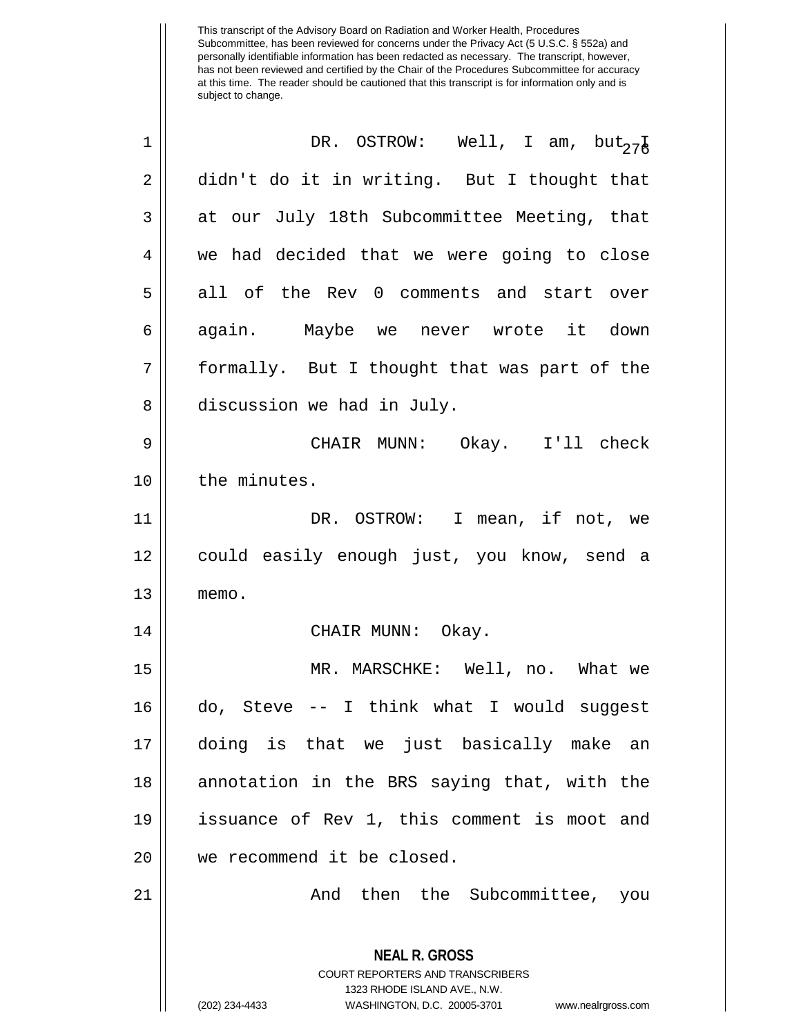| 1          | DR. OSTROW: Well, I am, $but_{27\frac{1}{6}}$                                                                                                                   |
|------------|-----------------------------------------------------------------------------------------------------------------------------------------------------------------|
| $\sqrt{2}$ | didn't do it in writing. But I thought that                                                                                                                     |
| 3          | at our July 18th Subcommittee Meeting, that                                                                                                                     |
| 4          | we had decided that we were going to close                                                                                                                      |
| 5          | all of the Rev 0 comments and start over                                                                                                                        |
| 6          | again. Maybe we never wrote it down                                                                                                                             |
| 7          | formally. But I thought that was part of the                                                                                                                    |
| 8          | discussion we had in July.                                                                                                                                      |
| 9          | CHAIR MUNN: Okay. I'll check                                                                                                                                    |
| 10         | the minutes.                                                                                                                                                    |
| 11         | DR. OSTROW: I mean, if not, we                                                                                                                                  |
| 12         | could easily enough just, you know, send a                                                                                                                      |
| 13         | memo.                                                                                                                                                           |
| 14         | CHAIR MUNN: Okay.                                                                                                                                               |
| 15         | MR. MARSCHKE: Well, no. What we                                                                                                                                 |
| 16         | do, Steve -- I think what I would suggest                                                                                                                       |
| 17         | doing is that we just basically make an                                                                                                                         |
| 18         | annotation in the BRS saying that, with the                                                                                                                     |
| 19         | issuance of Rev 1, this comment is moot and                                                                                                                     |
| 20         | we recommend it be closed.                                                                                                                                      |
| 21         | And then the Subcommittee, you                                                                                                                                  |
|            | <b>NEAL R. GROSS</b><br>COURT REPORTERS AND TRANSCRIBERS<br>1323 RHODE ISLAND AVE., N.W.<br>(202) 234-4433<br>WASHINGTON, D.C. 20005-3701<br>www.nealrgross.com |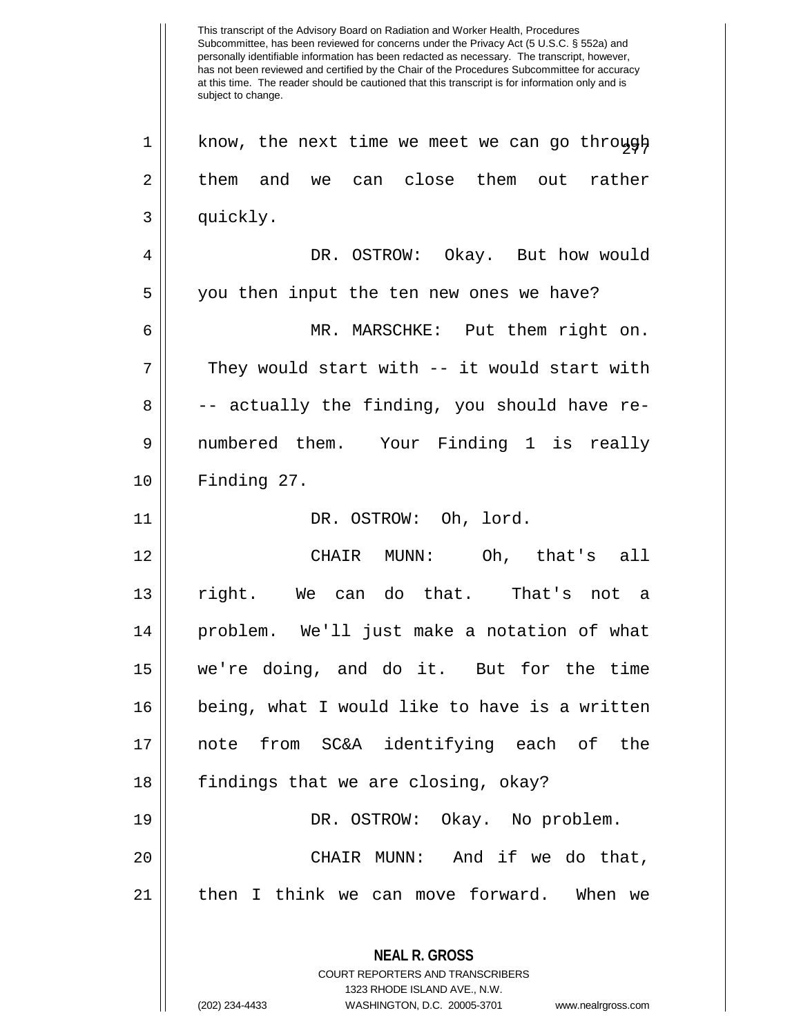This transcript of the Advisory Board on Radiation and Worker Health, Procedures Subcommittee, has been reviewed for concerns under the Privacy Act (5 U.S.C. § 552a) and personally identifiable information has been redacted as necessary. The transcript, however, has not been reviewed and certified by the Chair of the Procedures Subcommittee for accuracy at this time. The reader should be cautioned that this transcript is for information only and is subject to change. **NEAL R. GROSS** COURT REPORTERS AND TRANSCRIBERS 1323 RHODE ISLAND AVE., N.W.  $1 \parallel$  know, the next time we meet we can go through  $2 \parallel$  them and we can close them out rather 3 | quickly. 4 DR. OSTROW: Okay. But how would 5 || you then input the ten new ones we have? 6 MR. MARSCHKE: Put them right on.  $7 ||$  They would start with -- it would start with  $8 \parallel$  -- actually the finding, you should have re-9 numbered them. Your Finding 1 is really 10 Finding 27. 11 || DR. OSTROW: Oh, lord. 12 CHAIR MUNN: Oh, that's all 13 right. We can do that. That's not a 14 problem. We'll just make a notation of what 15 we're doing, and do it. But for the time 16 being, what I would like to have is a written 17 note from SC&A identifying each of the 18  $\parallel$  findings that we are closing, okay? 19 DR. OSTROW: Okay. No problem. 20 CHAIR MUNN: And if we do that, 21 || then I think we can move forward. When we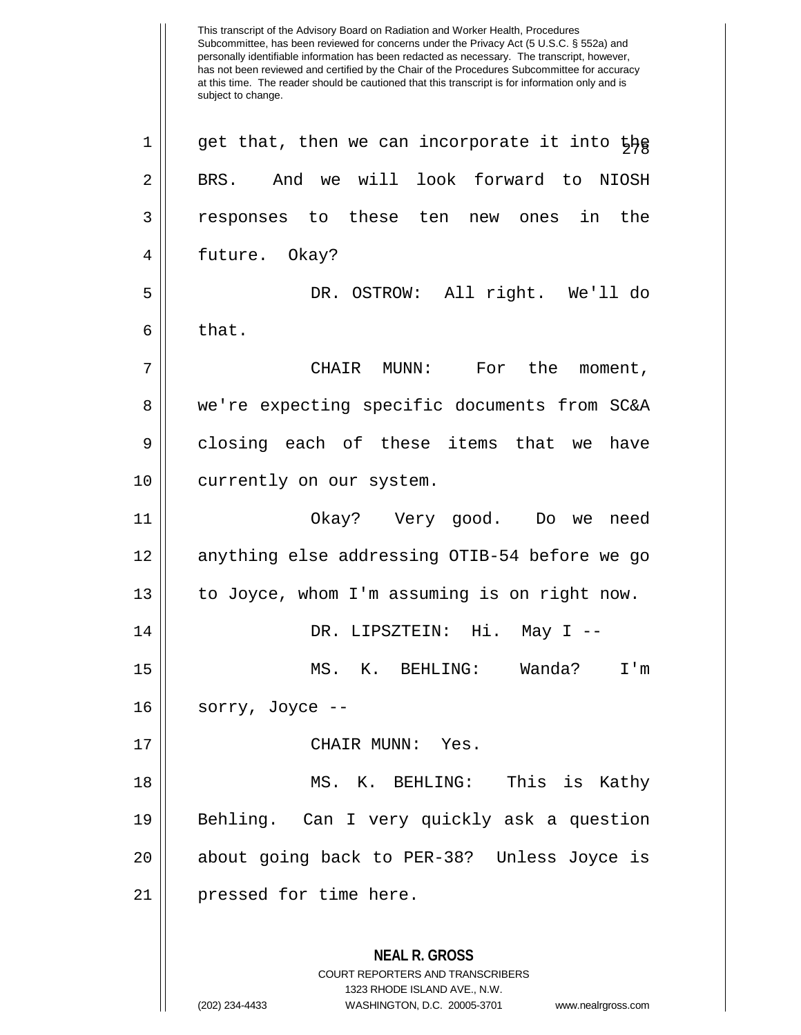This transcript of the Advisory Board on Radiation and Worker Health, Procedures Subcommittee, has been reviewed for concerns under the Privacy Act (5 U.S.C. § 552a) and personally identifiable information has been redacted as necessary. The transcript, however, has not been reviewed and certified by the Chair of the Procedures Subcommittee for accuracy at this time. The reader should be cautioned that this transcript is for information only and is subject to change. **NEAL R. GROSS** COURT REPORTERS AND TRANSCRIBERS 1323 RHODE ISLAND AVE., N.W. (202) 234-4433 WASHINGTON, D.C. 20005-3701 www.nealrgross.com  $1 \parallel$  get that, then we can incorporate it into the 2 | BRS. And we will look forward to NIOSH 3 responses to these ten new ones in the 4 | future. Okay? 5 DR. OSTROW: All right. We'll do  $6 \parallel$  that. 7 CHAIR MUNN: For the moment, 8 we're expecting specific documents from SC&A 9 || closing each of these items that we have 10 || currently on our system. 11 Okay? Very good. Do we need 12 anything else addressing OTIB-54 before we go 13 | to Joyce, whom I'm assuming is on right now. 14 DR. LIPSZTEIN: Hi. May I -- 15 MS. K. BEHLING: Wanda? I'm  $16$  || sorry, Joyce --17 CHAIR MUNN: Yes. 18 MS. K. BEHLING: This is Kathy 19 Behling. Can I very quickly ask a question 20 about going back to PER-38? Unless Joyce is 21 || pressed for time here.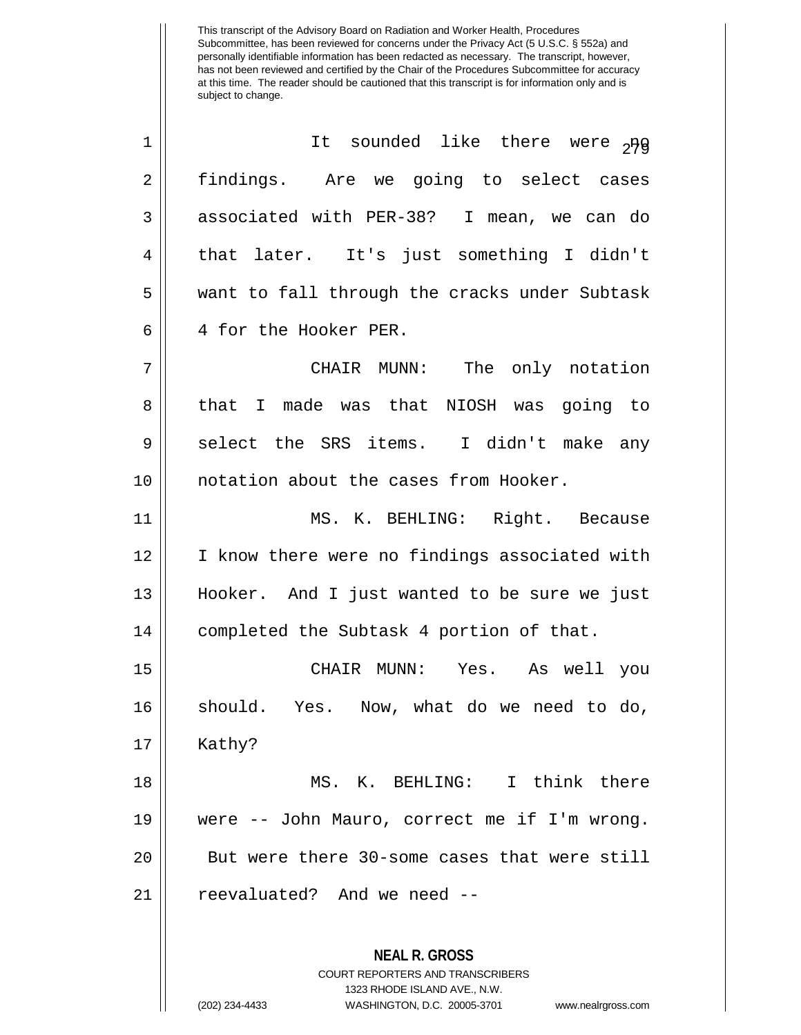| 1              | It sounded like there were 2Hg                                                                  |
|----------------|-------------------------------------------------------------------------------------------------|
| $\overline{2}$ | findings. Are we going to select cases                                                          |
| 3              | associated with PER-38? I mean, we can do                                                       |
| 4              | that later. It's just something I didn't                                                        |
| 5              | want to fall through the cracks under Subtask                                                   |
| 6              | 4 for the Hooker PER.                                                                           |
| 7              | CHAIR MUNN: The only notation                                                                   |
| 8              | made was that NIOSH was going to<br>that I                                                      |
| 9              | select the SRS items. I didn't make any                                                         |
| 10             | notation about the cases from Hooker.                                                           |
| 11             | MS. K. BEHLING: Right. Because                                                                  |
| 12             | I know there were no findings associated with                                                   |
| 13             | Hooker. And I just wanted to be sure we just                                                    |
| 14             | completed the Subtask 4 portion of that.                                                        |
| 15             | CHAIR MUNN: Yes. As well you                                                                    |
| 16             | should. Yes. Now, what do we need to do,                                                        |
| 17             | Kathy?                                                                                          |
| 18             | MS. K. BEHLING: I think there                                                                   |
| 19             | were -- John Mauro, correct me if I'm wrong.                                                    |
| 20             | But were there 30-some cases that were still                                                    |
| 21             | reevaluated? And we need --                                                                     |
|                | <b>NEAL R. GROSS</b><br><b>COURT REPORTERS AND TRANSCRIBERS</b><br>1323 RHODE ISLAND AVE., N.W. |

 $\mathop{||}$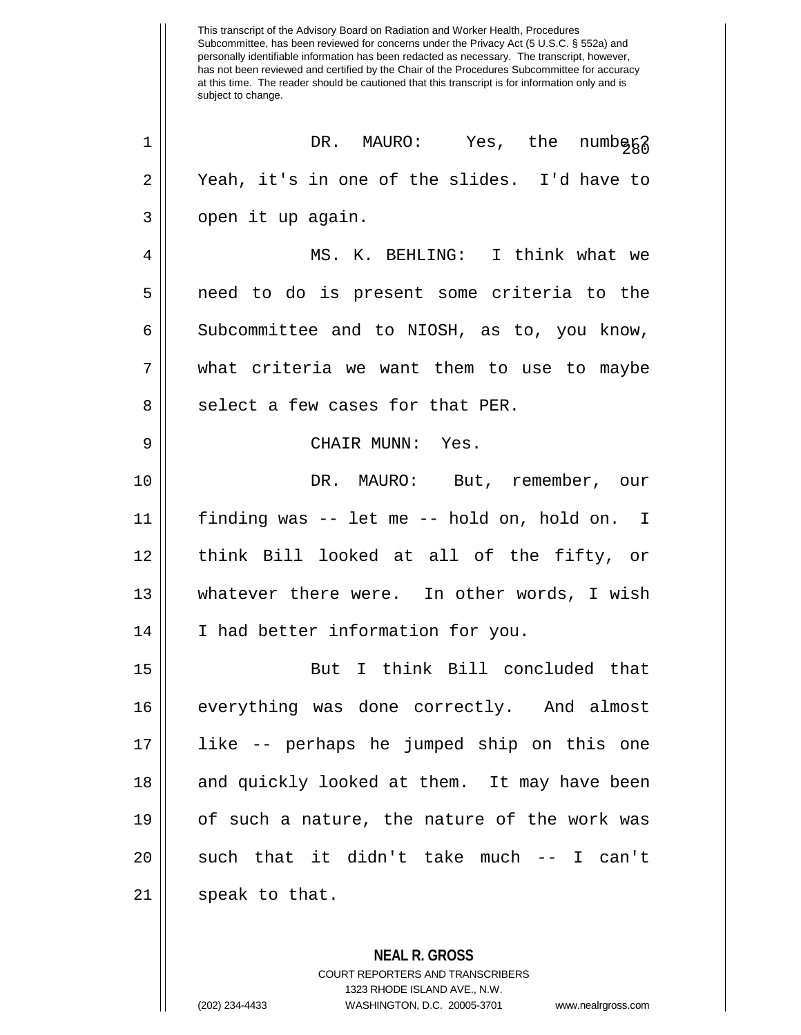This transcript of the Advisory Board on Radiation and Worker Health, Procedures Subcommittee, has been reviewed for concerns under the Privacy Act (5 U.S.C. § 552a) and personally identifiable information has been redacted as necessary. The transcript, however, has not been reviewed and certified by the Chair of the Procedures Subcommittee for accuracy at this time. The reader should be cautioned that this transcript is for information only and is subject to change.  $\begin{array}{ccc} \texttt{1} & \texttt{OR.} & \texttt{MAURO:} & \texttt{Yes, the numbgg} \end{array}$  $2 \parallel$  Yeah, it's in one of the slides. I'd have to  $3 \parallel$  open it up again. 4 MS. K. BEHLING: I think what we 5 || need to do is present some criteria to the  $6 \parallel$  Subcommittee and to NIOSH, as to, you know, 7 what criteria we want them to use to maybe 8 || select a few cases for that PER. 9 CHAIR MUNN: Yes. 10 || **DR. MAURO:** But, remember, our 11 finding was -- let me -- hold on, hold on. I 12 think Bill looked at all of the fifty, or 13 whatever there were. In other words, I wish 14 || I had better information for you. 15 But I think Bill concluded that 16 everything was done correctly. And almost 17 like -- perhaps he jumped ship on this one 18 || and quickly looked at them. It may have been 19 of such a nature, the nature of the work was  $20$  || such that it didn't take much -- I can't  $21$  || speak to that.

> **NEAL R. GROSS** COURT REPORTERS AND TRANSCRIBERS 1323 RHODE ISLAND AVE., N.W. (202) 234-4433 WASHINGTON, D.C. 20005-3701 www.nealrgross.com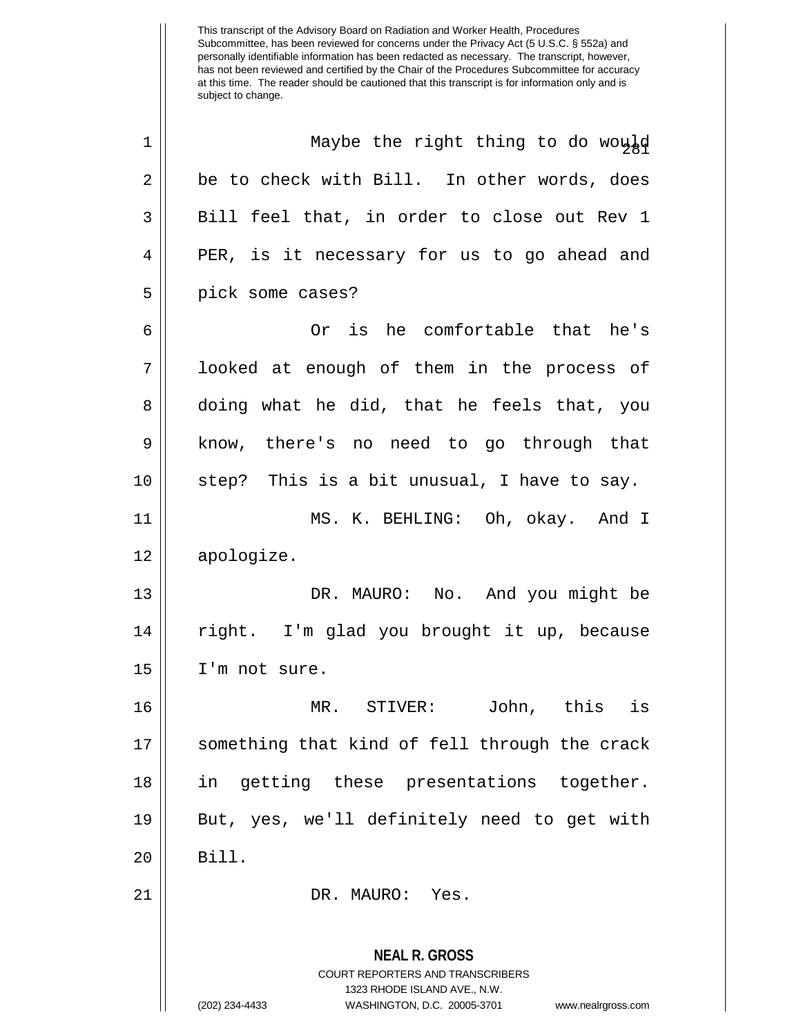This transcript of the Advisory Board on Radiation and Worker Health, Procedures Subcommittee, has been reviewed for concerns under the Privacy Act (5 U.S.C. § 552a) and personally identifiable information has been redacted as necessary. The transcript, however, has not been reviewed and certified by the Chair of the Procedures Subcommittee for accuracy at this time. The reader should be cautioned that this transcript is for information only and is subject to change. 1 || Maybe the right thing to do would  $2 \parallel$  be to check with Bill. In other words, does  $3 \parallel$  Bill feel that, in order to close out Rev 1 4 PER, is it necessary for us to go ahead and 5 || pick some cases? 6 Or is he comfortable that he's

7 || looked at enough of them in the process of 8 doing what he did, that he feels that, you 9 || know, there's no need to go through that  $10$  | step? This is a bit unusual, I have to say. 11 MS. K. BEHLING: Oh, okay. And I

12 apologize.

13 DR. MAURO: No. And you might be 14 right. I'm glad you brought it up, because 15 I'm not sure.

16 MR. STIVER: John, this is 17 something that kind of fell through the crack 18 || in getting these presentations together. 19 But, yes, we'll definitely need to get with 20 Bill.

21 || DR. MAURO: Yes.

**NEAL R. GROSS** COURT REPORTERS AND TRANSCRIBERS 1323 RHODE ISLAND AVE., N.W. (202) 234-4433 WASHINGTON, D.C. 20005-3701 www.nealrgross.com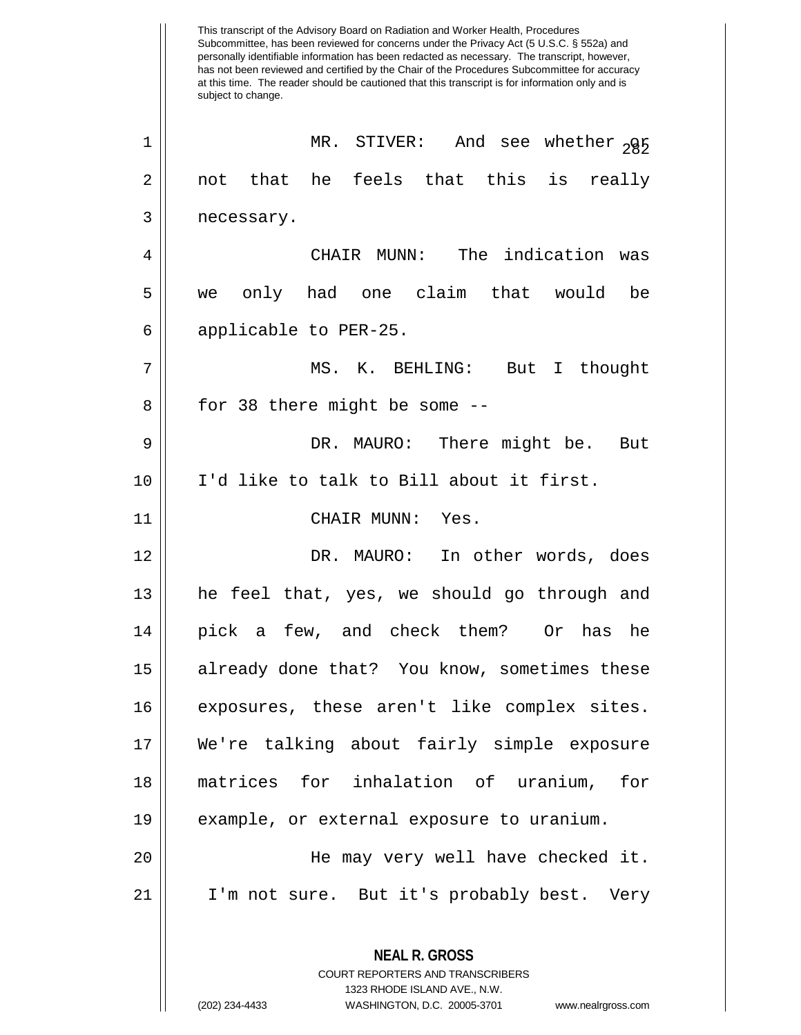Subcommittee, has been reviewed for concerns under the Privacy Act (5 U.S.C. § 552a) and personally identifiable information has been redacted as necessary. The transcript, however, has not been reviewed and certified by the Chair of the Procedures Subcommittee for accuracy at this time. The reader should be cautioned that this transcript is for information only and is subject to change. **NEAL R. GROSS** COURT REPORTERS AND TRANSCRIBERS 1323 RHODE ISLAND AVE., N.W. <sup>282</sup> <sup>1</sup> MR. STIVER: And see whether or  $2 \parallel$  not that he feels that this is really 3 | necessary. 4 CHAIR MUNN: The indication was 5 we only had one claim that would be 6 || applicable to PER-25. 7 MS. K. BEHLING: But I thought  $8 \parallel$  for 38 there might be some  $-$ 9 DR. MAURO: There might be. But 10 I'd like to talk to Bill about it first. 11 CHAIR MUNN: Yes. 12 DR. MAURO: In other words, does 13 he feel that, yes, we should go through and 14 pick a few, and check them? Or has he 15 already done that? You know, sometimes these 16 exposures, these aren't like complex sites. 17 We're talking about fairly simple exposure 18 matrices for inhalation of uranium, for 19 example, or external exposure to uranium. 20 He may very well have checked it. 21 || I'm not sure. But it's probably best. Very

This transcript of the Advisory Board on Radiation and Worker Health, Procedures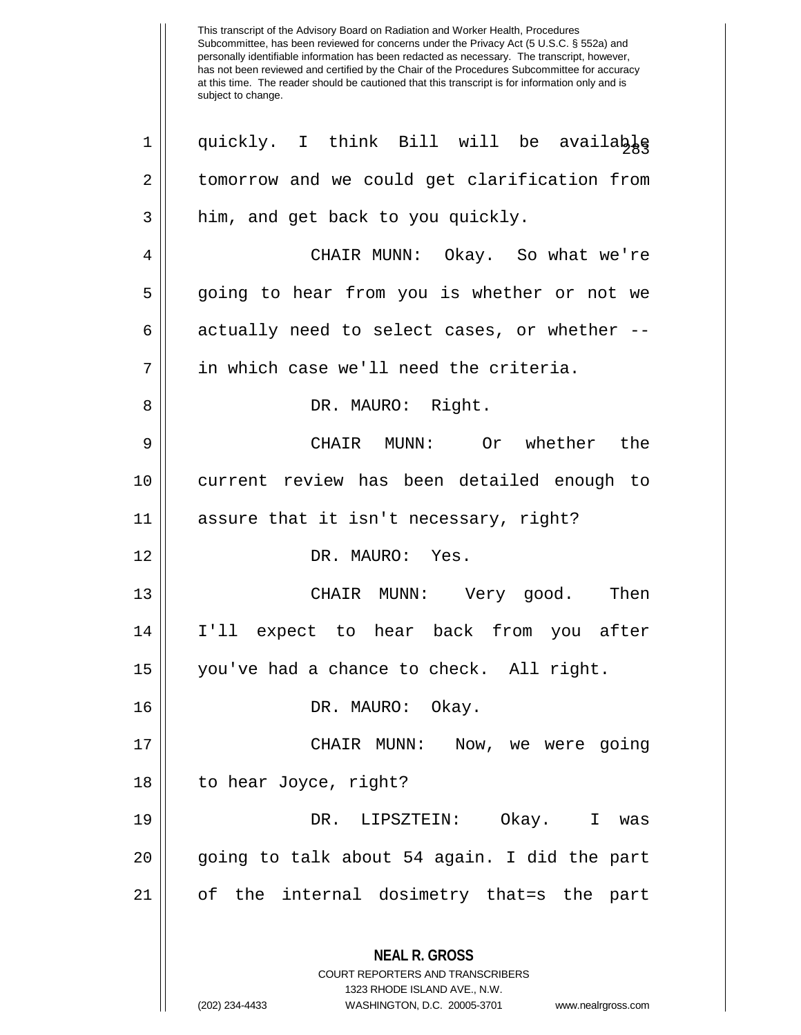| $\mathbf 1$ | quickly. I think Bill will be available                                                                                                                                |
|-------------|------------------------------------------------------------------------------------------------------------------------------------------------------------------------|
| 2           | tomorrow and we could get clarification from                                                                                                                           |
| 3           | him, and get back to you quickly.                                                                                                                                      |
| 4           | CHAIR MUNN: Okay. So what we're                                                                                                                                        |
| 5           | going to hear from you is whether or not we                                                                                                                            |
| 6           | actually need to select cases, or whether --                                                                                                                           |
| 7           | in which case we'll need the criteria.                                                                                                                                 |
| 8           | DR. MAURO: Right.                                                                                                                                                      |
| 9           | CHAIR MUNN: Or whether the                                                                                                                                             |
| 10          | current review has been detailed enough to                                                                                                                             |
| 11          | assure that it isn't necessary, right?                                                                                                                                 |
| 12          | DR. MAURO: Yes.                                                                                                                                                        |
| 13          | CHAIR MUNN: Very good. Then                                                                                                                                            |
| 14          | I'll expect to hear back from you after                                                                                                                                |
| 15          | you've had a chance to check. All right.                                                                                                                               |
| 16          | DR. MAURO: Okay.                                                                                                                                                       |
| 17          | CHAIR MUNN:<br>Now, we were going                                                                                                                                      |
| 18          | to hear Joyce, right?                                                                                                                                                  |
| 19          | DR. LIPSZTEIN:<br>Okay. I was                                                                                                                                          |
| 20          | going to talk about 54 again. I did the part                                                                                                                           |
| 21          | of the internal dosimetry that=s the part                                                                                                                              |
|             | <b>NEAL R. GROSS</b><br><b>COURT REPORTERS AND TRANSCRIBERS</b><br>1323 RHODE ISLAND AVE., N.W.<br>(202) 234-4433<br>WASHINGTON, D.C. 20005-3701<br>www.nealrgross.com |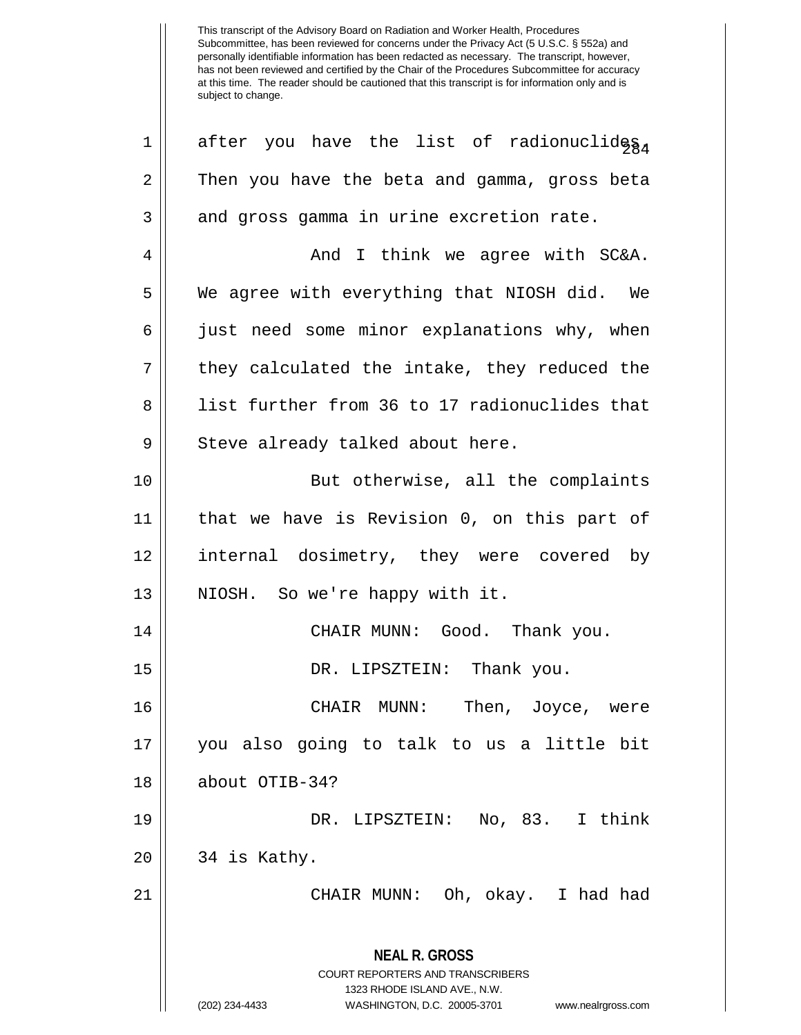**NEAL R. GROSS** COURT REPORTERS AND TRANSCRIBERS 1323 RHODE ISLAND AVE., N.W. (202) 234-4433 WASHINGTON, D.C. 20005-3701 www.nealrgross.com 1 || after you have the list of radionuclides. 2 Then you have the beta and gamma, gross beta  $3 \parallel$  and gross gamma in urine excretion rate. 4 And I think we agree with SC&A. 5 We agree with everything that NIOSH did. We 6 || just need some minor explanations why, when  $7 \parallel$  they calculated the intake, they reduced the 8 || list further from 36 to 17 radionuclides that 9 || Steve already talked about here. 10 || But otherwise, all the complaints 11 that we have is Revision 0, on this part of 12 internal dosimetry, they were covered by 13 || NIOSH. So we're happy with it. 14 CHAIR MUNN: Good. Thank you. 15 DR. LIPSZTEIN: Thank you. 16 CHAIR MUNN: Then, Joyce, were 17 you also going to talk to us a little bit 18 about OTIB-34? 19 DR. LIPSZTEIN: No, 83. I think  $20 \parallel 34$  is Kathy. 21 CHAIR MUNN: Oh, okay. I had had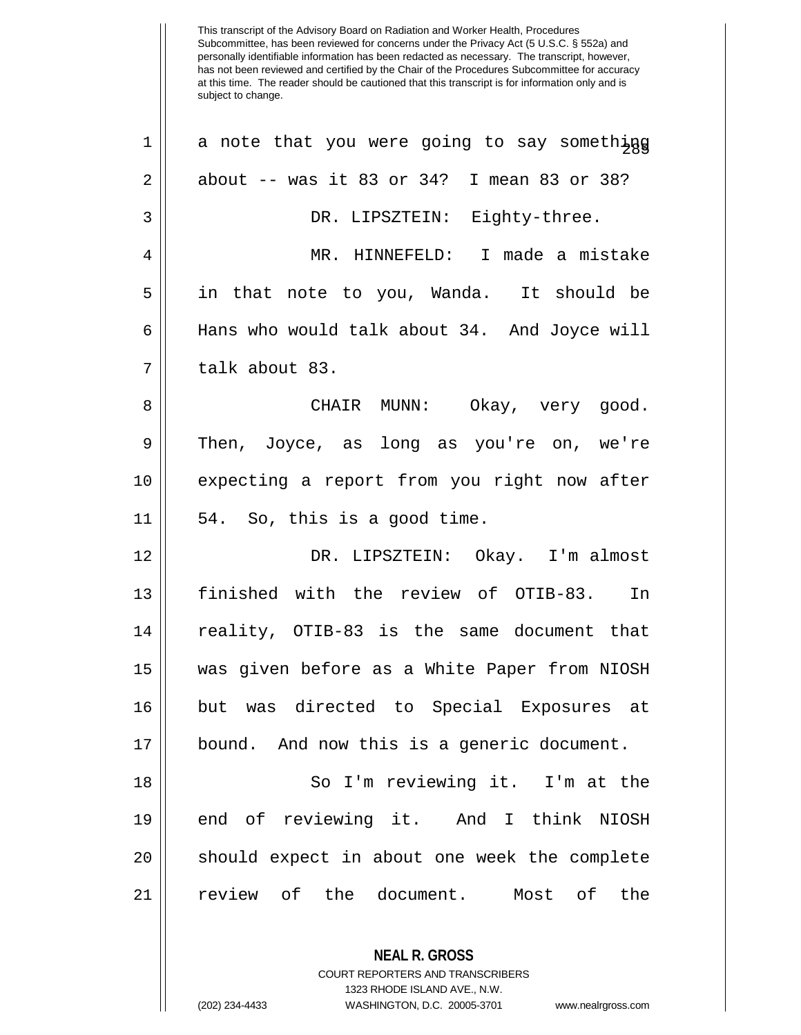| $\mathbf 1$    | a note that you were going to say something  |
|----------------|----------------------------------------------|
| $\overline{2}$ | about $--$ was it 83 or 34? I mean 83 or 38? |
| 3              | DR. LIPSZTEIN: Eighty-three.                 |
| 4              | MR. HINNEFELD: I made a mistake              |
| 5              | in that note to you, Wanda. It should be     |
| $\epsilon$     | Hans who would talk about 34. And Joyce will |
| 7              | talk about 83.                               |
| 8              | CHAIR MUNN: Okay, very good.                 |
| 9              | Then, Joyce, as long as you're on, we're     |
| 10             | expecting a report from you right now after  |
| 11             | 54. So, this is a good time.                 |
| 12             | DR. LIPSZTEIN: Okay. I'm almost              |
| 13             | finished with the review of OTIB-83. In      |
| 14             | reality, OTIB-83 is the same document that   |
| 15             | was given before as a White Paper from NIOSH |
| 16             | but was directed to Special Exposures at     |
| 17             | bound. And now this is a generic document.   |
| 18             | So I'm reviewing it. I'm at the              |
| 19             | end of reviewing it. And I think NIOSH       |
| 20             | should expect in about one week the complete |
| 21             | review of the document. Most of the          |
|                | <b>NEAL R. GROSS</b>                         |

COURT REPORTERS AND TRANSCRIBERS 1323 RHODE ISLAND AVE., N.W.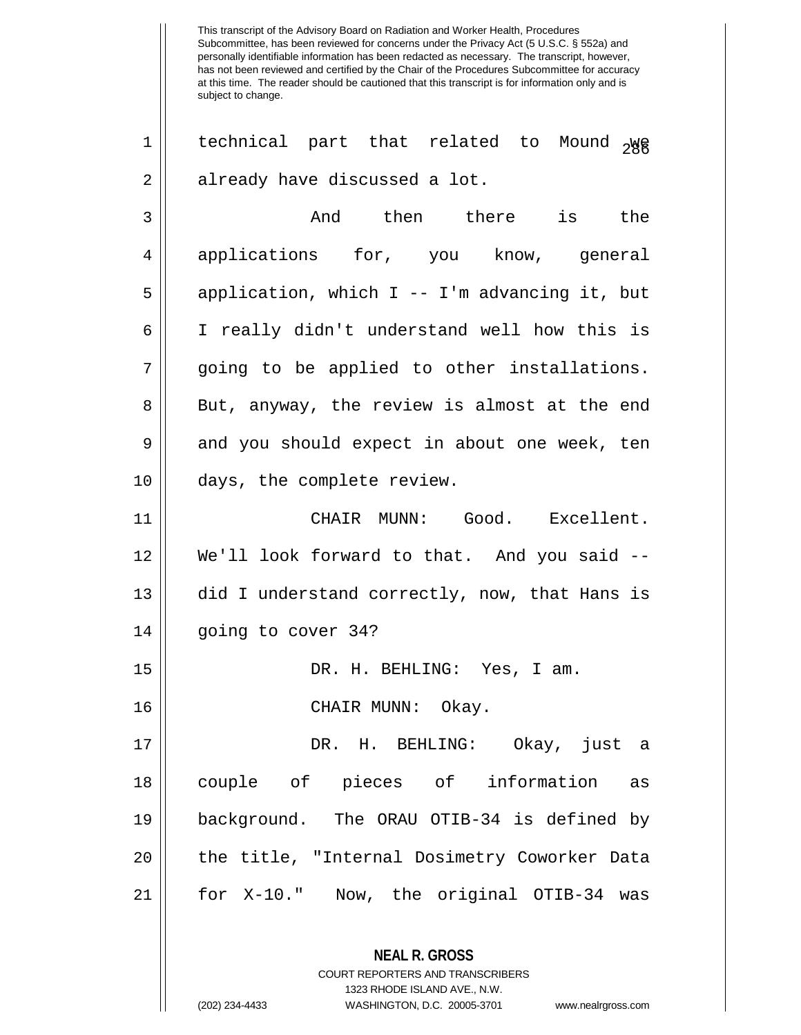1 || technical part that related to Mound  $_{2}$ We  $2 \parallel$  already have discussed a lot.

3 And then there is the 4 || applications for, you know, general  $5 ||$  application, which I -- I'm advancing it, but 6 I really didn't understand well how this is 7 || going to be applied to other installations. 8 || But, anyway, the review is almost at the end 9 and you should expect in about one week, ten 10 || days, the complete review.

11 CHAIR MUNN: Good. Excellent. 12 We'll look forward to that. And you said -- 13 || did I understand correctly, now, that Hans is 14 | going to cover 34?

15 DR. H. BEHLING: Yes, I am.

16 CHAIR MUNN: Okay.

 DR. H. BEHLING: Okay, just a couple of pieces of information as background. The ORAU OTIB-34 is defined by 20 || the title, "Internal Dosimetry Coworker Data for X-10." Now, the original OTIB-34 was

> **NEAL R. GROSS** COURT REPORTERS AND TRANSCRIBERS 1323 RHODE ISLAND AVE., N.W.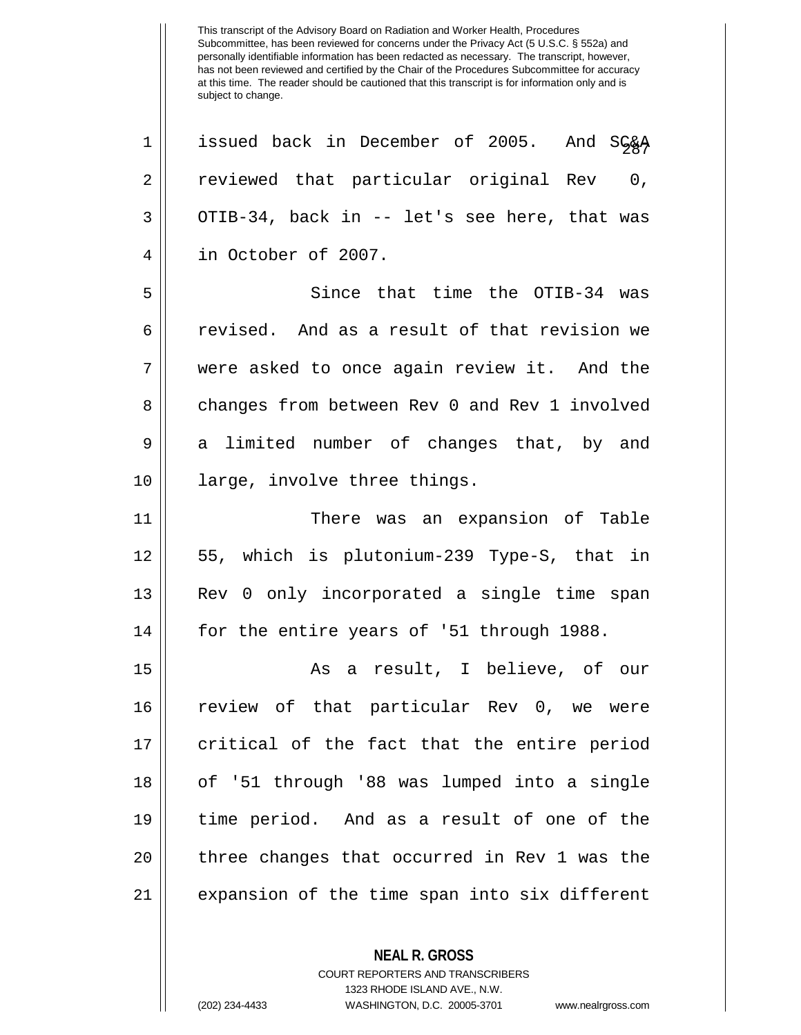1 || issued back in December of 2005. And SG&A 2 || reviewed that particular original Rev 0,  $3 \parallel$  OTIB-34, back in -- let's see here, that was 4 in October of 2007. 5 Since that time the OTIB-34 was 6 || revised. And as a result of that revision we 7 were asked to once again review it. And the 8 changes from between Rev 0 and Rev 1 involved 9 a limited number of changes that, by and 10 large, involve three things. 11 || There was an expansion of Table 12 55, which is plutonium-239 Type-S, that in 13 || Rev 0 only incorporated a single time span 14 || for the entire years of '51 through 1988. 15 As a result, I believe, of our 16 review of that particular Rev 0, we were 17 || critical of the fact that the entire period 18 of '51 through '88 was lumped into a single 19 time period. And as a result of one of the 20 || three changes that occurred in Rev 1 was the 21 expansion of the time span into six different

**NEAL R. GROSS**

COURT REPORTERS AND TRANSCRIBERS 1323 RHODE ISLAND AVE., N.W. (202) 234-4433 WASHINGTON, D.C. 20005-3701 www.nealrgross.com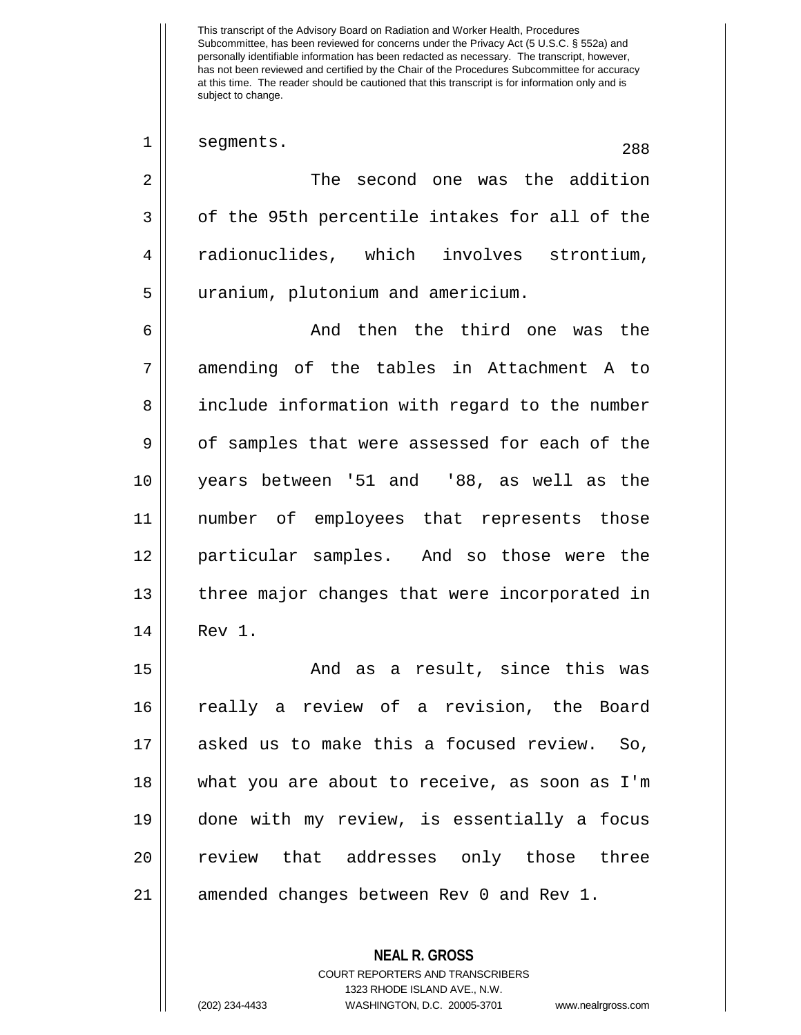1 segments. 288 2 || The second one was the addition  $3 \parallel$  of the 95th percentile intakes for all of the 4 radionuclides, which involves strontium, 5 uranium, plutonium and americium. 6 And then the third one was the 7 amending of the tables in Attachment A to 8 | include information with regard to the number  $9 \parallel$  of samples that were assessed for each of the 10 years between '51 and '88, as well as the 11 number of employees that represents those 12 particular samples. And so those were the 13 || three major changes that were incorporated in 14 Rev 1. 15 And as a result, since this was 16 really a review of a revision, the Board 17 asked us to make this a focused review. So, 18 what you are about to receive, as soon as I'm 19 done with my review, is essentially a focus 20 || review that addresses only those three 21 || amended changes between Rev 0 and Rev 1.

> COURT REPORTERS AND TRANSCRIBERS 1323 RHODE ISLAND AVE., N.W. (202) 234-4433 WASHINGTON, D.C. 20005-3701 www.nealrgross.com

**NEAL R. GROSS**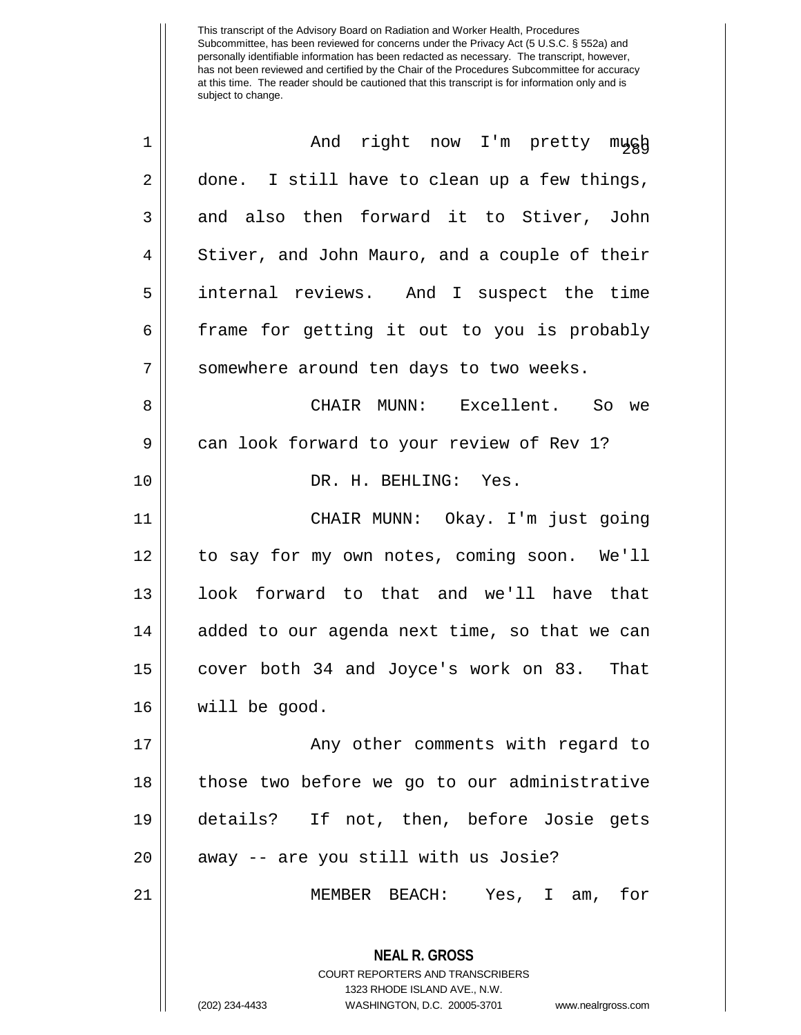| $\mathbf 1$ | And right now I'm pretty mugh                                                                                                                                          |  |  |  |  |  |
|-------------|------------------------------------------------------------------------------------------------------------------------------------------------------------------------|--|--|--|--|--|
| 2           | done. I still have to clean up a few things,                                                                                                                           |  |  |  |  |  |
| 3           | and also then forward it to Stiver, John                                                                                                                               |  |  |  |  |  |
| 4           | Stiver, and John Mauro, and a couple of their                                                                                                                          |  |  |  |  |  |
| 5           | internal reviews. And I suspect the time                                                                                                                               |  |  |  |  |  |
| 6           | frame for getting it out to you is probably                                                                                                                            |  |  |  |  |  |
| 7           | somewhere around ten days to two weeks.                                                                                                                                |  |  |  |  |  |
| 8           | CHAIR MUNN: Excellent. So we                                                                                                                                           |  |  |  |  |  |
| 9           | can look forward to your review of Rev 1?                                                                                                                              |  |  |  |  |  |
| 10          | DR. H. BEHLING: Yes.                                                                                                                                                   |  |  |  |  |  |
| 11          | CHAIR MUNN: Okay. I'm just going                                                                                                                                       |  |  |  |  |  |
| 12          | to say for my own notes, coming soon. We'll                                                                                                                            |  |  |  |  |  |
| 13          | look forward to that and we'll have that                                                                                                                               |  |  |  |  |  |
| 14          | added to our agenda next time, so that we can                                                                                                                          |  |  |  |  |  |
| 15          | cover both 34 and Joyce's work on 83. That                                                                                                                             |  |  |  |  |  |
| 16          | will be good.                                                                                                                                                          |  |  |  |  |  |
| 17          | Any other comments with regard to                                                                                                                                      |  |  |  |  |  |
| 18          | those two before we go to our administrative                                                                                                                           |  |  |  |  |  |
| 19          | details? If not, then, before Josie gets                                                                                                                               |  |  |  |  |  |
| 20          | away -- are you still with us Josie?                                                                                                                                   |  |  |  |  |  |
| 21          | MEMBER BEACH: Yes, I am, for                                                                                                                                           |  |  |  |  |  |
|             | <b>NEAL R. GROSS</b><br><b>COURT REPORTERS AND TRANSCRIBERS</b><br>1323 RHODE ISLAND AVE., N.W.<br>(202) 234-4433<br>WASHINGTON, D.C. 20005-3701<br>www.nealrgross.com |  |  |  |  |  |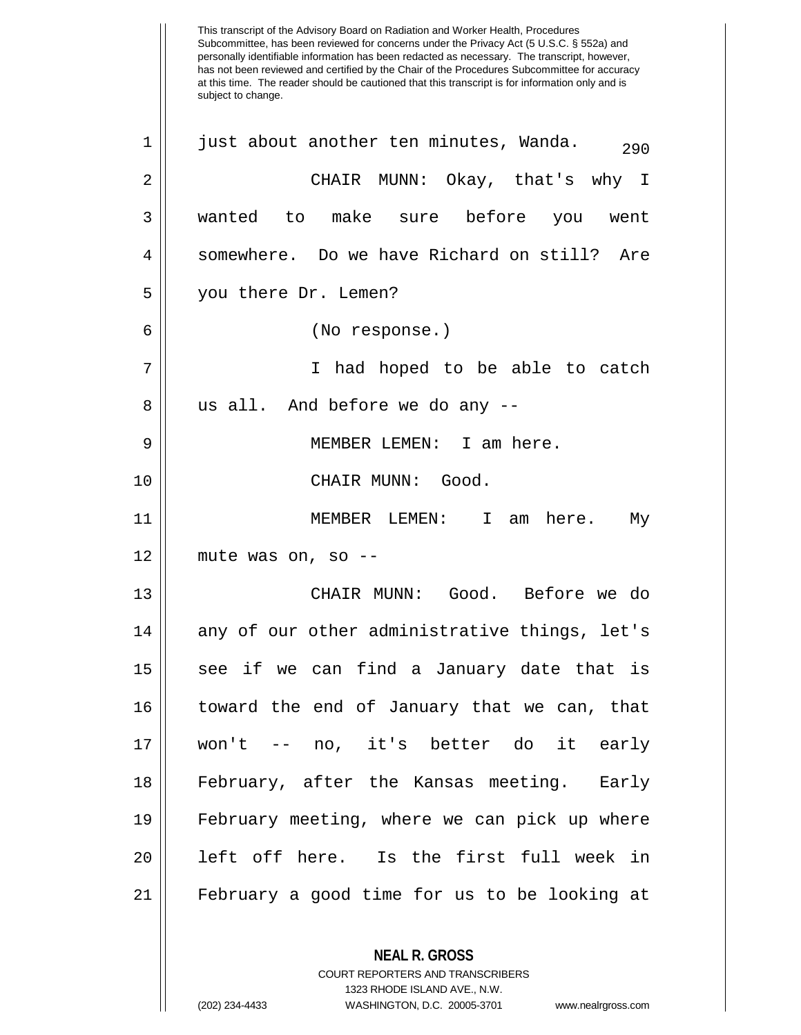This transcript of the Advisory Board on Radiation and Worker Health, Procedures Subcommittee, has been reviewed for concerns under the Privacy Act (5 U.S.C. § 552a) and personally identifiable information has been redacted as necessary. The transcript, however, has not been reviewed and certified by the Chair of the Procedures Subcommittee for accuracy at this time. The reader should be cautioned that this transcript is for information only and is subject to change. **NEAL R. GROSS** COURT REPORTERS AND TRANSCRIBERS 1323 RHODE ISLAND AVE., N.W.  $1 \parallel$  just about another ten minutes, Wanda.  $290$ 2 CHAIR MUNN: Okay, that's why I 3 wanted to make sure before you went 4 Somewhere. Do we have Richard on still? Are 5 you there Dr. Lemen? 6 (No response.) 7 || I had hoped to be able to catch  $8 \parallel$  us all. And before we do any  $-$ -9 MEMBER LEMEN: I am here. 10 || CHAIR MUNN: Good. 11 MEMBER LEMEN: I am here. My  $12$  | mute was on, so --13 CHAIR MUNN: Good. Before we do  $14$  || any of our other administrative things, let's 15 || see if we can find a January date that is 16 toward the end of January that we can, that 17 won't -- no, it's better do it early 18 February, after the Kansas meeting. Early 19 February meeting, where we can pick up where 20 || left off here. Is the first full week in 21 February a good time for us to be looking at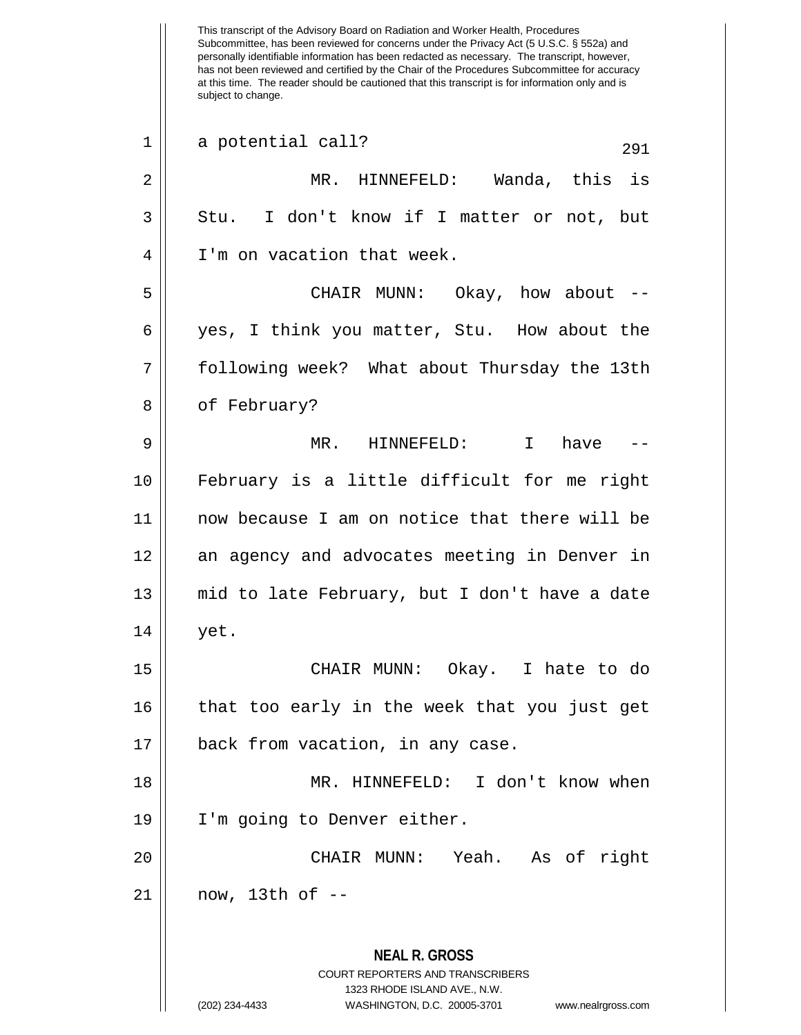This transcript of the Advisory Board on Radiation and Worker Health, Procedures Subcommittee, has been reviewed for concerns under the Privacy Act (5 U.S.C. § 552a) and personally identifiable information has been redacted as necessary. The transcript, however, has not been reviewed and certified by the Chair of the Procedures Subcommittee for accuracy at this time. The reader should be cautioned that this transcript is for information only and is subject to change. **NEAL R. GROSS** COURT REPORTERS AND TRANSCRIBERS 1323 RHODE ISLAND AVE., N.W. (202) 234-4433 WASHINGTON, D.C. 20005-3701 www.nealrgross.com  $291$  a potential call?  $291$ 2 MR. HINNEFELD: Wanda, this is  $3 \parallel$  Stu. I don't know if I matter or not, but 4 I'm on vacation that week. 5 CHAIR MUNN: Okay, how about -- 6 yes, I think you matter, Stu. How about the 7 following week? What about Thursday the 13th 8 | of February? 9 MR. HINNEFELD: I have -- 10 February is a little difficult for me right 11 now because I am on notice that there will be 12 an agency and advocates meeting in Denver in 13 mid to late February, but I don't have a date  $14 \parallel$  yet. 15 CHAIR MUNN: Okay. I hate to do 16 that too early in the week that you just get 17 || back from vacation, in any case. 18 MR. HINNEFELD: I don't know when 19 || I'm going to Denver either. 20 CHAIR MUNN: Yeah. As of right 21 now, 13th of --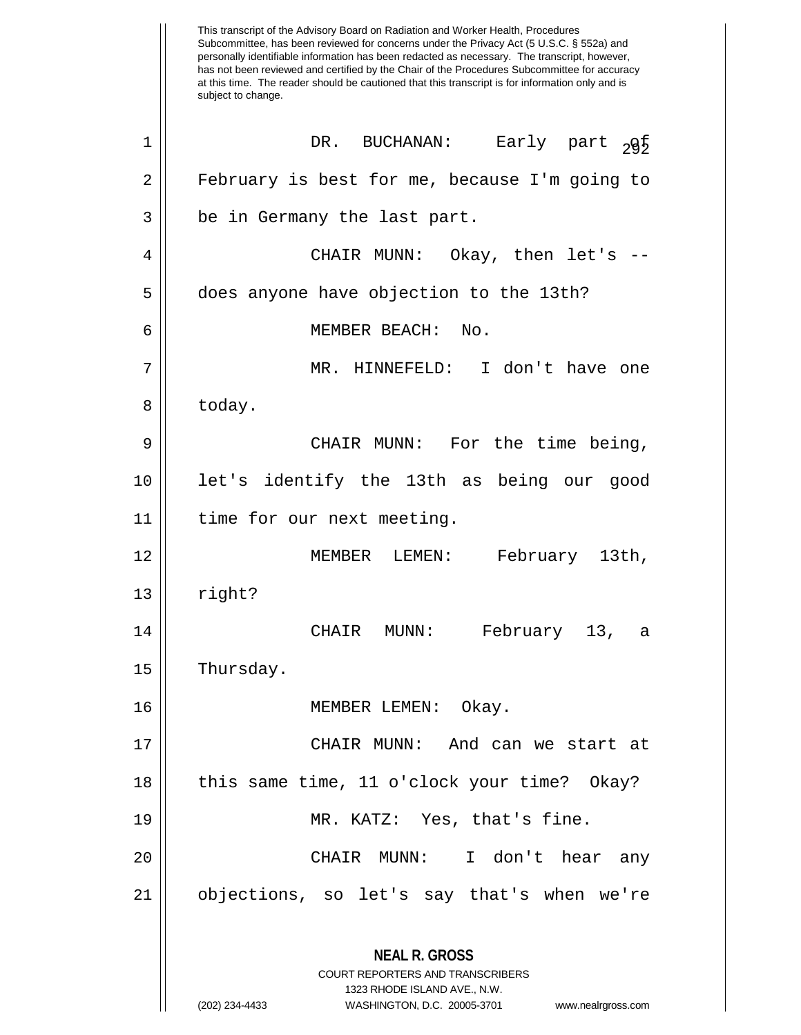This transcript of the Advisory Board on Radiation and Worker Health, Procedures Subcommittee, has been reviewed for concerns under the Privacy Act (5 U.S.C. § 552a) and personally identifiable information has been redacted as necessary. The transcript, however, has not been reviewed and certified by the Chair of the Procedures Subcommittee for accuracy at this time. The reader should be cautioned that this transcript is for information only and is subject to change. **NEAL R. GROSS** COURT REPORTERS AND TRANSCRIBERS 1323 RHODE ISLAND AVE., N.W. (202) 234-4433 WASHINGTON, D.C. 20005-3701 www.nealrgross.com <sup>292</sup> <sup>1</sup> DR. BUCHANAN: Early part of 2 February is best for me, because I'm going to  $3 \parallel$  be in Germany the last part. 4 CHAIR MUNN: Okay, then let's -- 5 does anyone have objection to the 13th? 6 MEMBER BEACH: No. 7 MR. HINNEFELD: I don't have one 8 today. 9 CHAIR MUNN: For the time being, 10 let's identify the 13th as being our good 11 time for our next meeting. 12 MEMBER LEMEN: February 13th,  $13 \parallel$  right? 14 CHAIR MUNN: February 13, a 15 | Thursday. 16 || MEMBER LEMEN: Okay. 17 CHAIR MUNN: And can we start at 18 || this same time, 11 o'clock your time? Okay? 19 MR. KATZ: Yes, that's fine. 20 CHAIR MUNN: I don't hear any 21 objections, so let's say that's when we're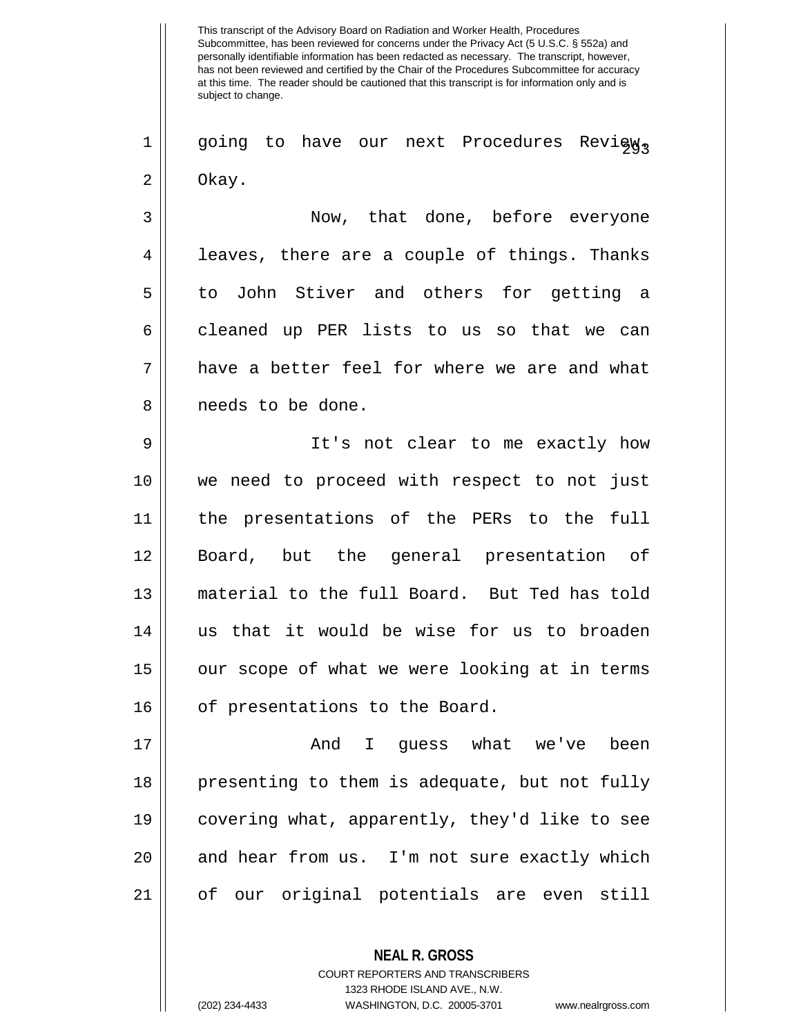$2 \parallel$  going to have our next Procedures Review,  $2 \parallel$  Okay.

3 Now, that done, before everyone 4 || leaves, there are a couple of things. Thanks 5 || to John Stiver and others for getting a  $6 \parallel$  cleaned up PER lists to us so that we can  $7 \parallel$  have a better feel for where we are and what 8 || needs to be done.

9 || It's not clear to me exactly how we need to proceed with respect to not just the presentations of the PERs to the full Board, but the general presentation of material to the full Board. But Ted has told us that it would be wise for us to broaden 15 || our scope of what we were looking at in terms 16 | of presentations to the Board.

17 And I guess what we've been 18 || presenting to them is adequate, but not fully 19 || covering what, apparently, they'd like to see 20 || and hear from us. I'm not sure exactly which 21 of our original potentials are even still

> **NEAL R. GROSS** COURT REPORTERS AND TRANSCRIBERS 1323 RHODE ISLAND AVE., N.W. (202) 234-4433 WASHINGTON, D.C. 20005-3701 www.nealrgross.com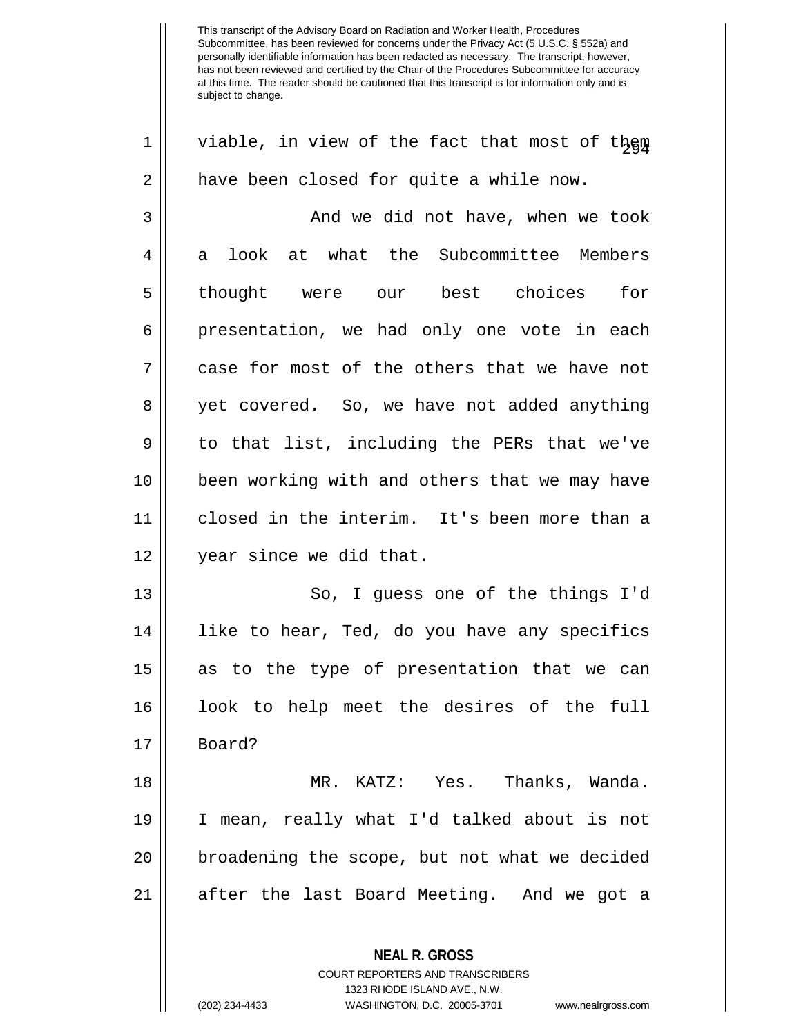**NEAL R. GROSS**  $1 \parallel$  viable, in view of the fact that most of them 2 | have been closed for quite a while now. 3 And we did not have, when we took 4 a look at what the Subcommittee Members 5|| thought were our best choices for 6 || presentation, we had only one vote in each  $7 \parallel$  case for most of the others that we have not 8 yet covered. So, we have not added anything  $9 \parallel$  to that list, including the PERs that we've 10 been working with and others that we may have 11 closed in the interim. It's been more than a 12 || year since we did that. 13 || So, I guess one of the things I'd 14 || like to hear, Ted, do you have any specifics 15 as to the type of presentation that we can 16 look to help meet the desires of the full 17 Board? 18 MR. KATZ: Yes. Thanks, Wanda. 19 I mean, really what I'd talked about is not 20 || broadening the scope, but not what we decided 21 || after the last Board Meeting. And we got a

> COURT REPORTERS AND TRANSCRIBERS 1323 RHODE ISLAND AVE., N.W.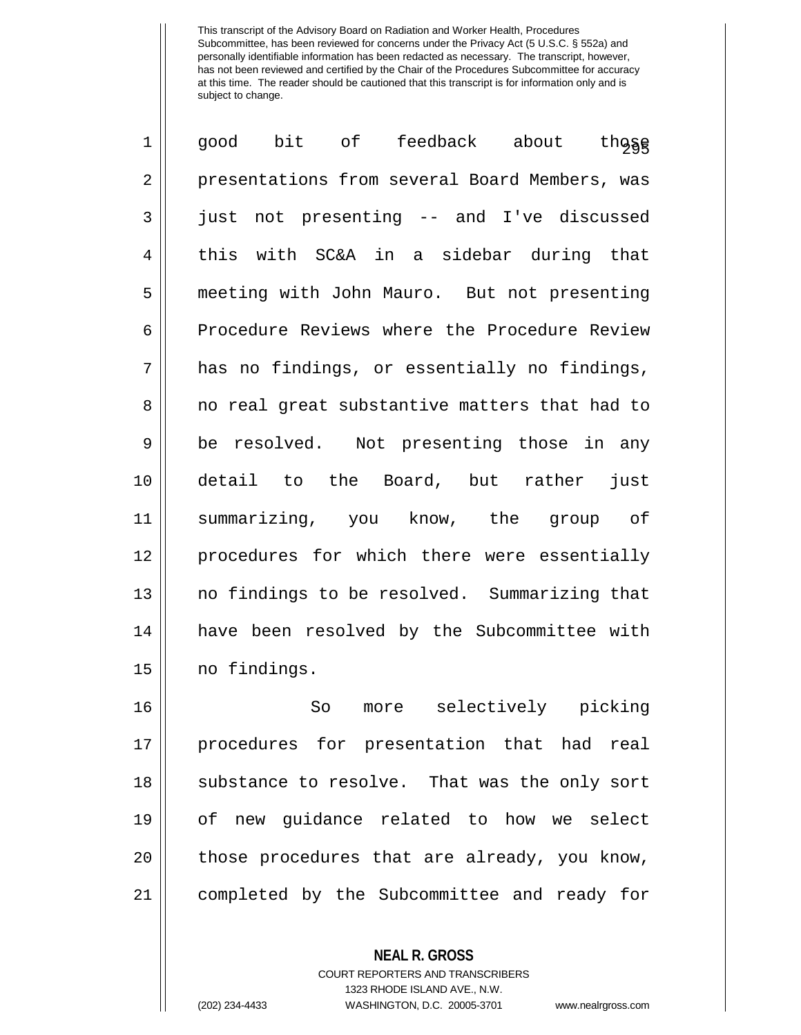| $\mathbf{1}$   | bit of feedback about<br>those<br>good                                                                          |  |  |  |  |  |
|----------------|-----------------------------------------------------------------------------------------------------------------|--|--|--|--|--|
| $\overline{2}$ | presentations from several Board Members, was                                                                   |  |  |  |  |  |
| 3              | not presenting -- and I've discussed<br>just                                                                    |  |  |  |  |  |
| 4              | this with SC&A in a sidebar during that                                                                         |  |  |  |  |  |
| 5              | meeting with John Mauro. But not presenting                                                                     |  |  |  |  |  |
| 6              | Procedure Reviews where the Procedure Review                                                                    |  |  |  |  |  |
| 7              | has no findings, or essentially no findings,                                                                    |  |  |  |  |  |
| 8              | no real great substantive matters that had to                                                                   |  |  |  |  |  |
| 9              | be resolved. Not presenting those in any                                                                        |  |  |  |  |  |
| 10             | detail to the Board, but rather<br>just                                                                         |  |  |  |  |  |
| 11             | summarizing, you know, the group of                                                                             |  |  |  |  |  |
| 12             | procedures for which there were essentially                                                                     |  |  |  |  |  |
| 13             | no findings to be resolved. Summarizing that                                                                    |  |  |  |  |  |
| 14             | have been resolved by the Subcommittee with                                                                     |  |  |  |  |  |
| 15             | no findings.                                                                                                    |  |  |  |  |  |
| 1 <sup>2</sup> | $\mathcal{C}_{\Omega}$ more $\Omega_{\Omega}$ and $\Omega_{\Omega}$ and $\Omega_{\Omega}$ and $\Omega_{\Omega}$ |  |  |  |  |  |

 So more selectively picking procedures for presentation that had real 18 || substance to resolve. That was the only sort of new guidance related to how we select | those procedures that are already, you know, 21 || completed by the Subcommittee and ready for

> **NEAL R. GROSS** COURT REPORTERS AND TRANSCRIBERS 1323 RHODE ISLAND AVE., N.W.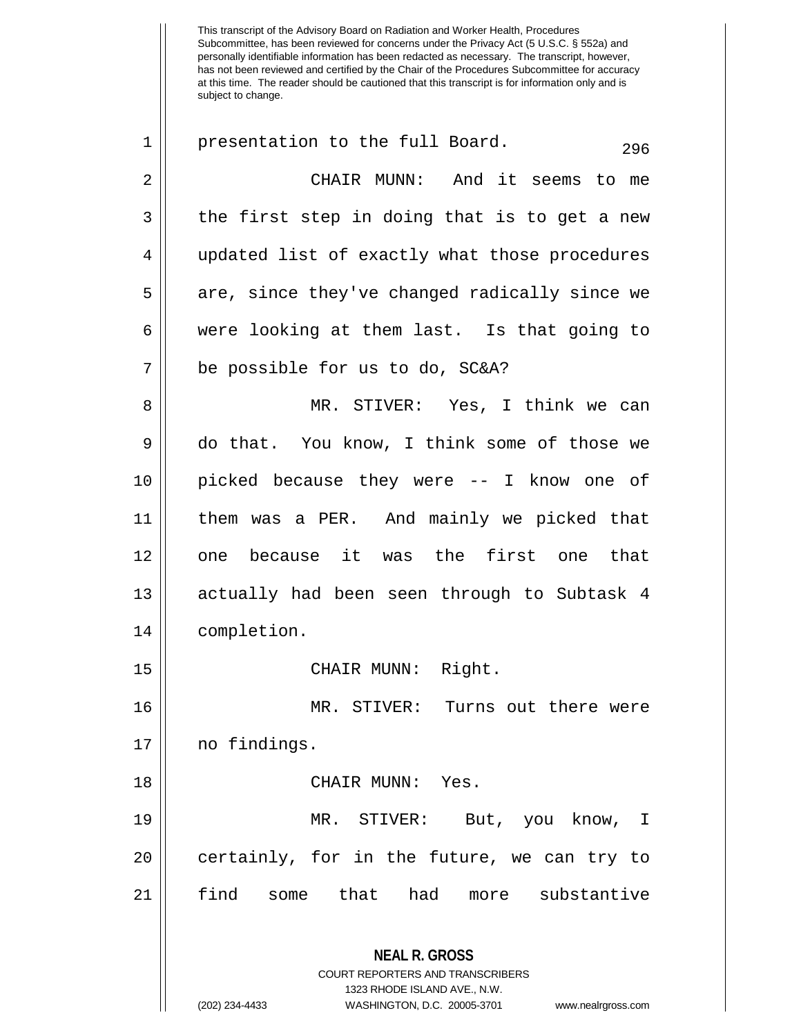**NEAL R. GROSS** COURT REPORTERS AND TRANSCRIBERS 1323 RHODE ISLAND AVE., N.W.  $1 \parallel$  presentation to the full Board.  $296$ 2 || CHAIR MUNN: And it seems to me  $3 \parallel$  the first step in doing that is to get a new 4 || updated list of exactly what those procedures  $5 \parallel$  are, since they've changed radically since we  $6 \parallel$  were looking at them last. Is that going to 7 be possible for us to do, SC&A? 8 MR. STIVER: Yes, I think we can 9 do that. You know, I think some of those we 10 picked because they were -- I know one of 11 them was a PER. And mainly we picked that 12 || one because it was the first one that 13 || actually had been seen through to Subtask 4 14 completion. 15 || CHAIR MUNN: Right. 16 MR. STIVER: Turns out there were 17 | no findings. 18 CHAIR MUNN: Yes. 19 MR. STIVER: But, you know, I  $20$  | certainly, for in the future, we can try to 21 find some that had more substantive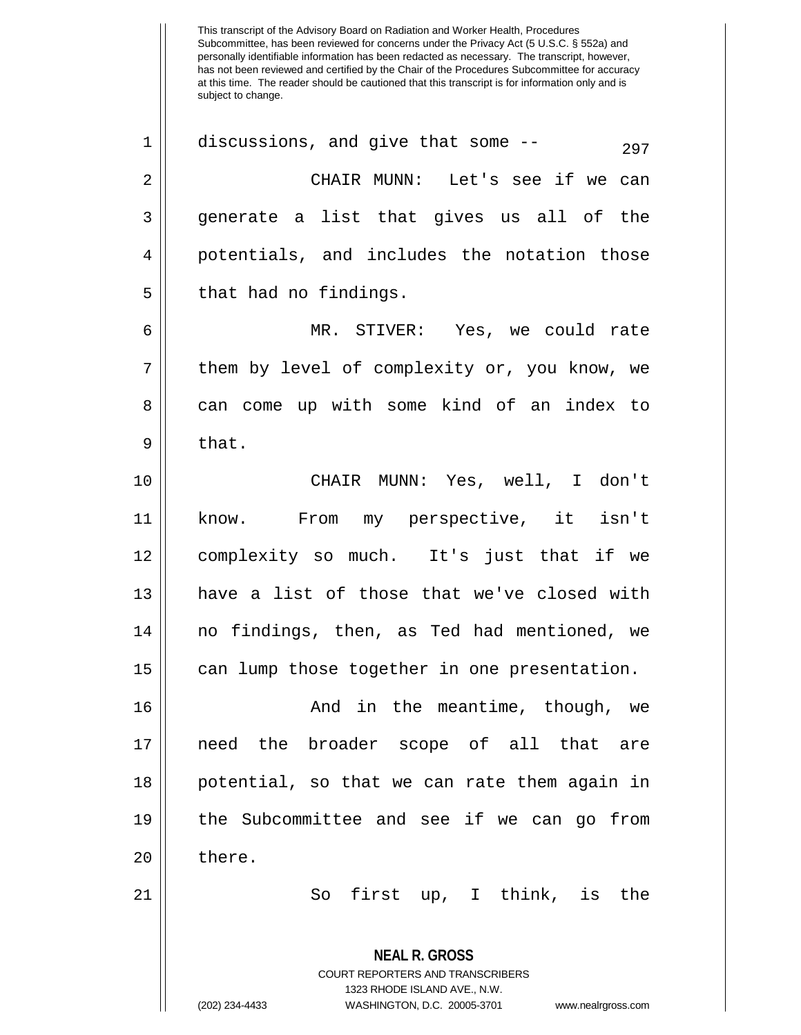Subcommittee, has been reviewed for concerns under the Privacy Act (5 U.S.C. § 552a) and personally identifiable information has been redacted as necessary. The transcript, however, has not been reviewed and certified by the Chair of the Procedures Subcommittee for accuracy at this time. The reader should be cautioned that this transcript is for information only and is subject to change. **NEAL R. GROSS** COURT REPORTERS AND TRANSCRIBERS 1323 RHODE ISLAND AVE., N.W. (202) 234-4433 WASHINGTON, D.C. 20005-3701 www.nealrgross.com  $1 \parallel$  discussions, and give that some --  $297$ 2 CHAIR MUNN: Let's see if we can  $3 \parallel$  generate a list that gives us all of the 4 || potentials, and includes the notation those  $5 \parallel$  that had no findings. 6 MR. STIVER: Yes, we could rate  $7 \parallel$  them by level of complexity or, you know, we 8 can come up with some kind of an index to  $9 \parallel$  that. 10 CHAIR MUNN: Yes, well, I don't 11 know. From my perspective, it isn't 12 complexity so much. It's just that if we 13 have a list of those that we've closed with 14 no findings, then, as Ted had mentioned, we 15 || can lump those together in one presentation. 16 And in the meantime, though, we 17 need the broader scope of all that are 18 || potential, so that we can rate them again in 19 the Subcommittee and see if we can go from  $20 \parallel$  there. 21 || So first up, I think, is the

This transcript of the Advisory Board on Radiation and Worker Health, Procedures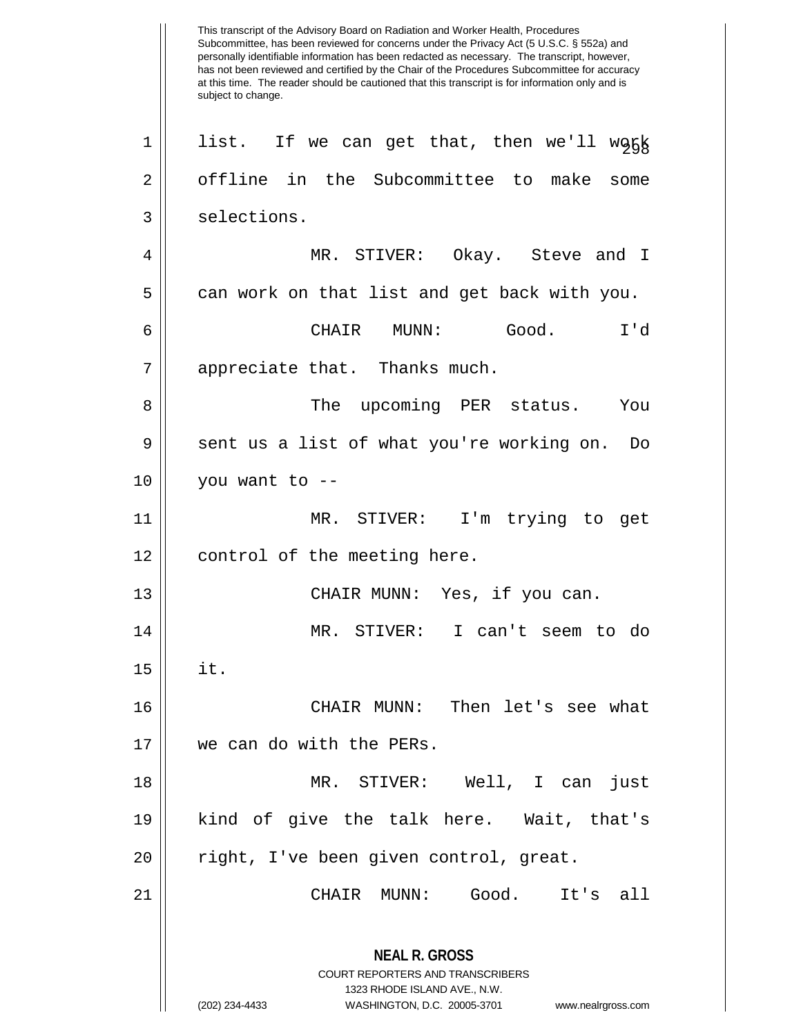This transcript of the Advisory Board on Radiation and Worker Health, Procedures Subcommittee, has been reviewed for concerns under the Privacy Act (5 U.S.C. § 552a) and personally identifiable information has been redacted as necessary. The transcript, however, has not been reviewed and certified by the Chair of the Procedures Subcommittee for accuracy at this time. The reader should be cautioned that this transcript is for information only and is subject to change. **NEAL R. GROSS** COURT REPORTERS AND TRANSCRIBERS 1323 RHODE ISLAND AVE., N.W. (202) 234-4433 WASHINGTON, D.C. 20005-3701 www.nealrgross.com  $1 ||$  list. If we can get that, then we'll work 2 | offline in the Subcommittee to make some 3 | selections. 4 MR. STIVER: Okay. Steve and I  $5 \parallel$  can work on that list and get back with you. 6 CHAIR MUNN: Good. I'd 7 || appreciate that. Thanks much. 8 The upcoming PER status. You 9 || sent us a list of what you're working on. Do  $10$  | you want to --11 MR. STIVER: I'm trying to get 12 || control of the meeting here. 13 CHAIR MUNN: Yes, if you can. 14 MR. STIVER: I can't seem to do  $15 \parallel$  it. 16 CHAIR MUNN: Then let's see what 17 we can do with the PERs. 18 MR. STIVER: Well, I can just 19 kind of give the talk here. Wait, that's 20 || right, I've been given control, great. 21 CHAIR MUNN: Good. It's all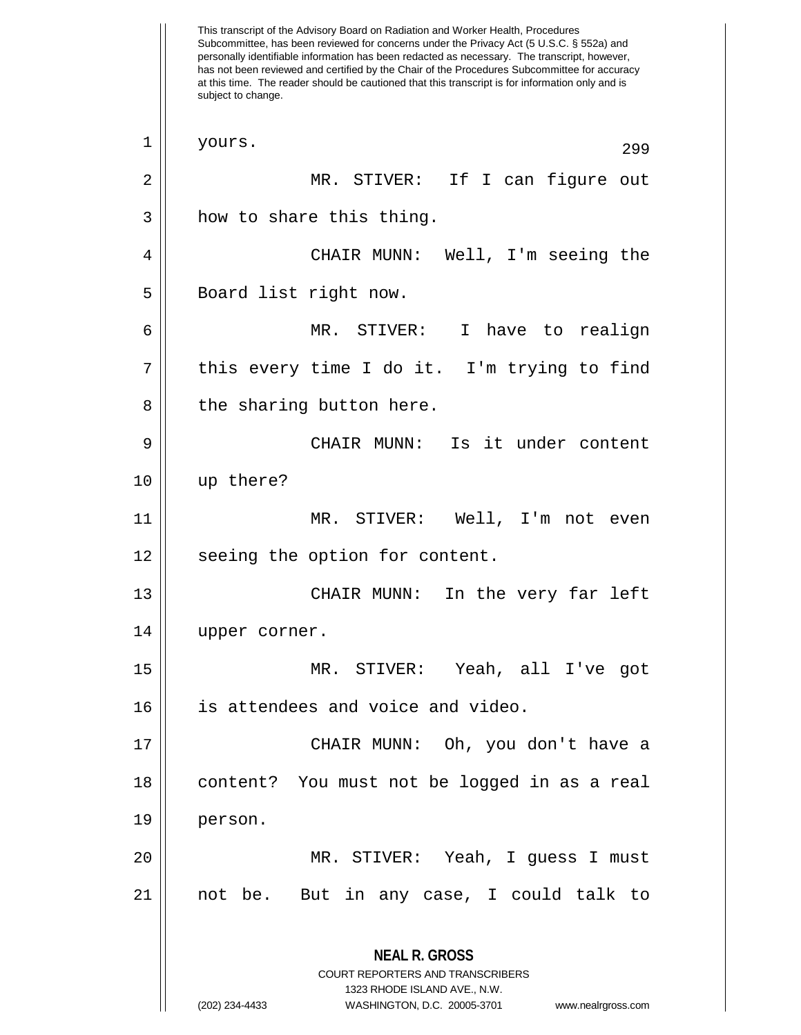This transcript of the Advisory Board on Radiation and Worker Health, Procedures Subcommittee, has been reviewed for concerns under the Privacy Act (5 U.S.C. § 552a) and personally identifiable information has been redacted as necessary. The transcript, however, has not been reviewed and certified by the Chair of the Procedures Subcommittee for accuracy at this time. The reader should be cautioned that this transcript is for information only and is subject to change. **NEAL R. GROSS** COURT REPORTERS AND TRANSCRIBERS 1323 RHODE ISLAND AVE., N.W. (202) 234-4433 WASHINGTON, D.C. 20005-3701 www.nealrgross.com  $\begin{array}{c|c} 1 & \text{yours.} \end{array}$  299 2 MR. STIVER: If I can figure out  $3 \parallel$  how to share this thing. 4 CHAIR MUNN: Well, I'm seeing the 5 || Board list right now. 6 MR. STIVER: I have to realign 7 || this every time I do it. I'm trying to find  $8$  || the sharing button here. 9 CHAIR MUNN: Is it under content 10 up there? 11 MR. STIVER: Well, I'm not even 12 || seeing the option for content. 13 CHAIR MUNN: In the very far left 14 upper corner. 15 MR. STIVER: Yeah, all I've got 16 || is attendees and voice and video. 17 CHAIR MUNN: Oh, you don't have a 18 || content? You must not be logged in as a real 19 person. 20 MR. STIVER: Yeah, I guess I must 21 not be. But in any case, I could talk to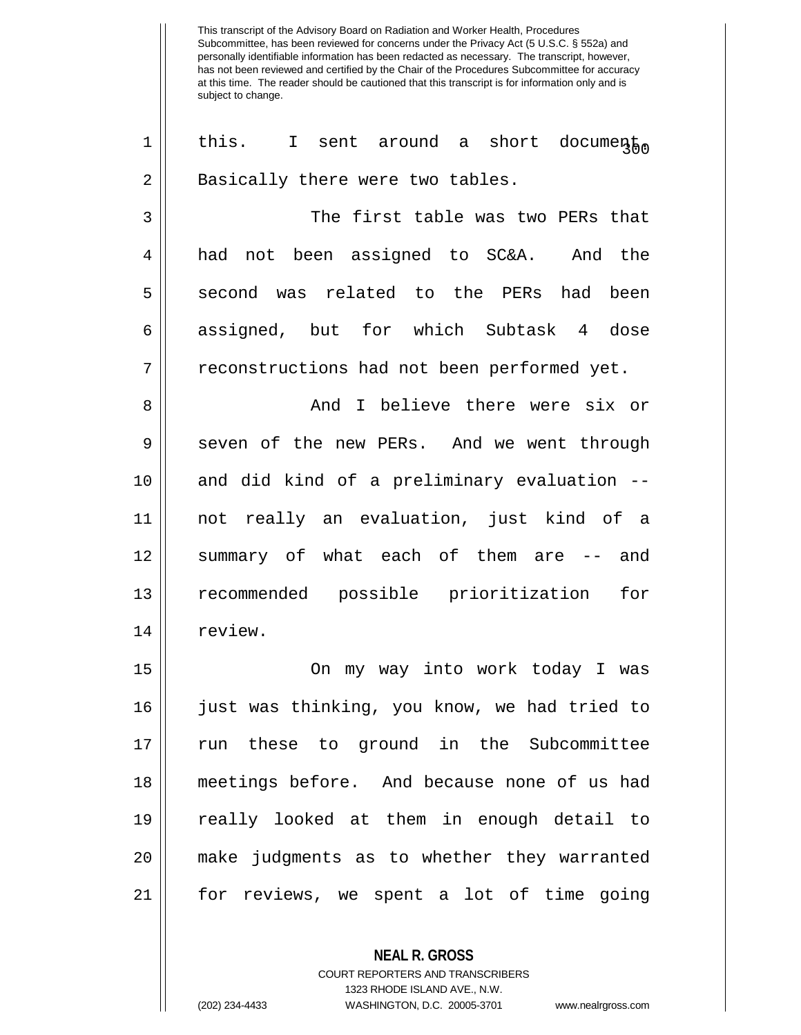| $\mathbf 1$    | this. I sent around a short documento        |  |  |  |  |  |
|----------------|----------------------------------------------|--|--|--|--|--|
| $\overline{2}$ | Basically there were two tables.             |  |  |  |  |  |
| 3              | The first table was two PERs that            |  |  |  |  |  |
| $\overline{4}$ | had not been assigned to SC&A. And the       |  |  |  |  |  |
| 5              | second was related to the PERs had been      |  |  |  |  |  |
| 6              | assigned, but for which Subtask 4 dose       |  |  |  |  |  |
| 7              | reconstructions had not been performed yet.  |  |  |  |  |  |
| 8              | And I believe there were six or              |  |  |  |  |  |
| 9              | seven of the new PERs. And we went through   |  |  |  |  |  |
| 10             | and did kind of a preliminary evaluation --  |  |  |  |  |  |
| 11             | not really an evaluation, just kind of a     |  |  |  |  |  |
| 12             | summary of what each of them are -- and      |  |  |  |  |  |
| 13             | recommended possible prioritization<br>for   |  |  |  |  |  |
| 14             | review.                                      |  |  |  |  |  |
| 15             | On my way into work today I was              |  |  |  |  |  |
| 16             | just was thinking, you know, we had tried to |  |  |  |  |  |
| 17             | run these to ground in the Subcommittee      |  |  |  |  |  |
| 18             | meetings before. And because none of us had  |  |  |  |  |  |
| 19             | really looked at them in enough detail to    |  |  |  |  |  |
| 20             | make judgments as to whether they warranted  |  |  |  |  |  |
| 21             | for reviews, we spent a lot of time going    |  |  |  |  |  |
|                |                                              |  |  |  |  |  |

**NEAL R. GROSS** COURT REPORTERS AND TRANSCRIBERS 1323 RHODE ISLAND AVE., N.W.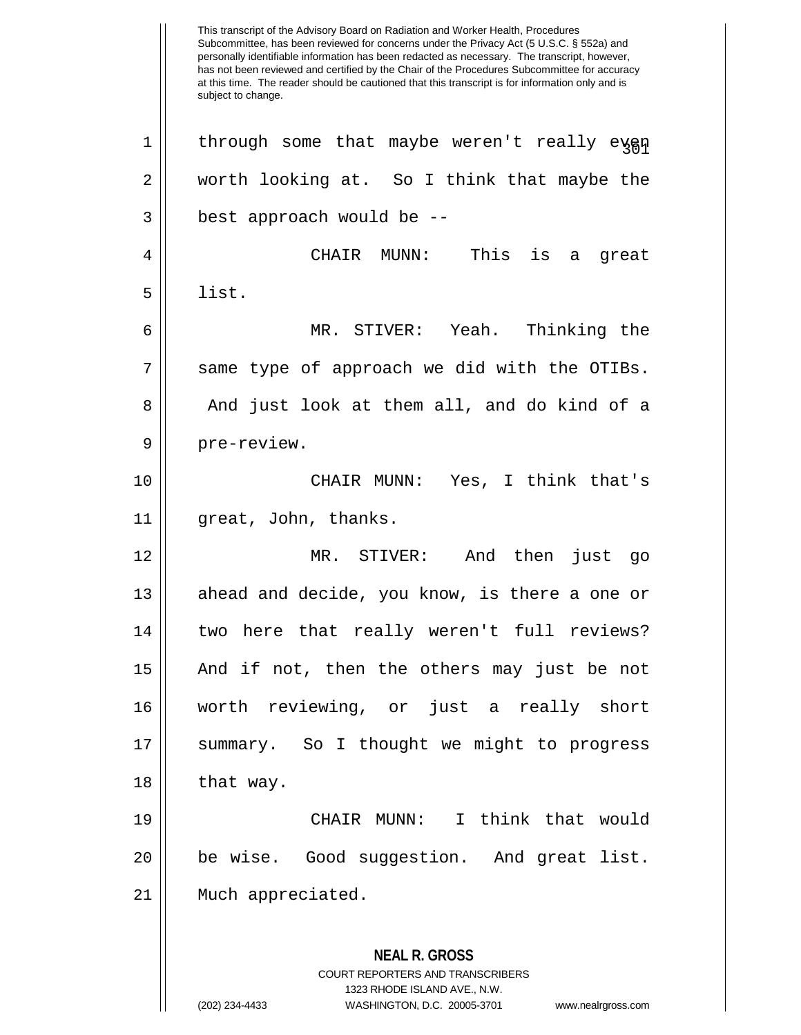This transcript of the Advisory Board on Radiation and Worker Health, Procedures Subcommittee, has been reviewed for concerns under the Privacy Act (5 U.S.C. § 552a) and personally identifiable information has been redacted as necessary. The transcript, however, has not been reviewed and certified by the Chair of the Procedures Subcommittee for accuracy at this time. The reader should be cautioned that this transcript is for information only and is subject to change. **NEAL R. GROSS** COURT REPORTERS AND TRANSCRIBERS 1323 RHODE ISLAND AVE., N.W.  $1 \parallel$  through some that maybe weren't really eyen 2 worth looking at. So I think that maybe the  $3 \parallel$  best approach would be  $-$ 4 CHAIR MUNN: This is a great  $5 \parallel$  list. 6 MR. STIVER: Yeah. Thinking the 7 || same type of approach we did with the OTIBs. 8 and just look at them all, and do kind of a 9 || pre-review. 10 CHAIR MUNN: Yes, I think that's 11 || great, John, thanks. 12 MR. STIVER: And then just go 13 || ahead and decide, you know, is there a one or 14 || two here that really weren't full reviews? 15 And if not, then the others may just be not 16 worth reviewing, or just a really short 17 || summary. So I thought we might to progress  $18$  that way. 19 CHAIR MUNN: I think that would 20 be wise. Good suggestion. And great list. 21 Much appreciated.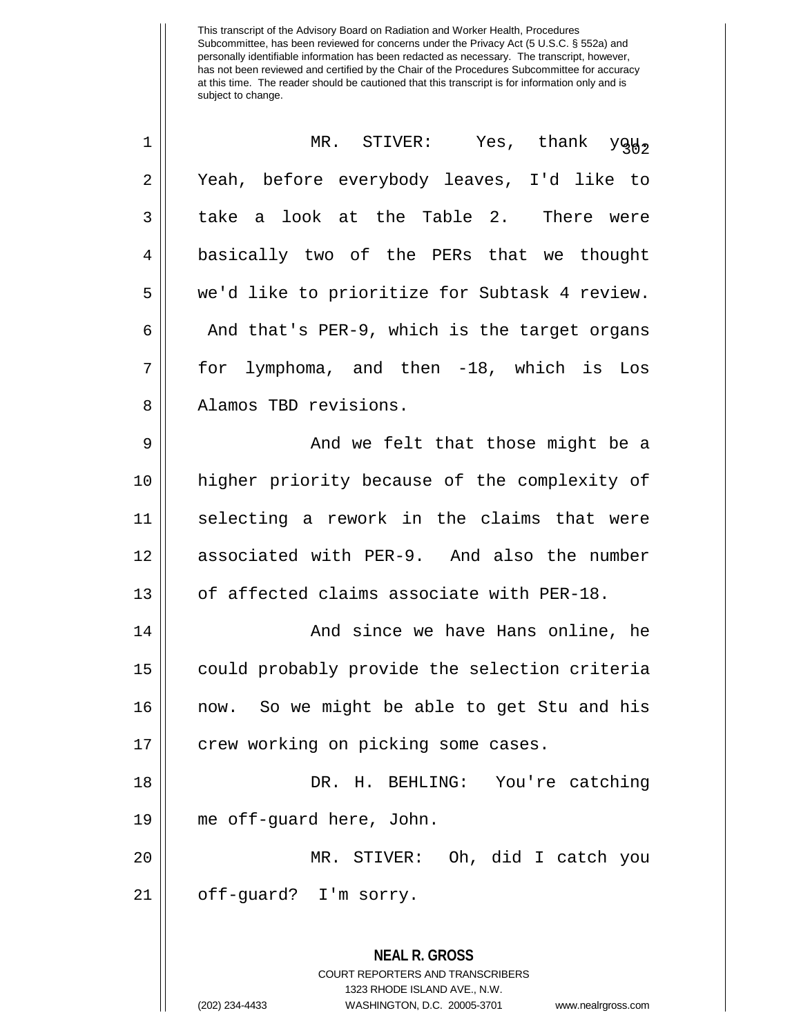| 1  | MR. STIVER: Yes, thank you,                                                                                                                                            |  |  |  |  |  |  |
|----|------------------------------------------------------------------------------------------------------------------------------------------------------------------------|--|--|--|--|--|--|
| 2  | Yeah, before everybody leaves, I'd like to                                                                                                                             |  |  |  |  |  |  |
| 3  | take a look at the Table 2. There were                                                                                                                                 |  |  |  |  |  |  |
| 4  | basically two of the PERs that we thought                                                                                                                              |  |  |  |  |  |  |
| 5  | we'd like to prioritize for Subtask 4 review.                                                                                                                          |  |  |  |  |  |  |
| 6  | And that's PER-9, which is the target organs                                                                                                                           |  |  |  |  |  |  |
| 7  | for lymphoma, and then -18, which is Los                                                                                                                               |  |  |  |  |  |  |
| 8  | Alamos TBD revisions.                                                                                                                                                  |  |  |  |  |  |  |
| 9  | And we felt that those might be a                                                                                                                                      |  |  |  |  |  |  |
| 10 | higher priority because of the complexity of                                                                                                                           |  |  |  |  |  |  |
| 11 | selecting a rework in the claims that were                                                                                                                             |  |  |  |  |  |  |
| 12 | associated with PER-9. And also the number                                                                                                                             |  |  |  |  |  |  |
| 13 | of affected claims associate with PER-18.                                                                                                                              |  |  |  |  |  |  |
| 14 | And since we have Hans online, he                                                                                                                                      |  |  |  |  |  |  |
| 15 | could probably provide the selection criteria                                                                                                                          |  |  |  |  |  |  |
| 16 | now. So we might be able to get Stu and his                                                                                                                            |  |  |  |  |  |  |
| 17 | crew working on picking some cases.                                                                                                                                    |  |  |  |  |  |  |
| 18 | DR. H. BEHLING: You're catching                                                                                                                                        |  |  |  |  |  |  |
| 19 | me off-quard here, John.                                                                                                                                               |  |  |  |  |  |  |
| 20 | MR. STIVER: Oh, did I catch you                                                                                                                                        |  |  |  |  |  |  |
| 21 | off-guard? I'm sorry.                                                                                                                                                  |  |  |  |  |  |  |
|    | <b>NEAL R. GROSS</b><br><b>COURT REPORTERS AND TRANSCRIBERS</b><br>1323 RHODE ISLAND AVE., N.W.<br>(202) 234-4433<br>WASHINGTON, D.C. 20005-3701<br>www.nealrgross.com |  |  |  |  |  |  |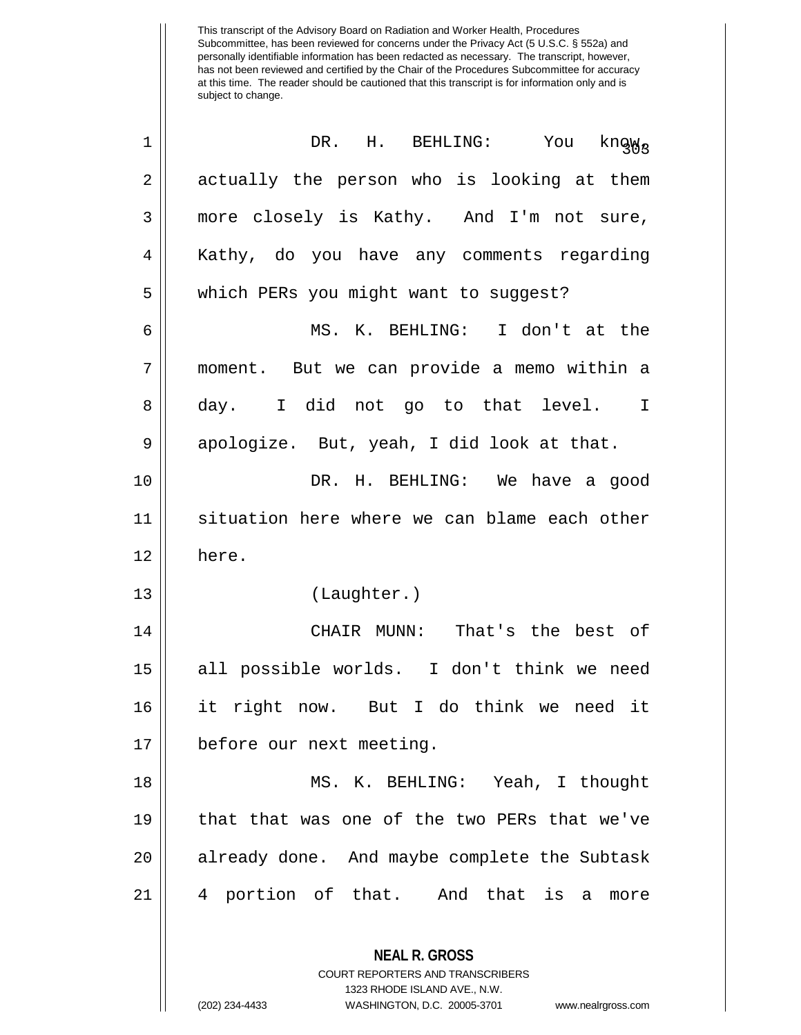| $\mathbf 1$ | DR. H. BEHLING: You<br>knąw <sub>s</sub>                                                                                                                               |  |  |  |  |  |  |
|-------------|------------------------------------------------------------------------------------------------------------------------------------------------------------------------|--|--|--|--|--|--|
| $\sqrt{2}$  | actually the person who is looking at them                                                                                                                             |  |  |  |  |  |  |
| 3           | more closely is Kathy. And I'm not sure,                                                                                                                               |  |  |  |  |  |  |
| 4           | Kathy, do you have any comments regarding                                                                                                                              |  |  |  |  |  |  |
| 5           | which PERs you might want to suggest?                                                                                                                                  |  |  |  |  |  |  |
| 6           | MS. K. BEHLING: I don't at the                                                                                                                                         |  |  |  |  |  |  |
| 7           | moment. But we can provide a memo within a                                                                                                                             |  |  |  |  |  |  |
| 8           | day. I did not go to that level.<br>$\mathbf I$                                                                                                                        |  |  |  |  |  |  |
| 9           | apologize. But, yeah, I did look at that.                                                                                                                              |  |  |  |  |  |  |
| 10          | DR. H. BEHLING: We have a good                                                                                                                                         |  |  |  |  |  |  |
| 11          | situation here where we can blame each other                                                                                                                           |  |  |  |  |  |  |
| 12          | here.                                                                                                                                                                  |  |  |  |  |  |  |
| 13          | (Laughter.)                                                                                                                                                            |  |  |  |  |  |  |
| 14          | CHAIR MUNN: That's the best of                                                                                                                                         |  |  |  |  |  |  |
| 15          | all possible worlds. I don't think we need                                                                                                                             |  |  |  |  |  |  |
| 16          | it right now. But I do think we need it                                                                                                                                |  |  |  |  |  |  |
| 17          | before our next meeting.                                                                                                                                               |  |  |  |  |  |  |
| 18          | MS. K. BEHLING: Yeah, I thought                                                                                                                                        |  |  |  |  |  |  |
| 19          | that that was one of the two PERs that we've                                                                                                                           |  |  |  |  |  |  |
| 20          | already done. And maybe complete the Subtask                                                                                                                           |  |  |  |  |  |  |
| 21          | 4 portion of that. And that is a<br>more                                                                                                                               |  |  |  |  |  |  |
|             | <b>NEAL R. GROSS</b><br><b>COURT REPORTERS AND TRANSCRIBERS</b><br>1323 RHODE ISLAND AVE., N.W.<br>(202) 234-4433<br>WASHINGTON, D.C. 20005-3701<br>www.nealrgross.com |  |  |  |  |  |  |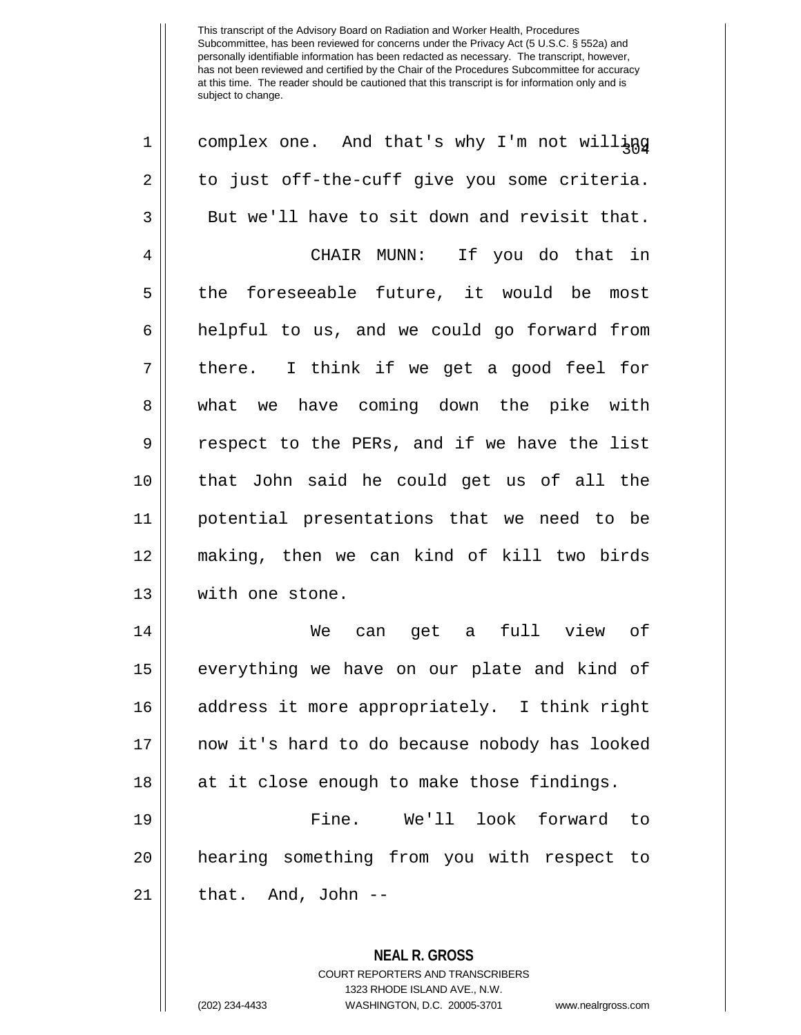| $\mathbf 1$ | complex one. And that's why I'm not willing   |
|-------------|-----------------------------------------------|
| 2           | to just off-the-cuff give you some criteria.  |
| 3           | But we'll have to sit down and revisit that.  |
| 4           | CHAIR MUNN: If you do that in                 |
| 5           | the foreseeable future, it would be most      |
| 6           | helpful to us, and we could go forward from   |
| 7           | there. I think if we get a good feel for      |
| 8           | what we have coming down the pike with        |
| 9           | respect to the PERs, and if we have the list  |
| 10          | that John said he could get us of all the     |
| 11          | potential presentations that we need to be    |
| 12          | making, then we can kind of kill two birds    |
| 13          | with one stone.                               |
| 14          | can get a full view of<br>We                  |
| 15          | everything we have on our plate and kind of   |
| 16          | address it more appropriately. I think right  |
| 17          | now it's hard to do because nobody has looked |
| 18          | at it close enough to make those findings.    |
| 19          | Fine.<br>We'll look forward<br>to             |
| 20          | hearing something from you with respect to    |
| 21          | that. And, John --                            |
|             | <b>NEAL R. GROSS</b>                          |

COURT REPORTERS AND TRANSCRIBERS 1323 RHODE ISLAND AVE., N.W.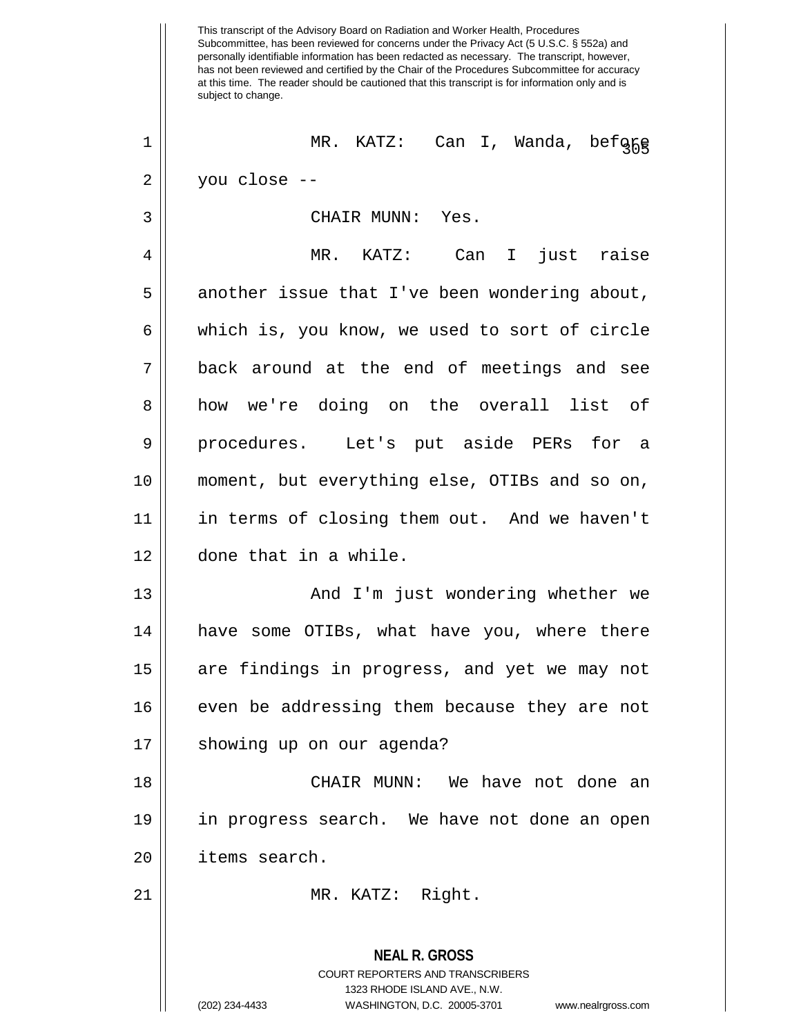This transcript of the Advisory Board on Radiation and Worker Health, Procedures Subcommittee, has been reviewed for concerns under the Privacy Act (5 U.S.C. § 552a) and personally identifiable information has been redacted as necessary. The transcript, however, has not been reviewed and certified by the Chair of the Procedures Subcommittee for accuracy at this time. The reader should be cautioned that this transcript is for information only and is subject to change. **NEAL R. GROSS** COURT REPORTERS AND TRANSCRIBERS 1323 RHODE ISLAND AVE., N.W. <sup>305</sup> <sup>1</sup> MR. KATZ: Can I, Wanda, before  $2 \parallel$  you close --3 CHAIR MUNN: Yes. 4 MR. KATZ: Can I just raise 5 | another issue that I've been wondering about,  $6 \parallel$  which is, you know, we used to sort of circle 7 back around at the end of meetings and see 8 how we're doing on the overall list of 9 || procedures. Let's put aside PERs for a 10 moment, but everything else, OTIBs and so on, 11 in terms of closing them out. And we haven't 12 done that in a while. 13 And I'm just wondering whether we 14 || have some OTIBs, what have you, where there 15 || are findings in progress, and yet we may not 16 || even be addressing them because they are not 17 || showing up on our agenda? 18 CHAIR MUNN: We have not done an 19 in progress search. We have not done an open 20 items search. 21 || MR. KATZ: Right.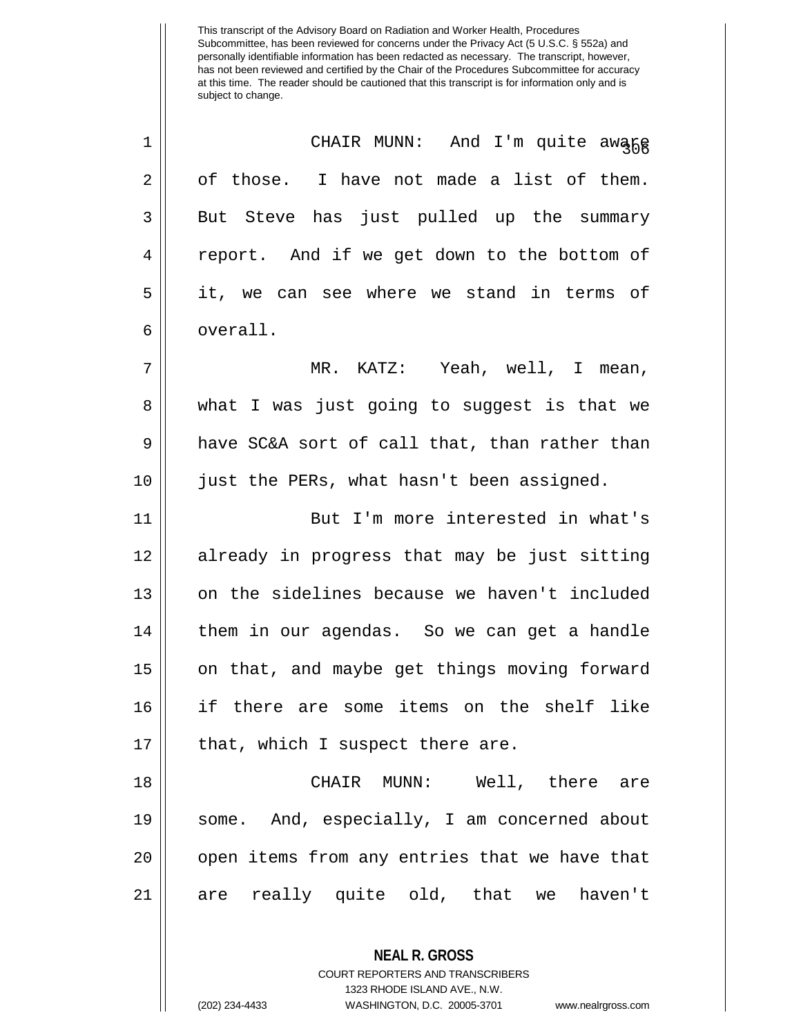| $\mathbf 1$    | CHAIR MUNN: And I'm quite awang               |  |  |  |  |  |
|----------------|-----------------------------------------------|--|--|--|--|--|
| $\overline{2}$ | of those. I have not made a list of them.     |  |  |  |  |  |
| 3              | But Steve has just pulled up the summary      |  |  |  |  |  |
| 4              | report. And if we get down to the bottom of   |  |  |  |  |  |
| 5              | it, we can see where we stand in terms of     |  |  |  |  |  |
| 6              | overall.                                      |  |  |  |  |  |
| 7              | MR. KATZ: Yeah, well, I mean,                 |  |  |  |  |  |
| 8              | what I was just going to suggest is that we   |  |  |  |  |  |
| 9              | have SC&A sort of call that, than rather than |  |  |  |  |  |
| 10             | just the PERs, what hasn't been assigned.     |  |  |  |  |  |
| 11             | But I'm more interested in what's             |  |  |  |  |  |
| 12             | already in progress that may be just sitting  |  |  |  |  |  |
| 13             | on the sidelines because we haven't included  |  |  |  |  |  |
| 14             | them in our agendas. So we can get a handle   |  |  |  |  |  |
| 15             | on that, and maybe get things moving forward  |  |  |  |  |  |
| 16             | if there are some items on the shelf like     |  |  |  |  |  |
| 17             | that, which I suspect there are.              |  |  |  |  |  |
| 18             | CHAIR MUNN: Well, there are                   |  |  |  |  |  |
| 19             | some. And, especially, I am concerned about   |  |  |  |  |  |
| 20             | open items from any entries that we have that |  |  |  |  |  |
| 21             | are really quite old, that we haven't         |  |  |  |  |  |
|                | <b>NEAL R. GROSS</b>                          |  |  |  |  |  |

COURT REPORTERS AND TRANSCRIBERS 1323 RHODE ISLAND AVE., N.W.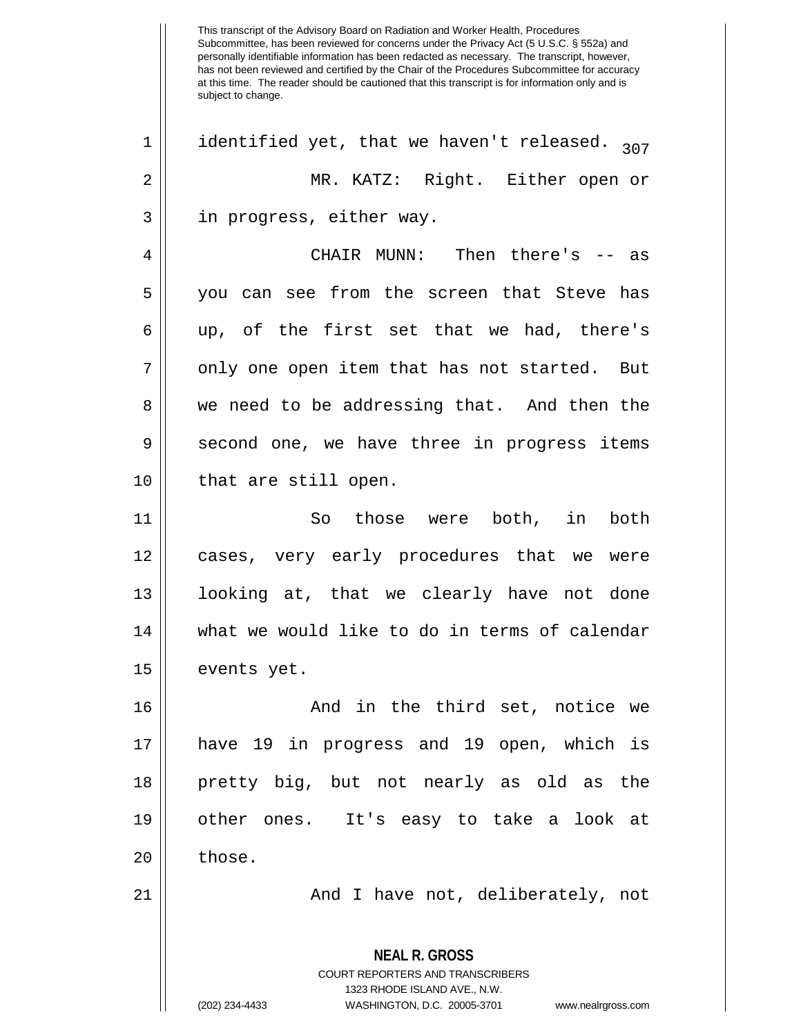This transcript of the Advisory Board on Radiation and Worker Health, Procedures Subcommittee, has been reviewed for concerns under the Privacy Act (5 U.S.C. § 552a) and personally identifiable information has been redacted as necessary. The transcript, however, has not been reviewed and certified by the Chair of the Procedures Subcommittee for accuracy at this time. The reader should be cautioned that this transcript is for information only and is subject to change. **NEAL R. GROSS** COURT REPORTERS AND TRANSCRIBERS 1323 RHODE ISLAND AVE., N.W. (202) 234-4433 WASHINGTON, D.C. 20005-3701 www.nealrgross.com 1 || identified yet, that we haven't released.  $_{307}$ 2 MR. KATZ: Right. Either open or 3 || in progress, either way. 4 CHAIR MUNN: Then there's -- as 5 you can see from the screen that Steve has  $6 \parallel$  up, of the first set that we had, there's  $7 \parallel$  only one open item that has not started. But 8 we need to be addressing that. And then the 9 || second one, we have three in progress items 10 || that are still open. 11 So those were both, in both 12 cases, very early procedures that we were 13 looking at, that we clearly have not done 14 what we would like to do in terms of calendar 15 | events yet. 16 And in the third set, notice we 17 have 19 in progress and 19 open, which is 18 pretty big, but not nearly as old as the 19 other ones. It's easy to take a look at  $20 \parallel$  those. 21 || And I have not, deliberately, not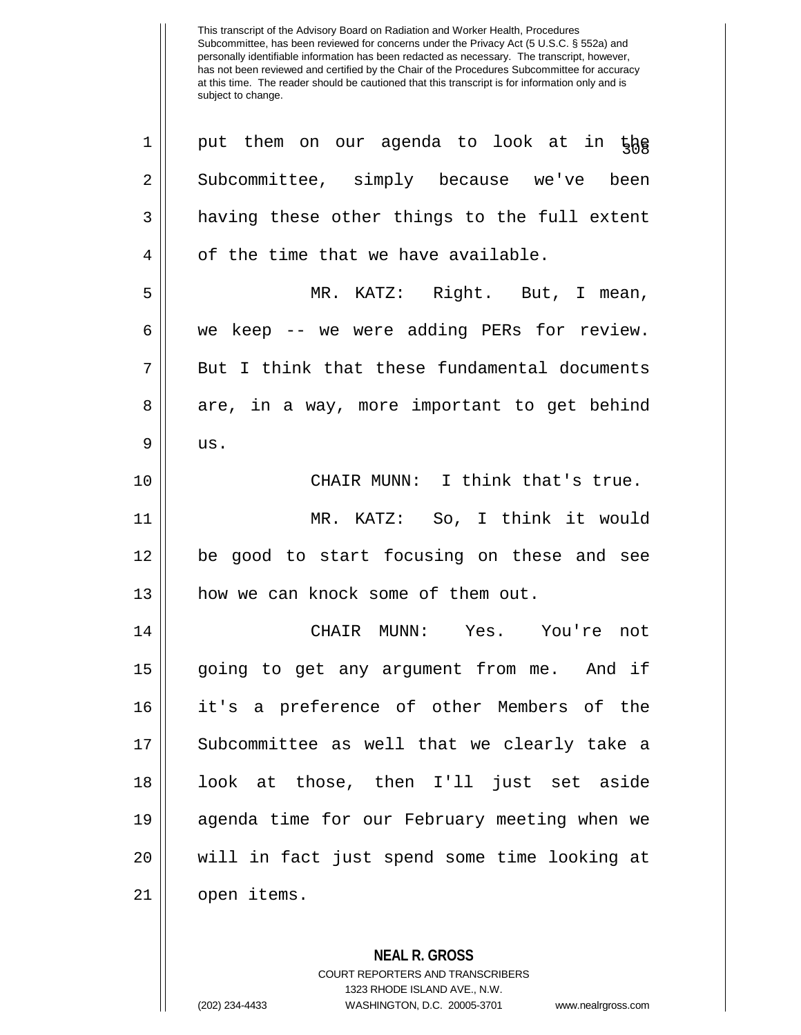**NEAL R. GROSS**  $1 \parallel$  put them on our agenda to look at in the 2 Subcommittee, simply because we've been  $3 \parallel$  having these other things to the full extent 4 || of the time that we have available. 5 MR. KATZ: Right. But, I mean, 6 we keep -- we were adding PERs for review.  $7 \parallel$  But I think that these fundamental documents 8 are, in a way, more important to get behind  $9$  us. 10 || CHAIR MUNN: I think that's true. 11 MR. KATZ: So, I think it would 12 be good to start focusing on these and see 13 || how we can knock some of them out. 14 CHAIR MUNN: Yes. You're not 15 going to get any argument from me. And if 16 it's a preference of other Members of the 17 || Subcommittee as well that we clearly take a 18 look at those, then I'll just set aside 19 agenda time for our February meeting when we 20 will in fact just spend some time looking at 21 open items.

> COURT REPORTERS AND TRANSCRIBERS 1323 RHODE ISLAND AVE., N.W.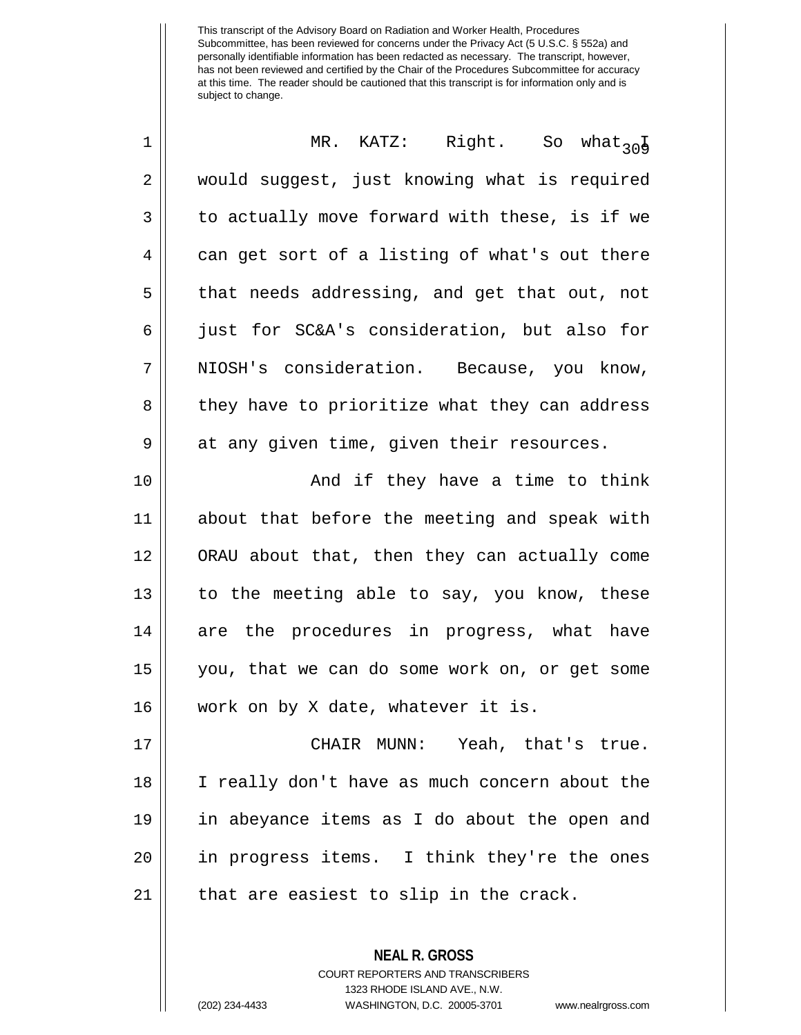| 1  | MR. KATZ: Right. So what <sub>30</sub>        |
|----|-----------------------------------------------|
| 2  | would suggest, just knowing what is required  |
| 3  | to actually move forward with these, is if we |
| 4  | can get sort of a listing of what's out there |
| 5  | that needs addressing, and get that out, not  |
| 6  | just for SC&A's consideration, but also for   |
| 7  | NIOSH's consideration. Because, you know,     |
| 8  | they have to prioritize what they can address |
| 9  | at any given time, given their resources.     |
| 10 | And if they have a time to think              |
| 11 | about that before the meeting and speak with  |
| 12 | ORAU about that, then they can actually come  |
| 13 | to the meeting able to say, you know, these   |
| 14 | are the procedures in progress, what have     |
| 15 | you, that we can do some work on, or get some |
| 16 | work on by X date, whatever it is.            |
| 17 | CHAIR MUNN: Yeah, that's true.                |
| 18 | I really don't have as much concern about the |
| 19 | in abeyance items as I do about the open and  |
| 20 | in progress items. I think they're the ones   |
| 21 | that are easiest to slip in the crack.        |
|    | <b>NEAL R. GROSS</b>                          |

COURT REPORTERS AND TRANSCRIBERS 1323 RHODE ISLAND AVE., N.W.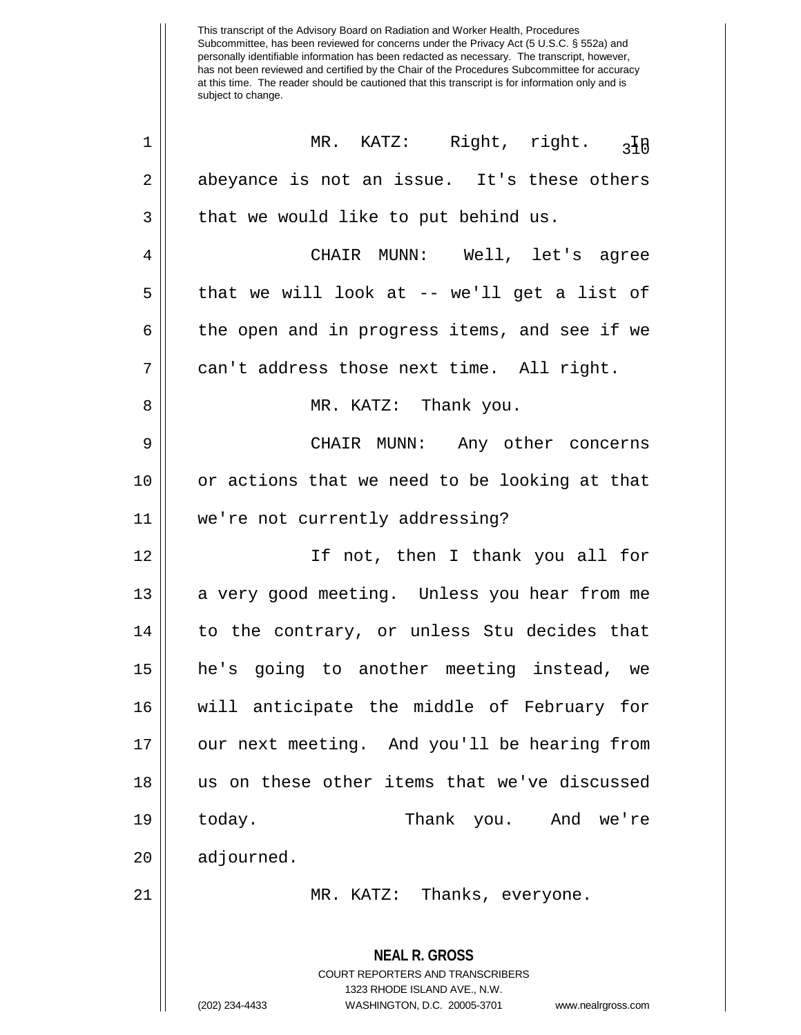| $\mathbf 1$ | MR. KATZ: Right, right.<br>$3\overline{10}$                                                                                                                            |  |  |  |  |  |  |
|-------------|------------------------------------------------------------------------------------------------------------------------------------------------------------------------|--|--|--|--|--|--|
| 2           | abeyance is not an issue. It's these others                                                                                                                            |  |  |  |  |  |  |
| 3           | that we would like to put behind us.                                                                                                                                   |  |  |  |  |  |  |
| 4           | CHAIR MUNN: Well, let's agree                                                                                                                                          |  |  |  |  |  |  |
| 5           | that we will look at -- we'll get a list of                                                                                                                            |  |  |  |  |  |  |
| 6           | the open and in progress items, and see if we                                                                                                                          |  |  |  |  |  |  |
| 7           | can't address those next time. All right.                                                                                                                              |  |  |  |  |  |  |
| 8           | MR. KATZ: Thank you.                                                                                                                                                   |  |  |  |  |  |  |
| 9           | CHAIR MUNN: Any other concerns                                                                                                                                         |  |  |  |  |  |  |
| 10          | or actions that we need to be looking at that                                                                                                                          |  |  |  |  |  |  |
| 11          | we're not currently addressing?                                                                                                                                        |  |  |  |  |  |  |
| 12          | If not, then I thank you all for                                                                                                                                       |  |  |  |  |  |  |
| 13          | a very good meeting. Unless you hear from me                                                                                                                           |  |  |  |  |  |  |
| 14          | to the contrary, or unless Stu decides that                                                                                                                            |  |  |  |  |  |  |
| 15          | he's going to another meeting instead, we                                                                                                                              |  |  |  |  |  |  |
| 16          | will anticipate the middle of February for                                                                                                                             |  |  |  |  |  |  |
| 17          | our next meeting. And you'll be hearing from                                                                                                                           |  |  |  |  |  |  |
| 18          | us on these other items that we've discussed                                                                                                                           |  |  |  |  |  |  |
| 19          | today.<br>Thank<br>you. And we're                                                                                                                                      |  |  |  |  |  |  |
| 20          | adjourned.                                                                                                                                                             |  |  |  |  |  |  |
| 21          | MR. KATZ: Thanks, everyone.                                                                                                                                            |  |  |  |  |  |  |
|             | <b>NEAL R. GROSS</b><br><b>COURT REPORTERS AND TRANSCRIBERS</b><br>1323 RHODE ISLAND AVE., N.W.<br>(202) 234-4433<br>WASHINGTON, D.C. 20005-3701<br>www.nealrgross.com |  |  |  |  |  |  |